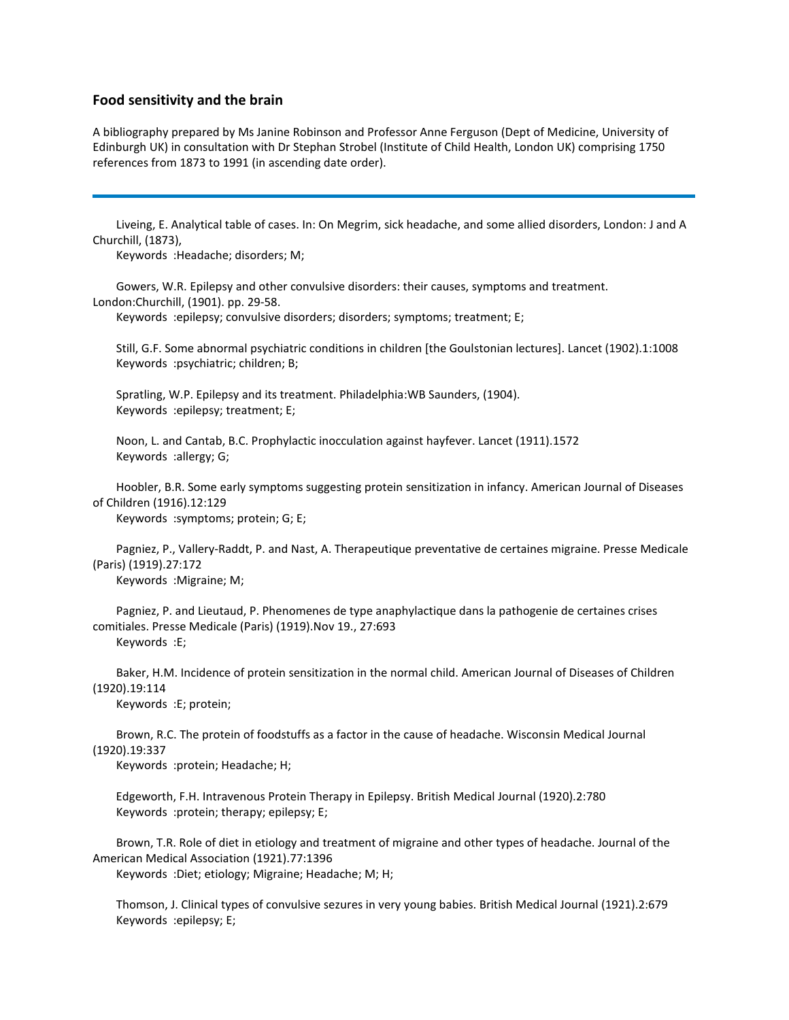## **Food sensitivity and the brain**

A bibliography prepared by Ms Janine Robinson and Professor Anne Ferguson (Dept of Medicine, University of Edinburgh UK) in consultation with Dr Stephan Strobel (Institute of Child Health, London UK) comprising 1750 references from 1873 to 1991 (in ascending date order).

 Liveing, E. Analytical table of cases. In: On Megrim, sick headache, and some allied disorders, London: J and A Churchill, (1873),

Keywords :Headache; disorders; M;

 Gowers, W.R. Epilepsy and other convulsive disorders: their causes, symptoms and treatment. London:Churchill, (1901). pp. 29-58.

Keywords :epilepsy; convulsive disorders; disorders; symptoms; treatment; E;

 Still, G.F. Some abnormal psychiatric conditions in children [the Goulstonian lectures]. Lancet (1902).1:1008 Keywords :psychiatric; children; B;

 Spratling, W.P. Epilepsy and its treatment. Philadelphia:WB Saunders, (1904). Keywords :epilepsy; treatment; E;

 Noon, L. and Cantab, B.C. Prophylactic inocculation against hayfever. Lancet (1911).1572 Keywords :allergy; G;

 Hoobler, B.R. Some early symptoms suggesting protein sensitization in infancy. American Journal of Diseases of Children (1916).12:129

Keywords :symptoms; protein; G; E;

 Pagniez, P., Vallery-Raddt, P. and Nast, A. Therapeutique preventative de certaines migraine. Presse Medicale (Paris) (1919).27:172 Keywords :Migraine; M;

 Pagniez, P. and Lieutaud, P. Phenomenes de type anaphylactique dans la pathogenie de certaines crises comitiales. Presse Medicale (Paris) (1919).Nov 19., 27:693 Keywords :E;

 Baker, H.M. Incidence of protein sensitization in the normal child. American Journal of Diseases of Children (1920).19:114

Keywords :E; protein;

 Brown, R.C. The protein of foodstuffs as a factor in the cause of headache. Wisconsin Medical Journal (1920).19:337

Keywords :protein; Headache; H;

 Edgeworth, F.H. Intravenous Protein Therapy in Epilepsy. British Medical Journal (1920).2:780 Keywords :protein; therapy; epilepsy; E;

 Brown, T.R. Role of diet in etiology and treatment of migraine and other types of headache. Journal of the American Medical Association (1921).77:1396

Keywords :Diet; etiology; Migraine; Headache; M; H;

 Thomson, J. Clinical types of convulsive sezures in very young babies. British Medical Journal (1921).2:679 Keywords :epilepsy; E;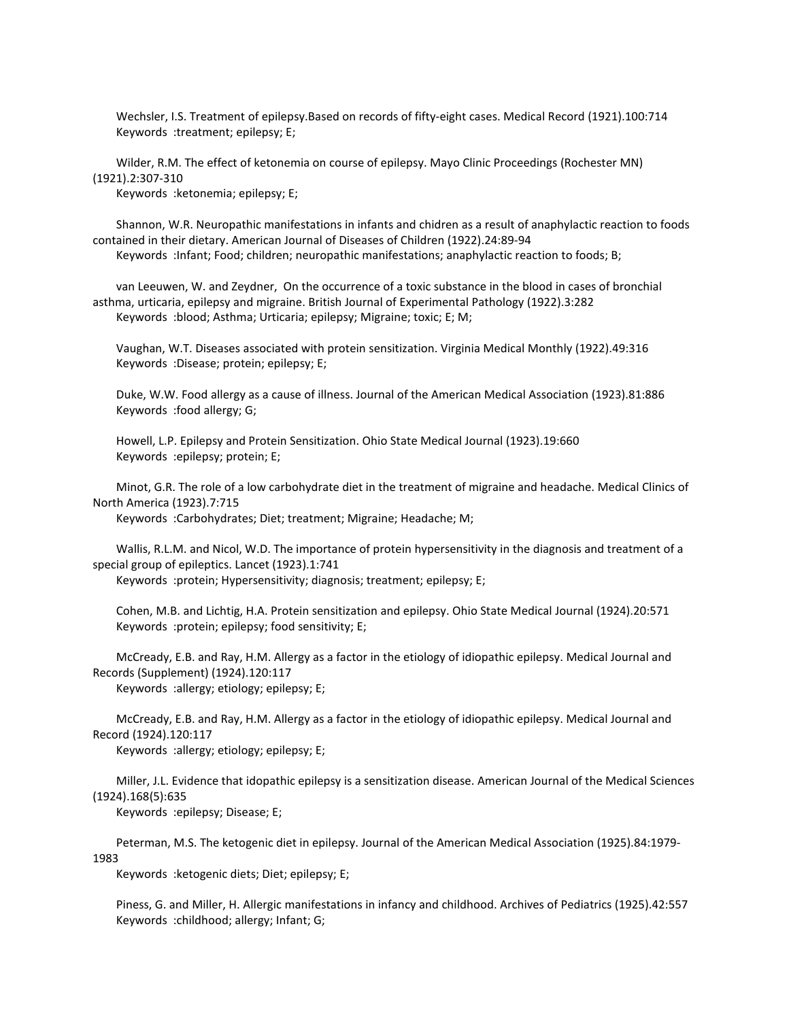Wechsler, I.S. Treatment of epilepsy.Based on records of fifty-eight cases. Medical Record (1921).100:714 Keywords :treatment; epilepsy; E;

 Wilder, R.M. The effect of ketonemia on course of epilepsy. Mayo Clinic Proceedings (Rochester MN) (1921).2:307-310

Keywords :ketonemia; epilepsy; E;

 Shannon, W.R. Neuropathic manifestations in infants and chidren as a result of anaphylactic reaction to foods contained in their dietary. American Journal of Diseases of Children (1922).24:89-94 Keywords :Infant; Food; children; neuropathic manifestations; anaphylactic reaction to foods; B;

 van Leeuwen, W. and Zeydner, On the occurrence of a toxic substance in the blood in cases of bronchial asthma, urticaria, epilepsy and migraine. British Journal of Experimental Pathology (1922).3:282 Keywords :blood; Asthma; Urticaria; epilepsy; Migraine; toxic; E; M;

 Vaughan, W.T. Diseases associated with protein sensitization. Virginia Medical Monthly (1922).49:316 Keywords :Disease; protein; epilepsy; E;

 Duke, W.W. Food allergy as a cause of illness. Journal of the American Medical Association (1923).81:886 Keywords :food allergy; G;

 Howell, L.P. Epilepsy and Protein Sensitization. Ohio State Medical Journal (1923).19:660 Keywords :epilepsy; protein; E;

 Minot, G.R. The role of a low carbohydrate diet in the treatment of migraine and headache. Medical Clinics of North America (1923).7:715

Keywords :Carbohydrates; Diet; treatment; Migraine; Headache; M;

 Wallis, R.L.M. and Nicol, W.D. The importance of protein hypersensitivity in the diagnosis and treatment of a special group of epileptics. Lancet (1923).1:741

Keywords :protein; Hypersensitivity; diagnosis; treatment; epilepsy; E;

 Cohen, M.B. and Lichtig, H.A. Protein sensitization and epilepsy. Ohio State Medical Journal (1924).20:571 Keywords :protein; epilepsy; food sensitivity; E;

 McCready, E.B. and Ray, H.M. Allergy as a factor in the etiology of idiopathic epilepsy. Medical Journal and Records (Supplement) (1924).120:117

Keywords :allergy; etiology; epilepsy; E;

 McCready, E.B. and Ray, H.M. Allergy as a factor in the etiology of idiopathic epilepsy. Medical Journal and Record (1924).120:117

Keywords :allergy; etiology; epilepsy; E;

 Miller, J.L. Evidence that idopathic epilepsy is a sensitization disease. American Journal of the Medical Sciences (1924).168(5):635

Keywords :epilepsy; Disease; E;

 Peterman, M.S. The ketogenic diet in epilepsy. Journal of the American Medical Association (1925).84:1979- 1983

Keywords :ketogenic diets; Diet; epilepsy; E;

 Piness, G. and Miller, H. Allergic manifestations in infancy and childhood. Archives of Pediatrics (1925).42:557 Keywords :childhood; allergy; Infant; G;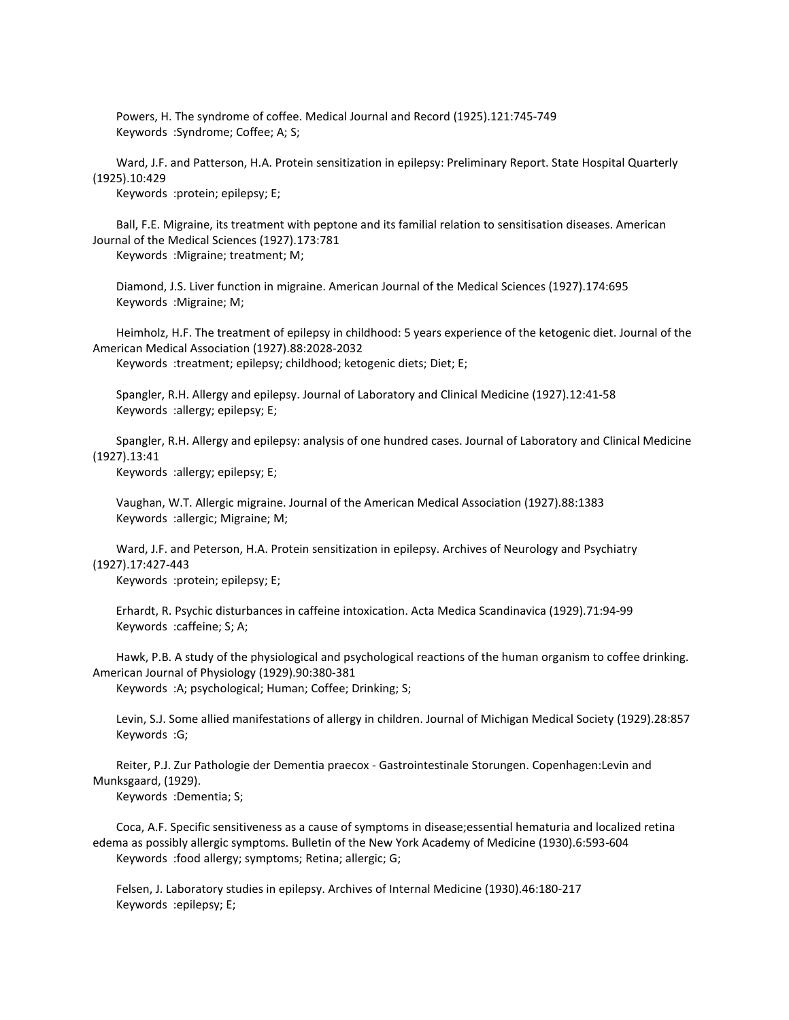Powers, H. The syndrome of coffee. Medical Journal and Record (1925).121:745-749 Keywords :Syndrome; Coffee; A; S;

 Ward, J.F. and Patterson, H.A. Protein sensitization in epilepsy: Preliminary Report. State Hospital Quarterly (1925).10:429

Keywords :protein; epilepsy; E;

 Ball, F.E. Migraine, its treatment with peptone and its familial relation to sensitisation diseases. American Journal of the Medical Sciences (1927).173:781

Keywords :Migraine; treatment; M;

 Diamond, J.S. Liver function in migraine. American Journal of the Medical Sciences (1927).174:695 Keywords :Migraine; M;

 Heimholz, H.F. The treatment of epilepsy in childhood: 5 years experience of the ketogenic diet. Journal of the American Medical Association (1927).88:2028-2032

Keywords :treatment; epilepsy; childhood; ketogenic diets; Diet; E;

 Spangler, R.H. Allergy and epilepsy. Journal of Laboratory and Clinical Medicine (1927).12:41-58 Keywords :allergy; epilepsy; E;

 Spangler, R.H. Allergy and epilepsy: analysis of one hundred cases. Journal of Laboratory and Clinical Medicine (1927).13:41

Keywords :allergy; epilepsy; E;

 Vaughan, W.T. Allergic migraine. Journal of the American Medical Association (1927).88:1383 Keywords :allergic; Migraine; M;

 Ward, J.F. and Peterson, H.A. Protein sensitization in epilepsy. Archives of Neurology and Psychiatry (1927).17:427-443

Keywords :protein; epilepsy; E;

 Erhardt, R. Psychic disturbances in caffeine intoxication. Acta Medica Scandinavica (1929).71:94-99 Keywords :caffeine; S; A;

 Hawk, P.B. A study of the physiological and psychological reactions of the human organism to coffee drinking. American Journal of Physiology (1929).90:380-381

Keywords :A; psychological; Human; Coffee; Drinking; S;

 Levin, S.J. Some allied manifestations of allergy in children. Journal of Michigan Medical Society (1929).28:857 Keywords :G;

 Reiter, P.J. Zur Pathologie der Dementia praecox - Gastrointestinale Storungen. Copenhagen:Levin and Munksgaard, (1929).

Keywords :Dementia; S;

 Coca, A.F. Specific sensitiveness as a cause of symptoms in disease;essential hematuria and localized retina edema as possibly allergic symptoms. Bulletin of the New York Academy of Medicine (1930).6:593-604 Keywords :food allergy; symptoms; Retina; allergic; G;

 Felsen, J. Laboratory studies in epilepsy. Archives of Internal Medicine (1930).46:180-217 Keywords :epilepsy; E;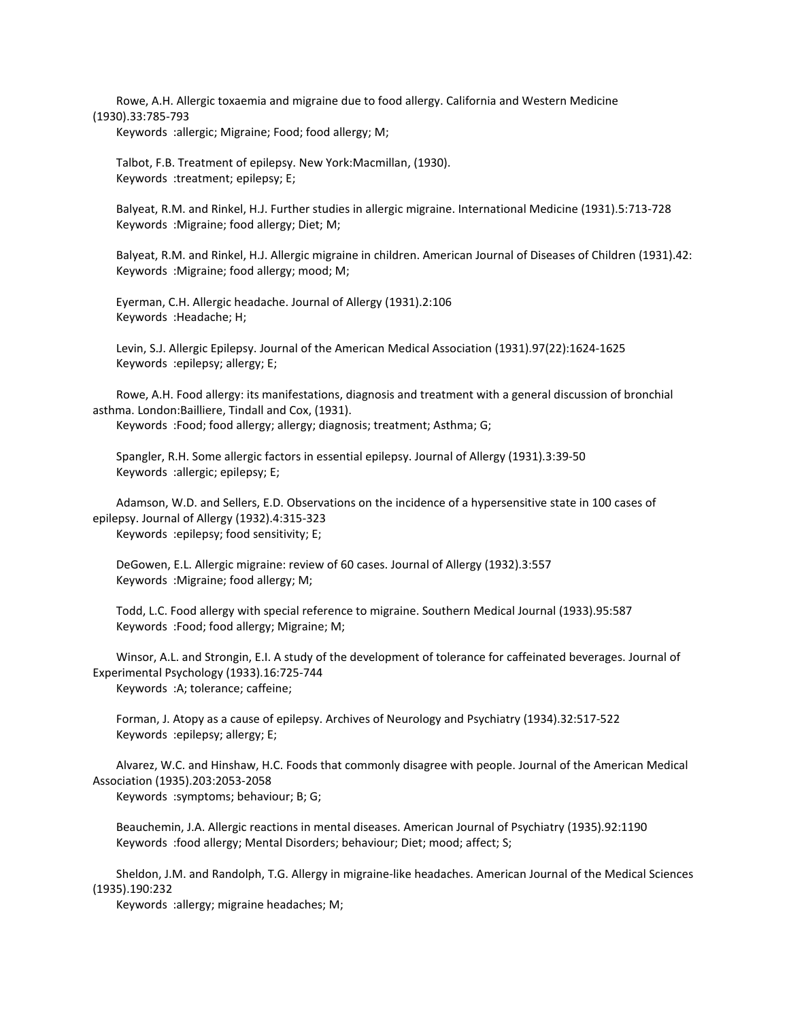Rowe, A.H. Allergic toxaemia and migraine due to food allergy. California and Western Medicine (1930).33:785-793

Keywords :allergic; Migraine; Food; food allergy; M;

 Talbot, F.B. Treatment of epilepsy. New York:Macmillan, (1930). Keywords :treatment; epilepsy; E;

 Balyeat, R.M. and Rinkel, H.J. Further studies in allergic migraine. International Medicine (1931).5:713-728 Keywords :Migraine; food allergy; Diet; M;

 Balyeat, R.M. and Rinkel, H.J. Allergic migraine in children. American Journal of Diseases of Children (1931).42: Keywords :Migraine; food allergy; mood; M;

 Eyerman, C.H. Allergic headache. Journal of Allergy (1931).2:106 Keywords :Headache; H;

 Levin, S.J. Allergic Epilepsy. Journal of the American Medical Association (1931).97(22):1624-1625 Keywords :epilepsy; allergy; E;

 Rowe, A.H. Food allergy: its manifestations, diagnosis and treatment with a general discussion of bronchial asthma. London:Bailliere, Tindall and Cox, (1931).

Keywords :Food; food allergy; allergy; diagnosis; treatment; Asthma; G;

 Spangler, R.H. Some allergic factors in essential epilepsy. Journal of Allergy (1931).3:39-50 Keywords :allergic; epilepsy; E;

 Adamson, W.D. and Sellers, E.D. Observations on the incidence of a hypersensitive state in 100 cases of epilepsy. Journal of Allergy (1932).4:315-323 Keywords :epilepsy; food sensitivity; E;

 DeGowen, E.L. Allergic migraine: review of 60 cases. Journal of Allergy (1932).3:557 Keywords :Migraine; food allergy; M;

 Todd, L.C. Food allergy with special reference to migraine. Southern Medical Journal (1933).95:587 Keywords :Food; food allergy; Migraine; M;

 Winsor, A.L. and Strongin, E.I. A study of the development of tolerance for caffeinated beverages. Journal of Experimental Psychology (1933).16:725-744 Keywords :A; tolerance; caffeine;

 Forman, J. Atopy as a cause of epilepsy. Archives of Neurology and Psychiatry (1934).32:517-522 Keywords :epilepsy; allergy; E;

 Alvarez, W.C. and Hinshaw, H.C. Foods that commonly disagree with people. Journal of the American Medical Association (1935).203:2053-2058

Keywords :symptoms; behaviour; B; G;

 Beauchemin, J.A. Allergic reactions in mental diseases. American Journal of Psychiatry (1935).92:1190 Keywords :food allergy; Mental Disorders; behaviour; Diet; mood; affect; S;

 Sheldon, J.M. and Randolph, T.G. Allergy in migraine-like headaches. American Journal of the Medical Sciences (1935).190:232

Keywords :allergy; migraine headaches; M;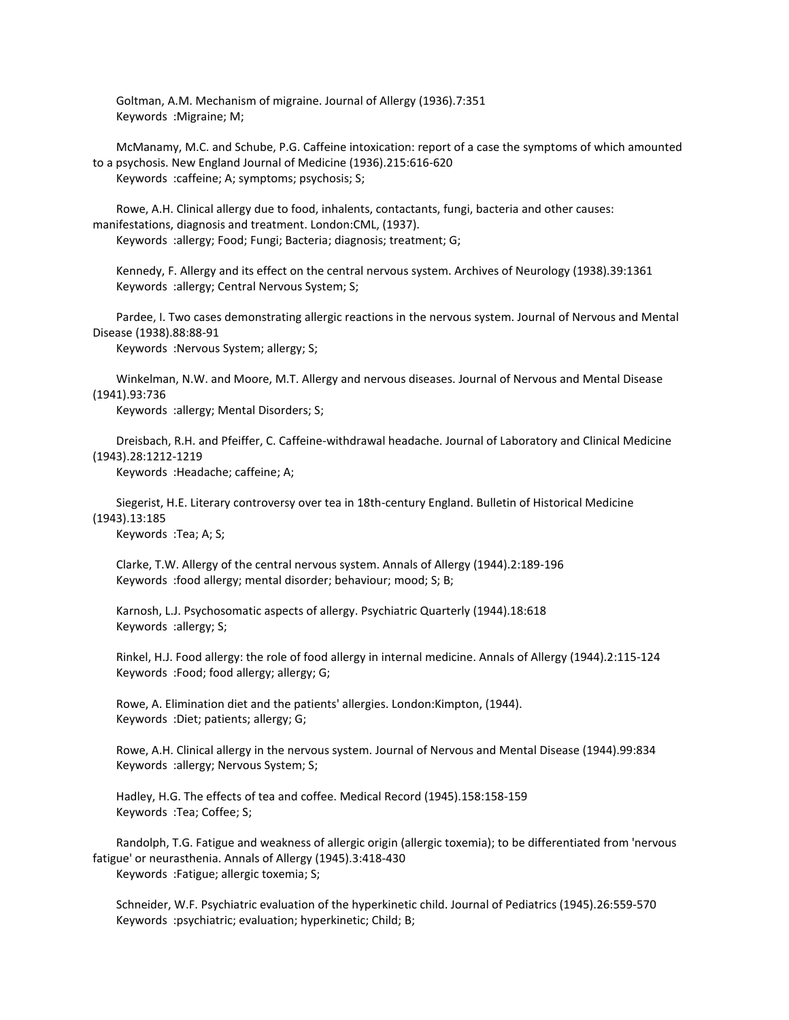Goltman, A.M. Mechanism of migraine. Journal of Allergy (1936).7:351 Keywords :Migraine; M;

 McManamy, M.C. and Schube, P.G. Caffeine intoxication: report of a case the symptoms of which amounted to a psychosis. New England Journal of Medicine (1936).215:616-620 Keywords :caffeine; A; symptoms; psychosis; S;

 Rowe, A.H. Clinical allergy due to food, inhalents, contactants, fungi, bacteria and other causes: manifestations, diagnosis and treatment. London:CML, (1937). Keywords :allergy; Food; Fungi; Bacteria; diagnosis; treatment; G;

 Kennedy, F. Allergy and its effect on the central nervous system. Archives of Neurology (1938).39:1361 Keywords :allergy; Central Nervous System; S;

 Pardee, I. Two cases demonstrating allergic reactions in the nervous system. Journal of Nervous and Mental Disease (1938).88:88-91

Keywords :Nervous System; allergy; S;

 Winkelman, N.W. and Moore, M.T. Allergy and nervous diseases. Journal of Nervous and Mental Disease (1941).93:736

Keywords :allergy; Mental Disorders; S;

 Dreisbach, R.H. and Pfeiffer, C. Caffeine-withdrawal headache. Journal of Laboratory and Clinical Medicine (1943).28:1212-1219

Keywords :Headache; caffeine; A;

 Siegerist, H.E. Literary controversy over tea in 18th-century England. Bulletin of Historical Medicine (1943).13:185

Keywords :Tea; A; S;

 Clarke, T.W. Allergy of the central nervous system. Annals of Allergy (1944).2:189-196 Keywords :food allergy; mental disorder; behaviour; mood; S; B;

 Karnosh, L.J. Psychosomatic aspects of allergy. Psychiatric Quarterly (1944).18:618 Keywords :allergy; S;

 Rinkel, H.J. Food allergy: the role of food allergy in internal medicine. Annals of Allergy (1944).2:115-124 Keywords :Food; food allergy; allergy; G;

 Rowe, A. Elimination diet and the patients' allergies. London:Kimpton, (1944). Keywords :Diet; patients; allergy; G;

 Rowe, A.H. Clinical allergy in the nervous system. Journal of Nervous and Mental Disease (1944).99:834 Keywords :allergy; Nervous System; S;

 Hadley, H.G. The effects of tea and coffee. Medical Record (1945).158:158-159 Keywords :Tea; Coffee; S;

 Randolph, T.G. Fatigue and weakness of allergic origin (allergic toxemia); to be differentiated from 'nervous fatigue' or neurasthenia. Annals of Allergy (1945).3:418-430 Keywords :Fatigue; allergic toxemia; S;

 Schneider, W.F. Psychiatric evaluation of the hyperkinetic child. Journal of Pediatrics (1945).26:559-570 Keywords :psychiatric; evaluation; hyperkinetic; Child; B;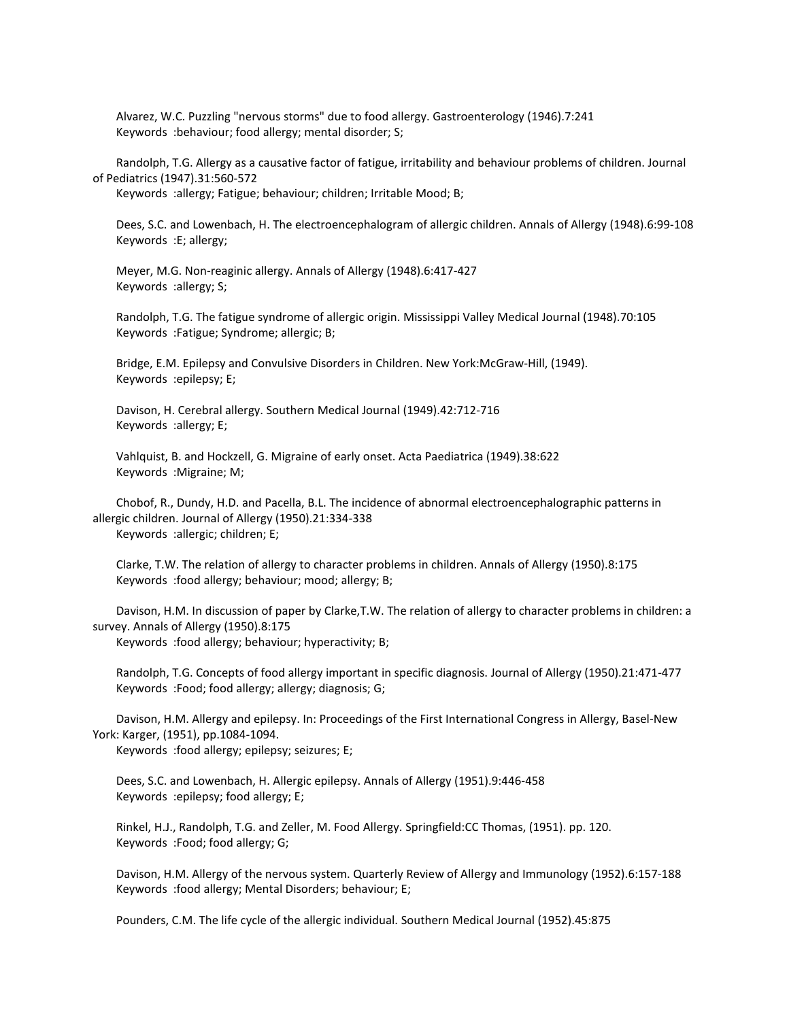Alvarez, W.C. Puzzling "nervous storms" due to food allergy. Gastroenterology (1946).7:241 Keywords :behaviour; food allergy; mental disorder; S;

 Randolph, T.G. Allergy as a causative factor of fatigue, irritability and behaviour problems of children. Journal of Pediatrics (1947).31:560-572

Keywords :allergy; Fatigue; behaviour; children; Irritable Mood; B;

 Dees, S.C. and Lowenbach, H. The electroencephalogram of allergic children. Annals of Allergy (1948).6:99-108 Keywords :E; allergy;

 Meyer, M.G. Non-reaginic allergy. Annals of Allergy (1948).6:417-427 Keywords :allergy; S;

 Randolph, T.G. The fatigue syndrome of allergic origin. Mississippi Valley Medical Journal (1948).70:105 Keywords :Fatigue; Syndrome; allergic; B;

 Bridge, E.M. Epilepsy and Convulsive Disorders in Children. New York:McGraw-Hill, (1949). Keywords :epilepsy; E;

 Davison, H. Cerebral allergy. Southern Medical Journal (1949).42:712-716 Keywords :allergy; E;

 Vahlquist, B. and Hockzell, G. Migraine of early onset. Acta Paediatrica (1949).38:622 Keywords :Migraine; M;

 Chobof, R., Dundy, H.D. and Pacella, B.L. The incidence of abnormal electroencephalographic patterns in allergic children. Journal of Allergy (1950).21:334-338 Keywords :allergic; children; E;

 Clarke, T.W. The relation of allergy to character problems in children. Annals of Allergy (1950).8:175 Keywords :food allergy; behaviour; mood; allergy; B;

 Davison, H.M. In discussion of paper by Clarke,T.W. The relation of allergy to character problems in children: a survey. Annals of Allergy (1950).8:175

Keywords :food allergy; behaviour; hyperactivity; B;

 Randolph, T.G. Concepts of food allergy important in specific diagnosis. Journal of Allergy (1950).21:471-477 Keywords :Food; food allergy; allergy; diagnosis; G;

 Davison, H.M. Allergy and epilepsy. In: Proceedings of the First International Congress in Allergy, Basel-New York: Karger, (1951), pp.1084-1094.

Keywords :food allergy; epilepsy; seizures; E;

 Dees, S.C. and Lowenbach, H. Allergic epilepsy. Annals of Allergy (1951).9:446-458 Keywords :epilepsy; food allergy; E;

 Rinkel, H.J., Randolph, T.G. and Zeller, M. Food Allergy. Springfield:CC Thomas, (1951). pp. 120. Keywords :Food; food allergy; G;

 Davison, H.M. Allergy of the nervous system. Quarterly Review of Allergy and Immunology (1952).6:157-188 Keywords :food allergy; Mental Disorders; behaviour; E;

Pounders, C.M. The life cycle of the allergic individual. Southern Medical Journal (1952).45:875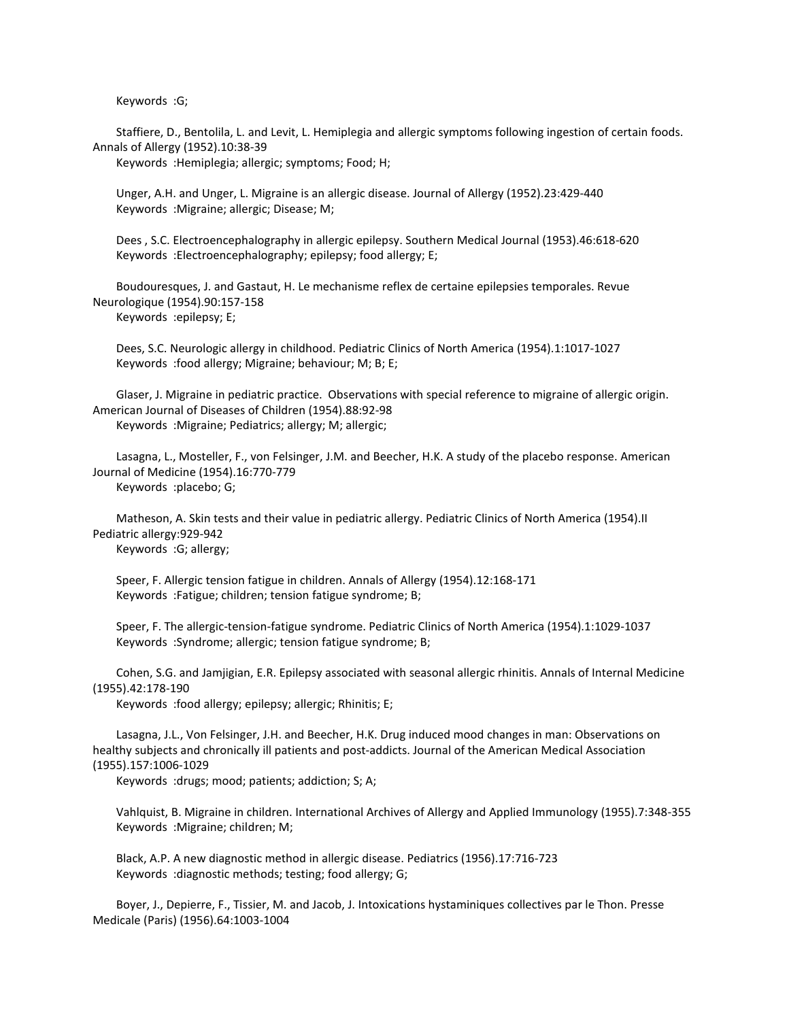Keywords :G;

 Staffiere, D., Bentolila, L. and Levit, L. Hemiplegia and allergic symptoms following ingestion of certain foods. Annals of Allergy (1952).10:38-39

Keywords :Hemiplegia; allergic; symptoms; Food; H;

 Unger, A.H. and Unger, L. Migraine is an allergic disease. Journal of Allergy (1952).23:429-440 Keywords :Migraine; allergic; Disease; M;

 Dees , S.C. Electroencephalography in allergic epilepsy. Southern Medical Journal (1953).46:618-620 Keywords :Electroencephalography; epilepsy; food allergy; E;

 Boudouresques, J. and Gastaut, H. Le mechanisme reflex de certaine epilepsies temporales. Revue Neurologique (1954).90:157-158

Keywords :epilepsy; E;

 Dees, S.C. Neurologic allergy in childhood. Pediatric Clinics of North America (1954).1:1017-1027 Keywords :food allergy; Migraine; behaviour; M; B; E;

 Glaser, J. Migraine in pediatric practice. Observations with special reference to migraine of allergic origin. American Journal of Diseases of Children (1954).88:92-98 Keywords :Migraine; Pediatrics; allergy; M; allergic;

 Lasagna, L., Mosteller, F., von Felsinger, J.M. and Beecher, H.K. A study of the placebo response. American Journal of Medicine (1954).16:770-779 Keywords :placebo; G;

 Matheson, A. Skin tests and their value in pediatric allergy. Pediatric Clinics of North America (1954).II Pediatric allergy:929-942

Keywords :G; allergy;

 Speer, F. Allergic tension fatigue in children. Annals of Allergy (1954).12:168-171 Keywords :Fatigue; children; tension fatigue syndrome; B;

 Speer, F. The allergic-tension-fatigue syndrome. Pediatric Clinics of North America (1954).1:1029-1037 Keywords :Syndrome; allergic; tension fatigue syndrome; B;

 Cohen, S.G. and Jamjigian, E.R. Epilepsy associated with seasonal allergic rhinitis. Annals of Internal Medicine (1955).42:178-190

Keywords :food allergy; epilepsy; allergic; Rhinitis; E;

 Lasagna, J.L., Von Felsinger, J.H. and Beecher, H.K. Drug induced mood changes in man: Observations on healthy subjects and chronically ill patients and post-addicts. Journal of the American Medical Association (1955).157:1006-1029

Keywords :drugs; mood; patients; addiction; S; A;

 Vahlquist, B. Migraine in children. International Archives of Allergy and Applied Immunology (1955).7:348-355 Keywords :Migraine; children; M;

 Black, A.P. A new diagnostic method in allergic disease. Pediatrics (1956).17:716-723 Keywords :diagnostic methods; testing; food allergy; G;

 Boyer, J., Depierre, F., Tissier, M. and Jacob, J. Intoxications hystaminiques collectives par le Thon. Presse Medicale (Paris) (1956).64:1003-1004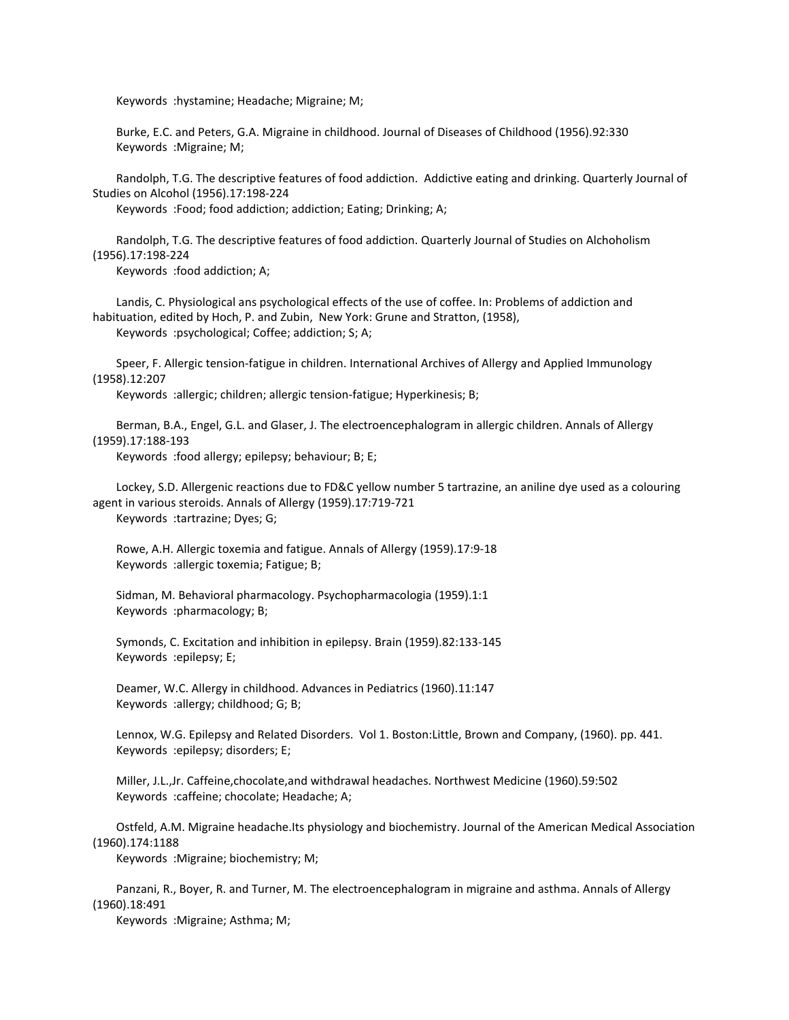Keywords :hystamine; Headache; Migraine; M;

 Burke, E.C. and Peters, G.A. Migraine in childhood. Journal of Diseases of Childhood (1956).92:330 Keywords :Migraine; M;

 Randolph, T.G. The descriptive features of food addiction. Addictive eating and drinking. Quarterly Journal of Studies on Alcohol (1956).17:198-224

Keywords :Food; food addiction; addiction; Eating; Drinking; A;

 Randolph, T.G. The descriptive features of food addiction. Quarterly Journal of Studies on Alchoholism (1956).17:198-224

Keywords :food addiction; A;

 Landis, C. Physiological ans psychological effects of the use of coffee. In: Problems of addiction and habituation, edited by Hoch, P. and Zubin, New York: Grune and Stratton, (1958), Keywords :psychological; Coffee; addiction; S; A;

 Speer, F. Allergic tension-fatigue in children. International Archives of Allergy and Applied Immunology (1958).12:207

Keywords :allergic; children; allergic tension-fatigue; Hyperkinesis; B;

 Berman, B.A., Engel, G.L. and Glaser, J. The electroencephalogram in allergic children. Annals of Allergy (1959).17:188-193

Keywords :food allergy; epilepsy; behaviour; B; E;

 Lockey, S.D. Allergenic reactions due to FD&C yellow number 5 tartrazine, an aniline dye used as a colouring agent in various steroids. Annals of Allergy (1959).17:719-721 Keywords :tartrazine; Dyes; G;

 Rowe, A.H. Allergic toxemia and fatigue. Annals of Allergy (1959).17:9-18 Keywords :allergic toxemia; Fatigue; B;

 Sidman, M. Behavioral pharmacology. Psychopharmacologia (1959).1:1 Keywords :pharmacology; B;

 Symonds, C. Excitation and inhibition in epilepsy. Brain (1959).82:133-145 Keywords :epilepsy; E;

 Deamer, W.C. Allergy in childhood. Advances in Pediatrics (1960).11:147 Keywords :allergy; childhood; G; B;

 Lennox, W.G. Epilepsy and Related Disorders. Vol 1. Boston:Little, Brown and Company, (1960). pp. 441. Keywords :epilepsy; disorders; E;

 Miller, J.L.,Jr. Caffeine,chocolate,and withdrawal headaches. Northwest Medicine (1960).59:502 Keywords :caffeine; chocolate; Headache; A;

 Ostfeld, A.M. Migraine headache.Its physiology and biochemistry. Journal of the American Medical Association (1960).174:1188

Keywords :Migraine; biochemistry; M;

 Panzani, R., Boyer, R. and Turner, M. The electroencephalogram in migraine and asthma. Annals of Allergy (1960).18:491

Keywords :Migraine; Asthma; M;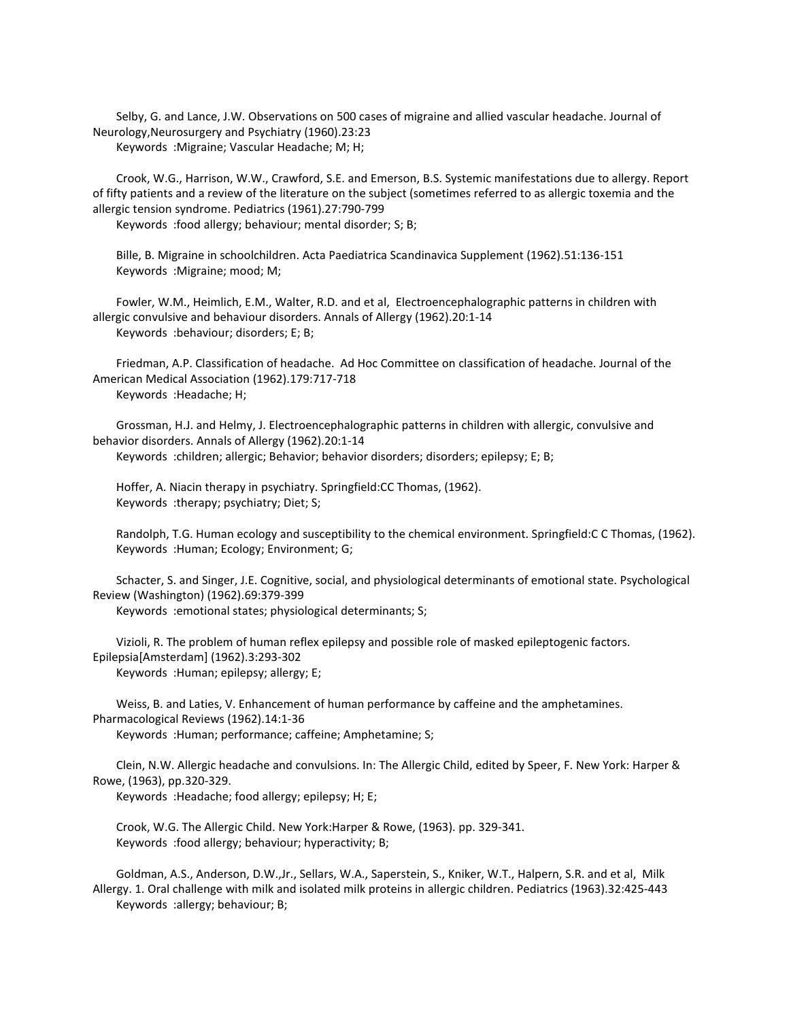Selby, G. and Lance, J.W. Observations on 500 cases of migraine and allied vascular headache. Journal of Neurology,Neurosurgery and Psychiatry (1960).23:23 Keywords :Migraine; Vascular Headache; M; H;

 Crook, W.G., Harrison, W.W., Crawford, S.E. and Emerson, B.S. Systemic manifestations due to allergy. Report of fifty patients and a review of the literature on the subject (sometimes referred to as allergic toxemia and the allergic tension syndrome. Pediatrics (1961).27:790-799

Keywords :food allergy; behaviour; mental disorder; S; B;

 Bille, B. Migraine in schoolchildren. Acta Paediatrica Scandinavica Supplement (1962).51:136-151 Keywords :Migraine; mood; M;

 Fowler, W.M., Heimlich, E.M., Walter, R.D. and et al, Electroencephalographic patterns in children with allergic convulsive and behaviour disorders. Annals of Allergy (1962).20:1-14 Keywords :behaviour; disorders; E; B;

 Friedman, A.P. Classification of headache. Ad Hoc Committee on classification of headache. Journal of the American Medical Association (1962).179:717-718 Keywords :Headache; H;

 Grossman, H.J. and Helmy, J. Electroencephalographic patterns in children with allergic, convulsive and behavior disorders. Annals of Allergy (1962).20:1-14 Keywords :children; allergic; Behavior; behavior disorders; disorders; epilepsy; E; B;

 Hoffer, A. Niacin therapy in psychiatry. Springfield:CC Thomas, (1962). Keywords :therapy; psychiatry; Diet; S;

 Randolph, T.G. Human ecology and susceptibility to the chemical environment. Springfield:C C Thomas, (1962). Keywords :Human; Ecology; Environment; G;

 Schacter, S. and Singer, J.E. Cognitive, social, and physiological determinants of emotional state. Psychological Review (Washington) (1962).69:379-399

Keywords :emotional states; physiological determinants; S;

 Vizioli, R. The problem of human reflex epilepsy and possible role of masked epileptogenic factors. Epilepsia[Amsterdam] (1962).3:293-302 Keywords :Human; epilepsy; allergy; E;

 Weiss, B. and Laties, V. Enhancement of human performance by caffeine and the amphetamines. Pharmacological Reviews (1962).14:1-36

Keywords :Human; performance; caffeine; Amphetamine; S;

 Clein, N.W. Allergic headache and convulsions. In: The Allergic Child, edited by Speer, F. New York: Harper & Rowe, (1963), pp.320-329.

Keywords :Headache; food allergy; epilepsy; H; E;

 Crook, W.G. The Allergic Child. New York:Harper & Rowe, (1963). pp. 329-341. Keywords :food allergy; behaviour; hyperactivity; B;

 Goldman, A.S., Anderson, D.W.,Jr., Sellars, W.A., Saperstein, S., Kniker, W.T., Halpern, S.R. and et al, Milk Allergy. 1. Oral challenge with milk and isolated milk proteins in allergic children. Pediatrics (1963).32:425-443 Keywords :allergy; behaviour; B;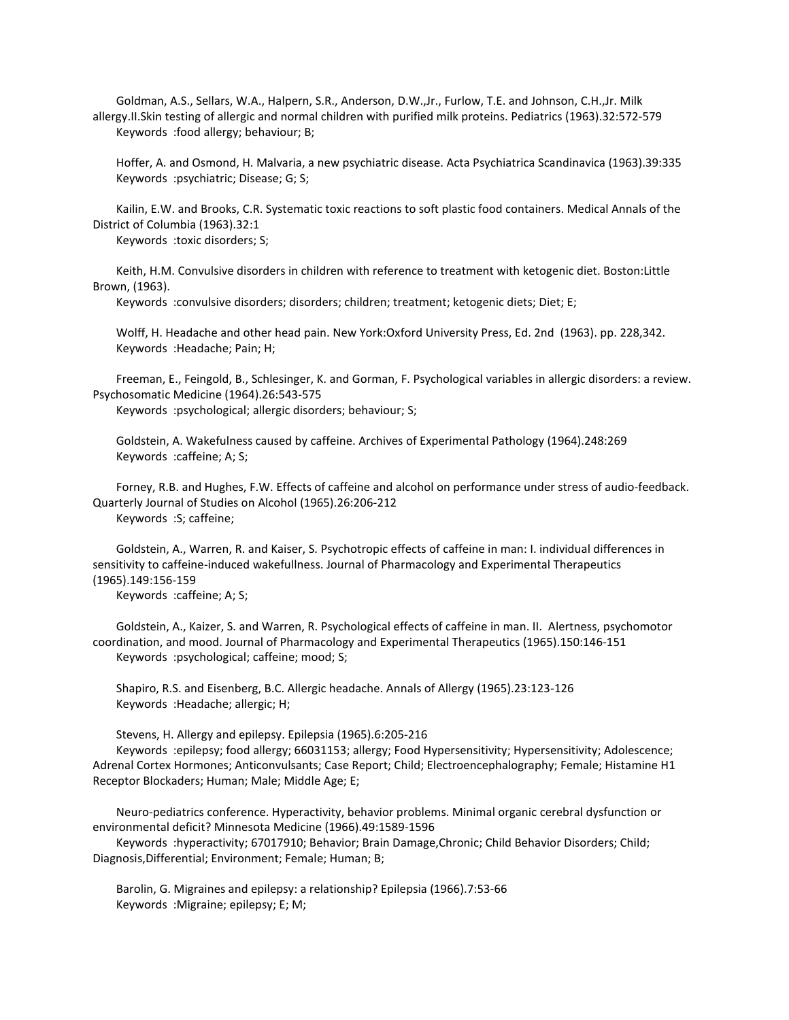Goldman, A.S., Sellars, W.A., Halpern, S.R., Anderson, D.W.,Jr., Furlow, T.E. and Johnson, C.H.,Jr. Milk allergy.II.Skin testing of allergic and normal children with purified milk proteins. Pediatrics (1963).32:572-579 Keywords :food allergy; behaviour; B;

 Hoffer, A. and Osmond, H. Malvaria, a new psychiatric disease. Acta Psychiatrica Scandinavica (1963).39:335 Keywords :psychiatric; Disease; G; S;

 Kailin, E.W. and Brooks, C.R. Systematic toxic reactions to soft plastic food containers. Medical Annals of the District of Columbia (1963).32:1

Keywords :toxic disorders; S;

 Keith, H.M. Convulsive disorders in children with reference to treatment with ketogenic diet. Boston:Little Brown, (1963).

Keywords :convulsive disorders; disorders; children; treatment; ketogenic diets; Diet; E;

 Wolff, H. Headache and other head pain. New York:Oxford University Press, Ed. 2nd (1963). pp. 228,342. Keywords :Headache; Pain; H;

 Freeman, E., Feingold, B., Schlesinger, K. and Gorman, F. Psychological variables in allergic disorders: a review. Psychosomatic Medicine (1964).26:543-575

Keywords :psychological; allergic disorders; behaviour; S;

 Goldstein, A. Wakefulness caused by caffeine. Archives of Experimental Pathology (1964).248:269 Keywords :caffeine; A; S;

 Forney, R.B. and Hughes, F.W. Effects of caffeine and alcohol on performance under stress of audio-feedback. Quarterly Journal of Studies on Alcohol (1965).26:206-212 Keywords :S; caffeine;

 Goldstein, A., Warren, R. and Kaiser, S. Psychotropic effects of caffeine in man: I. individual differences in sensitivity to caffeine-induced wakefullness. Journal of Pharmacology and Experimental Therapeutics (1965).149:156-159

Keywords :caffeine; A; S;

 Goldstein, A., Kaizer, S. and Warren, R. Psychological effects of caffeine in man. II. Alertness, psychomotor coordination, and mood. Journal of Pharmacology and Experimental Therapeutics (1965).150:146-151 Keywords :psychological; caffeine; mood; S;

 Shapiro, R.S. and Eisenberg, B.C. Allergic headache. Annals of Allergy (1965).23:123-126 Keywords :Headache; allergic; H;

Stevens, H. Allergy and epilepsy. Epilepsia (1965).6:205-216

 Keywords :epilepsy; food allergy; 66031153; allergy; Food Hypersensitivity; Hypersensitivity; Adolescence; Adrenal Cortex Hormones; Anticonvulsants; Case Report; Child; Electroencephalography; Female; Histamine H1 Receptor Blockaders; Human; Male; Middle Age; E;

 Neuro-pediatrics conference. Hyperactivity, behavior problems. Minimal organic cerebral dysfunction or environmental deficit? Minnesota Medicine (1966).49:1589-1596

 Keywords :hyperactivity; 67017910; Behavior; Brain Damage,Chronic; Child Behavior Disorders; Child; Diagnosis,Differential; Environment; Female; Human; B;

 Barolin, G. Migraines and epilepsy: a relationship? Epilepsia (1966).7:53-66 Keywords :Migraine; epilepsy; E; M;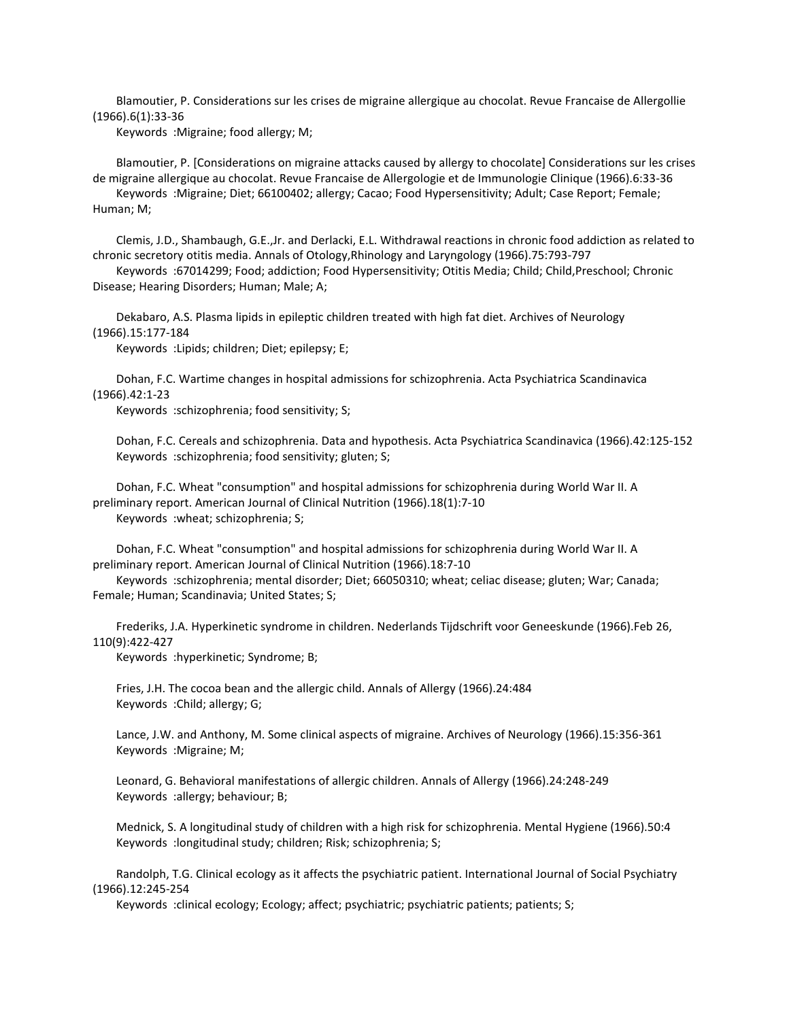Blamoutier, P. Considerations sur les crises de migraine allergique au chocolat. Revue Francaise de Allergollie (1966).6(1):33-36

Keywords :Migraine; food allergy; M;

 Blamoutier, P. [Considerations on migraine attacks caused by allergy to chocolate] Considerations sur les crises de migraine allergique au chocolat. Revue Francaise de Allergologie et de Immunologie Clinique (1966).6:33-36 Keywords :Migraine; Diet; 66100402; allergy; Cacao; Food Hypersensitivity; Adult; Case Report; Female;

Human; M;

 Clemis, J.D., Shambaugh, G.E.,Jr. and Derlacki, E.L. Withdrawal reactions in chronic food addiction as related to chronic secretory otitis media. Annals of Otology,Rhinology and Laryngology (1966).75:793-797

 Keywords :67014299; Food; addiction; Food Hypersensitivity; Otitis Media; Child; Child,Preschool; Chronic Disease; Hearing Disorders; Human; Male; A;

 Dekabaro, A.S. Plasma lipids in epileptic children treated with high fat diet. Archives of Neurology (1966).15:177-184

Keywords :Lipids; children; Diet; epilepsy; E;

 Dohan, F.C. Wartime changes in hospital admissions for schizophrenia. Acta Psychiatrica Scandinavica (1966).42:1-23

Keywords :schizophrenia; food sensitivity; S;

 Dohan, F.C. Cereals and schizophrenia. Data and hypothesis. Acta Psychiatrica Scandinavica (1966).42:125-152 Keywords :schizophrenia; food sensitivity; gluten; S;

 Dohan, F.C. Wheat "consumption" and hospital admissions for schizophrenia during World War II. A preliminary report. American Journal of Clinical Nutrition (1966).18(1):7-10 Keywords :wheat; schizophrenia; S;

 Dohan, F.C. Wheat "consumption" and hospital admissions for schizophrenia during World War II. A preliminary report. American Journal of Clinical Nutrition (1966).18:7-10

 Keywords :schizophrenia; mental disorder; Diet; 66050310; wheat; celiac disease; gluten; War; Canada; Female; Human; Scandinavia; United States; S;

 Frederiks, J.A. Hyperkinetic syndrome in children. Nederlands Tijdschrift voor Geneeskunde (1966).Feb 26, 110(9):422-427

Keywords :hyperkinetic; Syndrome; B;

 Fries, J.H. The cocoa bean and the allergic child. Annals of Allergy (1966).24:484 Keywords :Child; allergy; G;

 Lance, J.W. and Anthony, M. Some clinical aspects of migraine. Archives of Neurology (1966).15:356-361 Keywords :Migraine; M;

 Leonard, G. Behavioral manifestations of allergic children. Annals of Allergy (1966).24:248-249 Keywords :allergy; behaviour; B;

 Mednick, S. A longitudinal study of children with a high risk for schizophrenia. Mental Hygiene (1966).50:4 Keywords :longitudinal study; children; Risk; schizophrenia; S;

 Randolph, T.G. Clinical ecology as it affects the psychiatric patient. International Journal of Social Psychiatry (1966).12:245-254

Keywords :clinical ecology; Ecology; affect; psychiatric; psychiatric patients; patients; S;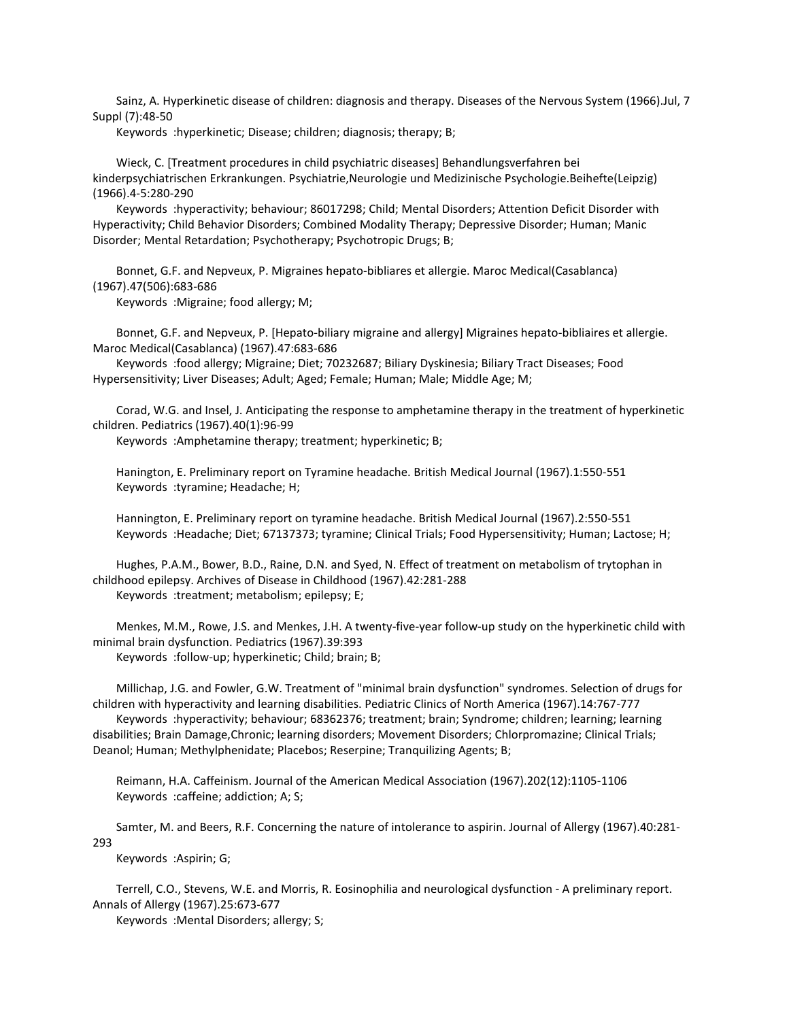Sainz, A. Hyperkinetic disease of children: diagnosis and therapy. Diseases of the Nervous System (1966).Jul, 7 Suppl (7):48-50

Keywords :hyperkinetic; Disease; children; diagnosis; therapy; B;

 Wieck, C. [Treatment procedures in child psychiatric diseases] Behandlungsverfahren bei kinderpsychiatrischen Erkrankungen. Psychiatrie,Neurologie und Medizinische Psychologie.Beihefte(Leipzig) (1966).4-5:280-290

 Keywords :hyperactivity; behaviour; 86017298; Child; Mental Disorders; Attention Deficit Disorder with Hyperactivity; Child Behavior Disorders; Combined Modality Therapy; Depressive Disorder; Human; Manic Disorder; Mental Retardation; Psychotherapy; Psychotropic Drugs; B;

 Bonnet, G.F. and Nepveux, P. Migraines hepato-bibliares et allergie. Maroc Medical(Casablanca) (1967).47(506):683-686

Keywords :Migraine; food allergy; M;

 Bonnet, G.F. and Nepveux, P. [Hepato-biliary migraine and allergy] Migraines hepato-bibliaires et allergie. Maroc Medical(Casablanca) (1967).47:683-686

 Keywords :food allergy; Migraine; Diet; 70232687; Biliary Dyskinesia; Biliary Tract Diseases; Food Hypersensitivity; Liver Diseases; Adult; Aged; Female; Human; Male; Middle Age; M;

 Corad, W.G. and Insel, J. Anticipating the response to amphetamine therapy in the treatment of hyperkinetic children. Pediatrics (1967).40(1):96-99

Keywords :Amphetamine therapy; treatment; hyperkinetic; B;

 Hanington, E. Preliminary report on Tyramine headache. British Medical Journal (1967).1:550-551 Keywords :tyramine; Headache; H;

 Hannington, E. Preliminary report on tyramine headache. British Medical Journal (1967).2:550-551 Keywords :Headache; Diet; 67137373; tyramine; Clinical Trials; Food Hypersensitivity; Human; Lactose; H;

 Hughes, P.A.M., Bower, B.D., Raine, D.N. and Syed, N. Effect of treatment on metabolism of trytophan in childhood epilepsy. Archives of Disease in Childhood (1967).42:281-288 Keywords :treatment; metabolism; epilepsy; E;

 Menkes, M.M., Rowe, J.S. and Menkes, J.H. A twenty-five-year follow-up study on the hyperkinetic child with minimal brain dysfunction. Pediatrics (1967).39:393

Keywords :follow-up; hyperkinetic; Child; brain; B;

 Millichap, J.G. and Fowler, G.W. Treatment of "minimal brain dysfunction" syndromes. Selection of drugs for children with hyperactivity and learning disabilities. Pediatric Clinics of North America (1967).14:767-777

 Keywords :hyperactivity; behaviour; 68362376; treatment; brain; Syndrome; children; learning; learning disabilities; Brain Damage,Chronic; learning disorders; Movement Disorders; Chlorpromazine; Clinical Trials; Deanol; Human; Methylphenidate; Placebos; Reserpine; Tranquilizing Agents; B;

 Reimann, H.A. Caffeinism. Journal of the American Medical Association (1967).202(12):1105-1106 Keywords :caffeine; addiction; A; S;

 Samter, M. and Beers, R.F. Concerning the nature of intolerance to aspirin. Journal of Allergy (1967).40:281- 293

Keywords :Aspirin; G;

 Terrell, C.O., Stevens, W.E. and Morris, R. Eosinophilia and neurological dysfunction - A preliminary report. Annals of Allergy (1967).25:673-677

Keywords :Mental Disorders; allergy; S;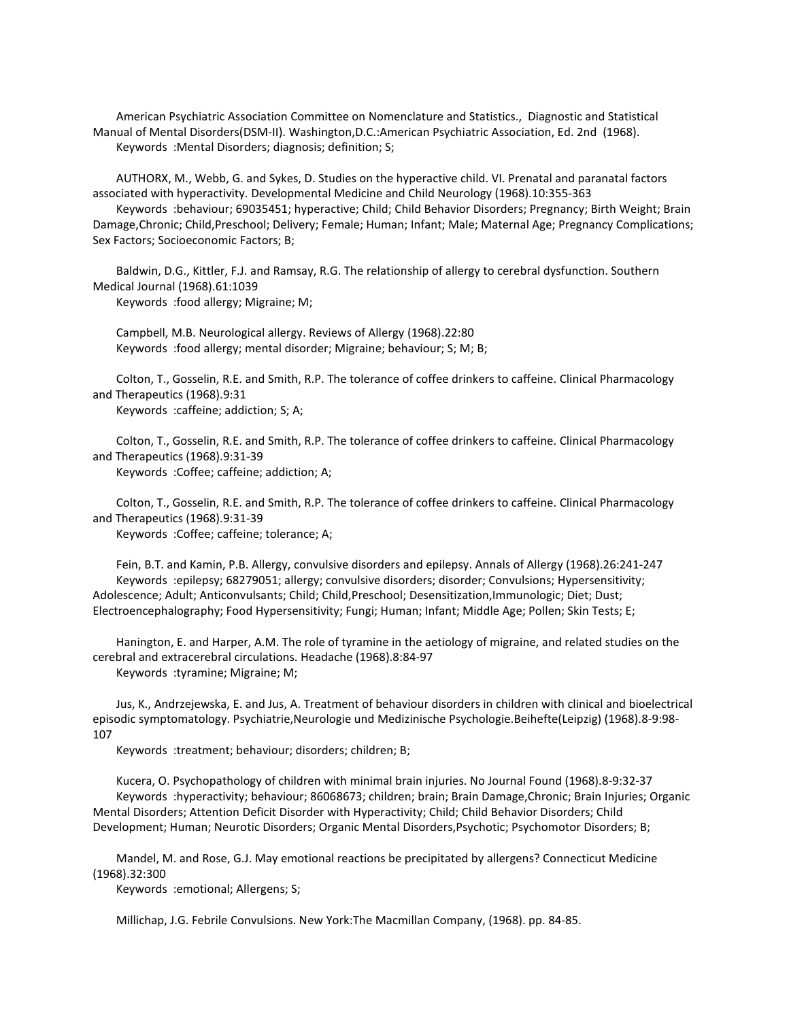American Psychiatric Association Committee on Nomenclature and Statistics., Diagnostic and Statistical Manual of Mental Disorders(DSM-II). Washington,D.C.:American Psychiatric Association, Ed. 2nd (1968). Keywords :Mental Disorders; diagnosis; definition; S;

 AUTHORX, M., Webb, G. and Sykes, D. Studies on the hyperactive child. VI. Prenatal and paranatal factors associated with hyperactivity. Developmental Medicine and Child Neurology (1968).10:355-363

 Keywords :behaviour; 69035451; hyperactive; Child; Child Behavior Disorders; Pregnancy; Birth Weight; Brain Damage,Chronic; Child,Preschool; Delivery; Female; Human; Infant; Male; Maternal Age; Pregnancy Complications; Sex Factors; Socioeconomic Factors; B;

 Baldwin, D.G., Kittler, F.J. and Ramsay, R.G. The relationship of allergy to cerebral dysfunction. Southern Medical Journal (1968).61:1039

Keywords :food allergy; Migraine; M;

 Campbell, M.B. Neurological allergy. Reviews of Allergy (1968).22:80 Keywords :food allergy; mental disorder; Migraine; behaviour; S; M; B;

 Colton, T., Gosselin, R.E. and Smith, R.P. The tolerance of coffee drinkers to caffeine. Clinical Pharmacology and Therapeutics (1968).9:31

Keywords :caffeine; addiction; S; A;

 Colton, T., Gosselin, R.E. and Smith, R.P. The tolerance of coffee drinkers to caffeine. Clinical Pharmacology and Therapeutics (1968).9:31-39

Keywords :Coffee; caffeine; addiction; A;

 Colton, T., Gosselin, R.E. and Smith, R.P. The tolerance of coffee drinkers to caffeine. Clinical Pharmacology and Therapeutics (1968).9:31-39

Keywords :Coffee; caffeine; tolerance; A;

 Fein, B.T. and Kamin, P.B. Allergy, convulsive disorders and epilepsy. Annals of Allergy (1968).26:241-247 Keywords :epilepsy; 68279051; allergy; convulsive disorders; disorder; Convulsions; Hypersensitivity; Adolescence; Adult; Anticonvulsants; Child; Child,Preschool; Desensitization,Immunologic; Diet; Dust; Electroencephalography; Food Hypersensitivity; Fungi; Human; Infant; Middle Age; Pollen; Skin Tests; E;

 Hanington, E. and Harper, A.M. The role of tyramine in the aetiology of migraine, and related studies on the cerebral and extracerebral circulations. Headache (1968).8:84-97 Keywords :tyramine; Migraine; M;

 Jus, K., Andrzejewska, E. and Jus, A. Treatment of behaviour disorders in children with clinical and bioelectrical episodic symptomatology. Psychiatrie,Neurologie und Medizinische Psychologie.Beihefte(Leipzig) (1968).8-9:98- 107

Keywords :treatment; behaviour; disorders; children; B;

 Kucera, O. Psychopathology of children with minimal brain injuries. No Journal Found (1968).8-9:32-37 Keywords :hyperactivity; behaviour; 86068673; children; brain; Brain Damage,Chronic; Brain Injuries; Organic Mental Disorders; Attention Deficit Disorder with Hyperactivity; Child; Child Behavior Disorders; Child Development; Human; Neurotic Disorders; Organic Mental Disorders,Psychotic; Psychomotor Disorders; B;

 Mandel, M. and Rose, G.J. May emotional reactions be precipitated by allergens? Connecticut Medicine (1968).32:300

Keywords :emotional; Allergens; S;

Millichap, J.G. Febrile Convulsions. New York:The Macmillan Company, (1968). pp. 84-85.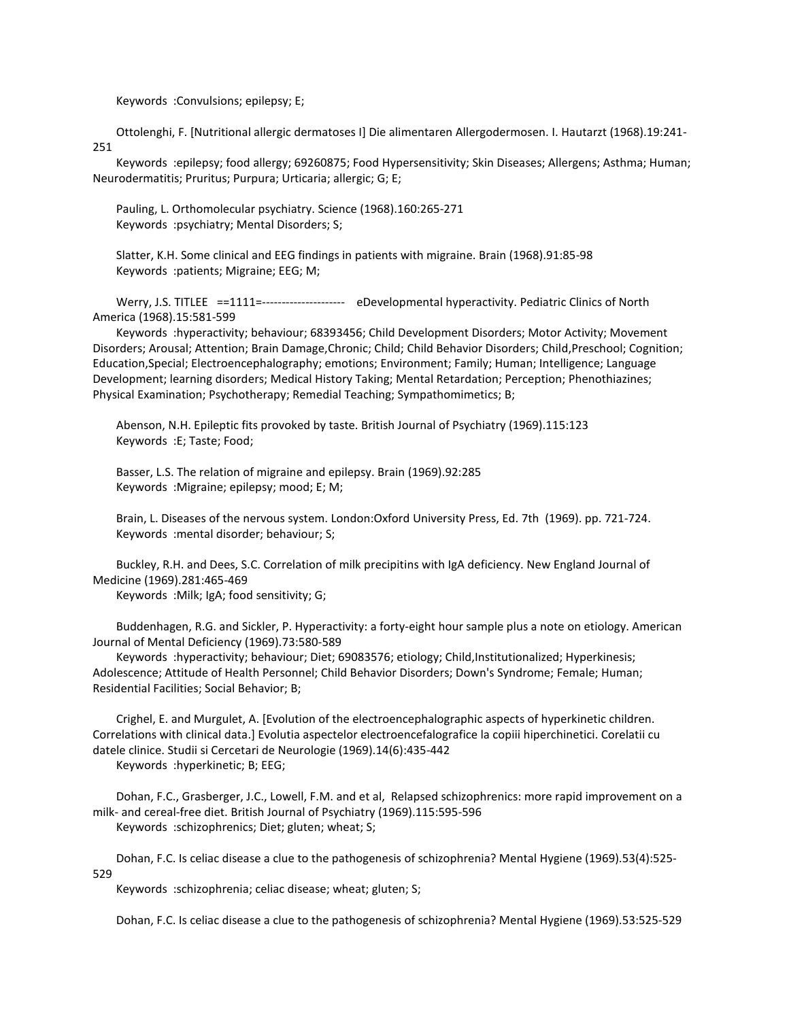Keywords :Convulsions; epilepsy; E;

 Ottolenghi, F. [Nutritional allergic dermatoses I] Die alimentaren Allergodermosen. I. Hautarzt (1968).19:241- 251

 Keywords :epilepsy; food allergy; 69260875; Food Hypersensitivity; Skin Diseases; Allergens; Asthma; Human; Neurodermatitis; Pruritus; Purpura; Urticaria; allergic; G; E;

 Pauling, L. Orthomolecular psychiatry. Science (1968).160:265-271 Keywords :psychiatry; Mental Disorders; S;

 Slatter, K.H. Some clinical and EEG findings in patients with migraine. Brain (1968).91:85-98 Keywords :patients; Migraine; EEG; M;

Werry, J.S. TITLEE ==1111=---------------------- eDevelopmental hyperactivity. Pediatric Clinics of North America (1968).15:581-599

 Keywords :hyperactivity; behaviour; 68393456; Child Development Disorders; Motor Activity; Movement Disorders; Arousal; Attention; Brain Damage,Chronic; Child; Child Behavior Disorders; Child,Preschool; Cognition; Education,Special; Electroencephalography; emotions; Environment; Family; Human; Intelligence; Language Development; learning disorders; Medical History Taking; Mental Retardation; Perception; Phenothiazines; Physical Examination; Psychotherapy; Remedial Teaching; Sympathomimetics; B;

 Abenson, N.H. Epileptic fits provoked by taste. British Journal of Psychiatry (1969).115:123 Keywords :E; Taste; Food;

 Basser, L.S. The relation of migraine and epilepsy. Brain (1969).92:285 Keywords :Migraine; epilepsy; mood; E; M;

 Brain, L. Diseases of the nervous system. London:Oxford University Press, Ed. 7th (1969). pp. 721-724. Keywords :mental disorder; behaviour; S;

 Buckley, R.H. and Dees, S.C. Correlation of milk precipitins with IgA deficiency. New England Journal of Medicine (1969).281:465-469

Keywords :Milk; IgA; food sensitivity; G;

 Buddenhagen, R.G. and Sickler, P. Hyperactivity: a forty-eight hour sample plus a note on etiology. American Journal of Mental Deficiency (1969).73:580-589

 Keywords :hyperactivity; behaviour; Diet; 69083576; etiology; Child,Institutionalized; Hyperkinesis; Adolescence; Attitude of Health Personnel; Child Behavior Disorders; Down's Syndrome; Female; Human; Residential Facilities; Social Behavior; B;

 Crighel, E. and Murgulet, A. [Evolution of the electroencephalographic aspects of hyperkinetic children. Correlations with clinical data.] Evolutia aspectelor electroencefalografice la copiii hiperchinetici. Corelatii cu datele clinice. Studii si Cercetari de Neurologie (1969).14(6):435-442

Keywords :hyperkinetic; B; EEG;

 Dohan, F.C., Grasberger, J.C., Lowell, F.M. and et al, Relapsed schizophrenics: more rapid improvement on a milk- and cereal-free diet. British Journal of Psychiatry (1969).115:595-596 Keywords :schizophrenics; Diet; gluten; wheat; S;

 Dohan, F.C. Is celiac disease a clue to the pathogenesis of schizophrenia? Mental Hygiene (1969).53(4):525- 529

Keywords :schizophrenia; celiac disease; wheat; gluten; S;

Dohan, F.C. Is celiac disease a clue to the pathogenesis of schizophrenia? Mental Hygiene (1969).53:525-529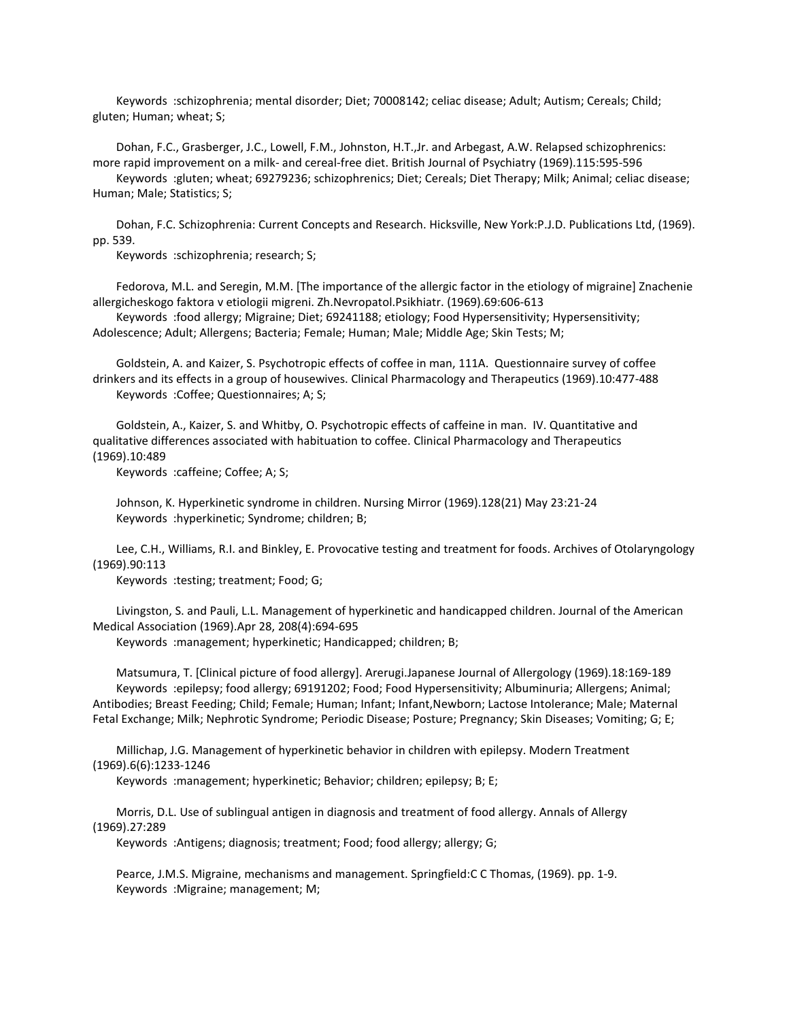Keywords :schizophrenia; mental disorder; Diet; 70008142; celiac disease; Adult; Autism; Cereals; Child; gluten; Human; wheat; S;

 Dohan, F.C., Grasberger, J.C., Lowell, F.M., Johnston, H.T.,Jr. and Arbegast, A.W. Relapsed schizophrenics: more rapid improvement on a milk- and cereal-free diet. British Journal of Psychiatry (1969).115:595-596 Keywords :gluten; wheat; 69279236; schizophrenics; Diet; Cereals; Diet Therapy; Milk; Animal; celiac disease; Human; Male; Statistics; S;

 Dohan, F.C. Schizophrenia: Current Concepts and Research. Hicksville, New York:P.J.D. Publications Ltd, (1969). pp. 539.

Keywords :schizophrenia; research; S;

 Fedorova, M.L. and Seregin, M.M. [The importance of the allergic factor in the etiology of migraine] Znachenie allergicheskogo faktora v etiologii migreni. Zh.Nevropatol.Psikhiatr. (1969).69:606-613

 Keywords :food allergy; Migraine; Diet; 69241188; etiology; Food Hypersensitivity; Hypersensitivity; Adolescence; Adult; Allergens; Bacteria; Female; Human; Male; Middle Age; Skin Tests; M;

 Goldstein, A. and Kaizer, S. Psychotropic effects of coffee in man, 111A. Questionnaire survey of coffee drinkers and its effects in a group of housewives. Clinical Pharmacology and Therapeutics (1969).10:477-488 Keywords :Coffee; Questionnaires; A; S;

 Goldstein, A., Kaizer, S. and Whitby, O. Psychotropic effects of caffeine in man. IV. Quantitative and qualitative differences associated with habituation to coffee. Clinical Pharmacology and Therapeutics (1969).10:489

Keywords :caffeine; Coffee; A; S;

 Johnson, K. Hyperkinetic syndrome in children. Nursing Mirror (1969).128(21) May 23:21-24 Keywords :hyperkinetic; Syndrome; children; B;

 Lee, C.H., Williams, R.I. and Binkley, E. Provocative testing and treatment for foods. Archives of Otolaryngology (1969).90:113

Keywords :testing; treatment; Food; G;

 Livingston, S. and Pauli, L.L. Management of hyperkinetic and handicapped children. Journal of the American Medical Association (1969).Apr 28, 208(4):694-695

Keywords :management; hyperkinetic; Handicapped; children; B;

 Matsumura, T. [Clinical picture of food allergy]. Arerugi.Japanese Journal of Allergology (1969).18:169-189 Keywords :epilepsy; food allergy; 69191202; Food; Food Hypersensitivity; Albuminuria; Allergens; Animal; Antibodies; Breast Feeding; Child; Female; Human; Infant; Infant,Newborn; Lactose Intolerance; Male; Maternal Fetal Exchange; Milk; Nephrotic Syndrome; Periodic Disease; Posture; Pregnancy; Skin Diseases; Vomiting; G; E;

 Millichap, J.G. Management of hyperkinetic behavior in children with epilepsy. Modern Treatment (1969).6(6):1233-1246

Keywords :management; hyperkinetic; Behavior; children; epilepsy; B; E;

 Morris, D.L. Use of sublingual antigen in diagnosis and treatment of food allergy. Annals of Allergy (1969).27:289

Keywords :Antigens; diagnosis; treatment; Food; food allergy; allergy; G;

 Pearce, J.M.S. Migraine, mechanisms and management. Springfield:C C Thomas, (1969). pp. 1-9. Keywords :Migraine; management; M;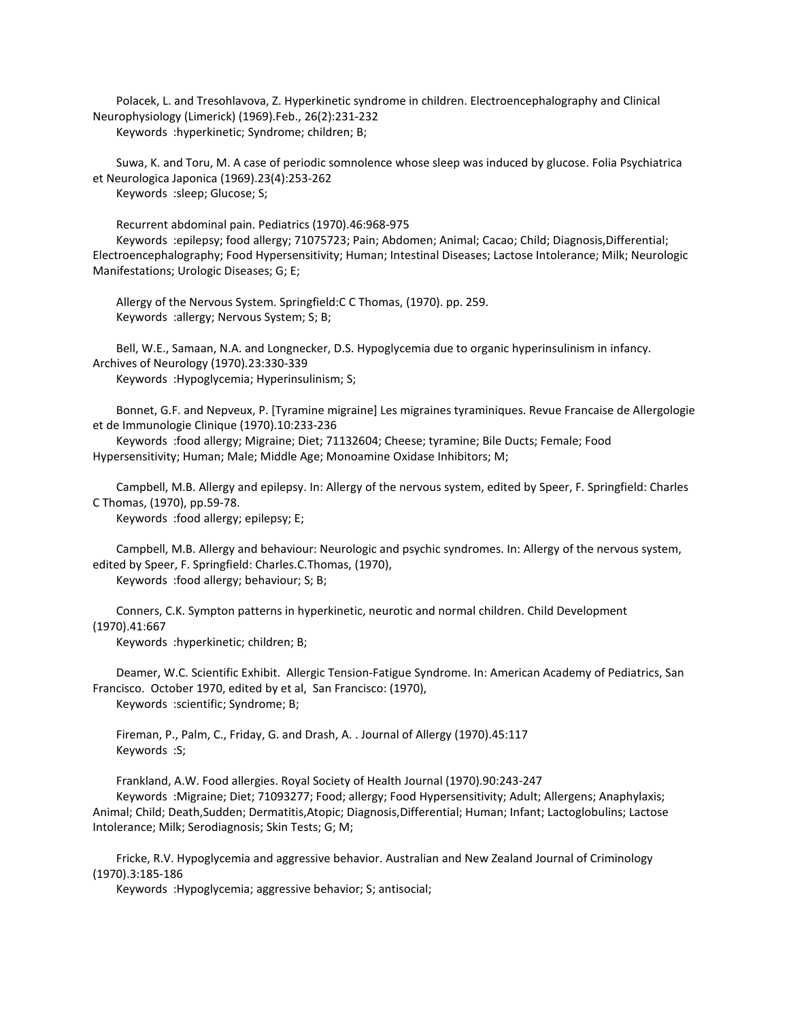Polacek, L. and Tresohlavova, Z. Hyperkinetic syndrome in children. Electroencephalography and Clinical Neurophysiology (Limerick) (1969).Feb., 26(2):231-232 Keywords :hyperkinetic; Syndrome; children; B;

 Suwa, K. and Toru, M. A case of periodic somnolence whose sleep was induced by glucose. Folia Psychiatrica et Neurologica Japonica (1969).23(4):253-262 Keywords :sleep; Glucose; S;

Recurrent abdominal pain. Pediatrics (1970).46:968-975

 Keywords :epilepsy; food allergy; 71075723; Pain; Abdomen; Animal; Cacao; Child; Diagnosis,Differential; Electroencephalography; Food Hypersensitivity; Human; Intestinal Diseases; Lactose Intolerance; Milk; Neurologic Manifestations; Urologic Diseases; G; E;

 Allergy of the Nervous System. Springfield:C C Thomas, (1970). pp. 259. Keywords :allergy; Nervous System; S; B;

 Bell, W.E., Samaan, N.A. and Longnecker, D.S. Hypoglycemia due to organic hyperinsulinism in infancy. Archives of Neurology (1970).23:330-339

Keywords :Hypoglycemia; Hyperinsulinism; S;

 Bonnet, G.F. and Nepveux, P. [Tyramine migraine] Les migraines tyraminiques. Revue Francaise de Allergologie et de Immunologie Clinique (1970).10:233-236

 Keywords :food allergy; Migraine; Diet; 71132604; Cheese; tyramine; Bile Ducts; Female; Food Hypersensitivity; Human; Male; Middle Age; Monoamine Oxidase Inhibitors; M;

 Campbell, M.B. Allergy and epilepsy. In: Allergy of the nervous system, edited by Speer, F. Springfield: Charles C Thomas, (1970), pp.59-78.

Keywords :food allergy; epilepsy; E;

 Campbell, M.B. Allergy and behaviour: Neurologic and psychic syndromes. In: Allergy of the nervous system, edited by Speer, F. Springfield: Charles.C.Thomas, (1970),

Keywords :food allergy; behaviour; S; B;

 Conners, C.K. Sympton patterns in hyperkinetic, neurotic and normal children. Child Development (1970).41:667

Keywords :hyperkinetic; children; B;

 Deamer, W.C. Scientific Exhibit. Allergic Tension-Fatigue Syndrome. In: American Academy of Pediatrics, San Francisco. October 1970, edited by et al, San Francisco: (1970), Keywords :scientific; Syndrome; B;

 Fireman, P., Palm, C., Friday, G. and Drash, A. . Journal of Allergy (1970).45:117 Keywords :S;

Frankland, A.W. Food allergies. Royal Society of Health Journal (1970).90:243-247

 Keywords :Migraine; Diet; 71093277; Food; allergy; Food Hypersensitivity; Adult; Allergens; Anaphylaxis; Animal; Child; Death,Sudden; Dermatitis,Atopic; Diagnosis,Differential; Human; Infant; Lactoglobulins; Lactose Intolerance; Milk; Serodiagnosis; Skin Tests; G; M;

 Fricke, R.V. Hypoglycemia and aggressive behavior. Australian and New Zealand Journal of Criminology (1970).3:185-186

Keywords :Hypoglycemia; aggressive behavior; S; antisocial;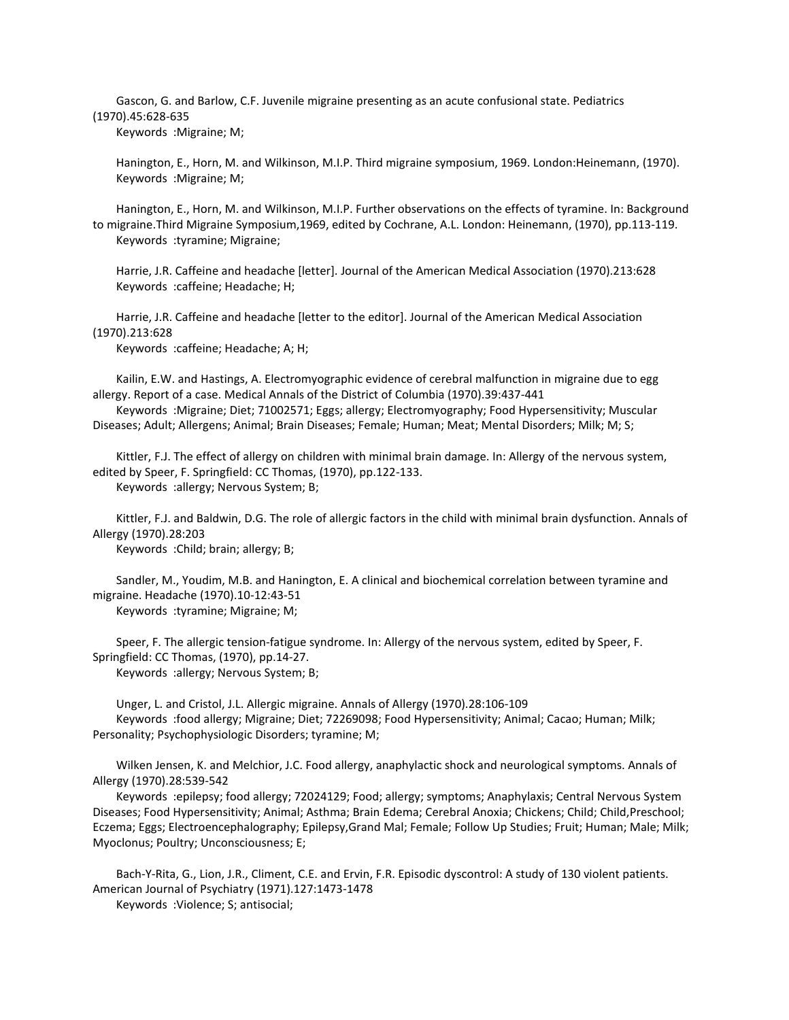Gascon, G. and Barlow, C.F. Juvenile migraine presenting as an acute confusional state. Pediatrics (1970).45:628-635

Keywords :Migraine; M;

 Hanington, E., Horn, M. and Wilkinson, M.I.P. Third migraine symposium, 1969. London:Heinemann, (1970). Keywords :Migraine; M;

 Hanington, E., Horn, M. and Wilkinson, M.I.P. Further observations on the effects of tyramine. In: Background to migraine.Third Migraine Symposium,1969, edited by Cochrane, A.L. London: Heinemann, (1970), pp.113-119. Keywords :tyramine; Migraine;

 Harrie, J.R. Caffeine and headache [letter]. Journal of the American Medical Association (1970).213:628 Keywords :caffeine; Headache; H;

 Harrie, J.R. Caffeine and headache [letter to the editor]. Journal of the American Medical Association (1970).213:628

Keywords :caffeine; Headache; A; H;

 Kailin, E.W. and Hastings, A. Electromyographic evidence of cerebral malfunction in migraine due to egg allergy. Report of a case. Medical Annals of the District of Columbia (1970).39:437-441

 Keywords :Migraine; Diet; 71002571; Eggs; allergy; Electromyography; Food Hypersensitivity; Muscular Diseases; Adult; Allergens; Animal; Brain Diseases; Female; Human; Meat; Mental Disorders; Milk; M; S;

 Kittler, F.J. The effect of allergy on children with minimal brain damage. In: Allergy of the nervous system, edited by Speer, F. Springfield: CC Thomas, (1970), pp.122-133. Keywords :allergy; Nervous System; B;

 Kittler, F.J. and Baldwin, D.G. The role of allergic factors in the child with minimal brain dysfunction. Annals of Allergy (1970).28:203

Keywords :Child; brain; allergy; B;

 Sandler, M., Youdim, M.B. and Hanington, E. A clinical and biochemical correlation between tyramine and migraine. Headache (1970).10-12:43-51

Keywords :tyramine; Migraine; M;

 Speer, F. The allergic tension-fatigue syndrome. In: Allergy of the nervous system, edited by Speer, F. Springfield: CC Thomas, (1970), pp.14-27. Keywords :allergy; Nervous System; B;

 Unger, L. and Cristol, J.L. Allergic migraine. Annals of Allergy (1970).28:106-109 Keywords :food allergy; Migraine; Diet; 72269098; Food Hypersensitivity; Animal; Cacao; Human; Milk; Personality; Psychophysiologic Disorders; tyramine; M;

 Wilken Jensen, K. and Melchior, J.C. Food allergy, anaphylactic shock and neurological symptoms. Annals of Allergy (1970).28:539-542

 Keywords :epilepsy; food allergy; 72024129; Food; allergy; symptoms; Anaphylaxis; Central Nervous System Diseases; Food Hypersensitivity; Animal; Asthma; Brain Edema; Cerebral Anoxia; Chickens; Child; Child,Preschool; Eczema; Eggs; Electroencephalography; Epilepsy,Grand Mal; Female; Follow Up Studies; Fruit; Human; Male; Milk; Myoclonus; Poultry; Unconsciousness; E;

 Bach-Y-Rita, G., Lion, J.R., Climent, C.E. and Ervin, F.R. Episodic dyscontrol: A study of 130 violent patients. American Journal of Psychiatry (1971).127:1473-1478 Keywords :Violence; S; antisocial;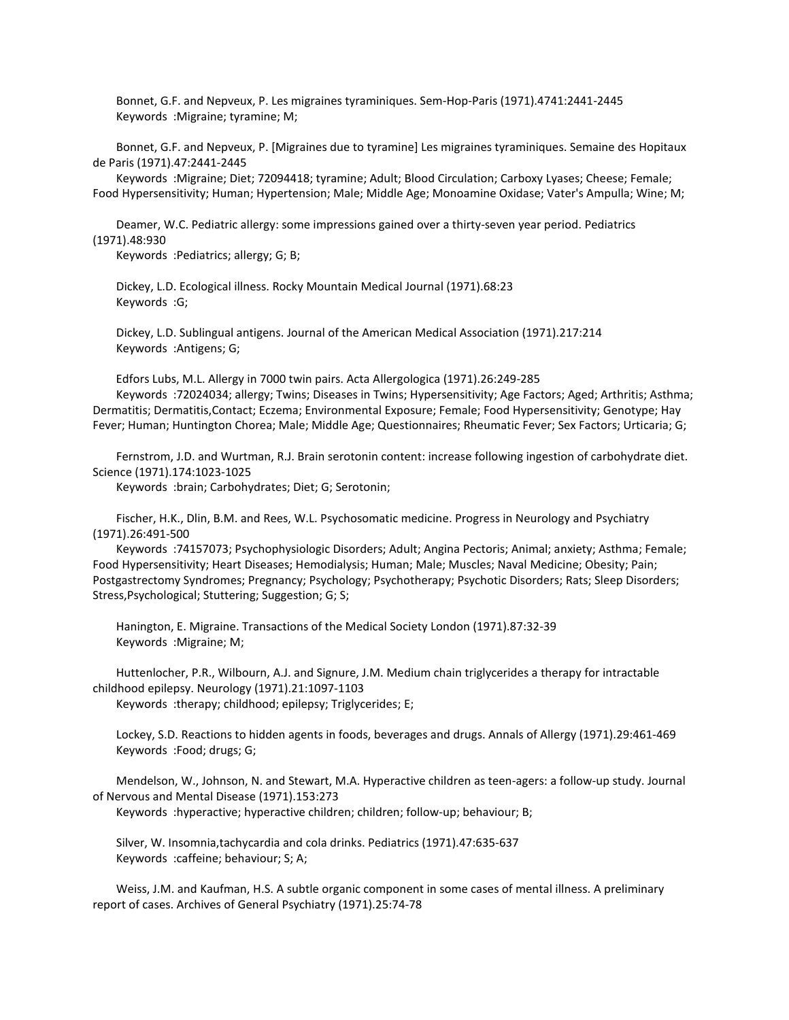Bonnet, G.F. and Nepveux, P. Les migraines tyraminiques. Sem-Hop-Paris (1971).4741:2441-2445 Keywords :Migraine; tyramine; M;

 Bonnet, G.F. and Nepveux, P. [Migraines due to tyramine] Les migraines tyraminiques. Semaine des Hopitaux de Paris (1971).47:2441-2445

 Keywords :Migraine; Diet; 72094418; tyramine; Adult; Blood Circulation; Carboxy Lyases; Cheese; Female; Food Hypersensitivity; Human; Hypertension; Male; Middle Age; Monoamine Oxidase; Vater's Ampulla; Wine; M;

 Deamer, W.C. Pediatric allergy: some impressions gained over a thirty-seven year period. Pediatrics (1971).48:930

Keywords :Pediatrics; allergy; G; B;

 Dickey, L.D. Ecological illness. Rocky Mountain Medical Journal (1971).68:23 Keywords :G;

 Dickey, L.D. Sublingual antigens. Journal of the American Medical Association (1971).217:214 Keywords :Antigens; G;

 Edfors Lubs, M.L. Allergy in 7000 twin pairs. Acta Allergologica (1971).26:249-285 Keywords :72024034; allergy; Twins; Diseases in Twins; Hypersensitivity; Age Factors; Aged; Arthritis; Asthma; Dermatitis; Dermatitis,Contact; Eczema; Environmental Exposure; Female; Food Hypersensitivity; Genotype; Hay Fever; Human; Huntington Chorea; Male; Middle Age; Questionnaires; Rheumatic Fever; Sex Factors; Urticaria; G;

 Fernstrom, J.D. and Wurtman, R.J. Brain serotonin content: increase following ingestion of carbohydrate diet. Science (1971).174:1023-1025

Keywords :brain; Carbohydrates; Diet; G; Serotonin;

 Fischer, H.K., Dlin, B.M. and Rees, W.L. Psychosomatic medicine. Progress in Neurology and Psychiatry (1971).26:491-500

 Keywords :74157073; Psychophysiologic Disorders; Adult; Angina Pectoris; Animal; anxiety; Asthma; Female; Food Hypersensitivity; Heart Diseases; Hemodialysis; Human; Male; Muscles; Naval Medicine; Obesity; Pain; Postgastrectomy Syndromes; Pregnancy; Psychology; Psychotherapy; Psychotic Disorders; Rats; Sleep Disorders; Stress,Psychological; Stuttering; Suggestion; G; S;

 Hanington, E. Migraine. Transactions of the Medical Society London (1971).87:32-39 Keywords :Migraine; M;

 Huttenlocher, P.R., Wilbourn, A.J. and Signure, J.M. Medium chain triglycerides a therapy for intractable childhood epilepsy. Neurology (1971).21:1097-1103

Keywords :therapy; childhood; epilepsy; Triglycerides; E;

 Lockey, S.D. Reactions to hidden agents in foods, beverages and drugs. Annals of Allergy (1971).29:461-469 Keywords :Food; drugs; G;

 Mendelson, W., Johnson, N. and Stewart, M.A. Hyperactive children as teen-agers: a follow-up study. Journal of Nervous and Mental Disease (1971).153:273

Keywords :hyperactive; hyperactive children; children; follow-up; behaviour; B;

 Silver, W. Insomnia,tachycardia and cola drinks. Pediatrics (1971).47:635-637 Keywords :caffeine; behaviour; S; A;

 Weiss, J.M. and Kaufman, H.S. A subtle organic component in some cases of mental illness. A preliminary report of cases. Archives of General Psychiatry (1971).25:74-78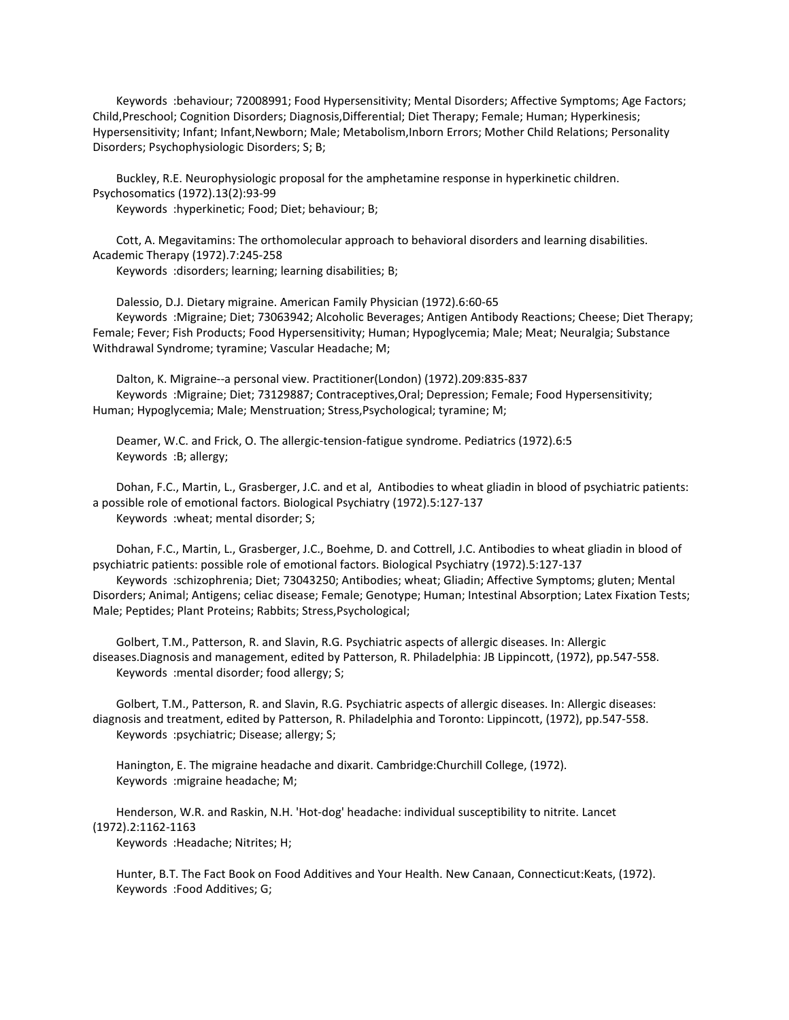Keywords :behaviour; 72008991; Food Hypersensitivity; Mental Disorders; Affective Symptoms; Age Factors; Child,Preschool; Cognition Disorders; Diagnosis,Differential; Diet Therapy; Female; Human; Hyperkinesis; Hypersensitivity; Infant; Infant,Newborn; Male; Metabolism,Inborn Errors; Mother Child Relations; Personality Disorders; Psychophysiologic Disorders; S; B;

 Buckley, R.E. Neurophysiologic proposal for the amphetamine response in hyperkinetic children. Psychosomatics (1972).13(2):93-99

Keywords :hyperkinetic; Food; Diet; behaviour; B;

 Cott, A. Megavitamins: The orthomolecular approach to behavioral disorders and learning disabilities. Academic Therapy (1972).7:245-258

Keywords :disorders; learning; learning disabilities; B;

 Dalessio, D.J. Dietary migraine. American Family Physician (1972).6:60-65 Keywords :Migraine; Diet; 73063942; Alcoholic Beverages; Antigen Antibody Reactions; Cheese; Diet Therapy; Female; Fever; Fish Products; Food Hypersensitivity; Human; Hypoglycemia; Male; Meat; Neuralgia; Substance Withdrawal Syndrome; tyramine; Vascular Headache; M;

 Dalton, K. Migraine--a personal view. Practitioner(London) (1972).209:835-837 Keywords :Migraine; Diet; 73129887; Contraceptives,Oral; Depression; Female; Food Hypersensitivity; Human; Hypoglycemia; Male; Menstruation; Stress,Psychological; tyramine; M;

 Deamer, W.C. and Frick, O. The allergic-tension-fatigue syndrome. Pediatrics (1972).6:5 Keywords :B; allergy;

 Dohan, F.C., Martin, L., Grasberger, J.C. and et al, Antibodies to wheat gliadin in blood of psychiatric patients: a possible role of emotional factors. Biological Psychiatry (1972).5:127-137 Keywords :wheat; mental disorder; S;

 Dohan, F.C., Martin, L., Grasberger, J.C., Boehme, D. and Cottrell, J.C. Antibodies to wheat gliadin in blood of psychiatric patients: possible role of emotional factors. Biological Psychiatry (1972).5:127-137

 Keywords :schizophrenia; Diet; 73043250; Antibodies; wheat; Gliadin; Affective Symptoms; gluten; Mental Disorders; Animal; Antigens; celiac disease; Female; Genotype; Human; Intestinal Absorption; Latex Fixation Tests; Male; Peptides; Plant Proteins; Rabbits; Stress,Psychological;

 Golbert, T.M., Patterson, R. and Slavin, R.G. Psychiatric aspects of allergic diseases. In: Allergic diseases.Diagnosis and management, edited by Patterson, R. Philadelphia: JB Lippincott, (1972), pp.547-558. Keywords :mental disorder; food allergy; S;

 Golbert, T.M., Patterson, R. and Slavin, R.G. Psychiatric aspects of allergic diseases. In: Allergic diseases: diagnosis and treatment, edited by Patterson, R. Philadelphia and Toronto: Lippincott, (1972), pp.547-558. Keywords :psychiatric; Disease; allergy; S;

 Hanington, E. The migraine headache and dixarit. Cambridge:Churchill College, (1972). Keywords :migraine headache; M;

 Henderson, W.R. and Raskin, N.H. 'Hot-dog' headache: individual susceptibility to nitrite. Lancet (1972).2:1162-1163

Keywords :Headache; Nitrites; H;

 Hunter, B.T. The Fact Book on Food Additives and Your Health. New Canaan, Connecticut:Keats, (1972). Keywords :Food Additives; G;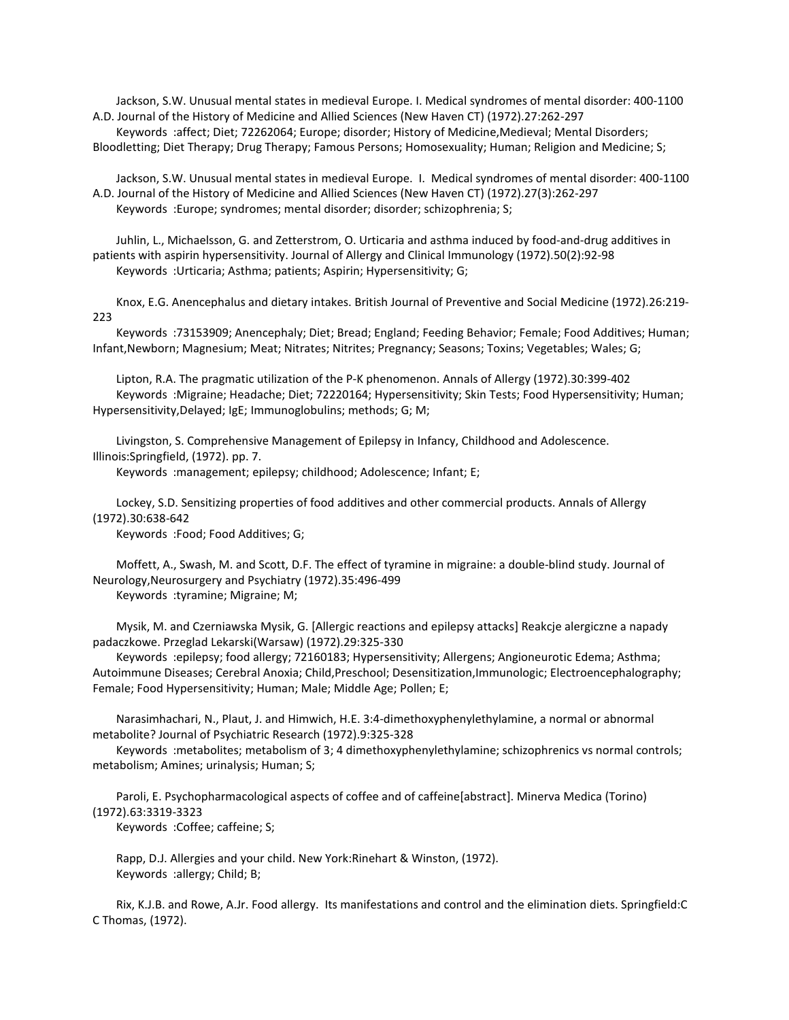Jackson, S.W. Unusual mental states in medieval Europe. I. Medical syndromes of mental disorder: 400-1100 A.D. Journal of the History of Medicine and Allied Sciences (New Haven CT) (1972).27:262-297

 Keywords :affect; Diet; 72262064; Europe; disorder; History of Medicine,Medieval; Mental Disorders; Bloodletting; Diet Therapy; Drug Therapy; Famous Persons; Homosexuality; Human; Religion and Medicine; S;

 Jackson, S.W. Unusual mental states in medieval Europe. I. Medical syndromes of mental disorder: 400-1100 A.D. Journal of the History of Medicine and Allied Sciences (New Haven CT) (1972).27(3):262-297 Keywords :Europe; syndromes; mental disorder; disorder; schizophrenia; S;

 Juhlin, L., Michaelsson, G. and Zetterstrom, O. Urticaria and asthma induced by food-and-drug additives in patients with aspirin hypersensitivity. Journal of Allergy and Clinical Immunology (1972).50(2):92-98 Keywords :Urticaria; Asthma; patients; Aspirin; Hypersensitivity; G;

 Knox, E.G. Anencephalus and dietary intakes. British Journal of Preventive and Social Medicine (1972).26:219- 223

 Keywords :73153909; Anencephaly; Diet; Bread; England; Feeding Behavior; Female; Food Additives; Human; Infant,Newborn; Magnesium; Meat; Nitrates; Nitrites; Pregnancy; Seasons; Toxins; Vegetables; Wales; G;

 Lipton, R.A. The pragmatic utilization of the P-K phenomenon. Annals of Allergy (1972).30:399-402 Keywords :Migraine; Headache; Diet; 72220164; Hypersensitivity; Skin Tests; Food Hypersensitivity; Human; Hypersensitivity,Delayed; IgE; Immunoglobulins; methods; G; M;

 Livingston, S. Comprehensive Management of Epilepsy in Infancy, Childhood and Adolescence. Illinois:Springfield, (1972). pp. 7.

Keywords :management; epilepsy; childhood; Adolescence; Infant; E;

 Lockey, S.D. Sensitizing properties of food additives and other commercial products. Annals of Allergy (1972).30:638-642

Keywords :Food; Food Additives; G;

 Moffett, A., Swash, M. and Scott, D.F. The effect of tyramine in migraine: a double-blind study. Journal of Neurology,Neurosurgery and Psychiatry (1972).35:496-499 Keywords :tyramine; Migraine; M;

 Mysik, M. and Czerniawska Mysik, G. [Allergic reactions and epilepsy attacks] Reakcje alergiczne a napady padaczkowe. Przeglad Lekarski(Warsaw) (1972).29:325-330

 Keywords :epilepsy; food allergy; 72160183; Hypersensitivity; Allergens; Angioneurotic Edema; Asthma; Autoimmune Diseases; Cerebral Anoxia; Child,Preschool; Desensitization,Immunologic; Electroencephalography; Female; Food Hypersensitivity; Human; Male; Middle Age; Pollen; E;

 Narasimhachari, N., Plaut, J. and Himwich, H.E. 3:4-dimethoxyphenylethylamine, a normal or abnormal metabolite? Journal of Psychiatric Research (1972).9:325-328

 Keywords :metabolites; metabolism of 3; 4 dimethoxyphenylethylamine; schizophrenics vs normal controls; metabolism; Amines; urinalysis; Human; S;

 Paroli, E. Psychopharmacological aspects of coffee and of caffeine[abstract]. Minerva Medica (Torino) (1972).63:3319-3323

Keywords :Coffee; caffeine; S;

 Rapp, D.J. Allergies and your child. New York:Rinehart & Winston, (1972). Keywords :allergy; Child; B;

 Rix, K.J.B. and Rowe, A.Jr. Food allergy. Its manifestations and control and the elimination diets. Springfield:C C Thomas, (1972).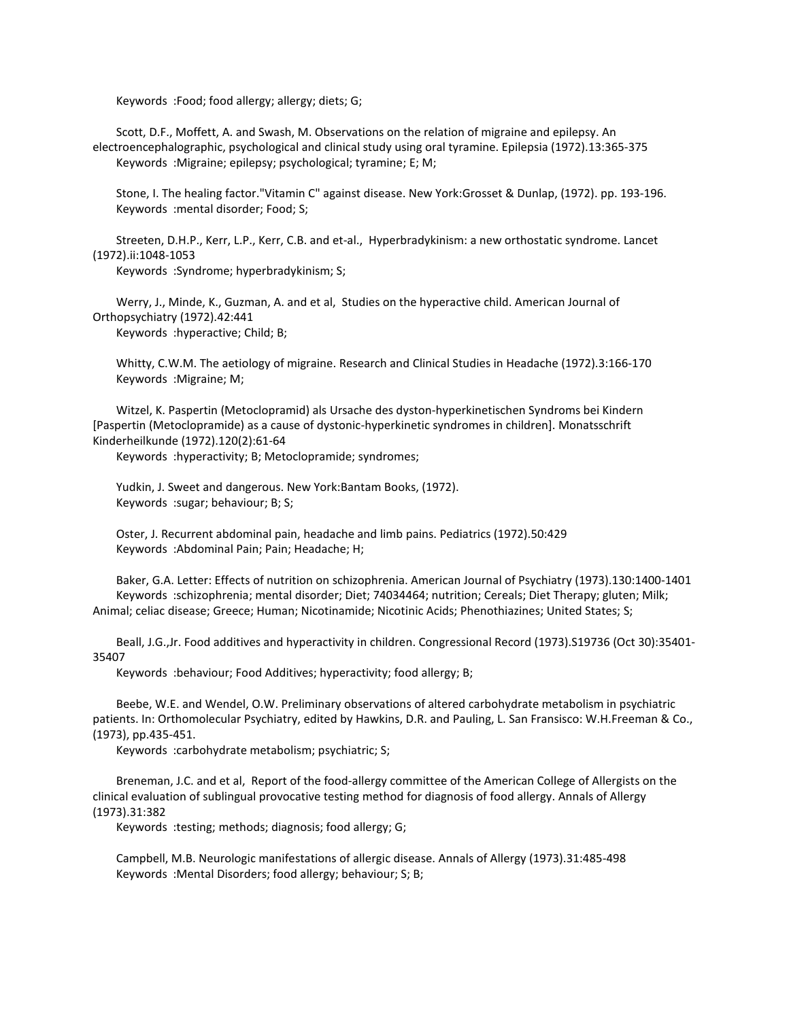Keywords :Food; food allergy; allergy; diets; G;

 Scott, D.F., Moffett, A. and Swash, M. Observations on the relation of migraine and epilepsy. An electroencephalographic, psychological and clinical study using oral tyramine. Epilepsia (1972).13:365-375 Keywords :Migraine; epilepsy; psychological; tyramine; E; M;

 Stone, I. The healing factor."Vitamin C" against disease. New York:Grosset & Dunlap, (1972). pp. 193-196. Keywords :mental disorder; Food; S;

 Streeten, D.H.P., Kerr, L.P., Kerr, C.B. and et-al., Hyperbradykinism: a new orthostatic syndrome. Lancet (1972).ii:1048-1053

Keywords :Syndrome; hyperbradykinism; S;

 Werry, J., Minde, K., Guzman, A. and et al, Studies on the hyperactive child. American Journal of Orthopsychiatry (1972).42:441

Keywords :hyperactive; Child; B;

 Whitty, C.W.M. The aetiology of migraine. Research and Clinical Studies in Headache (1972).3:166-170 Keywords :Migraine; M;

 Witzel, K. Paspertin (Metoclopramid) als Ursache des dyston-hyperkinetischen Syndroms bei Kindern [Paspertin (Metoclopramide) as a cause of dystonic-hyperkinetic syndromes in children]. Monatsschrift Kinderheilkunde (1972).120(2):61-64

Keywords :hyperactivity; B; Metoclopramide; syndromes;

 Yudkin, J. Sweet and dangerous. New York:Bantam Books, (1972). Keywords :sugar; behaviour; B; S;

 Oster, J. Recurrent abdominal pain, headache and limb pains. Pediatrics (1972).50:429 Keywords :Abdominal Pain; Pain; Headache; H;

 Baker, G.A. Letter: Effects of nutrition on schizophrenia. American Journal of Psychiatry (1973).130:1400-1401 Keywords :schizophrenia; mental disorder; Diet; 74034464; nutrition; Cereals; Diet Therapy; gluten; Milk; Animal; celiac disease; Greece; Human; Nicotinamide; Nicotinic Acids; Phenothiazines; United States; S;

 Beall, J.G.,Jr. Food additives and hyperactivity in children. Congressional Record (1973).S19736 (Oct 30):35401- 35407

Keywords :behaviour; Food Additives; hyperactivity; food allergy; B;

 Beebe, W.E. and Wendel, O.W. Preliminary observations of altered carbohydrate metabolism in psychiatric patients. In: Orthomolecular Psychiatry, edited by Hawkins, D.R. and Pauling, L. San Fransisco: W.H.Freeman & Co., (1973), pp.435-451.

Keywords :carbohydrate metabolism; psychiatric; S;

 Breneman, J.C. and et al, Report of the food-allergy committee of the American College of Allergists on the clinical evaluation of sublingual provocative testing method for diagnosis of food allergy. Annals of Allergy (1973).31:382

Keywords :testing; methods; diagnosis; food allergy; G;

 Campbell, M.B. Neurologic manifestations of allergic disease. Annals of Allergy (1973).31:485-498 Keywords :Mental Disorders; food allergy; behaviour; S; B;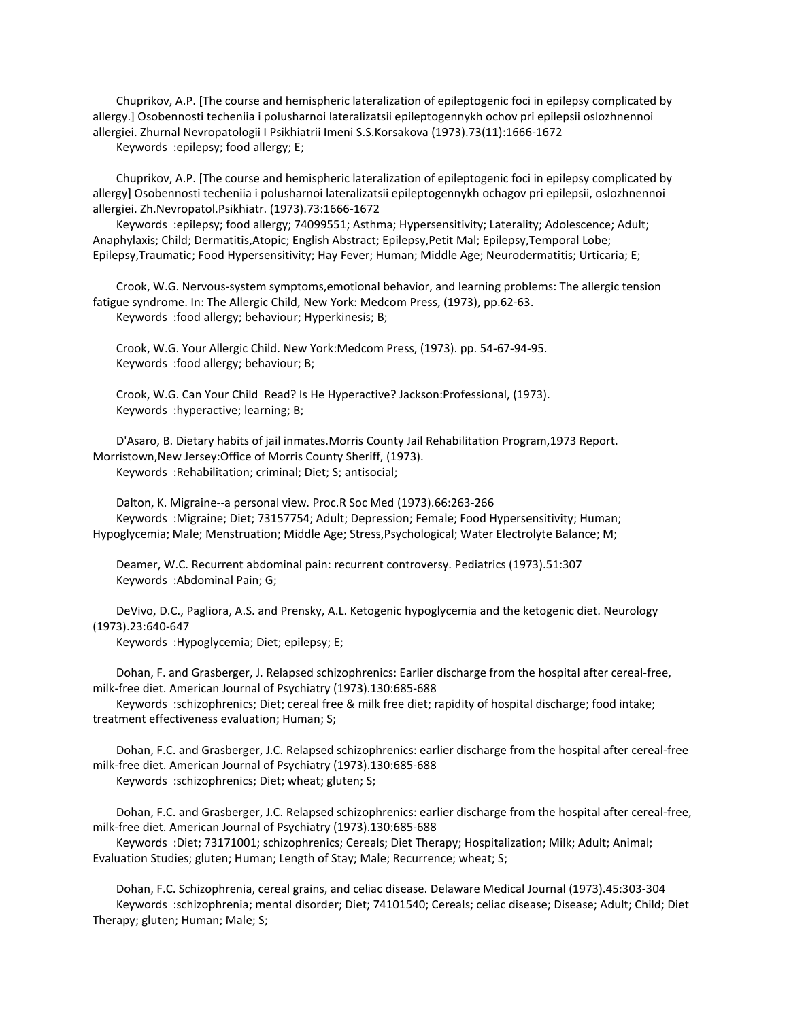Chuprikov, A.P. [The course and hemispheric lateralization of epileptogenic foci in epilepsy complicated by allergy.] Osobennosti techeniia i polusharnoi lateralizatsii epileptogennykh ochov pri epilepsii oslozhnennoi allergiei. Zhurnal Nevropatologii I Psikhiatrii Imeni S.S.Korsakova (1973).73(11):1666-1672

Keywords :epilepsy; food allergy; E;

 Chuprikov, A.P. [The course and hemispheric lateralization of epileptogenic foci in epilepsy complicated by allergy] Osobennosti techeniia i polusharnoi lateralizatsii epileptogennykh ochagov pri epilepsii, oslozhnennoi allergiei. Zh.Nevropatol.Psikhiatr. (1973).73:1666-1672

 Keywords :epilepsy; food allergy; 74099551; Asthma; Hypersensitivity; Laterality; Adolescence; Adult; Anaphylaxis; Child; Dermatitis,Atopic; English Abstract; Epilepsy,Petit Mal; Epilepsy,Temporal Lobe; Epilepsy,Traumatic; Food Hypersensitivity; Hay Fever; Human; Middle Age; Neurodermatitis; Urticaria; E;

 Crook, W.G. Nervous-system symptoms,emotional behavior, and learning problems: The allergic tension fatigue syndrome. In: The Allergic Child, New York: Medcom Press, (1973), pp.62-63. Keywords :food allergy; behaviour; Hyperkinesis; B;

 Crook, W.G. Your Allergic Child. New York:Medcom Press, (1973). pp. 54-67-94-95. Keywords :food allergy; behaviour; B;

 Crook, W.G. Can Your Child Read? Is He Hyperactive? Jackson:Professional, (1973). Keywords :hyperactive; learning; B;

 D'Asaro, B. Dietary habits of jail inmates.Morris County Jail Rehabilitation Program,1973 Report. Morristown,New Jersey:Office of Morris County Sheriff, (1973). Keywords :Rehabilitation; criminal; Diet; S; antisocial;

 Dalton, K. Migraine--a personal view. Proc.R Soc Med (1973).66:263-266 Keywords :Migraine; Diet; 73157754; Adult; Depression; Female; Food Hypersensitivity; Human;

Hypoglycemia; Male; Menstruation; Middle Age; Stress,Psychological; Water Electrolyte Balance; M;

 Deamer, W.C. Recurrent abdominal pain: recurrent controversy. Pediatrics (1973).51:307 Keywords :Abdominal Pain; G;

 DeVivo, D.C., Pagliora, A.S. and Prensky, A.L. Ketogenic hypoglycemia and the ketogenic diet. Neurology (1973).23:640-647

Keywords :Hypoglycemia; Diet; epilepsy; E;

 Dohan, F. and Grasberger, J. Relapsed schizophrenics: Earlier discharge from the hospital after cereal-free, milk-free diet. American Journal of Psychiatry (1973).130:685-688

 Keywords :schizophrenics; Diet; cereal free & milk free diet; rapidity of hospital discharge; food intake; treatment effectiveness evaluation; Human; S;

 Dohan, F.C. and Grasberger, J.C. Relapsed schizophrenics: earlier discharge from the hospital after cereal-free milk-free diet. American Journal of Psychiatry (1973).130:685-688 Keywords :schizophrenics; Diet; wheat; gluten; S;

 Dohan, F.C. and Grasberger, J.C. Relapsed schizophrenics: earlier discharge from the hospital after cereal-free, milk-free diet. American Journal of Psychiatry (1973).130:685-688

 Keywords :Diet; 73171001; schizophrenics; Cereals; Diet Therapy; Hospitalization; Milk; Adult; Animal; Evaluation Studies; gluten; Human; Length of Stay; Male; Recurrence; wheat; S;

 Dohan, F.C. Schizophrenia, cereal grains, and celiac disease. Delaware Medical Journal (1973).45:303-304 Keywords :schizophrenia; mental disorder; Diet; 74101540; Cereals; celiac disease; Disease; Adult; Child; Diet Therapy; gluten; Human; Male; S;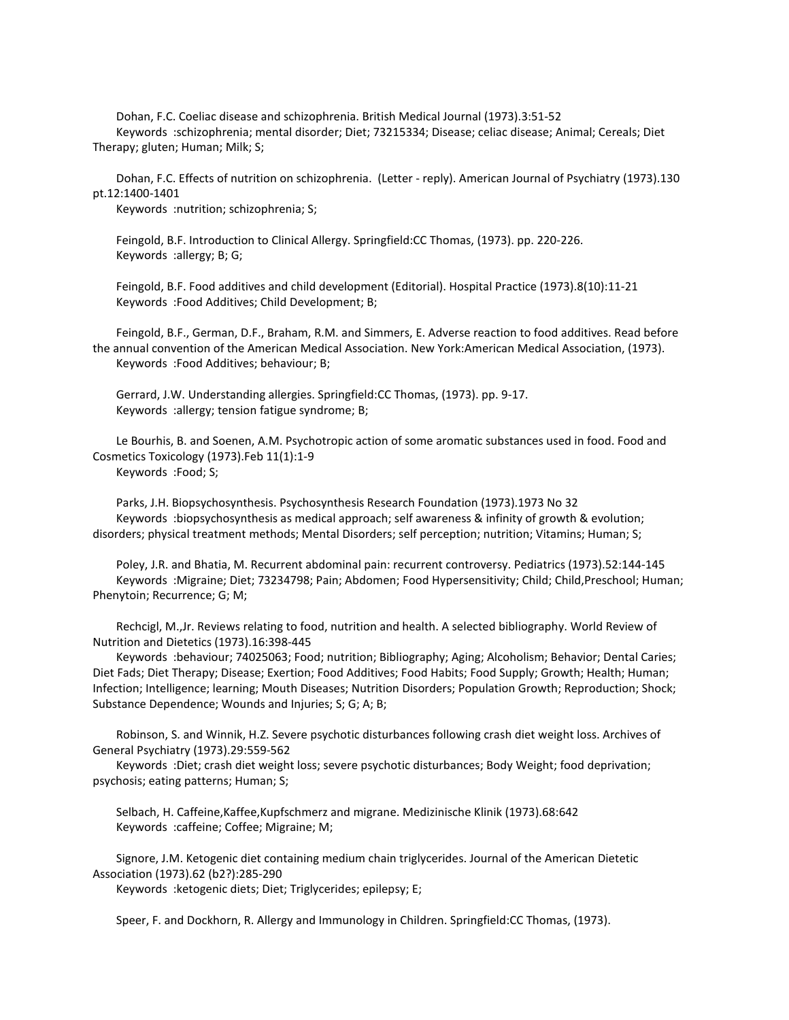Dohan, F.C. Coeliac disease and schizophrenia. British Medical Journal (1973).3:51-52 Keywords :schizophrenia; mental disorder; Diet; 73215334; Disease; celiac disease; Animal; Cereals; Diet Therapy; gluten; Human; Milk; S;

 Dohan, F.C. Effects of nutrition on schizophrenia. (Letter - reply). American Journal of Psychiatry (1973).130 pt.12:1400-1401

Keywords :nutrition; schizophrenia; S;

 Feingold, B.F. Introduction to Clinical Allergy. Springfield:CC Thomas, (1973). pp. 220-226. Keywords :allergy; B; G;

 Feingold, B.F. Food additives and child development (Editorial). Hospital Practice (1973).8(10):11-21 Keywords :Food Additives; Child Development; B;

 Feingold, B.F., German, D.F., Braham, R.M. and Simmers, E. Adverse reaction to food additives. Read before the annual convention of the American Medical Association. New York:American Medical Association, (1973). Keywords :Food Additives; behaviour; B;

 Gerrard, J.W. Understanding allergies. Springfield:CC Thomas, (1973). pp. 9-17. Keywords :allergy; tension fatigue syndrome; B;

 Le Bourhis, B. and Soenen, A.M. Psychotropic action of some aromatic substances used in food. Food and Cosmetics Toxicology (1973).Feb 11(1):1-9 Keywords :Food; S;

 Parks, J.H. Biopsychosynthesis. Psychosynthesis Research Foundation (1973).1973 No 32 Keywords :biopsychosynthesis as medical approach; self awareness & infinity of growth & evolution; disorders; physical treatment methods; Mental Disorders; self perception; nutrition; Vitamins; Human; S;

 Poley, J.R. and Bhatia, M. Recurrent abdominal pain: recurrent controversy. Pediatrics (1973).52:144-145 Keywords :Migraine; Diet; 73234798; Pain; Abdomen; Food Hypersensitivity; Child; Child,Preschool; Human; Phenytoin; Recurrence; G; M;

 Rechcigl, M.,Jr. Reviews relating to food, nutrition and health. A selected bibliography. World Review of Nutrition and Dietetics (1973).16:398-445

 Keywords :behaviour; 74025063; Food; nutrition; Bibliography; Aging; Alcoholism; Behavior; Dental Caries; Diet Fads; Diet Therapy; Disease; Exertion; Food Additives; Food Habits; Food Supply; Growth; Health; Human; Infection; Intelligence; learning; Mouth Diseases; Nutrition Disorders; Population Growth; Reproduction; Shock; Substance Dependence; Wounds and Injuries; S; G; A; B;

 Robinson, S. and Winnik, H.Z. Severe psychotic disturbances following crash diet weight loss. Archives of General Psychiatry (1973).29:559-562

 Keywords :Diet; crash diet weight loss; severe psychotic disturbances; Body Weight; food deprivation; psychosis; eating patterns; Human; S;

 Selbach, H. Caffeine,Kaffee,Kupfschmerz and migrane. Medizinische Klinik (1973).68:642 Keywords :caffeine; Coffee; Migraine; M;

 Signore, J.M. Ketogenic diet containing medium chain triglycerides. Journal of the American Dietetic Association (1973).62 (b2?):285-290

Keywords :ketogenic diets; Diet; Triglycerides; epilepsy; E;

Speer, F. and Dockhorn, R. Allergy and Immunology in Children. Springfield:CC Thomas, (1973).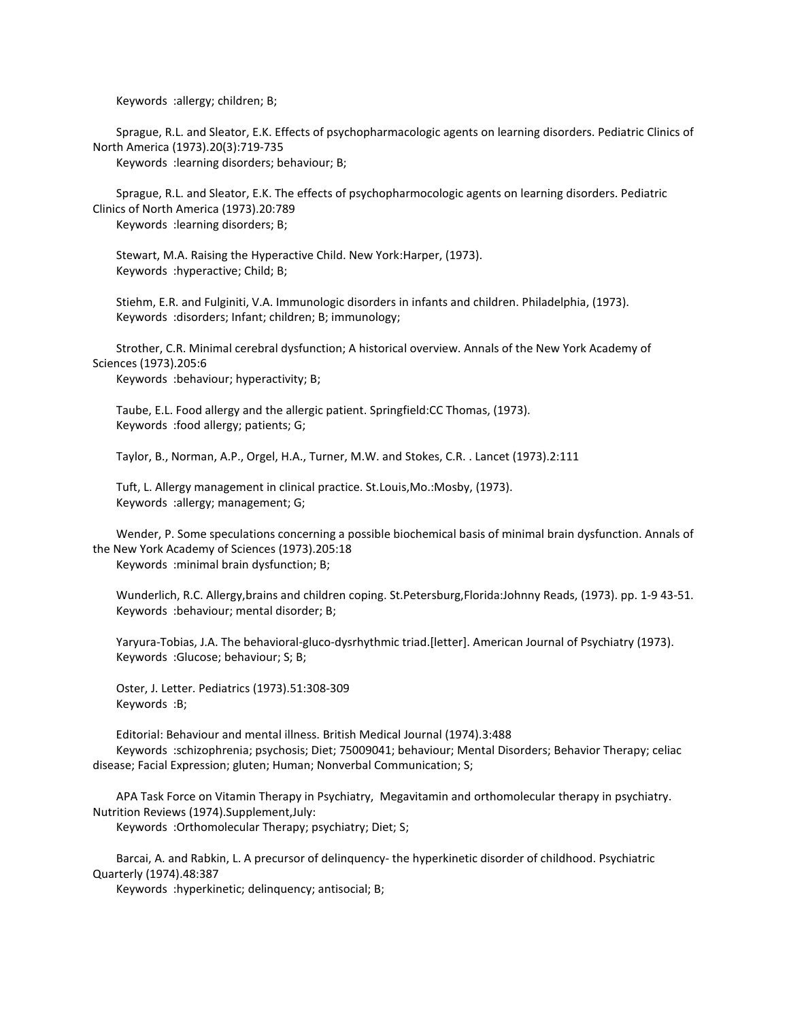Keywords :allergy; children; B;

 Sprague, R.L. and Sleator, E.K. Effects of psychopharmacologic agents on learning disorders. Pediatric Clinics of North America (1973).20(3):719-735

Keywords :learning disorders; behaviour; B;

 Sprague, R.L. and Sleator, E.K. The effects of psychopharmocologic agents on learning disorders. Pediatric Clinics of North America (1973).20:789 Keywords :learning disorders; B;

 Stewart, M.A. Raising the Hyperactive Child. New York:Harper, (1973). Keywords :hyperactive; Child; B;

 Stiehm, E.R. and Fulginiti, V.A. Immunologic disorders in infants and children. Philadelphia, (1973). Keywords :disorders; Infant; children; B; immunology;

 Strother, C.R. Minimal cerebral dysfunction; A historical overview. Annals of the New York Academy of Sciences (1973).205:6

Keywords :behaviour; hyperactivity; B;

 Taube, E.L. Food allergy and the allergic patient. Springfield:CC Thomas, (1973). Keywords :food allergy; patients; G;

Taylor, B., Norman, A.P., Orgel, H.A., Turner, M.W. and Stokes, C.R. . Lancet (1973).2:111

 Tuft, L. Allergy management in clinical practice. St.Louis,Mo.:Mosby, (1973). Keywords :allergy; management; G;

 Wender, P. Some speculations concerning a possible biochemical basis of minimal brain dysfunction. Annals of the New York Academy of Sciences (1973).205:18 Keywords :minimal brain dysfunction; B;

 Wunderlich, R.C. Allergy,brains and children coping. St.Petersburg,Florida:Johnny Reads, (1973). pp. 1-9 43-51. Keywords :behaviour; mental disorder; B;

 Yaryura-Tobias, J.A. The behavioral-gluco-dysrhythmic triad.[letter]. American Journal of Psychiatry (1973). Keywords :Glucose; behaviour; S; B;

 Oster, J. Letter. Pediatrics (1973).51:308-309 Keywords :B;

 Editorial: Behaviour and mental illness. British Medical Journal (1974).3:488 Keywords :schizophrenia; psychosis; Diet; 75009041; behaviour; Mental Disorders; Behavior Therapy; celiac disease; Facial Expression; gluten; Human; Nonverbal Communication; S;

 APA Task Force on Vitamin Therapy in Psychiatry, Megavitamin and orthomolecular therapy in psychiatry. Nutrition Reviews (1974).Supplement,July:

Keywords :Orthomolecular Therapy; psychiatry; Diet; S;

 Barcai, A. and Rabkin, L. A precursor of delinquency- the hyperkinetic disorder of childhood. Psychiatric Quarterly (1974).48:387

Keywords :hyperkinetic; delinquency; antisocial; B;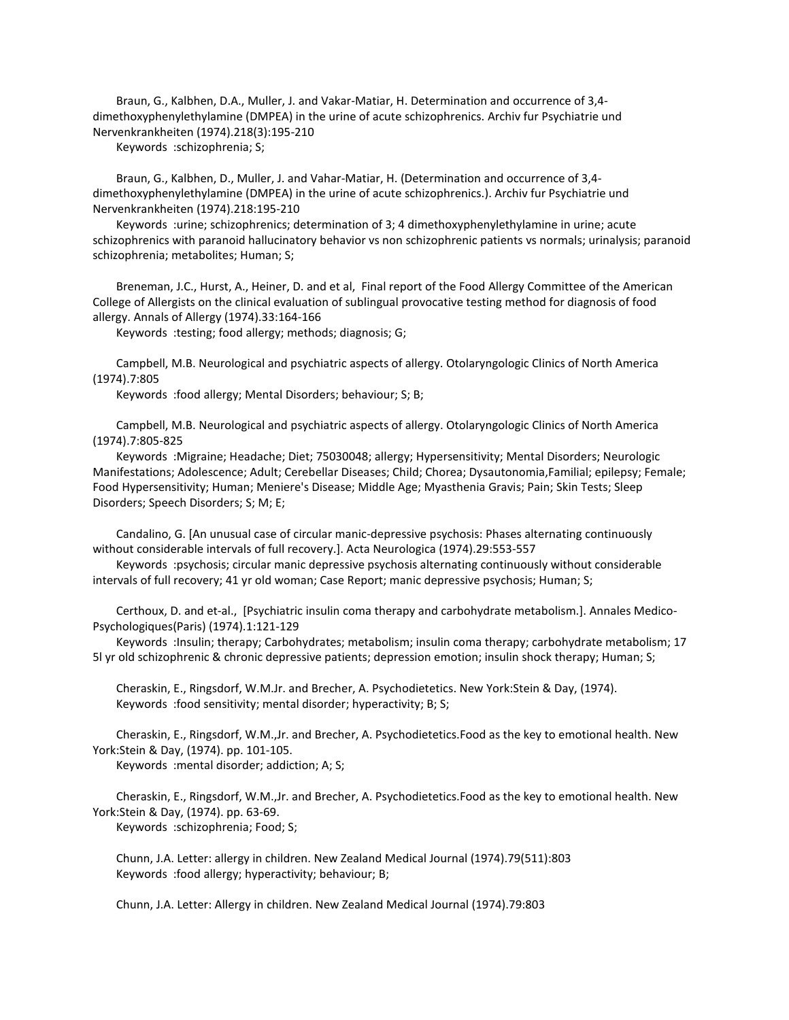Braun, G., Kalbhen, D.A., Muller, J. and Vakar-Matiar, H. Determination and occurrence of 3,4 dimethoxyphenylethylamine (DMPEA) in the urine of acute schizophrenics. Archiv fur Psychiatrie und Nervenkrankheiten (1974).218(3):195-210

Keywords :schizophrenia; S;

 Braun, G., Kalbhen, D., Muller, J. and Vahar-Matiar, H. (Determination and occurrence of 3,4 dimethoxyphenylethylamine (DMPEA) in the urine of acute schizophrenics.). Archiv fur Psychiatrie und Nervenkrankheiten (1974).218:195-210

 Keywords :urine; schizophrenics; determination of 3; 4 dimethoxyphenylethylamine in urine; acute schizophrenics with paranoid hallucinatory behavior vs non schizophrenic patients vs normals; urinalysis; paranoid schizophrenia; metabolites; Human; S;

 Breneman, J.C., Hurst, A., Heiner, D. and et al, Final report of the Food Allergy Committee of the American College of Allergists on the clinical evaluation of sublingual provocative testing method for diagnosis of food allergy. Annals of Allergy (1974).33:164-166

Keywords :testing; food allergy; methods; diagnosis; G;

 Campbell, M.B. Neurological and psychiatric aspects of allergy. Otolaryngologic Clinics of North America (1974).7:805

Keywords :food allergy; Mental Disorders; behaviour; S; B;

 Campbell, M.B. Neurological and psychiatric aspects of allergy. Otolaryngologic Clinics of North America (1974).7:805-825

 Keywords :Migraine; Headache; Diet; 75030048; allergy; Hypersensitivity; Mental Disorders; Neurologic Manifestations; Adolescence; Adult; Cerebellar Diseases; Child; Chorea; Dysautonomia,Familial; epilepsy; Female; Food Hypersensitivity; Human; Meniere's Disease; Middle Age; Myasthenia Gravis; Pain; Skin Tests; Sleep Disorders; Speech Disorders; S; M; E;

 Candalino, G. [An unusual case of circular manic-depressive psychosis: Phases alternating continuously without considerable intervals of full recovery.]. Acta Neurologica (1974).29:553-557

 Keywords :psychosis; circular manic depressive psychosis alternating continuously without considerable intervals of full recovery; 41 yr old woman; Case Report; manic depressive psychosis; Human; S;

 Certhoux, D. and et-al., [Psychiatric insulin coma therapy and carbohydrate metabolism.]. Annales Medico-Psychologiques(Paris) (1974).1:121-129

 Keywords :Insulin; therapy; Carbohydrates; metabolism; insulin coma therapy; carbohydrate metabolism; 17 5l yr old schizophrenic & chronic depressive patients; depression emotion; insulin shock therapy; Human; S;

 Cheraskin, E., Ringsdorf, W.M.Jr. and Brecher, A. Psychodietetics. New York:Stein & Day, (1974). Keywords :food sensitivity; mental disorder; hyperactivity; B; S;

 Cheraskin, E., Ringsdorf, W.M.,Jr. and Brecher, A. Psychodietetics.Food as the key to emotional health. New York:Stein & Day, (1974). pp. 101-105.

Keywords :mental disorder; addiction; A; S;

 Cheraskin, E., Ringsdorf, W.M.,Jr. and Brecher, A. Psychodietetics.Food as the key to emotional health. New York:Stein & Day, (1974). pp. 63-69.

Keywords :schizophrenia; Food; S;

 Chunn, J.A. Letter: allergy in children. New Zealand Medical Journal (1974).79(511):803 Keywords :food allergy; hyperactivity; behaviour; B;

Chunn, J.A. Letter: Allergy in children. New Zealand Medical Journal (1974).79:803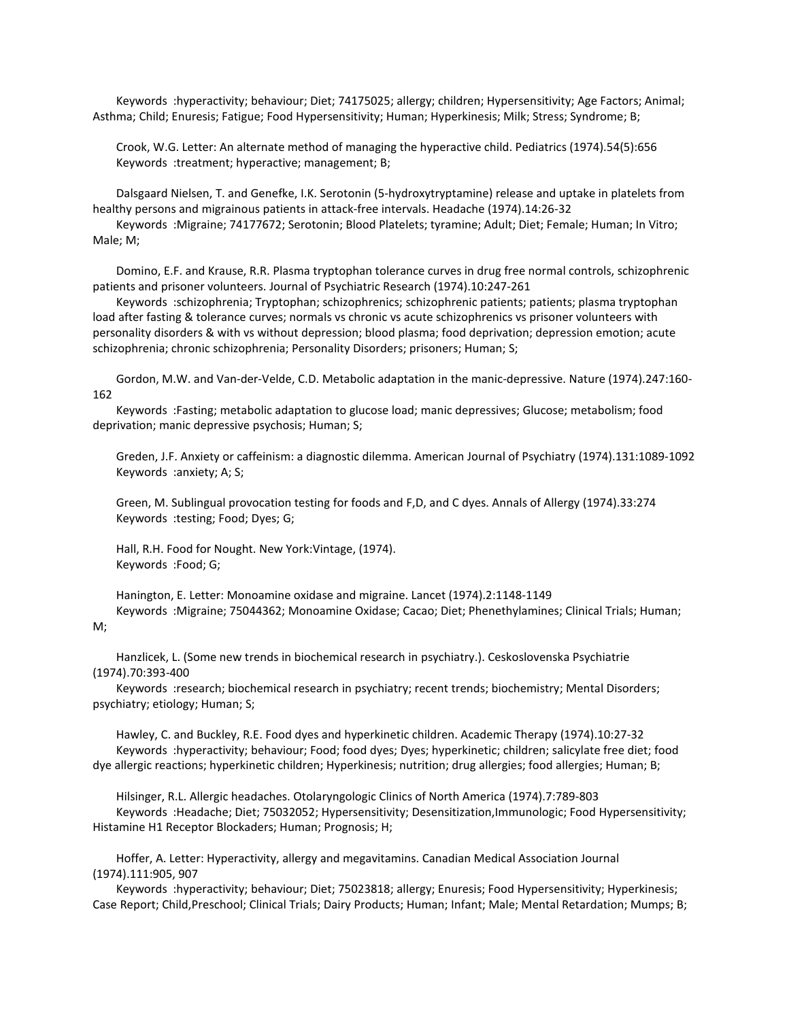Keywords :hyperactivity; behaviour; Diet; 74175025; allergy; children; Hypersensitivity; Age Factors; Animal; Asthma; Child; Enuresis; Fatigue; Food Hypersensitivity; Human; Hyperkinesis; Milk; Stress; Syndrome; B;

 Crook, W.G. Letter: An alternate method of managing the hyperactive child. Pediatrics (1974).54(5):656 Keywords :treatment; hyperactive; management; B;

 Dalsgaard Nielsen, T. and Genefke, I.K. Serotonin (5-hydroxytryptamine) release and uptake in platelets from healthy persons and migrainous patients in attack-free intervals. Headache (1974).14:26-32

 Keywords :Migraine; 74177672; Serotonin; Blood Platelets; tyramine; Adult; Diet; Female; Human; In Vitro; Male; M;

 Domino, E.F. and Krause, R.R. Plasma tryptophan tolerance curves in drug free normal controls, schizophrenic patients and prisoner volunteers. Journal of Psychiatric Research (1974).10:247-261

 Keywords :schizophrenia; Tryptophan; schizophrenics; schizophrenic patients; patients; plasma tryptophan load after fasting & tolerance curves; normals vs chronic vs acute schizophrenics vs prisoner volunteers with personality disorders & with vs without depression; blood plasma; food deprivation; depression emotion; acute schizophrenia; chronic schizophrenia; Personality Disorders; prisoners; Human; S;

 Gordon, M.W. and Van-der-Velde, C.D. Metabolic adaptation in the manic-depressive. Nature (1974).247:160- 162

 Keywords :Fasting; metabolic adaptation to glucose load; manic depressives; Glucose; metabolism; food deprivation; manic depressive psychosis; Human; S;

 Greden, J.F. Anxiety or caffeinism: a diagnostic dilemma. American Journal of Psychiatry (1974).131:1089-1092 Keywords :anxiety; A; S;

 Green, M. Sublingual provocation testing for foods and F,D, and C dyes. Annals of Allergy (1974).33:274 Keywords :testing; Food; Dyes; G;

 Hall, R.H. Food for Nought. New York:Vintage, (1974). Keywords :Food; G;

 Hanington, E. Letter: Monoamine oxidase and migraine. Lancet (1974).2:1148-1149 Keywords :Migraine; 75044362; Monoamine Oxidase; Cacao; Diet; Phenethylamines; Clinical Trials; Human;

## M;

 Hanzlicek, L. (Some new trends in biochemical research in psychiatry.). Ceskoslovenska Psychiatrie (1974).70:393-400

 Keywords :research; biochemical research in psychiatry; recent trends; biochemistry; Mental Disorders; psychiatry; etiology; Human; S;

 Hawley, C. and Buckley, R.E. Food dyes and hyperkinetic children. Academic Therapy (1974).10:27-32 Keywords :hyperactivity; behaviour; Food; food dyes; Dyes; hyperkinetic; children; salicylate free diet; food dye allergic reactions; hyperkinetic children; Hyperkinesis; nutrition; drug allergies; food allergies; Human; B;

 Hilsinger, R.L. Allergic headaches. Otolaryngologic Clinics of North America (1974).7:789-803 Keywords :Headache; Diet; 75032052; Hypersensitivity; Desensitization,Immunologic; Food Hypersensitivity; Histamine H1 Receptor Blockaders; Human; Prognosis; H;

 Hoffer, A. Letter: Hyperactivity, allergy and megavitamins. Canadian Medical Association Journal (1974).111:905, 907

 Keywords :hyperactivity; behaviour; Diet; 75023818; allergy; Enuresis; Food Hypersensitivity; Hyperkinesis; Case Report; Child,Preschool; Clinical Trials; Dairy Products; Human; Infant; Male; Mental Retardation; Mumps; B;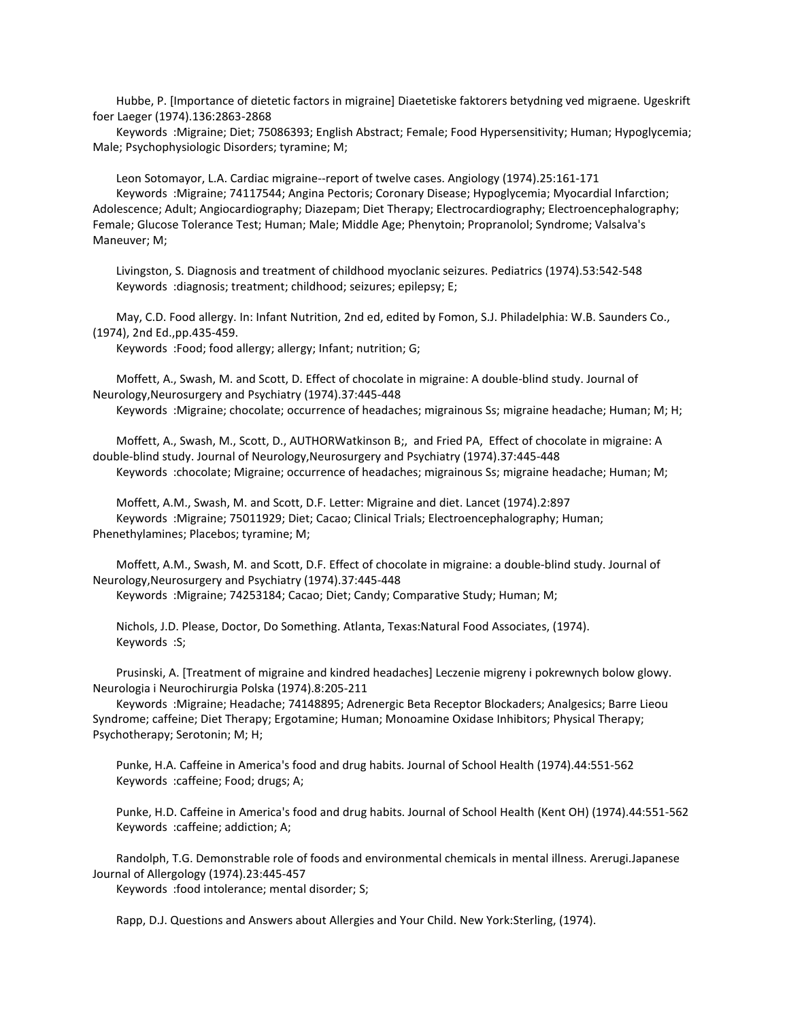Hubbe, P. [Importance of dietetic factors in migraine] Diaetetiske faktorers betydning ved migraene. Ugeskrift foer Laeger (1974).136:2863-2868

 Keywords :Migraine; Diet; 75086393; English Abstract; Female; Food Hypersensitivity; Human; Hypoglycemia; Male; Psychophysiologic Disorders; tyramine; M;

 Leon Sotomayor, L.A. Cardiac migraine--report of twelve cases. Angiology (1974).25:161-171 Keywords :Migraine; 74117544; Angina Pectoris; Coronary Disease; Hypoglycemia; Myocardial Infarction; Adolescence; Adult; Angiocardiography; Diazepam; Diet Therapy; Electrocardiography; Electroencephalography; Female; Glucose Tolerance Test; Human; Male; Middle Age; Phenytoin; Propranolol; Syndrome; Valsalva's Maneuver; M;

 Livingston, S. Diagnosis and treatment of childhood myoclanic seizures. Pediatrics (1974).53:542-548 Keywords :diagnosis; treatment; childhood; seizures; epilepsy; E;

 May, C.D. Food allergy. In: Infant Nutrition, 2nd ed, edited by Fomon, S.J. Philadelphia: W.B. Saunders Co., (1974), 2nd Ed.,pp.435-459.

Keywords :Food; food allergy; allergy; Infant; nutrition; G;

 Moffett, A., Swash, M. and Scott, D. Effect of chocolate in migraine: A double-blind study. Journal of Neurology,Neurosurgery and Psychiatry (1974).37:445-448

Keywords :Migraine; chocolate; occurrence of headaches; migrainous Ss; migraine headache; Human; M; H;

 Moffett, A., Swash, M., Scott, D., AUTHORWatkinson B;, and Fried PA, Effect of chocolate in migraine: A double-blind study. Journal of Neurology,Neurosurgery and Psychiatry (1974).37:445-448 Keywords :chocolate; Migraine; occurrence of headaches; migrainous Ss; migraine headache; Human; M;

 Moffett, A.M., Swash, M. and Scott, D.F. Letter: Migraine and diet. Lancet (1974).2:897 Keywords :Migraine; 75011929; Diet; Cacao; Clinical Trials; Electroencephalography; Human; Phenethylamines; Placebos; tyramine; M;

 Moffett, A.M., Swash, M. and Scott, D.F. Effect of chocolate in migraine: a double-blind study. Journal of Neurology,Neurosurgery and Psychiatry (1974).37:445-448

Keywords :Migraine; 74253184; Cacao; Diet; Candy; Comparative Study; Human; M;

 Nichols, J.D. Please, Doctor, Do Something. Atlanta, Texas:Natural Food Associates, (1974). Keywords :S;

 Prusinski, A. [Treatment of migraine and kindred headaches] Leczenie migreny i pokrewnych bolow glowy. Neurologia i Neurochirurgia Polska (1974).8:205-211

 Keywords :Migraine; Headache; 74148895; Adrenergic Beta Receptor Blockaders; Analgesics; Barre Lieou Syndrome; caffeine; Diet Therapy; Ergotamine; Human; Monoamine Oxidase Inhibitors; Physical Therapy; Psychotherapy; Serotonin; M; H;

 Punke, H.A. Caffeine in America's food and drug habits. Journal of School Health (1974).44:551-562 Keywords :caffeine; Food; drugs; A;

 Punke, H.D. Caffeine in America's food and drug habits. Journal of School Health (Kent OH) (1974).44:551-562 Keywords :caffeine; addiction; A;

 Randolph, T.G. Demonstrable role of foods and environmental chemicals in mental illness. Arerugi.Japanese Journal of Allergology (1974).23:445-457

Keywords :food intolerance; mental disorder; S;

Rapp, D.J. Questions and Answers about Allergies and Your Child. New York:Sterling, (1974).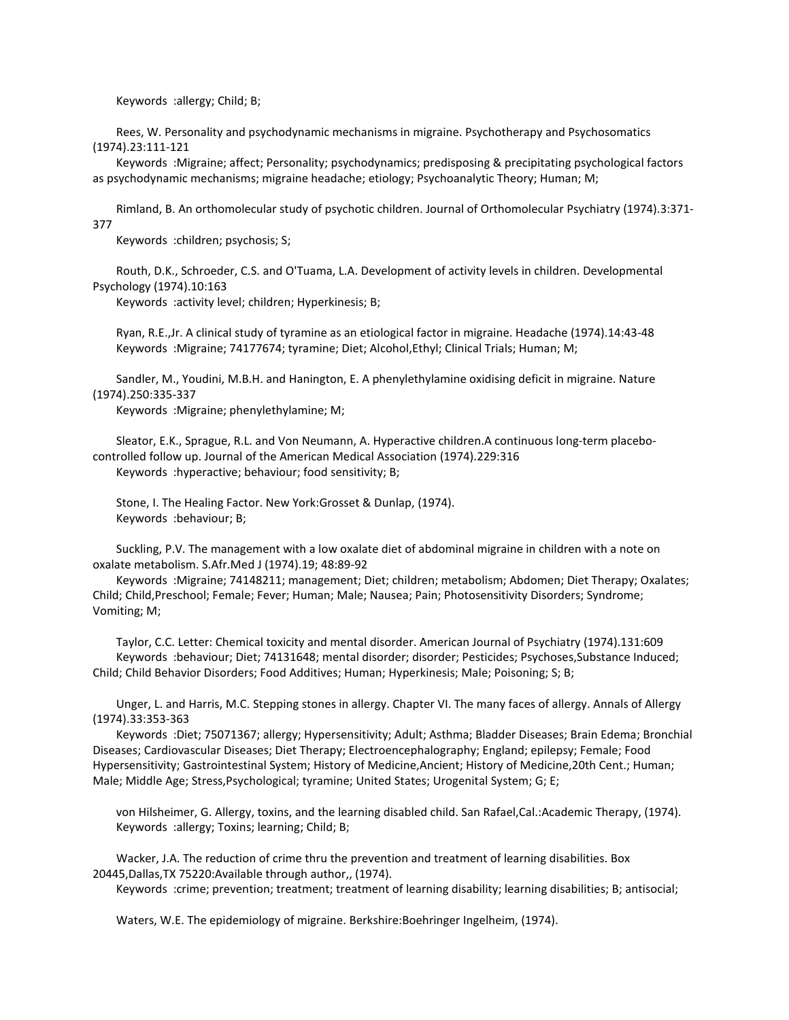Keywords :allergy; Child; B;

 Rees, W. Personality and psychodynamic mechanisms in migraine. Psychotherapy and Psychosomatics (1974).23:111-121

 Keywords :Migraine; affect; Personality; psychodynamics; predisposing & precipitating psychological factors as psychodynamic mechanisms; migraine headache; etiology; Psychoanalytic Theory; Human; M;

 Rimland, B. An orthomolecular study of psychotic children. Journal of Orthomolecular Psychiatry (1974).3:371- 377

Keywords :children; psychosis; S;

 Routh, D.K., Schroeder, C.S. and O'Tuama, L.A. Development of activity levels in children. Developmental Psychology (1974).10:163

Keywords :activity level; children; Hyperkinesis; B;

 Ryan, R.E.,Jr. A clinical study of tyramine as an etiological factor in migraine. Headache (1974).14:43-48 Keywords :Migraine; 74177674; tyramine; Diet; Alcohol,Ethyl; Clinical Trials; Human; M;

 Sandler, M., Youdini, M.B.H. and Hanington, E. A phenylethylamine oxidising deficit in migraine. Nature (1974).250:335-337

Keywords :Migraine; phenylethylamine; M;

 Sleator, E.K., Sprague, R.L. and Von Neumann, A. Hyperactive children.A continuous long-term placebocontrolled follow up. Journal of the American Medical Association (1974).229:316 Keywords :hyperactive; behaviour; food sensitivity; B;

 Stone, I. The Healing Factor. New York:Grosset & Dunlap, (1974). Keywords :behaviour; B;

 Suckling, P.V. The management with a low oxalate diet of abdominal migraine in children with a note on oxalate metabolism. S.Afr.Med J (1974).19; 48:89-92

 Keywords :Migraine; 74148211; management; Diet; children; metabolism; Abdomen; Diet Therapy; Oxalates; Child; Child,Preschool; Female; Fever; Human; Male; Nausea; Pain; Photosensitivity Disorders; Syndrome; Vomiting; M;

 Taylor, C.C. Letter: Chemical toxicity and mental disorder. American Journal of Psychiatry (1974).131:609 Keywords :behaviour; Diet; 74131648; mental disorder; disorder; Pesticides; Psychoses,Substance Induced; Child; Child Behavior Disorders; Food Additives; Human; Hyperkinesis; Male; Poisoning; S; B;

 Unger, L. and Harris, M.C. Stepping stones in allergy. Chapter VI. The many faces of allergy. Annals of Allergy (1974).33:353-363

 Keywords :Diet; 75071367; allergy; Hypersensitivity; Adult; Asthma; Bladder Diseases; Brain Edema; Bronchial Diseases; Cardiovascular Diseases; Diet Therapy; Electroencephalography; England; epilepsy; Female; Food Hypersensitivity; Gastrointestinal System; History of Medicine,Ancient; History of Medicine,20th Cent.; Human; Male; Middle Age; Stress,Psychological; tyramine; United States; Urogenital System; G; E;

 von Hilsheimer, G. Allergy, toxins, and the learning disabled child. San Rafael,Cal.:Academic Therapy, (1974). Keywords :allergy; Toxins; learning; Child; B;

 Wacker, J.A. The reduction of crime thru the prevention and treatment of learning disabilities. Box 20445,Dallas,TX 75220:Available through author,, (1974).

Keywords :crime; prevention; treatment; treatment of learning disability; learning disabilities; B; antisocial;

Waters, W.E. The epidemiology of migraine. Berkshire:Boehringer Ingelheim, (1974).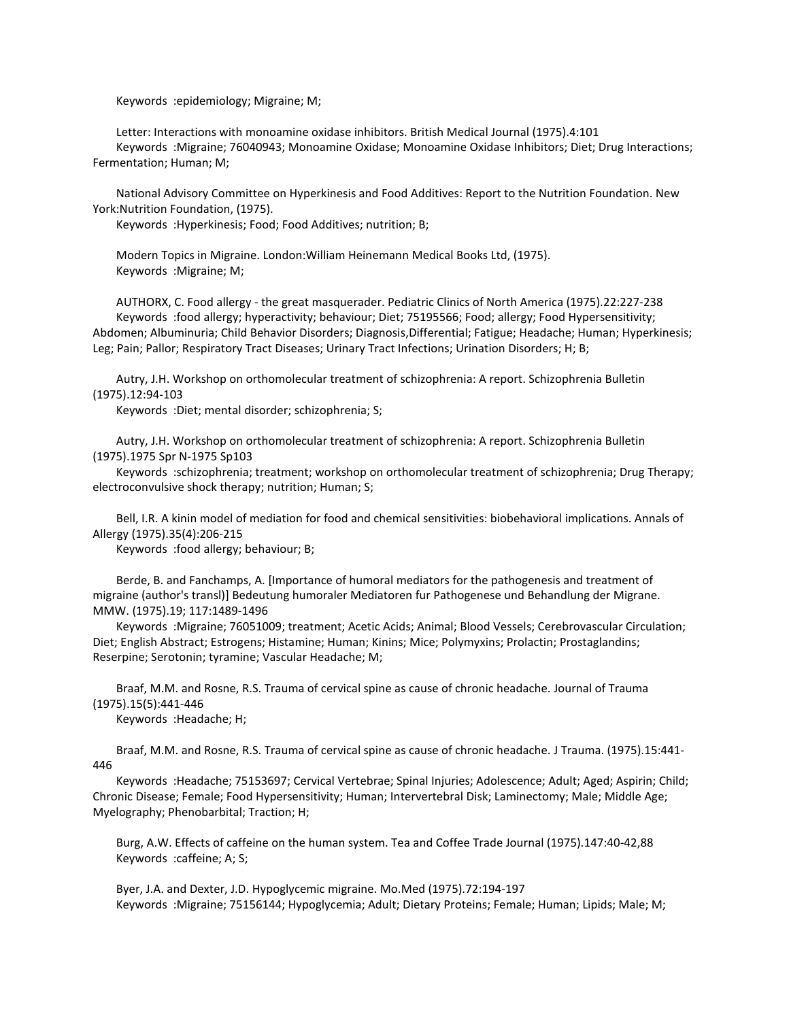Keywords :epidemiology; Migraine; M;

 Letter: Interactions with monoamine oxidase inhibitors. British Medical Journal (1975).4:101 Keywords :Migraine; 76040943; Monoamine Oxidase; Monoamine Oxidase Inhibitors; Diet; Drug Interactions; Fermentation; Human; M;

 National Advisory Committee on Hyperkinesis and Food Additives: Report to the Nutrition Foundation. New York:Nutrition Foundation, (1975).

Keywords :Hyperkinesis; Food; Food Additives; nutrition; B;

 Modern Topics in Migraine. London:William Heinemann Medical Books Ltd, (1975). Keywords :Migraine; M;

 AUTHORX, C. Food allergy - the great masquerader. Pediatric Clinics of North America (1975).22:227-238 Keywords :food allergy; hyperactivity; behaviour; Diet; 75195566; Food; allergy; Food Hypersensitivity; Abdomen; Albuminuria; Child Behavior Disorders; Diagnosis,Differential; Fatigue; Headache; Human; Hyperkinesis; Leg; Pain; Pallor; Respiratory Tract Diseases; Urinary Tract Infections; Urination Disorders; H; B;

 Autry, J.H. Workshop on orthomolecular treatment of schizophrenia: A report. Schizophrenia Bulletin (1975).12:94-103

Keywords :Diet; mental disorder; schizophrenia; S;

 Autry, J.H. Workshop on orthomolecular treatment of schizophrenia: A report. Schizophrenia Bulletin (1975).1975 Spr N-1975 Sp103

 Keywords :schizophrenia; treatment; workshop on orthomolecular treatment of schizophrenia; Drug Therapy; electroconvulsive shock therapy; nutrition; Human; S;

 Bell, I.R. A kinin model of mediation for food and chemical sensitivities: biobehavioral implications. Annals of Allergy (1975).35(4):206-215

Keywords :food allergy; behaviour; B;

 Berde, B. and Fanchamps, A. [Importance of humoral mediators for the pathogenesis and treatment of migraine (author's transl)] Bedeutung humoraler Mediatoren fur Pathogenese und Behandlung der Migrane. MMW. (1975).19; 117:1489-1496

 Keywords :Migraine; 76051009; treatment; Acetic Acids; Animal; Blood Vessels; Cerebrovascular Circulation; Diet; English Abstract; Estrogens; Histamine; Human; Kinins; Mice; Polymyxins; Prolactin; Prostaglandins; Reserpine; Serotonin; tyramine; Vascular Headache; M;

 Braaf, M.M. and Rosne, R.S. Trauma of cervical spine as cause of chronic headache. Journal of Trauma (1975).15(5):441-446

Keywords :Headache; H;

 Braaf, M.M. and Rosne, R.S. Trauma of cervical spine as cause of chronic headache. J Trauma. (1975).15:441- 446

 Keywords :Headache; 75153697; Cervical Vertebrae; Spinal Injuries; Adolescence; Adult; Aged; Aspirin; Child; Chronic Disease; Female; Food Hypersensitivity; Human; Intervertebral Disk; Laminectomy; Male; Middle Age; Myelography; Phenobarbital; Traction; H;

 Burg, A.W. Effects of caffeine on the human system. Tea and Coffee Trade Journal (1975).147:40-42,88 Keywords :caffeine; A; S;

 Byer, J.A. and Dexter, J.D. Hypoglycemic migraine. Mo.Med (1975).72:194-197 Keywords :Migraine; 75156144; Hypoglycemia; Adult; Dietary Proteins; Female; Human; Lipids; Male; M;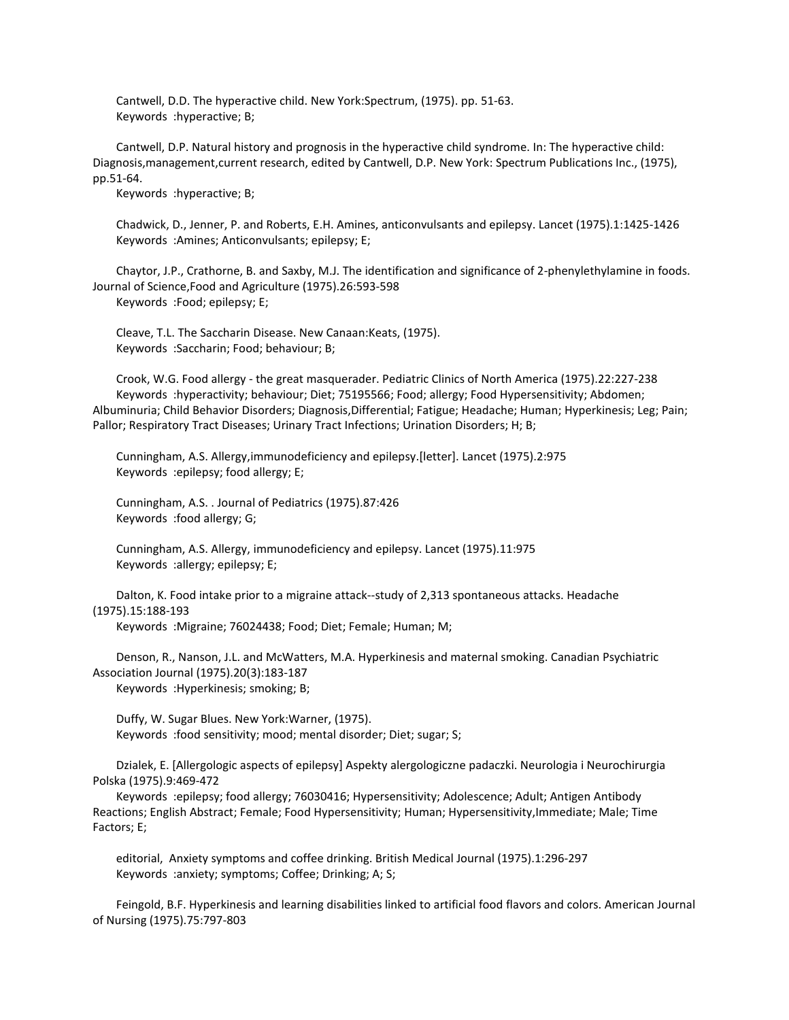Cantwell, D.D. The hyperactive child. New York:Spectrum, (1975). pp. 51-63. Keywords :hyperactive; B;

 Cantwell, D.P. Natural history and prognosis in the hyperactive child syndrome. In: The hyperactive child: Diagnosis,management,current research, edited by Cantwell, D.P. New York: Spectrum Publications Inc., (1975), pp.51-64.

Keywords :hyperactive; B;

 Chadwick, D., Jenner, P. and Roberts, E.H. Amines, anticonvulsants and epilepsy. Lancet (1975).1:1425-1426 Keywords :Amines; Anticonvulsants; epilepsy; E;

 Chaytor, J.P., Crathorne, B. and Saxby, M.J. The identification and significance of 2-phenylethylamine in foods. Journal of Science,Food and Agriculture (1975).26:593-598 Keywords :Food; epilepsy; E;

 Cleave, T.L. The Saccharin Disease. New Canaan:Keats, (1975). Keywords :Saccharin; Food; behaviour; B;

 Crook, W.G. Food allergy - the great masquerader. Pediatric Clinics of North America (1975).22:227-238 Keywords :hyperactivity; behaviour; Diet; 75195566; Food; allergy; Food Hypersensitivity; Abdomen; Albuminuria; Child Behavior Disorders; Diagnosis,Differential; Fatigue; Headache; Human; Hyperkinesis; Leg; Pain; Pallor; Respiratory Tract Diseases; Urinary Tract Infections; Urination Disorders; H; B;

 Cunningham, A.S. Allergy,immunodeficiency and epilepsy.[letter]. Lancet (1975).2:975 Keywords :epilepsy; food allergy; E;

 Cunningham, A.S. . Journal of Pediatrics (1975).87:426 Keywords :food allergy; G;

 Cunningham, A.S. Allergy, immunodeficiency and epilepsy. Lancet (1975).11:975 Keywords :allergy; epilepsy; E;

 Dalton, K. Food intake prior to a migraine attack--study of 2,313 spontaneous attacks. Headache (1975).15:188-193

Keywords :Migraine; 76024438; Food; Diet; Female; Human; M;

 Denson, R., Nanson, J.L. and McWatters, M.A. Hyperkinesis and maternal smoking. Canadian Psychiatric Association Journal (1975).20(3):183-187 Keywords :Hyperkinesis; smoking; B;

 Duffy, W. Sugar Blues. New York:Warner, (1975). Keywords :food sensitivity; mood; mental disorder; Diet; sugar; S;

 Dzialek, E. [Allergologic aspects of epilepsy] Aspekty alergologiczne padaczki. Neurologia i Neurochirurgia Polska (1975).9:469-472

 Keywords :epilepsy; food allergy; 76030416; Hypersensitivity; Adolescence; Adult; Antigen Antibody Reactions; English Abstract; Female; Food Hypersensitivity; Human; Hypersensitivity,Immediate; Male; Time Factors; E;

 editorial, Anxiety symptoms and coffee drinking. British Medical Journal (1975).1:296-297 Keywords :anxiety; symptoms; Coffee; Drinking; A; S;

 Feingold, B.F. Hyperkinesis and learning disabilities linked to artificial food flavors and colors. American Journal of Nursing (1975).75:797-803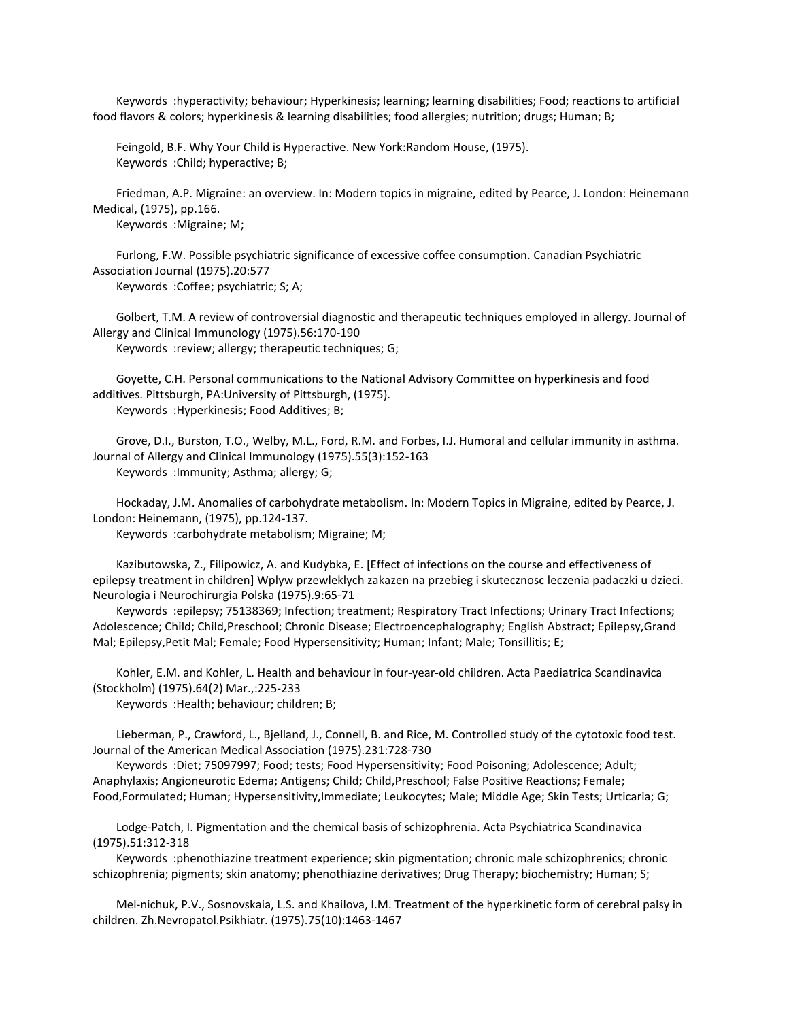Keywords :hyperactivity; behaviour; Hyperkinesis; learning; learning disabilities; Food; reactions to artificial food flavors & colors; hyperkinesis & learning disabilities; food allergies; nutrition; drugs; Human; B;

 Feingold, B.F. Why Your Child is Hyperactive. New York:Random House, (1975). Keywords :Child; hyperactive; B;

 Friedman, A.P. Migraine: an overview. In: Modern topics in migraine, edited by Pearce, J. London: Heinemann Medical, (1975), pp.166.

Keywords :Migraine; M;

 Furlong, F.W. Possible psychiatric significance of excessive coffee consumption. Canadian Psychiatric Association Journal (1975).20:577 Keywords :Coffee; psychiatric; S; A;

 Golbert, T.M. A review of controversial diagnostic and therapeutic techniques employed in allergy. Journal of Allergy and Clinical Immunology (1975).56:170-190 Keywords :review; allergy; therapeutic techniques; G;

 Goyette, C.H. Personal communications to the National Advisory Committee on hyperkinesis and food additives. Pittsburgh, PA:University of Pittsburgh, (1975). Keywords :Hyperkinesis; Food Additives; B;

 Grove, D.I., Burston, T.O., Welby, M.L., Ford, R.M. and Forbes, I.J. Humoral and cellular immunity in asthma. Journal of Allergy and Clinical Immunology (1975).55(3):152-163 Keywords :Immunity; Asthma; allergy; G;

 Hockaday, J.M. Anomalies of carbohydrate metabolism. In: Modern Topics in Migraine, edited by Pearce, J. London: Heinemann, (1975), pp.124-137.

Keywords :carbohydrate metabolism; Migraine; M;

 Kazibutowska, Z., Filipowicz, A. and Kudybka, E. [Effect of infections on the course and effectiveness of epilepsy treatment in children] Wplyw przewleklych zakazen na przebieg i skutecznosc leczenia padaczki u dzieci. Neurologia i Neurochirurgia Polska (1975).9:65-71

 Keywords :epilepsy; 75138369; Infection; treatment; Respiratory Tract Infections; Urinary Tract Infections; Adolescence; Child; Child,Preschool; Chronic Disease; Electroencephalography; English Abstract; Epilepsy,Grand Mal; Epilepsy,Petit Mal; Female; Food Hypersensitivity; Human; Infant; Male; Tonsillitis; E;

 Kohler, E.M. and Kohler, L. Health and behaviour in four-year-old children. Acta Paediatrica Scandinavica (Stockholm) (1975).64(2) Mar.,:225-233

Keywords :Health; behaviour; children; B;

 Lieberman, P., Crawford, L., Bjelland, J., Connell, B. and Rice, M. Controlled study of the cytotoxic food test. Journal of the American Medical Association (1975).231:728-730

 Keywords :Diet; 75097997; Food; tests; Food Hypersensitivity; Food Poisoning; Adolescence; Adult; Anaphylaxis; Angioneurotic Edema; Antigens; Child; Child,Preschool; False Positive Reactions; Female; Food,Formulated; Human; Hypersensitivity,Immediate; Leukocytes; Male; Middle Age; Skin Tests; Urticaria; G;

 Lodge-Patch, I. Pigmentation and the chemical basis of schizophrenia. Acta Psychiatrica Scandinavica (1975).51:312-318

 Keywords :phenothiazine treatment experience; skin pigmentation; chronic male schizophrenics; chronic schizophrenia; pigments; skin anatomy; phenothiazine derivatives; Drug Therapy; biochemistry; Human; S;

 Mel-nichuk, P.V., Sosnovskaia, L.S. and Khailova, I.M. Treatment of the hyperkinetic form of cerebral palsy in children. Zh.Nevropatol.Psikhiatr. (1975).75(10):1463-1467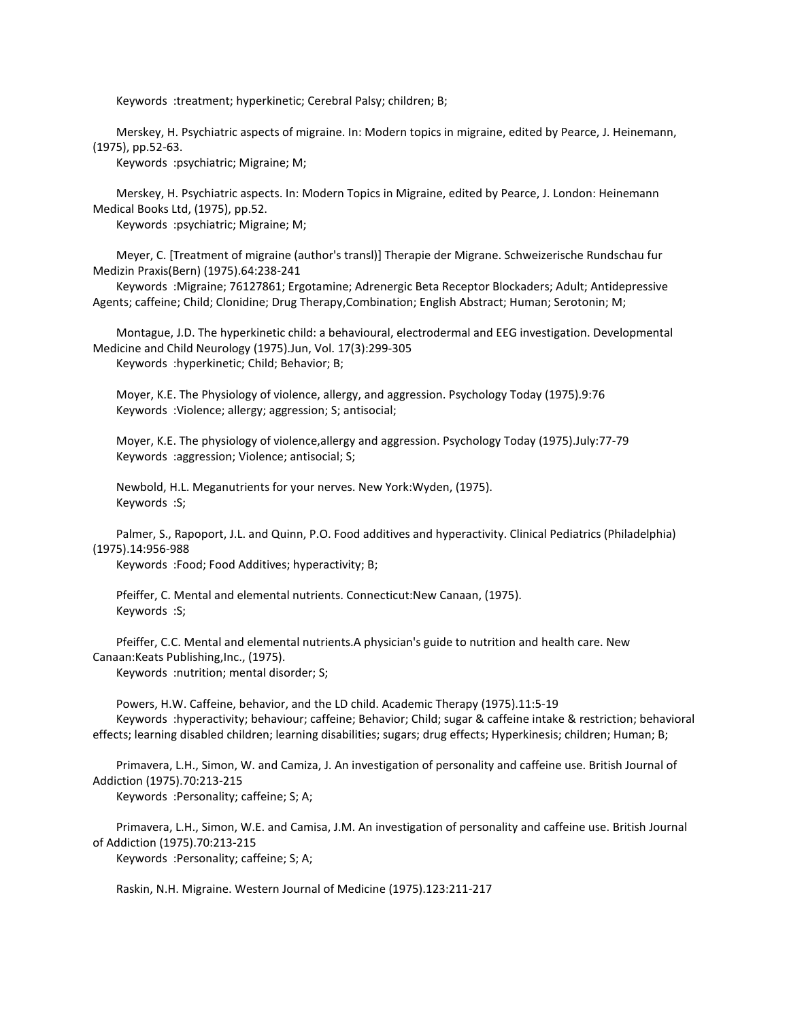Keywords :treatment; hyperkinetic; Cerebral Palsy; children; B;

 Merskey, H. Psychiatric aspects of migraine. In: Modern topics in migraine, edited by Pearce, J. Heinemann, (1975), pp.52-63.

Keywords :psychiatric; Migraine; M;

 Merskey, H. Psychiatric aspects. In: Modern Topics in Migraine, edited by Pearce, J. London: Heinemann Medical Books Ltd, (1975), pp.52.

Keywords :psychiatric; Migraine; M;

 Meyer, C. [Treatment of migraine (author's transl)] Therapie der Migrane. Schweizerische Rundschau fur Medizin Praxis(Bern) (1975).64:238-241

 Keywords :Migraine; 76127861; Ergotamine; Adrenergic Beta Receptor Blockaders; Adult; Antidepressive Agents; caffeine; Child; Clonidine; Drug Therapy,Combination; English Abstract; Human; Serotonin; M;

 Montague, J.D. The hyperkinetic child: a behavioural, electrodermal and EEG investigation. Developmental Medicine and Child Neurology (1975).Jun, Vol. 17(3):299-305 Keywords :hyperkinetic; Child; Behavior; B;

 Moyer, K.E. The Physiology of violence, allergy, and aggression. Psychology Today (1975).9:76 Keywords :Violence; allergy; aggression; S; antisocial;

Moyer, K.E. The physiology of violence,allergy and aggression. Psychology Today (1975).July:77-79

Keywords :aggression; Violence; antisocial; S;

 Newbold, H.L. Meganutrients for your nerves. New York:Wyden, (1975). Keywords :S;

 Palmer, S., Rapoport, J.L. and Quinn, P.O. Food additives and hyperactivity. Clinical Pediatrics (Philadelphia) (1975).14:956-988

Keywords :Food; Food Additives; hyperactivity; B;

 Pfeiffer, C. Mental and elemental nutrients. Connecticut:New Canaan, (1975). Keywords :S;

 Pfeiffer, C.C. Mental and elemental nutrients.A physician's guide to nutrition and health care. New Canaan:Keats Publishing,Inc., (1975).

Keywords :nutrition; mental disorder; S;

 Powers, H.W. Caffeine, behavior, and the LD child. Academic Therapy (1975).11:5-19 Keywords :hyperactivity; behaviour; caffeine; Behavior; Child; sugar & caffeine intake & restriction; behavioral effects; learning disabled children; learning disabilities; sugars; drug effects; Hyperkinesis; children; Human; B;

 Primavera, L.H., Simon, W. and Camiza, J. An investigation of personality and caffeine use. British Journal of Addiction (1975).70:213-215

Keywords :Personality; caffeine; S; A;

 Primavera, L.H., Simon, W.E. and Camisa, J.M. An investigation of personality and caffeine use. British Journal of Addiction (1975).70:213-215

Keywords :Personality; caffeine; S; A;

Raskin, N.H. Migraine. Western Journal of Medicine (1975).123:211-217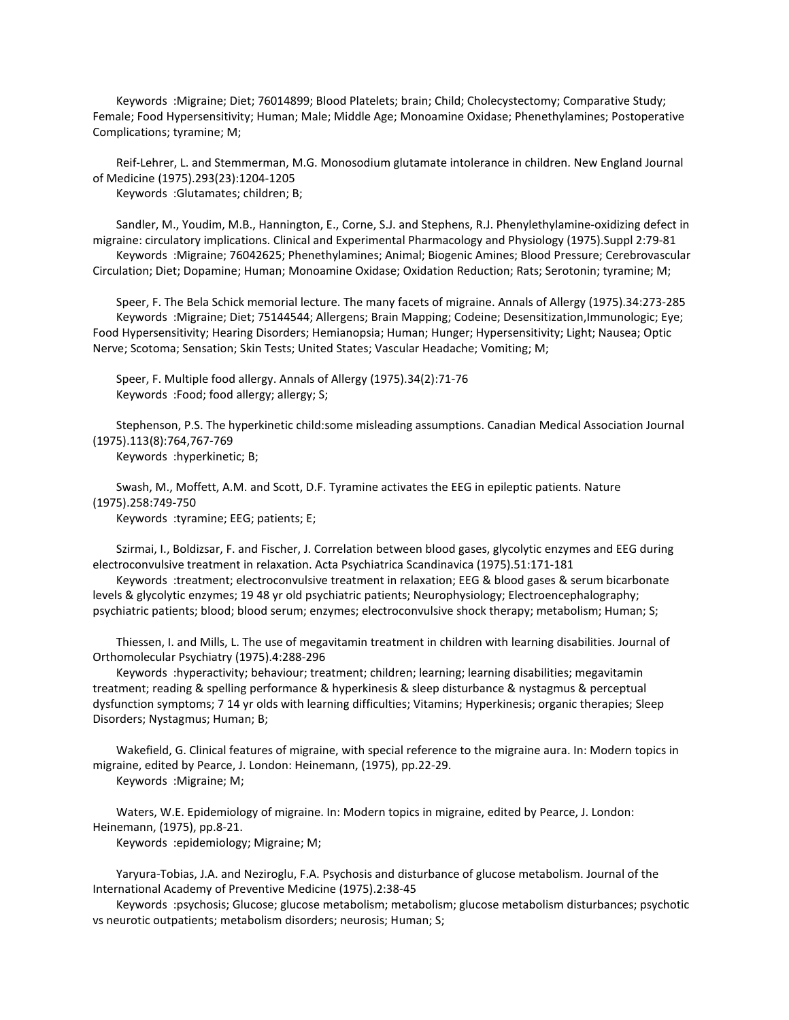Keywords :Migraine; Diet; 76014899; Blood Platelets; brain; Child; Cholecystectomy; Comparative Study; Female; Food Hypersensitivity; Human; Male; Middle Age; Monoamine Oxidase; Phenethylamines; Postoperative Complications; tyramine; M;

 Reif-Lehrer, L. and Stemmerman, M.G. Monosodium glutamate intolerance in children. New England Journal of Medicine (1975).293(23):1204-1205

Keywords :Glutamates; children; B;

 Sandler, M., Youdim, M.B., Hannington, E., Corne, S.J. and Stephens, R.J. Phenylethylamine-oxidizing defect in migraine: circulatory implications. Clinical and Experimental Pharmacology and Physiology (1975).Suppl 2:79-81 Keywords :Migraine; 76042625; Phenethylamines; Animal; Biogenic Amines; Blood Pressure; Cerebrovascular Circulation; Diet; Dopamine; Human; Monoamine Oxidase; Oxidation Reduction; Rats; Serotonin; tyramine; M;

 Speer, F. The Bela Schick memorial lecture. The many facets of migraine. Annals of Allergy (1975).34:273-285 Keywords :Migraine; Diet; 75144544; Allergens; Brain Mapping; Codeine; Desensitization,Immunologic; Eye; Food Hypersensitivity; Hearing Disorders; Hemianopsia; Human; Hunger; Hypersensitivity; Light; Nausea; Optic Nerve; Scotoma; Sensation; Skin Tests; United States; Vascular Headache; Vomiting; M;

 Speer, F. Multiple food allergy. Annals of Allergy (1975).34(2):71-76 Keywords :Food; food allergy; allergy; S;

 Stephenson, P.S. The hyperkinetic child:some misleading assumptions. Canadian Medical Association Journal (1975).113(8):764,767-769

Keywords :hyperkinetic; B;

 Swash, M., Moffett, A.M. and Scott, D.F. Tyramine activates the EEG in epileptic patients. Nature (1975).258:749-750

Keywords :tyramine; EEG; patients; E;

 Szirmai, I., Boldizsar, F. and Fischer, J. Correlation between blood gases, glycolytic enzymes and EEG during electroconvulsive treatment in relaxation. Acta Psychiatrica Scandinavica (1975).51:171-181

 Keywords :treatment; electroconvulsive treatment in relaxation; EEG & blood gases & serum bicarbonate levels & glycolytic enzymes; 19 48 yr old psychiatric patients; Neurophysiology; Electroencephalography; psychiatric patients; blood; blood serum; enzymes; electroconvulsive shock therapy; metabolism; Human; S;

 Thiessen, I. and Mills, L. The use of megavitamin treatment in children with learning disabilities. Journal of Orthomolecular Psychiatry (1975).4:288-296

 Keywords :hyperactivity; behaviour; treatment; children; learning; learning disabilities; megavitamin treatment; reading & spelling performance & hyperkinesis & sleep disturbance & nystagmus & perceptual dysfunction symptoms; 7 14 yr olds with learning difficulties; Vitamins; Hyperkinesis; organic therapies; Sleep Disorders; Nystagmus; Human; B;

 Wakefield, G. Clinical features of migraine, with special reference to the migraine aura. In: Modern topics in migraine, edited by Pearce, J. London: Heinemann, (1975), pp.22-29.

Keywords :Migraine; M;

 Waters, W.E. Epidemiology of migraine. In: Modern topics in migraine, edited by Pearce, J. London: Heinemann, (1975), pp.8-21.

Keywords :epidemiology; Migraine; M;

 Yaryura-Tobias, J.A. and Neziroglu, F.A. Psychosis and disturbance of glucose metabolism. Journal of the International Academy of Preventive Medicine (1975).2:38-45

 Keywords :psychosis; Glucose; glucose metabolism; metabolism; glucose metabolism disturbances; psychotic vs neurotic outpatients; metabolism disorders; neurosis; Human; S;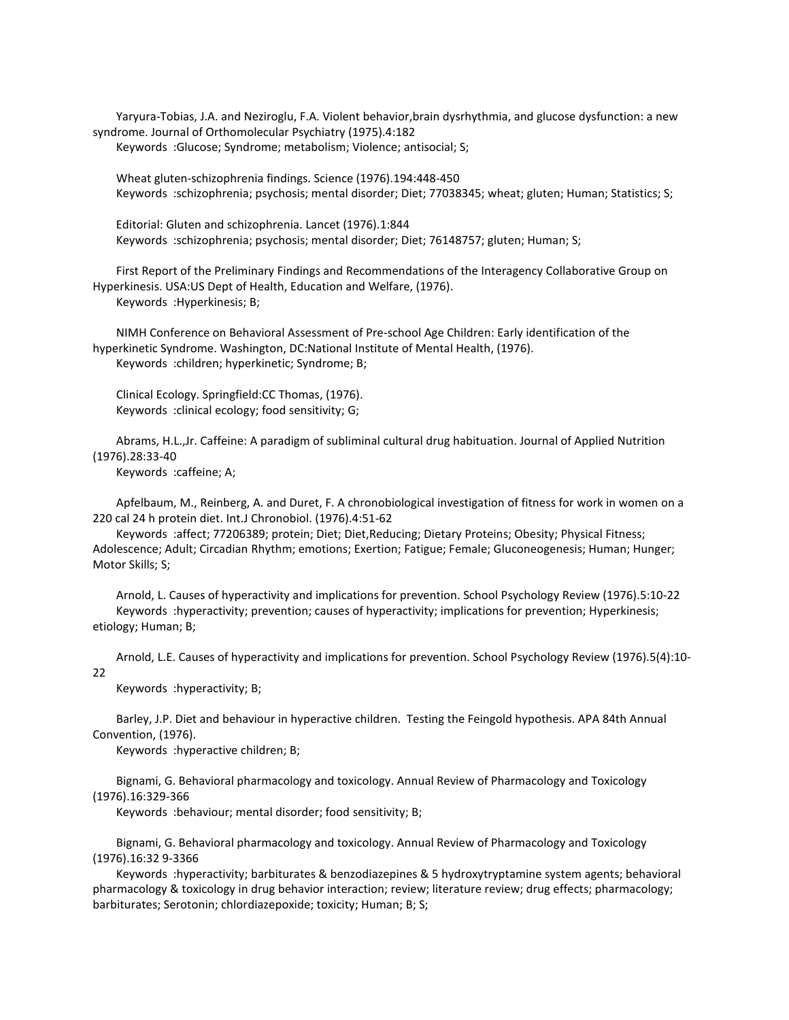Yaryura-Tobias, J.A. and Neziroglu, F.A. Violent behavior,brain dysrhythmia, and glucose dysfunction: a new syndrome. Journal of Orthomolecular Psychiatry (1975).4:182

Keywords :Glucose; Syndrome; metabolism; Violence; antisocial; S;

 Wheat gluten-schizophrenia findings. Science (1976).194:448-450 Keywords :schizophrenia; psychosis; mental disorder; Diet; 77038345; wheat; gluten; Human; Statistics; S;

 Editorial: Gluten and schizophrenia. Lancet (1976).1:844 Keywords :schizophrenia; psychosis; mental disorder; Diet; 76148757; gluten; Human; S;

 First Report of the Preliminary Findings and Recommendations of the Interagency Collaborative Group on Hyperkinesis. USA:US Dept of Health, Education and Welfare, (1976). Keywords :Hyperkinesis; B;

 NIMH Conference on Behavioral Assessment of Pre-school Age Children: Early identification of the hyperkinetic Syndrome. Washington, DC:National Institute of Mental Health, (1976). Keywords :children; hyperkinetic; Syndrome; B;

 Clinical Ecology. Springfield:CC Thomas, (1976). Keywords :clinical ecology; food sensitivity; G;

 Abrams, H.L.,Jr. Caffeine: A paradigm of subliminal cultural drug habituation. Journal of Applied Nutrition (1976).28:33-40

Keywords :caffeine; A;

 Apfelbaum, M., Reinberg, A. and Duret, F. A chronobiological investigation of fitness for work in women on a 220 cal 24 h protein diet. Int.J Chronobiol. (1976).4:51-62

 Keywords :affect; 77206389; protein; Diet; Diet,Reducing; Dietary Proteins; Obesity; Physical Fitness; Adolescence; Adult; Circadian Rhythm; emotions; Exertion; Fatigue; Female; Gluconeogenesis; Human; Hunger; Motor Skills; S;

 Arnold, L. Causes of hyperactivity and implications for prevention. School Psychology Review (1976).5:10-22 Keywords :hyperactivity; prevention; causes of hyperactivity; implications for prevention; Hyperkinesis; etiology; Human; B;

 Arnold, L.E. Causes of hyperactivity and implications for prevention. School Psychology Review (1976).5(4):10- 22

Keywords :hyperactivity; B;

 Barley, J.P. Diet and behaviour in hyperactive children. Testing the Feingold hypothesis. APA 84th Annual Convention, (1976).

Keywords :hyperactive children; B;

 Bignami, G. Behavioral pharmacology and toxicology. Annual Review of Pharmacology and Toxicology (1976).16:329-366

Keywords :behaviour; mental disorder; food sensitivity; B;

 Bignami, G. Behavioral pharmacology and toxicology. Annual Review of Pharmacology and Toxicology (1976).16:32 9-3366

 Keywords :hyperactivity; barbiturates & benzodiazepines & 5 hydroxytryptamine system agents; behavioral pharmacology & toxicology in drug behavior interaction; review; literature review; drug effects; pharmacology; barbiturates; Serotonin; chlordiazepoxide; toxicity; Human; B; S;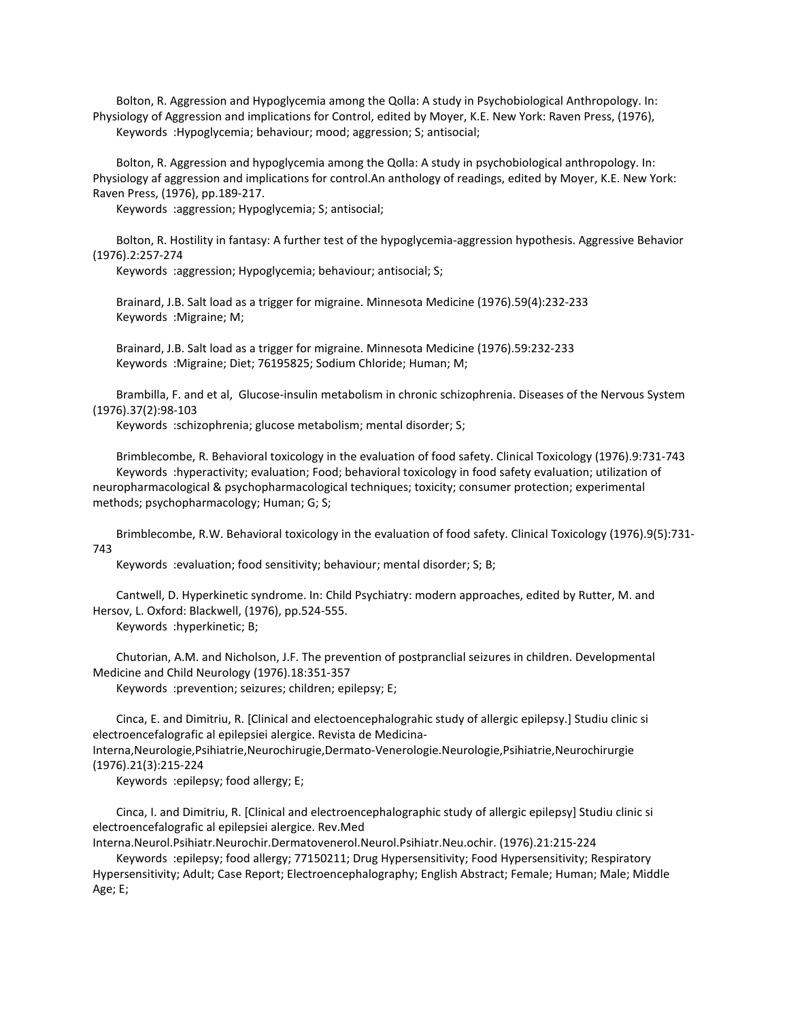Bolton, R. Aggression and Hypoglycemia among the Qolla: A study in Psychobiological Anthropology. In: Physiology of Aggression and implications for Control, edited by Moyer, K.E. New York: Raven Press, (1976), Keywords :Hypoglycemia; behaviour; mood; aggression; S; antisocial;

 Bolton, R. Aggression and hypoglycemia among the Qolla: A study in psychobiological anthropology. In: Physiology af aggression and implications for control.An anthology of readings, edited by Moyer, K.E. New York: Raven Press, (1976), pp.189-217.

Keywords :aggression; Hypoglycemia; S; antisocial;

 Bolton, R. Hostility in fantasy: A further test of the hypoglycemia-aggression hypothesis. Aggressive Behavior (1976).2:257-274

Keywords :aggression; Hypoglycemia; behaviour; antisocial; S;

 Brainard, J.B. Salt load as a trigger for migraine. Minnesota Medicine (1976).59(4):232-233 Keywords :Migraine; M;

 Brainard, J.B. Salt load as a trigger for migraine. Minnesota Medicine (1976).59:232-233 Keywords :Migraine; Diet; 76195825; Sodium Chloride; Human; M;

 Brambilla, F. and et al, Glucose-insulin metabolism in chronic schizophrenia. Diseases of the Nervous System (1976).37(2):98-103

Keywords :schizophrenia; glucose metabolism; mental disorder; S;

 Brimblecombe, R. Behavioral toxicology in the evaluation of food safety. Clinical Toxicology (1976).9:731-743 Keywords :hyperactivity; evaluation; Food; behavioral toxicology in food safety evaluation; utilization of neuropharmacological & psychopharmacological techniques; toxicity; consumer protection; experimental methods; psychopharmacology; Human; G; S;

 Brimblecombe, R.W. Behavioral toxicology in the evaluation of food safety. Clinical Toxicology (1976).9(5):731- 743

Keywords :evaluation; food sensitivity; behaviour; mental disorder; S; B;

 Cantwell, D. Hyperkinetic syndrome. In: Child Psychiatry: modern approaches, edited by Rutter, M. and Hersov, L. Oxford: Blackwell, (1976), pp.524-555.

Keywords :hyperkinetic; B;

 Chutorian, A.M. and Nicholson, J.F. The prevention of postpranclial seizures in children. Developmental Medicine and Child Neurology (1976).18:351-357

Keywords :prevention; seizures; children; epilepsy; E;

 Cinca, E. and Dimitriu, R. [Clinical and electoencephalograhic study of allergic epilepsy.] Studiu clinic si electroencefalografic al epilepsiei alergice. Revista de Medicina-Interna,Neurologie,Psihiatrie,Neurochirugie,Dermato-Venerologie.Neurologie,Psihiatrie,Neurochirurgie (1976).21(3):215-224

Keywords :epilepsy; food allergy; E;

 Cinca, I. and Dimitriu, R. [Clinical and electroencephalographic study of allergic epilepsy] Studiu clinic si electroencefalografic al epilepsiei alergice. Rev.Med

Interna.Neurol.Psihiatr.Neurochir.Dermatovenerol.Neurol.Psihiatr.Neu.ochir. (1976).21:215-224 Keywords :epilepsy; food allergy; 77150211; Drug Hypersensitivity; Food Hypersensitivity; Respiratory Hypersensitivity; Adult; Case Report; Electroencephalography; English Abstract; Female; Human; Male; Middle Age; E;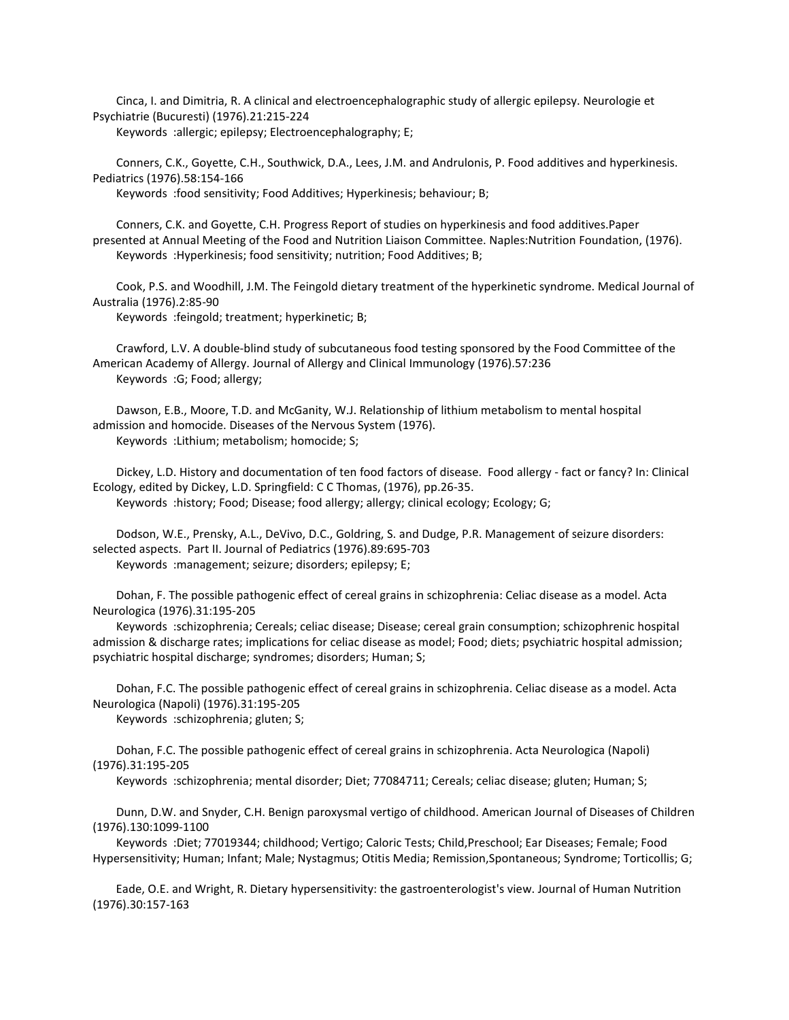Cinca, I. and Dimitria, R. A clinical and electroencephalographic study of allergic epilepsy. Neurologie et Psychiatrie (Bucuresti) (1976).21:215-224

Keywords :allergic; epilepsy; Electroencephalography; E;

 Conners, C.K., Goyette, C.H., Southwick, D.A., Lees, J.M. and Andrulonis, P. Food additives and hyperkinesis. Pediatrics (1976).58:154-166

Keywords :food sensitivity; Food Additives; Hyperkinesis; behaviour; B;

 Conners, C.K. and Goyette, C.H. Progress Report of studies on hyperkinesis and food additives.Paper presented at Annual Meeting of the Food and Nutrition Liaison Committee. Naples:Nutrition Foundation, (1976). Keywords :Hyperkinesis; food sensitivity; nutrition; Food Additives; B;

 Cook, P.S. and Woodhill, J.M. The Feingold dietary treatment of the hyperkinetic syndrome. Medical Journal of Australia (1976).2:85-90

Keywords :feingold; treatment; hyperkinetic; B;

 Crawford, L.V. A double-blind study of subcutaneous food testing sponsored by the Food Committee of the American Academy of Allergy. Journal of Allergy and Clinical Immunology (1976).57:236 Keywords :G; Food; allergy;

 Dawson, E.B., Moore, T.D. and McGanity, W.J. Relationship of lithium metabolism to mental hospital admission and homocide. Diseases of the Nervous System (1976). Keywords :Lithium; metabolism; homocide; S;

 Dickey, L.D. History and documentation of ten food factors of disease. Food allergy - fact or fancy? In: Clinical Ecology, edited by Dickey, L.D. Springfield: C C Thomas, (1976), pp.26-35. Keywords :history; Food; Disease; food allergy; allergy; clinical ecology; Ecology; G;

 Dodson, W.E., Prensky, A.L., DeVivo, D.C., Goldring, S. and Dudge, P.R. Management of seizure disorders: selected aspects. Part II. Journal of Pediatrics (1976).89:695-703 Keywords :management; seizure; disorders; epilepsy; E;

 Dohan, F. The possible pathogenic effect of cereal grains in schizophrenia: Celiac disease as a model. Acta Neurologica (1976).31:195-205

 Keywords :schizophrenia; Cereals; celiac disease; Disease; cereal grain consumption; schizophrenic hospital admission & discharge rates; implications for celiac disease as model; Food; diets; psychiatric hospital admission; psychiatric hospital discharge; syndromes; disorders; Human; S;

 Dohan, F.C. The possible pathogenic effect of cereal grains in schizophrenia. Celiac disease as a model. Acta Neurologica (Napoli) (1976).31:195-205

Keywords :schizophrenia; gluten; S;

 Dohan, F.C. The possible pathogenic effect of cereal grains in schizophrenia. Acta Neurologica (Napoli) (1976).31:195-205

Keywords :schizophrenia; mental disorder; Diet; 77084711; Cereals; celiac disease; gluten; Human; S;

 Dunn, D.W. and Snyder, C.H. Benign paroxysmal vertigo of childhood. American Journal of Diseases of Children (1976).130:1099-1100

 Keywords :Diet; 77019344; childhood; Vertigo; Caloric Tests; Child,Preschool; Ear Diseases; Female; Food Hypersensitivity; Human; Infant; Male; Nystagmus; Otitis Media; Remission,Spontaneous; Syndrome; Torticollis; G;

 Eade, O.E. and Wright, R. Dietary hypersensitivity: the gastroenterologist's view. Journal of Human Nutrition (1976).30:157-163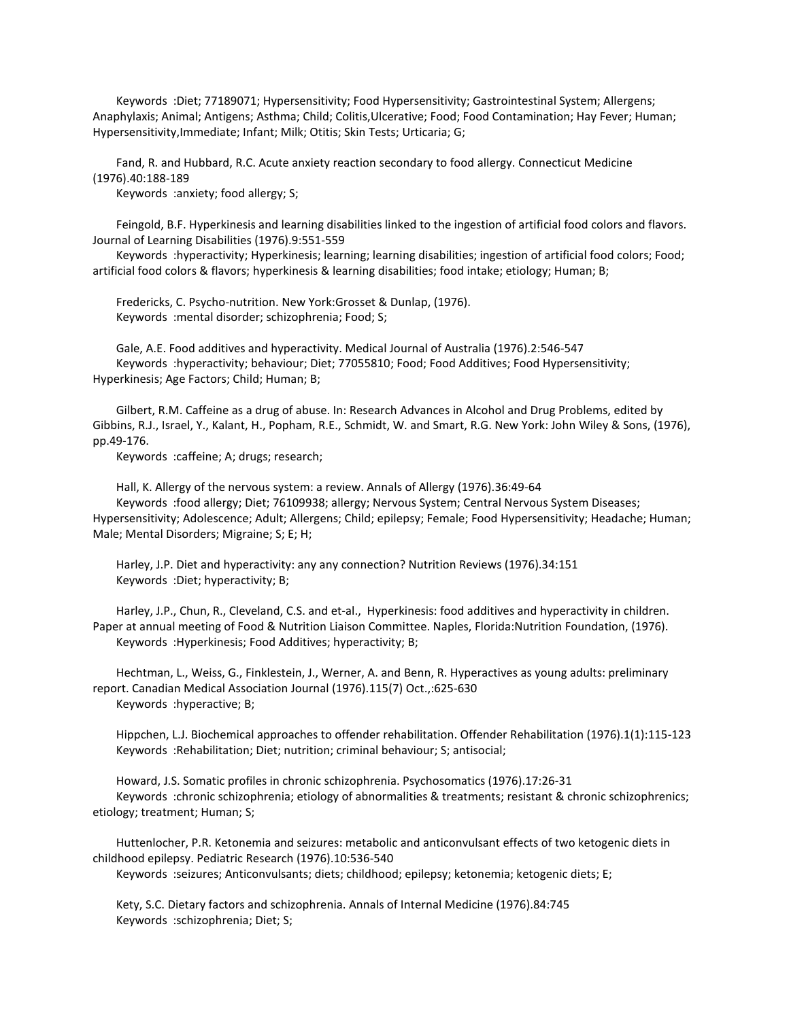Keywords :Diet; 77189071; Hypersensitivity; Food Hypersensitivity; Gastrointestinal System; Allergens; Anaphylaxis; Animal; Antigens; Asthma; Child; Colitis,Ulcerative; Food; Food Contamination; Hay Fever; Human; Hypersensitivity,Immediate; Infant; Milk; Otitis; Skin Tests; Urticaria; G;

 Fand, R. and Hubbard, R.C. Acute anxiety reaction secondary to food allergy. Connecticut Medicine (1976).40:188-189

Keywords :anxiety; food allergy; S;

 Feingold, B.F. Hyperkinesis and learning disabilities linked to the ingestion of artificial food colors and flavors. Journal of Learning Disabilities (1976).9:551-559

 Keywords :hyperactivity; Hyperkinesis; learning; learning disabilities; ingestion of artificial food colors; Food; artificial food colors & flavors; hyperkinesis & learning disabilities; food intake; etiology; Human; B;

 Fredericks, C. Psycho-nutrition. New York:Grosset & Dunlap, (1976). Keywords :mental disorder; schizophrenia; Food; S;

 Gale, A.E. Food additives and hyperactivity. Medical Journal of Australia (1976).2:546-547 Keywords :hyperactivity; behaviour; Diet; 77055810; Food; Food Additives; Food Hypersensitivity; Hyperkinesis; Age Factors; Child; Human; B;

 Gilbert, R.M. Caffeine as a drug of abuse. In: Research Advances in Alcohol and Drug Problems, edited by Gibbins, R.J., Israel, Y., Kalant, H., Popham, R.E., Schmidt, W. and Smart, R.G. New York: John Wiley & Sons, (1976), pp.49-176.

Keywords :caffeine; A; drugs; research;

 Hall, K. Allergy of the nervous system: a review. Annals of Allergy (1976).36:49-64 Keywords :food allergy; Diet; 76109938; allergy; Nervous System; Central Nervous System Diseases; Hypersensitivity; Adolescence; Adult; Allergens; Child; epilepsy; Female; Food Hypersensitivity; Headache; Human; Male; Mental Disorders; Migraine; S; E; H;

 Harley, J.P. Diet and hyperactivity: any any connection? Nutrition Reviews (1976).34:151 Keywords :Diet; hyperactivity; B;

 Harley, J.P., Chun, R., Cleveland, C.S. and et-al., Hyperkinesis: food additives and hyperactivity in children. Paper at annual meeting of Food & Nutrition Liaison Committee. Naples, Florida:Nutrition Foundation, (1976). Keywords :Hyperkinesis; Food Additives; hyperactivity; B;

 Hechtman, L., Weiss, G., Finklestein, J., Werner, A. and Benn, R. Hyperactives as young adults: preliminary report. Canadian Medical Association Journal (1976).115(7) Oct.,:625-630 Keywords :hyperactive; B;

 Hippchen, L.J. Biochemical approaches to offender rehabilitation. Offender Rehabilitation (1976).1(1):115-123 Keywords :Rehabilitation; Diet; nutrition; criminal behaviour; S; antisocial;

 Howard, J.S. Somatic profiles in chronic schizophrenia. Psychosomatics (1976).17:26-31 Keywords :chronic schizophrenia; etiology of abnormalities & treatments; resistant & chronic schizophrenics; etiology; treatment; Human; S;

 Huttenlocher, P.R. Ketonemia and seizures: metabolic and anticonvulsant effects of two ketogenic diets in childhood epilepsy. Pediatric Research (1976).10:536-540

Keywords :seizures; Anticonvulsants; diets; childhood; epilepsy; ketonemia; ketogenic diets; E;

 Kety, S.C. Dietary factors and schizophrenia. Annals of Internal Medicine (1976).84:745 Keywords :schizophrenia; Diet; S;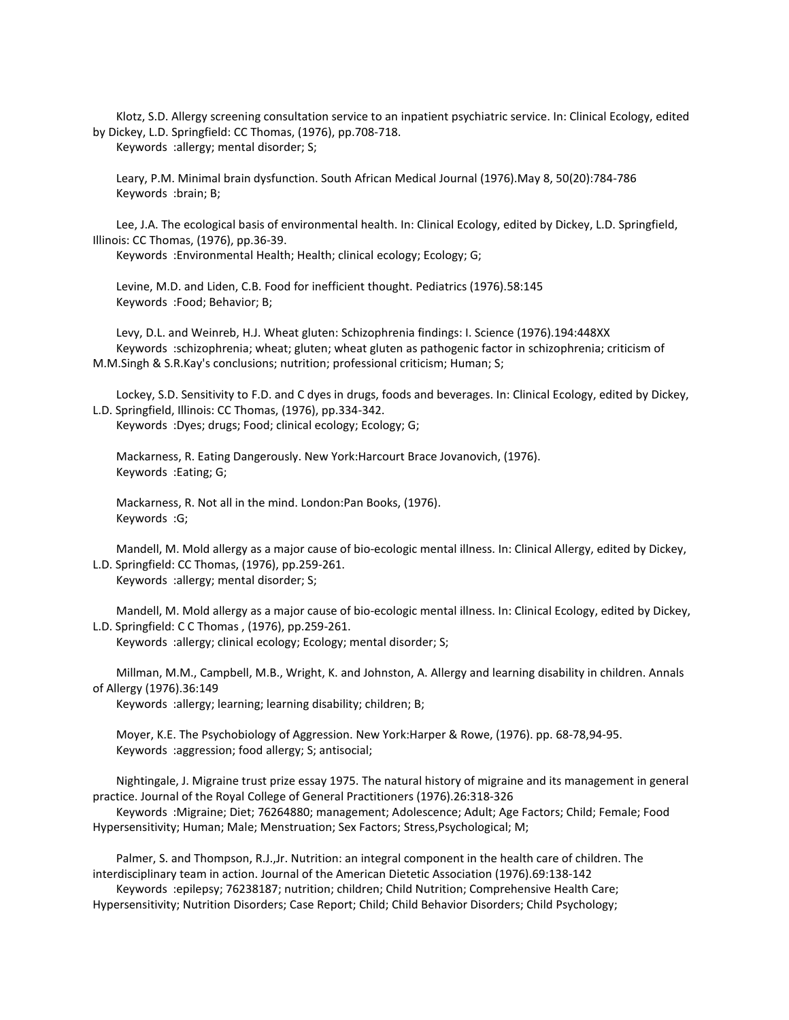Klotz, S.D. Allergy screening consultation service to an inpatient psychiatric service. In: Clinical Ecology, edited by Dickey, L.D. Springfield: CC Thomas, (1976), pp.708-718.

Keywords :allergy; mental disorder; S;

 Leary, P.M. Minimal brain dysfunction. South African Medical Journal (1976).May 8, 50(20):784-786 Keywords :brain; B;

 Lee, J.A. The ecological basis of environmental health. In: Clinical Ecology, edited by Dickey, L.D. Springfield, Illinois: CC Thomas, (1976), pp.36-39.

Keywords :Environmental Health; Health; clinical ecology; Ecology; G;

 Levine, M.D. and Liden, C.B. Food for inefficient thought. Pediatrics (1976).58:145 Keywords :Food; Behavior; B;

 Levy, D.L. and Weinreb, H.J. Wheat gluten: Schizophrenia findings: I. Science (1976).194:448XX Keywords :schizophrenia; wheat; gluten; wheat gluten as pathogenic factor in schizophrenia; criticism of M.M.Singh & S.R.Kay's conclusions; nutrition; professional criticism; Human; S;

 Lockey, S.D. Sensitivity to F.D. and C dyes in drugs, foods and beverages. In: Clinical Ecology, edited by Dickey, L.D. Springfield, Illinois: CC Thomas, (1976), pp.334-342.

Keywords :Dyes; drugs; Food; clinical ecology; Ecology; G;

 Mackarness, R. Eating Dangerously. New York:Harcourt Brace Jovanovich, (1976). Keywords :Eating; G;

 Mackarness, R. Not all in the mind. London:Pan Books, (1976). Keywords :G;

 Mandell, M. Mold allergy as a major cause of bio-ecologic mental illness. In: Clinical Allergy, edited by Dickey, L.D. Springfield: CC Thomas, (1976), pp.259-261.

Keywords :allergy; mental disorder; S;

 Mandell, M. Mold allergy as a major cause of bio-ecologic mental illness. In: Clinical Ecology, edited by Dickey, L.D. Springfield: C C Thomas , (1976), pp.259-261.

Keywords :allergy; clinical ecology; Ecology; mental disorder; S;

 Millman, M.M., Campbell, M.B., Wright, K. and Johnston, A. Allergy and learning disability in children. Annals of Allergy (1976).36:149

Keywords :allergy; learning; learning disability; children; B;

 Moyer, K.E. The Psychobiology of Aggression. New York:Harper & Rowe, (1976). pp. 68-78,94-95. Keywords :aggression; food allergy; S; antisocial;

 Nightingale, J. Migraine trust prize essay 1975. The natural history of migraine and its management in general practice. Journal of the Royal College of General Practitioners (1976).26:318-326

 Keywords :Migraine; Diet; 76264880; management; Adolescence; Adult; Age Factors; Child; Female; Food Hypersensitivity; Human; Male; Menstruation; Sex Factors; Stress,Psychological; M;

 Palmer, S. and Thompson, R.J.,Jr. Nutrition: an integral component in the health care of children. The interdisciplinary team in action. Journal of the American Dietetic Association (1976).69:138-142

 Keywords :epilepsy; 76238187; nutrition; children; Child Nutrition; Comprehensive Health Care; Hypersensitivity; Nutrition Disorders; Case Report; Child; Child Behavior Disorders; Child Psychology;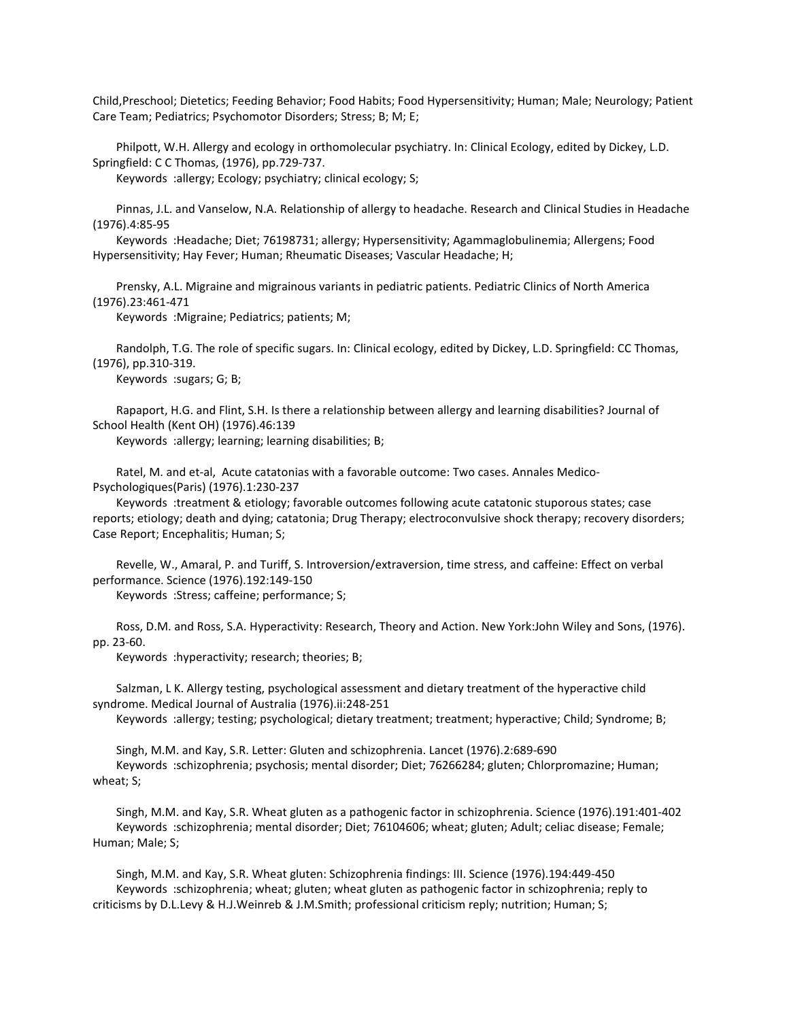Child,Preschool; Dietetics; Feeding Behavior; Food Habits; Food Hypersensitivity; Human; Male; Neurology; Patient Care Team; Pediatrics; Psychomotor Disorders; Stress; B; M; E;

 Philpott, W.H. Allergy and ecology in orthomolecular psychiatry. In: Clinical Ecology, edited by Dickey, L.D. Springfield: C C Thomas, (1976), pp.729-737.

Keywords :allergy; Ecology; psychiatry; clinical ecology; S;

 Pinnas, J.L. and Vanselow, N.A. Relationship of allergy to headache. Research and Clinical Studies in Headache (1976).4:85-95

 Keywords :Headache; Diet; 76198731; allergy; Hypersensitivity; Agammaglobulinemia; Allergens; Food Hypersensitivity; Hay Fever; Human; Rheumatic Diseases; Vascular Headache; H;

 Prensky, A.L. Migraine and migrainous variants in pediatric patients. Pediatric Clinics of North America (1976).23:461-471

Keywords :Migraine; Pediatrics; patients; M;

 Randolph, T.G. The role of specific sugars. In: Clinical ecology, edited by Dickey, L.D. Springfield: CC Thomas, (1976), pp.310-319.

Keywords :sugars; G; B;

 Rapaport, H.G. and Flint, S.H. Is there a relationship between allergy and learning disabilities? Journal of School Health (Kent OH) (1976).46:139

Keywords :allergy; learning; learning disabilities; B;

 Ratel, M. and et-al, Acute catatonias with a favorable outcome: Two cases. Annales Medico-Psychologiques(Paris) (1976).1:230-237

 Keywords :treatment & etiology; favorable outcomes following acute catatonic stuporous states; case reports; etiology; death and dying; catatonia; Drug Therapy; electroconvulsive shock therapy; recovery disorders; Case Report; Encephalitis; Human; S;

 Revelle, W., Amaral, P. and Turiff, S. Introversion/extraversion, time stress, and caffeine: Effect on verbal performance. Science (1976).192:149-150

Keywords :Stress; caffeine; performance; S;

 Ross, D.M. and Ross, S.A. Hyperactivity: Research, Theory and Action. New York:John Wiley and Sons, (1976). pp. 23-60.

Keywords :hyperactivity; research; theories; B;

 Salzman, L K. Allergy testing, psychological assessment and dietary treatment of the hyperactive child syndrome. Medical Journal of Australia (1976).ii:248-251

Keywords :allergy; testing; psychological; dietary treatment; treatment; hyperactive; Child; Syndrome; B;

 Singh, M.M. and Kay, S.R. Letter: Gluten and schizophrenia. Lancet (1976).2:689-690 Keywords :schizophrenia; psychosis; mental disorder; Diet; 76266284; gluten; Chlorpromazine; Human; wheat; S;

 Singh, M.M. and Kay, S.R. Wheat gluten as a pathogenic factor in schizophrenia. Science (1976).191:401-402 Keywords :schizophrenia; mental disorder; Diet; 76104606; wheat; gluten; Adult; celiac disease; Female; Human; Male; S;

 Singh, M.M. and Kay, S.R. Wheat gluten: Schizophrenia findings: III. Science (1976).194:449-450 Keywords :schizophrenia; wheat; gluten; wheat gluten as pathogenic factor in schizophrenia; reply to criticisms by D.L.Levy & H.J.Weinreb & J.M.Smith; professional criticism reply; nutrition; Human; S;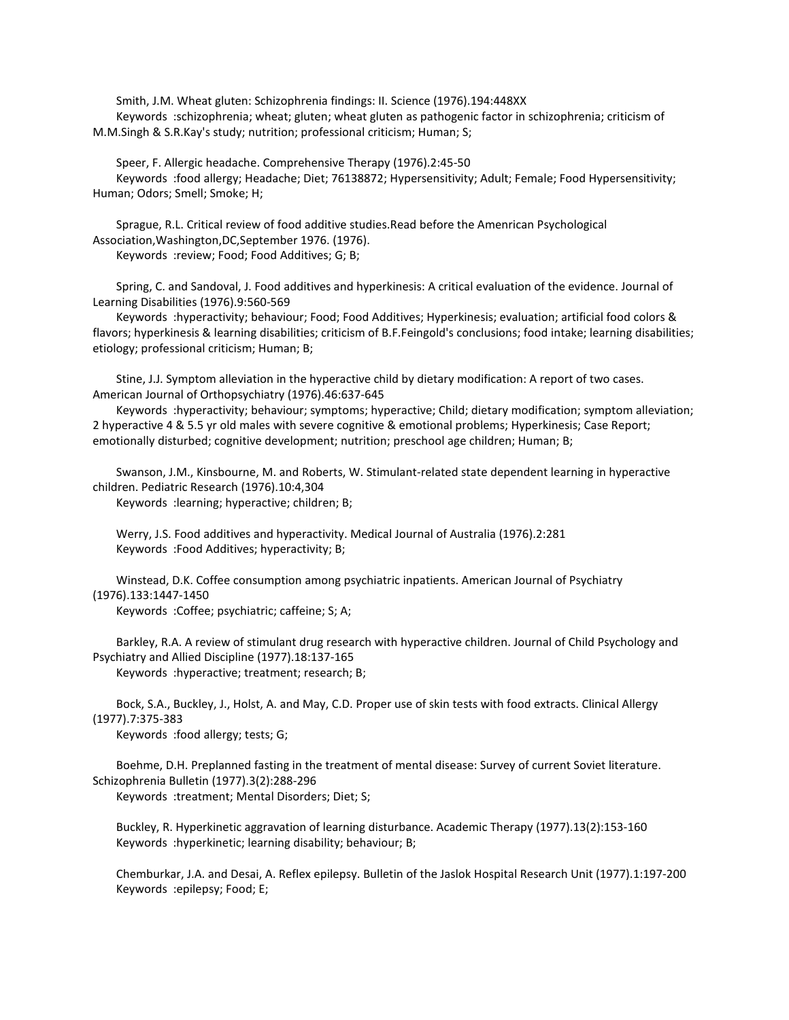Smith, J.M. Wheat gluten: Schizophrenia findings: II. Science (1976).194:448XX Keywords :schizophrenia; wheat; gluten; wheat gluten as pathogenic factor in schizophrenia; criticism of M.M.Singh & S.R.Kay's study; nutrition; professional criticism; Human; S;

 Speer, F. Allergic headache. Comprehensive Therapy (1976).2:45-50 Keywords :food allergy; Headache; Diet; 76138872; Hypersensitivity; Adult; Female; Food Hypersensitivity; Human; Odors; Smell; Smoke; H;

 Sprague, R.L. Critical review of food additive studies.Read before the Amenrican Psychological Association,Washington,DC,September 1976. (1976). Keywords :review; Food; Food Additives; G; B;

 Spring, C. and Sandoval, J. Food additives and hyperkinesis: A critical evaluation of the evidence. Journal of Learning Disabilities (1976).9:560-569

 Keywords :hyperactivity; behaviour; Food; Food Additives; Hyperkinesis; evaluation; artificial food colors & flavors; hyperkinesis & learning disabilities; criticism of B.F.Feingold's conclusions; food intake; learning disabilities; etiology; professional criticism; Human; B;

 Stine, J.J. Symptom alleviation in the hyperactive child by dietary modification: A report of two cases. American Journal of Orthopsychiatry (1976).46:637-645

 Keywords :hyperactivity; behaviour; symptoms; hyperactive; Child; dietary modification; symptom alleviation; 2 hyperactive 4 & 5.5 yr old males with severe cognitive & emotional problems; Hyperkinesis; Case Report; emotionally disturbed; cognitive development; nutrition; preschool age children; Human; B;

 Swanson, J.M., Kinsbourne, M. and Roberts, W. Stimulant-related state dependent learning in hyperactive children. Pediatric Research (1976).10:4,304

Keywords :learning; hyperactive; children; B;

 Werry, J.S. Food additives and hyperactivity. Medical Journal of Australia (1976).2:281 Keywords :Food Additives; hyperactivity; B;

 Winstead, D.K. Coffee consumption among psychiatric inpatients. American Journal of Psychiatry (1976).133:1447-1450

Keywords :Coffee; psychiatric; caffeine; S; A;

 Barkley, R.A. A review of stimulant drug research with hyperactive children. Journal of Child Psychology and Psychiatry and Allied Discipline (1977).18:137-165

Keywords :hyperactive; treatment; research; B;

 Bock, S.A., Buckley, J., Holst, A. and May, C.D. Proper use of skin tests with food extracts. Clinical Allergy (1977).7:375-383

Keywords :food allergy; tests; G;

 Boehme, D.H. Preplanned fasting in the treatment of mental disease: Survey of current Soviet literature. Schizophrenia Bulletin (1977).3(2):288-296

Keywords :treatment; Mental Disorders; Diet; S;

 Buckley, R. Hyperkinetic aggravation of learning disturbance. Academic Therapy (1977).13(2):153-160 Keywords :hyperkinetic; learning disability; behaviour; B;

 Chemburkar, J.A. and Desai, A. Reflex epilepsy. Bulletin of the Jaslok Hospital Research Unit (1977).1:197-200 Keywords :epilepsy; Food; E;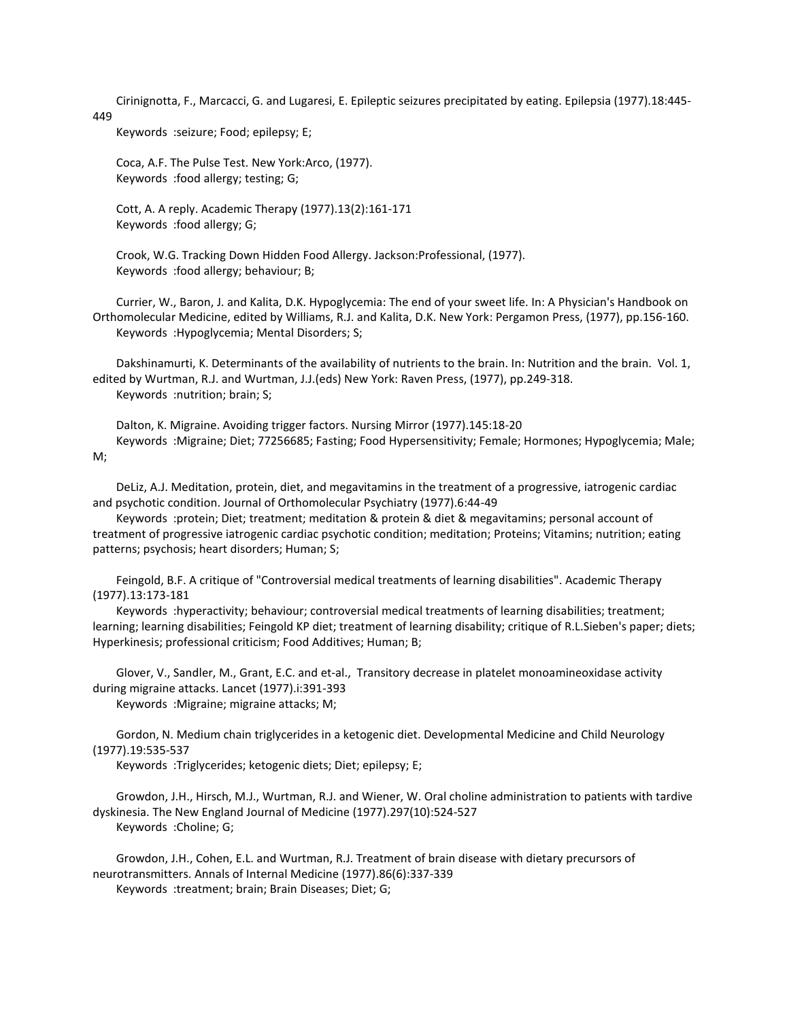Cirinignotta, F., Marcacci, G. and Lugaresi, E. Epileptic seizures precipitated by eating. Epilepsia (1977).18:445- 449

Keywords :seizure; Food; epilepsy; E;

 Coca, A.F. The Pulse Test. New York:Arco, (1977). Keywords :food allergy; testing; G;

 Cott, A. A reply. Academic Therapy (1977).13(2):161-171 Keywords :food allergy; G;

 Crook, W.G. Tracking Down Hidden Food Allergy. Jackson:Professional, (1977). Keywords :food allergy; behaviour; B;

 Currier, W., Baron, J. and Kalita, D.K. Hypoglycemia: The end of your sweet life. In: A Physician's Handbook on Orthomolecular Medicine, edited by Williams, R.J. and Kalita, D.K. New York: Pergamon Press, (1977), pp.156-160. Keywords :Hypoglycemia; Mental Disorders; S;

 Dakshinamurti, K. Determinants of the availability of nutrients to the brain. In: Nutrition and the brain. Vol. 1, edited by Wurtman, R.J. and Wurtman, J.J.(eds) New York: Raven Press, (1977), pp.249-318. Keywords :nutrition; brain; S;

 Dalton, K. Migraine. Avoiding trigger factors. Nursing Mirror (1977).145:18-20 Keywords :Migraine; Diet; 77256685; Fasting; Food Hypersensitivity; Female; Hormones; Hypoglycemia; Male;  $M$ :

 DeLiz, A.J. Meditation, protein, diet, and megavitamins in the treatment of a progressive, iatrogenic cardiac and psychotic condition. Journal of Orthomolecular Psychiatry (1977).6:44-49

 Keywords :protein; Diet; treatment; meditation & protein & diet & megavitamins; personal account of treatment of progressive iatrogenic cardiac psychotic condition; meditation; Proteins; Vitamins; nutrition; eating patterns; psychosis; heart disorders; Human; S;

 Feingold, B.F. A critique of "Controversial medical treatments of learning disabilities". Academic Therapy (1977).13:173-181

 Keywords :hyperactivity; behaviour; controversial medical treatments of learning disabilities; treatment; learning; learning disabilities; Feingold KP diet; treatment of learning disability; critique of R.L.Sieben's paper; diets; Hyperkinesis; professional criticism; Food Additives; Human; B;

 Glover, V., Sandler, M., Grant, E.C. and et-al., Transitory decrease in platelet monoamineoxidase activity during migraine attacks. Lancet (1977).i:391-393

Keywords :Migraine; migraine attacks; M;

 Gordon, N. Medium chain triglycerides in a ketogenic diet. Developmental Medicine and Child Neurology (1977).19:535-537

Keywords :Triglycerides; ketogenic diets; Diet; epilepsy; E;

 Growdon, J.H., Hirsch, M.J., Wurtman, R.J. and Wiener, W. Oral choline administration to patients with tardive dyskinesia. The New England Journal of Medicine (1977).297(10):524-527 Keywords :Choline; G;

 Growdon, J.H., Cohen, E.L. and Wurtman, R.J. Treatment of brain disease with dietary precursors of neurotransmitters. Annals of Internal Medicine (1977).86(6):337-339 Keywords :treatment; brain; Brain Diseases; Diet; G;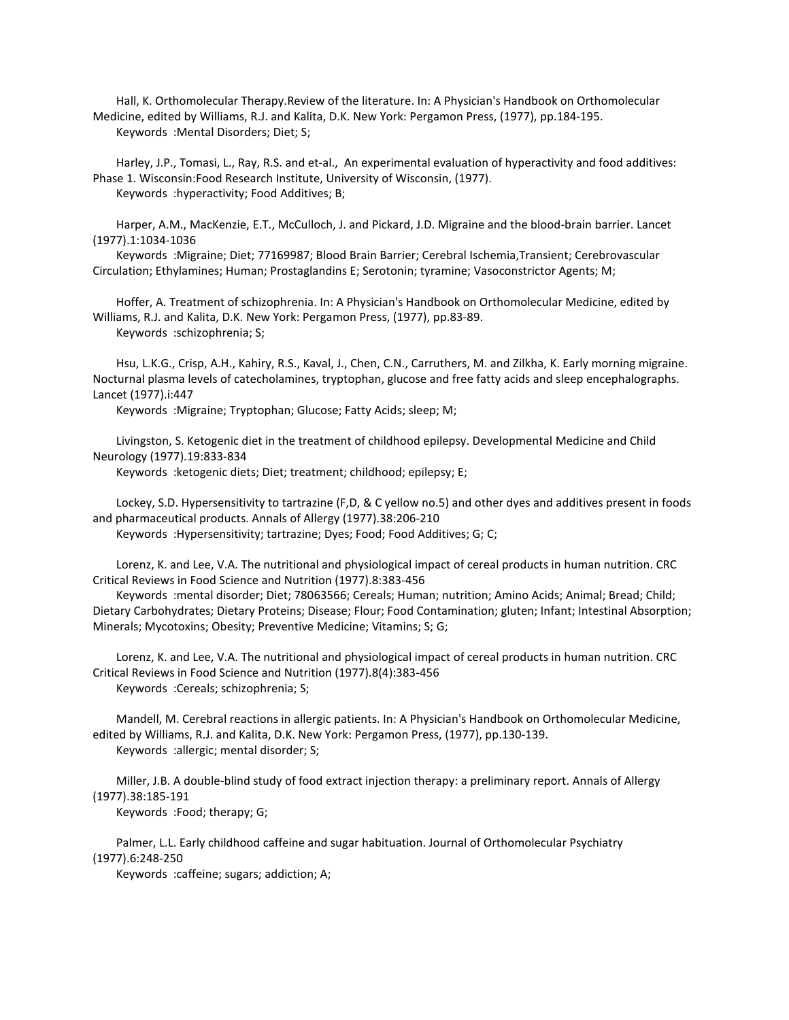Hall, K. Orthomolecular Therapy.Review of the literature. In: A Physician's Handbook on Orthomolecular Medicine, edited by Williams, R.J. and Kalita, D.K. New York: Pergamon Press, (1977), pp.184-195. Keywords :Mental Disorders; Diet; S;

 Harley, J.P., Tomasi, L., Ray, R.S. and et-al., An experimental evaluation of hyperactivity and food additives: Phase 1. Wisconsin:Food Research Institute, University of Wisconsin, (1977). Keywords :hyperactivity; Food Additives; B;

 Harper, A.M., MacKenzie, E.T., McCulloch, J. and Pickard, J.D. Migraine and the blood-brain barrier. Lancet (1977).1:1034-1036

 Keywords :Migraine; Diet; 77169987; Blood Brain Barrier; Cerebral Ischemia,Transient; Cerebrovascular Circulation; Ethylamines; Human; Prostaglandins E; Serotonin; tyramine; Vasoconstrictor Agents; M;

 Hoffer, A. Treatment of schizophrenia. In: A Physician's Handbook on Orthomolecular Medicine, edited by Williams, R.J. and Kalita, D.K. New York: Pergamon Press, (1977), pp.83-89. Keywords :schizophrenia; S;

 Hsu, L.K.G., Crisp, A.H., Kahiry, R.S., Kaval, J., Chen, C.N., Carruthers, M. and Zilkha, K. Early morning migraine. Nocturnal plasma levels of catecholamines, tryptophan, glucose and free fatty acids and sleep encephalographs. Lancet (1977).i:447

Keywords :Migraine; Tryptophan; Glucose; Fatty Acids; sleep; M;

 Livingston, S. Ketogenic diet in the treatment of childhood epilepsy. Developmental Medicine and Child Neurology (1977).19:833-834

Keywords :ketogenic diets; Diet; treatment; childhood; epilepsy; E;

 Lockey, S.D. Hypersensitivity to tartrazine (F,D, & C yellow no.5) and other dyes and additives present in foods and pharmaceutical products. Annals of Allergy (1977).38:206-210

Keywords :Hypersensitivity; tartrazine; Dyes; Food; Food Additives; G; C;

 Lorenz, K. and Lee, V.A. The nutritional and physiological impact of cereal products in human nutrition. CRC Critical Reviews in Food Science and Nutrition (1977).8:383-456

 Keywords :mental disorder; Diet; 78063566; Cereals; Human; nutrition; Amino Acids; Animal; Bread; Child; Dietary Carbohydrates; Dietary Proteins; Disease; Flour; Food Contamination; gluten; Infant; Intestinal Absorption; Minerals; Mycotoxins; Obesity; Preventive Medicine; Vitamins; S; G;

 Lorenz, K. and Lee, V.A. The nutritional and physiological impact of cereal products in human nutrition. CRC Critical Reviews in Food Science and Nutrition (1977).8(4):383-456 Keywords :Cereals; schizophrenia; S;

 Mandell, M. Cerebral reactions in allergic patients. In: A Physician's Handbook on Orthomolecular Medicine, edited by Williams, R.J. and Kalita, D.K. New York: Pergamon Press, (1977), pp.130-139. Keywords :allergic; mental disorder; S;

 Miller, J.B. A double-blind study of food extract injection therapy: a preliminary report. Annals of Allergy (1977).38:185-191

Keywords :Food; therapy; G;

 Palmer, L.L. Early childhood caffeine and sugar habituation. Journal of Orthomolecular Psychiatry (1977).6:248-250

Keywords :caffeine; sugars; addiction; A;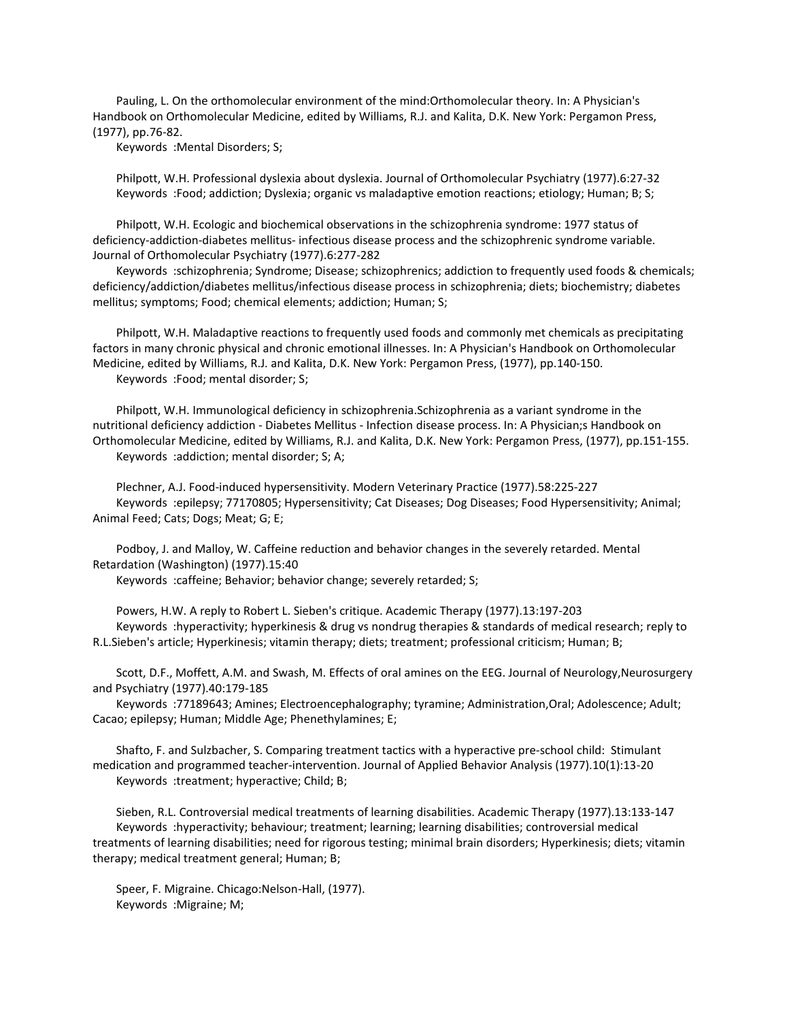Pauling, L. On the orthomolecular environment of the mind:Orthomolecular theory. In: A Physician's Handbook on Orthomolecular Medicine, edited by Williams, R.J. and Kalita, D.K. New York: Pergamon Press, (1977), pp.76-82.

Keywords :Mental Disorders; S;

 Philpott, W.H. Professional dyslexia about dyslexia. Journal of Orthomolecular Psychiatry (1977).6:27-32 Keywords :Food; addiction; Dyslexia; organic vs maladaptive emotion reactions; etiology; Human; B; S;

 Philpott, W.H. Ecologic and biochemical observations in the schizophrenia syndrome: 1977 status of deficiency-addiction-diabetes mellitus- infectious disease process and the schizophrenic syndrome variable. Journal of Orthomolecular Psychiatry (1977).6:277-282

 Keywords :schizophrenia; Syndrome; Disease; schizophrenics; addiction to frequently used foods & chemicals; deficiency/addiction/diabetes mellitus/infectious disease process in schizophrenia; diets; biochemistry; diabetes mellitus; symptoms; Food; chemical elements; addiction; Human; S;

 Philpott, W.H. Maladaptive reactions to frequently used foods and commonly met chemicals as precipitating factors in many chronic physical and chronic emotional illnesses. In: A Physician's Handbook on Orthomolecular Medicine, edited by Williams, R.J. and Kalita, D.K. New York: Pergamon Press, (1977), pp.140-150. Keywords :Food; mental disorder; S;

 Philpott, W.H. Immunological deficiency in schizophrenia.Schizophrenia as a variant syndrome in the nutritional deficiency addiction - Diabetes Mellitus - Infection disease process. In: A Physician;s Handbook on Orthomolecular Medicine, edited by Williams, R.J. and Kalita, D.K. New York: Pergamon Press, (1977), pp.151-155. Keywords :addiction; mental disorder; S; A;

 Plechner, A.J. Food-induced hypersensitivity. Modern Veterinary Practice (1977).58:225-227 Keywords :epilepsy; 77170805; Hypersensitivity; Cat Diseases; Dog Diseases; Food Hypersensitivity; Animal; Animal Feed; Cats; Dogs; Meat; G; E;

 Podboy, J. and Malloy, W. Caffeine reduction and behavior changes in the severely retarded. Mental Retardation (Washington) (1977).15:40

Keywords :caffeine; Behavior; behavior change; severely retarded; S;

 Powers, H.W. A reply to Robert L. Sieben's critique. Academic Therapy (1977).13:197-203 Keywords :hyperactivity; hyperkinesis & drug vs nondrug therapies & standards of medical research; reply to R.L.Sieben's article; Hyperkinesis; vitamin therapy; diets; treatment; professional criticism; Human; B;

 Scott, D.F., Moffett, A.M. and Swash, M. Effects of oral amines on the EEG. Journal of Neurology,Neurosurgery and Psychiatry (1977).40:179-185

 Keywords :77189643; Amines; Electroencephalography; tyramine; Administration,Oral; Adolescence; Adult; Cacao; epilepsy; Human; Middle Age; Phenethylamines; E;

 Shafto, F. and Sulzbacher, S. Comparing treatment tactics with a hyperactive pre-school child: Stimulant medication and programmed teacher-intervention. Journal of Applied Behavior Analysis (1977).10(1):13-20 Keywords :treatment; hyperactive; Child; B;

 Sieben, R.L. Controversial medical treatments of learning disabilities. Academic Therapy (1977).13:133-147 Keywords :hyperactivity; behaviour; treatment; learning; learning disabilities; controversial medical treatments of learning disabilities; need for rigorous testing; minimal brain disorders; Hyperkinesis; diets; vitamin therapy; medical treatment general; Human; B;

 Speer, F. Migraine. Chicago:Nelson-Hall, (1977). Keywords :Migraine; M;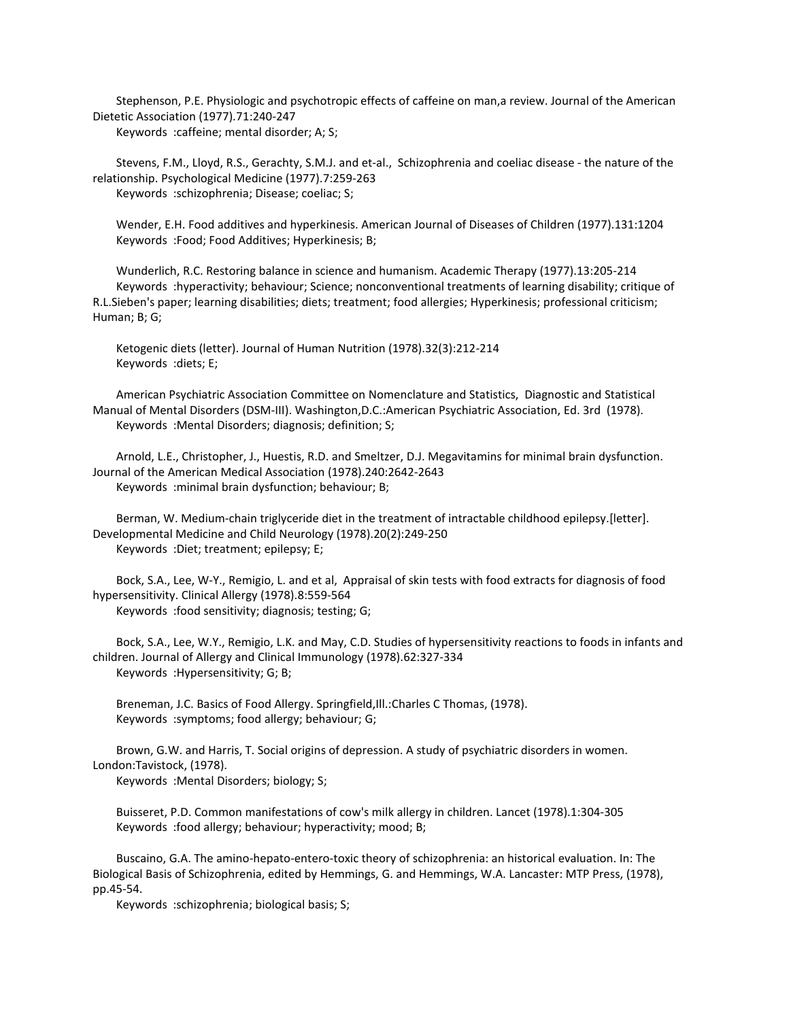Stephenson, P.E. Physiologic and psychotropic effects of caffeine on man,a review. Journal of the American Dietetic Association (1977).71:240-247 Keywords :caffeine; mental disorder; A; S;

 Stevens, F.M., Lloyd, R.S., Gerachty, S.M.J. and et-al., Schizophrenia and coeliac disease - the nature of the relationship. Psychological Medicine (1977).7:259-263 Keywords :schizophrenia; Disease; coeliac; S;

 Wender, E.H. Food additives and hyperkinesis. American Journal of Diseases of Children (1977).131:1204 Keywords :Food; Food Additives; Hyperkinesis; B;

 Wunderlich, R.C. Restoring balance in science and humanism. Academic Therapy (1977).13:205-214 Keywords :hyperactivity; behaviour; Science; nonconventional treatments of learning disability; critique of R.L.Sieben's paper; learning disabilities; diets; treatment; food allergies; Hyperkinesis; professional criticism; Human; B; G;

 Ketogenic diets (letter). Journal of Human Nutrition (1978).32(3):212-214 Keywords :diets; E;

 American Psychiatric Association Committee on Nomenclature and Statistics, Diagnostic and Statistical Manual of Mental Disorders (DSM-III). Washington,D.C.:American Psychiatric Association, Ed. 3rd (1978). Keywords :Mental Disorders; diagnosis; definition; S;

 Arnold, L.E., Christopher, J., Huestis, R.D. and Smeltzer, D.J. Megavitamins for minimal brain dysfunction. Journal of the American Medical Association (1978).240:2642-2643 Keywords :minimal brain dysfunction; behaviour; B;

 Berman, W. Medium-chain triglyceride diet in the treatment of intractable childhood epilepsy.[letter]. Developmental Medicine and Child Neurology (1978).20(2):249-250 Keywords :Diet; treatment; epilepsy; E;

 Bock, S.A., Lee, W-Y., Remigio, L. and et al, Appraisal of skin tests with food extracts for diagnosis of food hypersensitivity. Clinical Allergy (1978).8:559-564 Keywords :food sensitivity; diagnosis; testing; G;

 Bock, S.A., Lee, W.Y., Remigio, L.K. and May, C.D. Studies of hypersensitivity reactions to foods in infants and children. Journal of Allergy and Clinical Immunology (1978).62:327-334 Keywords :Hypersensitivity; G; B;

 Breneman, J.C. Basics of Food Allergy. Springfield,Ill.:Charles C Thomas, (1978). Keywords :symptoms; food allergy; behaviour; G;

 Brown, G.W. and Harris, T. Social origins of depression. A study of psychiatric disorders in women. London:Tavistock, (1978).

Keywords :Mental Disorders; biology; S;

 Buisseret, P.D. Common manifestations of cow's milk allergy in children. Lancet (1978).1:304-305 Keywords :food allergy; behaviour; hyperactivity; mood; B;

 Buscaino, G.A. The amino-hepato-entero-toxic theory of schizophrenia: an historical evaluation. In: The Biological Basis of Schizophrenia, edited by Hemmings, G. and Hemmings, W.A. Lancaster: MTP Press, (1978), pp.45-54.

Keywords :schizophrenia; biological basis; S;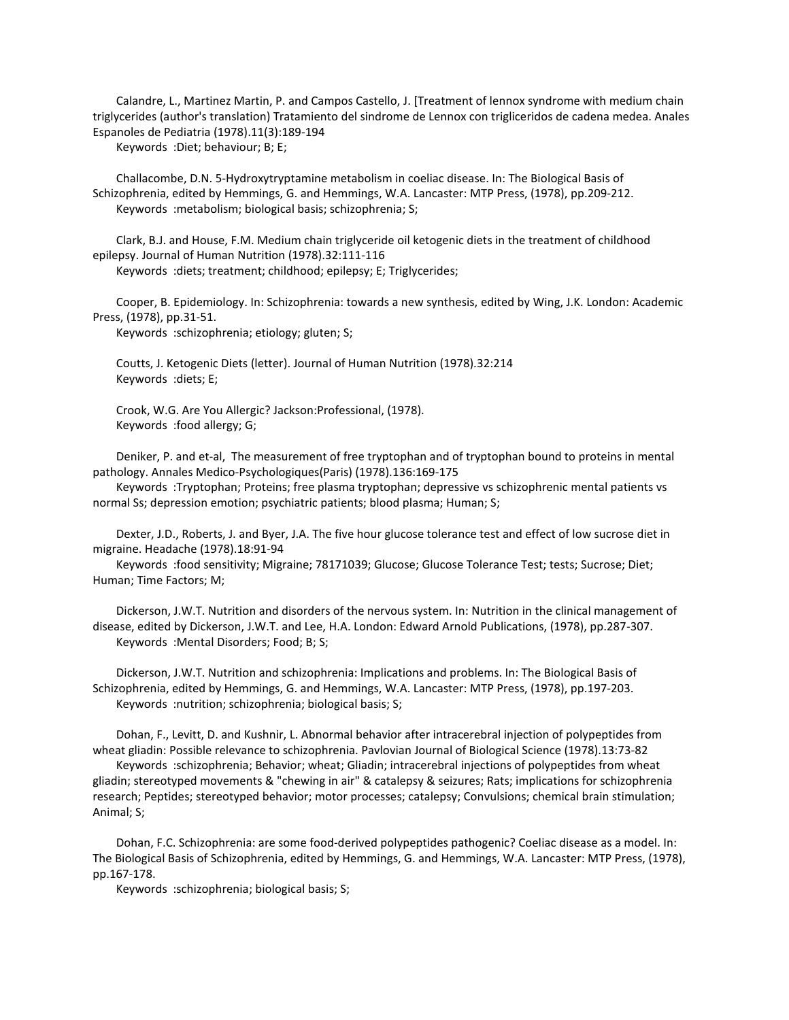Calandre, L., Martinez Martin, P. and Campos Castello, J. [Treatment of lennox syndrome with medium chain triglycerides (author's translation) Tratamiento del sindrome de Lennox con trigliceridos de cadena medea. Anales Espanoles de Pediatria (1978).11(3):189-194

Keywords :Diet; behaviour; B; E;

 Challacombe, D.N. 5-Hydroxytryptamine metabolism in coeliac disease. In: The Biological Basis of Schizophrenia, edited by Hemmings, G. and Hemmings, W.A. Lancaster: MTP Press, (1978), pp.209-212. Keywords :metabolism; biological basis; schizophrenia; S;

 Clark, B.J. and House, F.M. Medium chain triglyceride oil ketogenic diets in the treatment of childhood epilepsy. Journal of Human Nutrition (1978).32:111-116

Keywords :diets; treatment; childhood; epilepsy; E; Triglycerides;

 Cooper, B. Epidemiology. In: Schizophrenia: towards a new synthesis, edited by Wing, J.K. London: Academic Press, (1978), pp.31-51.

Keywords :schizophrenia; etiology; gluten; S;

 Coutts, J. Ketogenic Diets (letter). Journal of Human Nutrition (1978).32:214 Keywords :diets; E;

 Crook, W.G. Are You Allergic? Jackson:Professional, (1978). Keywords :food allergy; G;

 Deniker, P. and et-al, The measurement of free tryptophan and of tryptophan bound to proteins in mental pathology. Annales Medico-Psychologiques(Paris) (1978).136:169-175

 Keywords :Tryptophan; Proteins; free plasma tryptophan; depressive vs schizophrenic mental patients vs normal Ss; depression emotion; psychiatric patients; blood plasma; Human; S;

 Dexter, J.D., Roberts, J. and Byer, J.A. The five hour glucose tolerance test and effect of low sucrose diet in migraine. Headache (1978).18:91-94

 Keywords :food sensitivity; Migraine; 78171039; Glucose; Glucose Tolerance Test; tests; Sucrose; Diet; Human; Time Factors; M;

 Dickerson, J.W.T. Nutrition and disorders of the nervous system. In: Nutrition in the clinical management of disease, edited by Dickerson, J.W.T. and Lee, H.A. London: Edward Arnold Publications, (1978), pp.287-307. Keywords :Mental Disorders; Food; B; S;

 Dickerson, J.W.T. Nutrition and schizophrenia: Implications and problems. In: The Biological Basis of Schizophrenia, edited by Hemmings, G. and Hemmings, W.A. Lancaster: MTP Press, (1978), pp.197-203. Keywords :nutrition; schizophrenia; biological basis; S;

 Dohan, F., Levitt, D. and Kushnir, L. Abnormal behavior after intracerebral injection of polypeptides from wheat gliadin: Possible relevance to schizophrenia. Pavlovian Journal of Biological Science (1978).13:73-82

 Keywords :schizophrenia; Behavior; wheat; Gliadin; intracerebral injections of polypeptides from wheat gliadin; stereotyped movements & "chewing in air" & catalepsy & seizures; Rats; implications for schizophrenia research; Peptides; stereotyped behavior; motor processes; catalepsy; Convulsions; chemical brain stimulation; Animal; S;

 Dohan, F.C. Schizophrenia: are some food-derived polypeptides pathogenic? Coeliac disease as a model. In: The Biological Basis of Schizophrenia, edited by Hemmings, G. and Hemmings, W.A. Lancaster: MTP Press, (1978), pp.167-178.

Keywords :schizophrenia; biological basis; S;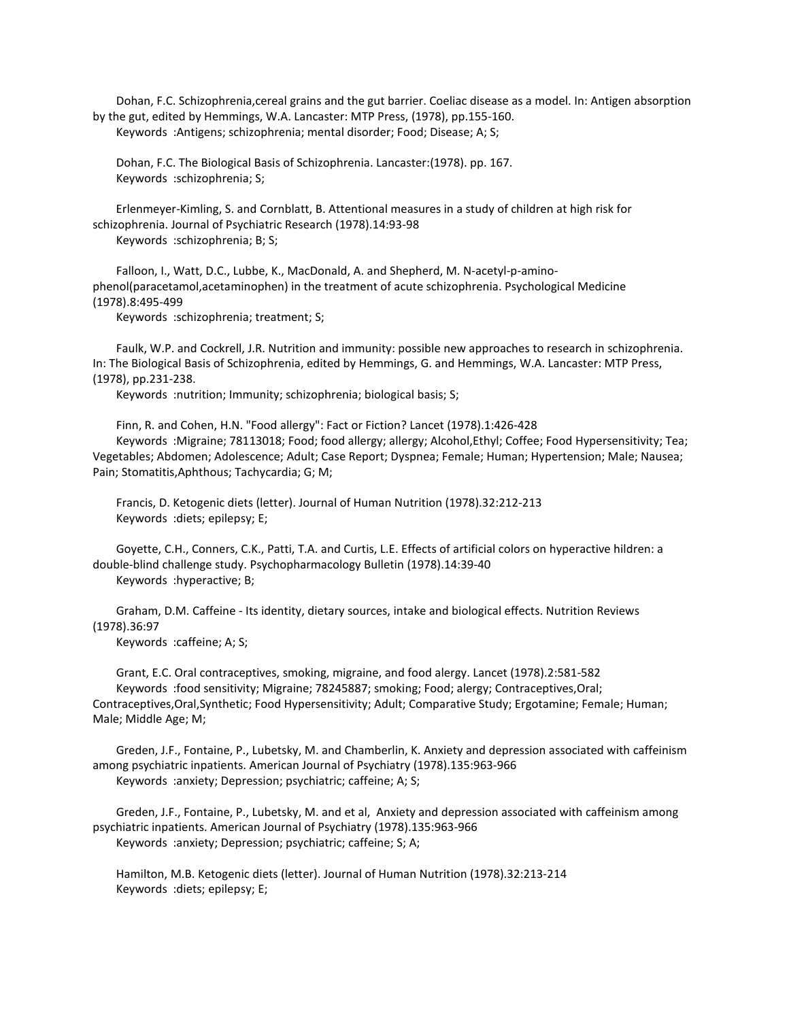Dohan, F.C. Schizophrenia,cereal grains and the gut barrier. Coeliac disease as a model. In: Antigen absorption by the gut, edited by Hemmings, W.A. Lancaster: MTP Press, (1978), pp.155-160. Keywords :Antigens; schizophrenia; mental disorder; Food; Disease; A; S;

 Dohan, F.C. The Biological Basis of Schizophrenia. Lancaster:(1978). pp. 167. Keywords :schizophrenia; S;

 Erlenmeyer-Kimling, S. and Cornblatt, B. Attentional measures in a study of children at high risk for schizophrenia. Journal of Psychiatric Research (1978).14:93-98 Keywords :schizophrenia; B; S;

 Falloon, I., Watt, D.C., Lubbe, K., MacDonald, A. and Shepherd, M. N-acetyl-p-aminophenol(paracetamol,acetaminophen) in the treatment of acute schizophrenia. Psychological Medicine (1978).8:495-499

Keywords :schizophrenia; treatment; S;

 Faulk, W.P. and Cockrell, J.R. Nutrition and immunity: possible new approaches to research in schizophrenia. In: The Biological Basis of Schizophrenia, edited by Hemmings, G. and Hemmings, W.A. Lancaster: MTP Press, (1978), pp.231-238.

Keywords :nutrition; Immunity; schizophrenia; biological basis; S;

 Finn, R. and Cohen, H.N. "Food allergy": Fact or Fiction? Lancet (1978).1:426-428 Keywords :Migraine; 78113018; Food; food allergy; allergy; Alcohol,Ethyl; Coffee; Food Hypersensitivity; Tea; Vegetables; Abdomen; Adolescence; Adult; Case Report; Dyspnea; Female; Human; Hypertension; Male; Nausea; Pain; Stomatitis,Aphthous; Tachycardia; G; M;

 Francis, D. Ketogenic diets (letter). Journal of Human Nutrition (1978).32:212-213 Keywords :diets; epilepsy; E;

 Goyette, C.H., Conners, C.K., Patti, T.A. and Curtis, L.E. Effects of artificial colors on hyperactive hildren: a double-blind challenge study. Psychopharmacology Bulletin (1978).14:39-40 Keywords :hyperactive; B;

 Graham, D.M. Caffeine - Its identity, dietary sources, intake and biological effects. Nutrition Reviews (1978).36:97

Keywords :caffeine; A; S;

 Grant, E.C. Oral contraceptives, smoking, migraine, and food alergy. Lancet (1978).2:581-582 Keywords :food sensitivity; Migraine; 78245887; smoking; Food; alergy; Contraceptives,Oral; Contraceptives,Oral,Synthetic; Food Hypersensitivity; Adult; Comparative Study; Ergotamine; Female; Human; Male; Middle Age; M;

 Greden, J.F., Fontaine, P., Lubetsky, M. and Chamberlin, K. Anxiety and depression associated with caffeinism among psychiatric inpatients. American Journal of Psychiatry (1978).135:963-966 Keywords :anxiety; Depression; psychiatric; caffeine; A; S;

 Greden, J.F., Fontaine, P., Lubetsky, M. and et al, Anxiety and depression associated with caffeinism among psychiatric inpatients. American Journal of Psychiatry (1978).135:963-966 Keywords :anxiety; Depression; psychiatric; caffeine; S; A;

 Hamilton, M.B. Ketogenic diets (letter). Journal of Human Nutrition (1978).32:213-214 Keywords :diets; epilepsy; E;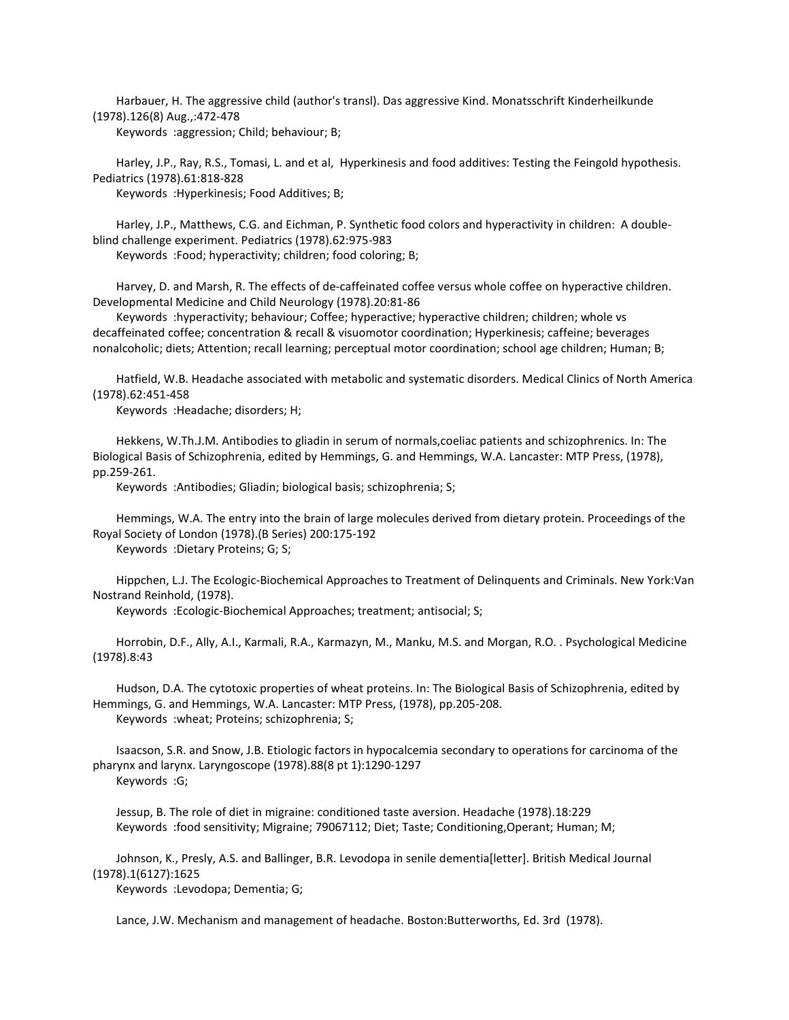Harbauer, H. The aggressive child (author's transl). Das aggressive Kind. Monatsschrift Kinderheilkunde (1978).126(8) Aug.,:472-478

Keywords :aggression; Child; behaviour; B;

 Harley, J.P., Ray, R.S., Tomasi, L. and et al, Hyperkinesis and food additives: Testing the Feingold hypothesis. Pediatrics (1978).61:818-828

Keywords :Hyperkinesis; Food Additives; B;

 Harley, J.P., Matthews, C.G. and Eichman, P. Synthetic food colors and hyperactivity in children: A doubleblind challenge experiment. Pediatrics (1978).62:975-983

Keywords :Food; hyperactivity; children; food coloring; B;

 Harvey, D. and Marsh, R. The effects of de-caffeinated coffee versus whole coffee on hyperactive children. Developmental Medicine and Child Neurology (1978).20:81-86

 Keywords :hyperactivity; behaviour; Coffee; hyperactive; hyperactive children; children; whole vs decaffeinated coffee; concentration & recall & visuomotor coordination; Hyperkinesis; caffeine; beverages nonalcoholic; diets; Attention; recall learning; perceptual motor coordination; school age children; Human; B;

 Hatfield, W.B. Headache associated with metabolic and systematic disorders. Medical Clinics of North America (1978).62:451-458

Keywords :Headache; disorders; H;

 Hekkens, W.Th.J.M. Antibodies to gliadin in serum of normals,coeliac patients and schizophrenics. In: The Biological Basis of Schizophrenia, edited by Hemmings, G. and Hemmings, W.A. Lancaster: MTP Press, (1978), pp.259-261.

Keywords :Antibodies; Gliadin; biological basis; schizophrenia; S;

 Hemmings, W.A. The entry into the brain of large molecules derived from dietary protein. Proceedings of the Royal Society of London (1978).(B Series) 200:175-192

Keywords :Dietary Proteins; G; S;

 Hippchen, L.J. The Ecologic-Biochemical Approaches to Treatment of Delinquents and Criminals. New York:Van Nostrand Reinhold, (1978).

Keywords :Ecologic-Biochemical Approaches; treatment; antisocial; S;

 Horrobin, D.F., Ally, A.I., Karmali, R.A., Karmazyn, M., Manku, M.S. and Morgan, R.O. . Psychological Medicine (1978).8:43

 Hudson, D.A. The cytotoxic properties of wheat proteins. In: The Biological Basis of Schizophrenia, edited by Hemmings, G. and Hemmings, W.A. Lancaster: MTP Press, (1978), pp.205-208. Keywords :wheat; Proteins; schizophrenia; S;

 Isaacson, S.R. and Snow, J.B. Etiologic factors in hypocalcemia secondary to operations for carcinoma of the pharynx and larynx. Laryngoscope (1978).88(8 pt 1):1290-1297 Keywords :G;

 Jessup, B. The role of diet in migraine: conditioned taste aversion. Headache (1978).18:229 Keywords :food sensitivity; Migraine; 79067112; Diet; Taste; Conditioning,Operant; Human; M;

 Johnson, K., Presly, A.S. and Ballinger, B.R. Levodopa in senile dementia[letter]. British Medical Journal (1978).1(6127):1625

Keywords :Levodopa; Dementia; G;

Lance, J.W. Mechanism and management of headache. Boston:Butterworths, Ed. 3rd (1978).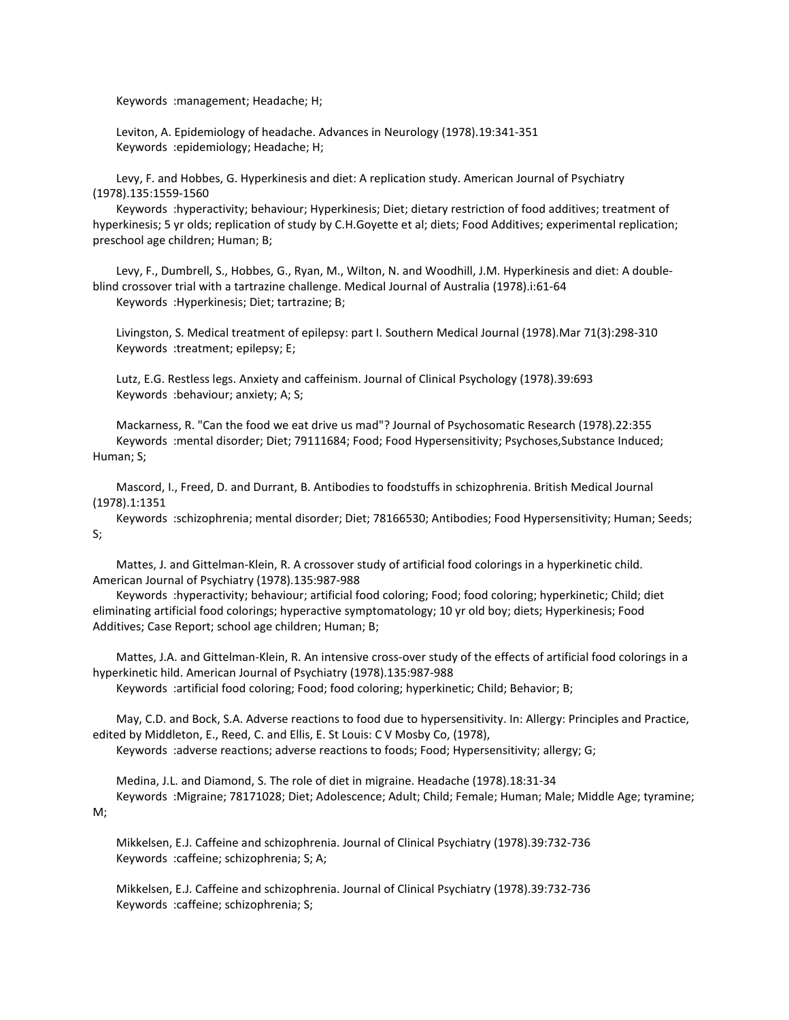Keywords :management; Headache; H;

 Leviton, A. Epidemiology of headache. Advances in Neurology (1978).19:341-351 Keywords :epidemiology; Headache; H;

 Levy, F. and Hobbes, G. Hyperkinesis and diet: A replication study. American Journal of Psychiatry (1978).135:1559-1560

 Keywords :hyperactivity; behaviour; Hyperkinesis; Diet; dietary restriction of food additives; treatment of hyperkinesis; 5 yr olds; replication of study by C.H.Goyette et al; diets; Food Additives; experimental replication; preschool age children; Human; B;

 Levy, F., Dumbrell, S., Hobbes, G., Ryan, M., Wilton, N. and Woodhill, J.M. Hyperkinesis and diet: A doubleblind crossover trial with a tartrazine challenge. Medical Journal of Australia (1978).i:61-64 Keywords :Hyperkinesis; Diet; tartrazine; B;

 Livingston, S. Medical treatment of epilepsy: part I. Southern Medical Journal (1978).Mar 71(3):298-310 Keywords :treatment; epilepsy; E;

 Lutz, E.G. Restless legs. Anxiety and caffeinism. Journal of Clinical Psychology (1978).39:693 Keywords :behaviour; anxiety; A; S;

 Mackarness, R. "Can the food we eat drive us mad"? Journal of Psychosomatic Research (1978).22:355 Keywords :mental disorder; Diet; 79111684; Food; Food Hypersensitivity; Psychoses,Substance Induced; Human; S;

 Mascord, I., Freed, D. and Durrant, B. Antibodies to foodstuffs in schizophrenia. British Medical Journal (1978).1:1351

 Keywords :schizophrenia; mental disorder; Diet; 78166530; Antibodies; Food Hypersensitivity; Human; Seeds; S;

 Mattes, J. and Gittelman-Klein, R. A crossover study of artificial food colorings in a hyperkinetic child. American Journal of Psychiatry (1978).135:987-988

 Keywords :hyperactivity; behaviour; artificial food coloring; Food; food coloring; hyperkinetic; Child; diet eliminating artificial food colorings; hyperactive symptomatology; 10 yr old boy; diets; Hyperkinesis; Food Additives; Case Report; school age children; Human; B;

 Mattes, J.A. and Gittelman-Klein, R. An intensive cross-over study of the effects of artificial food colorings in a hyperkinetic hild. American Journal of Psychiatry (1978).135:987-988

Keywords :artificial food coloring; Food; food coloring; hyperkinetic; Child; Behavior; B;

 May, C.D. and Bock, S.A. Adverse reactions to food due to hypersensitivity. In: Allergy: Principles and Practice, edited by Middleton, E., Reed, C. and Ellis, E. St Louis: C V Mosby Co, (1978), Keywords :adverse reactions; adverse reactions to foods; Food; Hypersensitivity; allergy; G;

 Medina, J.L. and Diamond, S. The role of diet in migraine. Headache (1978).18:31-34 Keywords :Migraine; 78171028; Diet; Adolescence; Adult; Child; Female; Human; Male; Middle Age; tyramine;

M;

 Mikkelsen, E.J. Caffeine and schizophrenia. Journal of Clinical Psychiatry (1978).39:732-736 Keywords :caffeine; schizophrenia; S; A;

 Mikkelsen, E.J. Caffeine and schizophrenia. Journal of Clinical Psychiatry (1978).39:732-736 Keywords :caffeine; schizophrenia; S;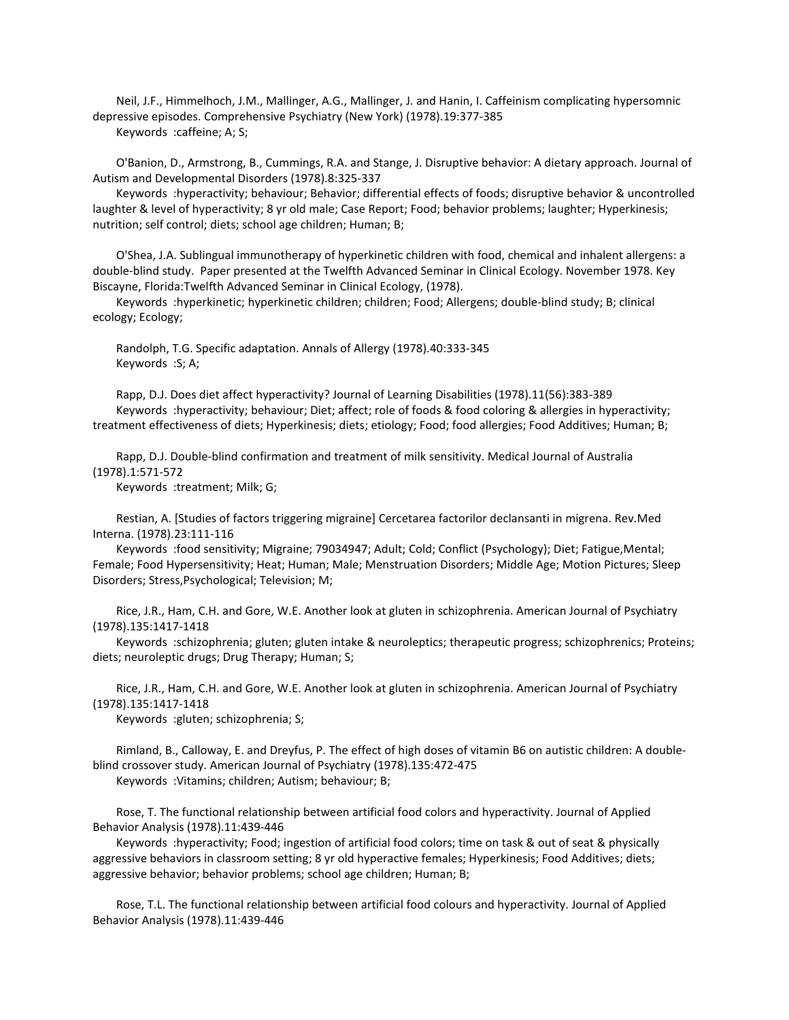Neil, J.F., Himmelhoch, J.M., Mallinger, A.G., Mallinger, J. and Hanin, I. Caffeinism complicating hypersomnic depressive episodes. Comprehensive Psychiatry (New York) (1978).19:377-385 Keywords :caffeine; A; S;

 O'Banion, D., Armstrong, B., Cummings, R.A. and Stange, J. Disruptive behavior: A dietary approach. Journal of Autism and Developmental Disorders (1978).8:325-337

 Keywords :hyperactivity; behaviour; Behavior; differential effects of foods; disruptive behavior & uncontrolled laughter & level of hyperactivity; 8 yr old male; Case Report; Food; behavior problems; laughter; Hyperkinesis; nutrition; self control; diets; school age children; Human; B;

 O'Shea, J.A. Sublingual immunotherapy of hyperkinetic children with food, chemical and inhalent allergens: a double-blind study. Paper presented at the Twelfth Advanced Seminar in Clinical Ecology. November 1978. Key Biscayne, Florida:Twelfth Advanced Seminar in Clinical Ecology, (1978).

 Keywords :hyperkinetic; hyperkinetic children; children; Food; Allergens; double-blind study; B; clinical ecology; Ecology;

 Randolph, T.G. Specific adaptation. Annals of Allergy (1978).40:333-345 Keywords :S; A;

 Rapp, D.J. Does diet affect hyperactivity? Journal of Learning Disabilities (1978).11(56):383-389 Keywords :hyperactivity; behaviour; Diet; affect; role of foods & food coloring & allergies in hyperactivity; treatment effectiveness of diets; Hyperkinesis; diets; etiology; Food; food allergies; Food Additives; Human; B;

 Rapp, D.J. Double-blind confirmation and treatment of milk sensitivity. Medical Journal of Australia (1978).1:571-572

Keywords :treatment; Milk; G;

 Restian, A. [Studies of factors triggering migraine] Cercetarea factorilor declansanti in migrena. Rev.Med Interna. (1978).23:111-116

 Keywords :food sensitivity; Migraine; 79034947; Adult; Cold; Conflict (Psychology); Diet; Fatigue,Mental; Female; Food Hypersensitivity; Heat; Human; Male; Menstruation Disorders; Middle Age; Motion Pictures; Sleep Disorders; Stress,Psychological; Television; M;

 Rice, J.R., Ham, C.H. and Gore, W.E. Another look at gluten in schizophrenia. American Journal of Psychiatry (1978).135:1417-1418

 Keywords :schizophrenia; gluten; gluten intake & neuroleptics; therapeutic progress; schizophrenics; Proteins; diets; neuroleptic drugs; Drug Therapy; Human; S;

 Rice, J.R., Ham, C.H. and Gore, W.E. Another look at gluten in schizophrenia. American Journal of Psychiatry (1978).135:1417-1418

Keywords :gluten; schizophrenia; S;

 Rimland, B., Calloway, E. and Dreyfus, P. The effect of high doses of vitamin B6 on autistic children: A doubleblind crossover study. American Journal of Psychiatry (1978).135:472-475

Keywords :Vitamins; children; Autism; behaviour; B;

 Rose, T. The functional relationship between artificial food colors and hyperactivity. Journal of Applied Behavior Analysis (1978).11:439-446

 Keywords :hyperactivity; Food; ingestion of artificial food colors; time on task & out of seat & physically aggressive behaviors in classroom setting; 8 yr old hyperactive females; Hyperkinesis; Food Additives; diets; aggressive behavior; behavior problems; school age children; Human; B;

 Rose, T.L. The functional relationship between artificial food colours and hyperactivity. Journal of Applied Behavior Analysis (1978).11:439-446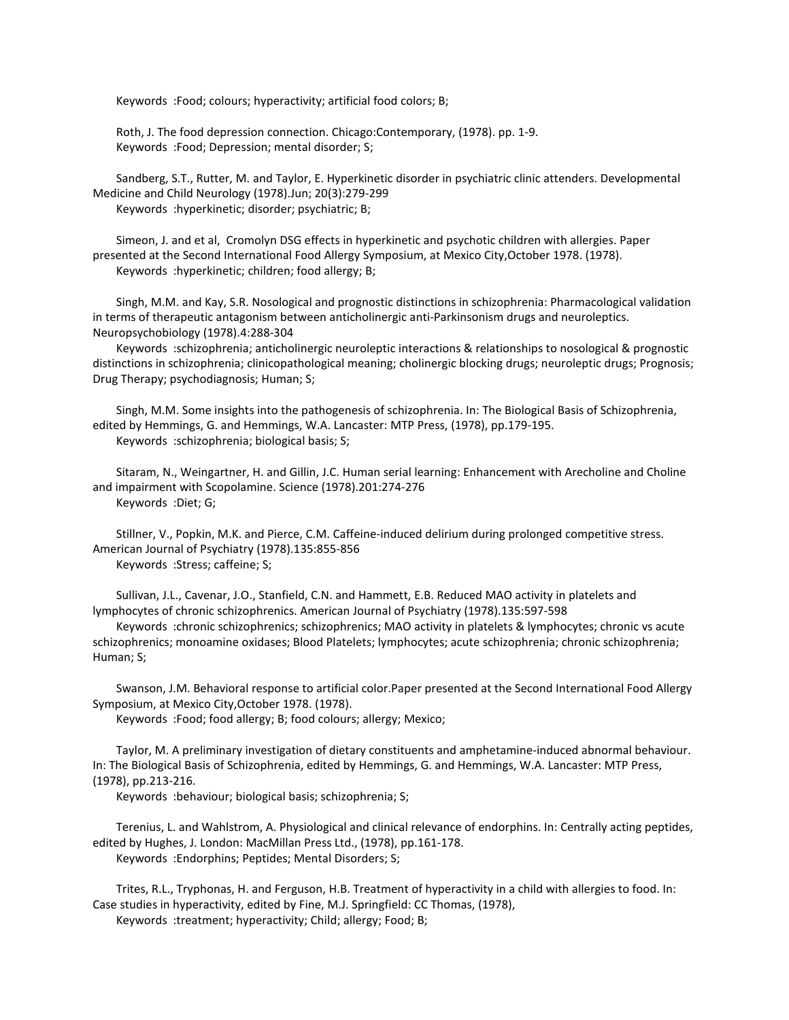Keywords :Food; colours; hyperactivity; artificial food colors; B;

 Roth, J. The food depression connection. Chicago:Contemporary, (1978). pp. 1-9. Keywords :Food; Depression; mental disorder; S;

 Sandberg, S.T., Rutter, M. and Taylor, E. Hyperkinetic disorder in psychiatric clinic attenders. Developmental Medicine and Child Neurology (1978).Jun; 20(3):279-299 Keywords :hyperkinetic; disorder; psychiatric; B;

 Simeon, J. and et al, Cromolyn DSG effects in hyperkinetic and psychotic children with allergies. Paper presented at the Second International Food Allergy Symposium, at Mexico City,October 1978. (1978). Keywords :hyperkinetic; children; food allergy; B;

 Singh, M.M. and Kay, S.R. Nosological and prognostic distinctions in schizophrenia: Pharmacological validation in terms of therapeutic antagonism between anticholinergic anti-Parkinsonism drugs and neuroleptics. Neuropsychobiology (1978).4:288-304

 Keywords :schizophrenia; anticholinergic neuroleptic interactions & relationships to nosological & prognostic distinctions in schizophrenia; clinicopathological meaning; cholinergic blocking drugs; neuroleptic drugs; Prognosis; Drug Therapy; psychodiagnosis; Human; S;

 Singh, M.M. Some insights into the pathogenesis of schizophrenia. In: The Biological Basis of Schizophrenia, edited by Hemmings, G. and Hemmings, W.A. Lancaster: MTP Press, (1978), pp.179-195. Keywords :schizophrenia; biological basis; S;

 Sitaram, N., Weingartner, H. and Gillin, J.C. Human serial learning: Enhancement with Arecholine and Choline and impairment with Scopolamine. Science (1978).201:274-276 Keywords :Diet; G;

 Stillner, V., Popkin, M.K. and Pierce, C.M. Caffeine-induced delirium during prolonged competitive stress. American Journal of Psychiatry (1978).135:855-856 Keywords :Stress; caffeine; S;

 Sullivan, J.L., Cavenar, J.O., Stanfield, C.N. and Hammett, E.B. Reduced MAO activity in platelets and lymphocytes of chronic schizophrenics. American Journal of Psychiatry (1978).135:597-598

 Keywords :chronic schizophrenics; schizophrenics; MAO activity in platelets & lymphocytes; chronic vs acute schizophrenics; monoamine oxidases; Blood Platelets; lymphocytes; acute schizophrenia; chronic schizophrenia; Human; S;

 Swanson, J.M. Behavioral response to artificial color.Paper presented at the Second International Food Allergy Symposium, at Mexico City,October 1978. (1978).

Keywords :Food; food allergy; B; food colours; allergy; Mexico;

 Taylor, M. A preliminary investigation of dietary constituents and amphetamine-induced abnormal behaviour. In: The Biological Basis of Schizophrenia, edited by Hemmings, G. and Hemmings, W.A. Lancaster: MTP Press, (1978), pp.213-216.

Keywords :behaviour; biological basis; schizophrenia; S;

 Terenius, L. and Wahlstrom, A. Physiological and clinical relevance of endorphins. In: Centrally acting peptides, edited by Hughes, J. London: MacMillan Press Ltd., (1978), pp.161-178. Keywords :Endorphins; Peptides; Mental Disorders; S;

 Trites, R.L., Tryphonas, H. and Ferguson, H.B. Treatment of hyperactivity in a child with allergies to food. In: Case studies in hyperactivity, edited by Fine, M.J. Springfield: CC Thomas, (1978),

Keywords :treatment; hyperactivity; Child; allergy; Food; B;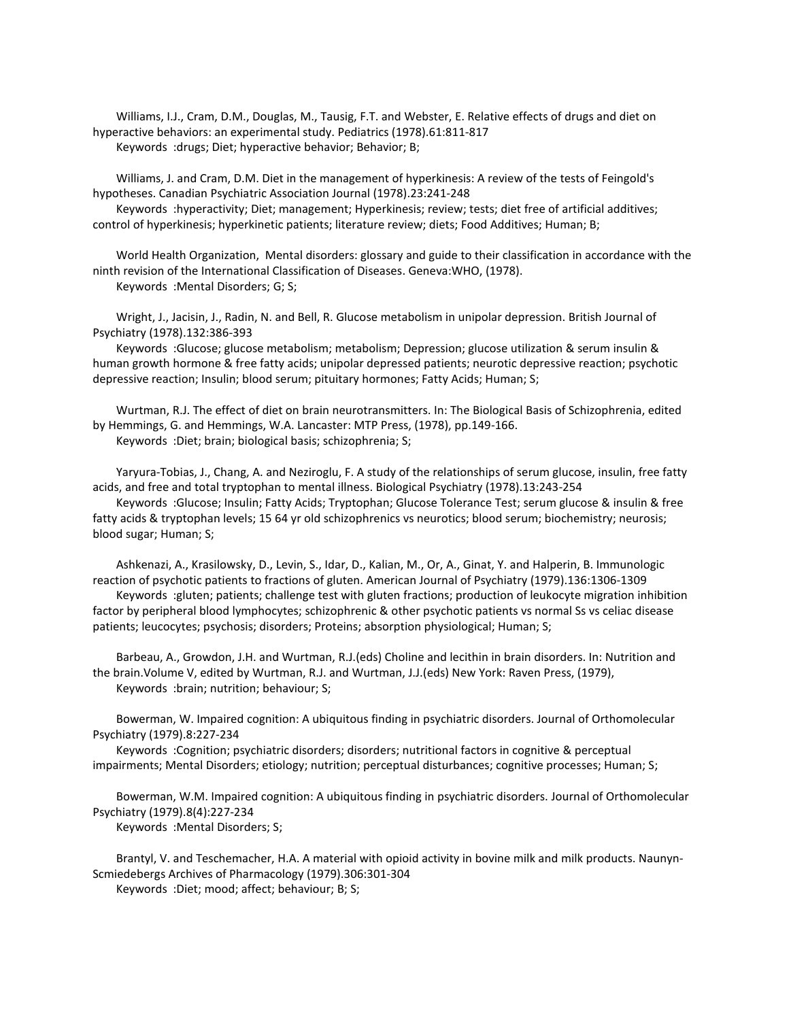Williams, I.J., Cram, D.M., Douglas, M., Tausig, F.T. and Webster, E. Relative effects of drugs and diet on hyperactive behaviors: an experimental study. Pediatrics (1978).61:811-817 Keywords :drugs; Diet; hyperactive behavior; Behavior; B;

 Williams, J. and Cram, D.M. Diet in the management of hyperkinesis: A review of the tests of Feingold's hypotheses. Canadian Psychiatric Association Journal (1978).23:241-248

 Keywords :hyperactivity; Diet; management; Hyperkinesis; review; tests; diet free of artificial additives; control of hyperkinesis; hyperkinetic patients; literature review; diets; Food Additives; Human; B;

 World Health Organization, Mental disorders: glossary and guide to their classification in accordance with the ninth revision of the International Classification of Diseases. Geneva:WHO, (1978). Keywords :Mental Disorders; G; S;

 Wright, J., Jacisin, J., Radin, N. and Bell, R. Glucose metabolism in unipolar depression. British Journal of Psychiatry (1978).132:386-393

 Keywords :Glucose; glucose metabolism; metabolism; Depression; glucose utilization & serum insulin & human growth hormone & free fatty acids; unipolar depressed patients; neurotic depressive reaction; psychotic depressive reaction; Insulin; blood serum; pituitary hormones; Fatty Acids; Human; S;

 Wurtman, R.J. The effect of diet on brain neurotransmitters. In: The Biological Basis of Schizophrenia, edited by Hemmings, G. and Hemmings, W.A. Lancaster: MTP Press, (1978), pp.149-166. Keywords :Diet; brain; biological basis; schizophrenia; S;

 Yaryura-Tobias, J., Chang, A. and Neziroglu, F. A study of the relationships of serum glucose, insulin, free fatty acids, and free and total tryptophan to mental illness. Biological Psychiatry (1978).13:243-254

 Keywords :Glucose; Insulin; Fatty Acids; Tryptophan; Glucose Tolerance Test; serum glucose & insulin & free fatty acids & tryptophan levels; 15 64 yr old schizophrenics vs neurotics; blood serum; biochemistry; neurosis; blood sugar; Human; S;

 Ashkenazi, A., Krasilowsky, D., Levin, S., Idar, D., Kalian, M., Or, A., Ginat, Y. and Halperin, B. Immunologic reaction of psychotic patients to fractions of gluten. American Journal of Psychiatry (1979).136:1306-1309

 Keywords :gluten; patients; challenge test with gluten fractions; production of leukocyte migration inhibition factor by peripheral blood lymphocytes; schizophrenic & other psychotic patients vs normal Ss vs celiac disease patients; leucocytes; psychosis; disorders; Proteins; absorption physiological; Human; S;

 Barbeau, A., Growdon, J.H. and Wurtman, R.J.(eds) Choline and lecithin in brain disorders. In: Nutrition and the brain.Volume V, edited by Wurtman, R.J. and Wurtman, J.J.(eds) New York: Raven Press, (1979), Keywords :brain; nutrition; behaviour; S;

 Bowerman, W. Impaired cognition: A ubiquitous finding in psychiatric disorders. Journal of Orthomolecular Psychiatry (1979).8:227-234

 Keywords :Cognition; psychiatric disorders; disorders; nutritional factors in cognitive & perceptual impairments; Mental Disorders; etiology; nutrition; perceptual disturbances; cognitive processes; Human; S;

 Bowerman, W.M. Impaired cognition: A ubiquitous finding in psychiatric disorders. Journal of Orthomolecular Psychiatry (1979).8(4):227-234

Keywords :Mental Disorders; S;

 Brantyl, V. and Teschemacher, H.A. A material with opioid activity in bovine milk and milk products. Naunyn-Scmiedebergs Archives of Pharmacology (1979).306:301-304

Keywords :Diet; mood; affect; behaviour; B; S;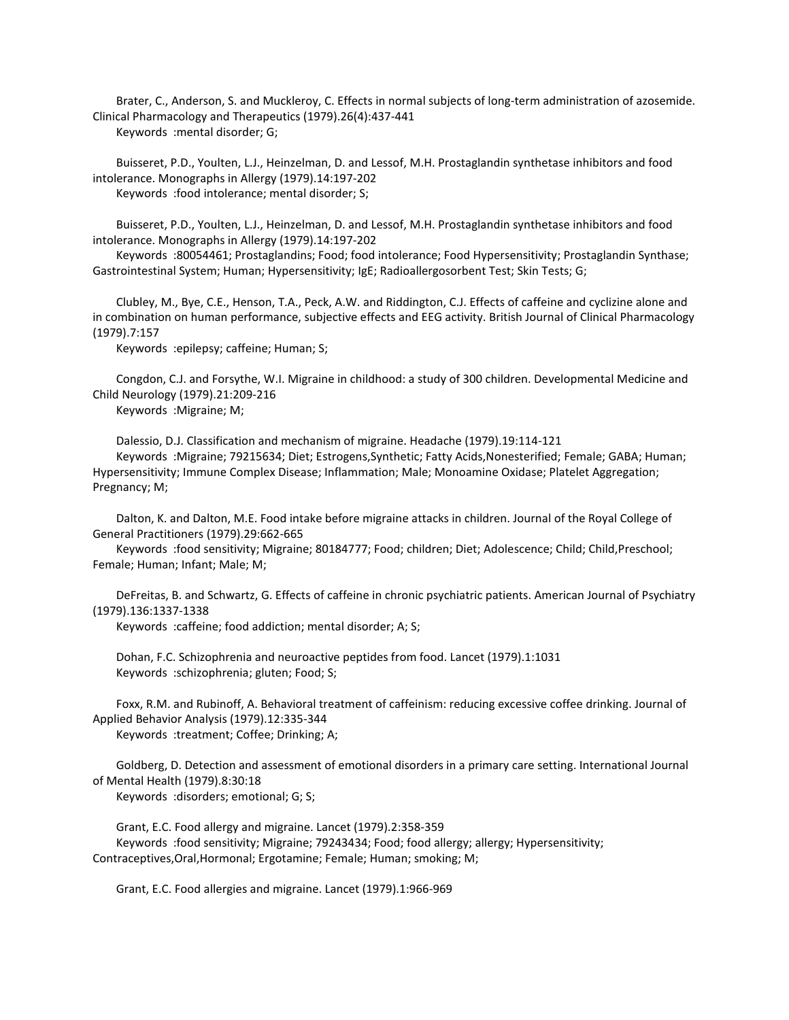Brater, C., Anderson, S. and Muckleroy, C. Effects in normal subjects of long-term administration of azosemide. Clinical Pharmacology and Therapeutics (1979).26(4):437-441 Keywords :mental disorder; G;

 Buisseret, P.D., Youlten, L.J., Heinzelman, D. and Lessof, M.H. Prostaglandin synthetase inhibitors and food intolerance. Monographs in Allergy (1979).14:197-202 Keywords :food intolerance; mental disorder; S;

 Buisseret, P.D., Youlten, L.J., Heinzelman, D. and Lessof, M.H. Prostaglandin synthetase inhibitors and food intolerance. Monographs in Allergy (1979).14:197-202

 Keywords :80054461; Prostaglandins; Food; food intolerance; Food Hypersensitivity; Prostaglandin Synthase; Gastrointestinal System; Human; Hypersensitivity; IgE; Radioallergosorbent Test; Skin Tests; G;

 Clubley, M., Bye, C.E., Henson, T.A., Peck, A.W. and Riddington, C.J. Effects of caffeine and cyclizine alone and in combination on human performance, subjective effects and EEG activity. British Journal of Clinical Pharmacology (1979).7:157

Keywords :epilepsy; caffeine; Human; S;

 Congdon, C.J. and Forsythe, W.I. Migraine in childhood: a study of 300 children. Developmental Medicine and Child Neurology (1979).21:209-216

Keywords :Migraine; M;

Dalessio, D.J. Classification and mechanism of migraine. Headache (1979).19:114-121

 Keywords :Migraine; 79215634; Diet; Estrogens,Synthetic; Fatty Acids,Nonesterified; Female; GABA; Human; Hypersensitivity; Immune Complex Disease; Inflammation; Male; Monoamine Oxidase; Platelet Aggregation; Pregnancy; M;

 Dalton, K. and Dalton, M.E. Food intake before migraine attacks in children. Journal of the Royal College of General Practitioners (1979).29:662-665

 Keywords :food sensitivity; Migraine; 80184777; Food; children; Diet; Adolescence; Child; Child,Preschool; Female; Human; Infant; Male; M;

 DeFreitas, B. and Schwartz, G. Effects of caffeine in chronic psychiatric patients. American Journal of Psychiatry (1979).136:1337-1338

Keywords :caffeine; food addiction; mental disorder; A; S;

 Dohan, F.C. Schizophrenia and neuroactive peptides from food. Lancet (1979).1:1031 Keywords :schizophrenia; gluten; Food; S;

 Foxx, R.M. and Rubinoff, A. Behavioral treatment of caffeinism: reducing excessive coffee drinking. Journal of Applied Behavior Analysis (1979).12:335-344

Keywords :treatment; Coffee; Drinking; A;

 Goldberg, D. Detection and assessment of emotional disorders in a primary care setting. International Journal of Mental Health (1979).8:30:18

Keywords :disorders; emotional; G; S;

 Grant, E.C. Food allergy and migraine. Lancet (1979).2:358-359 Keywords :food sensitivity; Migraine; 79243434; Food; food allergy; allergy; Hypersensitivity; Contraceptives,Oral,Hormonal; Ergotamine; Female; Human; smoking; M;

Grant, E.C. Food allergies and migraine. Lancet (1979).1:966-969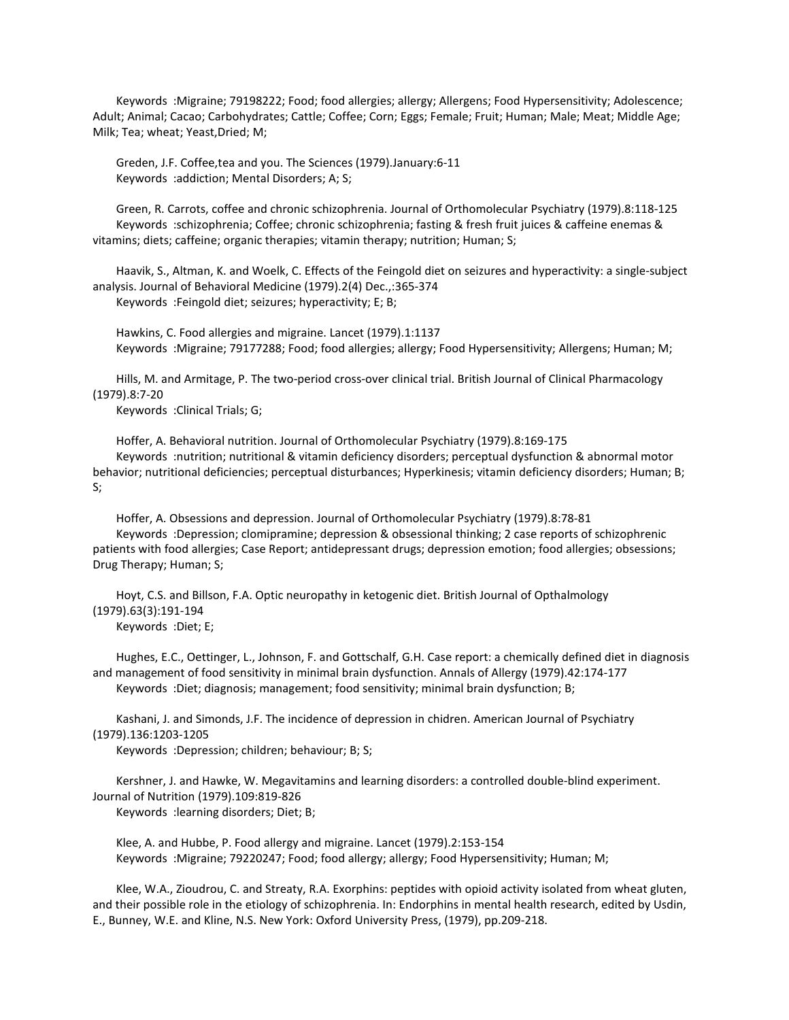Keywords :Migraine; 79198222; Food; food allergies; allergy; Allergens; Food Hypersensitivity; Adolescence; Adult; Animal; Cacao; Carbohydrates; Cattle; Coffee; Corn; Eggs; Female; Fruit; Human; Male; Meat; Middle Age; Milk; Tea; wheat; Yeast,Dried; M;

 Greden, J.F. Coffee,tea and you. The Sciences (1979).January:6-11 Keywords :addiction; Mental Disorders; A; S;

 Green, R. Carrots, coffee and chronic schizophrenia. Journal of Orthomolecular Psychiatry (1979).8:118-125 Keywords :schizophrenia; Coffee; chronic schizophrenia; fasting & fresh fruit juices & caffeine enemas & vitamins; diets; caffeine; organic therapies; vitamin therapy; nutrition; Human; S;

 Haavik, S., Altman, K. and Woelk, C. Effects of the Feingold diet on seizures and hyperactivity: a single-subject analysis. Journal of Behavioral Medicine (1979).2(4) Dec.,:365-374 Keywords :Feingold diet; seizures; hyperactivity; E; B;

 Hawkins, C. Food allergies and migraine. Lancet (1979).1:1137 Keywords :Migraine; 79177288; Food; food allergies; allergy; Food Hypersensitivity; Allergens; Human; M;

 Hills, M. and Armitage, P. The two-period cross-over clinical trial. British Journal of Clinical Pharmacology (1979).8:7-20

Keywords :Clinical Trials; G;

 Hoffer, A. Behavioral nutrition. Journal of Orthomolecular Psychiatry (1979).8:169-175 Keywords :nutrition; nutritional & vitamin deficiency disorders; perceptual dysfunction & abnormal motor behavior; nutritional deficiencies; perceptual disturbances; Hyperkinesis; vitamin deficiency disorders; Human; B; S;

 Hoffer, A. Obsessions and depression. Journal of Orthomolecular Psychiatry (1979).8:78-81 Keywords :Depression; clomipramine; depression & obsessional thinking; 2 case reports of schizophrenic patients with food allergies; Case Report; antidepressant drugs; depression emotion; food allergies; obsessions; Drug Therapy; Human; S;

 Hoyt, C.S. and Billson, F.A. Optic neuropathy in ketogenic diet. British Journal of Opthalmology (1979).63(3):191-194 Keywords :Diet; E;

 Hughes, E.C., Oettinger, L., Johnson, F. and Gottschalf, G.H. Case report: a chemically defined diet in diagnosis and management of food sensitivity in minimal brain dysfunction. Annals of Allergy (1979).42:174-177 Keywords :Diet; diagnosis; management; food sensitivity; minimal brain dysfunction; B;

 Kashani, J. and Simonds, J.F. The incidence of depression in chidren. American Journal of Psychiatry (1979).136:1203-1205

Keywords :Depression; children; behaviour; B; S;

 Kershner, J. and Hawke, W. Megavitamins and learning disorders: a controlled double-blind experiment. Journal of Nutrition (1979).109:819-826

Keywords :learning disorders; Diet; B;

 Klee, A. and Hubbe, P. Food allergy and migraine. Lancet (1979).2:153-154 Keywords :Migraine; 79220247; Food; food allergy; allergy; Food Hypersensitivity; Human; M;

 Klee, W.A., Zioudrou, C. and Streaty, R.A. Exorphins: peptides with opioid activity isolated from wheat gluten, and their possible role in the etiology of schizophrenia. In: Endorphins in mental health research, edited by Usdin, E., Bunney, W.E. and Kline, N.S. New York: Oxford University Press, (1979), pp.209-218.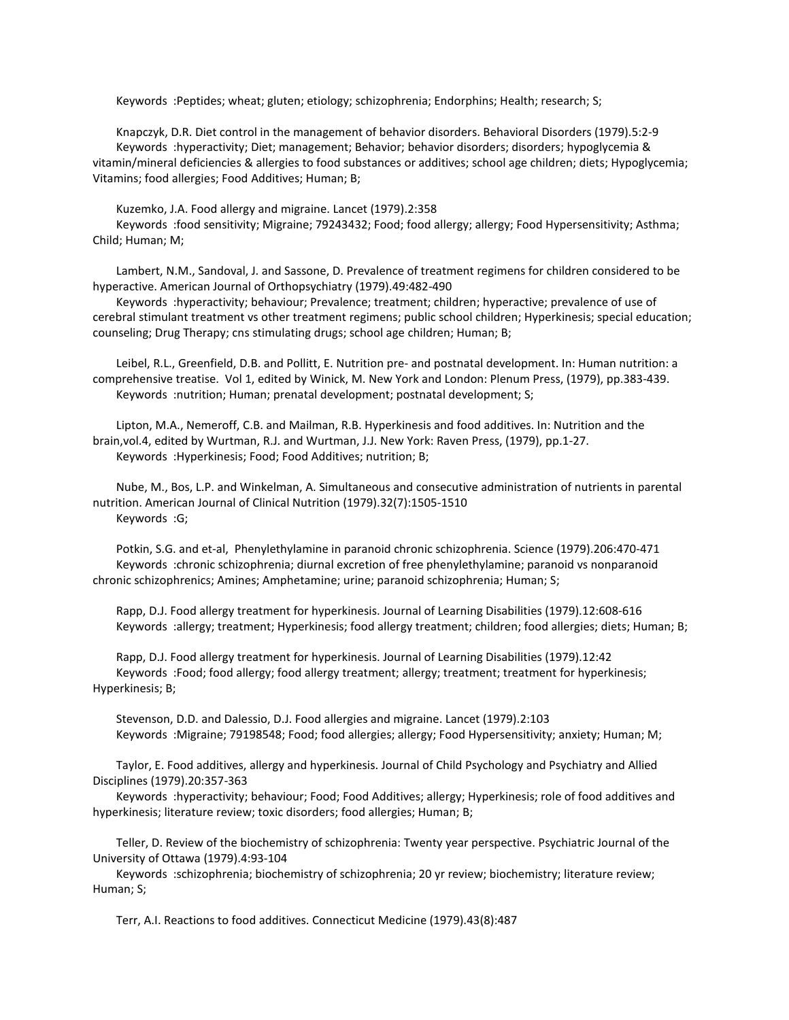Keywords :Peptides; wheat; gluten; etiology; schizophrenia; Endorphins; Health; research; S;

 Knapczyk, D.R. Diet control in the management of behavior disorders. Behavioral Disorders (1979).5:2-9 Keywords :hyperactivity; Diet; management; Behavior; behavior disorders; disorders; hypoglycemia & vitamin/mineral deficiencies & allergies to food substances or additives; school age children; diets; Hypoglycemia; Vitamins; food allergies; Food Additives; Human; B;

Kuzemko, J.A. Food allergy and migraine. Lancet (1979).2:358

 Keywords :food sensitivity; Migraine; 79243432; Food; food allergy; allergy; Food Hypersensitivity; Asthma; Child; Human; M;

 Lambert, N.M., Sandoval, J. and Sassone, D. Prevalence of treatment regimens for children considered to be hyperactive. American Journal of Orthopsychiatry (1979).49:482-490

 Keywords :hyperactivity; behaviour; Prevalence; treatment; children; hyperactive; prevalence of use of cerebral stimulant treatment vs other treatment regimens; public school children; Hyperkinesis; special education; counseling; Drug Therapy; cns stimulating drugs; school age children; Human; B;

 Leibel, R.L., Greenfield, D.B. and Pollitt, E. Nutrition pre- and postnatal development. In: Human nutrition: a comprehensive treatise. Vol 1, edited by Winick, M. New York and London: Plenum Press, (1979), pp.383-439. Keywords :nutrition; Human; prenatal development; postnatal development; S;

 Lipton, M.A., Nemeroff, C.B. and Mailman, R.B. Hyperkinesis and food additives. In: Nutrition and the brain,vol.4, edited by Wurtman, R.J. and Wurtman, J.J. New York: Raven Press, (1979), pp.1-27. Keywords :Hyperkinesis; Food; Food Additives; nutrition; B;

 Nube, M., Bos, L.P. and Winkelman, A. Simultaneous and consecutive administration of nutrients in parental nutrition. American Journal of Clinical Nutrition (1979).32(7):1505-1510 Keywords :G;

 Potkin, S.G. and et-al, Phenylethylamine in paranoid chronic schizophrenia. Science (1979).206:470-471 Keywords :chronic schizophrenia; diurnal excretion of free phenylethylamine; paranoid vs nonparanoid chronic schizophrenics; Amines; Amphetamine; urine; paranoid schizophrenia; Human; S;

 Rapp, D.J. Food allergy treatment for hyperkinesis. Journal of Learning Disabilities (1979).12:608-616 Keywords :allergy; treatment; Hyperkinesis; food allergy treatment; children; food allergies; diets; Human; B;

 Rapp, D.J. Food allergy treatment for hyperkinesis. Journal of Learning Disabilities (1979).12:42 Keywords :Food; food allergy; food allergy treatment; allergy; treatment; treatment for hyperkinesis; Hyperkinesis; B;

 Stevenson, D.D. and Dalessio, D.J. Food allergies and migraine. Lancet (1979).2:103 Keywords :Migraine; 79198548; Food; food allergies; allergy; Food Hypersensitivity; anxiety; Human; M;

 Taylor, E. Food additives, allergy and hyperkinesis. Journal of Child Psychology and Psychiatry and Allied Disciplines (1979).20:357-363

 Keywords :hyperactivity; behaviour; Food; Food Additives; allergy; Hyperkinesis; role of food additives and hyperkinesis; literature review; toxic disorders; food allergies; Human; B;

 Teller, D. Review of the biochemistry of schizophrenia: Twenty year perspective. Psychiatric Journal of the University of Ottawa (1979).4:93-104

 Keywords :schizophrenia; biochemistry of schizophrenia; 20 yr review; biochemistry; literature review; Human; S;

Terr, A.I. Reactions to food additives. Connecticut Medicine (1979).43(8):487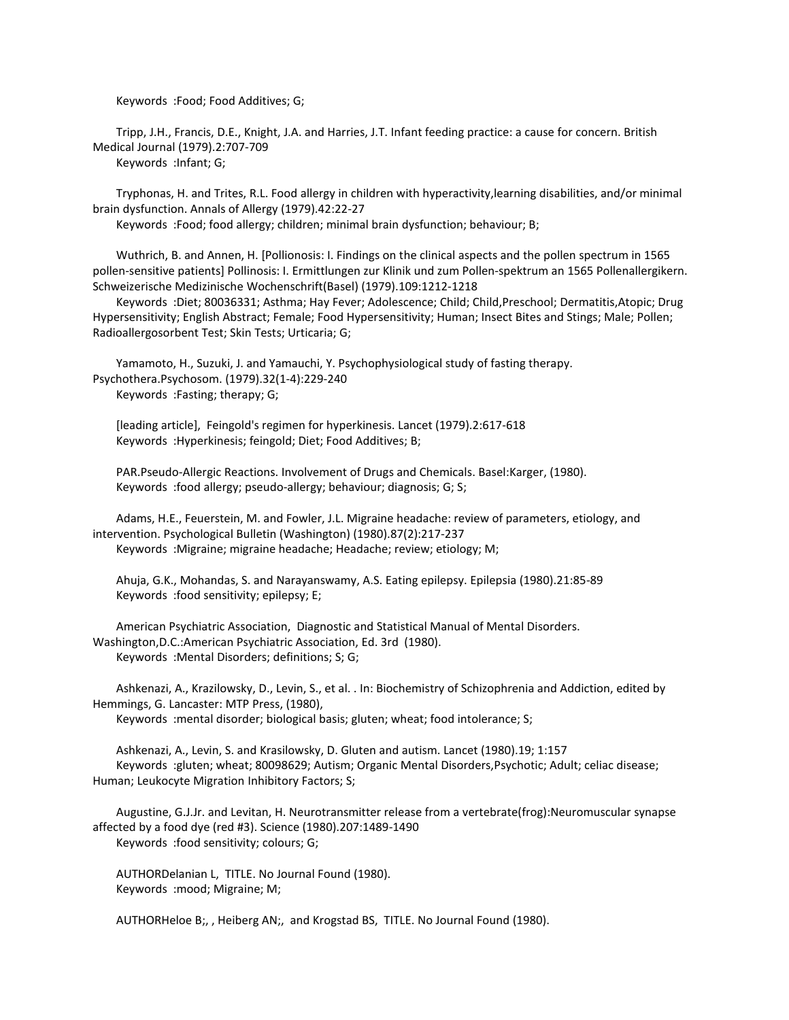Keywords :Food; Food Additives; G;

 Tripp, J.H., Francis, D.E., Knight, J.A. and Harries, J.T. Infant feeding practice: a cause for concern. British Medical Journal (1979).2:707-709 Keywords :Infant; G;

 Tryphonas, H. and Trites, R.L. Food allergy in children with hyperactivity,learning disabilities, and/or minimal brain dysfunction. Annals of Allergy (1979).42:22-27

Keywords :Food; food allergy; children; minimal brain dysfunction; behaviour; B;

 Wuthrich, B. and Annen, H. [Pollionosis: I. Findings on the clinical aspects and the pollen spectrum in 1565 pollen-sensitive patients] Pollinosis: I. Ermittlungen zur Klinik und zum Pollen-spektrum an 1565 Pollenallergikern. Schweizerische Medizinische Wochenschrift(Basel) (1979).109:1212-1218

 Keywords :Diet; 80036331; Asthma; Hay Fever; Adolescence; Child; Child,Preschool; Dermatitis,Atopic; Drug Hypersensitivity; English Abstract; Female; Food Hypersensitivity; Human; Insect Bites and Stings; Male; Pollen; Radioallergosorbent Test; Skin Tests; Urticaria; G;

 Yamamoto, H., Suzuki, J. and Yamauchi, Y. Psychophysiological study of fasting therapy. Psychothera.Psychosom. (1979).32(1-4):229-240 Keywords :Fasting; therapy; G;

 [leading article], Feingold's regimen for hyperkinesis. Lancet (1979).2:617-618 Keywords :Hyperkinesis; feingold; Diet; Food Additives; B;

 PAR.Pseudo-Allergic Reactions. Involvement of Drugs and Chemicals. Basel:Karger, (1980). Keywords :food allergy; pseudo-allergy; behaviour; diagnosis; G; S;

 Adams, H.E., Feuerstein, M. and Fowler, J.L. Migraine headache: review of parameters, etiology, and intervention. Psychological Bulletin (Washington) (1980).87(2):217-237 Keywords :Migraine; migraine headache; Headache; review; etiology; M;

 Ahuja, G.K., Mohandas, S. and Narayanswamy, A.S. Eating epilepsy. Epilepsia (1980).21:85-89 Keywords :food sensitivity; epilepsy; E;

 American Psychiatric Association, Diagnostic and Statistical Manual of Mental Disorders. Washington,D.C.:American Psychiatric Association, Ed. 3rd (1980). Keywords :Mental Disorders; definitions; S; G;

 Ashkenazi, A., Krazilowsky, D., Levin, S., et al. . In: Biochemistry of Schizophrenia and Addiction, edited by Hemmings, G. Lancaster: MTP Press, (1980),

Keywords :mental disorder; biological basis; gluten; wheat; food intolerance; S;

 Ashkenazi, A., Levin, S. and Krasilowsky, D. Gluten and autism. Lancet (1980).19; 1:157 Keywords :gluten; wheat; 80098629; Autism; Organic Mental Disorders,Psychotic; Adult; celiac disease; Human; Leukocyte Migration Inhibitory Factors; S;

 Augustine, G.J.Jr. and Levitan, H. Neurotransmitter release from a vertebrate(frog):Neuromuscular synapse affected by a food dye (red #3). Science (1980).207:1489-1490 Keywords :food sensitivity; colours; G;

 AUTHORDelanian L, TITLE. No Journal Found (1980). Keywords :mood; Migraine; M;

AUTHORHeloe B;, , Heiberg AN;, and Krogstad BS, TITLE. No Journal Found (1980).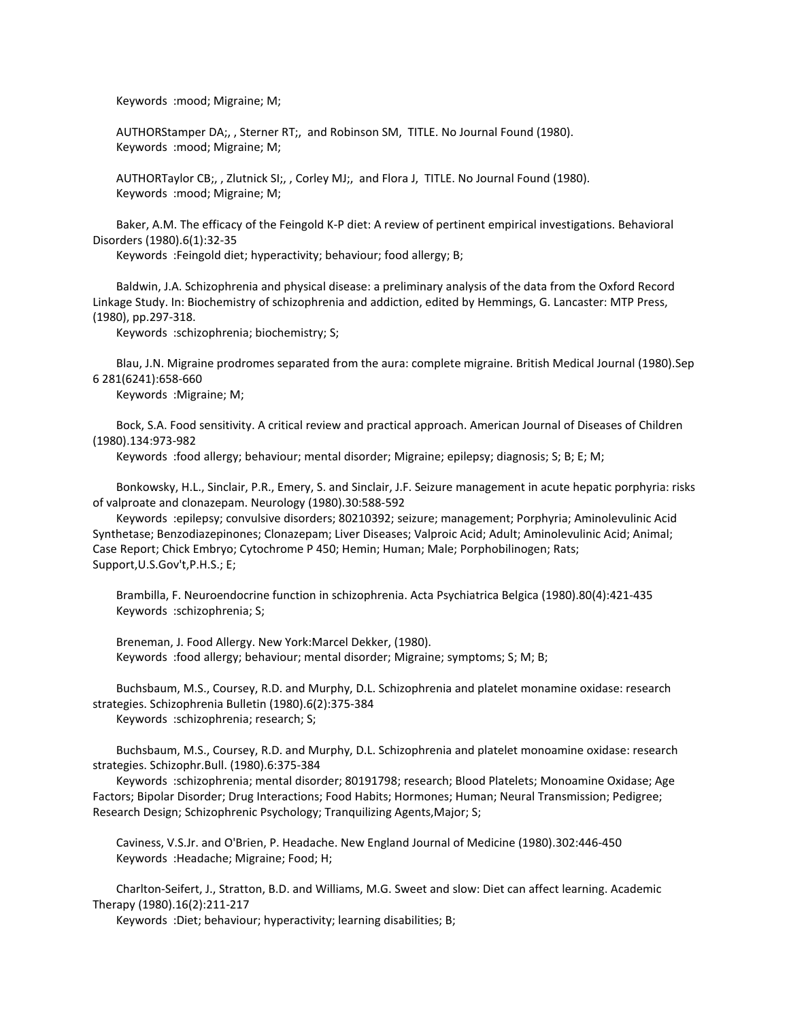Keywords :mood; Migraine; M;

 AUTHORStamper DA;, , Sterner RT;, and Robinson SM, TITLE. No Journal Found (1980). Keywords :mood; Migraine; M;

 AUTHORTaylor CB;, , Zlutnick SI;, , Corley MJ;, and Flora J, TITLE. No Journal Found (1980). Keywords :mood; Migraine; M;

 Baker, A.M. The efficacy of the Feingold K-P diet: A review of pertinent empirical investigations. Behavioral Disorders (1980).6(1):32-35

Keywords :Feingold diet; hyperactivity; behaviour; food allergy; B;

 Baldwin, J.A. Schizophrenia and physical disease: a preliminary analysis of the data from the Oxford Record Linkage Study. In: Biochemistry of schizophrenia and addiction, edited by Hemmings, G. Lancaster: MTP Press, (1980), pp.297-318.

Keywords :schizophrenia; biochemistry; S;

 Blau, J.N. Migraine prodromes separated from the aura: complete migraine. British Medical Journal (1980).Sep 6 281(6241):658-660

Keywords :Migraine; M;

 Bock, S.A. Food sensitivity. A critical review and practical approach. American Journal of Diseases of Children (1980).134:973-982

Keywords :food allergy; behaviour; mental disorder; Migraine; epilepsy; diagnosis; S; B; E; M;

 Bonkowsky, H.L., Sinclair, P.R., Emery, S. and Sinclair, J.F. Seizure management in acute hepatic porphyria: risks of valproate and clonazepam. Neurology (1980).30:588-592

 Keywords :epilepsy; convulsive disorders; 80210392; seizure; management; Porphyria; Aminolevulinic Acid Synthetase; Benzodiazepinones; Clonazepam; Liver Diseases; Valproic Acid; Adult; Aminolevulinic Acid; Animal; Case Report; Chick Embryo; Cytochrome P 450; Hemin; Human; Male; Porphobilinogen; Rats; Support,U.S.Gov't,P.H.S.; E;

 Brambilla, F. Neuroendocrine function in schizophrenia. Acta Psychiatrica Belgica (1980).80(4):421-435 Keywords :schizophrenia; S;

 Breneman, J. Food Allergy. New York:Marcel Dekker, (1980). Keywords :food allergy; behaviour; mental disorder; Migraine; symptoms; S; M; B;

 Buchsbaum, M.S., Coursey, R.D. and Murphy, D.L. Schizophrenia and platelet monamine oxidase: research strategies. Schizophrenia Bulletin (1980).6(2):375-384

Keywords :schizophrenia; research; S;

 Buchsbaum, M.S., Coursey, R.D. and Murphy, D.L. Schizophrenia and platelet monoamine oxidase: research strategies. Schizophr.Bull. (1980).6:375-384

 Keywords :schizophrenia; mental disorder; 80191798; research; Blood Platelets; Monoamine Oxidase; Age Factors; Bipolar Disorder; Drug Interactions; Food Habits; Hormones; Human; Neural Transmission; Pedigree; Research Design; Schizophrenic Psychology; Tranquilizing Agents,Major; S;

 Caviness, V.S.Jr. and O'Brien, P. Headache. New England Journal of Medicine (1980).302:446-450 Keywords :Headache; Migraine; Food; H;

 Charlton-Seifert, J., Stratton, B.D. and Williams, M.G. Sweet and slow: Diet can affect learning. Academic Therapy (1980).16(2):211-217

Keywords :Diet; behaviour; hyperactivity; learning disabilities; B;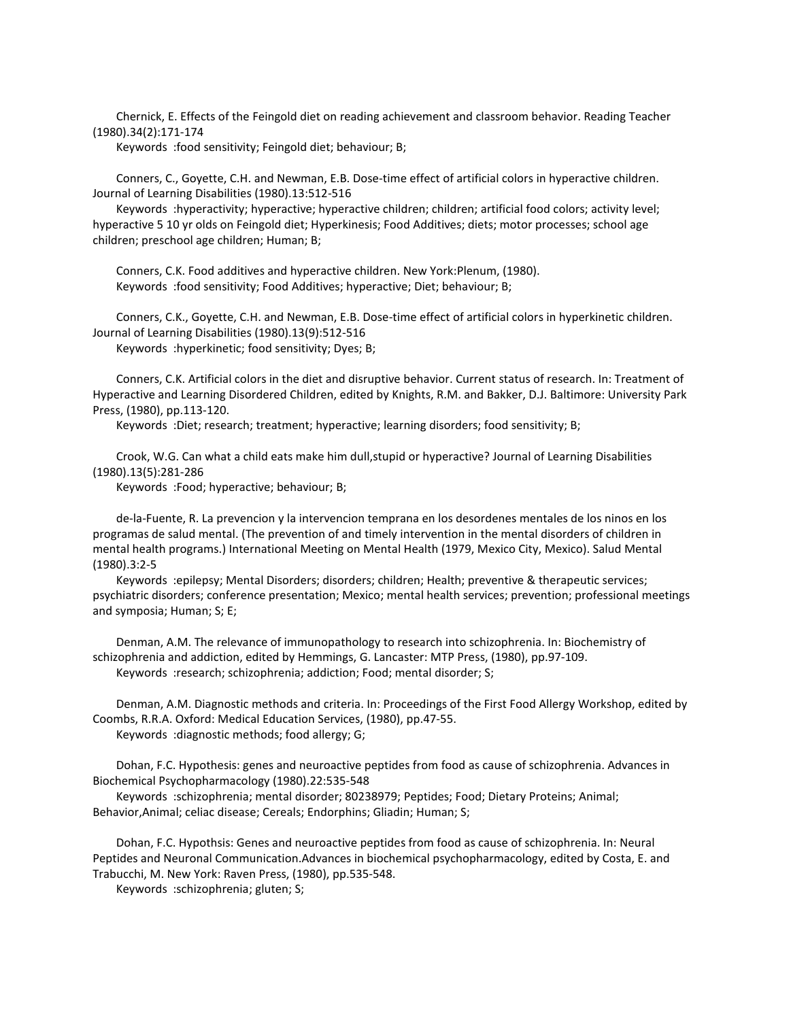Chernick, E. Effects of the Feingold diet on reading achievement and classroom behavior. Reading Teacher (1980).34(2):171-174

Keywords :food sensitivity; Feingold diet; behaviour; B;

 Conners, C., Goyette, C.H. and Newman, E.B. Dose-time effect of artificial colors in hyperactive children. Journal of Learning Disabilities (1980).13:512-516

 Keywords :hyperactivity; hyperactive; hyperactive children; children; artificial food colors; activity level; hyperactive 5 10 yr olds on Feingold diet; Hyperkinesis; Food Additives; diets; motor processes; school age children; preschool age children; Human; B;

 Conners, C.K. Food additives and hyperactive children. New York:Plenum, (1980). Keywords :food sensitivity; Food Additives; hyperactive; Diet; behaviour; B;

 Conners, C.K., Goyette, C.H. and Newman, E.B. Dose-time effect of artificial colors in hyperkinetic children. Journal of Learning Disabilities (1980).13(9):512-516 Keywords :hyperkinetic; food sensitivity; Dyes; B;

 Conners, C.K. Artificial colors in the diet and disruptive behavior. Current status of research. In: Treatment of Hyperactive and Learning Disordered Children, edited by Knights, R.M. and Bakker, D.J. Baltimore: University Park Press, (1980), pp.113-120.

Keywords :Diet; research; treatment; hyperactive; learning disorders; food sensitivity; B;

 Crook, W.G. Can what a child eats make him dull,stupid or hyperactive? Journal of Learning Disabilities (1980).13(5):281-286

Keywords :Food; hyperactive; behaviour; B;

 de-la-Fuente, R. La prevencion y la intervencion temprana en los desordenes mentales de los ninos en los programas de salud mental. (The prevention of and timely intervention in the mental disorders of children in mental health programs.) International Meeting on Mental Health (1979, Mexico City, Mexico). Salud Mental (1980).3:2-5

 Keywords :epilepsy; Mental Disorders; disorders; children; Health; preventive & therapeutic services; psychiatric disorders; conference presentation; Mexico; mental health services; prevention; professional meetings and symposia; Human; S; E;

 Denman, A.M. The relevance of immunopathology to research into schizophrenia. In: Biochemistry of schizophrenia and addiction, edited by Hemmings, G. Lancaster: MTP Press, (1980), pp.97-109. Keywords :research; schizophrenia; addiction; Food; mental disorder; S;

 Denman, A.M. Diagnostic methods and criteria. In: Proceedings of the First Food Allergy Workshop, edited by Coombs, R.R.A. Oxford: Medical Education Services, (1980), pp.47-55. Keywords :diagnostic methods; food allergy; G;

 Dohan, F.C. Hypothesis: genes and neuroactive peptides from food as cause of schizophrenia. Advances in Biochemical Psychopharmacology (1980).22:535-548

 Keywords :schizophrenia; mental disorder; 80238979; Peptides; Food; Dietary Proteins; Animal; Behavior,Animal; celiac disease; Cereals; Endorphins; Gliadin; Human; S;

 Dohan, F.C. Hypothsis: Genes and neuroactive peptides from food as cause of schizophrenia. In: Neural Peptides and Neuronal Communication.Advances in biochemical psychopharmacology, edited by Costa, E. and Trabucchi, M. New York: Raven Press, (1980), pp.535-548.

Keywords :schizophrenia; gluten; S;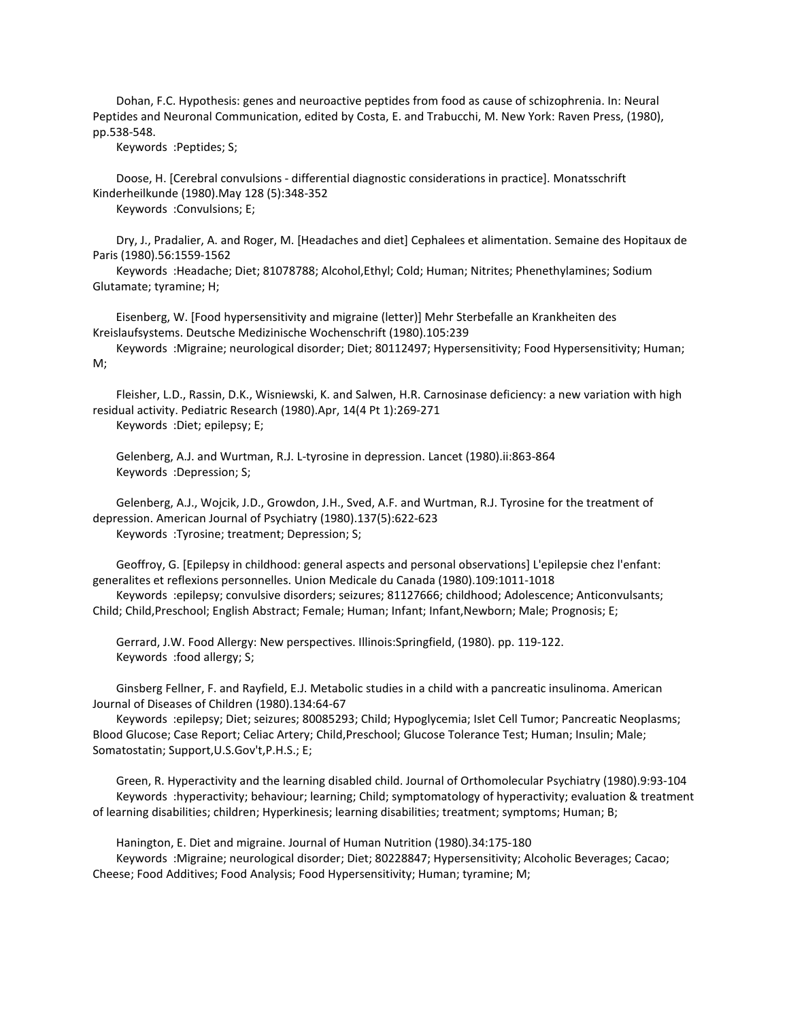Dohan, F.C. Hypothesis: genes and neuroactive peptides from food as cause of schizophrenia. In: Neural Peptides and Neuronal Communication, edited by Costa, E. and Trabucchi, M. New York: Raven Press, (1980), pp.538-548.

Keywords :Peptides; S;

 Doose, H. [Cerebral convulsions - differential diagnostic considerations in practice]. Monatsschrift Kinderheilkunde (1980).May 128 (5):348-352

Keywords :Convulsions; E;

 Dry, J., Pradalier, A. and Roger, M. [Headaches and diet] Cephalees et alimentation. Semaine des Hopitaux de Paris (1980).56:1559-1562

 Keywords :Headache; Diet; 81078788; Alcohol,Ethyl; Cold; Human; Nitrites; Phenethylamines; Sodium Glutamate; tyramine; H;

 Eisenberg, W. [Food hypersensitivity and migraine (letter)] Mehr Sterbefalle an Krankheiten des Kreislaufsystems. Deutsche Medizinische Wochenschrift (1980).105:239

 Keywords :Migraine; neurological disorder; Diet; 80112497; Hypersensitivity; Food Hypersensitivity; Human; M;

 Fleisher, L.D., Rassin, D.K., Wisniewski, K. and Salwen, H.R. Carnosinase deficiency: a new variation with high residual activity. Pediatric Research (1980).Apr, 14(4 Pt 1):269-271

Keywords :Diet; epilepsy; E;

 Gelenberg, A.J. and Wurtman, R.J. L-tyrosine in depression. Lancet (1980).ii:863-864 Keywords :Depression; S;

 Gelenberg, A.J., Wojcik, J.D., Growdon, J.H., Sved, A.F. and Wurtman, R.J. Tyrosine for the treatment of depression. American Journal of Psychiatry (1980).137(5):622-623 Keywords :Tyrosine; treatment; Depression; S;

 Geoffroy, G. [Epilepsy in childhood: general aspects and personal observations] L'epilepsie chez l'enfant: generalites et reflexions personnelles. Union Medicale du Canada (1980).109:1011-1018

 Keywords :epilepsy; convulsive disorders; seizures; 81127666; childhood; Adolescence; Anticonvulsants; Child; Child,Preschool; English Abstract; Female; Human; Infant; Infant,Newborn; Male; Prognosis; E;

 Gerrard, J.W. Food Allergy: New perspectives. Illinois:Springfield, (1980). pp. 119-122. Keywords :food allergy; S;

 Ginsberg Fellner, F. and Rayfield, E.J. Metabolic studies in a child with a pancreatic insulinoma. American Journal of Diseases of Children (1980).134:64-67

 Keywords :epilepsy; Diet; seizures; 80085293; Child; Hypoglycemia; Islet Cell Tumor; Pancreatic Neoplasms; Blood Glucose; Case Report; Celiac Artery; Child,Preschool; Glucose Tolerance Test; Human; Insulin; Male; Somatostatin; Support,U.S.Gov't,P.H.S.; E;

 Green, R. Hyperactivity and the learning disabled child. Journal of Orthomolecular Psychiatry (1980).9:93-104 Keywords :hyperactivity; behaviour; learning; Child; symptomatology of hyperactivity; evaluation & treatment of learning disabilities; children; Hyperkinesis; learning disabilities; treatment; symptoms; Human; B;

 Hanington, E. Diet and migraine. Journal of Human Nutrition (1980).34:175-180 Keywords :Migraine; neurological disorder; Diet; 80228847; Hypersensitivity; Alcoholic Beverages; Cacao; Cheese; Food Additives; Food Analysis; Food Hypersensitivity; Human; tyramine; M;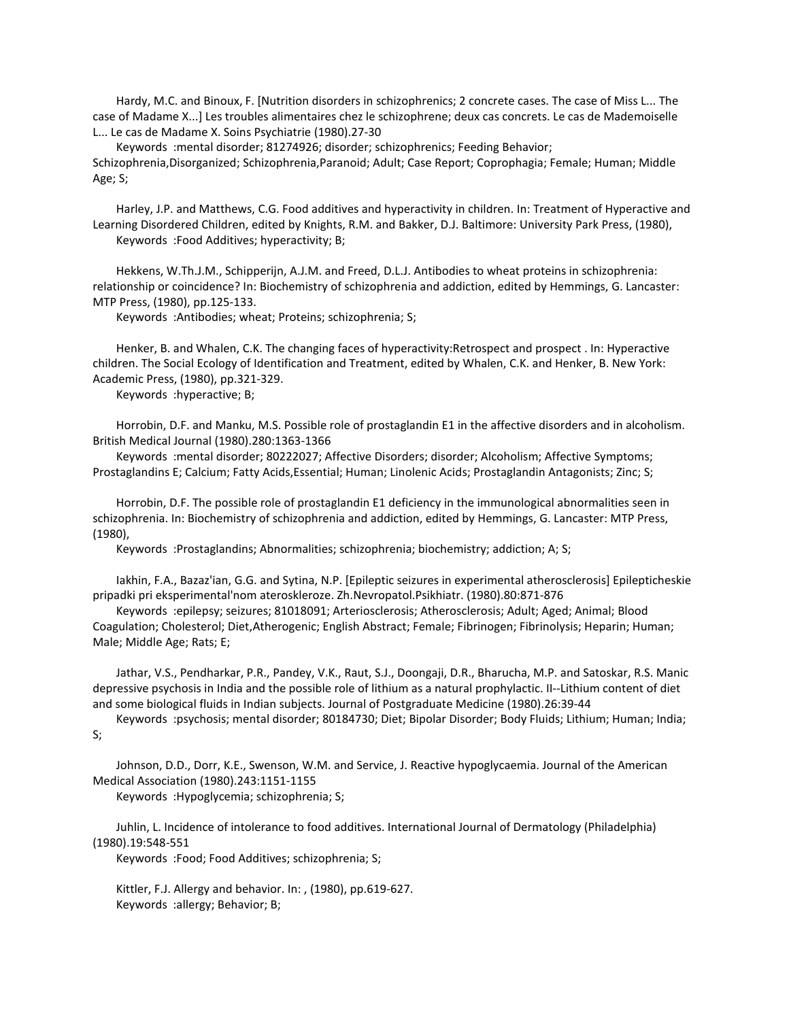Hardy, M.C. and Binoux, F. [Nutrition disorders in schizophrenics; 2 concrete cases. The case of Miss L... The case of Madame X...] Les troubles alimentaires chez le schizophrene; deux cas concrets. Le cas de Mademoiselle L... Le cas de Madame X. Soins Psychiatrie (1980).27-30

 Keywords :mental disorder; 81274926; disorder; schizophrenics; Feeding Behavior; Schizophrenia,Disorganized; Schizophrenia,Paranoid; Adult; Case Report; Coprophagia; Female; Human; Middle Age; S;

 Harley, J.P. and Matthews, C.G. Food additives and hyperactivity in children. In: Treatment of Hyperactive and Learning Disordered Children, edited by Knights, R.M. and Bakker, D.J. Baltimore: University Park Press, (1980), Keywords :Food Additives; hyperactivity; B;

 Hekkens, W.Th.J.M., Schipperijn, A.J.M. and Freed, D.L.J. Antibodies to wheat proteins in schizophrenia: relationship or coincidence? In: Biochemistry of schizophrenia and addiction, edited by Hemmings, G. Lancaster: MTP Press, (1980), pp.125-133.

Keywords :Antibodies; wheat; Proteins; schizophrenia; S;

 Henker, B. and Whalen, C.K. The changing faces of hyperactivity:Retrospect and prospect . In: Hyperactive children. The Social Ecology of Identification and Treatment, edited by Whalen, C.K. and Henker, B. New York: Academic Press, (1980), pp.321-329.

Keywords :hyperactive; B;

 Horrobin, D.F. and Manku, M.S. Possible role of prostaglandin E1 in the affective disorders and in alcoholism. British Medical Journal (1980).280:1363-1366

 Keywords :mental disorder; 80222027; Affective Disorders; disorder; Alcoholism; Affective Symptoms; Prostaglandins E; Calcium; Fatty Acids,Essential; Human; Linolenic Acids; Prostaglandin Antagonists; Zinc; S;

 Horrobin, D.F. The possible role of prostaglandin E1 deficiency in the immunological abnormalities seen in schizophrenia. In: Biochemistry of schizophrenia and addiction, edited by Hemmings, G. Lancaster: MTP Press, (1980),

Keywords :Prostaglandins; Abnormalities; schizophrenia; biochemistry; addiction; A; S;

 Iakhin, F.A., Bazaz'ian, G.G. and Sytina, N.P. [Epileptic seizures in experimental atherosclerosis] Epilepticheskie pripadki pri eksperimental'nom ateroskleroze. Zh.Nevropatol.Psikhiatr. (1980).80:871-876

 Keywords :epilepsy; seizures; 81018091; Arteriosclerosis; Atherosclerosis; Adult; Aged; Animal; Blood Coagulation; Cholesterol; Diet,Atherogenic; English Abstract; Female; Fibrinogen; Fibrinolysis; Heparin; Human; Male; Middle Age; Rats; E;

 Jathar, V.S., Pendharkar, P.R., Pandey, V.K., Raut, S.J., Doongaji, D.R., Bharucha, M.P. and Satoskar, R.S. Manic depressive psychosis in India and the possible role of lithium as a natural prophylactic. II--Lithium content of diet and some biological fluids in Indian subjects. Journal of Postgraduate Medicine (1980).26:39-44

 Keywords :psychosis; mental disorder; 80184730; Diet; Bipolar Disorder; Body Fluids; Lithium; Human; India; S;

 Johnson, D.D., Dorr, K.E., Swenson, W.M. and Service, J. Reactive hypoglycaemia. Journal of the American Medical Association (1980).243:1151-1155

Keywords :Hypoglycemia; schizophrenia; S;

 Juhlin, L. Incidence of intolerance to food additives. International Journal of Dermatology (Philadelphia) (1980).19:548-551

Keywords :Food; Food Additives; schizophrenia; S;

 Kittler, F.J. Allergy and behavior. In: , (1980), pp.619-627. Keywords :allergy; Behavior; B;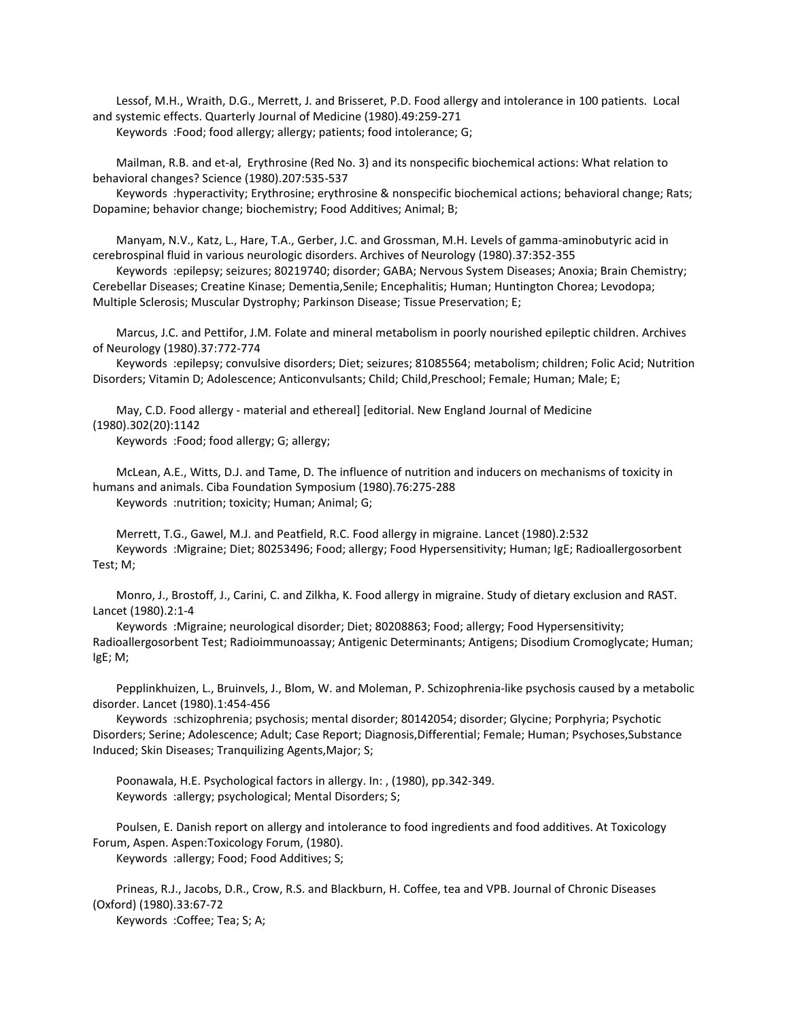Lessof, M.H., Wraith, D.G., Merrett, J. and Brisseret, P.D. Food allergy and intolerance in 100 patients. Local and systemic effects. Quarterly Journal of Medicine (1980).49:259-271

Keywords :Food; food allergy; allergy; patients; food intolerance; G;

 Mailman, R.B. and et-al, Erythrosine (Red No. 3) and its nonspecific biochemical actions: What relation to behavioral changes? Science (1980).207:535-537

 Keywords :hyperactivity; Erythrosine; erythrosine & nonspecific biochemical actions; behavioral change; Rats; Dopamine; behavior change; biochemistry; Food Additives; Animal; B;

 Manyam, N.V., Katz, L., Hare, T.A., Gerber, J.C. and Grossman, M.H. Levels of gamma-aminobutyric acid in cerebrospinal fluid in various neurologic disorders. Archives of Neurology (1980).37:352-355

 Keywords :epilepsy; seizures; 80219740; disorder; GABA; Nervous System Diseases; Anoxia; Brain Chemistry; Cerebellar Diseases; Creatine Kinase; Dementia,Senile; Encephalitis; Human; Huntington Chorea; Levodopa; Multiple Sclerosis; Muscular Dystrophy; Parkinson Disease; Tissue Preservation; E;

 Marcus, J.C. and Pettifor, J.M. Folate and mineral metabolism in poorly nourished epileptic children. Archives of Neurology (1980).37:772-774

 Keywords :epilepsy; convulsive disorders; Diet; seizures; 81085564; metabolism; children; Folic Acid; Nutrition Disorders; Vitamin D; Adolescence; Anticonvulsants; Child; Child,Preschool; Female; Human; Male; E;

 May, C.D. Food allergy - material and ethereal] [editorial. New England Journal of Medicine (1980).302(20):1142

Keywords :Food; food allergy; G; allergy;

 McLean, A.E., Witts, D.J. and Tame, D. The influence of nutrition and inducers on mechanisms of toxicity in humans and animals. Ciba Foundation Symposium (1980).76:275-288 Keywords :nutrition; toxicity; Human; Animal; G;

 Merrett, T.G., Gawel, M.J. and Peatfield, R.C. Food allergy in migraine. Lancet (1980).2:532 Keywords :Migraine; Diet; 80253496; Food; allergy; Food Hypersensitivity; Human; IgE; Radioallergosorbent Test; M;

 Monro, J., Brostoff, J., Carini, C. and Zilkha, K. Food allergy in migraine. Study of dietary exclusion and RAST. Lancet (1980).2:1-4

 Keywords :Migraine; neurological disorder; Diet; 80208863; Food; allergy; Food Hypersensitivity; Radioallergosorbent Test; Radioimmunoassay; Antigenic Determinants; Antigens; Disodium Cromoglycate; Human; IgE; M;

 Pepplinkhuizen, L., Bruinvels, J., Blom, W. and Moleman, P. Schizophrenia-like psychosis caused by a metabolic disorder. Lancet (1980).1:454-456

 Keywords :schizophrenia; psychosis; mental disorder; 80142054; disorder; Glycine; Porphyria; Psychotic Disorders; Serine; Adolescence; Adult; Case Report; Diagnosis,Differential; Female; Human; Psychoses,Substance Induced; Skin Diseases; Tranquilizing Agents,Major; S;

 Poonawala, H.E. Psychological factors in allergy. In: , (1980), pp.342-349. Keywords :allergy; psychological; Mental Disorders; S;

 Poulsen, E. Danish report on allergy and intolerance to food ingredients and food additives. At Toxicology Forum, Aspen. Aspen:Toxicology Forum, (1980). Keywords :allergy; Food; Food Additives; S;

 Prineas, R.J., Jacobs, D.R., Crow, R.S. and Blackburn, H. Coffee, tea and VPB. Journal of Chronic Diseases (Oxford) (1980).33:67-72

Keywords :Coffee; Tea; S; A;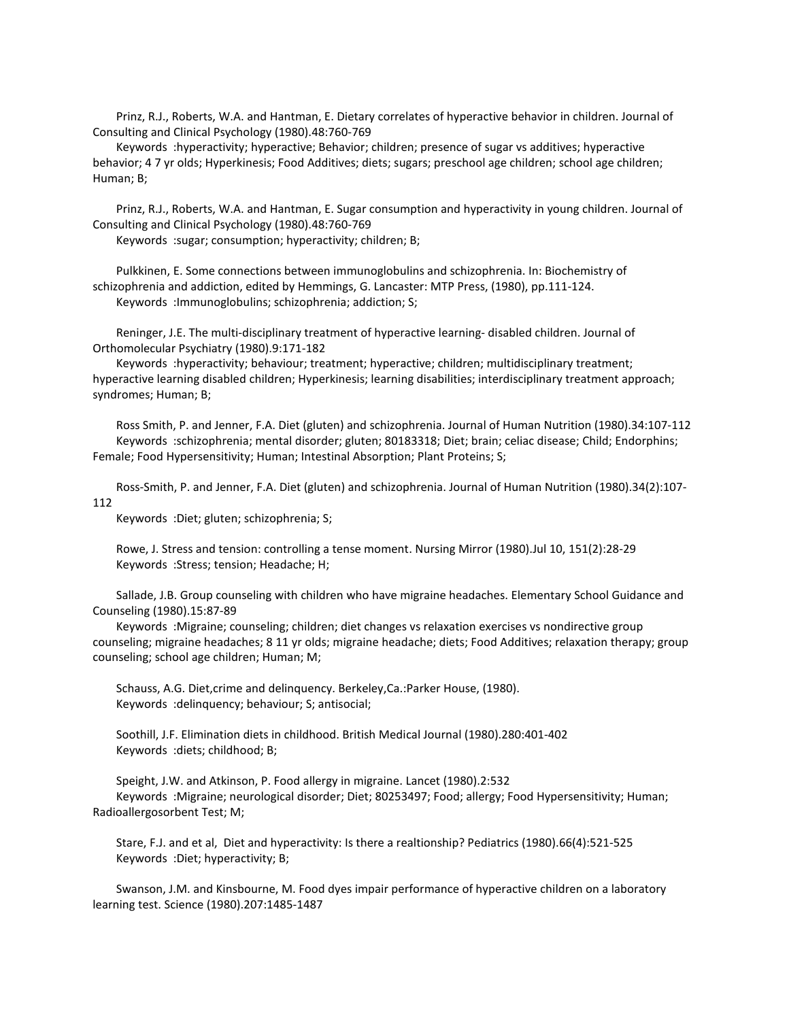Prinz, R.J., Roberts, W.A. and Hantman, E. Dietary correlates of hyperactive behavior in children. Journal of Consulting and Clinical Psychology (1980).48:760-769

 Keywords :hyperactivity; hyperactive; Behavior; children; presence of sugar vs additives; hyperactive behavior; 4 7 yr olds; Hyperkinesis; Food Additives; diets; sugars; preschool age children; school age children; Human; B;

 Prinz, R.J., Roberts, W.A. and Hantman, E. Sugar consumption and hyperactivity in young children. Journal of Consulting and Clinical Psychology (1980).48:760-769

Keywords :sugar; consumption; hyperactivity; children; B;

 Pulkkinen, E. Some connections between immunoglobulins and schizophrenia. In: Biochemistry of schizophrenia and addiction, edited by Hemmings, G. Lancaster: MTP Press, (1980), pp.111-124. Keywords :Immunoglobulins; schizophrenia; addiction; S;

 Reninger, J.E. The multi-disciplinary treatment of hyperactive learning- disabled children. Journal of Orthomolecular Psychiatry (1980).9:171-182

 Keywords :hyperactivity; behaviour; treatment; hyperactive; children; multidisciplinary treatment; hyperactive learning disabled children; Hyperkinesis; learning disabilities; interdisciplinary treatment approach; syndromes; Human; B;

 Ross Smith, P. and Jenner, F.A. Diet (gluten) and schizophrenia. Journal of Human Nutrition (1980).34:107-112 Keywords :schizophrenia; mental disorder; gluten; 80183318; Diet; brain; celiac disease; Child; Endorphins; Female; Food Hypersensitivity; Human; Intestinal Absorption; Plant Proteins; S;

 Ross-Smith, P. and Jenner, F.A. Diet (gluten) and schizophrenia. Journal of Human Nutrition (1980).34(2):107- 112

Keywords :Diet; gluten; schizophrenia; S;

 Rowe, J. Stress and tension: controlling a tense moment. Nursing Mirror (1980).Jul 10, 151(2):28-29 Keywords :Stress; tension; Headache; H;

 Sallade, J.B. Group counseling with children who have migraine headaches. Elementary School Guidance and Counseling (1980).15:87-89

 Keywords :Migraine; counseling; children; diet changes vs relaxation exercises vs nondirective group counseling; migraine headaches; 8 11 yr olds; migraine headache; diets; Food Additives; relaxation therapy; group counseling; school age children; Human; M;

 Schauss, A.G. Diet,crime and delinquency. Berkeley,Ca.:Parker House, (1980). Keywords :delinquency; behaviour; S; antisocial;

 Soothill, J.F. Elimination diets in childhood. British Medical Journal (1980).280:401-402 Keywords :diets; childhood; B;

 Speight, J.W. and Atkinson, P. Food allergy in migraine. Lancet (1980).2:532 Keywords :Migraine; neurological disorder; Diet; 80253497; Food; allergy; Food Hypersensitivity; Human; Radioallergosorbent Test; M;

 Stare, F.J. and et al, Diet and hyperactivity: Is there a realtionship? Pediatrics (1980).66(4):521-525 Keywords :Diet; hyperactivity; B;

 Swanson, J.M. and Kinsbourne, M. Food dyes impair performance of hyperactive children on a laboratory learning test. Science (1980).207:1485-1487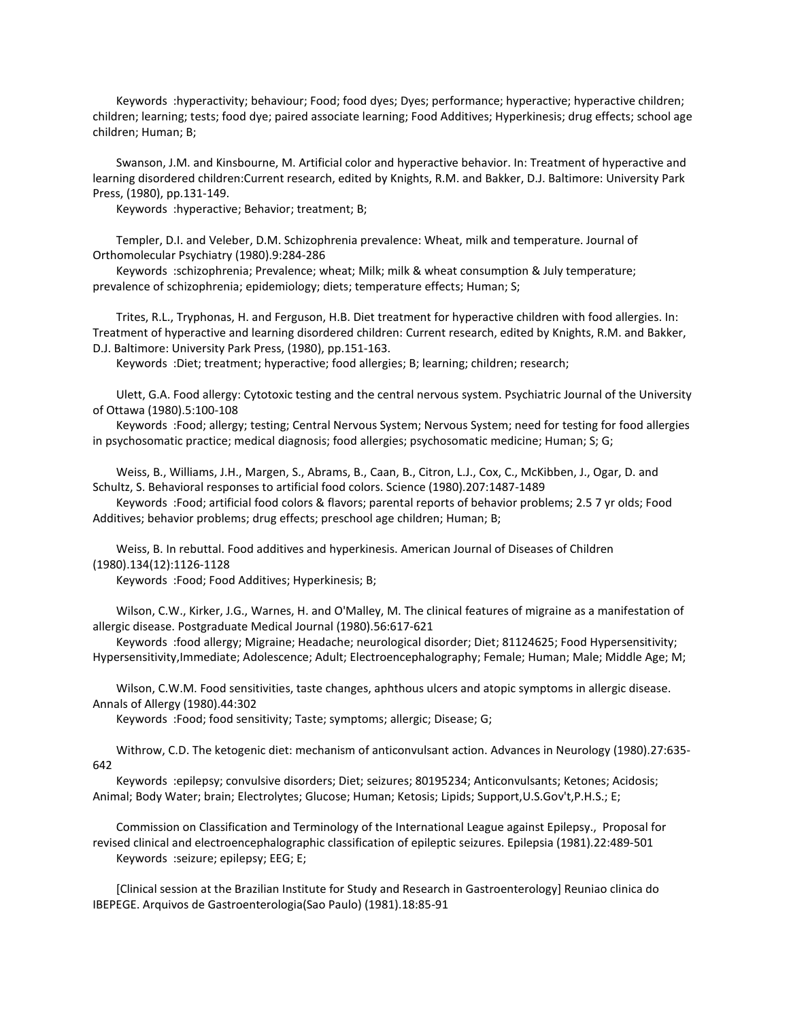Keywords :hyperactivity; behaviour; Food; food dyes; Dyes; performance; hyperactive; hyperactive children; children; learning; tests; food dye; paired associate learning; Food Additives; Hyperkinesis; drug effects; school age children; Human; B;

 Swanson, J.M. and Kinsbourne, M. Artificial color and hyperactive behavior. In: Treatment of hyperactive and learning disordered children:Current research, edited by Knights, R.M. and Bakker, D.J. Baltimore: University Park Press, (1980), pp.131-149.

Keywords :hyperactive; Behavior; treatment; B;

 Templer, D.I. and Veleber, D.M. Schizophrenia prevalence: Wheat, milk and temperature. Journal of Orthomolecular Psychiatry (1980).9:284-286

 Keywords :schizophrenia; Prevalence; wheat; Milk; milk & wheat consumption & July temperature; prevalence of schizophrenia; epidemiology; diets; temperature effects; Human; S;

 Trites, R.L., Tryphonas, H. and Ferguson, H.B. Diet treatment for hyperactive children with food allergies. In: Treatment of hyperactive and learning disordered children: Current research, edited by Knights, R.M. and Bakker, D.J. Baltimore: University Park Press, (1980), pp.151-163.

Keywords :Diet; treatment; hyperactive; food allergies; B; learning; children; research;

 Ulett, G.A. Food allergy: Cytotoxic testing and the central nervous system. Psychiatric Journal of the University of Ottawa (1980).5:100-108

 Keywords :Food; allergy; testing; Central Nervous System; Nervous System; need for testing for food allergies in psychosomatic practice; medical diagnosis; food allergies; psychosomatic medicine; Human; S; G;

 Weiss, B., Williams, J.H., Margen, S., Abrams, B., Caan, B., Citron, L.J., Cox, C., McKibben, J., Ogar, D. and Schultz, S. Behavioral responses to artificial food colors. Science (1980).207:1487-1489

 Keywords :Food; artificial food colors & flavors; parental reports of behavior problems; 2.5 7 yr olds; Food Additives; behavior problems; drug effects; preschool age children; Human; B;

 Weiss, B. In rebuttal. Food additives and hyperkinesis. American Journal of Diseases of Children (1980).134(12):1126-1128

Keywords :Food; Food Additives; Hyperkinesis; B;

 Wilson, C.W., Kirker, J.G., Warnes, H. and O'Malley, M. The clinical features of migraine as a manifestation of allergic disease. Postgraduate Medical Journal (1980).56:617-621

 Keywords :food allergy; Migraine; Headache; neurological disorder; Diet; 81124625; Food Hypersensitivity; Hypersensitivity,Immediate; Adolescence; Adult; Electroencephalography; Female; Human; Male; Middle Age; M;

 Wilson, C.W.M. Food sensitivities, taste changes, aphthous ulcers and atopic symptoms in allergic disease. Annals of Allergy (1980).44:302

Keywords :Food; food sensitivity; Taste; symptoms; allergic; Disease; G;

 Withrow, C.D. The ketogenic diet: mechanism of anticonvulsant action. Advances in Neurology (1980).27:635- 642

 Keywords :epilepsy; convulsive disorders; Diet; seizures; 80195234; Anticonvulsants; Ketones; Acidosis; Animal; Body Water; brain; Electrolytes; Glucose; Human; Ketosis; Lipids; Support,U.S.Gov't,P.H.S.; E;

 Commission on Classification and Terminology of the International League against Epilepsy., Proposal for revised clinical and electroencephalographic classification of epileptic seizures. Epilepsia (1981).22:489-501 Keywords :seizure; epilepsy; EEG; E;

 [Clinical session at the Brazilian Institute for Study and Research in Gastroenterology] Reuniao clinica do IBEPEGE. Arquivos de Gastroenterologia(Sao Paulo) (1981).18:85-91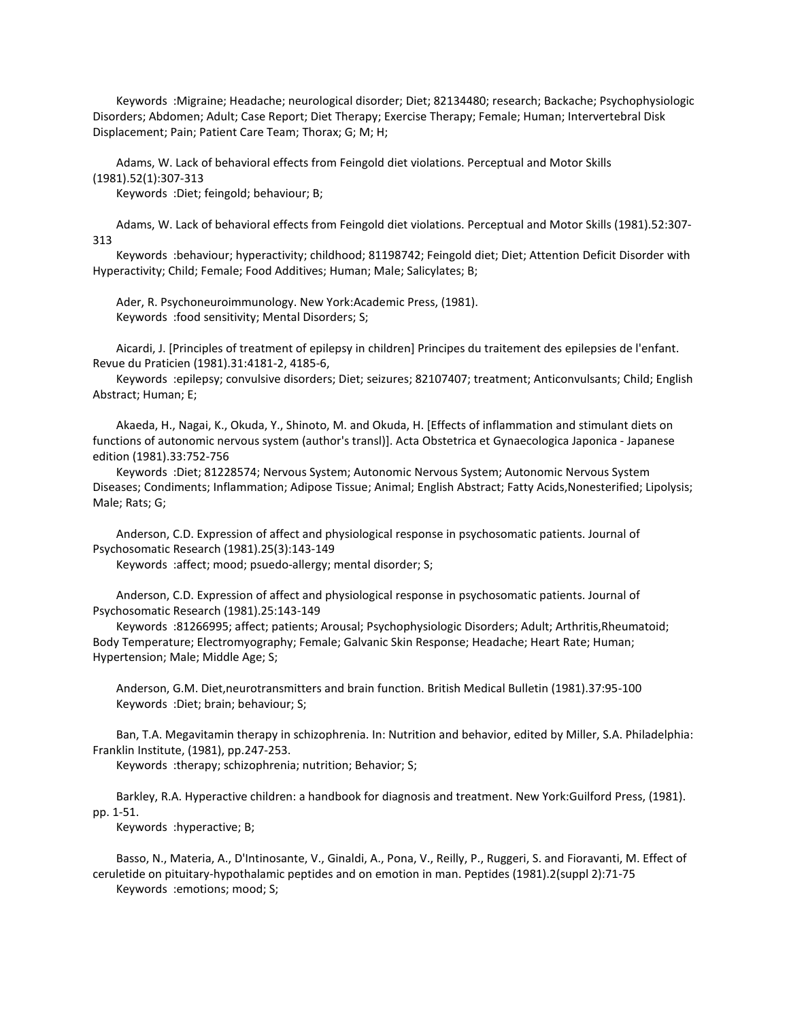Keywords :Migraine; Headache; neurological disorder; Diet; 82134480; research; Backache; Psychophysiologic Disorders; Abdomen; Adult; Case Report; Diet Therapy; Exercise Therapy; Female; Human; Intervertebral Disk Displacement; Pain; Patient Care Team; Thorax; G; M; H;

 Adams, W. Lack of behavioral effects from Feingold diet violations. Perceptual and Motor Skills (1981).52(1):307-313

Keywords :Diet; feingold; behaviour; B;

 Adams, W. Lack of behavioral effects from Feingold diet violations. Perceptual and Motor Skills (1981).52:307- 313

 Keywords :behaviour; hyperactivity; childhood; 81198742; Feingold diet; Diet; Attention Deficit Disorder with Hyperactivity; Child; Female; Food Additives; Human; Male; Salicylates; B;

 Ader, R. Psychoneuroimmunology. New York:Academic Press, (1981). Keywords :food sensitivity; Mental Disorders; S;

 Aicardi, J. [Principles of treatment of epilepsy in children] Principes du traitement des epilepsies de l'enfant. Revue du Praticien (1981).31:4181-2, 4185-6,

 Keywords :epilepsy; convulsive disorders; Diet; seizures; 82107407; treatment; Anticonvulsants; Child; English Abstract; Human; E;

 Akaeda, H., Nagai, K., Okuda, Y., Shinoto, M. and Okuda, H. [Effects of inflammation and stimulant diets on functions of autonomic nervous system (author's transl)]. Acta Obstetrica et Gynaecologica Japonica - Japanese edition (1981).33:752-756

 Keywords :Diet; 81228574; Nervous System; Autonomic Nervous System; Autonomic Nervous System Diseases; Condiments; Inflammation; Adipose Tissue; Animal; English Abstract; Fatty Acids,Nonesterified; Lipolysis; Male; Rats; G;

 Anderson, C.D. Expression of affect and physiological response in psychosomatic patients. Journal of Psychosomatic Research (1981).25(3):143-149

Keywords :affect; mood; psuedo-allergy; mental disorder; S;

 Anderson, C.D. Expression of affect and physiological response in psychosomatic patients. Journal of Psychosomatic Research (1981).25:143-149

 Keywords :81266995; affect; patients; Arousal; Psychophysiologic Disorders; Adult; Arthritis,Rheumatoid; Body Temperature; Electromyography; Female; Galvanic Skin Response; Headache; Heart Rate; Human; Hypertension; Male; Middle Age; S;

 Anderson, G.M. Diet,neurotransmitters and brain function. British Medical Bulletin (1981).37:95-100 Keywords :Diet; brain; behaviour; S;

 Ban, T.A. Megavitamin therapy in schizophrenia. In: Nutrition and behavior, edited by Miller, S.A. Philadelphia: Franklin Institute, (1981), pp.247-253.

Keywords :therapy; schizophrenia; nutrition; Behavior; S;

 Barkley, R.A. Hyperactive children: a handbook for diagnosis and treatment. New York:Guilford Press, (1981). pp. 1-51.

Keywords :hyperactive; B;

 Basso, N., Materia, A., D'Intinosante, V., Ginaldi, A., Pona, V., Reilly, P., Ruggeri, S. and Fioravanti, M. Effect of ceruletide on pituitary-hypothalamic peptides and on emotion in man. Peptides (1981).2(suppl 2):71-75 Keywords :emotions; mood; S;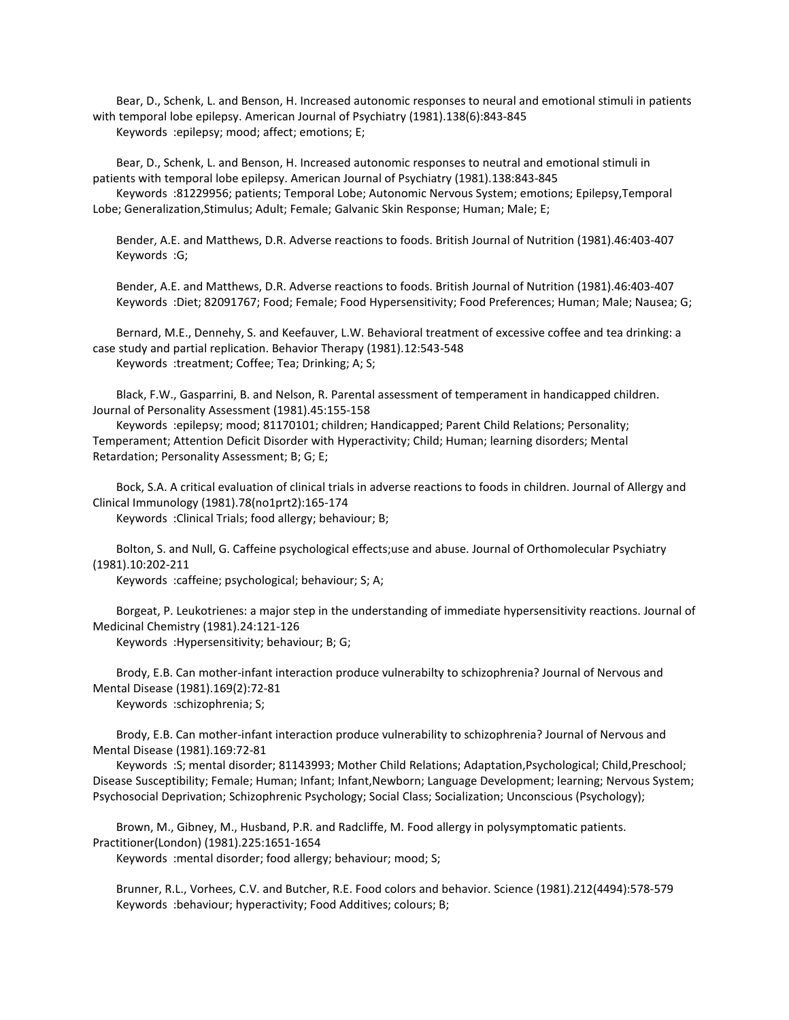Bear, D., Schenk, L. and Benson, H. Increased autonomic responses to neural and emotional stimuli in patients with temporal lobe epilepsy. American Journal of Psychiatry (1981).138(6):843-845 Keywords :epilepsy; mood; affect; emotions; E;

 Bear, D., Schenk, L. and Benson, H. Increased autonomic responses to neutral and emotional stimuli in patients with temporal lobe epilepsy. American Journal of Psychiatry (1981).138:843-845

 Keywords :81229956; patients; Temporal Lobe; Autonomic Nervous System; emotions; Epilepsy,Temporal Lobe; Generalization,Stimulus; Adult; Female; Galvanic Skin Response; Human; Male; E;

 Bender, A.E. and Matthews, D.R. Adverse reactions to foods. British Journal of Nutrition (1981).46:403-407 Keywords :G;

 Bender, A.E. and Matthews, D.R. Adverse reactions to foods. British Journal of Nutrition (1981).46:403-407 Keywords :Diet; 82091767; Food; Female; Food Hypersensitivity; Food Preferences; Human; Male; Nausea; G;

 Bernard, M.E., Dennehy, S. and Keefauver, L.W. Behavioral treatment of excessive coffee and tea drinking: a case study and partial replication. Behavior Therapy (1981).12:543-548 Keywords :treatment; Coffee; Tea; Drinking; A; S;

 Black, F.W., Gasparrini, B. and Nelson, R. Parental assessment of temperament in handicapped children. Journal of Personality Assessment (1981).45:155-158

 Keywords :epilepsy; mood; 81170101; children; Handicapped; Parent Child Relations; Personality; Temperament; Attention Deficit Disorder with Hyperactivity; Child; Human; learning disorders; Mental Retardation; Personality Assessment; B; G; E;

 Bock, S.A. A critical evaluation of clinical trials in adverse reactions to foods in children. Journal of Allergy and Clinical Immunology (1981).78(no1prt2):165-174 Keywords :Clinical Trials; food allergy; behaviour; B;

 Bolton, S. and Null, G. Caffeine psychological effects;use and abuse. Journal of Orthomolecular Psychiatry (1981).10:202-211

Keywords :caffeine; psychological; behaviour; S; A;

 Borgeat, P. Leukotrienes: a major step in the understanding of immediate hypersensitivity reactions. Journal of Medicinal Chemistry (1981).24:121-126

Keywords :Hypersensitivity; behaviour; B; G;

 Brody, E.B. Can mother-infant interaction produce vulnerabilty to schizophrenia? Journal of Nervous and Mental Disease (1981).169(2):72-81

Keywords :schizophrenia; S;

 Brody, E.B. Can mother-infant interaction produce vulnerability to schizophrenia? Journal of Nervous and Mental Disease (1981).169:72-81

 Keywords :S; mental disorder; 81143993; Mother Child Relations; Adaptation,Psychological; Child,Preschool; Disease Susceptibility; Female; Human; Infant; Infant,Newborn; Language Development; learning; Nervous System; Psychosocial Deprivation; Schizophrenic Psychology; Social Class; Socialization; Unconscious (Psychology);

 Brown, M., Gibney, M., Husband, P.R. and Radcliffe, M. Food allergy in polysymptomatic patients. Practitioner(London) (1981).225:1651-1654

Keywords :mental disorder; food allergy; behaviour; mood; S;

 Brunner, R.L., Vorhees, C.V. and Butcher, R.E. Food colors and behavior. Science (1981).212(4494):578-579 Keywords :behaviour; hyperactivity; Food Additives; colours; B;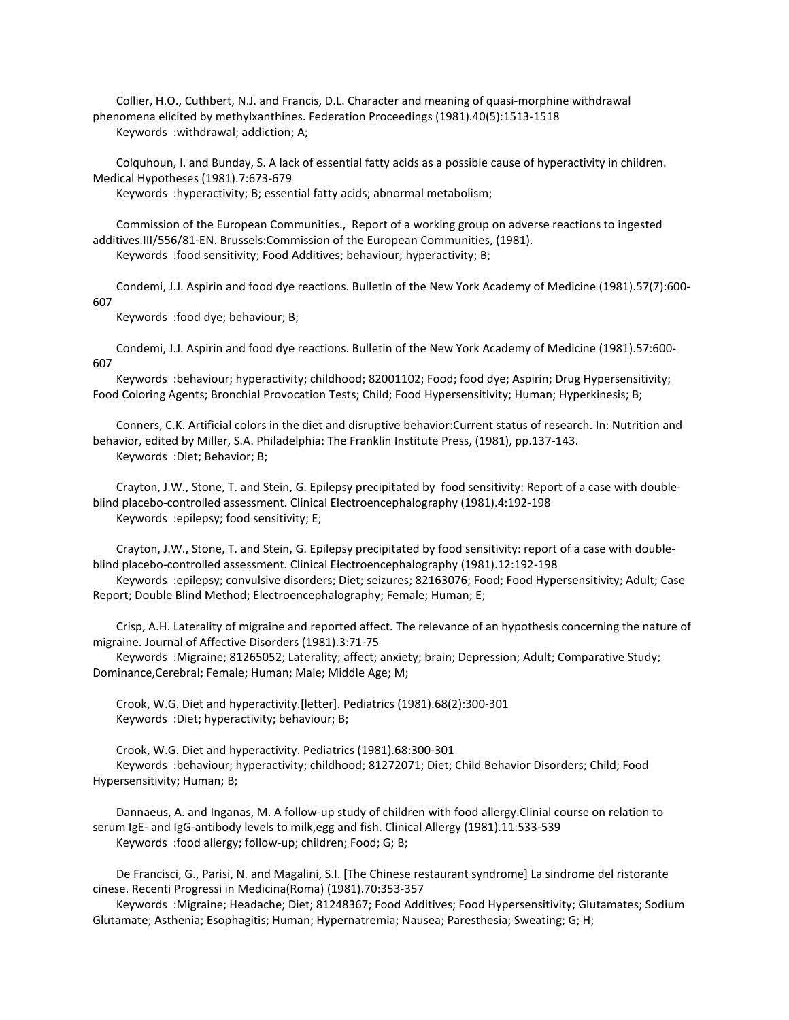Collier, H.O., Cuthbert, N.J. and Francis, D.L. Character and meaning of quasi-morphine withdrawal phenomena elicited by methylxanthines. Federation Proceedings (1981).40(5):1513-1518 Keywords :withdrawal; addiction; A;

 Colquhoun, I. and Bunday, S. A lack of essential fatty acids as a possible cause of hyperactivity in children. Medical Hypotheses (1981).7:673-679

Keywords :hyperactivity; B; essential fatty acids; abnormal metabolism;

 Commission of the European Communities., Report of a working group on adverse reactions to ingested additives.III/556/81-EN. Brussels:Commission of the European Communities, (1981).

Keywords :food sensitivity; Food Additives; behaviour; hyperactivity; B;

 Condemi, J.J. Aspirin and food dye reactions. Bulletin of the New York Academy of Medicine (1981).57(7):600- 607

Keywords :food dye; behaviour; B;

 Condemi, J.J. Aspirin and food dye reactions. Bulletin of the New York Academy of Medicine (1981).57:600- 607

 Keywords :behaviour; hyperactivity; childhood; 82001102; Food; food dye; Aspirin; Drug Hypersensitivity; Food Coloring Agents; Bronchial Provocation Tests; Child; Food Hypersensitivity; Human; Hyperkinesis; B;

 Conners, C.K. Artificial colors in the diet and disruptive behavior:Current status of research. In: Nutrition and behavior, edited by Miller, S.A. Philadelphia: The Franklin Institute Press, (1981), pp.137-143. Keywords :Diet; Behavior; B;

 Crayton, J.W., Stone, T. and Stein, G. Epilepsy precipitated by food sensitivity: Report of a case with doubleblind placebo-controlled assessment. Clinical Electroencephalography (1981).4:192-198 Keywords :epilepsy; food sensitivity; E;

 Crayton, J.W., Stone, T. and Stein, G. Epilepsy precipitated by food sensitivity: report of a case with doubleblind placebo-controlled assessment. Clinical Electroencephalography (1981).12:192-198

 Keywords :epilepsy; convulsive disorders; Diet; seizures; 82163076; Food; Food Hypersensitivity; Adult; Case Report; Double Blind Method; Electroencephalography; Female; Human; E;

 Crisp, A.H. Laterality of migraine and reported affect. The relevance of an hypothesis concerning the nature of migraine. Journal of Affective Disorders (1981).3:71-75

 Keywords :Migraine; 81265052; Laterality; affect; anxiety; brain; Depression; Adult; Comparative Study; Dominance,Cerebral; Female; Human; Male; Middle Age; M;

 Crook, W.G. Diet and hyperactivity.[letter]. Pediatrics (1981).68(2):300-301 Keywords :Diet; hyperactivity; behaviour; B;

 Crook, W.G. Diet and hyperactivity. Pediatrics (1981).68:300-301 Keywords :behaviour; hyperactivity; childhood; 81272071; Diet; Child Behavior Disorders; Child; Food Hypersensitivity; Human; B;

 Dannaeus, A. and Inganas, M. A follow-up study of children with food allergy.Clinial course on relation to serum IgE- and IgG-antibody levels to milk,egg and fish. Clinical Allergy (1981).11:533-539 Keywords :food allergy; follow-up; children; Food; G; B;

 De Francisci, G., Parisi, N. and Magalini, S.I. [The Chinese restaurant syndrome] La sindrome del ristorante cinese. Recenti Progressi in Medicina(Roma) (1981).70:353-357

 Keywords :Migraine; Headache; Diet; 81248367; Food Additives; Food Hypersensitivity; Glutamates; Sodium Glutamate; Asthenia; Esophagitis; Human; Hypernatremia; Nausea; Paresthesia; Sweating; G; H;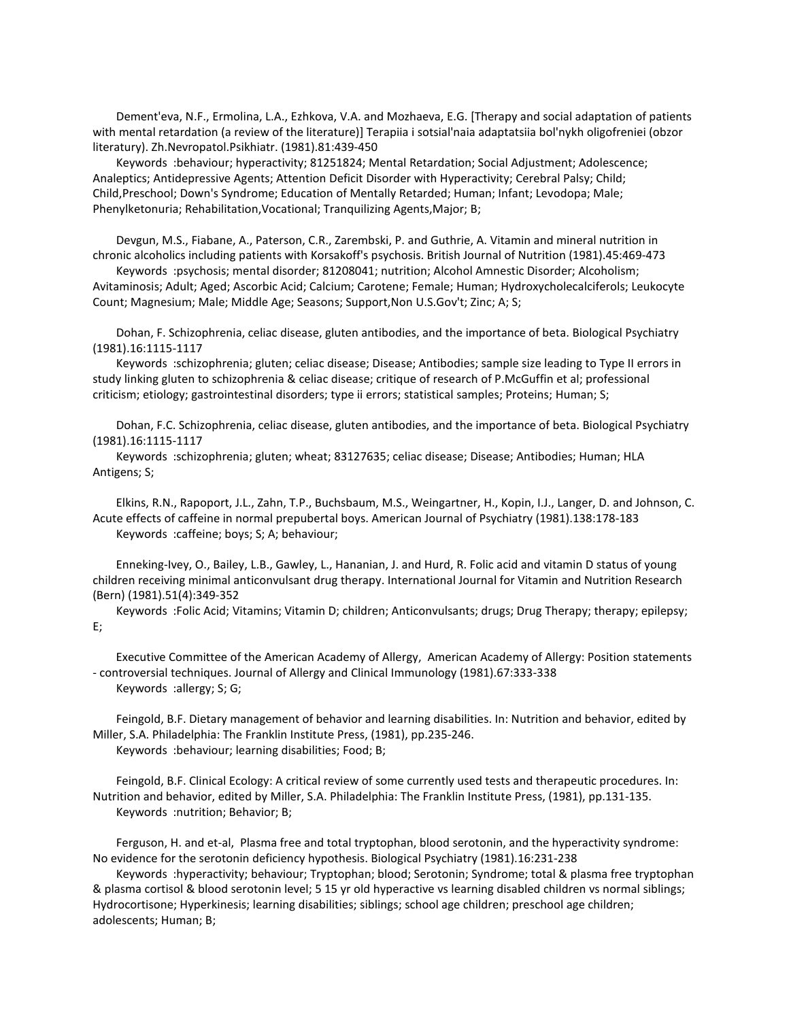Dement'eva, N.F., Ermolina, L.A., Ezhkova, V.A. and Mozhaeva, E.G. [Therapy and social adaptation of patients with mental retardation (a review of the literature)] Terapiia i sotsial'naia adaptatsiia bol'nykh oligofreniei (obzor literatury). Zh.Nevropatol.Psikhiatr. (1981).81:439-450

 Keywords :behaviour; hyperactivity; 81251824; Mental Retardation; Social Adjustment; Adolescence; Analeptics; Antidepressive Agents; Attention Deficit Disorder with Hyperactivity; Cerebral Palsy; Child; Child,Preschool; Down's Syndrome; Education of Mentally Retarded; Human; Infant; Levodopa; Male; Phenylketonuria; Rehabilitation,Vocational; Tranquilizing Agents,Major; B;

 Devgun, M.S., Fiabane, A., Paterson, C.R., Zarembski, P. and Guthrie, A. Vitamin and mineral nutrition in chronic alcoholics including patients with Korsakoff's psychosis. British Journal of Nutrition (1981).45:469-473

 Keywords :psychosis; mental disorder; 81208041; nutrition; Alcohol Amnestic Disorder; Alcoholism; Avitaminosis; Adult; Aged; Ascorbic Acid; Calcium; Carotene; Female; Human; Hydroxycholecalciferols; Leukocyte Count; Magnesium; Male; Middle Age; Seasons; Support,Non U.S.Gov't; Zinc; A; S;

 Dohan, F. Schizophrenia, celiac disease, gluten antibodies, and the importance of beta. Biological Psychiatry (1981).16:1115-1117

 Keywords :schizophrenia; gluten; celiac disease; Disease; Antibodies; sample size leading to Type II errors in study linking gluten to schizophrenia & celiac disease; critique of research of P.McGuffin et al; professional criticism; etiology; gastrointestinal disorders; type ii errors; statistical samples; Proteins; Human; S;

 Dohan, F.C. Schizophrenia, celiac disease, gluten antibodies, and the importance of beta. Biological Psychiatry (1981).16:1115-1117

 Keywords :schizophrenia; gluten; wheat; 83127635; celiac disease; Disease; Antibodies; Human; HLA Antigens; S;

 Elkins, R.N., Rapoport, J.L., Zahn, T.P., Buchsbaum, M.S., Weingartner, H., Kopin, I.J., Langer, D. and Johnson, C. Acute effects of caffeine in normal prepubertal boys. American Journal of Psychiatry (1981).138:178-183 Keywords :caffeine; boys; S; A; behaviour;

 Enneking-Ivey, O., Bailey, L.B., Gawley, L., Hananian, J. and Hurd, R. Folic acid and vitamin D status of young children receiving minimal anticonvulsant drug therapy. International Journal for Vitamin and Nutrition Research (Bern) (1981).51(4):349-352

 Keywords :Folic Acid; Vitamins; Vitamin D; children; Anticonvulsants; drugs; Drug Therapy; therapy; epilepsy; E;

 Executive Committee of the American Academy of Allergy, American Academy of Allergy: Position statements - controversial techniques. Journal of Allergy and Clinical Immunology (1981).67:333-338 Keywords :allergy; S; G;

 Feingold, B.F. Dietary management of behavior and learning disabilities. In: Nutrition and behavior, edited by Miller, S.A. Philadelphia: The Franklin Institute Press, (1981), pp.235-246. Keywords :behaviour; learning disabilities; Food; B;

 Feingold, B.F. Clinical Ecology: A critical review of some currently used tests and therapeutic procedures. In: Nutrition and behavior, edited by Miller, S.A. Philadelphia: The Franklin Institute Press, (1981), pp.131-135. Keywords :nutrition; Behavior; B;

 Ferguson, H. and et-al, Plasma free and total tryptophan, blood serotonin, and the hyperactivity syndrome: No evidence for the serotonin deficiency hypothesis. Biological Psychiatry (1981).16:231-238

 Keywords :hyperactivity; behaviour; Tryptophan; blood; Serotonin; Syndrome; total & plasma free tryptophan & plasma cortisol & blood serotonin level; 5 15 yr old hyperactive vs learning disabled children vs normal siblings; Hydrocortisone; Hyperkinesis; learning disabilities; siblings; school age children; preschool age children; adolescents; Human; B;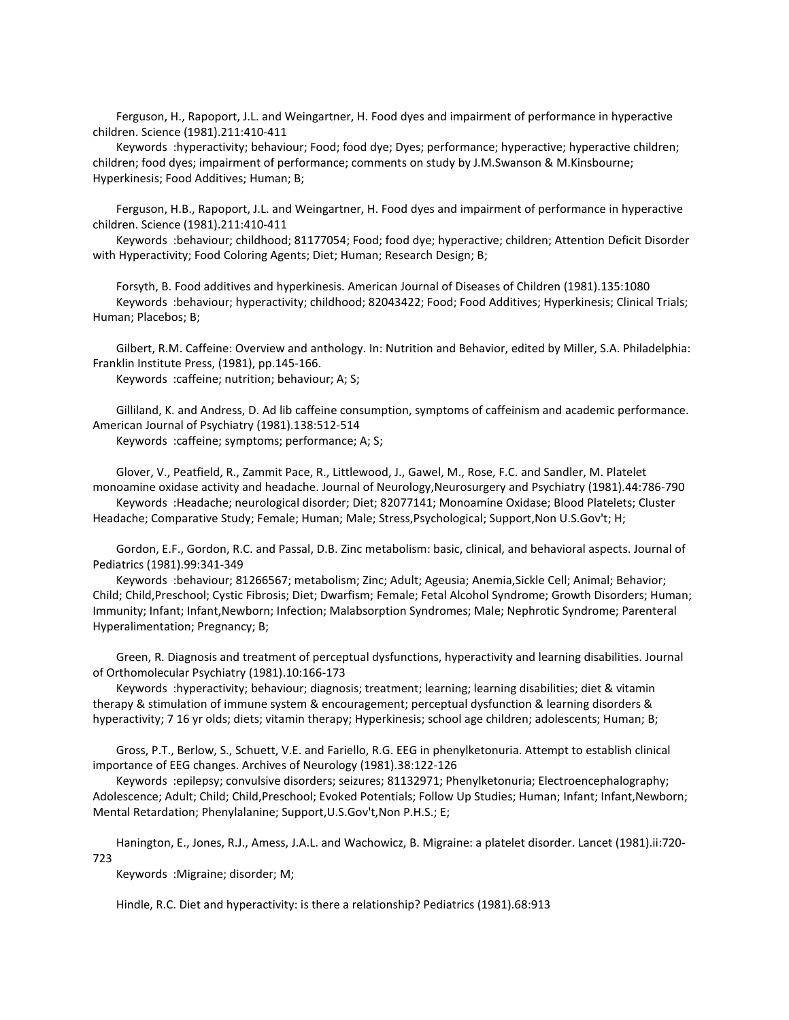Ferguson, H., Rapoport, J.L. and Weingartner, H. Food dyes and impairment of performance in hyperactive children. Science (1981).211:410-411

 Keywords :hyperactivity; behaviour; Food; food dye; Dyes; performance; hyperactive; hyperactive children; children; food dyes; impairment of performance; comments on study by J.M.Swanson & M.Kinsbourne; Hyperkinesis; Food Additives; Human; B;

 Ferguson, H.B., Rapoport, J.L. and Weingartner, H. Food dyes and impairment of performance in hyperactive children. Science (1981).211:410-411

 Keywords :behaviour; childhood; 81177054; Food; food dye; hyperactive; children; Attention Deficit Disorder with Hyperactivity; Food Coloring Agents; Diet; Human; Research Design; B;

 Forsyth, B. Food additives and hyperkinesis. American Journal of Diseases of Children (1981).135:1080 Keywords :behaviour; hyperactivity; childhood; 82043422; Food; Food Additives; Hyperkinesis; Clinical Trials; Human; Placebos; B;

 Gilbert, R.M. Caffeine: Overview and anthology. In: Nutrition and Behavior, edited by Miller, S.A. Philadelphia: Franklin Institute Press, (1981), pp.145-166.

Keywords :caffeine; nutrition; behaviour; A; S;

 Gilliland, K. and Andress, D. Ad lib caffeine consumption, symptoms of caffeinism and academic performance. American Journal of Psychiatry (1981).138:512-514

Keywords :caffeine; symptoms; performance; A; S;

 Glover, V., Peatfield, R., Zammit Pace, R., Littlewood, J., Gawel, M., Rose, F.C. and Sandler, M. Platelet monoamine oxidase activity and headache. Journal of Neurology,Neurosurgery and Psychiatry (1981).44:786-790 Keywords :Headache; neurological disorder; Diet; 82077141; Monoamine Oxidase; Blood Platelets; Cluster Headache; Comparative Study; Female; Human; Male; Stress, Psychological; Support, Non U.S.Gov't; H;

 Gordon, E.F., Gordon, R.C. and Passal, D.B. Zinc metabolism: basic, clinical, and behavioral aspects. Journal of Pediatrics (1981).99:341-349

 Keywords :behaviour; 81266567; metabolism; Zinc; Adult; Ageusia; Anemia,Sickle Cell; Animal; Behavior; Child; Child,Preschool; Cystic Fibrosis; Diet; Dwarfism; Female; Fetal Alcohol Syndrome; Growth Disorders; Human; Immunity; Infant; Infant,Newborn; Infection; Malabsorption Syndromes; Male; Nephrotic Syndrome; Parenteral Hyperalimentation; Pregnancy; B;

 Green, R. Diagnosis and treatment of perceptual dysfunctions, hyperactivity and learning disabilities. Journal of Orthomolecular Psychiatry (1981).10:166-173

 Keywords :hyperactivity; behaviour; diagnosis; treatment; learning; learning disabilities; diet & vitamin therapy & stimulation of immune system & encouragement; perceptual dysfunction & learning disorders & hyperactivity; 7 16 yr olds; diets; vitamin therapy; Hyperkinesis; school age children; adolescents; Human; B;

 Gross, P.T., Berlow, S., Schuett, V.E. and Fariello, R.G. EEG in phenylketonuria. Attempt to establish clinical importance of EEG changes. Archives of Neurology (1981).38:122-126

 Keywords :epilepsy; convulsive disorders; seizures; 81132971; Phenylketonuria; Electroencephalography; Adolescence; Adult; Child; Child, Preschool; Evoked Potentials; Follow Up Studies; Human; Infant; Infant,Newborn; Mental Retardation; Phenylalanine; Support,U.S.Gov't,Non P.H.S.; E;

 Hanington, E., Jones, R.J., Amess, J.A.L. and Wachowicz, B. Migraine: a platelet disorder. Lancet (1981).ii:720- 723

Keywords :Migraine; disorder; M;

Hindle, R.C. Diet and hyperactivity: is there a relationship? Pediatrics (1981).68:913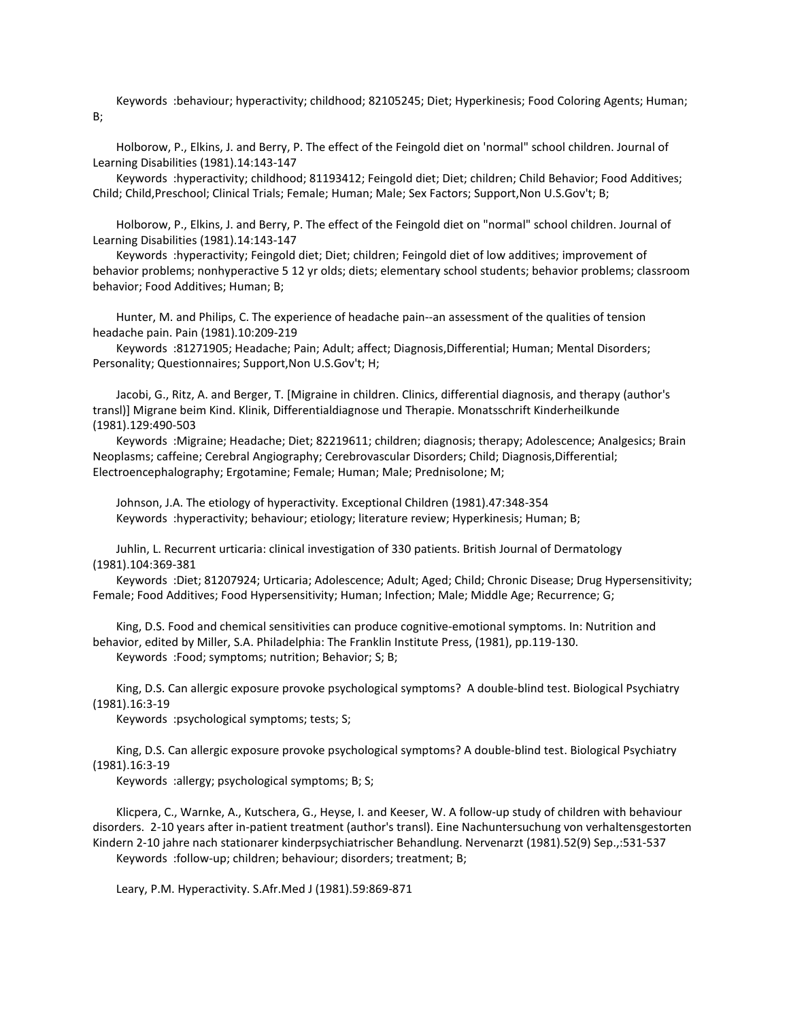Keywords :behaviour; hyperactivity; childhood; 82105245; Diet; Hyperkinesis; Food Coloring Agents; Human; B;

 Holborow, P., Elkins, J. and Berry, P. The effect of the Feingold diet on 'normal" school children. Journal of Learning Disabilities (1981).14:143-147

 Keywords :hyperactivity; childhood; 81193412; Feingold diet; Diet; children; Child Behavior; Food Additives; Child; Child, Preschool; Clinical Trials; Female; Human; Male; Sex Factors; Support, Non U.S.Gov't; B;

 Holborow, P., Elkins, J. and Berry, P. The effect of the Feingold diet on "normal" school children. Journal of Learning Disabilities (1981).14:143-147

 Keywords :hyperactivity; Feingold diet; Diet; children; Feingold diet of low additives; improvement of behavior problems; nonhyperactive 5 12 yr olds; diets; elementary school students; behavior problems; classroom behavior; Food Additives; Human; B;

 Hunter, M. and Philips, C. The experience of headache pain--an assessment of the qualities of tension headache pain. Pain (1981).10:209-219

 Keywords :81271905; Headache; Pain; Adult; affect; Diagnosis,Differential; Human; Mental Disorders; Personality; Questionnaires; Support,Non U.S.Gov't; H;

 Jacobi, G., Ritz, A. and Berger, T. [Migraine in children. Clinics, differential diagnosis, and therapy (author's transl)] Migrane beim Kind. Klinik, Differentialdiagnose und Therapie. Monatsschrift Kinderheilkunde (1981).129:490-503

 Keywords :Migraine; Headache; Diet; 82219611; children; diagnosis; therapy; Adolescence; Analgesics; Brain Neoplasms; caffeine; Cerebral Angiography; Cerebrovascular Disorders; Child; Diagnosis,Differential; Electroencephalography; Ergotamine; Female; Human; Male; Prednisolone; M;

 Johnson, J.A. The etiology of hyperactivity. Exceptional Children (1981).47:348-354 Keywords :hyperactivity; behaviour; etiology; literature review; Hyperkinesis; Human; B;

 Juhlin, L. Recurrent urticaria: clinical investigation of 330 patients. British Journal of Dermatology (1981).104:369-381

 Keywords :Diet; 81207924; Urticaria; Adolescence; Adult; Aged; Child; Chronic Disease; Drug Hypersensitivity; Female; Food Additives; Food Hypersensitivity; Human; Infection; Male; Middle Age; Recurrence; G;

 King, D.S. Food and chemical sensitivities can produce cognitive-emotional symptoms. In: Nutrition and behavior, edited by Miller, S.A. Philadelphia: The Franklin Institute Press, (1981), pp.119-130. Keywords :Food; symptoms; nutrition; Behavior; S; B;

King, D.S. Can allergic exposure provoke psychological symptoms? A double-blind test. Biological Psychiatry

(1981).16:3-19

Keywords :psychological symptoms; tests; S;

 King, D.S. Can allergic exposure provoke psychological symptoms? A double-blind test. Biological Psychiatry (1981).16:3-19

Keywords :allergy; psychological symptoms; B; S;

 Klicpera, C., Warnke, A., Kutschera, G., Heyse, I. and Keeser, W. A follow-up study of children with behaviour disorders. 2-10 years after in-patient treatment (author's transl). Eine Nachuntersuchung von verhaltensgestorten Kindern 2-10 jahre nach stationarer kinderpsychiatrischer Behandlung. Nervenarzt (1981).52(9) Sep.,:531-537 Keywords :follow-up; children; behaviour; disorders; treatment; B;

Leary, P.M. Hyperactivity. S.Afr.Med J (1981).59:869-871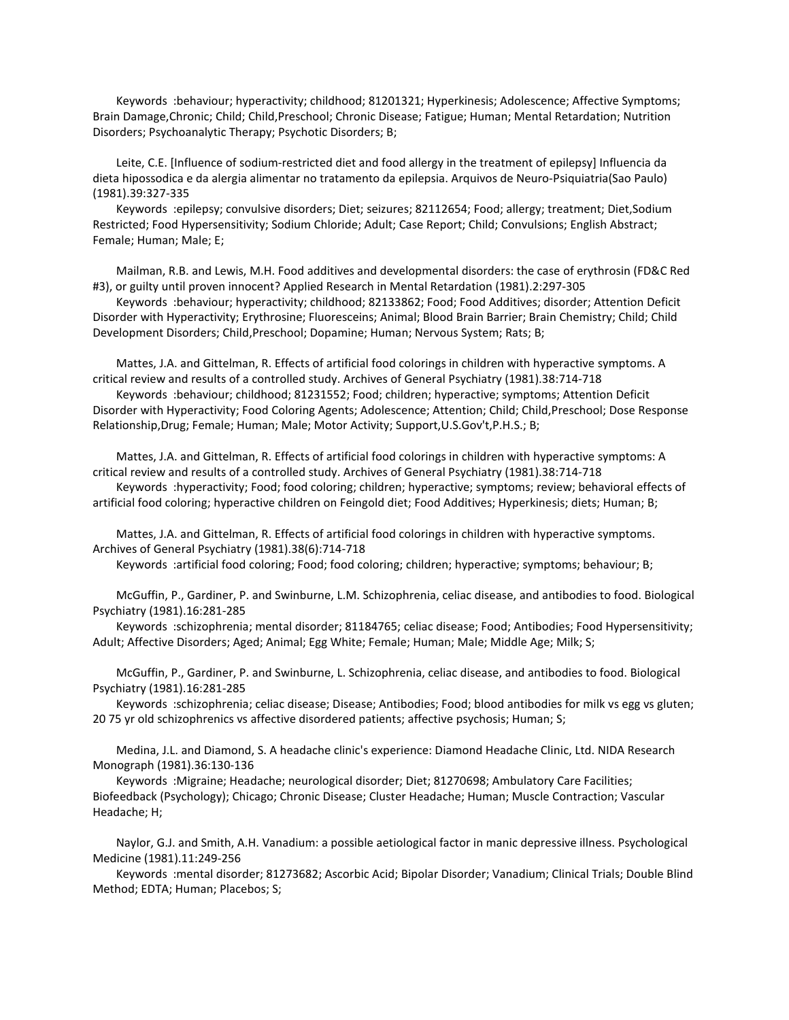Keywords :behaviour; hyperactivity; childhood; 81201321; Hyperkinesis; Adolescence; Affective Symptoms; Brain Damage,Chronic; Child; Child,Preschool; Chronic Disease; Fatigue; Human; Mental Retardation; Nutrition Disorders; Psychoanalytic Therapy; Psychotic Disorders; B;

 Leite, C.E. [Influence of sodium-restricted diet and food allergy in the treatment of epilepsy] Influencia da dieta hipossodica e da alergia alimentar no tratamento da epilepsia. Arquivos de Neuro-Psiquiatria(Sao Paulo) (1981).39:327-335

 Keywords :epilepsy; convulsive disorders; Diet; seizures; 82112654; Food; allergy; treatment; Diet,Sodium Restricted; Food Hypersensitivity; Sodium Chloride; Adult; Case Report; Child; Convulsions; English Abstract; Female; Human; Male; E;

 Mailman, R.B. and Lewis, M.H. Food additives and developmental disorders: the case of erythrosin (FD&C Red #3), or guilty until proven innocent? Applied Research in Mental Retardation (1981).2:297-305

 Keywords :behaviour; hyperactivity; childhood; 82133862; Food; Food Additives; disorder; Attention Deficit Disorder with Hyperactivity; Erythrosine; Fluoresceins; Animal; Blood Brain Barrier; Brain Chemistry; Child; Child Development Disorders; Child,Preschool; Dopamine; Human; Nervous System; Rats; B;

 Mattes, J.A. and Gittelman, R. Effects of artificial food colorings in children with hyperactive symptoms. A critical review and results of a controlled study. Archives of General Psychiatry (1981).38:714-718

 Keywords :behaviour; childhood; 81231552; Food; children; hyperactive; symptoms; Attention Deficit Disorder with Hyperactivity; Food Coloring Agents; Adolescence; Attention; Child; Child,Preschool; Dose Response Relationship,Drug; Female; Human; Male; Motor Activity; Support,U.S.Gov't,P.H.S.; B;

 Mattes, J.A. and Gittelman, R. Effects of artificial food colorings in children with hyperactive symptoms: A critical review and results of a controlled study. Archives of General Psychiatry (1981).38:714-718

 Keywords :hyperactivity; Food; food coloring; children; hyperactive; symptoms; review; behavioral effects of artificial food coloring; hyperactive children on Feingold diet; Food Additives; Hyperkinesis; diets; Human; B;

 Mattes, J.A. and Gittelman, R. Effects of artificial food colorings in children with hyperactive symptoms. Archives of General Psychiatry (1981).38(6):714-718

Keywords :artificial food coloring; Food; food coloring; children; hyperactive; symptoms; behaviour; B;

 McGuffin, P., Gardiner, P. and Swinburne, L.M. Schizophrenia, celiac disease, and antibodies to food. Biological Psychiatry (1981).16:281-285

 Keywords :schizophrenia; mental disorder; 81184765; celiac disease; Food; Antibodies; Food Hypersensitivity; Adult; Affective Disorders; Aged; Animal; Egg White; Female; Human; Male; Middle Age; Milk; S;

 McGuffin, P., Gardiner, P. and Swinburne, L. Schizophrenia, celiac disease, and antibodies to food. Biological Psychiatry (1981).16:281-285

 Keywords :schizophrenia; celiac disease; Disease; Antibodies; Food; blood antibodies for milk vs egg vs gluten; 20 75 yr old schizophrenics vs affective disordered patients; affective psychosis; Human; S;

 Medina, J.L. and Diamond, S. A headache clinic's experience: Diamond Headache Clinic, Ltd. NIDA Research Monograph (1981).36:130-136

 Keywords :Migraine; Headache; neurological disorder; Diet; 81270698; Ambulatory Care Facilities; Biofeedback (Psychology); Chicago; Chronic Disease; Cluster Headache; Human; Muscle Contraction; Vascular Headache; H;

 Naylor, G.J. and Smith, A.H. Vanadium: a possible aetiological factor in manic depressive illness. Psychological Medicine (1981).11:249-256

 Keywords :mental disorder; 81273682; Ascorbic Acid; Bipolar Disorder; Vanadium; Clinical Trials; Double Blind Method; EDTA; Human; Placebos; S;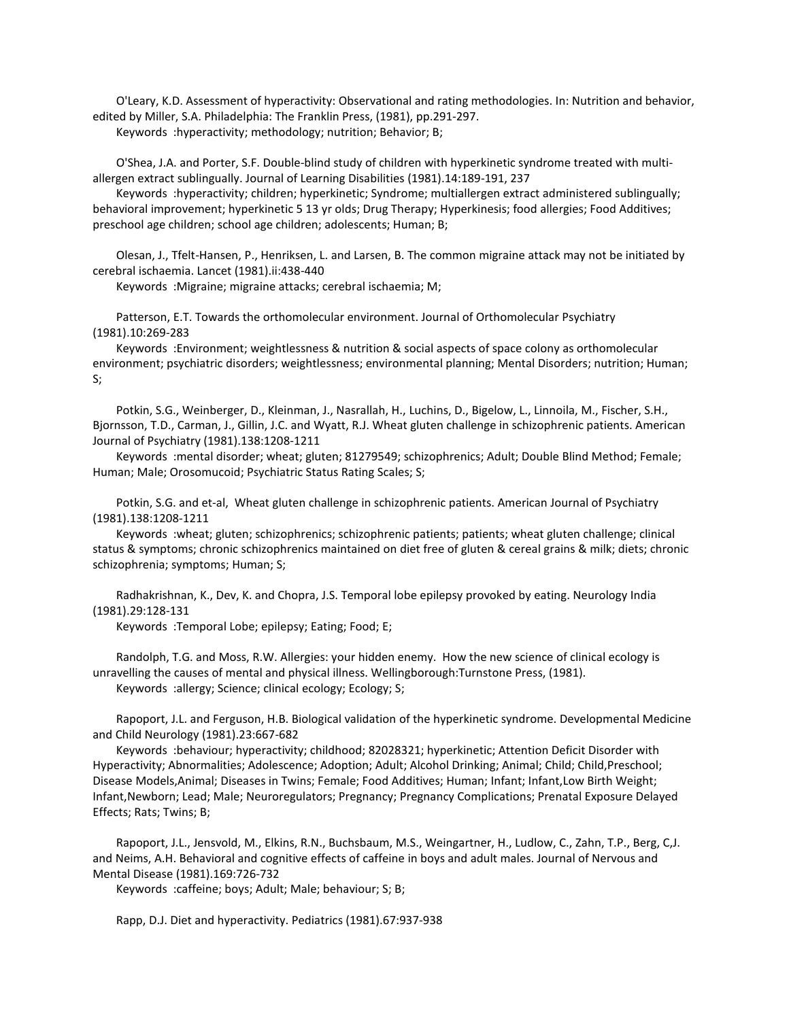O'Leary, K.D. Assessment of hyperactivity: Observational and rating methodologies. In: Nutrition and behavior, edited by Miller, S.A. Philadelphia: The Franklin Press, (1981), pp.291-297.

Keywords :hyperactivity; methodology; nutrition; Behavior; B;

 O'Shea, J.A. and Porter, S.F. Double-blind study of children with hyperkinetic syndrome treated with multiallergen extract sublingually. Journal of Learning Disabilities (1981).14:189-191, 237

 Keywords :hyperactivity; children; hyperkinetic; Syndrome; multiallergen extract administered sublingually; behavioral improvement; hyperkinetic 5 13 yr olds; Drug Therapy; Hyperkinesis; food allergies; Food Additives; preschool age children; school age children; adolescents; Human; B;

 Olesan, J., Tfelt-Hansen, P., Henriksen, L. and Larsen, B. The common migraine attack may not be initiated by cerebral ischaemia. Lancet (1981).ii:438-440

Keywords :Migraine; migraine attacks; cerebral ischaemia; M;

 Patterson, E.T. Towards the orthomolecular environment. Journal of Orthomolecular Psychiatry (1981).10:269-283

 Keywords :Environment; weightlessness & nutrition & social aspects of space colony as orthomolecular environment; psychiatric disorders; weightlessness; environmental planning; Mental Disorders; nutrition; Human; S;

 Potkin, S.G., Weinberger, D., Kleinman, J., Nasrallah, H., Luchins, D., Bigelow, L., Linnoila, M., Fischer, S.H., Bjornsson, T.D., Carman, J., Gillin, J.C. and Wyatt, R.J. Wheat gluten challenge in schizophrenic patients. American Journal of Psychiatry (1981).138:1208-1211

 Keywords :mental disorder; wheat; gluten; 81279549; schizophrenics; Adult; Double Blind Method; Female; Human; Male; Orosomucoid; Psychiatric Status Rating Scales; S;

 Potkin, S.G. and et-al, Wheat gluten challenge in schizophrenic patients. American Journal of Psychiatry (1981).138:1208-1211

 Keywords :wheat; gluten; schizophrenics; schizophrenic patients; patients; wheat gluten challenge; clinical status & symptoms; chronic schizophrenics maintained on diet free of gluten & cereal grains & milk; diets; chronic schizophrenia; symptoms; Human; S;

 Radhakrishnan, K., Dev, K. and Chopra, J.S. Temporal lobe epilepsy provoked by eating. Neurology India (1981).29:128-131

Keywords :Temporal Lobe; epilepsy; Eating; Food; E;

 Randolph, T.G. and Moss, R.W. Allergies: your hidden enemy. How the new science of clinical ecology is unravelling the causes of mental and physical illness. Wellingborough:Turnstone Press, (1981). Keywords :allergy; Science; clinical ecology; Ecology; S;

 Rapoport, J.L. and Ferguson, H.B. Biological validation of the hyperkinetic syndrome. Developmental Medicine and Child Neurology (1981).23:667-682

 Keywords :behaviour; hyperactivity; childhood; 82028321; hyperkinetic; Attention Deficit Disorder with Hyperactivity; Abnormalities; Adolescence; Adoption; Adult; Alcohol Drinking; Animal; Child; Child,Preschool; Disease Models,Animal; Diseases in Twins; Female; Food Additives; Human; Infant; Infant,Low Birth Weight; Infant,Newborn; Lead; Male; Neuroregulators; Pregnancy; Pregnancy Complications; Prenatal Exposure Delayed Effects; Rats; Twins; B;

 Rapoport, J.L., Jensvold, M., Elkins, R.N., Buchsbaum, M.S., Weingartner, H., Ludlow, C., Zahn, T.P., Berg, C,J. and Neims, A.H. Behavioral and cognitive effects of caffeine in boys and adult males. Journal of Nervous and Mental Disease (1981).169:726-732

Keywords :caffeine; boys; Adult; Male; behaviour; S; B;

Rapp, D.J. Diet and hyperactivity. Pediatrics (1981).67:937-938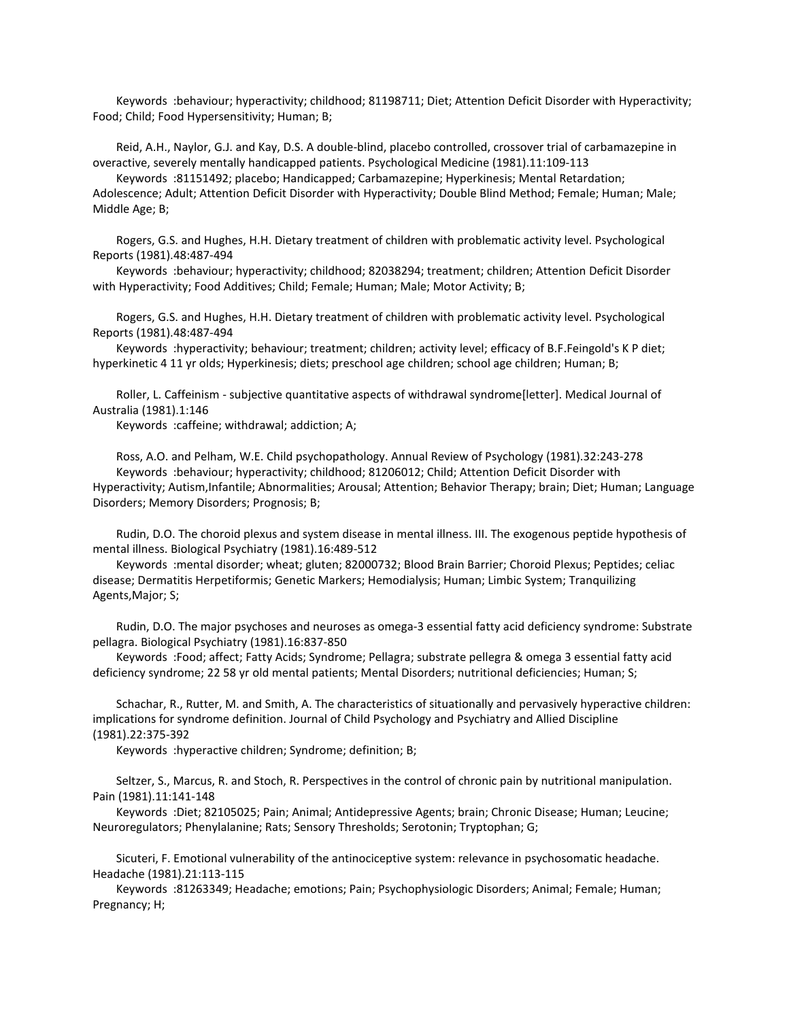Keywords :behaviour; hyperactivity; childhood; 81198711; Diet; Attention Deficit Disorder with Hyperactivity; Food; Child; Food Hypersensitivity; Human; B;

 Reid, A.H., Naylor, G.J. and Kay, D.S. A double-blind, placebo controlled, crossover trial of carbamazepine in overactive, severely mentally handicapped patients. Psychological Medicine (1981).11:109-113

 Keywords :81151492; placebo; Handicapped; Carbamazepine; Hyperkinesis; Mental Retardation; Adolescence; Adult; Attention Deficit Disorder with Hyperactivity; Double Blind Method; Female; Human; Male; Middle Age; B;

 Rogers, G.S. and Hughes, H.H. Dietary treatment of children with problematic activity level. Psychological Reports (1981).48:487-494

 Keywords :behaviour; hyperactivity; childhood; 82038294; treatment; children; Attention Deficit Disorder with Hyperactivity; Food Additives; Child; Female; Human; Male; Motor Activity; B;

 Rogers, G.S. and Hughes, H.H. Dietary treatment of children with problematic activity level. Psychological Reports (1981).48:487-494

 Keywords :hyperactivity; behaviour; treatment; children; activity level; efficacy of B.F.Feingold's K P diet; hyperkinetic 4 11 yr olds; Hyperkinesis; diets; preschool age children; school age children; Human; B;

 Roller, L. Caffeinism - subjective quantitative aspects of withdrawal syndrome[letter]. Medical Journal of Australia (1981).1:146

Keywords :caffeine; withdrawal; addiction; A;

 Ross, A.O. and Pelham, W.E. Child psychopathology. Annual Review of Psychology (1981).32:243-278 Keywords :behaviour; hyperactivity; childhood; 81206012; Child; Attention Deficit Disorder with Hyperactivity; Autism,Infantile; Abnormalities; Arousal; Attention; Behavior Therapy; brain; Diet; Human; Language Disorders; Memory Disorders; Prognosis; B;

 Rudin, D.O. The choroid plexus and system disease in mental illness. III. The exogenous peptide hypothesis of mental illness. Biological Psychiatry (1981).16:489-512

 Keywords :mental disorder; wheat; gluten; 82000732; Blood Brain Barrier; Choroid Plexus; Peptides; celiac disease; Dermatitis Herpetiformis; Genetic Markers; Hemodialysis; Human; Limbic System; Tranquilizing Agents,Major; S;

 Rudin, D.O. The major psychoses and neuroses as omega-3 essential fatty acid deficiency syndrome: Substrate pellagra. Biological Psychiatry (1981).16:837-850

 Keywords :Food; affect; Fatty Acids; Syndrome; Pellagra; substrate pellegra & omega 3 essential fatty acid deficiency syndrome; 22 58 yr old mental patients; Mental Disorders; nutritional deficiencies; Human; S;

 Schachar, R., Rutter, M. and Smith, A. The characteristics of situationally and pervasively hyperactive children: implications for syndrome definition. Journal of Child Psychology and Psychiatry and Allied Discipline (1981).22:375-392

Keywords :hyperactive children; Syndrome; definition; B;

 Seltzer, S., Marcus, R. and Stoch, R. Perspectives in the control of chronic pain by nutritional manipulation. Pain (1981).11:141-148

 Keywords :Diet; 82105025; Pain; Animal; Antidepressive Agents; brain; Chronic Disease; Human; Leucine; Neuroregulators; Phenylalanine; Rats; Sensory Thresholds; Serotonin; Tryptophan; G;

 Sicuteri, F. Emotional vulnerability of the antinociceptive system: relevance in psychosomatic headache. Headache (1981).21:113-115

 Keywords :81263349; Headache; emotions; Pain; Psychophysiologic Disorders; Animal; Female; Human; Pregnancy; H;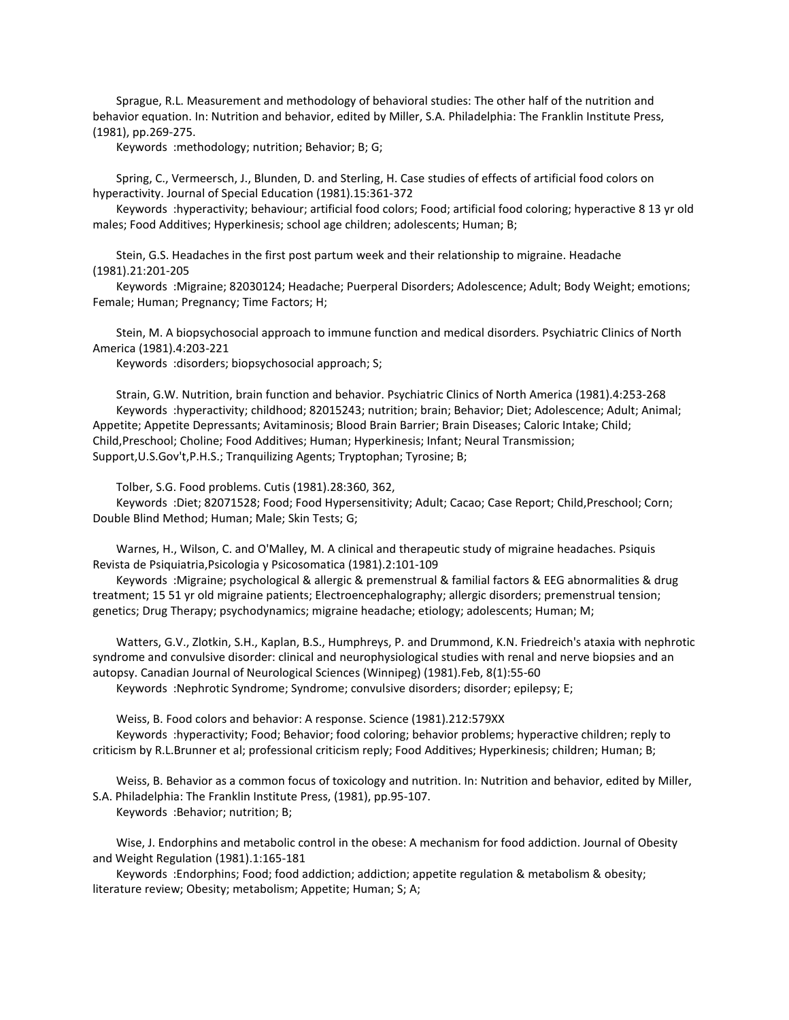Sprague, R.L. Measurement and methodology of behavioral studies: The other half of the nutrition and behavior equation. In: Nutrition and behavior, edited by Miller, S.A. Philadelphia: The Franklin Institute Press, (1981), pp.269-275.

Keywords :methodology; nutrition; Behavior; B; G;

 Spring, C., Vermeersch, J., Blunden, D. and Sterling, H. Case studies of effects of artificial food colors on hyperactivity. Journal of Special Education (1981).15:361-372

 Keywords :hyperactivity; behaviour; artificial food colors; Food; artificial food coloring; hyperactive 8 13 yr old males; Food Additives; Hyperkinesis; school age children; adolescents; Human; B;

 Stein, G.S. Headaches in the first post partum week and their relationship to migraine. Headache (1981).21:201-205

 Keywords :Migraine; 82030124; Headache; Puerperal Disorders; Adolescence; Adult; Body Weight; emotions; Female; Human; Pregnancy; Time Factors; H;

 Stein, M. A biopsychosocial approach to immune function and medical disorders. Psychiatric Clinics of North America (1981).4:203-221

Keywords :disorders; biopsychosocial approach; S;

 Strain, G.W. Nutrition, brain function and behavior. Psychiatric Clinics of North America (1981).4:253-268 Keywords :hyperactivity; childhood; 82015243; nutrition; brain; Behavior; Diet; Adolescence; Adult; Animal; Appetite; Appetite Depressants; Avitaminosis; Blood Brain Barrier; Brain Diseases; Caloric Intake; Child; Child,Preschool; Choline; Food Additives; Human; Hyperkinesis; Infant; Neural Transmission; Support,U.S.Gov't,P.H.S.; Tranquilizing Agents; Tryptophan; Tyrosine; B;

Tolber, S.G. Food problems. Cutis (1981).28:360, 362,

 Keywords :Diet; 82071528; Food; Food Hypersensitivity; Adult; Cacao; Case Report; Child,Preschool; Corn; Double Blind Method; Human; Male; Skin Tests; G;

 Warnes, H., Wilson, C. and O'Malley, M. A clinical and therapeutic study of migraine headaches. Psiquis Revista de Psiquiatria,Psicologia y Psicosomatica (1981).2:101-109

 Keywords :Migraine; psychological & allergic & premenstrual & familial factors & EEG abnormalities & drug treatment; 15 51 yr old migraine patients; Electroencephalography; allergic disorders; premenstrual tension; genetics; Drug Therapy; psychodynamics; migraine headache; etiology; adolescents; Human; M;

 Watters, G.V., Zlotkin, S.H., Kaplan, B.S., Humphreys, P. and Drummond, K.N. Friedreich's ataxia with nephrotic syndrome and convulsive disorder: clinical and neurophysiological studies with renal and nerve biopsies and an autopsy. Canadian Journal of Neurological Sciences (Winnipeg) (1981).Feb, 8(1):55-60 Keywords :Nephrotic Syndrome; Syndrome; convulsive disorders; disorder; epilepsy; E;

 Weiss, B. Food colors and behavior: A response. Science (1981).212:579XX Keywords :hyperactivity; Food; Behavior; food coloring; behavior problems; hyperactive children; reply to criticism by R.L.Brunner et al; professional criticism reply; Food Additives; Hyperkinesis; children; Human; B;

 Weiss, B. Behavior as a common focus of toxicology and nutrition. In: Nutrition and behavior, edited by Miller, S.A. Philadelphia: The Franklin Institute Press, (1981), pp.95-107.

Keywords :Behavior; nutrition; B;

 Wise, J. Endorphins and metabolic control in the obese: A mechanism for food addiction. Journal of Obesity and Weight Regulation (1981).1:165-181

 Keywords :Endorphins; Food; food addiction; addiction; appetite regulation & metabolism & obesity; literature review; Obesity; metabolism; Appetite; Human; S; A;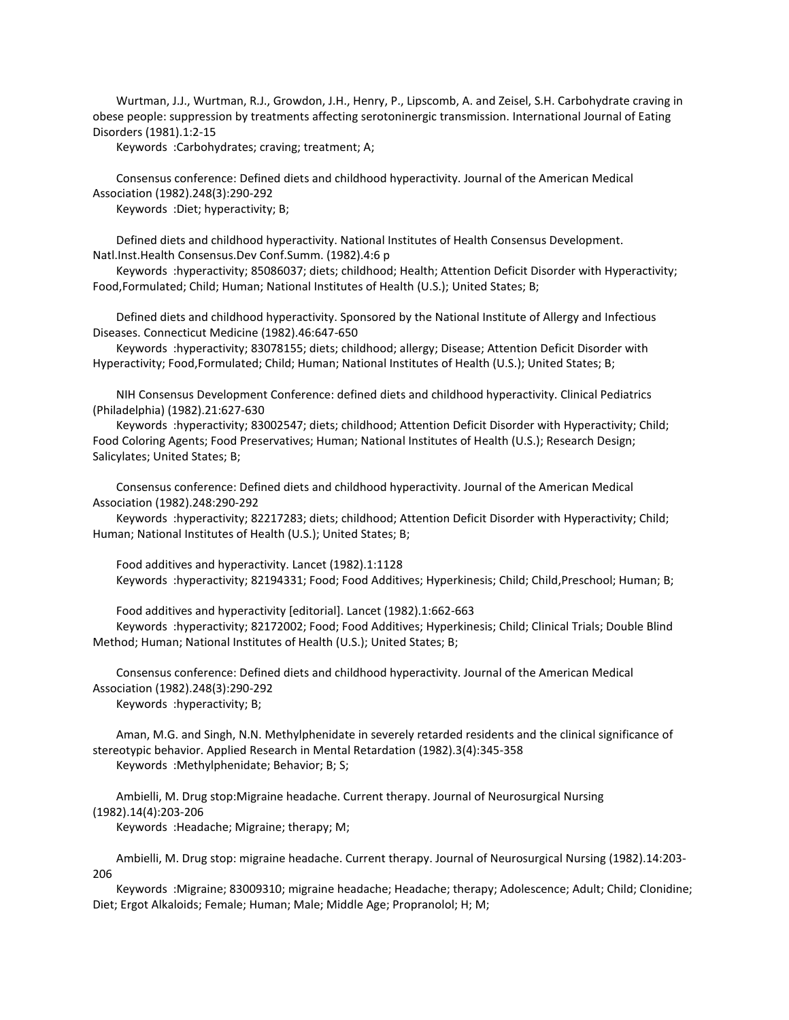Wurtman, J.J., Wurtman, R.J., Growdon, J.H., Henry, P., Lipscomb, A. and Zeisel, S.H. Carbohydrate craving in obese people: suppression by treatments affecting serotoninergic transmission. International Journal of Eating Disorders (1981).1:2-15

Keywords :Carbohydrates; craving; treatment; A;

 Consensus conference: Defined diets and childhood hyperactivity. Journal of the American Medical Association (1982).248(3):290-292

Keywords :Diet; hyperactivity; B;

 Defined diets and childhood hyperactivity. National Institutes of Health Consensus Development. Natl.Inst.Health Consensus.Dev Conf.Summ. (1982).4:6 p

 Keywords :hyperactivity; 85086037; diets; childhood; Health; Attention Deficit Disorder with Hyperactivity; Food,Formulated; Child; Human; National Institutes of Health (U.S.); United States; B;

 Defined diets and childhood hyperactivity. Sponsored by the National Institute of Allergy and Infectious Diseases. Connecticut Medicine (1982).46:647-650

 Keywords :hyperactivity; 83078155; diets; childhood; allergy; Disease; Attention Deficit Disorder with Hyperactivity; Food,Formulated; Child; Human; National Institutes of Health (U.S.); United States; B;

 NIH Consensus Development Conference: defined diets and childhood hyperactivity. Clinical Pediatrics (Philadelphia) (1982).21:627-630

 Keywords :hyperactivity; 83002547; diets; childhood; Attention Deficit Disorder with Hyperactivity; Child; Food Coloring Agents; Food Preservatives; Human; National Institutes of Health (U.S.); Research Design; Salicylates; United States; B;

 Consensus conference: Defined diets and childhood hyperactivity. Journal of the American Medical Association (1982).248:290-292

 Keywords :hyperactivity; 82217283; diets; childhood; Attention Deficit Disorder with Hyperactivity; Child; Human; National Institutes of Health (U.S.); United States; B;

 Food additives and hyperactivity. Lancet (1982).1:1128 Keywords :hyperactivity; 82194331; Food; Food Additives; Hyperkinesis; Child; Child,Preschool; Human; B;

 Food additives and hyperactivity [editorial]. Lancet (1982).1:662-663 Keywords :hyperactivity; 82172002; Food; Food Additives; Hyperkinesis; Child; Clinical Trials; Double Blind Method; Human; National Institutes of Health (U.S.); United States; B;

 Consensus conference: Defined diets and childhood hyperactivity. Journal of the American Medical Association (1982).248(3):290-292 Keywords :hyperactivity; B;

 Aman, M.G. and Singh, N.N. Methylphenidate in severely retarded residents and the clinical significance of stereotypic behavior. Applied Research in Mental Retardation (1982).3(4):345-358 Keywords :Methylphenidate; Behavior; B; S;

 Ambielli, M. Drug stop:Migraine headache. Current therapy. Journal of Neurosurgical Nursing (1982).14(4):203-206

Keywords :Headache; Migraine; therapy; M;

 Ambielli, M. Drug stop: migraine headache. Current therapy. Journal of Neurosurgical Nursing (1982).14:203- 206

 Keywords :Migraine; 83009310; migraine headache; Headache; therapy; Adolescence; Adult; Child; Clonidine; Diet; Ergot Alkaloids; Female; Human; Male; Middle Age; Propranolol; H; M;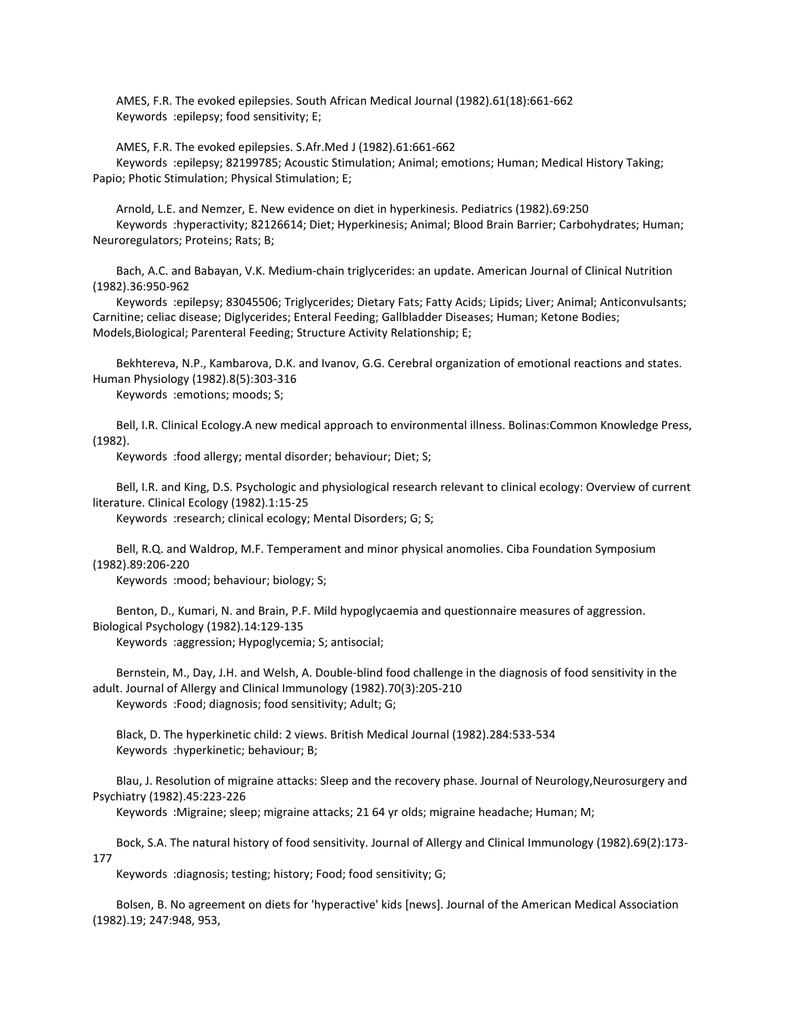AMES, F.R. The evoked epilepsies. South African Medical Journal (1982).61(18):661-662 Keywords :epilepsy; food sensitivity; E;

 AMES, F.R. The evoked epilepsies. S.Afr.Med J (1982).61:661-662 Keywords :epilepsy; 82199785; Acoustic Stimulation; Animal; emotions; Human; Medical History Taking; Papio; Photic Stimulation; Physical Stimulation; E;

 Arnold, L.E. and Nemzer, E. New evidence on diet in hyperkinesis. Pediatrics (1982).69:250 Keywords :hyperactivity; 82126614; Diet; Hyperkinesis; Animal; Blood Brain Barrier; Carbohydrates; Human; Neuroregulators; Proteins; Rats; B;

 Bach, A.C. and Babayan, V.K. Medium-chain triglycerides: an update. American Journal of Clinical Nutrition (1982).36:950-962

 Keywords :epilepsy; 83045506; Triglycerides; Dietary Fats; Fatty Acids; Lipids; Liver; Animal; Anticonvulsants; Carnitine; celiac disease; Diglycerides; Enteral Feeding; Gallbladder Diseases; Human; Ketone Bodies; Models,Biological; Parenteral Feeding; Structure Activity Relationship; E;

 Bekhtereva, N.P., Kambarova, D.K. and Ivanov, G.G. Cerebral organization of emotional reactions and states. Human Physiology (1982).8(5):303-316

Keywords :emotions; moods; S;

 Bell, I.R. Clinical Ecology.A new medical approach to environmental illness. Bolinas:Common Knowledge Press, (1982).

Keywords :food allergy; mental disorder; behaviour; Diet; S;

 Bell, I.R. and King, D.S. Psychologic and physiological research relevant to clinical ecology: Overview of current literature. Clinical Ecology (1982).1:15-25

Keywords :research; clinical ecology; Mental Disorders; G; S;

 Bell, R.Q. and Waldrop, M.F. Temperament and minor physical anomolies. Ciba Foundation Symposium (1982).89:206-220

Keywords :mood; behaviour; biology; S;

 Benton, D., Kumari, N. and Brain, P.F. Mild hypoglycaemia and questionnaire measures of aggression. Biological Psychology (1982).14:129-135

Keywords :aggression; Hypoglycemia; S; antisocial;

 Bernstein, M., Day, J.H. and Welsh, A. Double-blind food challenge in the diagnosis of food sensitivity in the adult. Journal of Allergy and Clinical Immunology (1982).70(3):205-210 Keywords :Food; diagnosis; food sensitivity; Adult; G;

 Black, D. The hyperkinetic child: 2 views. British Medical Journal (1982).284:533-534 Keywords :hyperkinetic; behaviour; B;

Blau, J. Resolution of migraine attacks: Sleep and the recovery phase. Journal of Neurology, Neurosurgery and Psychiatry (1982).45:223-226

Keywords :Migraine; sleep; migraine attacks; 21 64 yr olds; migraine headache; Human; M;

 Bock, S.A. The natural history of food sensitivity. Journal of Allergy and Clinical Immunology (1982).69(2):173- 177

Keywords :diagnosis; testing; history; Food; food sensitivity; G;

 Bolsen, B. No agreement on diets for 'hyperactive' kids [news]. Journal of the American Medical Association (1982).19; 247:948, 953,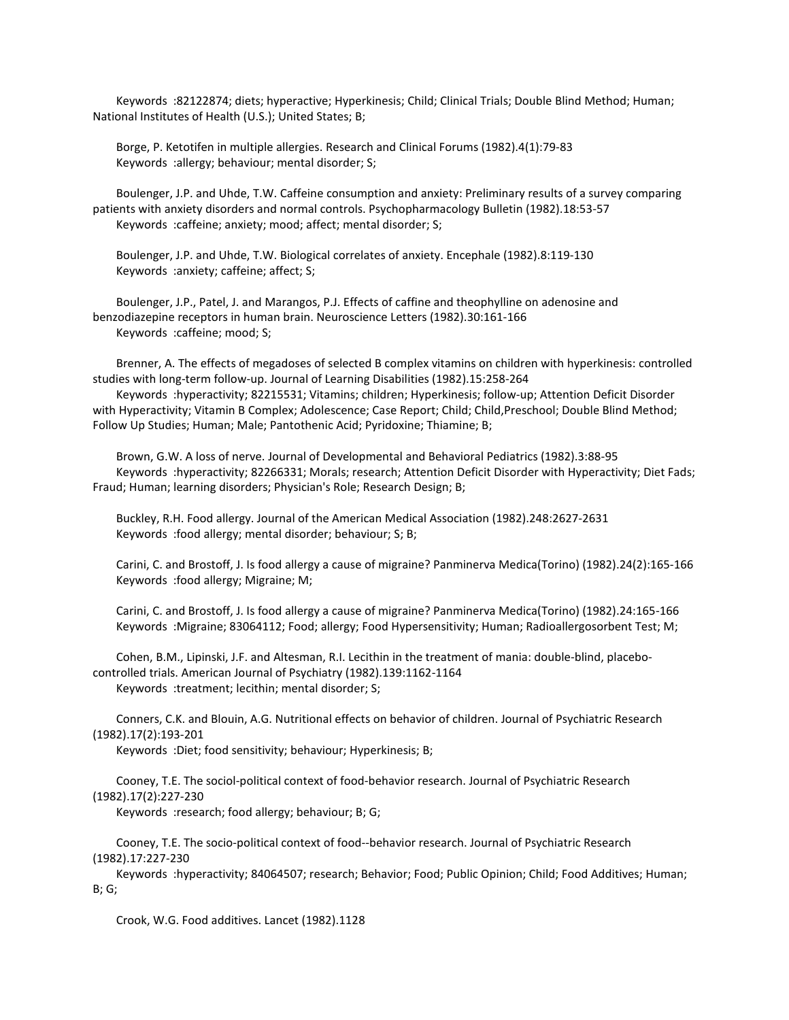Keywords :82122874; diets; hyperactive; Hyperkinesis; Child; Clinical Trials; Double Blind Method; Human; National Institutes of Health (U.S.); United States; B;

 Borge, P. Ketotifen in multiple allergies. Research and Clinical Forums (1982).4(1):79-83 Keywords :allergy; behaviour; mental disorder; S;

 Boulenger, J.P. and Uhde, T.W. Caffeine consumption and anxiety: Preliminary results of a survey comparing patients with anxiety disorders and normal controls. Psychopharmacology Bulletin (1982).18:53-57 Keywords :caffeine; anxiety; mood; affect; mental disorder; S;

 Boulenger, J.P. and Uhde, T.W. Biological correlates of anxiety. Encephale (1982).8:119-130 Keywords :anxiety; caffeine; affect; S;

 Boulenger, J.P., Patel, J. and Marangos, P.J. Effects of caffine and theophylline on adenosine and benzodiazepine receptors in human brain. Neuroscience Letters (1982).30:161-166 Keywords :caffeine; mood; S;

 Brenner, A. The effects of megadoses of selected B complex vitamins on children with hyperkinesis: controlled studies with long-term follow-up. Journal of Learning Disabilities (1982).15:258-264

 Keywords :hyperactivity; 82215531; Vitamins; children; Hyperkinesis; follow-up; Attention Deficit Disorder with Hyperactivity; Vitamin B Complex; Adolescence; Case Report; Child; Child, Preschool; Double Blind Method; Follow Up Studies; Human; Male; Pantothenic Acid; Pyridoxine; Thiamine; B;

 Brown, G.W. A loss of nerve. Journal of Developmental and Behavioral Pediatrics (1982).3:88-95 Keywords :hyperactivity; 82266331; Morals; research; Attention Deficit Disorder with Hyperactivity; Diet Fads; Fraud; Human; learning disorders; Physician's Role; Research Design; B;

 Buckley, R.H. Food allergy. Journal of the American Medical Association (1982).248:2627-2631 Keywords :food allergy; mental disorder; behaviour; S; B;

 Carini, C. and Brostoff, J. Is food allergy a cause of migraine? Panminerva Medica(Torino) (1982).24(2):165-166 Keywords :food allergy; Migraine; M;

 Carini, C. and Brostoff, J. Is food allergy a cause of migraine? Panminerva Medica(Torino) (1982).24:165-166 Keywords :Migraine; 83064112; Food; allergy; Food Hypersensitivity; Human; Radioallergosorbent Test; M;

 Cohen, B.M., Lipinski, J.F. and Altesman, R.I. Lecithin in the treatment of mania: double-blind, placebocontrolled trials. American Journal of Psychiatry (1982).139:1162-1164 Keywords :treatment; lecithin; mental disorder; S;

 Conners, C.K. and Blouin, A.G. Nutritional effects on behavior of children. Journal of Psychiatric Research (1982).17(2):193-201

Keywords :Diet; food sensitivity; behaviour; Hyperkinesis; B;

 Cooney, T.E. The sociol-political context of food-behavior research. Journal of Psychiatric Research (1982).17(2):227-230

Keywords :research; food allergy; behaviour; B; G;

 Cooney, T.E. The socio-political context of food--behavior research. Journal of Psychiatric Research (1982).17:227-230

 Keywords :hyperactivity; 84064507; research; Behavior; Food; Public Opinion; Child; Food Additives; Human; B; G;

Crook, W.G. Food additives. Lancet (1982).1128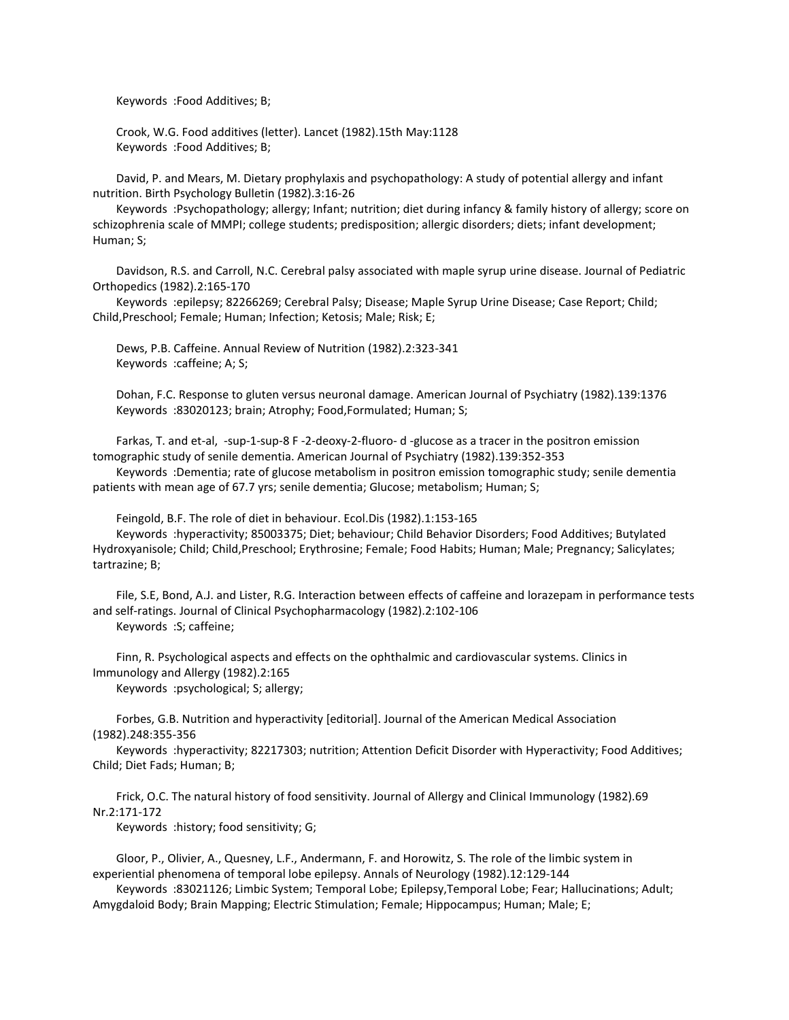Keywords :Food Additives; B;

 Crook, W.G. Food additives (letter). Lancet (1982).15th May:1128 Keywords :Food Additives; B;

 David, P. and Mears, M. Dietary prophylaxis and psychopathology: A study of potential allergy and infant nutrition. Birth Psychology Bulletin (1982).3:16-26

 Keywords :Psychopathology; allergy; Infant; nutrition; diet during infancy & family history of allergy; score on schizophrenia scale of MMPI; college students; predisposition; allergic disorders; diets; infant development; Human; S;

 Davidson, R.S. and Carroll, N.C. Cerebral palsy associated with maple syrup urine disease. Journal of Pediatric Orthopedics (1982).2:165-170

 Keywords :epilepsy; 82266269; Cerebral Palsy; Disease; Maple Syrup Urine Disease; Case Report; Child; Child,Preschool; Female; Human; Infection; Ketosis; Male; Risk; E;

 Dews, P.B. Caffeine. Annual Review of Nutrition (1982).2:323-341 Keywords :caffeine; A; S;

 Dohan, F.C. Response to gluten versus neuronal damage. American Journal of Psychiatry (1982).139:1376 Keywords :83020123; brain; Atrophy; Food,Formulated; Human; S;

 Farkas, T. and et-al, -sup-1-sup-8 F -2-deoxy-2-fluoro- d -glucose as a tracer in the positron emission tomographic study of senile dementia. American Journal of Psychiatry (1982).139:352-353

 Keywords :Dementia; rate of glucose metabolism in positron emission tomographic study; senile dementia patients with mean age of 67.7 yrs; senile dementia; Glucose; metabolism; Human; S;

Feingold, B.F. The role of diet in behaviour. Ecol.Dis (1982).1:153-165

 Keywords :hyperactivity; 85003375; Diet; behaviour; Child Behavior Disorders; Food Additives; Butylated Hydroxyanisole; Child; Child,Preschool; Erythrosine; Female; Food Habits; Human; Male; Pregnancy; Salicylates; tartrazine; B;

 File, S.E, Bond, A.J. and Lister, R.G. Interaction between effects of caffeine and lorazepam in performance tests and self-ratings. Journal of Clinical Psychopharmacology (1982).2:102-106 Keywords :S; caffeine;

 Finn, R. Psychological aspects and effects on the ophthalmic and cardiovascular systems. Clinics in Immunology and Allergy (1982).2:165

Keywords :psychological; S; allergy;

 Forbes, G.B. Nutrition and hyperactivity [editorial]. Journal of the American Medical Association (1982).248:355-356

 Keywords :hyperactivity; 82217303; nutrition; Attention Deficit Disorder with Hyperactivity; Food Additives; Child; Diet Fads; Human; B;

 Frick, O.C. The natural history of food sensitivity. Journal of Allergy and Clinical Immunology (1982).69 Nr.2:171-172

Keywords :history; food sensitivity; G;

 Gloor, P., Olivier, A., Quesney, L.F., Andermann, F. and Horowitz, S. The role of the limbic system in experiential phenomena of temporal lobe epilepsy. Annals of Neurology (1982).12:129-144

 Keywords :83021126; Limbic System; Temporal Lobe; Epilepsy,Temporal Lobe; Fear; Hallucinations; Adult; Amygdaloid Body; Brain Mapping; Electric Stimulation; Female; Hippocampus; Human; Male; E;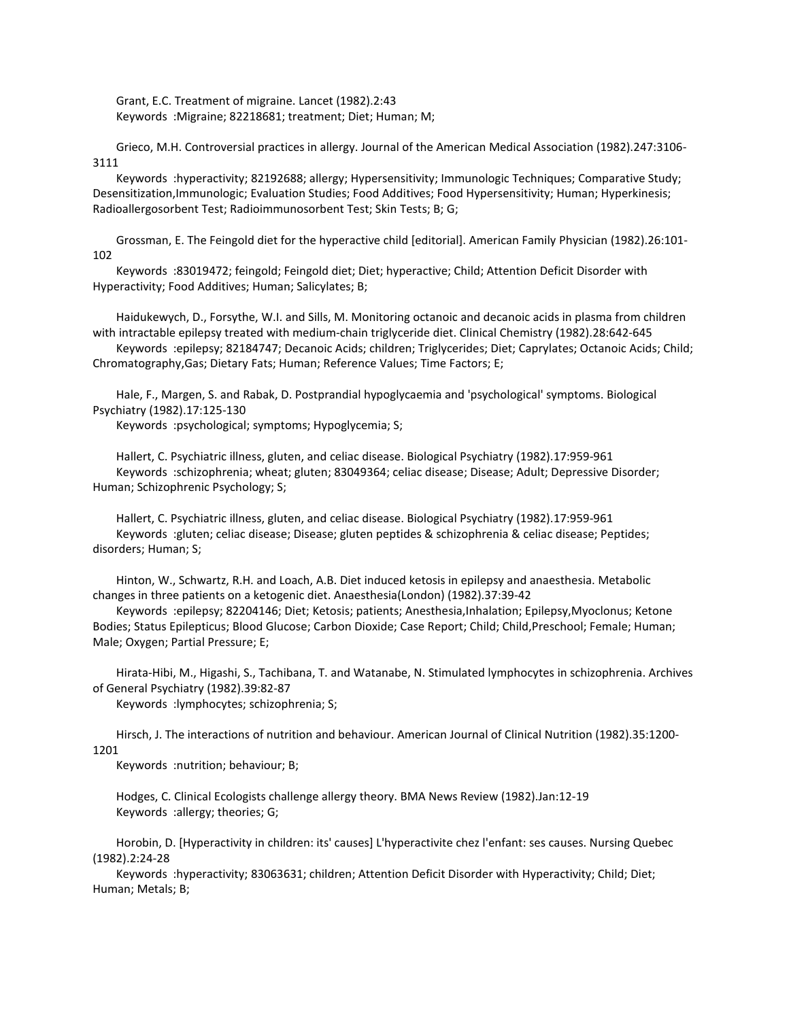Grant, E.C. Treatment of migraine. Lancet (1982).2:43 Keywords :Migraine; 82218681; treatment; Diet; Human; M;

 Grieco, M.H. Controversial practices in allergy. Journal of the American Medical Association (1982).247:3106- 3111

 Keywords :hyperactivity; 82192688; allergy; Hypersensitivity; Immunologic Techniques; Comparative Study; Desensitization,Immunologic; Evaluation Studies; Food Additives; Food Hypersensitivity; Human; Hyperkinesis; Radioallergosorbent Test; Radioimmunosorbent Test; Skin Tests; B; G;

 Grossman, E. The Feingold diet for the hyperactive child [editorial]. American Family Physician (1982).26:101- 102

 Keywords :83019472; feingold; Feingold diet; Diet; hyperactive; Child; Attention Deficit Disorder with Hyperactivity; Food Additives; Human; Salicylates; B;

 Haidukewych, D., Forsythe, W.I. and Sills, M. Monitoring octanoic and decanoic acids in plasma from children with intractable epilepsy treated with medium-chain triglyceride diet. Clinical Chemistry (1982).28:642-645

 Keywords :epilepsy; 82184747; Decanoic Acids; children; Triglycerides; Diet; Caprylates; Octanoic Acids; Child; Chromatography,Gas; Dietary Fats; Human; Reference Values; Time Factors; E;

 Hale, F., Margen, S. and Rabak, D. Postprandial hypoglycaemia and 'psychological' symptoms. Biological Psychiatry (1982).17:125-130

Keywords :psychological; symptoms; Hypoglycemia; S;

 Hallert, C. Psychiatric illness, gluten, and celiac disease. Biological Psychiatry (1982).17:959-961 Keywords :schizophrenia; wheat; gluten; 83049364; celiac disease; Disease; Adult; Depressive Disorder; Human; Schizophrenic Psychology; S;

 Hallert, C. Psychiatric illness, gluten, and celiac disease. Biological Psychiatry (1982).17:959-961 Keywords :gluten; celiac disease; Disease; gluten peptides & schizophrenia & celiac disease; Peptides; disorders; Human; S;

 Hinton, W., Schwartz, R.H. and Loach, A.B. Diet induced ketosis in epilepsy and anaesthesia. Metabolic changes in three patients on a ketogenic diet. Anaesthesia(London) (1982).37:39-42

 Keywords :epilepsy; 82204146; Diet; Ketosis; patients; Anesthesia,Inhalation; Epilepsy,Myoclonus; Ketone Bodies; Status Epilepticus; Blood Glucose; Carbon Dioxide; Case Report; Child, Child, Preschool; Female; Human; Male; Oxygen; Partial Pressure; E;

 Hirata-Hibi, M., Higashi, S., Tachibana, T. and Watanabe, N. Stimulated lymphocytes in schizophrenia. Archives of General Psychiatry (1982).39:82-87

Keywords :lymphocytes; schizophrenia; S;

 Hirsch, J. The interactions of nutrition and behaviour. American Journal of Clinical Nutrition (1982).35:1200- 1201

Keywords :nutrition; behaviour; B;

 Hodges, C. Clinical Ecologists challenge allergy theory. BMA News Review (1982).Jan:12-19 Keywords :allergy; theories; G;

 Horobin, D. [Hyperactivity in children: its' causes] L'hyperactivite chez l'enfant: ses causes. Nursing Quebec (1982).2:24-28

 Keywords :hyperactivity; 83063631; children; Attention Deficit Disorder with Hyperactivity; Child; Diet; Human; Metals; B;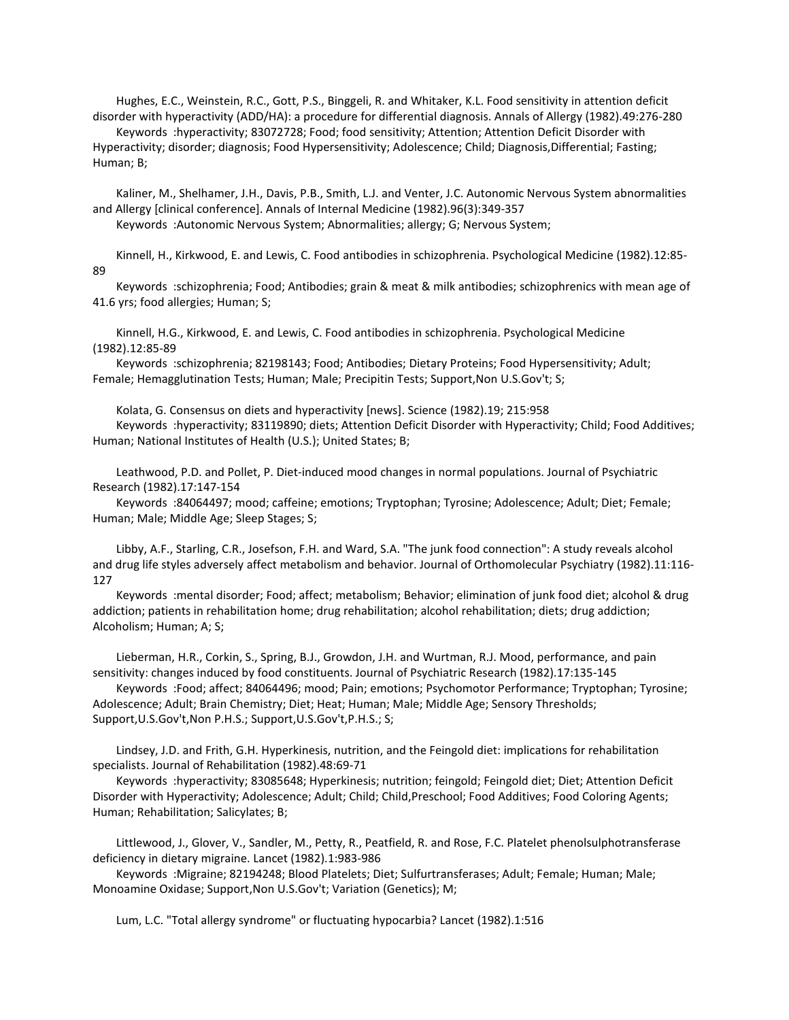Hughes, E.C., Weinstein, R.C., Gott, P.S., Binggeli, R. and Whitaker, K.L. Food sensitivity in attention deficit disorder with hyperactivity (ADD/HA): a procedure for differential diagnosis. Annals of Allergy (1982).49:276-280 Keywords :hyperactivity; 83072728; Food; food sensitivity; Attention; Attention Deficit Disorder with

Hyperactivity; disorder; diagnosis; Food Hypersensitivity; Adolescence; Child; Diagnosis,Differential; Fasting; Human; B;

 Kaliner, M., Shelhamer, J.H., Davis, P.B., Smith, L.J. and Venter, J.C. Autonomic Nervous System abnormalities and Allergy [clinical conference]. Annals of Internal Medicine (1982).96(3):349-357

Keywords :Autonomic Nervous System; Abnormalities; allergy; G; Nervous System;

 Kinnell, H., Kirkwood, E. and Lewis, C. Food antibodies in schizophrenia. Psychological Medicine (1982).12:85- 89

 Keywords :schizophrenia; Food; Antibodies; grain & meat & milk antibodies; schizophrenics with mean age of 41.6 yrs; food allergies; Human; S;

 Kinnell, H.G., Kirkwood, E. and Lewis, C. Food antibodies in schizophrenia. Psychological Medicine (1982).12:85-89

 Keywords :schizophrenia; 82198143; Food; Antibodies; Dietary Proteins; Food Hypersensitivity; Adult; Female; Hemagglutination Tests; Human; Male; Precipitin Tests; Support,Non U.S.Gov't; S;

Kolata, G. Consensus on diets and hyperactivity [news]. Science (1982).19; 215:958

 Keywords :hyperactivity; 83119890; diets; Attention Deficit Disorder with Hyperactivity; Child; Food Additives; Human; National Institutes of Health (U.S.); United States; B;

 Leathwood, P.D. and Pollet, P. Diet-induced mood changes in normal populations. Journal of Psychiatric Research (1982).17:147-154

 Keywords :84064497; mood; caffeine; emotions; Tryptophan; Tyrosine; Adolescence; Adult; Diet; Female; Human; Male; Middle Age; Sleep Stages; S;

 Libby, A.F., Starling, C.R., Josefson, F.H. and Ward, S.A. "The junk food connection": A study reveals alcohol and drug life styles adversely affect metabolism and behavior. Journal of Orthomolecular Psychiatry (1982).11:116- 127

 Keywords :mental disorder; Food; affect; metabolism; Behavior; elimination of junk food diet; alcohol & drug addiction; patients in rehabilitation home; drug rehabilitation; alcohol rehabilitation; diets; drug addiction; Alcoholism; Human; A; S;

 Lieberman, H.R., Corkin, S., Spring, B.J., Growdon, J.H. and Wurtman, R.J. Mood, performance, and pain sensitivity: changes induced by food constituents. Journal of Psychiatric Research (1982).17:135-145

 Keywords :Food; affect; 84064496; mood; Pain; emotions; Psychomotor Performance; Tryptophan; Tyrosine; Adolescence; Adult; Brain Chemistry; Diet; Heat; Human; Male; Middle Age; Sensory Thresholds; Support,U.S.Gov't,Non P.H.S.; Support,U.S.Gov't,P.H.S.; S;

 Lindsey, J.D. and Frith, G.H. Hyperkinesis, nutrition, and the Feingold diet: implications for rehabilitation specialists. Journal of Rehabilitation (1982).48:69-71

 Keywords :hyperactivity; 83085648; Hyperkinesis; nutrition; feingold; Feingold diet; Diet; Attention Deficit Disorder with Hyperactivity; Adolescence; Adult; Child; Child, Preschool; Food Additives; Food Coloring Agents; Human; Rehabilitation; Salicylates; B;

 Littlewood, J., Glover, V., Sandler, M., Petty, R., Peatfield, R. and Rose, F.C. Platelet phenolsulphotransferase deficiency in dietary migraine. Lancet (1982).1:983-986

 Keywords :Migraine; 82194248; Blood Platelets; Diet; Sulfurtransferases; Adult; Female; Human; Male; Monoamine Oxidase; Support,Non U.S.Gov't; Variation (Genetics); M;

Lum, L.C. "Total allergy syndrome" or fluctuating hypocarbia? Lancet (1982).1:516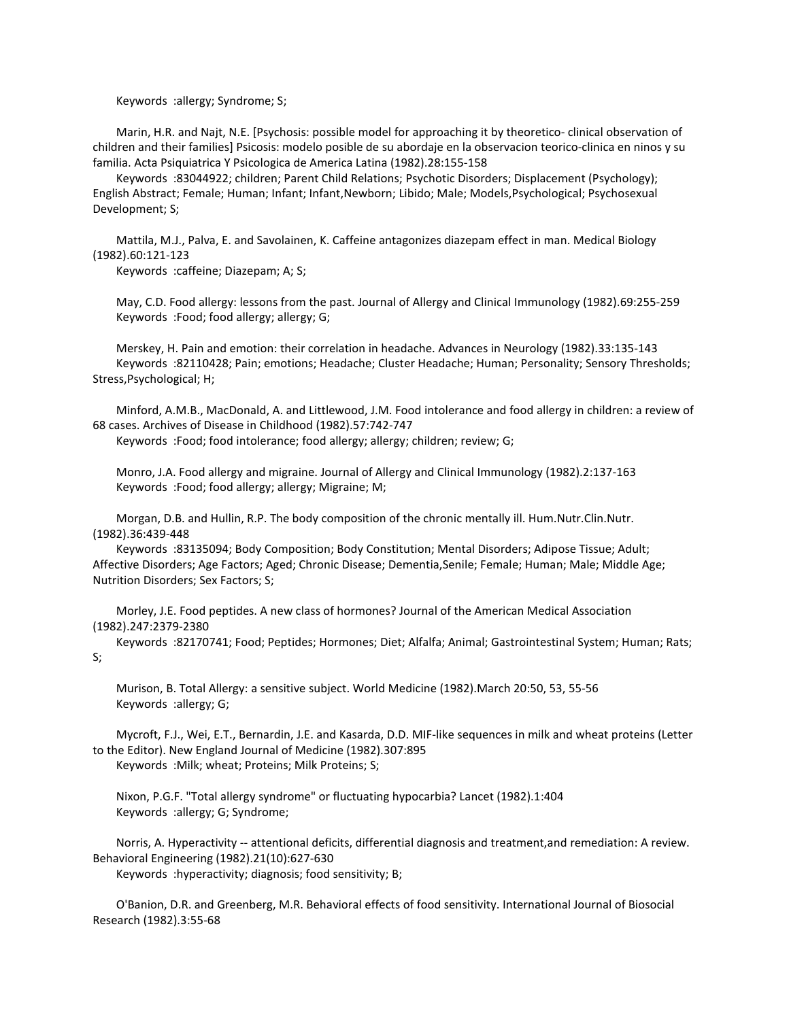Keywords :allergy; Syndrome; S;

 Marin, H.R. and Najt, N.E. [Psychosis: possible model for approaching it by theoretico- clinical observation of children and their families] Psicosis: modelo posible de su abordaje en la observacion teorico-clinica en ninos y su familia. Acta Psiquiatrica Y Psicologica de America Latina (1982).28:155-158

 Keywords :83044922; children; Parent Child Relations; Psychotic Disorders; Displacement (Psychology); English Abstract; Female; Human; Infant; Infant,Newborn; Libido; Male; Models,Psychological; Psychosexual Development; S;

 Mattila, M.J., Palva, E. and Savolainen, K. Caffeine antagonizes diazepam effect in man. Medical Biology (1982).60:121-123

Keywords :caffeine; Diazepam; A; S;

 May, C.D. Food allergy: lessons from the past. Journal of Allergy and Clinical Immunology (1982).69:255-259 Keywords :Food; food allergy; allergy; G;

 Merskey, H. Pain and emotion: their correlation in headache. Advances in Neurology (1982).33:135-143 Keywords :82110428; Pain; emotions; Headache; Cluster Headache; Human; Personality; Sensory Thresholds; Stress,Psychological; H;

 Minford, A.M.B., MacDonald, A. and Littlewood, J.M. Food intolerance and food allergy in children: a review of 68 cases. Archives of Disease in Childhood (1982).57:742-747

Keywords :Food; food intolerance; food allergy; allergy; children; review; G;

 Monro, J.A. Food allergy and migraine. Journal of Allergy and Clinical Immunology (1982).2:137-163 Keywords :Food; food allergy; allergy; Migraine; M;

 Morgan, D.B. and Hullin, R.P. The body composition of the chronic mentally ill. Hum.Nutr.Clin.Nutr. (1982).36:439-448

 Keywords :83135094; Body Composition; Body Constitution; Mental Disorders; Adipose Tissue; Adult; Affective Disorders; Age Factors; Aged; Chronic Disease; Dementia,Senile; Female; Human; Male; Middle Age; Nutrition Disorders; Sex Factors; S;

 Morley, J.E. Food peptides. A new class of hormones? Journal of the American Medical Association (1982).247:2379-2380

 Keywords :82170741; Food; Peptides; Hormones; Diet; Alfalfa; Animal; Gastrointestinal System; Human; Rats; S;

 Murison, B. Total Allergy: a sensitive subject. World Medicine (1982).March 20:50, 53, 55-56 Keywords :allergy; G;

 Mycroft, F.J., Wei, E.T., Bernardin, J.E. and Kasarda, D.D. MIF-like sequences in milk and wheat proteins (Letter to the Editor). New England Journal of Medicine (1982).307:895

Keywords :Milk; wheat; Proteins; Milk Proteins; S;

 Nixon, P.G.F. "Total allergy syndrome" or fluctuating hypocarbia? Lancet (1982).1:404 Keywords :allergy; G; Syndrome;

 Norris, A. Hyperactivity -- attentional deficits, differential diagnosis and treatment,and remediation: A review. Behavioral Engineering (1982).21(10):627-630

Keywords :hyperactivity; diagnosis; food sensitivity; B;

 O'Banion, D.R. and Greenberg, M.R. Behavioral effects of food sensitivity. International Journal of Biosocial Research (1982).3:55-68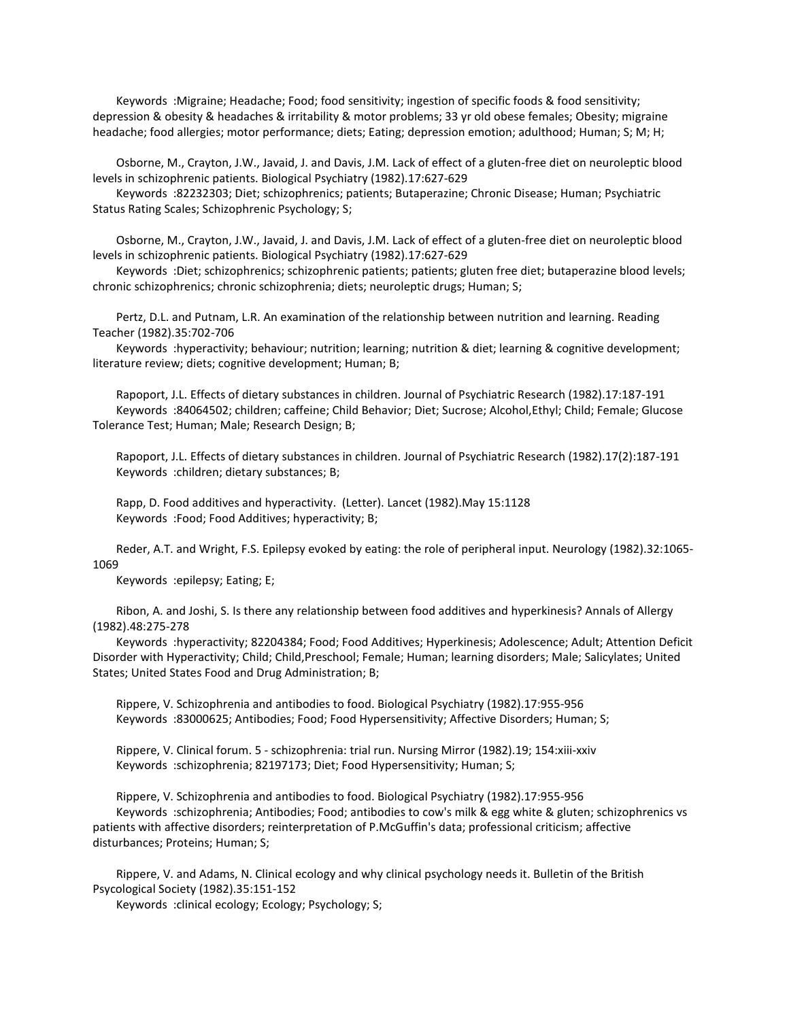Keywords :Migraine; Headache; Food; food sensitivity; ingestion of specific foods & food sensitivity; depression & obesity & headaches & irritability & motor problems; 33 yr old obese females; Obesity; migraine headache; food allergies; motor performance; diets; Eating; depression emotion; adulthood; Human; S; M; H;

 Osborne, M., Crayton, J.W., Javaid, J. and Davis, J.M. Lack of effect of a gluten-free diet on neuroleptic blood levels in schizophrenic patients. Biological Psychiatry (1982).17:627-629

 Keywords :82232303; Diet; schizophrenics; patients; Butaperazine; Chronic Disease; Human; Psychiatric Status Rating Scales; Schizophrenic Psychology; S;

 Osborne, M., Crayton, J.W., Javaid, J. and Davis, J.M. Lack of effect of a gluten-free diet on neuroleptic blood levels in schizophrenic patients. Biological Psychiatry (1982).17:627-629

 Keywords :Diet; schizophrenics; schizophrenic patients; patients; gluten free diet; butaperazine blood levels; chronic schizophrenics; chronic schizophrenia; diets; neuroleptic drugs; Human; S;

 Pertz, D.L. and Putnam, L.R. An examination of the relationship between nutrition and learning. Reading Teacher (1982).35:702-706

 Keywords :hyperactivity; behaviour; nutrition; learning; nutrition & diet; learning & cognitive development; literature review; diets; cognitive development; Human; B;

 Rapoport, J.L. Effects of dietary substances in children. Journal of Psychiatric Research (1982).17:187-191 Keywords :84064502; children; caffeine; Child Behavior; Diet; Sucrose; Alcohol,Ethyl; Child; Female; Glucose Tolerance Test; Human; Male; Research Design; B;

 Rapoport, J.L. Effects of dietary substances in children. Journal of Psychiatric Research (1982).17(2):187-191 Keywords :children; dietary substances; B;

 Rapp, D. Food additives and hyperactivity. (Letter). Lancet (1982).May 15:1128 Keywords :Food; Food Additives; hyperactivity; B;

 Reder, A.T. and Wright, F.S. Epilepsy evoked by eating: the role of peripheral input. Neurology (1982).32:1065- 1069

Keywords :epilepsy; Eating; E;

 Ribon, A. and Joshi, S. Is there any relationship between food additives and hyperkinesis? Annals of Allergy (1982).48:275-278

 Keywords :hyperactivity; 82204384; Food; Food Additives; Hyperkinesis; Adolescence; Adult; Attention Deficit Disorder with Hyperactivity; Child; Child,Preschool; Female; Human; learning disorders; Male; Salicylates; United States; United States Food and Drug Administration; B;

 Rippere, V. Schizophrenia and antibodies to food. Biological Psychiatry (1982).17:955-956 Keywords :83000625; Antibodies; Food; Food Hypersensitivity; Affective Disorders; Human; S;

 Rippere, V. Clinical forum. 5 - schizophrenia: trial run. Nursing Mirror (1982).19; 154:xiii-xxiv Keywords :schizophrenia; 82197173; Diet; Food Hypersensitivity; Human; S;

 Rippere, V. Schizophrenia and antibodies to food. Biological Psychiatry (1982).17:955-956 Keywords :schizophrenia; Antibodies; Food; antibodies to cow's milk & egg white & gluten; schizophrenics vs patients with affective disorders; reinterpretation of P.McGuffin's data; professional criticism; affective disturbances; Proteins; Human; S;

 Rippere, V. and Adams, N. Clinical ecology and why clinical psychology needs it. Bulletin of the British Psycological Society (1982).35:151-152

Keywords :clinical ecology; Ecology; Psychology; S;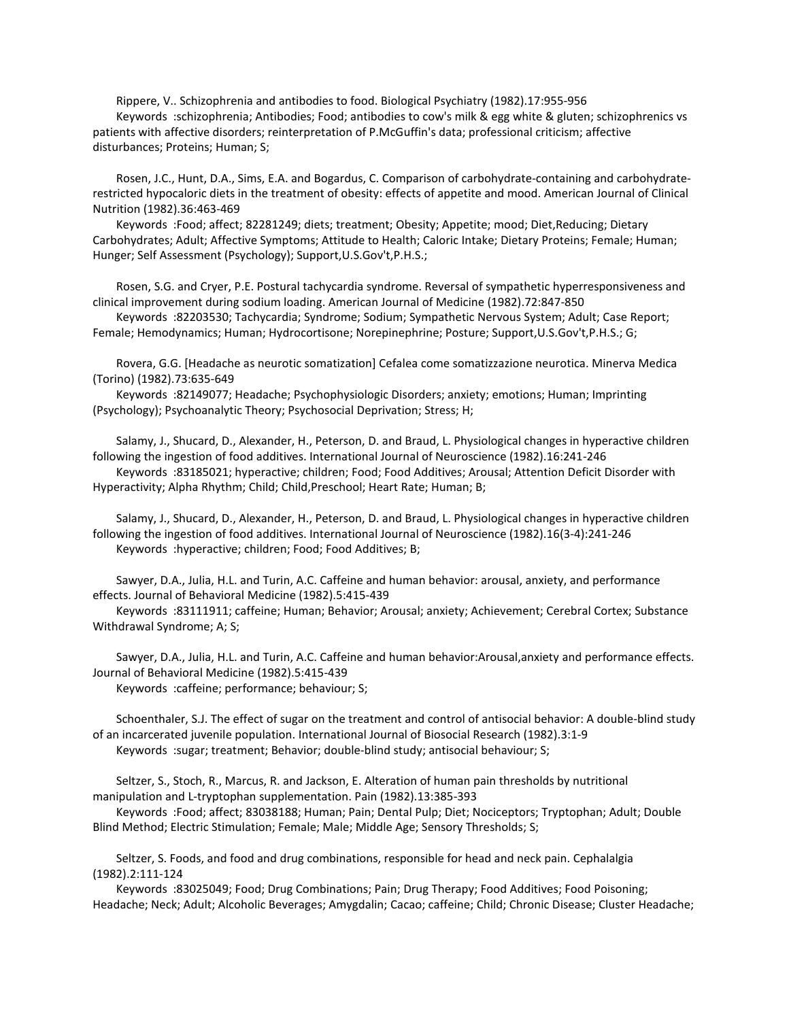Rippere, V.. Schizophrenia and antibodies to food. Biological Psychiatry (1982).17:955-956 Keywords :schizophrenia; Antibodies; Food; antibodies to cow's milk & egg white & gluten; schizophrenics vs patients with affective disorders; reinterpretation of P.McGuffin's data; professional criticism; affective disturbances; Proteins; Human; S;

 Rosen, J.C., Hunt, D.A., Sims, E.A. and Bogardus, C. Comparison of carbohydrate-containing and carbohydraterestricted hypocaloric diets in the treatment of obesity: effects of appetite and mood. American Journal of Clinical Nutrition (1982).36:463-469

 Keywords :Food; affect; 82281249; diets; treatment; Obesity; Appetite; mood; Diet,Reducing; Dietary Carbohydrates; Adult; Affective Symptoms; Attitude to Health; Caloric Intake; Dietary Proteins; Female; Human; Hunger; Self Assessment (Psychology); Support,U.S.Gov't,P.H.S.;

 Rosen, S.G. and Cryer, P.E. Postural tachycardia syndrome. Reversal of sympathetic hyperresponsiveness and clinical improvement during sodium loading. American Journal of Medicine (1982).72:847-850

 Keywords :82203530; Tachycardia; Syndrome; Sodium; Sympathetic Nervous System; Adult; Case Report; Female; Hemodynamics; Human; Hydrocortisone; Norepinephrine; Posture; Support,U.S.Gov't,P.H.S.; G;

 Rovera, G.G. [Headache as neurotic somatization] Cefalea come somatizzazione neurotica. Minerva Medica (Torino) (1982).73:635-649

 Keywords :82149077; Headache; Psychophysiologic Disorders; anxiety; emotions; Human; Imprinting (Psychology); Psychoanalytic Theory; Psychosocial Deprivation; Stress; H;

 Salamy, J., Shucard, D., Alexander, H., Peterson, D. and Braud, L. Physiological changes in hyperactive children following the ingestion of food additives. International Journal of Neuroscience (1982).16:241-246

 Keywords :83185021; hyperactive; children; Food; Food Additives; Arousal; Attention Deficit Disorder with Hyperactivity; Alpha Rhythm; Child; Child,Preschool; Heart Rate; Human; B;

 Salamy, J., Shucard, D., Alexander, H., Peterson, D. and Braud, L. Physiological changes in hyperactive children following the ingestion of food additives. International Journal of Neuroscience (1982).16(3-4):241-246 Keywords :hyperactive; children; Food; Food Additives; B;

 Sawyer, D.A., Julia, H.L. and Turin, A.C. Caffeine and human behavior: arousal, anxiety, and performance effects. Journal of Behavioral Medicine (1982).5:415-439

 Keywords :83111911; caffeine; Human; Behavior; Arousal; anxiety; Achievement; Cerebral Cortex; Substance Withdrawal Syndrome; A; S;

 Sawyer, D.A., Julia, H.L. and Turin, A.C. Caffeine and human behavior:Arousal,anxiety and performance effects. Journal of Behavioral Medicine (1982).5:415-439

Keywords :caffeine; performance; behaviour; S;

 Schoenthaler, S.J. The effect of sugar on the treatment and control of antisocial behavior: A double-blind study of an incarcerated juvenile population. International Journal of Biosocial Research (1982).3:1-9 Keywords :sugar; treatment; Behavior; double-blind study; antisocial behaviour; S;

 Seltzer, S., Stoch, R., Marcus, R. and Jackson, E. Alteration of human pain thresholds by nutritional manipulation and L-tryptophan supplementation. Pain (1982).13:385-393

 Keywords :Food; affect; 83038188; Human; Pain; Dental Pulp; Diet; Nociceptors; Tryptophan; Adult; Double Blind Method; Electric Stimulation; Female; Male; Middle Age; Sensory Thresholds; S;

 Seltzer, S. Foods, and food and drug combinations, responsible for head and neck pain. Cephalalgia (1982).2:111-124

 Keywords :83025049; Food; Drug Combinations; Pain; Drug Therapy; Food Additives; Food Poisoning; Headache; Neck; Adult; Alcoholic Beverages; Amygdalin; Cacao; caffeine; Child; Chronic Disease; Cluster Headache;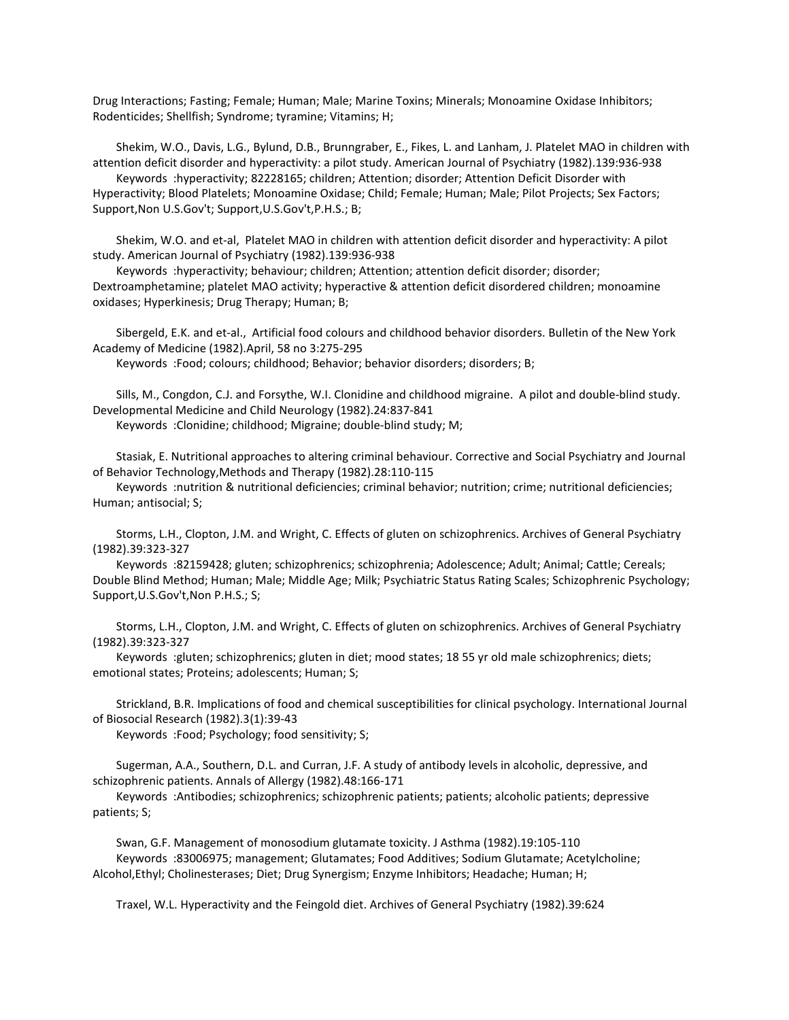Drug Interactions; Fasting; Female; Human; Male; Marine Toxins; Minerals; Monoamine Oxidase Inhibitors; Rodenticides; Shellfish; Syndrome; tyramine; Vitamins; H;

 Shekim, W.O., Davis, L.G., Bylund, D.B., Brunngraber, E., Fikes, L. and Lanham, J. Platelet MAO in children with attention deficit disorder and hyperactivity: a pilot study. American Journal of Psychiatry (1982).139:936-938

 Keywords :hyperactivity; 82228165; children; Attention; disorder; Attention Deficit Disorder with Hyperactivity; Blood Platelets; Monoamine Oxidase; Child; Female; Human; Male; Pilot Projects; Sex Factors; Support,Non U.S.Gov't; Support,U.S.Gov't,P.H.S.; B;

 Shekim, W.O. and et-al, Platelet MAO in children with attention deficit disorder and hyperactivity: A pilot study. American Journal of Psychiatry (1982).139:936-938

 Keywords :hyperactivity; behaviour; children; Attention; attention deficit disorder; disorder; Dextroamphetamine; platelet MAO activity; hyperactive & attention deficit disordered children; monoamine oxidases; Hyperkinesis; Drug Therapy; Human; B;

 Sibergeld, E.K. and et-al., Artificial food colours and childhood behavior disorders. Bulletin of the New York Academy of Medicine (1982).April, 58 no 3:275-295

Keywords :Food; colours; childhood; Behavior; behavior disorders; disorders; B;

 Sills, M., Congdon, C.J. and Forsythe, W.I. Clonidine and childhood migraine. A pilot and double-blind study. Developmental Medicine and Child Neurology (1982).24:837-841

Keywords :Clonidine; childhood; Migraine; double-blind study; M;

 Stasiak, E. Nutritional approaches to altering criminal behaviour. Corrective and Social Psychiatry and Journal of Behavior Technology,Methods and Therapy (1982).28:110-115

 Keywords :nutrition & nutritional deficiencies; criminal behavior; nutrition; crime; nutritional deficiencies; Human; antisocial; S;

 Storms, L.H., Clopton, J.M. and Wright, C. Effects of gluten on schizophrenics. Archives of General Psychiatry (1982).39:323-327

 Keywords :82159428; gluten; schizophrenics; schizophrenia; Adolescence; Adult; Animal; Cattle; Cereals; Double Blind Method; Human; Male; Middle Age; Milk; Psychiatric Status Rating Scales; Schizophrenic Psychology; Support,U.S.Gov't,Non P.H.S.; S;

 Storms, L.H., Clopton, J.M. and Wright, C. Effects of gluten on schizophrenics. Archives of General Psychiatry (1982).39:323-327

 Keywords :gluten; schizophrenics; gluten in diet; mood states; 18 55 yr old male schizophrenics; diets; emotional states; Proteins; adolescents; Human; S;

 Strickland, B.R. Implications of food and chemical susceptibilities for clinical psychology. International Journal of Biosocial Research (1982).3(1):39-43

Keywords :Food; Psychology; food sensitivity; S;

 Sugerman, A.A., Southern, D.L. and Curran, J.F. A study of antibody levels in alcoholic, depressive, and schizophrenic patients. Annals of Allergy (1982).48:166-171

 Keywords :Antibodies; schizophrenics; schizophrenic patients; patients; alcoholic patients; depressive patients; S;

 Swan, G.F. Management of monosodium glutamate toxicity. J Asthma (1982).19:105-110 Keywords :83006975; management; Glutamates; Food Additives; Sodium Glutamate; Acetylcholine; Alcohol,Ethyl; Cholinesterases; Diet; Drug Synergism; Enzyme Inhibitors; Headache; Human; H;

Traxel, W.L. Hyperactivity and the Feingold diet. Archives of General Psychiatry (1982).39:624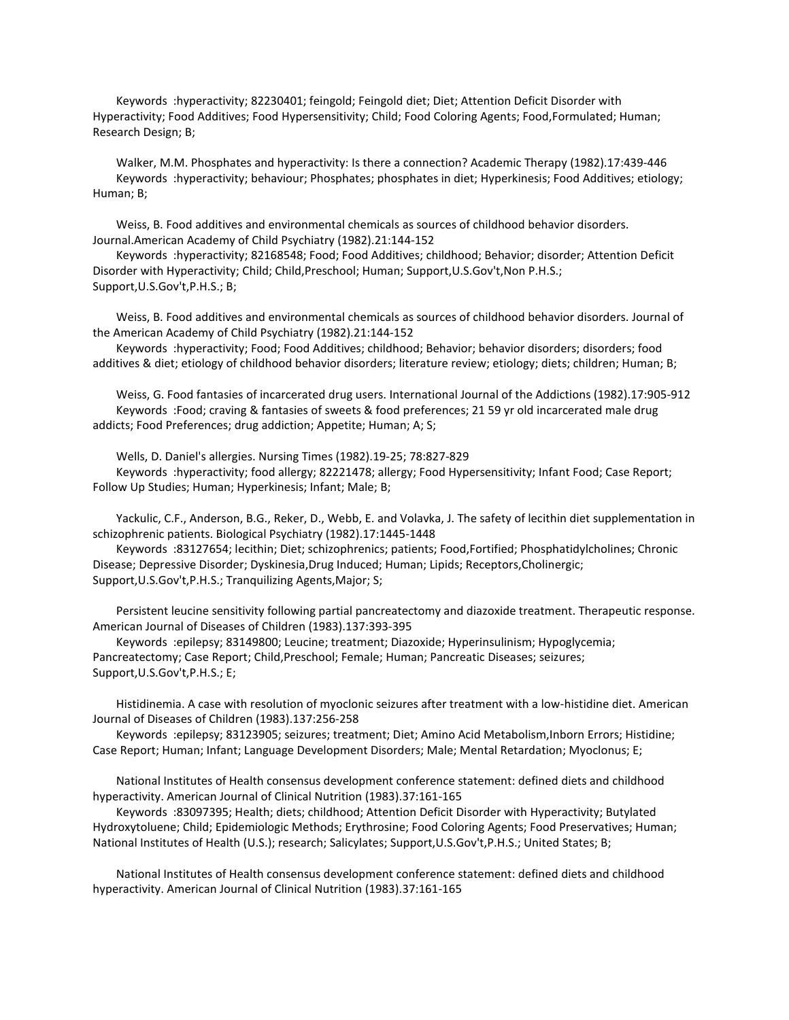Keywords :hyperactivity; 82230401; feingold; Feingold diet; Diet; Attention Deficit Disorder with Hyperactivity; Food Additives; Food Hypersensitivity; Child; Food Coloring Agents; Food,Formulated; Human; Research Design; B;

 Walker, M.M. Phosphates and hyperactivity: Is there a connection? Academic Therapy (1982).17:439-446 Keywords :hyperactivity; behaviour; Phosphates; phosphates in diet; Hyperkinesis; Food Additives; etiology; Human; B;

 Weiss, B. Food additives and environmental chemicals as sources of childhood behavior disorders. Journal.American Academy of Child Psychiatry (1982).21:144-152

 Keywords :hyperactivity; 82168548; Food; Food Additives; childhood; Behavior; disorder; Attention Deficit Disorder with Hyperactivity; Child; Child, Preschool; Human; Support, U.S.Gov't, Non P.H.S.; Support,U.S.Gov't,P.H.S.; B;

 Weiss, B. Food additives and environmental chemicals as sources of childhood behavior disorders. Journal of the American Academy of Child Psychiatry (1982).21:144-152

 Keywords :hyperactivity; Food; Food Additives; childhood; Behavior; behavior disorders; disorders; food additives & diet; etiology of childhood behavior disorders; literature review; etiology; diets; children; Human; B;

 Weiss, G. Food fantasies of incarcerated drug users. International Journal of the Addictions (1982).17:905-912 Keywords :Food; craving & fantasies of sweets & food preferences; 21 59 yr old incarcerated male drug addicts; Food Preferences; drug addiction; Appetite; Human; A; S;

Wells, D. Daniel's allergies. Nursing Times (1982).19-25; 78:827-829

 Keywords :hyperactivity; food allergy; 82221478; allergy; Food Hypersensitivity; Infant Food; Case Report; Follow Up Studies; Human; Hyperkinesis; Infant; Male; B;

 Yackulic, C.F., Anderson, B.G., Reker, D., Webb, E. and Volavka, J. The safety of lecithin diet supplementation in schizophrenic patients. Biological Psychiatry (1982).17:1445-1448

 Keywords :83127654; lecithin; Diet; schizophrenics; patients; Food,Fortified; Phosphatidylcholines; Chronic Disease; Depressive Disorder; Dyskinesia,Drug Induced; Human; Lipids; Receptors,Cholinergic; Support,U.S.Gov't,P.H.S.; Tranquilizing Agents,Major; S;

 Persistent leucine sensitivity following partial pancreatectomy and diazoxide treatment. Therapeutic response. American Journal of Diseases of Children (1983).137:393-395

 Keywords :epilepsy; 83149800; Leucine; treatment; Diazoxide; Hyperinsulinism; Hypoglycemia; Pancreatectomy; Case Report; Child,Preschool; Female; Human; Pancreatic Diseases; seizures; Support,U.S.Gov't,P.H.S.; E;

 Histidinemia. A case with resolution of myoclonic seizures after treatment with a low-histidine diet. American Journal of Diseases of Children (1983).137:256-258

 Keywords :epilepsy; 83123905; seizures; treatment; Diet; Amino Acid Metabolism,Inborn Errors; Histidine; Case Report; Human; Infant; Language Development Disorders; Male; Mental Retardation; Myoclonus; E;

 National Institutes of Health consensus development conference statement: defined diets and childhood hyperactivity. American Journal of Clinical Nutrition (1983).37:161-165

 Keywords :83097395; Health; diets; childhood; Attention Deficit Disorder with Hyperactivity; Butylated Hydroxytoluene; Child; Epidemiologic Methods; Erythrosine; Food Coloring Agents; Food Preservatives; Human; National Institutes of Health (U.S.); research; Salicylates; Support,U.S.Gov't,P.H.S.; United States; B;

 National Institutes of Health consensus development conference statement: defined diets and childhood hyperactivity. American Journal of Clinical Nutrition (1983).37:161-165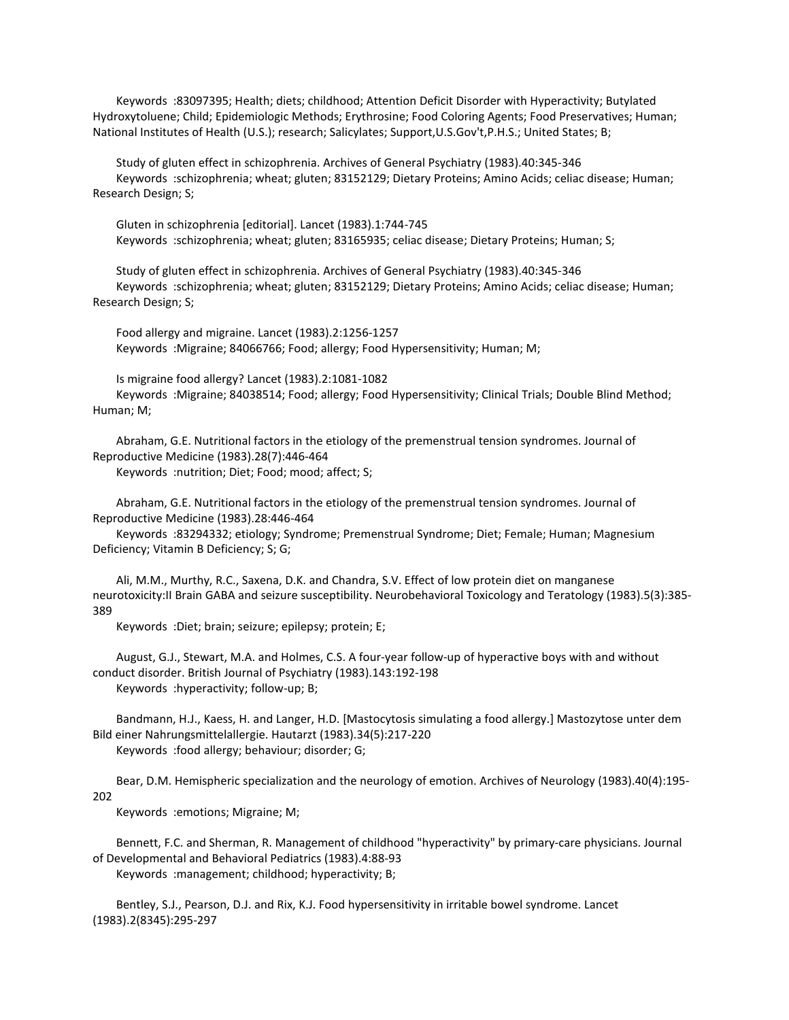Keywords :83097395; Health; diets; childhood; Attention Deficit Disorder with Hyperactivity; Butylated Hydroxytoluene; Child; Epidemiologic Methods; Erythrosine; Food Coloring Agents; Food Preservatives; Human; National Institutes of Health (U.S.); research; Salicylates; Support,U.S.Gov't,P.H.S.; United States; B;

 Study of gluten effect in schizophrenia. Archives of General Psychiatry (1983).40:345-346 Keywords :schizophrenia; wheat; gluten; 83152129; Dietary Proteins; Amino Acids; celiac disease; Human; Research Design; S;

 Gluten in schizophrenia [editorial]. Lancet (1983).1:744-745 Keywords :schizophrenia; wheat; gluten; 83165935; celiac disease; Dietary Proteins; Human; S;

 Study of gluten effect in schizophrenia. Archives of General Psychiatry (1983).40:345-346 Keywords :schizophrenia; wheat; gluten; 83152129; Dietary Proteins; Amino Acids; celiac disease; Human; Research Design; S;

 Food allergy and migraine. Lancet (1983).2:1256-1257 Keywords :Migraine; 84066766; Food; allergy; Food Hypersensitivity; Human; M;

 Is migraine food allergy? Lancet (1983).2:1081-1082 Keywords :Migraine; 84038514; Food; allergy; Food Hypersensitivity; Clinical Trials; Double Blind Method; Human; M;

 Abraham, G.E. Nutritional factors in the etiology of the premenstrual tension syndromes. Journal of Reproductive Medicine (1983).28(7):446-464

Keywords :nutrition; Diet; Food; mood; affect; S;

 Abraham, G.E. Nutritional factors in the etiology of the premenstrual tension syndromes. Journal of Reproductive Medicine (1983).28:446-464

 Keywords :83294332; etiology; Syndrome; Premenstrual Syndrome; Diet; Female; Human; Magnesium Deficiency; Vitamin B Deficiency; S; G;

 Ali, M.M., Murthy, R.C., Saxena, D.K. and Chandra, S.V. Effect of low protein diet on manganese neurotoxicity:II Brain GABA and seizure susceptibility. Neurobehavioral Toxicology and Teratology (1983).5(3):385- 389

Keywords :Diet; brain; seizure; epilepsy; protein; E;

 August, G.J., Stewart, M.A. and Holmes, C.S. A four-year follow-up of hyperactive boys with and without conduct disorder. British Journal of Psychiatry (1983).143:192-198 Keywords :hyperactivity; follow-up; B;

 Bandmann, H.J., Kaess, H. and Langer, H.D. [Mastocytosis simulating a food allergy.] Mastozytose unter dem Bild einer Nahrungsmittelallergie. Hautarzt (1983).34(5):217-220 Keywords :food allergy; behaviour; disorder; G;

 Bear, D.M. Hemispheric specialization and the neurology of emotion. Archives of Neurology (1983).40(4):195- 202

Keywords :emotions; Migraine; M;

 Bennett, F.C. and Sherman, R. Management of childhood "hyperactivity" by primary-care physicians. Journal of Developmental and Behavioral Pediatrics (1983).4:88-93

Keywords :management; childhood; hyperactivity; B;

 Bentley, S.J., Pearson, D.J. and Rix, K.J. Food hypersensitivity in irritable bowel syndrome. Lancet (1983).2(8345):295-297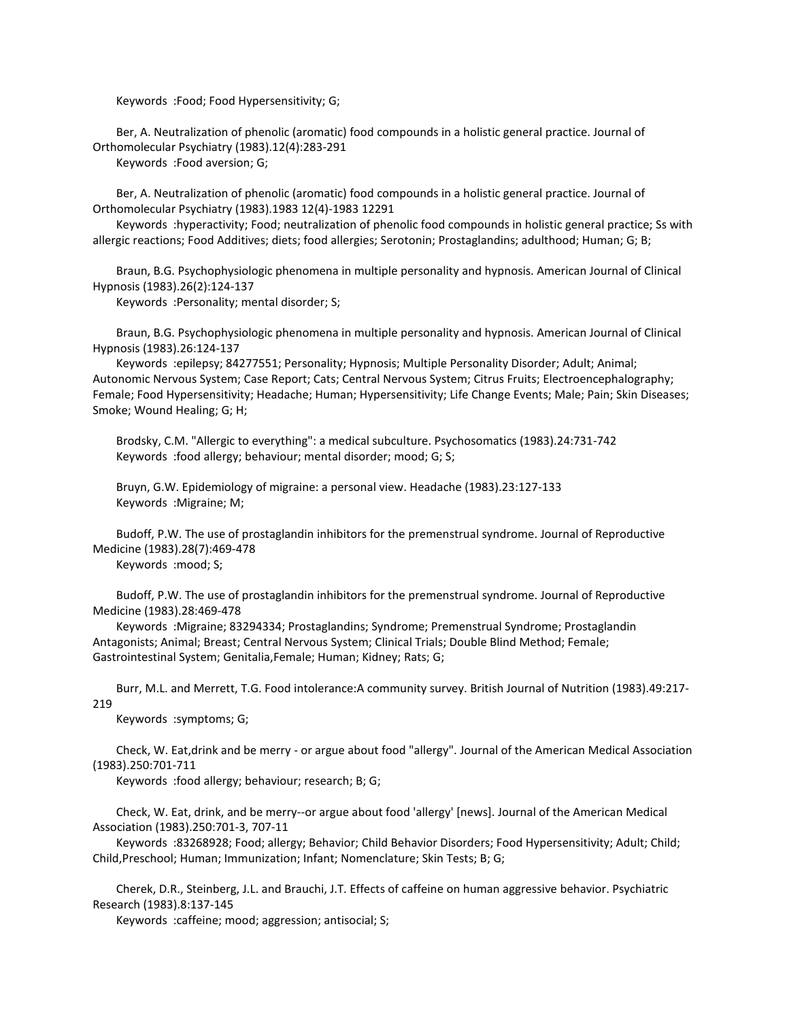Keywords :Food; Food Hypersensitivity; G;

 Ber, A. Neutralization of phenolic (aromatic) food compounds in a holistic general practice. Journal of Orthomolecular Psychiatry (1983).12(4):283-291

Keywords :Food aversion; G;

 Ber, A. Neutralization of phenolic (aromatic) food compounds in a holistic general practice. Journal of Orthomolecular Psychiatry (1983).1983 12(4)-1983 12291

 Keywords :hyperactivity; Food; neutralization of phenolic food compounds in holistic general practice; Ss with allergic reactions; Food Additives; diets; food allergies; Serotonin; Prostaglandins; adulthood; Human; G; B;

 Braun, B.G. Psychophysiologic phenomena in multiple personality and hypnosis. American Journal of Clinical Hypnosis (1983).26(2):124-137

Keywords :Personality; mental disorder; S;

 Braun, B.G. Psychophysiologic phenomena in multiple personality and hypnosis. American Journal of Clinical Hypnosis (1983).26:124-137

 Keywords :epilepsy; 84277551; Personality; Hypnosis; Multiple Personality Disorder; Adult; Animal; Autonomic Nervous System; Case Report; Cats; Central Nervous System; Citrus Fruits; Electroencephalography; Female; Food Hypersensitivity; Headache; Human; Hypersensitivity; Life Change Events; Male; Pain; Skin Diseases; Smoke; Wound Healing; G; H;

 Brodsky, C.M. "Allergic to everything": a medical subculture. Psychosomatics (1983).24:731-742 Keywords :food allergy; behaviour; mental disorder; mood; G; S;

 Bruyn, G.W. Epidemiology of migraine: a personal view. Headache (1983).23:127-133 Keywords :Migraine; M;

 Budoff, P.W. The use of prostaglandin inhibitors for the premenstrual syndrome. Journal of Reproductive Medicine (1983).28(7):469-478

Keywords :mood; S;

 Budoff, P.W. The use of prostaglandin inhibitors for the premenstrual syndrome. Journal of Reproductive Medicine (1983).28:469-478

 Keywords :Migraine; 83294334; Prostaglandins; Syndrome; Premenstrual Syndrome; Prostaglandin Antagonists; Animal; Breast; Central Nervous System; Clinical Trials; Double Blind Method; Female; Gastrointestinal System; Genitalia,Female; Human; Kidney; Rats; G;

 Burr, M.L. and Merrett, T.G. Food intolerance:A community survey. British Journal of Nutrition (1983).49:217- 219

Keywords :symptoms; G;

 Check, W. Eat,drink and be merry - or argue about food "allergy". Journal of the American Medical Association (1983).250:701-711

Keywords :food allergy; behaviour; research; B; G;

 Check, W. Eat, drink, and be merry--or argue about food 'allergy' [news]. Journal of the American Medical Association (1983).250:701-3, 707-11

 Keywords :83268928; Food; allergy; Behavior; Child Behavior Disorders; Food Hypersensitivity; Adult; Child; Child,Preschool; Human; Immunization; Infant; Nomenclature; Skin Tests; B; G;

 Cherek, D.R., Steinberg, J.L. and Brauchi, J.T. Effects of caffeine on human aggressive behavior. Psychiatric Research (1983).8:137-145

Keywords :caffeine; mood; aggression; antisocial; S;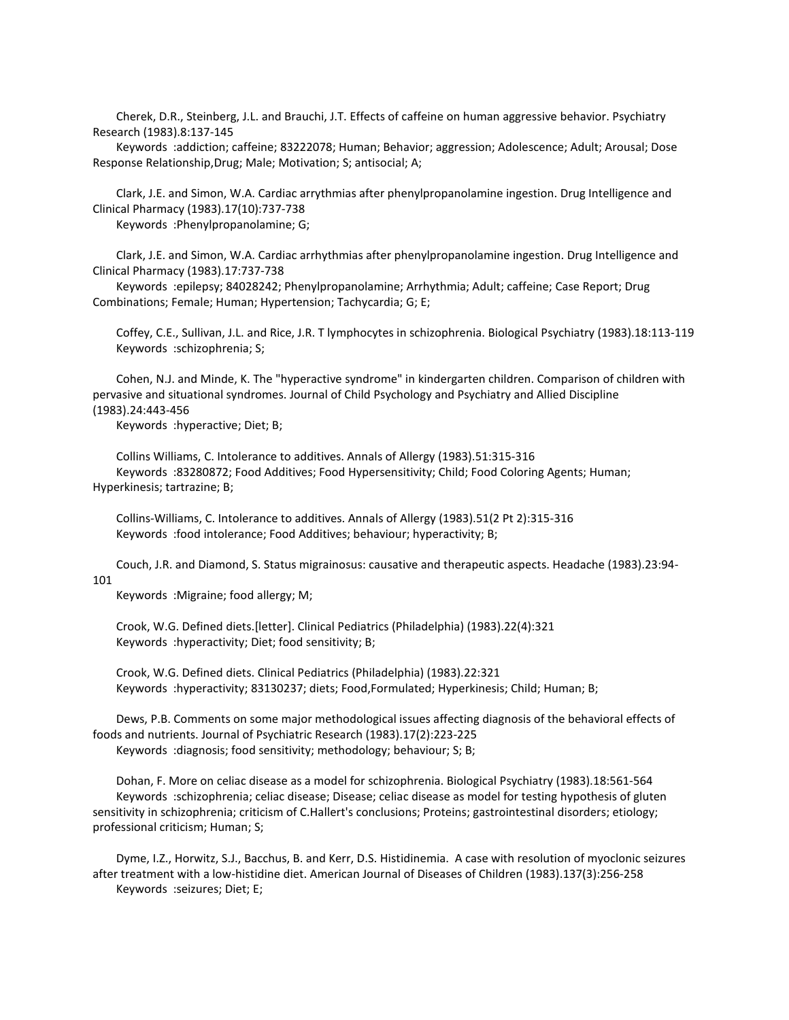Cherek, D.R., Steinberg, J.L. and Brauchi, J.T. Effects of caffeine on human aggressive behavior. Psychiatry Research (1983).8:137-145

 Keywords :addiction; caffeine; 83222078; Human; Behavior; aggression; Adolescence; Adult; Arousal; Dose Response Relationship,Drug; Male; Motivation; S; antisocial; A;

 Clark, J.E. and Simon, W.A. Cardiac arrythmias after phenylpropanolamine ingestion. Drug Intelligence and Clinical Pharmacy (1983).17(10):737-738

Keywords :Phenylpropanolamine; G;

 Clark, J.E. and Simon, W.A. Cardiac arrhythmias after phenylpropanolamine ingestion. Drug Intelligence and Clinical Pharmacy (1983).17:737-738

 Keywords :epilepsy; 84028242; Phenylpropanolamine; Arrhythmia; Adult; caffeine; Case Report; Drug Combinations; Female; Human; Hypertension; Tachycardia; G; E;

 Coffey, C.E., Sullivan, J.L. and Rice, J.R. T lymphocytes in schizophrenia. Biological Psychiatry (1983).18:113-119 Keywords :schizophrenia; S;

 Cohen, N.J. and Minde, K. The "hyperactive syndrome" in kindergarten children. Comparison of children with pervasive and situational syndromes. Journal of Child Psychology and Psychiatry and Allied Discipline (1983).24:443-456

Keywords :hyperactive; Diet; B;

 Collins Williams, C. Intolerance to additives. Annals of Allergy (1983).51:315-316 Keywords :83280872; Food Additives; Food Hypersensitivity; Child; Food Coloring Agents; Human; Hyperkinesis; tartrazine; B;

 Collins-Williams, C. Intolerance to additives. Annals of Allergy (1983).51(2 Pt 2):315-316 Keywords :food intolerance; Food Additives; behaviour; hyperactivity; B;

Couch, J.R. and Diamond, S. Status migrainosus: causative and therapeutic aspects. Headache (1983).23:94-

## 101

Keywords :Migraine; food allergy; M;

 Crook, W.G. Defined diets.[letter]. Clinical Pediatrics (Philadelphia) (1983).22(4):321 Keywords :hyperactivity; Diet; food sensitivity; B;

 Crook, W.G. Defined diets. Clinical Pediatrics (Philadelphia) (1983).22:321 Keywords :hyperactivity; 83130237; diets; Food,Formulated; Hyperkinesis; Child; Human; B;

 Dews, P.B. Comments on some major methodological issues affecting diagnosis of the behavioral effects of foods and nutrients. Journal of Psychiatric Research (1983).17(2):223-225 Keywords :diagnosis; food sensitivity; methodology; behaviour; S; B;

 Dohan, F. More on celiac disease as a model for schizophrenia. Biological Psychiatry (1983).18:561-564 Keywords :schizophrenia; celiac disease; Disease; celiac disease as model for testing hypothesis of gluten sensitivity in schizophrenia; criticism of C.Hallert's conclusions; Proteins; gastrointestinal disorders; etiology; professional criticism; Human; S;

 Dyme, I.Z., Horwitz, S.J., Bacchus, B. and Kerr, D.S. Histidinemia. A case with resolution of myoclonic seizures after treatment with a low-histidine diet. American Journal of Diseases of Children (1983).137(3):256-258 Keywords :seizures; Diet; E;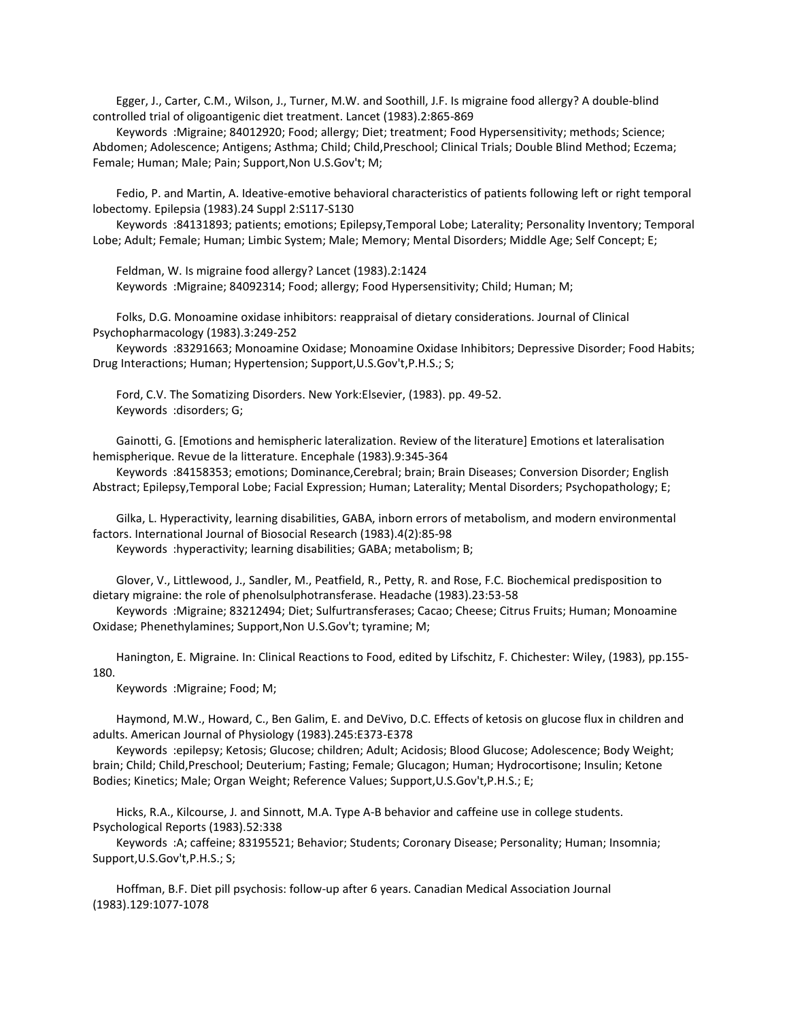Egger, J., Carter, C.M., Wilson, J., Turner, M.W. and Soothill, J.F. Is migraine food allergy? A double-blind controlled trial of oligoantigenic diet treatment. Lancet (1983).2:865-869

 Keywords :Migraine; 84012920; Food; allergy; Diet; treatment; Food Hypersensitivity; methods; Science; Abdomen; Adolescence; Antigens; Asthma; Child; Child,Preschool; Clinical Trials; Double Blind Method; Eczema; Female; Human; Male; Pain; Support,Non U.S.Gov't; M;

 Fedio, P. and Martin, A. Ideative-emotive behavioral characteristics of patients following left or right temporal lobectomy. Epilepsia (1983).24 Suppl 2:S117-S130

 Keywords :84131893; patients; emotions; Epilepsy,Temporal Lobe; Laterality; Personality Inventory; Temporal Lobe; Adult; Female; Human; Limbic System; Male; Memory; Mental Disorders; Middle Age; Self Concept; E;

 Feldman, W. Is migraine food allergy? Lancet (1983).2:1424 Keywords :Migraine; 84092314; Food; allergy; Food Hypersensitivity; Child; Human; M;

 Folks, D.G. Monoamine oxidase inhibitors: reappraisal of dietary considerations. Journal of Clinical Psychopharmacology (1983).3:249-252

 Keywords :83291663; Monoamine Oxidase; Monoamine Oxidase Inhibitors; Depressive Disorder; Food Habits; Drug Interactions; Human; Hypertension; Support,U.S.Gov't,P.H.S.; S;

 Ford, C.V. The Somatizing Disorders. New York:Elsevier, (1983). pp. 49-52. Keywords :disorders; G;

 Gainotti, G. [Emotions and hemispheric lateralization. Review of the literature] Emotions et lateralisation hemispherique. Revue de la litterature. Encephale (1983).9:345-364

 Keywords :84158353; emotions; Dominance,Cerebral; brain; Brain Diseases; Conversion Disorder; English Abstract; Epilepsy,Temporal Lobe; Facial Expression; Human; Laterality; Mental Disorders; Psychopathology; E;

 Gilka, L. Hyperactivity, learning disabilities, GABA, inborn errors of metabolism, and modern environmental factors. International Journal of Biosocial Research (1983).4(2):85-98

Keywords :hyperactivity; learning disabilities; GABA; metabolism; B;

 Glover, V., Littlewood, J., Sandler, M., Peatfield, R., Petty, R. and Rose, F.C. Biochemical predisposition to dietary migraine: the role of phenolsulphotransferase. Headache (1983).23:53-58

 Keywords :Migraine; 83212494; Diet; Sulfurtransferases; Cacao; Cheese; Citrus Fruits; Human; Monoamine Oxidase; Phenethylamines; Support,Non U.S.Gov't; tyramine; M;

 Hanington, E. Migraine. In: Clinical Reactions to Food, edited by Lifschitz, F. Chichester: Wiley, (1983), pp.155- 180.

Keywords :Migraine; Food; M;

 Haymond, M.W., Howard, C., Ben Galim, E. and DeVivo, D.C. Effects of ketosis on glucose flux in children and adults. American Journal of Physiology (1983).245:E373-E378

 Keywords :epilepsy; Ketosis; Glucose; children; Adult; Acidosis; Blood Glucose; Adolescence; Body Weight; brain; Child; Child,Preschool; Deuterium; Fasting; Female; Glucagon; Human; Hydrocortisone; Insulin; Ketone Bodies; Kinetics; Male; Organ Weight; Reference Values; Support,U.S.Gov't,P.H.S.; E;

 Hicks, R.A., Kilcourse, J. and Sinnott, M.A. Type A-B behavior and caffeine use in college students. Psychological Reports (1983).52:338

 Keywords :A; caffeine; 83195521; Behavior; Students; Coronary Disease; Personality; Human; Insomnia; Support,U.S.Gov't,P.H.S.; S;

 Hoffman, B.F. Diet pill psychosis: follow-up after 6 years. Canadian Medical Association Journal (1983).129:1077-1078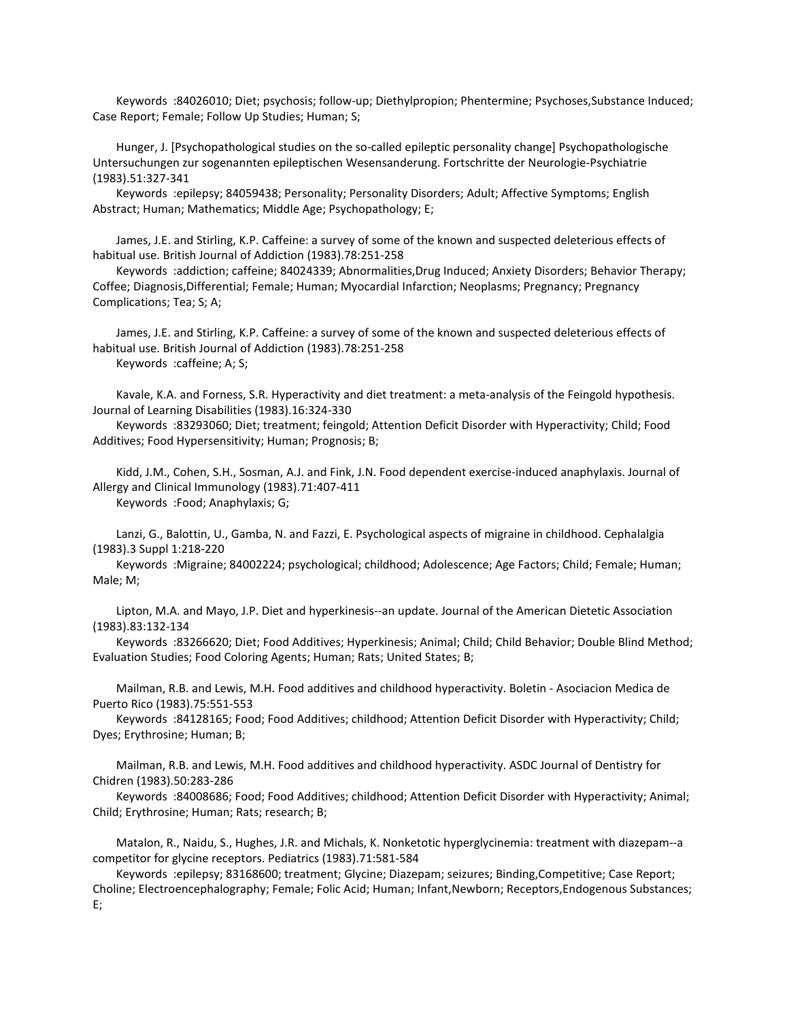Keywords :84026010; Diet; psychosis; follow-up; Diethylpropion; Phentermine; Psychoses,Substance Induced; Case Report; Female; Follow Up Studies; Human; S;

 Hunger, J. [Psychopathological studies on the so-called epileptic personality change] Psychopathologische Untersuchungen zur sogenannten epileptischen Wesensanderung. Fortschritte der Neurologie-Psychiatrie (1983).51:327-341

 Keywords :epilepsy; 84059438; Personality; Personality Disorders; Adult; Affective Symptoms; English Abstract; Human; Mathematics; Middle Age; Psychopathology; E;

 James, J.E. and Stirling, K.P. Caffeine: a survey of some of the known and suspected deleterious effects of habitual use. British Journal of Addiction (1983).78:251-258

 Keywords :addiction; caffeine; 84024339; Abnormalities,Drug Induced; Anxiety Disorders; Behavior Therapy; Coffee; Diagnosis,Differential; Female; Human; Myocardial Infarction; Neoplasms; Pregnancy; Pregnancy Complications; Tea; S; A;

 James, J.E. and Stirling, K.P. Caffeine: a survey of some of the known and suspected deleterious effects of habitual use. British Journal of Addiction (1983).78:251-258 Keywords :caffeine; A; S;

 Kavale, K.A. and Forness, S.R. Hyperactivity and diet treatment: a meta-analysis of the Feingold hypothesis. Journal of Learning Disabilities (1983).16:324-330

 Keywords :83293060; Diet; treatment; feingold; Attention Deficit Disorder with Hyperactivity; Child; Food Additives; Food Hypersensitivity; Human; Prognosis; B;

 Kidd, J.M., Cohen, S.H., Sosman, A.J. and Fink, J.N. Food dependent exercise-induced anaphylaxis. Journal of Allergy and Clinical Immunology (1983).71:407-411 Keywords :Food; Anaphylaxis; G;

 Lanzi, G., Balottin, U., Gamba, N. and Fazzi, E. Psychological aspects of migraine in childhood. Cephalalgia (1983).3 Suppl 1:218-220

 Keywords :Migraine; 84002224; psychological; childhood; Adolescence; Age Factors; Child; Female; Human; Male; M;

 Lipton, M.A. and Mayo, J.P. Diet and hyperkinesis--an update. Journal of the American Dietetic Association (1983).83:132-134

 Keywords :83266620; Diet; Food Additives; Hyperkinesis; Animal; Child; Child Behavior; Double Blind Method; Evaluation Studies; Food Coloring Agents; Human; Rats; United States; B;

 Mailman, R.B. and Lewis, M.H. Food additives and childhood hyperactivity. Boletin - Asociacion Medica de Puerto Rico (1983).75:551-553

 Keywords :84128165; Food; Food Additives; childhood; Attention Deficit Disorder with Hyperactivity; Child; Dyes; Erythrosine; Human; B;

 Mailman, R.B. and Lewis, M.H. Food additives and childhood hyperactivity. ASDC Journal of Dentistry for Chidren (1983).50:283-286

 Keywords :84008686; Food; Food Additives; childhood; Attention Deficit Disorder with Hyperactivity; Animal; Child; Erythrosine; Human; Rats; research; B;

 Matalon, R., Naidu, S., Hughes, J.R. and Michals, K. Nonketotic hyperglycinemia: treatment with diazepam--a competitor for glycine receptors. Pediatrics (1983).71:581-584

 Keywords :epilepsy; 83168600; treatment; Glycine; Diazepam; seizures; Binding,Competitive; Case Report; Choline; Electroencephalography; Female; Folic Acid; Human; Infant,Newborn; Receptors,Endogenous Substances; E;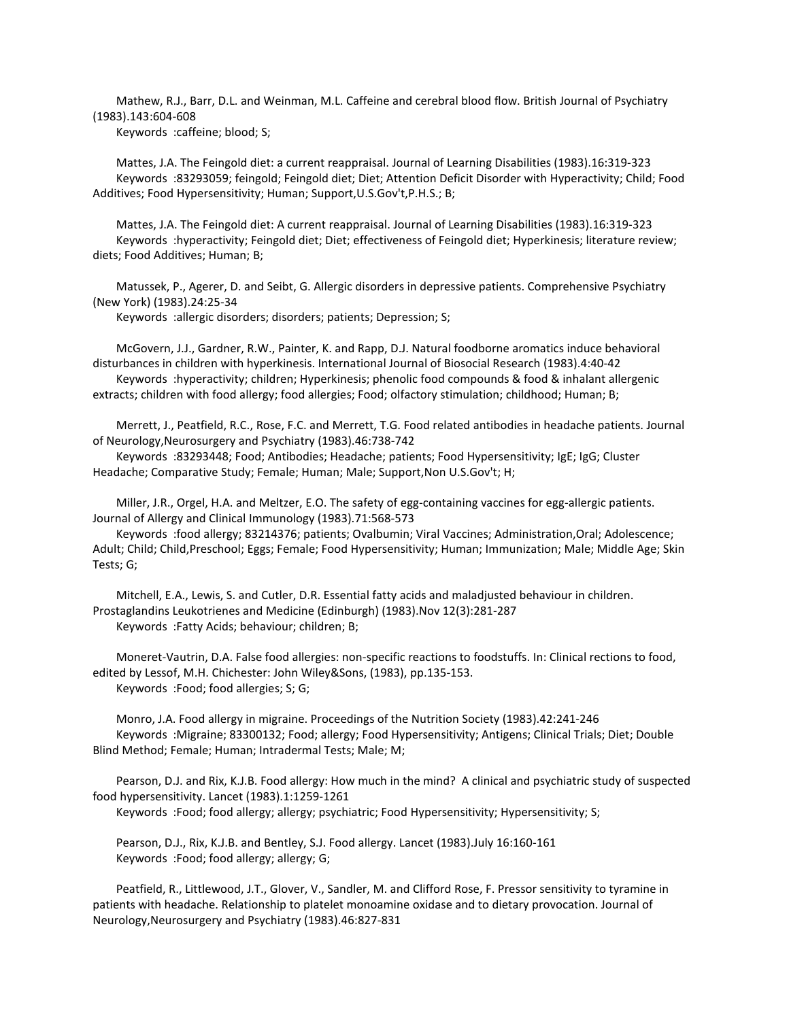Mathew, R.J., Barr, D.L. and Weinman, M.L. Caffeine and cerebral blood flow. British Journal of Psychiatry (1983).143:604-608

Keywords :caffeine; blood; S;

 Mattes, J.A. The Feingold diet: a current reappraisal. Journal of Learning Disabilities (1983).16:319-323 Keywords :83293059; feingold; Feingold diet; Diet; Attention Deficit Disorder with Hyperactivity; Child; Food Additives; Food Hypersensitivity; Human; Support,U.S.Gov't,P.H.S.; B;

 Mattes, J.A. The Feingold diet: A current reappraisal. Journal of Learning Disabilities (1983).16:319-323 Keywords :hyperactivity; Feingold diet; Diet; effectiveness of Feingold diet; Hyperkinesis; literature review; diets; Food Additives; Human; B;

 Matussek, P., Agerer, D. and Seibt, G. Allergic disorders in depressive patients. Comprehensive Psychiatry (New York) (1983).24:25-34

Keywords :allergic disorders; disorders; patients; Depression; S;

 McGovern, J.J., Gardner, R.W., Painter, K. and Rapp, D.J. Natural foodborne aromatics induce behavioral disturbances in children with hyperkinesis. International Journal of Biosocial Research (1983).4:40-42 Keywords :hyperactivity; children; Hyperkinesis; phenolic food compounds & food & inhalant allergenic extracts; children with food allergy; food allergies; Food; olfactory stimulation; childhood; Human; B;

 Merrett, J., Peatfield, R.C., Rose, F.C. and Merrett, T.G. Food related antibodies in headache patients. Journal of Neurology,Neurosurgery and Psychiatry (1983).46:738-742

 Keywords :83293448; Food; Antibodies; Headache; patients; Food Hypersensitivity; IgE; IgG; Cluster Headache; Comparative Study; Female; Human; Male; Support,Non U.S.Gov't; H;

 Miller, J.R., Orgel, H.A. and Meltzer, E.O. The safety of egg-containing vaccines for egg-allergic patients. Journal of Allergy and Clinical Immunology (1983).71:568-573

 Keywords :food allergy; 83214376; patients; Ovalbumin; Viral Vaccines; Administration,Oral; Adolescence; Adult; Child; Child,Preschool; Eggs; Female; Food Hypersensitivity; Human; Immunization; Male; Middle Age; Skin Tests; G;

 Mitchell, E.A., Lewis, S. and Cutler, D.R. Essential fatty acids and maladjusted behaviour in children. Prostaglandins Leukotrienes and Medicine (Edinburgh) (1983).Nov 12(3):281-287 Keywords :Fatty Acids; behaviour; children; B;

 Moneret-Vautrin, D.A. False food allergies: non-specific reactions to foodstuffs. In: Clinical rections to food, edited by Lessof, M.H. Chichester: John Wiley&Sons, (1983), pp.135-153. Keywords :Food; food allergies; S; G;

 Monro, J.A. Food allergy in migraine. Proceedings of the Nutrition Society (1983).42:241-246 Keywords :Migraine; 83300132; Food; allergy; Food Hypersensitivity; Antigens; Clinical Trials; Diet; Double Blind Method; Female; Human; Intradermal Tests; Male; M;

 Pearson, D.J. and Rix, K.J.B. Food allergy: How much in the mind? A clinical and psychiatric study of suspected food hypersensitivity. Lancet (1983).1:1259-1261

Keywords :Food; food allergy; allergy; psychiatric; Food Hypersensitivity; Hypersensitivity; S;

 Pearson, D.J., Rix, K.J.B. and Bentley, S.J. Food allergy. Lancet (1983).July 16:160-161 Keywords :Food; food allergy; allergy; G;

 Peatfield, R., Littlewood, J.T., Glover, V., Sandler, M. and Clifford Rose, F. Pressor sensitivity to tyramine in patients with headache. Relationship to platelet monoamine oxidase and to dietary provocation. Journal of Neurology,Neurosurgery and Psychiatry (1983).46:827-831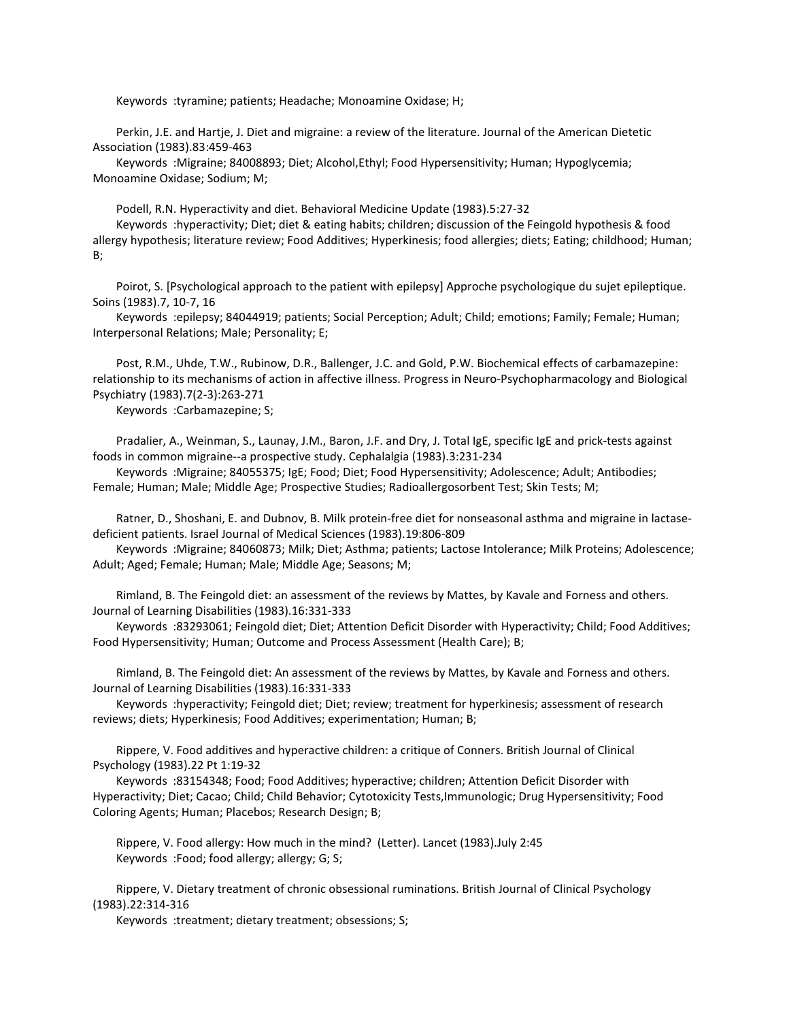Keywords :tyramine; patients; Headache; Monoamine Oxidase; H;

 Perkin, J.E. and Hartje, J. Diet and migraine: a review of the literature. Journal of the American Dietetic Association (1983).83:459-463

 Keywords :Migraine; 84008893; Diet; Alcohol,Ethyl; Food Hypersensitivity; Human; Hypoglycemia; Monoamine Oxidase; Sodium; M;

Podell, R.N. Hyperactivity and diet. Behavioral Medicine Update (1983).5:27-32

 Keywords :hyperactivity; Diet; diet & eating habits; children; discussion of the Feingold hypothesis & food allergy hypothesis; literature review; Food Additives; Hyperkinesis; food allergies; diets; Eating; childhood; Human; B;

 Poirot, S. [Psychological approach to the patient with epilepsy] Approche psychologique du sujet epileptique. Soins (1983).7, 10-7, 16

 Keywords :epilepsy; 84044919; patients; Social Perception; Adult; Child; emotions; Family; Female; Human; Interpersonal Relations; Male; Personality; E;

 Post, R.M., Uhde, T.W., Rubinow, D.R., Ballenger, J.C. and Gold, P.W. Biochemical effects of carbamazepine: relationship to its mechanisms of action in affective illness. Progress in Neuro-Psychopharmacology and Biological Psychiatry (1983).7(2-3):263-271

Keywords :Carbamazepine; S;

 Pradalier, A., Weinman, S., Launay, J.M., Baron, J.F. and Dry, J. Total IgE, specific IgE and prick-tests against foods in common migraine--a prospective study. Cephalalgia (1983).3:231-234

 Keywords :Migraine; 84055375; IgE; Food; Diet; Food Hypersensitivity; Adolescence; Adult; Antibodies; Female; Human; Male; Middle Age; Prospective Studies; Radioallergosorbent Test; Skin Tests; M;

 Ratner, D., Shoshani, E. and Dubnov, B. Milk protein-free diet for nonseasonal asthma and migraine in lactasedeficient patients. Israel Journal of Medical Sciences (1983).19:806-809

 Keywords :Migraine; 84060873; Milk; Diet; Asthma; patients; Lactose Intolerance; Milk Proteins; Adolescence; Adult; Aged; Female; Human; Male; Middle Age; Seasons; M;

 Rimland, B. The Feingold diet: an assessment of the reviews by Mattes, by Kavale and Forness and others. Journal of Learning Disabilities (1983).16:331-333

 Keywords :83293061; Feingold diet; Diet; Attention Deficit Disorder with Hyperactivity; Child; Food Additives; Food Hypersensitivity; Human; Outcome and Process Assessment (Health Care); B;

 Rimland, B. The Feingold diet: An assessment of the reviews by Mattes, by Kavale and Forness and others. Journal of Learning Disabilities (1983).16:331-333

 Keywords :hyperactivity; Feingold diet; Diet; review; treatment for hyperkinesis; assessment of research reviews; diets; Hyperkinesis; Food Additives; experimentation; Human; B;

 Rippere, V. Food additives and hyperactive children: a critique of Conners. British Journal of Clinical Psychology (1983).22 Pt 1:19-32

 Keywords :83154348; Food; Food Additives; hyperactive; children; Attention Deficit Disorder with Hyperactivity; Diet; Cacao; Child; Child Behavior; Cytotoxicity Tests,Immunologic; Drug Hypersensitivity; Food Coloring Agents; Human; Placebos; Research Design; B;

 Rippere, V. Food allergy: How much in the mind? (Letter). Lancet (1983).July 2:45 Keywords :Food; food allergy; allergy; G; S;

 Rippere, V. Dietary treatment of chronic obsessional ruminations. British Journal of Clinical Psychology (1983).22:314-316

Keywords :treatment; dietary treatment; obsessions; S;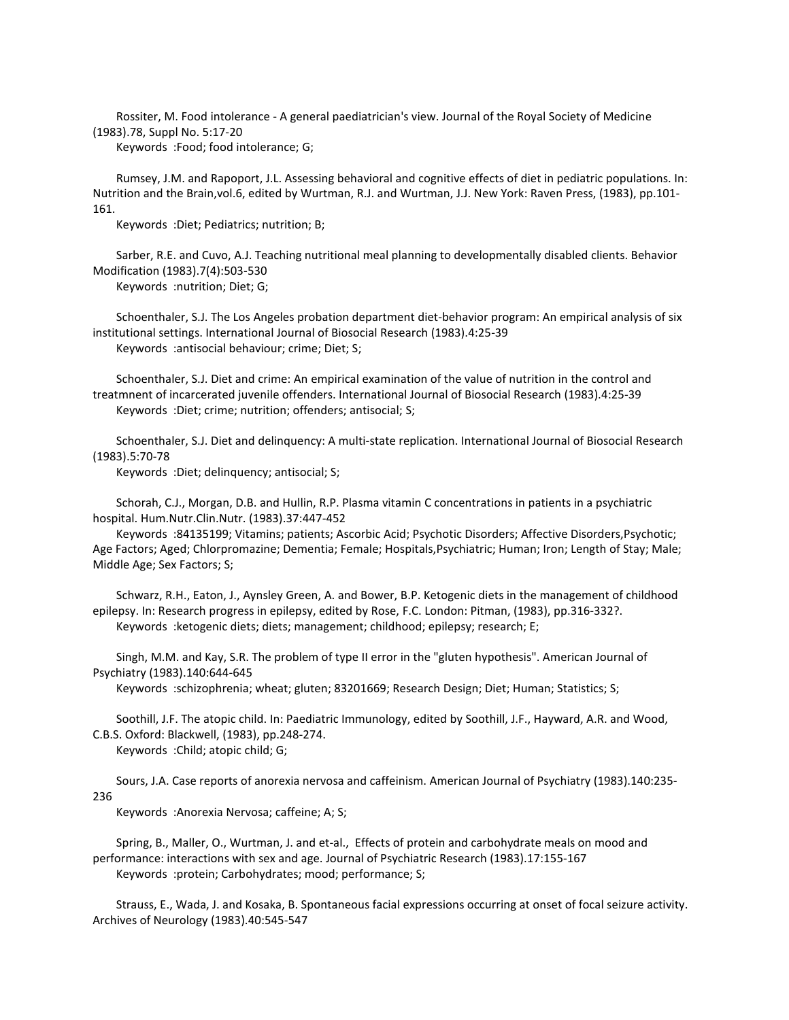Rossiter, M. Food intolerance - A general paediatrician's view. Journal of the Royal Society of Medicine (1983).78, Suppl No. 5:17-20

Keywords :Food; food intolerance; G;

 Rumsey, J.M. and Rapoport, J.L. Assessing behavioral and cognitive effects of diet in pediatric populations. In: Nutrition and the Brain,vol.6, edited by Wurtman, R.J. and Wurtman, J.J. New York: Raven Press, (1983), pp.101- 161.

Keywords :Diet; Pediatrics; nutrition; B;

 Sarber, R.E. and Cuvo, A.J. Teaching nutritional meal planning to developmentally disabled clients. Behavior Modification (1983).7(4):503-530

Keywords :nutrition; Diet; G;

 Schoenthaler, S.J. The Los Angeles probation department diet-behavior program: An empirical analysis of six institutional settings. International Journal of Biosocial Research (1983).4:25-39 Keywords :antisocial behaviour; crime; Diet; S;

 Schoenthaler, S.J. Diet and crime: An empirical examination of the value of nutrition in the control and treatmnent of incarcerated juvenile offenders. International Journal of Biosocial Research (1983).4:25-39 Keywords :Diet; crime; nutrition; offenders; antisocial; S;

 Schoenthaler, S.J. Diet and delinquency: A multi-state replication. International Journal of Biosocial Research (1983).5:70-78

Keywords :Diet; delinquency; antisocial; S;

 Schorah, C.J., Morgan, D.B. and Hullin, R.P. Plasma vitamin C concentrations in patients in a psychiatric hospital. Hum.Nutr.Clin.Nutr. (1983).37:447-452

 Keywords :84135199; Vitamins; patients; Ascorbic Acid; Psychotic Disorders; Affective Disorders,Psychotic; Age Factors; Aged; Chlorpromazine; Dementia; Female; Hospitals,Psychiatric; Human; Iron; Length of Stay; Male; Middle Age; Sex Factors; S;

 Schwarz, R.H., Eaton, J., Aynsley Green, A. and Bower, B.P. Ketogenic diets in the management of childhood epilepsy. In: Research progress in epilepsy, edited by Rose, F.C. London: Pitman, (1983), pp.316-332?. Keywords :ketogenic diets; diets; management; childhood; epilepsy; research; E;

 Singh, M.M. and Kay, S.R. The problem of type II error in the "gluten hypothesis". American Journal of Psychiatry (1983).140:644-645

Keywords :schizophrenia; wheat; gluten; 83201669; Research Design; Diet; Human; Statistics; S;

 Soothill, J.F. The atopic child. In: Paediatric Immunology, edited by Soothill, J.F., Hayward, A.R. and Wood, C.B.S. Oxford: Blackwell, (1983), pp.248-274.

Keywords :Child; atopic child; G;

 Sours, J.A. Case reports of anorexia nervosa and caffeinism. American Journal of Psychiatry (1983).140:235- 236

Keywords :Anorexia Nervosa; caffeine; A; S;

 Spring, B., Maller, O., Wurtman, J. and et-al., Effects of protein and carbohydrate meals on mood and performance: interactions with sex and age. Journal of Psychiatric Research (1983).17:155-167 Keywords :protein; Carbohydrates; mood; performance; S;

 Strauss, E., Wada, J. and Kosaka, B. Spontaneous facial expressions occurring at onset of focal seizure activity. Archives of Neurology (1983).40:545-547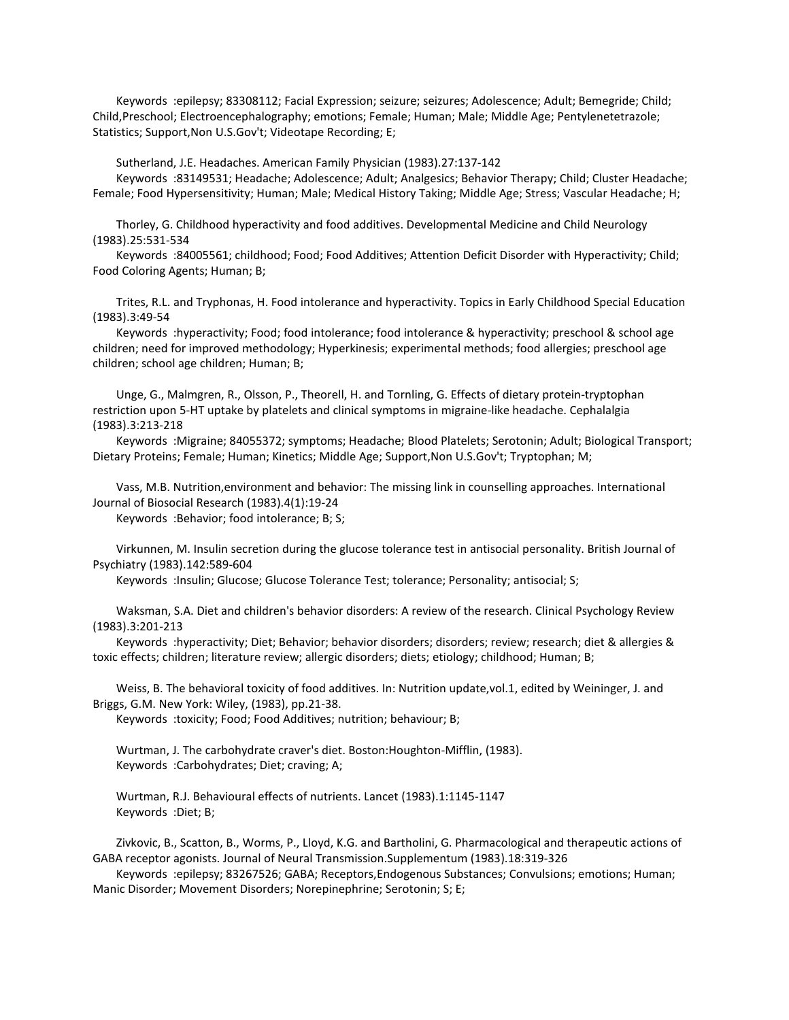Keywords :epilepsy; 83308112; Facial Expression; seizure; seizures; Adolescence; Adult; Bemegride; Child; Child,Preschool; Electroencephalography; emotions; Female; Human; Male; Middle Age; Pentylenetetrazole; Statistics; Support,Non U.S.Gov't; Videotape Recording; E;

Sutherland, J.E. Headaches. American Family Physician (1983).27:137-142

 Keywords :83149531; Headache; Adolescence; Adult; Analgesics; Behavior Therapy; Child; Cluster Headache; Female; Food Hypersensitivity; Human; Male; Medical History Taking; Middle Age; Stress; Vascular Headache; H;

 Thorley, G. Childhood hyperactivity and food additives. Developmental Medicine and Child Neurology (1983).25:531-534

 Keywords :84005561; childhood; Food; Food Additives; Attention Deficit Disorder with Hyperactivity; Child; Food Coloring Agents; Human; B;

 Trites, R.L. and Tryphonas, H. Food intolerance and hyperactivity. Topics in Early Childhood Special Education (1983).3:49-54

 Keywords :hyperactivity; Food; food intolerance; food intolerance & hyperactivity; preschool & school age children; need for improved methodology; Hyperkinesis; experimental methods; food allergies; preschool age children; school age children; Human; B;

 Unge, G., Malmgren, R., Olsson, P., Theorell, H. and Tornling, G. Effects of dietary protein-tryptophan restriction upon 5-HT uptake by platelets and clinical symptoms in migraine-like headache. Cephalalgia (1983).3:213-218

 Keywords :Migraine; 84055372; symptoms; Headache; Blood Platelets; Serotonin; Adult; Biological Transport; Dietary Proteins; Female; Human; Kinetics; Middle Age; Support,Non U.S.Gov't; Tryptophan; M;

 Vass, M.B. Nutrition,environment and behavior: The missing link in counselling approaches. International Journal of Biosocial Research (1983).4(1):19-24

Keywords :Behavior; food intolerance; B; S;

 Virkunnen, M. Insulin secretion during the glucose tolerance test in antisocial personality. British Journal of Psychiatry (1983).142:589-604

Keywords :Insulin; Glucose; Glucose Tolerance Test; tolerance; Personality; antisocial; S;

 Waksman, S.A. Diet and children's behavior disorders: A review of the research. Clinical Psychology Review (1983).3:201-213

 Keywords :hyperactivity; Diet; Behavior; behavior disorders; disorders; review; research; diet & allergies & toxic effects; children; literature review; allergic disorders; diets; etiology; childhood; Human; B;

 Weiss, B. The behavioral toxicity of food additives. In: Nutrition update,vol.1, edited by Weininger, J. and Briggs, G.M. New York: Wiley, (1983), pp.21-38.

Keywords :toxicity; Food; Food Additives; nutrition; behaviour; B;

 Wurtman, J. The carbohydrate craver's diet. Boston:Houghton-Mifflin, (1983). Keywords :Carbohydrates; Diet; craving; A;

 Wurtman, R.J. Behavioural effects of nutrients. Lancet (1983).1:1145-1147 Keywords :Diet; B;

 Zivkovic, B., Scatton, B., Worms, P., Lloyd, K.G. and Bartholini, G. Pharmacological and therapeutic actions of GABA receptor agonists. Journal of Neural Transmission.Supplementum (1983).18:319-326

 Keywords :epilepsy; 83267526; GABA; Receptors,Endogenous Substances; Convulsions; emotions; Human; Manic Disorder; Movement Disorders; Norepinephrine; Serotonin; S; E;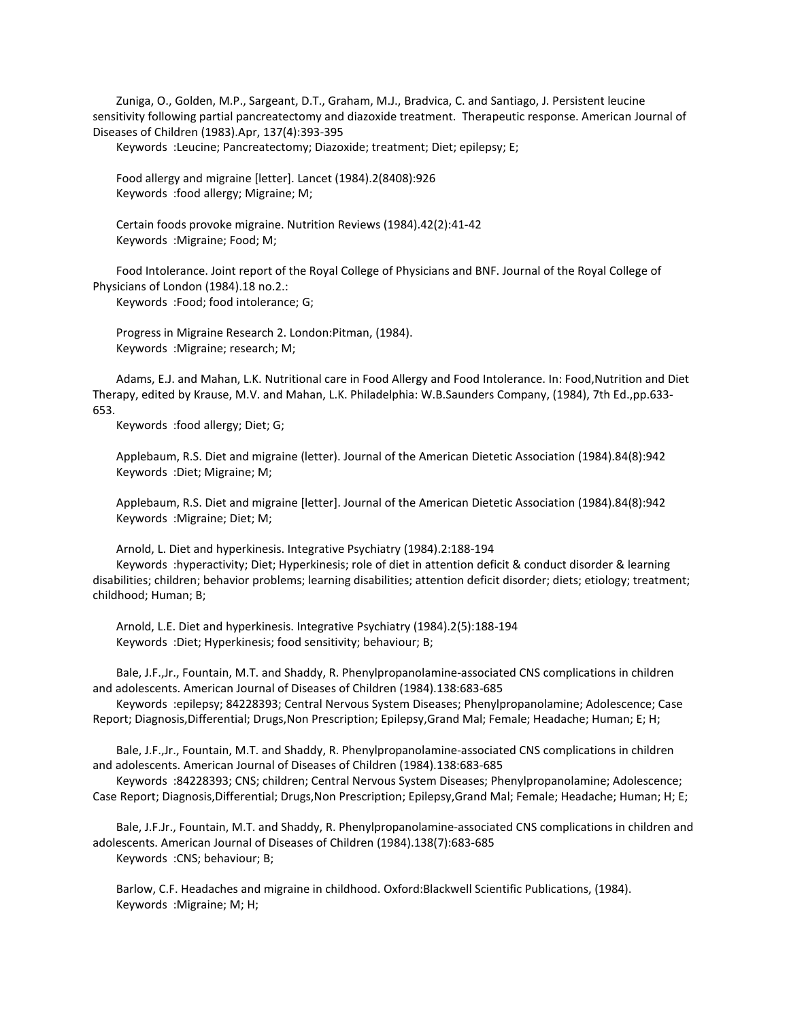Zuniga, O., Golden, M.P., Sargeant, D.T., Graham, M.J., Bradvica, C. and Santiago, J. Persistent leucine sensitivity following partial pancreatectomy and diazoxide treatment. Therapeutic response. American Journal of Diseases of Children (1983).Apr, 137(4):393-395

Keywords :Leucine; Pancreatectomy; Diazoxide; treatment; Diet; epilepsy; E;

 Food allergy and migraine [letter]. Lancet (1984).2(8408):926 Keywords :food allergy; Migraine; M;

 Certain foods provoke migraine. Nutrition Reviews (1984).42(2):41-42 Keywords :Migraine; Food; M;

 Food Intolerance. Joint report of the Royal College of Physicians and BNF. Journal of the Royal College of Physicians of London (1984).18 no.2.:

Keywords :Food; food intolerance; G;

 Progress in Migraine Research 2. London:Pitman, (1984). Keywords :Migraine; research; M;

 Adams, E.J. and Mahan, L.K. Nutritional care in Food Allergy and Food Intolerance. In: Food,Nutrition and Diet Therapy, edited by Krause, M.V. and Mahan, L.K. Philadelphia: W.B.Saunders Company, (1984), 7th Ed.,pp.633- 653.

Keywords :food allergy; Diet; G;

 Applebaum, R.S. Diet and migraine (letter). Journal of the American Dietetic Association (1984).84(8):942 Keywords :Diet; Migraine; M;

 Applebaum, R.S. Diet and migraine [letter]. Journal of the American Dietetic Association (1984).84(8):942 Keywords :Migraine; Diet; M;

 Arnold, L. Diet and hyperkinesis. Integrative Psychiatry (1984).2:188-194 Keywords :hyperactivity; Diet; Hyperkinesis; role of diet in attention deficit & conduct disorder & learning disabilities; children; behavior problems; learning disabilities; attention deficit disorder; diets; etiology; treatment; childhood; Human; B;

 Arnold, L.E. Diet and hyperkinesis. Integrative Psychiatry (1984).2(5):188-194 Keywords :Diet; Hyperkinesis; food sensitivity; behaviour; B;

 Bale, J.F.,Jr., Fountain, M.T. and Shaddy, R. Phenylpropanolamine-associated CNS complications in children and adolescents. American Journal of Diseases of Children (1984).138:683-685

 Keywords :epilepsy; 84228393; Central Nervous System Diseases; Phenylpropanolamine; Adolescence; Case Report; Diagnosis,Differential; Drugs,Non Prescription; Epilepsy,Grand Mal; Female; Headache; Human; E; H;

 Bale, J.F.,Jr., Fountain, M.T. and Shaddy, R. Phenylpropanolamine-associated CNS complications in children and adolescents. American Journal of Diseases of Children (1984).138:683-685

 Keywords :84228393; CNS; children; Central Nervous System Diseases; Phenylpropanolamine; Adolescence; Case Report; Diagnosis,Differential; Drugs,Non Prescription; Epilepsy,Grand Mal; Female; Headache; Human; H; E;

 Bale, J.F.Jr., Fountain, M.T. and Shaddy, R. Phenylpropanolamine-associated CNS complications in children and adolescents. American Journal of Diseases of Children (1984).138(7):683-685 Keywords :CNS; behaviour; B;

 Barlow, C.F. Headaches and migraine in childhood. Oxford:Blackwell Scientific Publications, (1984). Keywords :Migraine; M; H;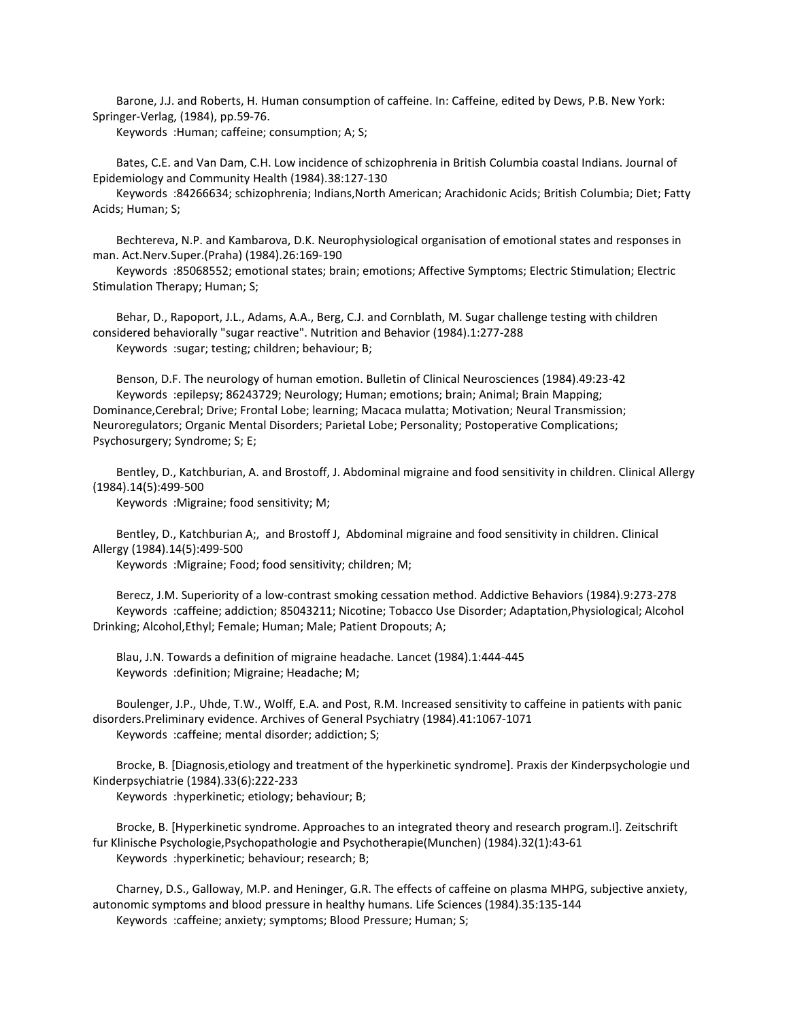Barone, J.J. and Roberts, H. Human consumption of caffeine. In: Caffeine, edited by Dews, P.B. New York: Springer-Verlag, (1984), pp.59-76.

Keywords :Human; caffeine; consumption; A; S;

 Bates, C.E. and Van Dam, C.H. Low incidence of schizophrenia in British Columbia coastal Indians. Journal of Epidemiology and Community Health (1984).38:127-130

 Keywords :84266634; schizophrenia; Indians,North American; Arachidonic Acids; British Columbia; Diet; Fatty Acids; Human; S;

 Bechtereva, N.P. and Kambarova, D.K. Neurophysiological organisation of emotional states and responses in man. Act.Nerv.Super.(Praha) (1984).26:169-190

 Keywords :85068552; emotional states; brain; emotions; Affective Symptoms; Electric Stimulation; Electric Stimulation Therapy; Human; S;

 Behar, D., Rapoport, J.L., Adams, A.A., Berg, C.J. and Cornblath, M. Sugar challenge testing with children considered behaviorally "sugar reactive". Nutrition and Behavior (1984).1:277-288 Keywords :sugar; testing; children; behaviour; B;

 Benson, D.F. The neurology of human emotion. Bulletin of Clinical Neurosciences (1984).49:23-42 Keywords :epilepsy; 86243729; Neurology; Human; emotions; brain; Animal; Brain Mapping; Dominance,Cerebral; Drive; Frontal Lobe; learning; Macaca mulatta; Motivation; Neural Transmission; Neuroregulators; Organic Mental Disorders; Parietal Lobe; Personality; Postoperative Complications; Psychosurgery; Syndrome; S; E;

 Bentley, D., Katchburian, A. and Brostoff, J. Abdominal migraine and food sensitivity in children. Clinical Allergy (1984).14(5):499-500

Keywords :Migraine; food sensitivity; M;

 Bentley, D., Katchburian A;, and Brostoff J, Abdominal migraine and food sensitivity in children. Clinical Allergy (1984).14(5):499-500

Keywords :Migraine; Food; food sensitivity; children; M;

 Berecz, J.M. Superiority of a low-contrast smoking cessation method. Addictive Behaviors (1984).9:273-278 Keywords :caffeine; addiction; 85043211; Nicotine; Tobacco Use Disorder; Adaptation,Physiological; Alcohol Drinking; Alcohol,Ethyl; Female; Human; Male; Patient Dropouts; A;

 Blau, J.N. Towards a definition of migraine headache. Lancet (1984).1:444-445 Keywords :definition; Migraine; Headache; M;

 Boulenger, J.P., Uhde, T.W., Wolff, E.A. and Post, R.M. Increased sensitivity to caffeine in patients with panic disorders.Preliminary evidence. Archives of General Psychiatry (1984).41:1067-1071 Keywords :caffeine; mental disorder; addiction; S;

 Brocke, B. [Diagnosis,etiology and treatment of the hyperkinetic syndrome]. Praxis der Kinderpsychologie und Kinderpsychiatrie (1984).33(6):222-233

Keywords :hyperkinetic; etiology; behaviour; B;

 Brocke, B. [Hyperkinetic syndrome. Approaches to an integrated theory and research program.I]. Zeitschrift fur Klinische Psychologie,Psychopathologie and Psychotherapie(Munchen) (1984).32(1):43-61 Keywords :hyperkinetic; behaviour; research; B;

 Charney, D.S., Galloway, M.P. and Heninger, G.R. The effects of caffeine on plasma MHPG, subjective anxiety, autonomic symptoms and blood pressure in healthy humans. Life Sciences (1984).35:135-144 Keywords :caffeine; anxiety; symptoms; Blood Pressure; Human; S;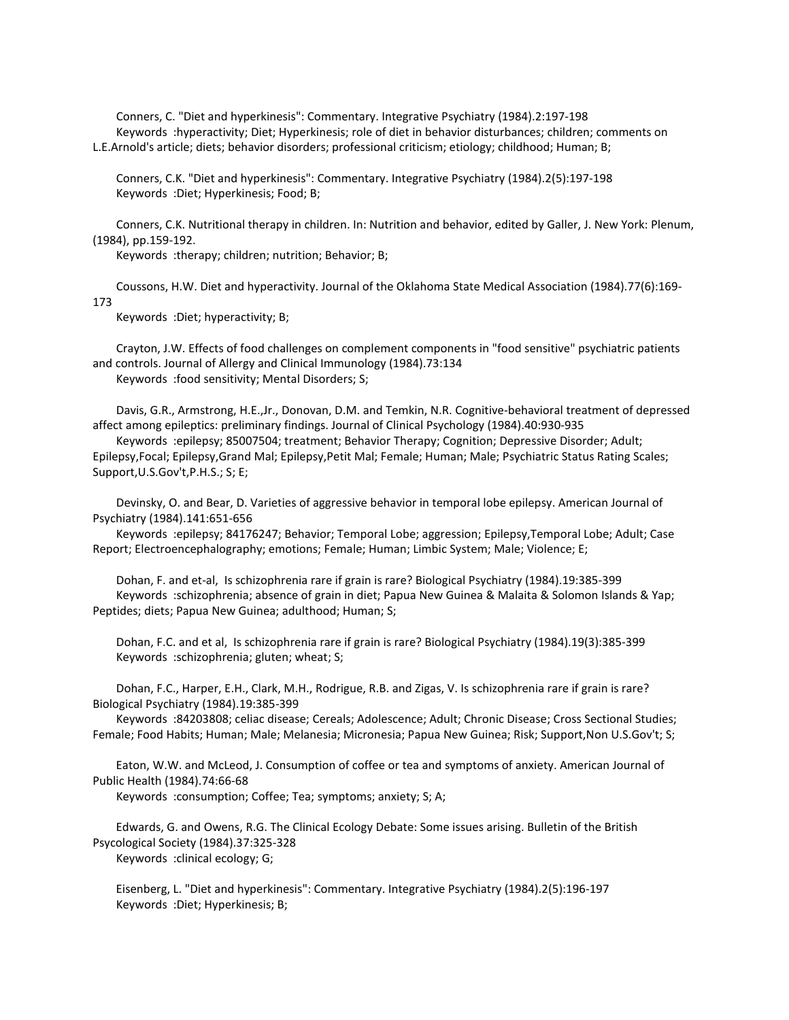Conners, C. "Diet and hyperkinesis": Commentary. Integrative Psychiatry (1984).2:197-198 Keywords :hyperactivity; Diet; Hyperkinesis; role of diet in behavior disturbances; children; comments on L.E.Arnold's article; diets; behavior disorders; professional criticism; etiology; childhood; Human; B;

 Conners, C.K. "Diet and hyperkinesis": Commentary. Integrative Psychiatry (1984).2(5):197-198 Keywords :Diet; Hyperkinesis; Food; B;

 Conners, C.K. Nutritional therapy in children. In: Nutrition and behavior, edited by Galler, J. New York: Plenum, (1984), pp.159-192.

Keywords :therapy; children; nutrition; Behavior; B;

 Coussons, H.W. Diet and hyperactivity. Journal of the Oklahoma State Medical Association (1984).77(6):169- 173

Keywords :Diet; hyperactivity; B;

 Crayton, J.W. Effects of food challenges on complement components in "food sensitive" psychiatric patients and controls. Journal of Allergy and Clinical Immunology (1984).73:134 Keywords :food sensitivity; Mental Disorders; S;

 Davis, G.R., Armstrong, H.E.,Jr., Donovan, D.M. and Temkin, N.R. Cognitive-behavioral treatment of depressed affect among epileptics: preliminary findings. Journal of Clinical Psychology (1984).40:930-935

 Keywords :epilepsy; 85007504; treatment; Behavior Therapy; Cognition; Depressive Disorder; Adult; Epilepsy,Focal; Epilepsy,Grand Mal; Epilepsy,Petit Mal; Female; Human; Male; Psychiatric Status Rating Scales; Support,U.S.Gov't,P.H.S.; S; E;

 Devinsky, O. and Bear, D. Varieties of aggressive behavior in temporal lobe epilepsy. American Journal of Psychiatry (1984).141:651-656

 Keywords :epilepsy; 84176247; Behavior; Temporal Lobe; aggression; Epilepsy,Temporal Lobe; Adult; Case Report; Electroencephalography; emotions; Female; Human; Limbic System; Male; Violence; E;

 Dohan, F. and et-al, Is schizophrenia rare if grain is rare? Biological Psychiatry (1984).19:385-399 Keywords :schizophrenia; absence of grain in diet; Papua New Guinea & Malaita & Solomon Islands & Yap; Peptides; diets; Papua New Guinea; adulthood; Human; S;

 Dohan, F.C. and et al, Is schizophrenia rare if grain is rare? Biological Psychiatry (1984).19(3):385-399 Keywords :schizophrenia; gluten; wheat; S;

 Dohan, F.C., Harper, E.H., Clark, M.H., Rodrigue, R.B. and Zigas, V. Is schizophrenia rare if grain is rare? Biological Psychiatry (1984).19:385-399

 Keywords :84203808; celiac disease; Cereals; Adolescence; Adult; Chronic Disease; Cross Sectional Studies; Female; Food Habits; Human; Male; Melanesia; Micronesia; Papua New Guinea; Risk; Support,Non U.S.Gov't; S;

 Eaton, W.W. and McLeod, J. Consumption of coffee or tea and symptoms of anxiety. American Journal of Public Health (1984).74:66-68

Keywords :consumption; Coffee; Tea; symptoms; anxiety; S; A;

 Edwards, G. and Owens, R.G. The Clinical Ecology Debate: Some issues arising. Bulletin of the British Psycological Society (1984).37:325-328

Keywords :clinical ecology; G;

 Eisenberg, L. "Diet and hyperkinesis": Commentary. Integrative Psychiatry (1984).2(5):196-197 Keywords :Diet; Hyperkinesis; B;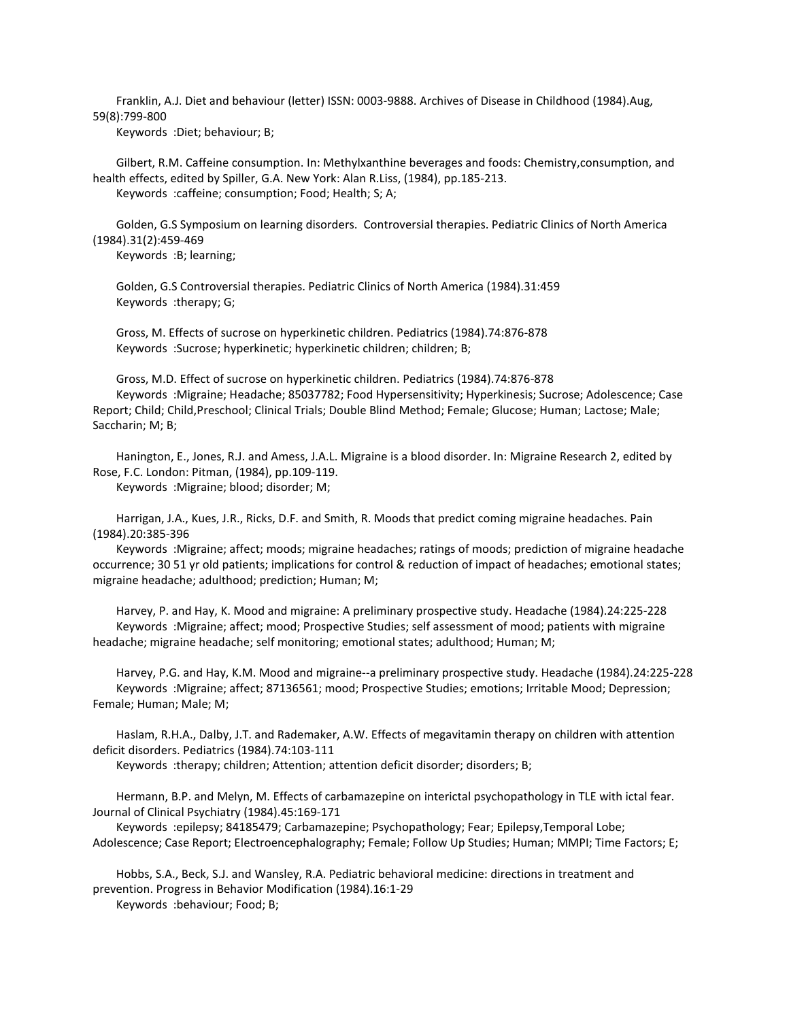Franklin, A.J. Diet and behaviour (letter) ISSN: 0003-9888. Archives of Disease in Childhood (1984).Aug, 59(8):799-800

Keywords :Diet; behaviour; B;

 Gilbert, R.M. Caffeine consumption. In: Methylxanthine beverages and foods: Chemistry,consumption, and health effects, edited by Spiller, G.A. New York: Alan R.Liss, (1984), pp.185-213. Keywords :caffeine; consumption; Food; Health; S; A;

 Golden, G.S Symposium on learning disorders. Controversial therapies. Pediatric Clinics of North America (1984).31(2):459-469

Keywords :B; learning;

 Golden, G.S Controversial therapies. Pediatric Clinics of North America (1984).31:459 Keywords :therapy; G;

 Gross, M. Effects of sucrose on hyperkinetic children. Pediatrics (1984).74:876-878 Keywords :Sucrose; hyperkinetic; hyperkinetic children; children; B;

 Gross, M.D. Effect of sucrose on hyperkinetic children. Pediatrics (1984).74:876-878 Keywords :Migraine; Headache; 85037782; Food Hypersensitivity; Hyperkinesis; Sucrose; Adolescence; Case Report; Child; Child,Preschool; Clinical Trials; Double Blind Method; Female; Glucose; Human; Lactose; Male; Saccharin; M; B;

 Hanington, E., Jones, R.J. and Amess, J.A.L. Migraine is a blood disorder. In: Migraine Research 2, edited by Rose, F.C. London: Pitman, (1984), pp.109-119.

Keywords :Migraine; blood; disorder; M;

 Harrigan, J.A., Kues, J.R., Ricks, D.F. and Smith, R. Moods that predict coming migraine headaches. Pain (1984).20:385-396

 Keywords :Migraine; affect; moods; migraine headaches; ratings of moods; prediction of migraine headache occurrence; 30 51 yr old patients; implications for control & reduction of impact of headaches; emotional states; migraine headache; adulthood; prediction; Human; M;

 Harvey, P. and Hay, K. Mood and migraine: A preliminary prospective study. Headache (1984).24:225-228 Keywords :Migraine; affect; mood; Prospective Studies; self assessment of mood; patients with migraine headache; migraine headache; self monitoring; emotional states; adulthood; Human; M;

 Harvey, P.G. and Hay, K.M. Mood and migraine--a preliminary prospective study. Headache (1984).24:225-228 Keywords :Migraine; affect; 87136561; mood; Prospective Studies; emotions; Irritable Mood; Depression; Female; Human; Male; M;

 Haslam, R.H.A., Dalby, J.T. and Rademaker, A.W. Effects of megavitamin therapy on children with attention deficit disorders. Pediatrics (1984).74:103-111

Keywords :therapy; children; Attention; attention deficit disorder; disorders; B;

 Hermann, B.P. and Melyn, M. Effects of carbamazepine on interictal psychopathology in TLE with ictal fear. Journal of Clinical Psychiatry (1984).45:169-171

 Keywords :epilepsy; 84185479; Carbamazepine; Psychopathology; Fear; Epilepsy,Temporal Lobe; Adolescence; Case Report; Electroencephalography; Female; Follow Up Studies; Human; MMPI; Time Factors; E;

 Hobbs, S.A., Beck, S.J. and Wansley, R.A. Pediatric behavioral medicine: directions in treatment and prevention. Progress in Behavior Modification (1984).16:1-29 Keywords :behaviour; Food; B;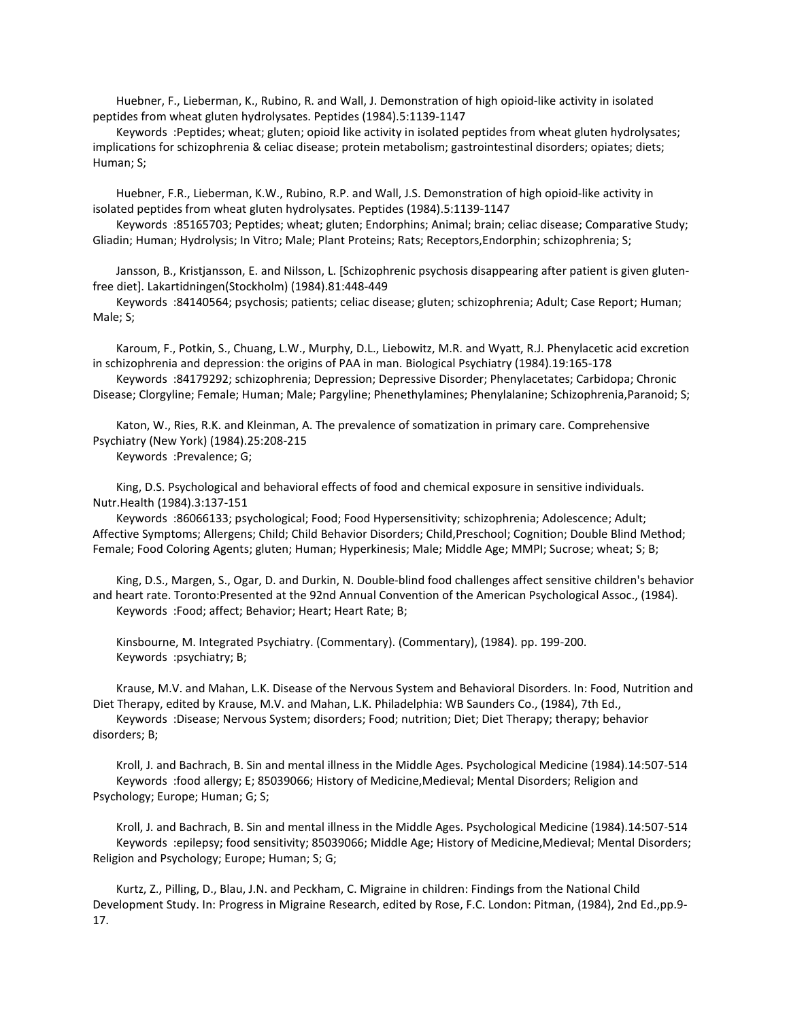Huebner, F., Lieberman, K., Rubino, R. and Wall, J. Demonstration of high opioid-like activity in isolated peptides from wheat gluten hydrolysates. Peptides (1984).5:1139-1147

 Keywords :Peptides; wheat; gluten; opioid like activity in isolated peptides from wheat gluten hydrolysates; implications for schizophrenia & celiac disease; protein metabolism; gastrointestinal disorders; opiates; diets; Human; S;

 Huebner, F.R., Lieberman, K.W., Rubino, R.P. and Wall, J.S. Demonstration of high opioid-like activity in isolated peptides from wheat gluten hydrolysates. Peptides (1984).5:1139-1147

 Keywords :85165703; Peptides; wheat; gluten; Endorphins; Animal; brain; celiac disease; Comparative Study; Gliadin; Human; Hydrolysis; In Vitro; Male; Plant Proteins; Rats; Receptors,Endorphin; schizophrenia; S;

 Jansson, B., Kristjansson, E. and Nilsson, L. [Schizophrenic psychosis disappearing after patient is given glutenfree diet]. Lakartidningen(Stockholm) (1984).81:448-449

 Keywords :84140564; psychosis; patients; celiac disease; gluten; schizophrenia; Adult; Case Report; Human; Male; S;

 Karoum, F., Potkin, S., Chuang, L.W., Murphy, D.L., Liebowitz, M.R. and Wyatt, R.J. Phenylacetic acid excretion in schizophrenia and depression: the origins of PAA in man. Biological Psychiatry (1984).19:165-178 Keywords :84179292; schizophrenia; Depression; Depressive Disorder; Phenylacetates; Carbidopa; Chronic

Disease; Clorgyline; Female; Human; Male; Pargyline; Phenethylamines; Phenylalanine; Schizophrenia,Paranoid; S;

 Katon, W., Ries, R.K. and Kleinman, A. The prevalence of somatization in primary care. Comprehensive Psychiatry (New York) (1984).25:208-215 Keywords :Prevalence; G;

 King, D.S. Psychological and behavioral effects of food and chemical exposure in sensitive individuals. Nutr.Health (1984).3:137-151

 Keywords :86066133; psychological; Food; Food Hypersensitivity; schizophrenia; Adolescence; Adult; Affective Symptoms; Allergens; Child; Child Behavior Disorders; Child,Preschool; Cognition; Double Blind Method; Female; Food Coloring Agents; gluten; Human; Hyperkinesis; Male; Middle Age; MMPI; Sucrose; wheat; S; B;

 King, D.S., Margen, S., Ogar, D. and Durkin, N. Double-blind food challenges affect sensitive children's behavior and heart rate. Toronto:Presented at the 92nd Annual Convention of the American Psychological Assoc., (1984). Keywords :Food; affect; Behavior; Heart; Heart Rate; B;

 Kinsbourne, M. Integrated Psychiatry. (Commentary). (Commentary), (1984). pp. 199-200. Keywords :psychiatry; B;

 Krause, M.V. and Mahan, L.K. Disease of the Nervous System and Behavioral Disorders. In: Food, Nutrition and Diet Therapy, edited by Krause, M.V. and Mahan, L.K. Philadelphia: WB Saunders Co., (1984), 7th Ed.,

 Keywords :Disease; Nervous System; disorders; Food; nutrition; Diet; Diet Therapy; therapy; behavior disorders; B;

 Kroll, J. and Bachrach, B. Sin and mental illness in the Middle Ages. Psychological Medicine (1984).14:507-514 Keywords :food allergy; E; 85039066; History of Medicine,Medieval; Mental Disorders; Religion and Psychology; Europe; Human; G; S;

 Kroll, J. and Bachrach, B. Sin and mental illness in the Middle Ages. Psychological Medicine (1984).14:507-514 Keywords :epilepsy; food sensitivity; 85039066; Middle Age; History of Medicine,Medieval; Mental Disorders; Religion and Psychology; Europe; Human; S; G;

 Kurtz, Z., Pilling, D., Blau, J.N. and Peckham, C. Migraine in children: Findings from the National Child Development Study. In: Progress in Migraine Research, edited by Rose, F.C. London: Pitman, (1984), 2nd Ed.,pp.9- 17.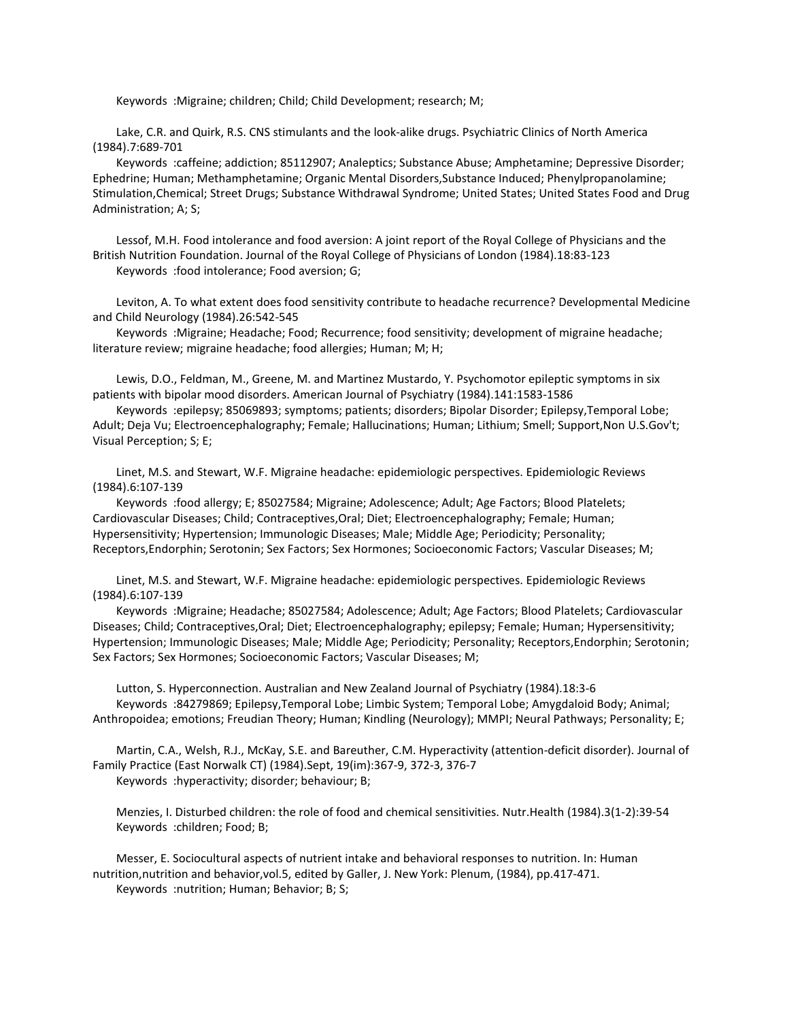Keywords :Migraine; children; Child; Child Development; research; M;

 Lake, C.R. and Quirk, R.S. CNS stimulants and the look-alike drugs. Psychiatric Clinics of North America (1984).7:689-701

 Keywords :caffeine; addiction; 85112907; Analeptics; Substance Abuse; Amphetamine; Depressive Disorder; Ephedrine; Human; Methamphetamine; Organic Mental Disorders,Substance Induced; Phenylpropanolamine; Stimulation,Chemical; Street Drugs; Substance Withdrawal Syndrome; United States; United States Food and Drug Administration; A; S;

 Lessof, M.H. Food intolerance and food aversion: A joint report of the Royal College of Physicians and the British Nutrition Foundation. Journal of the Royal College of Physicians of London (1984).18:83-123 Keywords :food intolerance; Food aversion; G;

 Leviton, A. To what extent does food sensitivity contribute to headache recurrence? Developmental Medicine and Child Neurology (1984).26:542-545

 Keywords :Migraine; Headache; Food; Recurrence; food sensitivity; development of migraine headache; literature review; migraine headache; food allergies; Human; M; H;

 Lewis, D.O., Feldman, M., Greene, M. and Martinez Mustardo, Y. Psychomotor epileptic symptoms in six patients with bipolar mood disorders. American Journal of Psychiatry (1984).141:1583-1586

 Keywords :epilepsy; 85069893; symptoms; patients; disorders; Bipolar Disorder; Epilepsy,Temporal Lobe; Adult; Deja Vu; Electroencephalography; Female; Hallucinations; Human; Lithium; Smell; Support,Non U.S.Gov't; Visual Perception; S; E;

 Linet, M.S. and Stewart, W.F. Migraine headache: epidemiologic perspectives. Epidemiologic Reviews (1984).6:107-139

 Keywords :food allergy; E; 85027584; Migraine; Adolescence; Adult; Age Factors; Blood Platelets; Cardiovascular Diseases; Child; Contraceptives,Oral; Diet; Electroencephalography; Female; Human; Hypersensitivity; Hypertension; Immunologic Diseases; Male; Middle Age; Periodicity; Personality; Receptors,Endorphin; Serotonin; Sex Factors; Sex Hormones; Socioeconomic Factors; Vascular Diseases; M;

 Linet, M.S. and Stewart, W.F. Migraine headache: epidemiologic perspectives. Epidemiologic Reviews (1984).6:107-139

 Keywords :Migraine; Headache; 85027584; Adolescence; Adult; Age Factors; Blood Platelets; Cardiovascular Diseases; Child; Contraceptives,Oral; Diet; Electroencephalography; epilepsy; Female; Human; Hypersensitivity; Hypertension; Immunologic Diseases; Male; Middle Age; Periodicity; Personality; Receptors,Endorphin; Serotonin; Sex Factors; Sex Hormones; Socioeconomic Factors; Vascular Diseases; M;

 Lutton, S. Hyperconnection. Australian and New Zealand Journal of Psychiatry (1984).18:3-6 Keywords :84279869; Epilepsy,Temporal Lobe; Limbic System; Temporal Lobe; Amygdaloid Body; Animal; Anthropoidea; emotions; Freudian Theory; Human; Kindling (Neurology); MMPI; Neural Pathways; Personality; E;

 Martin, C.A., Welsh, R.J., McKay, S.E. and Bareuther, C.M. Hyperactivity (attention-deficit disorder). Journal of Family Practice (East Norwalk CT) (1984).Sept, 19(im):367-9, 372-3, 376-7 Keywords :hyperactivity; disorder; behaviour; B;

 Menzies, I. Disturbed children: the role of food and chemical sensitivities. Nutr.Health (1984).3(1-2):39-54 Keywords :children; Food; B;

 Messer, E. Sociocultural aspects of nutrient intake and behavioral responses to nutrition. In: Human nutrition,nutrition and behavior,vol.5, edited by Galler, J. New York: Plenum, (1984), pp.417-471. Keywords :nutrition; Human; Behavior; B; S;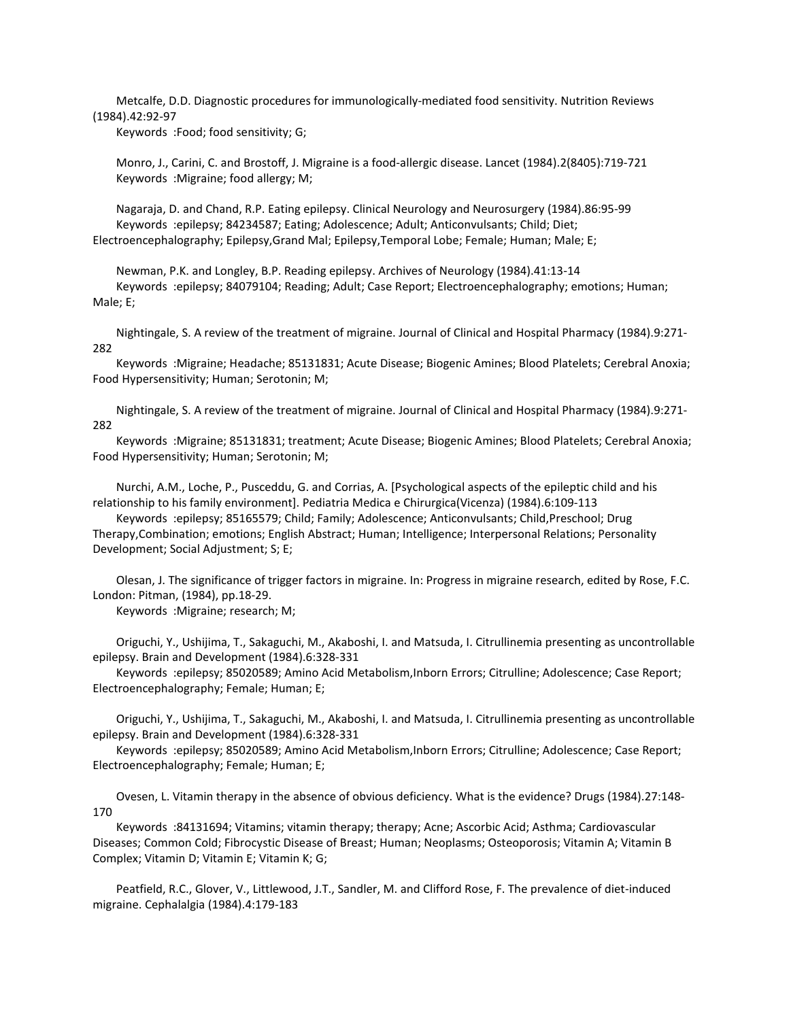Metcalfe, D.D. Diagnostic procedures for immunologically-mediated food sensitivity. Nutrition Reviews (1984).42:92-97

Keywords :Food; food sensitivity; G;

 Monro, J., Carini, C. and Brostoff, J. Migraine is a food-allergic disease. Lancet (1984).2(8405):719-721 Keywords :Migraine; food allergy; M;

 Nagaraja, D. and Chand, R.P. Eating epilepsy. Clinical Neurology and Neurosurgery (1984).86:95-99 Keywords :epilepsy; 84234587; Eating; Adolescence; Adult; Anticonvulsants; Child; Diet; Electroencephalography; Epilepsy,Grand Mal; Epilepsy,Temporal Lobe; Female; Human; Male; E;

 Newman, P.K. and Longley, B.P. Reading epilepsy. Archives of Neurology (1984).41:13-14 Keywords :epilepsy; 84079104; Reading; Adult; Case Report; Electroencephalography; emotions; Human; Male; E;

 Nightingale, S. A review of the treatment of migraine. Journal of Clinical and Hospital Pharmacy (1984).9:271- 282

 Keywords :Migraine; Headache; 85131831; Acute Disease; Biogenic Amines; Blood Platelets; Cerebral Anoxia; Food Hypersensitivity; Human; Serotonin; M;

 Nightingale, S. A review of the treatment of migraine. Journal of Clinical and Hospital Pharmacy (1984).9:271- 282

 Keywords :Migraine; 85131831; treatment; Acute Disease; Biogenic Amines; Blood Platelets; Cerebral Anoxia; Food Hypersensitivity; Human; Serotonin; M;

 Nurchi, A.M., Loche, P., Pusceddu, G. and Corrias, A. [Psychological aspects of the epileptic child and his relationship to his family environment]. Pediatria Medica e Chirurgica(Vicenza) (1984).6:109-113

 Keywords :epilepsy; 85165579; Child; Family; Adolescence; Anticonvulsants; Child,Preschool; Drug Therapy,Combination; emotions; English Abstract; Human; Intelligence; Interpersonal Relations; Personality Development; Social Adjustment; S; E;

 Olesan, J. The significance of trigger factors in migraine. In: Progress in migraine research, edited by Rose, F.C. London: Pitman, (1984), pp.18-29.

Keywords :Migraine; research; M;

 Origuchi, Y., Ushijima, T., Sakaguchi, M., Akaboshi, I. and Matsuda, I. Citrullinemia presenting as uncontrollable epilepsy. Brain and Development (1984).6:328-331

 Keywords :epilepsy; 85020589; Amino Acid Metabolism,Inborn Errors; Citrulline; Adolescence; Case Report; Electroencephalography; Female; Human; E;

 Origuchi, Y., Ushijima, T., Sakaguchi, M., Akaboshi, I. and Matsuda, I. Citrullinemia presenting as uncontrollable epilepsy. Brain and Development (1984).6:328-331

 Keywords :epilepsy; 85020589; Amino Acid Metabolism,Inborn Errors; Citrulline; Adolescence; Case Report; Electroencephalography; Female; Human; E;

 Ovesen, L. Vitamin therapy in the absence of obvious deficiency. What is the evidence? Drugs (1984).27:148- 170

 Keywords :84131694; Vitamins; vitamin therapy; therapy; Acne; Ascorbic Acid; Asthma; Cardiovascular Diseases; Common Cold; Fibrocystic Disease of Breast; Human; Neoplasms; Osteoporosis; Vitamin A; Vitamin B Complex; Vitamin D; Vitamin E; Vitamin K; G;

 Peatfield, R.C., Glover, V., Littlewood, J.T., Sandler, M. and Clifford Rose, F. The prevalence of diet-induced migraine. Cephalalgia (1984).4:179-183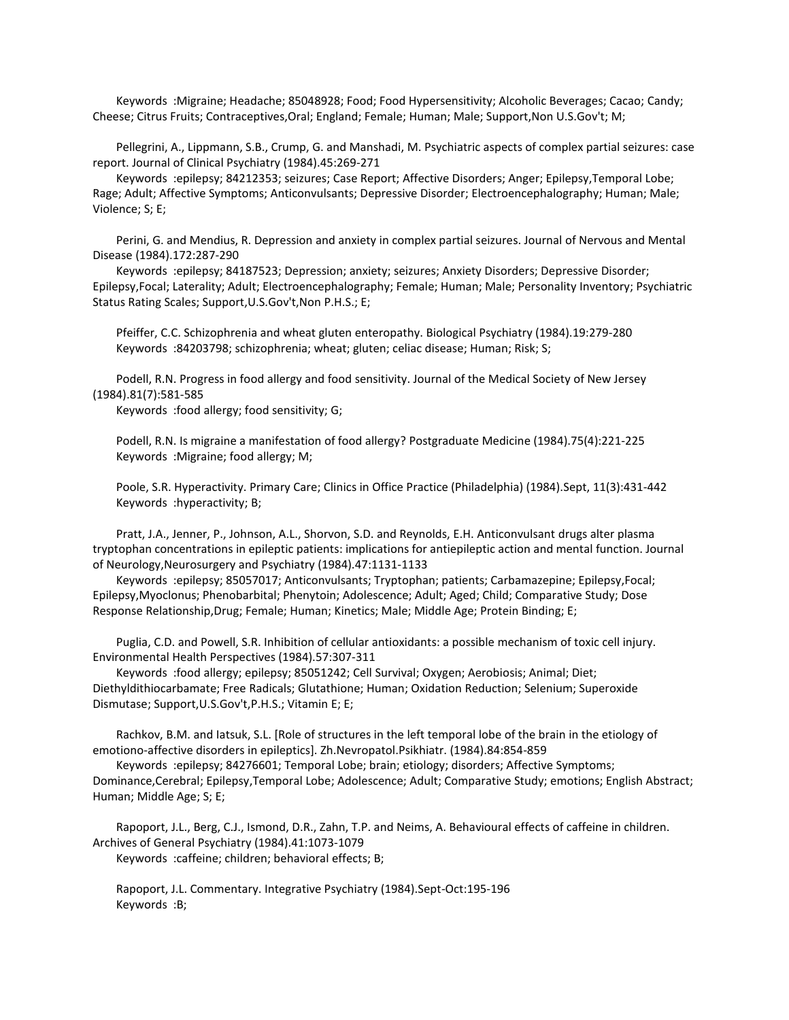Keywords :Migraine; Headache; 85048928; Food; Food Hypersensitivity; Alcoholic Beverages; Cacao; Candy; Cheese; Citrus Fruits; Contraceptives,Oral; England; Female; Human; Male; Support,Non U.S.Gov't; M;

 Pellegrini, A., Lippmann, S.B., Crump, G. and Manshadi, M. Psychiatric aspects of complex partial seizures: case report. Journal of Clinical Psychiatry (1984).45:269-271

 Keywords :epilepsy; 84212353; seizures; Case Report; Affective Disorders; Anger; Epilepsy,Temporal Lobe; Rage; Adult; Affective Symptoms; Anticonvulsants; Depressive Disorder; Electroencephalography; Human; Male; Violence; S; E;

 Perini, G. and Mendius, R. Depression and anxiety in complex partial seizures. Journal of Nervous and Mental Disease (1984).172:287-290

 Keywords :epilepsy; 84187523; Depression; anxiety; seizures; Anxiety Disorders; Depressive Disorder; Epilepsy,Focal; Laterality; Adult; Electroencephalography; Female; Human; Male; Personality Inventory; Psychiatric Status Rating Scales; Support,U.S.Gov't,Non P.H.S.; E;

 Pfeiffer, C.C. Schizophrenia and wheat gluten enteropathy. Biological Psychiatry (1984).19:279-280 Keywords :84203798; schizophrenia; wheat; gluten; celiac disease; Human; Risk; S;

 Podell, R.N. Progress in food allergy and food sensitivity. Journal of the Medical Society of New Jersey (1984).81(7):581-585

Keywords :food allergy; food sensitivity; G;

 Podell, R.N. Is migraine a manifestation of food allergy? Postgraduate Medicine (1984).75(4):221-225 Keywords :Migraine; food allergy; M;

 Poole, S.R. Hyperactivity. Primary Care; Clinics in Office Practice (Philadelphia) (1984).Sept, 11(3):431-442 Keywords :hyperactivity; B;

 Pratt, J.A., Jenner, P., Johnson, A.L., Shorvon, S.D. and Reynolds, E.H. Anticonvulsant drugs alter plasma tryptophan concentrations in epileptic patients: implications for antiepileptic action and mental function. Journal of Neurology,Neurosurgery and Psychiatry (1984).47:1131-1133

 Keywords :epilepsy; 85057017; Anticonvulsants; Tryptophan; patients; Carbamazepine; Epilepsy,Focal; Epilepsy,Myoclonus; Phenobarbital; Phenytoin; Adolescence; Adult; Aged; Child; Comparative Study; Dose Response Relationship,Drug; Female; Human; Kinetics; Male; Middle Age; Protein Binding; E;

 Puglia, C.D. and Powell, S.R. Inhibition of cellular antioxidants: a possible mechanism of toxic cell injury. Environmental Health Perspectives (1984).57:307-311

 Keywords :food allergy; epilepsy; 85051242; Cell Survival; Oxygen; Aerobiosis; Animal; Diet; Diethyldithiocarbamate; Free Radicals; Glutathione; Human; Oxidation Reduction; Selenium; Superoxide Dismutase; Support,U.S.Gov't,P.H.S.; Vitamin E; E;

 Rachkov, B.M. and Iatsuk, S.L. [Role of structures in the left temporal lobe of the brain in the etiology of emotiono-affective disorders in epileptics]. Zh.Nevropatol.Psikhiatr. (1984).84:854-859

 Keywords :epilepsy; 84276601; Temporal Lobe; brain; etiology; disorders; Affective Symptoms; Dominance,Cerebral; Epilepsy,Temporal Lobe; Adolescence; Adult; Comparative Study; emotions; English Abstract; Human; Middle Age; S; E;

 Rapoport, J.L., Berg, C.J., Ismond, D.R., Zahn, T.P. and Neims, A. Behavioural effects of caffeine in children. Archives of General Psychiatry (1984).41:1073-1079 Keywords :caffeine; children; behavioral effects; B;

 Rapoport, J.L. Commentary. Integrative Psychiatry (1984).Sept-Oct:195-196 Keywords :B;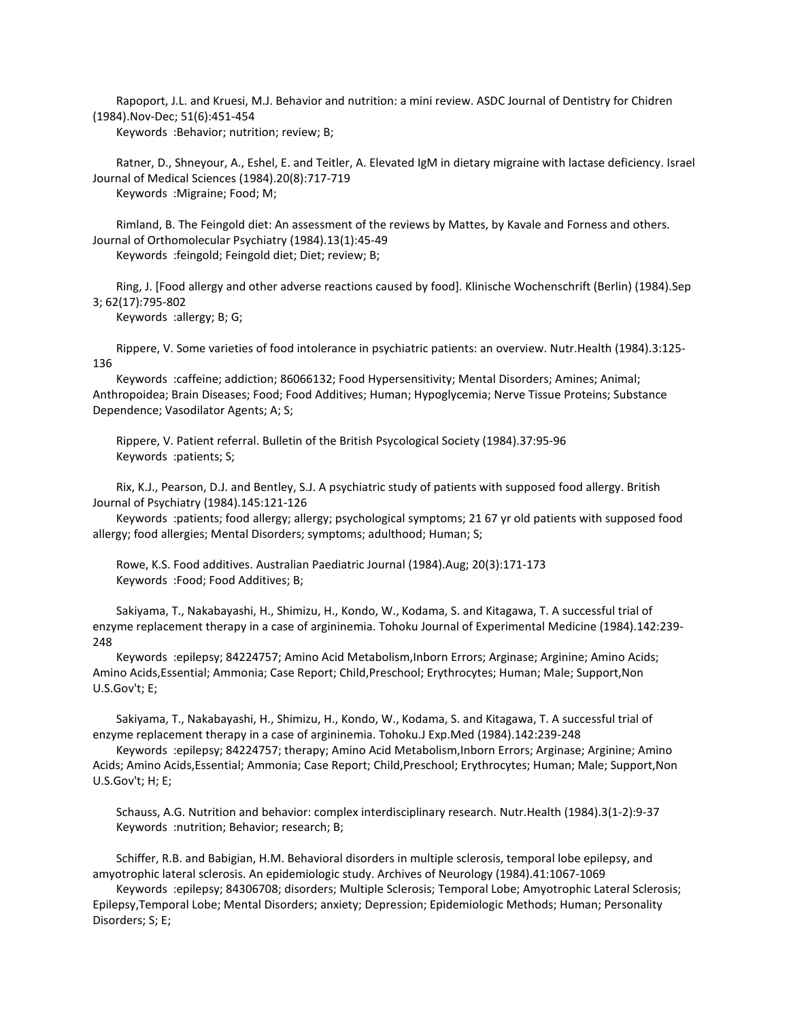Rapoport, J.L. and Kruesi, M.J. Behavior and nutrition: a mini review. ASDC Journal of Dentistry for Chidren (1984).Nov-Dec; 51(6):451-454

Keywords :Behavior; nutrition; review; B;

 Ratner, D., Shneyour, A., Eshel, E. and Teitler, A. Elevated IgM in dietary migraine with lactase deficiency. Israel Journal of Medical Sciences (1984).20(8):717-719 Keywords :Migraine; Food; M;

 Rimland, B. The Feingold diet: An assessment of the reviews by Mattes, by Kavale and Forness and others. Journal of Orthomolecular Psychiatry (1984).13(1):45-49

Keywords :feingold; Feingold diet; Diet; review; B;

 Ring, J. [Food allergy and other adverse reactions caused by food]. Klinische Wochenschrift (Berlin) (1984).Sep 3; 62(17):795-802

Keywords :allergy; B; G;

 Rippere, V. Some varieties of food intolerance in psychiatric patients: an overview. Nutr.Health (1984).3:125- 136

 Keywords :caffeine; addiction; 86066132; Food Hypersensitivity; Mental Disorders; Amines; Animal; Anthropoidea; Brain Diseases; Food; Food Additives; Human; Hypoglycemia; Nerve Tissue Proteins; Substance Dependence; Vasodilator Agents; A; S;

 Rippere, V. Patient referral. Bulletin of the British Psycological Society (1984).37:95-96 Keywords :patients; S;

 Rix, K.J., Pearson, D.J. and Bentley, S.J. A psychiatric study of patients with supposed food allergy. British Journal of Psychiatry (1984).145:121-126

 Keywords :patients; food allergy; allergy; psychological symptoms; 21 67 yr old patients with supposed food allergy; food allergies; Mental Disorders; symptoms; adulthood; Human; S;

 Rowe, K.S. Food additives. Australian Paediatric Journal (1984).Aug; 20(3):171-173 Keywords :Food; Food Additives; B;

 Sakiyama, T., Nakabayashi, H., Shimizu, H., Kondo, W., Kodama, S. and Kitagawa, T. A successful trial of enzyme replacement therapy in a case of argininemia. Tohoku Journal of Experimental Medicine (1984).142:239- 248

 Keywords :epilepsy; 84224757; Amino Acid Metabolism,Inborn Errors; Arginase; Arginine; Amino Acids; Amino Acids,Essential; Ammonia; Case Report; Child,Preschool; Erythrocytes; Human; Male; Support,Non U.S.Gov't; E;

 Sakiyama, T., Nakabayashi, H., Shimizu, H., Kondo, W., Kodama, S. and Kitagawa, T. A successful trial of enzyme replacement therapy in a case of argininemia. Tohoku.J Exp.Med (1984).142:239-248

 Keywords :epilepsy; 84224757; therapy; Amino Acid Metabolism,Inborn Errors; Arginase; Arginine; Amino Acids; Amino Acids,Essential; Ammonia; Case Report; Child,Preschool; Erythrocytes; Human; Male; Support,Non U.S.Gov't; H; E;

 Schauss, A.G. Nutrition and behavior: complex interdisciplinary research. Nutr.Health (1984).3(1-2):9-37 Keywords :nutrition; Behavior; research; B;

 Schiffer, R.B. and Babigian, H.M. Behavioral disorders in multiple sclerosis, temporal lobe epilepsy, and amyotrophic lateral sclerosis. An epidemiologic study. Archives of Neurology (1984).41:1067-1069

 Keywords :epilepsy; 84306708; disorders; Multiple Sclerosis; Temporal Lobe; Amyotrophic Lateral Sclerosis; Epilepsy,Temporal Lobe; Mental Disorders; anxiety; Depression; Epidemiologic Methods; Human; Personality Disorders; S; E;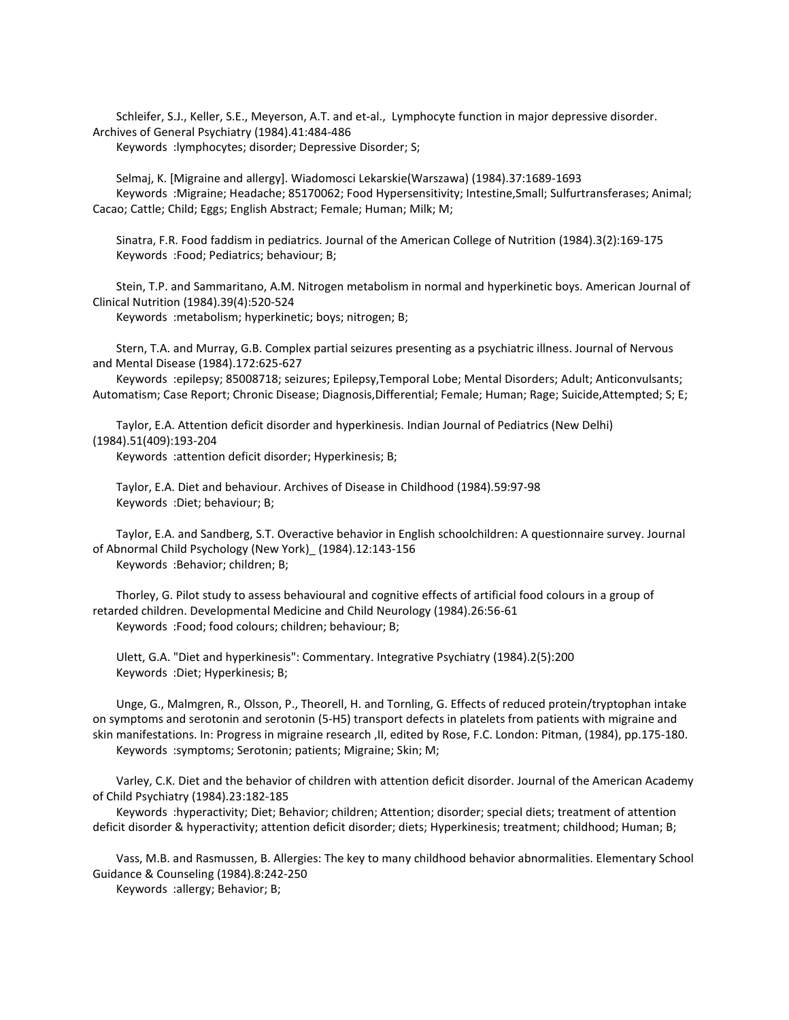Schleifer, S.J., Keller, S.E., Meyerson, A.T. and et-al., Lymphocyte function in major depressive disorder. Archives of General Psychiatry (1984).41:484-486

Keywords :lymphocytes; disorder; Depressive Disorder; S;

 Selmaj, K. [Migraine and allergy]. Wiadomosci Lekarskie(Warszawa) (1984).37:1689-1693 Keywords :Migraine; Headache; 85170062; Food Hypersensitivity; Intestine,Small; Sulfurtransferases; Animal; Cacao; Cattle; Child; Eggs; English Abstract; Female; Human; Milk; M;

 Sinatra, F.R. Food faddism in pediatrics. Journal of the American College of Nutrition (1984).3(2):169-175 Keywords :Food; Pediatrics; behaviour; B;

 Stein, T.P. and Sammaritano, A.M. Nitrogen metabolism in normal and hyperkinetic boys. American Journal of Clinical Nutrition (1984).39(4):520-524

Keywords :metabolism; hyperkinetic; boys; nitrogen; B;

 Stern, T.A. and Murray, G.B. Complex partial seizures presenting as a psychiatric illness. Journal of Nervous and Mental Disease (1984).172:625-627

 Keywords :epilepsy; 85008718; seizures; Epilepsy,Temporal Lobe; Mental Disorders; Adult; Anticonvulsants; Automatism; Case Report; Chronic Disease; Diagnosis,Differential; Female; Human; Rage; Suicide,Attempted; S; E;

 Taylor, E.A. Attention deficit disorder and hyperkinesis. Indian Journal of Pediatrics (New Delhi) (1984).51(409):193-204

Keywords :attention deficit disorder; Hyperkinesis; B;

 Taylor, E.A. Diet and behaviour. Archives of Disease in Childhood (1984).59:97-98 Keywords :Diet; behaviour; B;

 Taylor, E.A. and Sandberg, S.T. Overactive behavior in English schoolchildren: A questionnaire survey. Journal of Abnormal Child Psychology (New York)\_ (1984).12:143-156 Keywords :Behavior; children; B;

 Thorley, G. Pilot study to assess behavioural and cognitive effects of artificial food colours in a group of retarded children. Developmental Medicine and Child Neurology (1984).26:56-61 Keywords :Food; food colours; children; behaviour; B;

 Ulett, G.A. "Diet and hyperkinesis": Commentary. Integrative Psychiatry (1984).2(5):200 Keywords :Diet; Hyperkinesis; B;

 Unge, G., Malmgren, R., Olsson, P., Theorell, H. and Tornling, G. Effects of reduced protein/tryptophan intake on symptoms and serotonin and serotonin (5-H5) transport defects in platelets from patients with migraine and skin manifestations. In: Progress in migraine research ,II, edited by Rose, F.C. London: Pitman, (1984), pp.175-180. Keywords :symptoms; Serotonin; patients; Migraine; Skin; M;

 Varley, C.K. Diet and the behavior of children with attention deficit disorder. Journal of the American Academy of Child Psychiatry (1984).23:182-185

 Keywords :hyperactivity; Diet; Behavior; children; Attention; disorder; special diets; treatment of attention deficit disorder & hyperactivity; attention deficit disorder; diets; Hyperkinesis; treatment; childhood; Human; B;

 Vass, M.B. and Rasmussen, B. Allergies: The key to many childhood behavior abnormalities. Elementary School Guidance & Counseling (1984).8:242-250

Keywords :allergy; Behavior; B;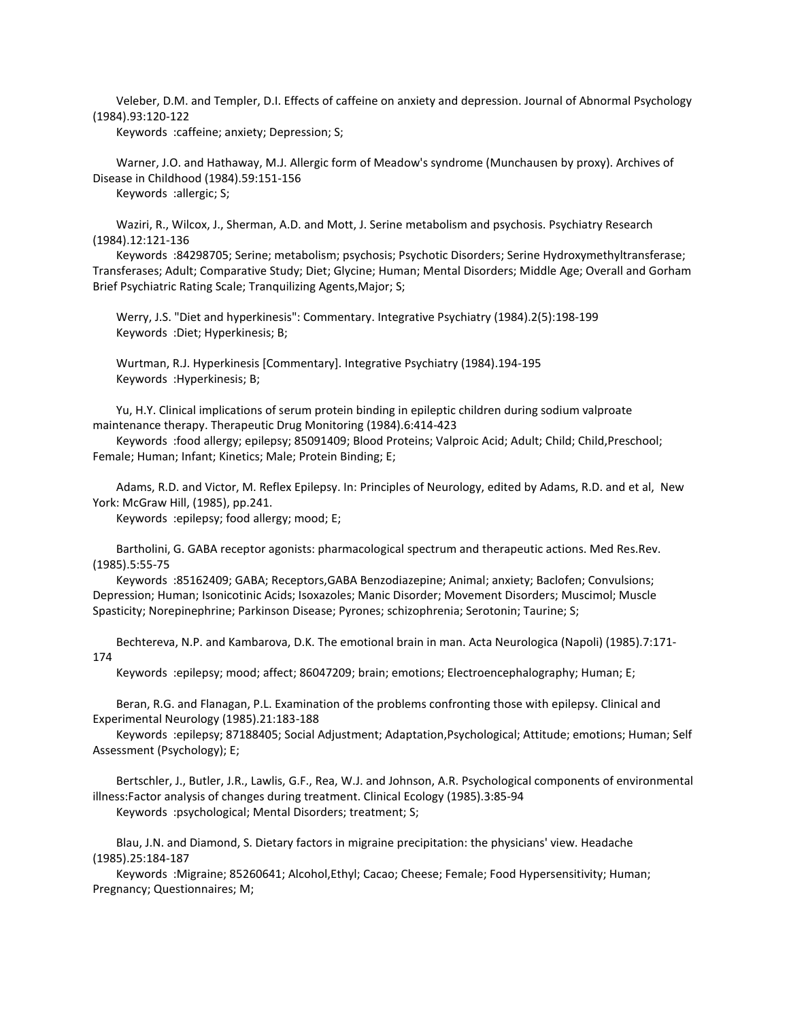Veleber, D.M. and Templer, D.I. Effects of caffeine on anxiety and depression. Journal of Abnormal Psychology (1984).93:120-122

Keywords :caffeine; anxiety; Depression; S;

 Warner, J.O. and Hathaway, M.J. Allergic form of Meadow's syndrome (Munchausen by proxy). Archives of Disease in Childhood (1984).59:151-156

Keywords :allergic; S;

 Waziri, R., Wilcox, J., Sherman, A.D. and Mott, J. Serine metabolism and psychosis. Psychiatry Research (1984).12:121-136

 Keywords :84298705; Serine; metabolism; psychosis; Psychotic Disorders; Serine Hydroxymethyltransferase; Transferases; Adult; Comparative Study; Diet; Glycine; Human; Mental Disorders; Middle Age; Overall and Gorham Brief Psychiatric Rating Scale; Tranquilizing Agents,Major; S;

 Werry, J.S. "Diet and hyperkinesis": Commentary. Integrative Psychiatry (1984).2(5):198-199 Keywords :Diet; Hyperkinesis; B;

 Wurtman, R.J. Hyperkinesis [Commentary]. Integrative Psychiatry (1984).194-195 Keywords :Hyperkinesis; B;

 Yu, H.Y. Clinical implications of serum protein binding in epileptic children during sodium valproate maintenance therapy. Therapeutic Drug Monitoring (1984).6:414-423

 Keywords :food allergy; epilepsy; 85091409; Blood Proteins; Valproic Acid; Adult; Child; Child,Preschool; Female; Human; Infant; Kinetics; Male; Protein Binding; E;

 Adams, R.D. and Victor, M. Reflex Epilepsy. In: Principles of Neurology, edited by Adams, R.D. and et al, New York: McGraw Hill, (1985), pp.241.

Keywords :epilepsy; food allergy; mood; E;

 Bartholini, G. GABA receptor agonists: pharmacological spectrum and therapeutic actions. Med Res.Rev. (1985).5:55-75

 Keywords :85162409; GABA; Receptors,GABA Benzodiazepine; Animal; anxiety; Baclofen; Convulsions; Depression; Human; Isonicotinic Acids; Isoxazoles; Manic Disorder; Movement Disorders; Muscimol; Muscle Spasticity; Norepinephrine; Parkinson Disease; Pyrones; schizophrenia; Serotonin; Taurine; S;

 Bechtereva, N.P. and Kambarova, D.K. The emotional brain in man. Acta Neurologica (Napoli) (1985).7:171- 174

Keywords :epilepsy; mood; affect; 86047209; brain; emotions; Electroencephalography; Human; E;

 Beran, R.G. and Flanagan, P.L. Examination of the problems confronting those with epilepsy. Clinical and Experimental Neurology (1985).21:183-188

 Keywords :epilepsy; 87188405; Social Adjustment; Adaptation,Psychological; Attitude; emotions; Human; Self Assessment (Psychology); E;

 Bertschler, J., Butler, J.R., Lawlis, G.F., Rea, W.J. and Johnson, A.R. Psychological components of environmental illness:Factor analysis of changes during treatment. Clinical Ecology (1985).3:85-94

Keywords :psychological; Mental Disorders; treatment; S;

 Blau, J.N. and Diamond, S. Dietary factors in migraine precipitation: the physicians' view. Headache (1985).25:184-187

 Keywords :Migraine; 85260641; Alcohol,Ethyl; Cacao; Cheese; Female; Food Hypersensitivity; Human; Pregnancy; Questionnaires; M;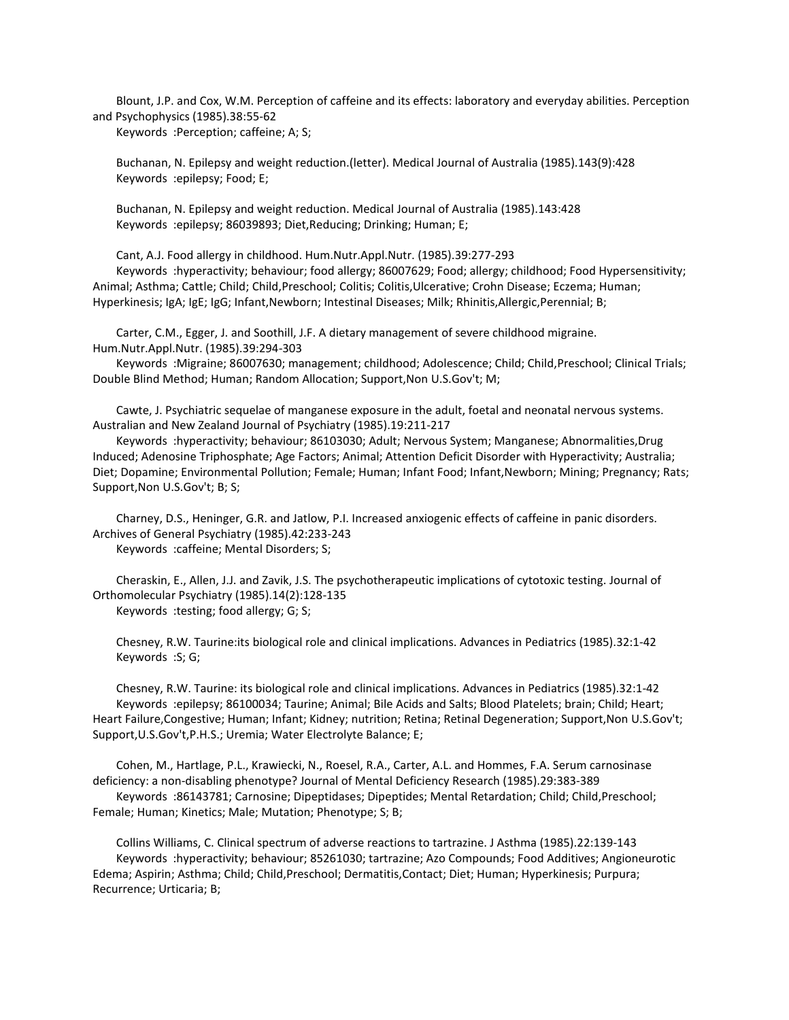Blount, J.P. and Cox, W.M. Perception of caffeine and its effects: laboratory and everyday abilities. Perception and Psychophysics (1985).38:55-62

Keywords :Perception; caffeine; A; S;

 Buchanan, N. Epilepsy and weight reduction.(letter). Medical Journal of Australia (1985).143(9):428 Keywords :epilepsy; Food; E;

 Buchanan, N. Epilepsy and weight reduction. Medical Journal of Australia (1985).143:428 Keywords :epilepsy; 86039893; Diet,Reducing; Drinking; Human; E;

Cant, A.J. Food allergy in childhood. Hum.Nutr.Appl.Nutr. (1985).39:277-293

 Keywords :hyperactivity; behaviour; food allergy; 86007629; Food; allergy; childhood; Food Hypersensitivity; Animal; Asthma; Cattle; Child; Child, Preschool; Colitis; Colitis, Ulcerative; Crohn Disease; Eczema; Human; Hyperkinesis; IgA; IgE; IgG; Infant,Newborn; Intestinal Diseases; Milk; Rhinitis,Allergic,Perennial; B;

 Carter, C.M., Egger, J. and Soothill, J.F. A dietary management of severe childhood migraine. Hum.Nutr.Appl.Nutr. (1985).39:294-303

Keywords : Migraine; 86007630; management; childhood; Adolescence; Child; Child, Preschool; Clinical Trials; Double Blind Method; Human; Random Allocation; Support,Non U.S.Gov't; M;

 Cawte, J. Psychiatric sequelae of manganese exposure in the adult, foetal and neonatal nervous systems. Australian and New Zealand Journal of Psychiatry (1985).19:211-217

 Keywords :hyperactivity; behaviour; 86103030; Adult; Nervous System; Manganese; Abnormalities,Drug Induced; Adenosine Triphosphate; Age Factors; Animal; Attention Deficit Disorder with Hyperactivity; Australia; Diet; Dopamine; Environmental Pollution; Female; Human; Infant Food; Infant,Newborn; Mining; Pregnancy; Rats; Support,Non U.S.Gov't; B; S;

 Charney, D.S., Heninger, G.R. and Jatlow, P.I. Increased anxiogenic effects of caffeine in panic disorders. Archives of General Psychiatry (1985).42:233-243

Keywords :caffeine; Mental Disorders; S;

 Cheraskin, E., Allen, J.J. and Zavik, J.S. The psychotherapeutic implications of cytotoxic testing. Journal of Orthomolecular Psychiatry (1985).14(2):128-135 Keywords :testing; food allergy; G; S;

 Chesney, R.W. Taurine:its biological role and clinical implications. Advances in Pediatrics (1985).32:1-42 Keywords :S; G;

 Chesney, R.W. Taurine: its biological role and clinical implications. Advances in Pediatrics (1985).32:1-42 Keywords :epilepsy; 86100034; Taurine; Animal; Bile Acids and Salts; Blood Platelets; brain; Child; Heart; Heart Failure,Congestive; Human; Infant; Kidney; nutrition; Retina; Retinal Degeneration; Support,Non U.S.Gov't; Support,U.S.Gov't,P.H.S.; Uremia; Water Electrolyte Balance; E;

 Cohen, M., Hartlage, P.L., Krawiecki, N., Roesel, R.A., Carter, A.L. and Hommes, F.A. Serum carnosinase deficiency: a non-disabling phenotype? Journal of Mental Deficiency Research (1985).29:383-389 Keywords :86143781; Carnosine; Dipeptidases; Dipeptides; Mental Retardation; Child; Child,Preschool; Female; Human; Kinetics; Male; Mutation; Phenotype; S; B;

 Collins Williams, C. Clinical spectrum of adverse reactions to tartrazine. J Asthma (1985).22:139-143 Keywords :hyperactivity; behaviour; 85261030; tartrazine; Azo Compounds; Food Additives; Angioneurotic Edema; Aspirin; Asthma; Child; Child,Preschool; Dermatitis,Contact; Diet; Human; Hyperkinesis; Purpura; Recurrence; Urticaria; B;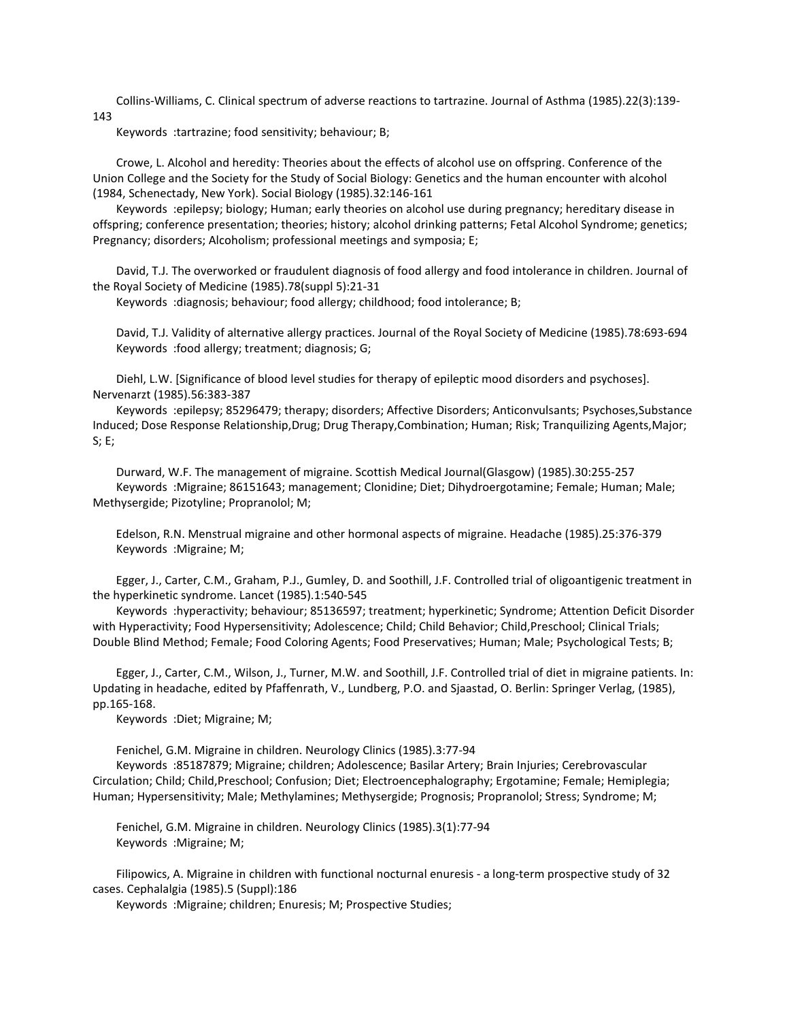Collins-Williams, C. Clinical spectrum of adverse reactions to tartrazine. Journal of Asthma (1985).22(3):139- 143

Keywords :tartrazine; food sensitivity; behaviour; B;

 Crowe, L. Alcohol and heredity: Theories about the effects of alcohol use on offspring. Conference of the Union College and the Society for the Study of Social Biology: Genetics and the human encounter with alcohol (1984, Schenectady, New York). Social Biology (1985).32:146-161

 Keywords :epilepsy; biology; Human; early theories on alcohol use during pregnancy; hereditary disease in offspring; conference presentation; theories; history; alcohol drinking patterns; Fetal Alcohol Syndrome; genetics; Pregnancy; disorders; Alcoholism; professional meetings and symposia; E;

 David, T.J. The overworked or fraudulent diagnosis of food allergy and food intolerance in children. Journal of the Royal Society of Medicine (1985).78(suppl 5):21-31

Keywords :diagnosis; behaviour; food allergy; childhood; food intolerance; B;

 David, T.J. Validity of alternative allergy practices. Journal of the Royal Society of Medicine (1985).78:693-694 Keywords :food allergy; treatment; diagnosis; G;

 Diehl, L.W. [Significance of blood level studies for therapy of epileptic mood disorders and psychoses]. Nervenarzt (1985).56:383-387

 Keywords :epilepsy; 85296479; therapy; disorders; Affective Disorders; Anticonvulsants; Psychoses,Substance Induced; Dose Response Relationship,Drug; Drug Therapy,Combination; Human; Risk; Tranquilizing Agents,Major; S; E;

 Durward, W.F. The management of migraine. Scottish Medical Journal(Glasgow) (1985).30:255-257 Keywords :Migraine; 86151643; management; Clonidine; Diet; Dihydroergotamine; Female; Human; Male; Methysergide; Pizotyline; Propranolol; M;

 Edelson, R.N. Menstrual migraine and other hormonal aspects of migraine. Headache (1985).25:376-379 Keywords :Migraine; M;

 Egger, J., Carter, C.M., Graham, P.J., Gumley, D. and Soothill, J.F. Controlled trial of oligoantigenic treatment in the hyperkinetic syndrome. Lancet (1985).1:540-545

 Keywords :hyperactivity; behaviour; 85136597; treatment; hyperkinetic; Syndrome; Attention Deficit Disorder with Hyperactivity; Food Hypersensitivity; Adolescence; Child; Child Behavior; Child, Preschool; Clinical Trials; Double Blind Method; Female; Food Coloring Agents; Food Preservatives; Human; Male; Psychological Tests; B;

 Egger, J., Carter, C.M., Wilson, J., Turner, M.W. and Soothill, J.F. Controlled trial of diet in migraine patients. In: Updating in headache, edited by Pfaffenrath, V., Lundberg, P.O. and Sjaastad, O. Berlin: Springer Verlag, (1985), pp.165-168.

Keywords :Diet; Migraine; M;

Fenichel, G.M. Migraine in children. Neurology Clinics (1985).3:77-94

 Keywords :85187879; Migraine; children; Adolescence; Basilar Artery; Brain Injuries; Cerebrovascular Circulation; Child; Child,Preschool; Confusion; Diet; Electroencephalography; Ergotamine; Female; Hemiplegia; Human; Hypersensitivity; Male; Methylamines; Methysergide; Prognosis; Propranolol; Stress; Syndrome; M;

 Fenichel, G.M. Migraine in children. Neurology Clinics (1985).3(1):77-94 Keywords :Migraine; M;

 Filipowics, A. Migraine in children with functional nocturnal enuresis - a long-term prospective study of 32 cases. Cephalalgia (1985).5 (Suppl):186

Keywords :Migraine; children; Enuresis; M; Prospective Studies;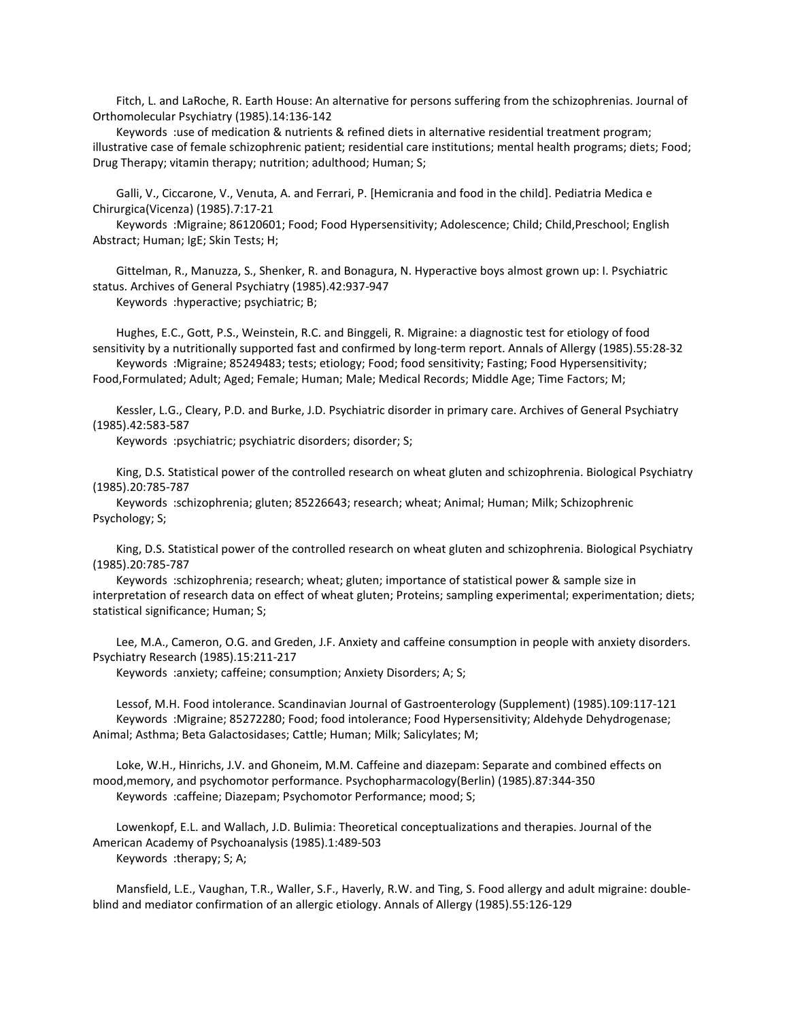Fitch, L. and LaRoche, R. Earth House: An alternative for persons suffering from the schizophrenias. Journal of Orthomolecular Psychiatry (1985).14:136-142

 Keywords :use of medication & nutrients & refined diets in alternative residential treatment program; illustrative case of female schizophrenic patient; residential care institutions; mental health programs; diets; Food; Drug Therapy; vitamin therapy; nutrition; adulthood; Human; S;

 Galli, V., Ciccarone, V., Venuta, A. and Ferrari, P. [Hemicrania and food in the child]. Pediatria Medica e Chirurgica(Vicenza) (1985).7:17-21

 Keywords :Migraine; 86120601; Food; Food Hypersensitivity; Adolescence; Child; Child,Preschool; English Abstract; Human; IgE; Skin Tests; H;

 Gittelman, R., Manuzza, S., Shenker, R. and Bonagura, N. Hyperactive boys almost grown up: I. Psychiatric status. Archives of General Psychiatry (1985).42:937-947

Keywords :hyperactive; psychiatric; B;

 Hughes, E.C., Gott, P.S., Weinstein, R.C. and Binggeli, R. Migraine: a diagnostic test for etiology of food sensitivity by a nutritionally supported fast and confirmed by long-term report. Annals of Allergy (1985).55:28-32 Keywords :Migraine; 85249483; tests; etiology; Food; food sensitivity; Fasting; Food Hypersensitivity;

Food,Formulated; Adult; Aged; Female; Human; Male; Medical Records; Middle Age; Time Factors; M;

 Kessler, L.G., Cleary, P.D. and Burke, J.D. Psychiatric disorder in primary care. Archives of General Psychiatry (1985).42:583-587

Keywords :psychiatric; psychiatric disorders; disorder; S;

 King, D.S. Statistical power of the controlled research on wheat gluten and schizophrenia. Biological Psychiatry (1985).20:785-787

 Keywords :schizophrenia; gluten; 85226643; research; wheat; Animal; Human; Milk; Schizophrenic Psychology; S;

 King, D.S. Statistical power of the controlled research on wheat gluten and schizophrenia. Biological Psychiatry (1985).20:785-787

 Keywords :schizophrenia; research; wheat; gluten; importance of statistical power & sample size in interpretation of research data on effect of wheat gluten; Proteins; sampling experimental; experimentation; diets; statistical significance; Human; S;

 Lee, M.A., Cameron, O.G. and Greden, J.F. Anxiety and caffeine consumption in people with anxiety disorders. Psychiatry Research (1985).15:211-217

Keywords :anxiety; caffeine; consumption; Anxiety Disorders; A; S;

 Lessof, M.H. Food intolerance. Scandinavian Journal of Gastroenterology (Supplement) (1985).109:117-121 Keywords :Migraine; 85272280; Food; food intolerance; Food Hypersensitivity; Aldehyde Dehydrogenase; Animal; Asthma; Beta Galactosidases; Cattle; Human; Milk; Salicylates; M;

 Loke, W.H., Hinrichs, J.V. and Ghoneim, M.M. Caffeine and diazepam: Separate and combined effects on mood,memory, and psychomotor performance. Psychopharmacology(Berlin) (1985).87:344-350 Keywords :caffeine; Diazepam; Psychomotor Performance; mood; S;

 Lowenkopf, E.L. and Wallach, J.D. Bulimia: Theoretical conceptualizations and therapies. Journal of the American Academy of Psychoanalysis (1985).1:489-503 Keywords :therapy; S; A;

 Mansfield, L.E., Vaughan, T.R., Waller, S.F., Haverly, R.W. and Ting, S. Food allergy and adult migraine: doubleblind and mediator confirmation of an allergic etiology. Annals of Allergy (1985).55:126-129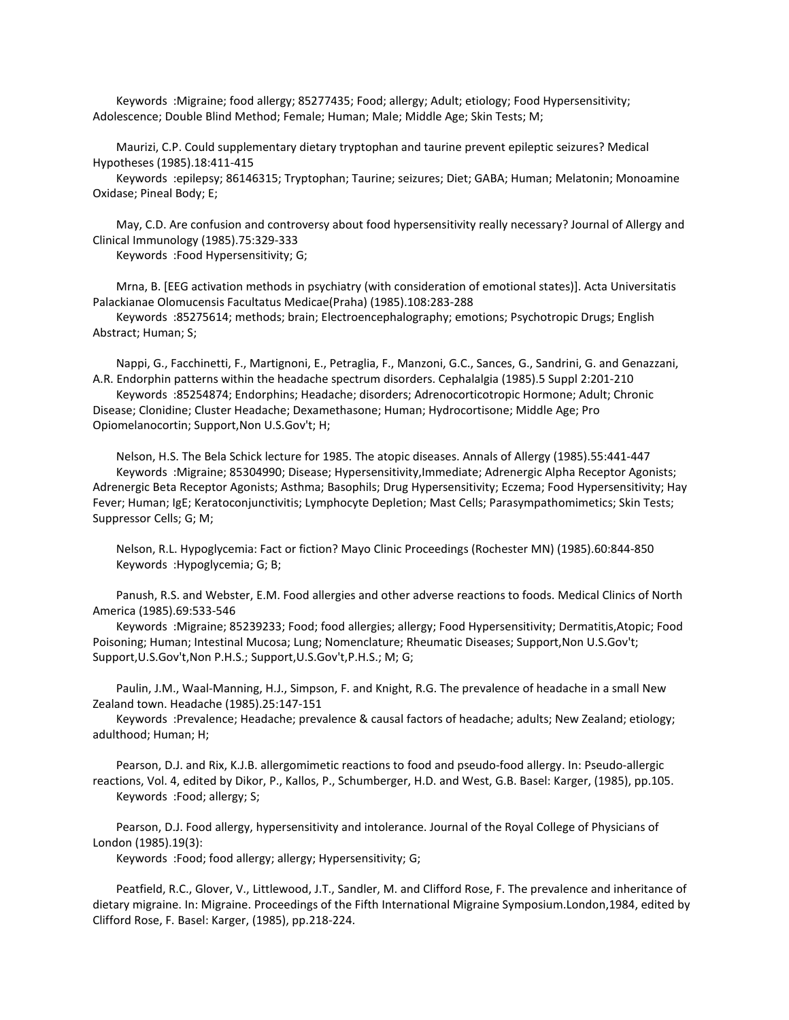Keywords :Migraine; food allergy; 85277435; Food; allergy; Adult; etiology; Food Hypersensitivity; Adolescence; Double Blind Method; Female; Human; Male; Middle Age; Skin Tests; M;

 Maurizi, C.P. Could supplementary dietary tryptophan and taurine prevent epileptic seizures? Medical Hypotheses (1985).18:411-415

 Keywords :epilepsy; 86146315; Tryptophan; Taurine; seizures; Diet; GABA; Human; Melatonin; Monoamine Oxidase; Pineal Body; E;

 May, C.D. Are confusion and controversy about food hypersensitivity really necessary? Journal of Allergy and Clinical Immunology (1985).75:329-333

Keywords :Food Hypersensitivity; G;

 Mrna, B. [EEG activation methods in psychiatry (with consideration of emotional states)]. Acta Universitatis Palackianae Olomucensis Facultatus Medicae(Praha) (1985).108:283-288

 Keywords :85275614; methods; brain; Electroencephalography; emotions; Psychotropic Drugs; English Abstract; Human; S;

 Nappi, G., Facchinetti, F., Martignoni, E., Petraglia, F., Manzoni, G.C., Sances, G., Sandrini, G. and Genazzani, A.R. Endorphin patterns within the headache spectrum disorders. Cephalalgia (1985).5 Suppl 2:201-210

 Keywords :85254874; Endorphins; Headache; disorders; Adrenocorticotropic Hormone; Adult; Chronic Disease; Clonidine; Cluster Headache; Dexamethasone; Human; Hydrocortisone; Middle Age; Pro Opiomelanocortin; Support,Non U.S.Gov't; H;

 Nelson, H.S. The Bela Schick lecture for 1985. The atopic diseases. Annals of Allergy (1985).55:441-447 Keywords :Migraine; 85304990; Disease; Hypersensitivity,Immediate; Adrenergic Alpha Receptor Agonists; Adrenergic Beta Receptor Agonists; Asthma; Basophils; Drug Hypersensitivity; Eczema; Food Hypersensitivity; Hay Fever; Human; IgE; Keratoconjunctivitis; Lymphocyte Depletion; Mast Cells; Parasympathomimetics; Skin Tests; Suppressor Cells; G; M;

 Nelson, R.L. Hypoglycemia: Fact or fiction? Mayo Clinic Proceedings (Rochester MN) (1985).60:844-850 Keywords :Hypoglycemia; G; B;

 Panush, R.S. and Webster, E.M. Food allergies and other adverse reactions to foods. Medical Clinics of North America (1985).69:533-546

 Keywords :Migraine; 85239233; Food; food allergies; allergy; Food Hypersensitivity; Dermatitis,Atopic; Food Poisoning; Human; Intestinal Mucosa; Lung; Nomenclature; Rheumatic Diseases; Support,Non U.S.Gov't; Support,U.S.Gov't,Non P.H.S.; Support,U.S.Gov't,P.H.S.; M; G;

 Paulin, J.M., Waal-Manning, H.J., Simpson, F. and Knight, R.G. The prevalence of headache in a small New Zealand town. Headache (1985).25:147-151

 Keywords :Prevalence; Headache; prevalence & causal factors of headache; adults; New Zealand; etiology; adulthood; Human; H;

 Pearson, D.J. and Rix, K.J.B. allergomimetic reactions to food and pseudo-food allergy. In: Pseudo-allergic reactions, Vol. 4, edited by Dikor, P., Kallos, P., Schumberger, H.D. and West, G.B. Basel: Karger, (1985), pp.105. Keywords :Food; allergy; S;

 Pearson, D.J. Food allergy, hypersensitivity and intolerance. Journal of the Royal College of Physicians of London (1985).19(3):

Keywords :Food; food allergy; allergy; Hypersensitivity; G;

 Peatfield, R.C., Glover, V., Littlewood, J.T., Sandler, M. and Clifford Rose, F. The prevalence and inheritance of dietary migraine. In: Migraine. Proceedings of the Fifth International Migraine Symposium.London,1984, edited by Clifford Rose, F. Basel: Karger, (1985), pp.218-224.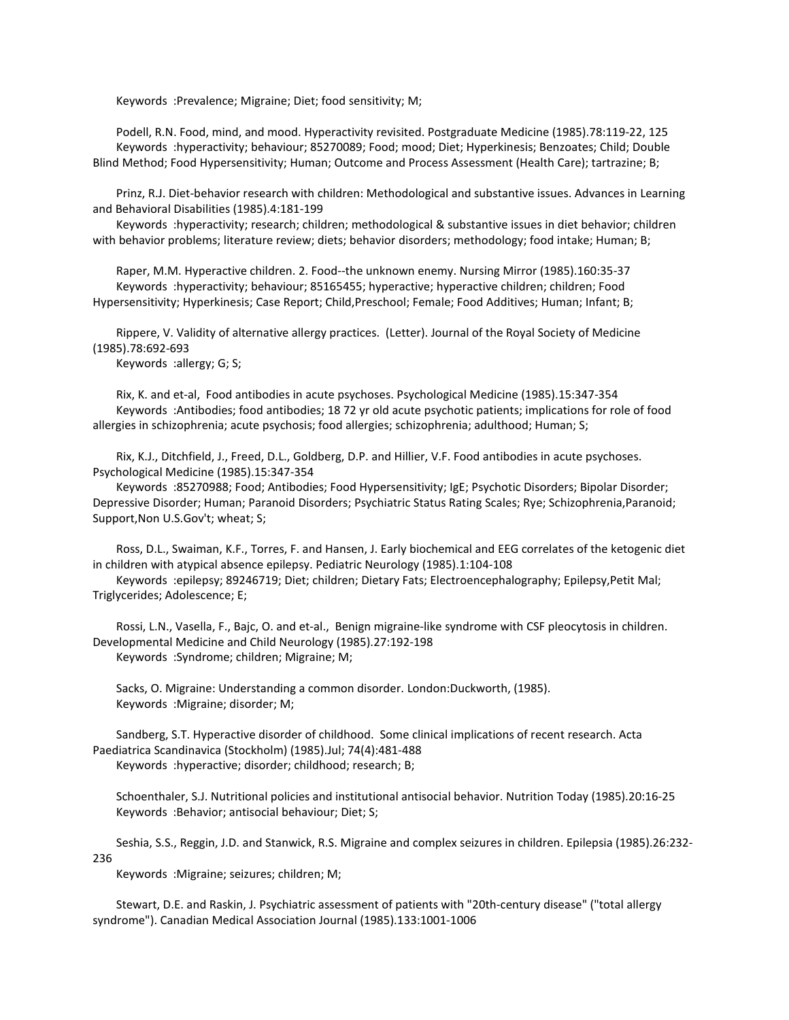Keywords :Prevalence; Migraine; Diet; food sensitivity; M;

 Podell, R.N. Food, mind, and mood. Hyperactivity revisited. Postgraduate Medicine (1985).78:119-22, 125 Keywords :hyperactivity; behaviour; 85270089; Food; mood; Diet; Hyperkinesis; Benzoates; Child; Double Blind Method; Food Hypersensitivity; Human; Outcome and Process Assessment (Health Care); tartrazine; B;

 Prinz, R.J. Diet-behavior research with children: Methodological and substantive issues. Advances in Learning and Behavioral Disabilities (1985).4:181-199

 Keywords :hyperactivity; research; children; methodological & substantive issues in diet behavior; children with behavior problems; literature review; diets; behavior disorders; methodology; food intake; Human; B;

 Raper, M.M. Hyperactive children. 2. Food--the unknown enemy. Nursing Mirror (1985).160:35-37 Keywords :hyperactivity; behaviour; 85165455; hyperactive; hyperactive children; children; Food Hypersensitivity; Hyperkinesis; Case Report; Child,Preschool; Female; Food Additives; Human; Infant; B;

 Rippere, V. Validity of alternative allergy practices. (Letter). Journal of the Royal Society of Medicine (1985).78:692-693

Keywords :allergy; G; S;

 Rix, K. and et-al, Food antibodies in acute psychoses. Psychological Medicine (1985).15:347-354 Keywords :Antibodies; food antibodies; 18 72 yr old acute psychotic patients; implications for role of food allergies in schizophrenia; acute psychosis; food allergies; schizophrenia; adulthood; Human; S;

 Rix, K.J., Ditchfield, J., Freed, D.L., Goldberg, D.P. and Hillier, V.F. Food antibodies in acute psychoses. Psychological Medicine (1985).15:347-354

 Keywords :85270988; Food; Antibodies; Food Hypersensitivity; IgE; Psychotic Disorders; Bipolar Disorder; Depressive Disorder; Human; Paranoid Disorders; Psychiatric Status Rating Scales; Rye; Schizophrenia,Paranoid; Support,Non U.S.Gov't; wheat; S;

 Ross, D.L., Swaiman, K.F., Torres, F. and Hansen, J. Early biochemical and EEG correlates of the ketogenic diet in children with atypical absence epilepsy. Pediatric Neurology (1985).1:104-108

 Keywords :epilepsy; 89246719; Diet; children; Dietary Fats; Electroencephalography; Epilepsy,Petit Mal; Triglycerides; Adolescence; E;

 Rossi, L.N., Vasella, F., Bajc, O. and et-al., Benign migraine-like syndrome with CSF pleocytosis in children. Developmental Medicine and Child Neurology (1985).27:192-198 Keywords :Syndrome; children; Migraine; M;

 Sacks, O. Migraine: Understanding a common disorder. London:Duckworth, (1985). Keywords :Migraine; disorder; M;

 Sandberg, S.T. Hyperactive disorder of childhood. Some clinical implications of recent research. Acta Paediatrica Scandinavica (Stockholm) (1985).Jul; 74(4):481-488 Keywords :hyperactive; disorder; childhood; research; B;

 Schoenthaler, S.J. Nutritional policies and institutional antisocial behavior. Nutrition Today (1985).20:16-25 Keywords :Behavior; antisocial behaviour; Diet; S;

 Seshia, S.S., Reggin, J.D. and Stanwick, R.S. Migraine and complex seizures in children. Epilepsia (1985).26:232- 236

Keywords :Migraine; seizures; children; M;

 Stewart, D.E. and Raskin, J. Psychiatric assessment of patients with "20th-century disease" ("total allergy syndrome"). Canadian Medical Association Journal (1985).133:1001-1006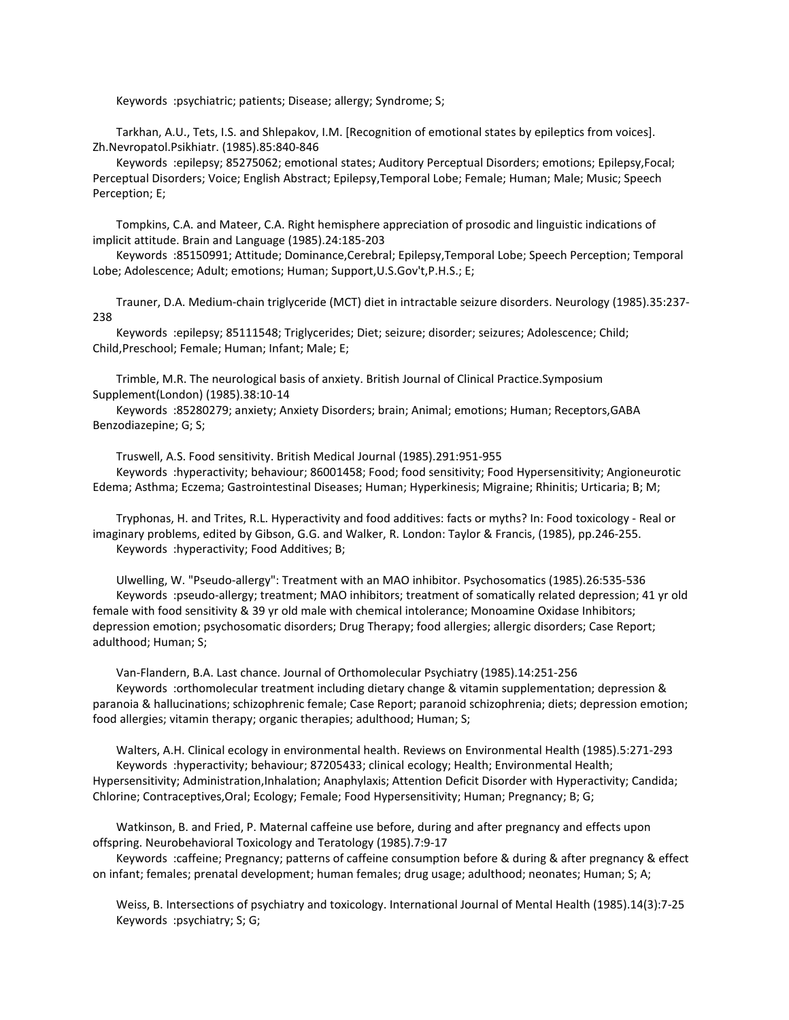Keywords :psychiatric; patients; Disease; allergy; Syndrome; S;

 Tarkhan, A.U., Tets, I.S. and Shlepakov, I.M. [Recognition of emotional states by epileptics from voices]. Zh.Nevropatol.Psikhiatr. (1985).85:840-846

 Keywords :epilepsy; 85275062; emotional states; Auditory Perceptual Disorders; emotions; Epilepsy,Focal; Perceptual Disorders; Voice; English Abstract; Epilepsy,Temporal Lobe; Female; Human; Male; Music; Speech Perception; E;

 Tompkins, C.A. and Mateer, C.A. Right hemisphere appreciation of prosodic and linguistic indications of implicit attitude. Brain and Language (1985).24:185-203

 Keywords :85150991; Attitude; Dominance,Cerebral; Epilepsy,Temporal Lobe; Speech Perception; Temporal Lobe; Adolescence; Adult; emotions; Human; Support,U.S.Gov't,P.H.S.; E;

 Trauner, D.A. Medium-chain triglyceride (MCT) diet in intractable seizure disorders. Neurology (1985).35:237- 238

 Keywords :epilepsy; 85111548; Triglycerides; Diet; seizure; disorder; seizures; Adolescence; Child; Child,Preschool; Female; Human; Infant; Male; E;

 Trimble, M.R. The neurological basis of anxiety. British Journal of Clinical Practice.Symposium Supplement(London) (1985).38:10-14

 Keywords :85280279; anxiety; Anxiety Disorders; brain; Animal; emotions; Human; Receptors,GABA Benzodiazepine; G; S;

Truswell, A.S. Food sensitivity. British Medical Journal (1985).291:951-955

 Keywords :hyperactivity; behaviour; 86001458; Food; food sensitivity; Food Hypersensitivity; Angioneurotic Edema; Asthma; Eczema; Gastrointestinal Diseases; Human; Hyperkinesis; Migraine; Rhinitis; Urticaria; B; M;

 Tryphonas, H. and Trites, R.L. Hyperactivity and food additives: facts or myths? In: Food toxicology - Real or imaginary problems, edited by Gibson, G.G. and Walker, R. London: Taylor & Francis, (1985), pp.246-255. Keywords :hyperactivity; Food Additives; B;

 Ulwelling, W. "Pseudo-allergy": Treatment with an MAO inhibitor. Psychosomatics (1985).26:535-536 Keywords :pseudo-allergy; treatment; MAO inhibitors; treatment of somatically related depression; 41 yr old female with food sensitivity & 39 yr old male with chemical intolerance; Monoamine Oxidase Inhibitors; depression emotion; psychosomatic disorders; Drug Therapy; food allergies; allergic disorders; Case Report; adulthood; Human; S;

 Van-Flandern, B.A. Last chance. Journal of Orthomolecular Psychiatry (1985).14:251-256 Keywords :orthomolecular treatment including dietary change & vitamin supplementation; depression & paranoia & hallucinations; schizophrenic female; Case Report; paranoid schizophrenia; diets; depression emotion; food allergies; vitamin therapy; organic therapies; adulthood; Human; S;

 Walters, A.H. Clinical ecology in environmental health. Reviews on Environmental Health (1985).5:271-293 Keywords :hyperactivity; behaviour; 87205433; clinical ecology; Health; Environmental Health; Hypersensitivity; Administration,Inhalation; Anaphylaxis; Attention Deficit Disorder with Hyperactivity; Candida; Chlorine; Contraceptives,Oral; Ecology; Female; Food Hypersensitivity; Human; Pregnancy; B; G;

 Watkinson, B. and Fried, P. Maternal caffeine use before, during and after pregnancy and effects upon offspring. Neurobehavioral Toxicology and Teratology (1985).7:9-17

 Keywords :caffeine; Pregnancy; patterns of caffeine consumption before & during & after pregnancy & effect on infant; females; prenatal development; human females; drug usage; adulthood; neonates; Human; S; A;

 Weiss, B. Intersections of psychiatry and toxicology. International Journal of Mental Health (1985).14(3):7-25 Keywords :psychiatry; S; G;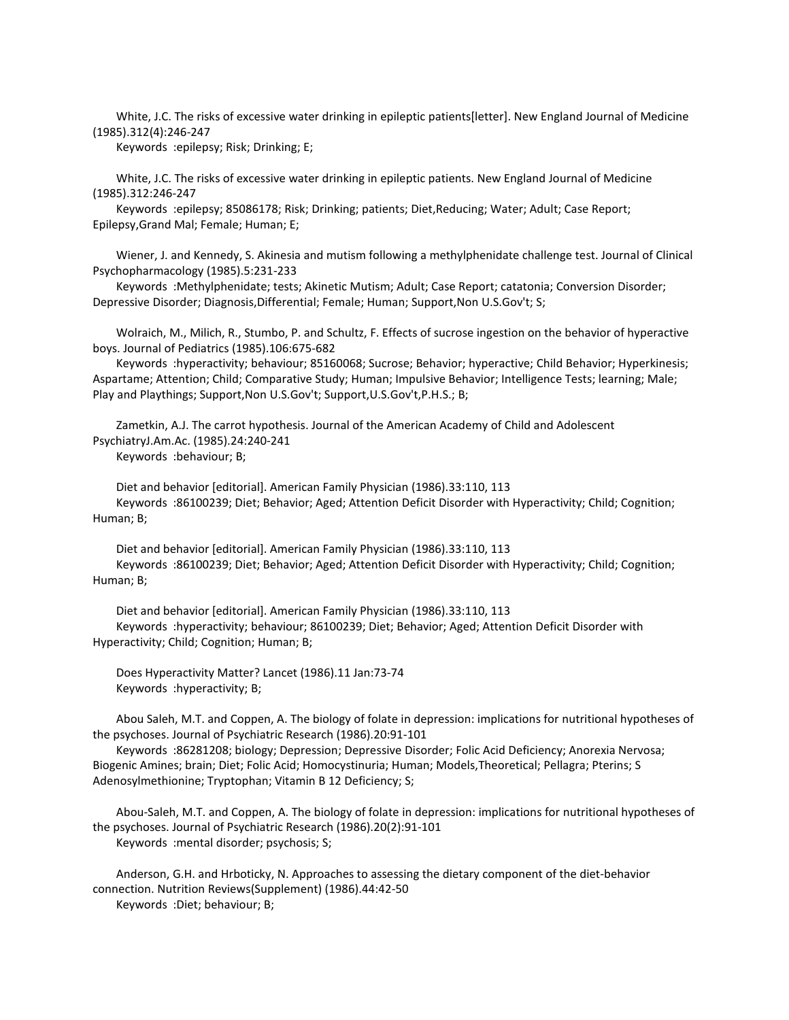White, J.C. The risks of excessive water drinking in epileptic patients[letter]. New England Journal of Medicine (1985).312(4):246-247

Keywords :epilepsy; Risk; Drinking; E;

 White, J.C. The risks of excessive water drinking in epileptic patients. New England Journal of Medicine (1985).312:246-247

 Keywords :epilepsy; 85086178; Risk; Drinking; patients; Diet,Reducing; Water; Adult; Case Report; Epilepsy,Grand Mal; Female; Human; E;

 Wiener, J. and Kennedy, S. Akinesia and mutism following a methylphenidate challenge test. Journal of Clinical Psychopharmacology (1985).5:231-233

 Keywords :Methylphenidate; tests; Akinetic Mutism; Adult; Case Report; catatonia; Conversion Disorder; Depressive Disorder; Diagnosis,Differential; Female; Human; Support,Non U.S.Gov't; S;

 Wolraich, M., Milich, R., Stumbo, P. and Schultz, F. Effects of sucrose ingestion on the behavior of hyperactive boys. Journal of Pediatrics (1985).106:675-682

 Keywords :hyperactivity; behaviour; 85160068; Sucrose; Behavior; hyperactive; Child Behavior; Hyperkinesis; Aspartame; Attention; Child; Comparative Study; Human; Impulsive Behavior; Intelligence Tests; learning; Male; Play and Playthings; Support,Non U.S.Gov't; Support,U.S.Gov't,P.H.S.; B;

 Zametkin, A.J. The carrot hypothesis. Journal of the American Academy of Child and Adolescent PsychiatryJ.Am.Ac. (1985).24:240-241 Keywords :behaviour; B;

 Diet and behavior [editorial]. American Family Physician (1986).33:110, 113 Keywords :86100239; Diet; Behavior; Aged; Attention Deficit Disorder with Hyperactivity; Child; Cognition; Human; B;

 Diet and behavior [editorial]. American Family Physician (1986).33:110, 113 Keywords :86100239; Diet; Behavior; Aged; Attention Deficit Disorder with Hyperactivity; Child; Cognition; Human; B;

 Diet and behavior [editorial]. American Family Physician (1986).33:110, 113 Keywords :hyperactivity; behaviour; 86100239; Diet; Behavior; Aged; Attention Deficit Disorder with Hyperactivity; Child; Cognition; Human; B;

 Does Hyperactivity Matter? Lancet (1986).11 Jan:73-74 Keywords :hyperactivity; B;

 Abou Saleh, M.T. and Coppen, A. The biology of folate in depression: implications for nutritional hypotheses of the psychoses. Journal of Psychiatric Research (1986).20:91-101

 Keywords :86281208; biology; Depression; Depressive Disorder; Folic Acid Deficiency; Anorexia Nervosa; Biogenic Amines; brain; Diet; Folic Acid; Homocystinuria; Human; Models,Theoretical; Pellagra; Pterins; S Adenosylmethionine; Tryptophan; Vitamin B 12 Deficiency; S;

 Abou-Saleh, M.T. and Coppen, A. The biology of folate in depression: implications for nutritional hypotheses of the psychoses. Journal of Psychiatric Research (1986).20(2):91-101 Keywords :mental disorder; psychosis; S;

 Anderson, G.H. and Hrboticky, N. Approaches to assessing the dietary component of the diet-behavior connection. Nutrition Reviews(Supplement) (1986).44:42-50 Keywords :Diet; behaviour; B;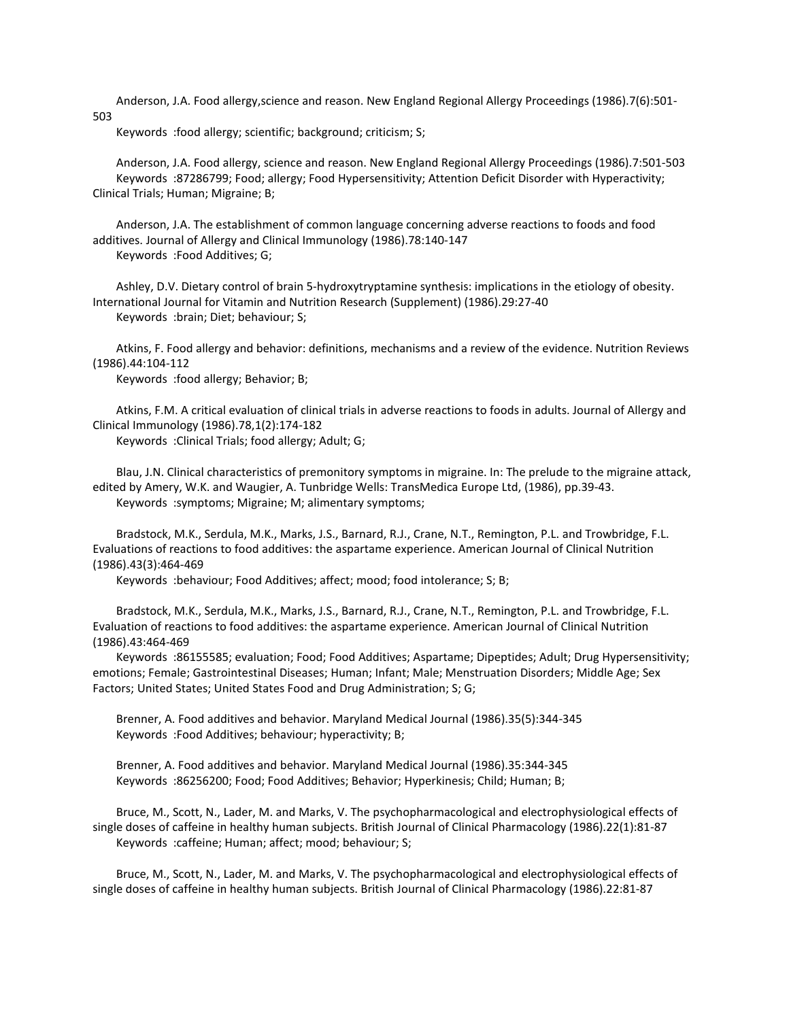Anderson, J.A. Food allergy,science and reason. New England Regional Allergy Proceedings (1986).7(6):501- 503

Keywords :food allergy; scientific; background; criticism; S;

 Anderson, J.A. Food allergy, science and reason. New England Regional Allergy Proceedings (1986).7:501-503 Keywords :87286799; Food; allergy; Food Hypersensitivity; Attention Deficit Disorder with Hyperactivity; Clinical Trials; Human; Migraine; B;

 Anderson, J.A. The establishment of common language concerning adverse reactions to foods and food additives. Journal of Allergy and Clinical Immunology (1986).78:140-147 Keywords :Food Additives; G;

 Ashley, D.V. Dietary control of brain 5-hydroxytryptamine synthesis: implications in the etiology of obesity. International Journal for Vitamin and Nutrition Research (Supplement) (1986).29:27-40 Keywords :brain; Diet; behaviour; S;

 Atkins, F. Food allergy and behavior: definitions, mechanisms and a review of the evidence. Nutrition Reviews (1986).44:104-112

Keywords :food allergy; Behavior; B;

 Atkins, F.M. A critical evaluation of clinical trials in adverse reactions to foods in adults. Journal of Allergy and Clinical Immunology (1986).78,1(2):174-182

Keywords :Clinical Trials; food allergy; Adult; G;

 Blau, J.N. Clinical characteristics of premonitory symptoms in migraine. In: The prelude to the migraine attack, edited by Amery, W.K. and Waugier, A. Tunbridge Wells: TransMedica Europe Ltd, (1986), pp.39-43. Keywords :symptoms; Migraine; M; alimentary symptoms;

 Bradstock, M.K., Serdula, M.K., Marks, J.S., Barnard, R.J., Crane, N.T., Remington, P.L. and Trowbridge, F.L. Evaluations of reactions to food additives: the aspartame experience. American Journal of Clinical Nutrition (1986).43(3):464-469

Keywords :behaviour; Food Additives; affect; mood; food intolerance; S; B;

 Bradstock, M.K., Serdula, M.K., Marks, J.S., Barnard, R.J., Crane, N.T., Remington, P.L. and Trowbridge, F.L. Evaluation of reactions to food additives: the aspartame experience. American Journal of Clinical Nutrition (1986).43:464-469

 Keywords :86155585; evaluation; Food; Food Additives; Aspartame; Dipeptides; Adult; Drug Hypersensitivity; emotions; Female; Gastrointestinal Diseases; Human; Infant; Male; Menstruation Disorders; Middle Age; Sex Factors; United States; United States Food and Drug Administration; S; G;

 Brenner, A. Food additives and behavior. Maryland Medical Journal (1986).35(5):344-345 Keywords :Food Additives; behaviour; hyperactivity; B;

 Brenner, A. Food additives and behavior. Maryland Medical Journal (1986).35:344-345 Keywords :86256200; Food; Food Additives; Behavior; Hyperkinesis; Child; Human; B;

 Bruce, M., Scott, N., Lader, M. and Marks, V. The psychopharmacological and electrophysiological effects of single doses of caffeine in healthy human subjects. British Journal of Clinical Pharmacology (1986).22(1):81-87 Keywords :caffeine; Human; affect; mood; behaviour; S;

 Bruce, M., Scott, N., Lader, M. and Marks, V. The psychopharmacological and electrophysiological effects of single doses of caffeine in healthy human subjects. British Journal of Clinical Pharmacology (1986).22:81-87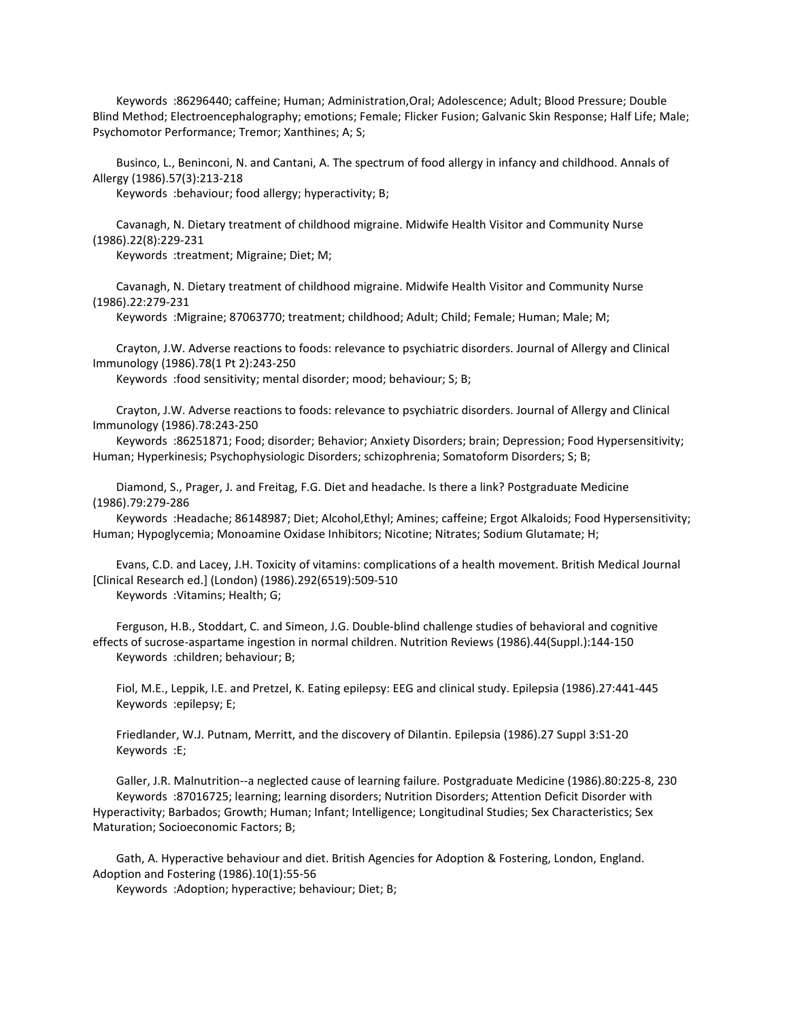Keywords :86296440; caffeine; Human; Administration,Oral; Adolescence; Adult; Blood Pressure; Double Blind Method; Electroencephalography; emotions; Female; Flicker Fusion; Galvanic Skin Response; Half Life; Male; Psychomotor Performance; Tremor; Xanthines; A; S;

 Businco, L., Beninconi, N. and Cantani, A. The spectrum of food allergy in infancy and childhood. Annals of Allergy (1986).57(3):213-218

Keywords :behaviour; food allergy; hyperactivity; B;

 Cavanagh, N. Dietary treatment of childhood migraine. Midwife Health Visitor and Community Nurse (1986).22(8):229-231

Keywords :treatment; Migraine; Diet; M;

 Cavanagh, N. Dietary treatment of childhood migraine. Midwife Health Visitor and Community Nurse (1986).22:279-231

Keywords :Migraine; 87063770; treatment; childhood; Adult; Child; Female; Human; Male; M;

 Crayton, J.W. Adverse reactions to foods: relevance to psychiatric disorders. Journal of Allergy and Clinical Immunology (1986).78(1 Pt 2):243-250

Keywords :food sensitivity; mental disorder; mood; behaviour; S; B;

 Crayton, J.W. Adverse reactions to foods: relevance to psychiatric disorders. Journal of Allergy and Clinical Immunology (1986).78:243-250

 Keywords :86251871; Food; disorder; Behavior; Anxiety Disorders; brain; Depression; Food Hypersensitivity; Human; Hyperkinesis; Psychophysiologic Disorders; schizophrenia; Somatoform Disorders; S; B;

 Diamond, S., Prager, J. and Freitag, F.G. Diet and headache. Is there a link? Postgraduate Medicine (1986).79:279-286

 Keywords :Headache; 86148987; Diet; Alcohol,Ethyl; Amines; caffeine; Ergot Alkaloids; Food Hypersensitivity; Human; Hypoglycemia; Monoamine Oxidase Inhibitors; Nicotine; Nitrates; Sodium Glutamate; H;

 Evans, C.D. and Lacey, J.H. Toxicity of vitamins: complications of a health movement. British Medical Journal [Clinical Research ed.] (London) (1986).292(6519):509-510

Keywords :Vitamins; Health; G;

 Ferguson, H.B., Stoddart, C. and Simeon, J.G. Double-blind challenge studies of behavioral and cognitive effects of sucrose-aspartame ingestion in normal children. Nutrition Reviews (1986).44(Suppl.):144-150 Keywords :children; behaviour; B;

 Fiol, M.E., Leppik, I.E. and Pretzel, K. Eating epilepsy: EEG and clinical study. Epilepsia (1986).27:441-445 Keywords :epilepsy; E;

 Friedlander, W.J. Putnam, Merritt, and the discovery of Dilantin. Epilepsia (1986).27 Suppl 3:S1-20 Keywords :E;

 Galler, J.R. Malnutrition--a neglected cause of learning failure. Postgraduate Medicine (1986).80:225-8, 230 Keywords :87016725; learning; learning disorders; Nutrition Disorders; Attention Deficit Disorder with Hyperactivity; Barbados; Growth; Human; Infant; Intelligence; Longitudinal Studies; Sex Characteristics; Sex Maturation; Socioeconomic Factors; B;

 Gath, A. Hyperactive behaviour and diet. British Agencies for Adoption & Fostering, London, England. Adoption and Fostering (1986).10(1):55-56

Keywords :Adoption; hyperactive; behaviour; Diet; B;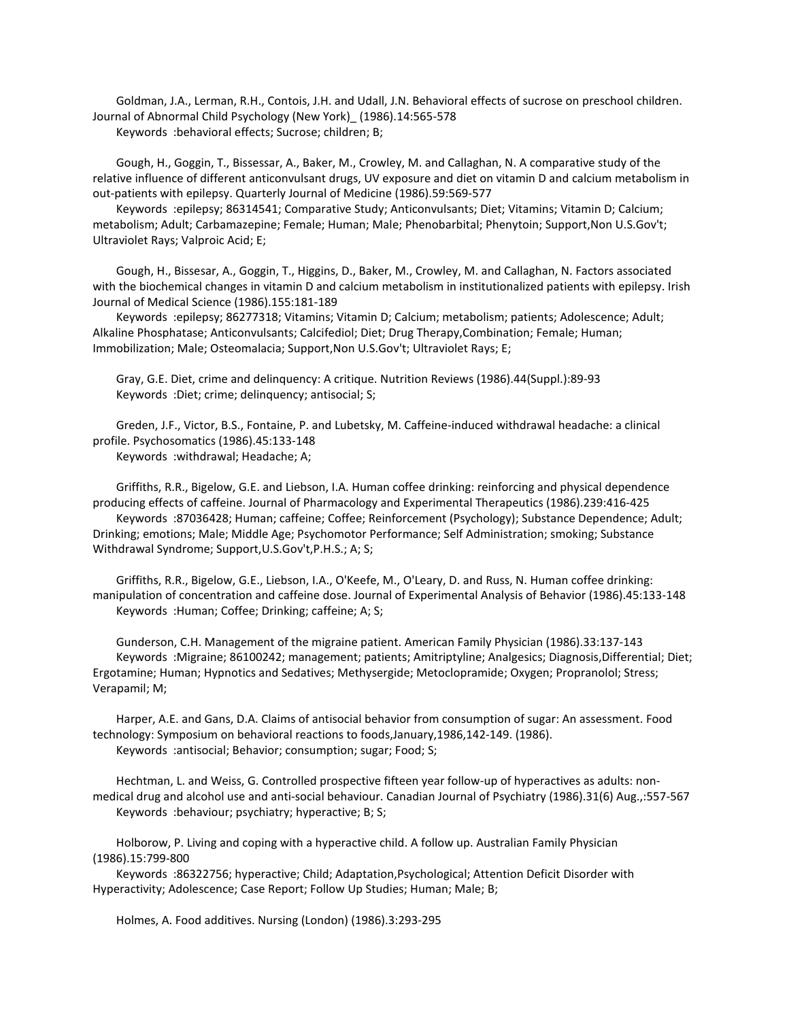Goldman, J.A., Lerman, R.H., Contois, J.H. and Udall, J.N. Behavioral effects of sucrose on preschool children. Journal of Abnormal Child Psychology (New York)\_ (1986).14:565-578 Keywords :behavioral effects; Sucrose; children; B;

 Gough, H., Goggin, T., Bissessar, A., Baker, M., Crowley, M. and Callaghan, N. A comparative study of the relative influence of different anticonvulsant drugs, UV exposure and diet on vitamin D and calcium metabolism in out-patients with epilepsy. Quarterly Journal of Medicine (1986).59:569-577

 Keywords :epilepsy; 86314541; Comparative Study; Anticonvulsants; Diet; Vitamins; Vitamin D; Calcium; metabolism; Adult; Carbamazepine; Female; Human; Male; Phenobarbital; Phenytoin; Support,Non U.S.Gov't; Ultraviolet Rays; Valproic Acid; E;

 Gough, H., Bissesar, A., Goggin, T., Higgins, D., Baker, M., Crowley, M. and Callaghan, N. Factors associated with the biochemical changes in vitamin D and calcium metabolism in institutionalized patients with epilepsy. Irish Journal of Medical Science (1986).155:181-189

 Keywords :epilepsy; 86277318; Vitamins; Vitamin D; Calcium; metabolism; patients; Adolescence; Adult; Alkaline Phosphatase; Anticonvulsants; Calcifediol; Diet; Drug Therapy,Combination; Female; Human; Immobilization; Male; Osteomalacia; Support,Non U.S.Gov't; Ultraviolet Rays; E;

 Gray, G.E. Diet, crime and delinquency: A critique. Nutrition Reviews (1986).44(Suppl.):89-93 Keywords :Diet; crime; delinquency; antisocial; S;

 Greden, J.F., Victor, B.S., Fontaine, P. and Lubetsky, M. Caffeine-induced withdrawal headache: a clinical profile. Psychosomatics (1986).45:133-148

Keywords :withdrawal; Headache; A;

 Griffiths, R.R., Bigelow, G.E. and Liebson, I.A. Human coffee drinking: reinforcing and physical dependence producing effects of caffeine. Journal of Pharmacology and Experimental Therapeutics (1986).239:416-425

 Keywords :87036428; Human; caffeine; Coffee; Reinforcement (Psychology); Substance Dependence; Adult; Drinking; emotions; Male; Middle Age; Psychomotor Performance; Self Administration; smoking; Substance Withdrawal Syndrome; Support,U.S.Gov't,P.H.S.; A; S;

 Griffiths, R.R., Bigelow, G.E., Liebson, I.A., O'Keefe, M., O'Leary, D. and Russ, N. Human coffee drinking: manipulation of concentration and caffeine dose. Journal of Experimental Analysis of Behavior (1986).45:133-148 Keywords :Human; Coffee; Drinking; caffeine; A; S;

 Gunderson, C.H. Management of the migraine patient. American Family Physician (1986).33:137-143 Keywords :Migraine; 86100242; management; patients; Amitriptyline; Analgesics; Diagnosis,Differential; Diet; Ergotamine; Human; Hypnotics and Sedatives; Methysergide; Metoclopramide; Oxygen; Propranolol; Stress; Verapamil; M;

 Harper, A.E. and Gans, D.A. Claims of antisocial behavior from consumption of sugar: An assessment. Food technology: Symposium on behavioral reactions to foods,January,1986,142-149. (1986). Keywords :antisocial; Behavior; consumption; sugar; Food; S;

 Hechtman, L. and Weiss, G. Controlled prospective fifteen year follow-up of hyperactives as adults: nonmedical drug and alcohol use and anti-social behaviour. Canadian Journal of Psychiatry (1986).31(6) Aug.,:557-567 Keywords :behaviour; psychiatry; hyperactive; B; S;

 Holborow, P. Living and coping with a hyperactive child. A follow up. Australian Family Physician (1986).15:799-800

 Keywords :86322756; hyperactive; Child; Adaptation,Psychological; Attention Deficit Disorder with Hyperactivity; Adolescence; Case Report; Follow Up Studies; Human; Male; B;

Holmes, A. Food additives. Nursing (London) (1986).3:293-295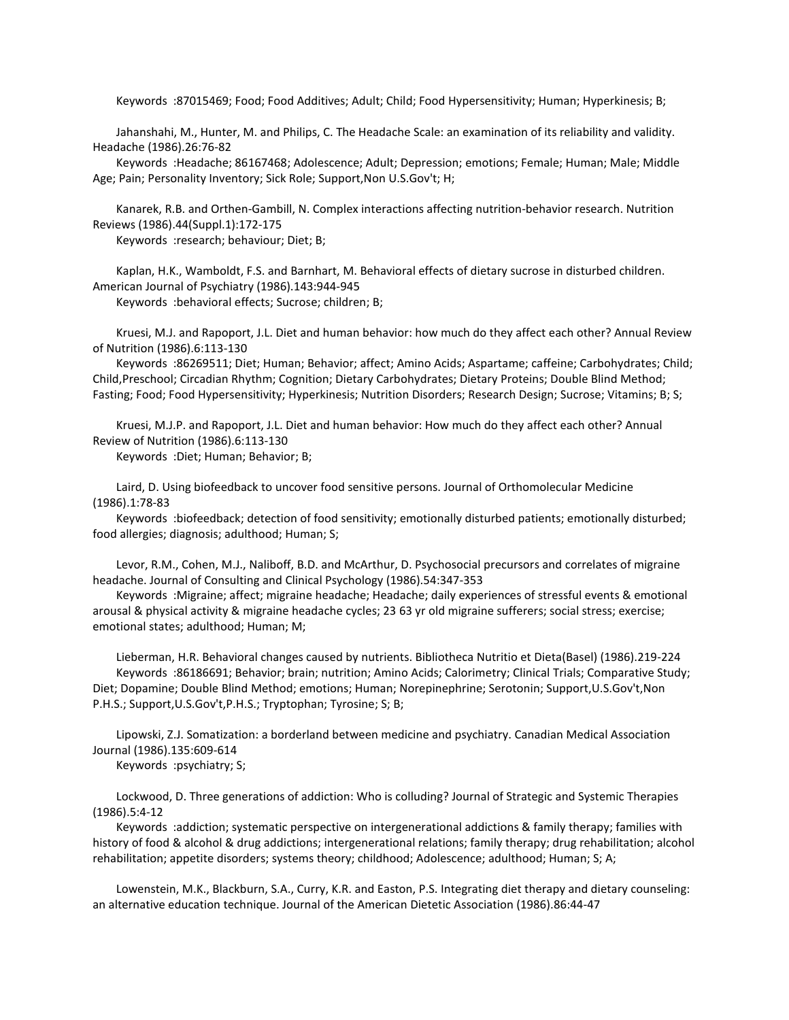Keywords :87015469; Food; Food Additives; Adult; Child; Food Hypersensitivity; Human; Hyperkinesis; B;

 Jahanshahi, M., Hunter, M. and Philips, C. The Headache Scale: an examination of its reliability and validity. Headache (1986).26:76-82

 Keywords :Headache; 86167468; Adolescence; Adult; Depression; emotions; Female; Human; Male; Middle Age; Pain; Personality Inventory; Sick Role; Support,Non U.S.Gov't; H;

 Kanarek, R.B. and Orthen-Gambill, N. Complex interactions affecting nutrition-behavior research. Nutrition Reviews (1986).44(Suppl.1):172-175

Keywords :research; behaviour; Diet; B;

 Kaplan, H.K., Wamboldt, F.S. and Barnhart, M. Behavioral effects of dietary sucrose in disturbed children. American Journal of Psychiatry (1986).143:944-945

Keywords :behavioral effects; Sucrose; children; B;

 Kruesi, M.J. and Rapoport, J.L. Diet and human behavior: how much do they affect each other? Annual Review of Nutrition (1986).6:113-130

 Keywords :86269511; Diet; Human; Behavior; affect; Amino Acids; Aspartame; caffeine; Carbohydrates; Child; Child,Preschool; Circadian Rhythm; Cognition; Dietary Carbohydrates; Dietary Proteins; Double Blind Method; Fasting; Food; Food Hypersensitivity; Hyperkinesis; Nutrition Disorders; Research Design; Sucrose; Vitamins; B; S;

 Kruesi, M.J.P. and Rapoport, J.L. Diet and human behavior: How much do they affect each other? Annual Review of Nutrition (1986).6:113-130

Keywords :Diet; Human; Behavior; B;

 Laird, D. Using biofeedback to uncover food sensitive persons. Journal of Orthomolecular Medicine (1986).1:78-83

 Keywords :biofeedback; detection of food sensitivity; emotionally disturbed patients; emotionally disturbed; food allergies; diagnosis; adulthood; Human; S;

 Levor, R.M., Cohen, M.J., Naliboff, B.D. and McArthur, D. Psychosocial precursors and correlates of migraine headache. Journal of Consulting and Clinical Psychology (1986).54:347-353

 Keywords :Migraine; affect; migraine headache; Headache; daily experiences of stressful events & emotional arousal & physical activity & migraine headache cycles; 23 63 yr old migraine sufferers; social stress; exercise; emotional states; adulthood; Human; M;

 Lieberman, H.R. Behavioral changes caused by nutrients. Bibliotheca Nutritio et Dieta(Basel) (1986).219-224 Keywords :86186691; Behavior; brain; nutrition; Amino Acids; Calorimetry; Clinical Trials; Comparative Study; Diet; Dopamine; Double Blind Method; emotions; Human; Norepinephrine; Serotonin; Support,U.S.Gov't,Non P.H.S.; Support,U.S.Gov't,P.H.S.; Tryptophan; Tyrosine; S; B;

 Lipowski, Z.J. Somatization: a borderland between medicine and psychiatry. Canadian Medical Association Journal (1986).135:609-614

Keywords :psychiatry; S;

 Lockwood, D. Three generations of addiction: Who is colluding? Journal of Strategic and Systemic Therapies (1986).5:4-12

 Keywords :addiction; systematic perspective on intergenerational addictions & family therapy; families with history of food & alcohol & drug addictions; intergenerational relations; family therapy; drug rehabilitation; alcohol rehabilitation; appetite disorders; systems theory; childhood; Adolescence; adulthood; Human; S; A;

 Lowenstein, M.K., Blackburn, S.A., Curry, K.R. and Easton, P.S. Integrating diet therapy and dietary counseling: an alternative education technique. Journal of the American Dietetic Association (1986).86:44-47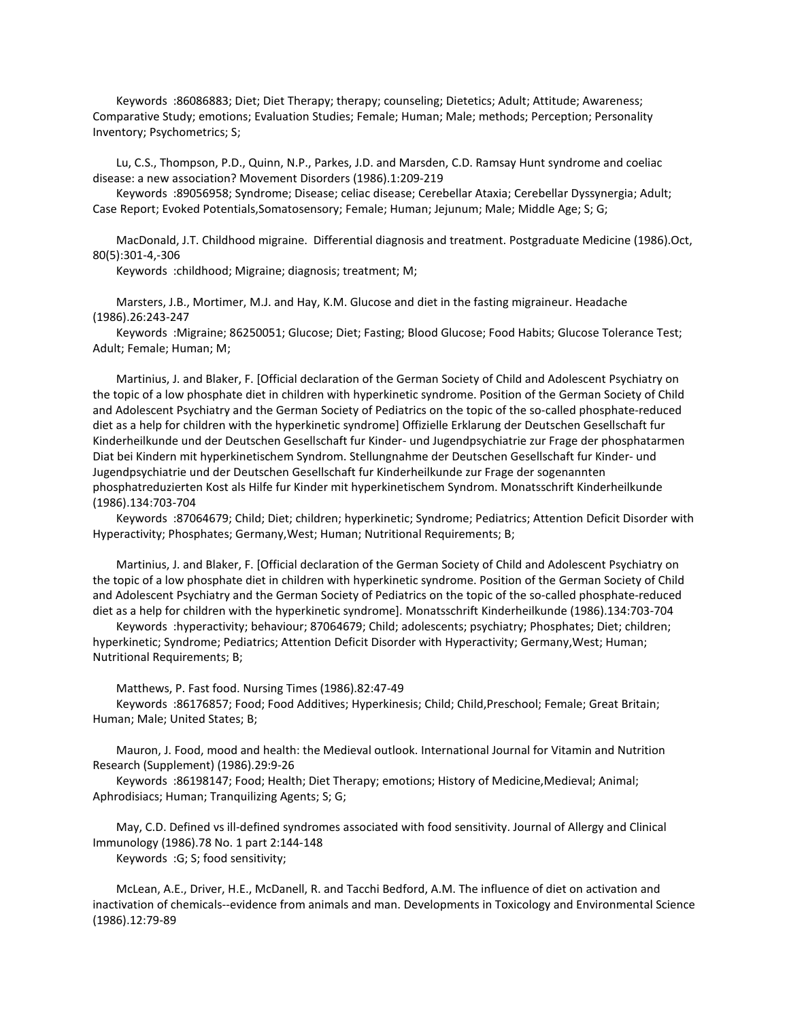Keywords :86086883; Diet; Diet Therapy; therapy; counseling; Dietetics; Adult; Attitude; Awareness; Comparative Study; emotions; Evaluation Studies; Female; Human; Male; methods; Perception; Personality Inventory; Psychometrics; S;

 Lu, C.S., Thompson, P.D., Quinn, N.P., Parkes, J.D. and Marsden, C.D. Ramsay Hunt syndrome and coeliac disease: a new association? Movement Disorders (1986).1:209-219

 Keywords :89056958; Syndrome; Disease; celiac disease; Cerebellar Ataxia; Cerebellar Dyssynergia; Adult; Case Report; Evoked Potentials,Somatosensory; Female; Human; Jejunum; Male; Middle Age; S; G;

 MacDonald, J.T. Childhood migraine. Differential diagnosis and treatment. Postgraduate Medicine (1986).Oct, 80(5):301-4,-306

Keywords :childhood; Migraine; diagnosis; treatment; M;

 Marsters, J.B., Mortimer, M.J. and Hay, K.M. Glucose and diet in the fasting migraineur. Headache (1986).26:243-247

 Keywords :Migraine; 86250051; Glucose; Diet; Fasting; Blood Glucose; Food Habits; Glucose Tolerance Test; Adult; Female; Human; M;

 Martinius, J. and Blaker, F. [Official declaration of the German Society of Child and Adolescent Psychiatry on the topic of a low phosphate diet in children with hyperkinetic syndrome. Position of the German Society of Child and Adolescent Psychiatry and the German Society of Pediatrics on the topic of the so-called phosphate-reduced diet as a help for children with the hyperkinetic syndrome] Offizielle Erklarung der Deutschen Gesellschaft fur Kinderheilkunde und der Deutschen Gesellschaft fur Kinder- und Jugendpsychiatrie zur Frage der phosphatarmen Diat bei Kindern mit hyperkinetischem Syndrom. Stellungnahme der Deutschen Gesellschaft fur Kinder- und Jugendpsychiatrie und der Deutschen Gesellschaft fur Kinderheilkunde zur Frage der sogenannten phosphatreduzierten Kost als Hilfe fur Kinder mit hyperkinetischem Syndrom. Monatsschrift Kinderheilkunde (1986).134:703-704

 Keywords :87064679; Child; Diet; children; hyperkinetic; Syndrome; Pediatrics; Attention Deficit Disorder with Hyperactivity; Phosphates; Germany,West; Human; Nutritional Requirements; B;

 Martinius, J. and Blaker, F. [Official declaration of the German Society of Child and Adolescent Psychiatry on the topic of a low phosphate diet in children with hyperkinetic syndrome. Position of the German Society of Child and Adolescent Psychiatry and the German Society of Pediatrics on the topic of the so-called phosphate-reduced diet as a help for children with the hyperkinetic syndrome]. Monatsschrift Kinderheilkunde (1986).134:703-704

 Keywords :hyperactivity; behaviour; 87064679; Child; adolescents; psychiatry; Phosphates; Diet; children; hyperkinetic; Syndrome; Pediatrics; Attention Deficit Disorder with Hyperactivity; Germany,West; Human; Nutritional Requirements; B;

Matthews, P. Fast food. Nursing Times (1986).82:47-49

 Keywords :86176857; Food; Food Additives; Hyperkinesis; Child; Child,Preschool; Female; Great Britain; Human; Male; United States; B;

 Mauron, J. Food, mood and health: the Medieval outlook. International Journal for Vitamin and Nutrition Research (Supplement) (1986).29:9-26

 Keywords :86198147; Food; Health; Diet Therapy; emotions; History of Medicine,Medieval; Animal; Aphrodisiacs; Human; Tranquilizing Agents; S; G;

 May, C.D. Defined vs ill-defined syndromes associated with food sensitivity. Journal of Allergy and Clinical Immunology (1986).78 No. 1 part 2:144-148 Keywords :G; S; food sensitivity;

 McLean, A.E., Driver, H.E., McDanell, R. and Tacchi Bedford, A.M. The influence of diet on activation and inactivation of chemicals--evidence from animals and man. Developments in Toxicology and Environmental Science (1986).12:79-89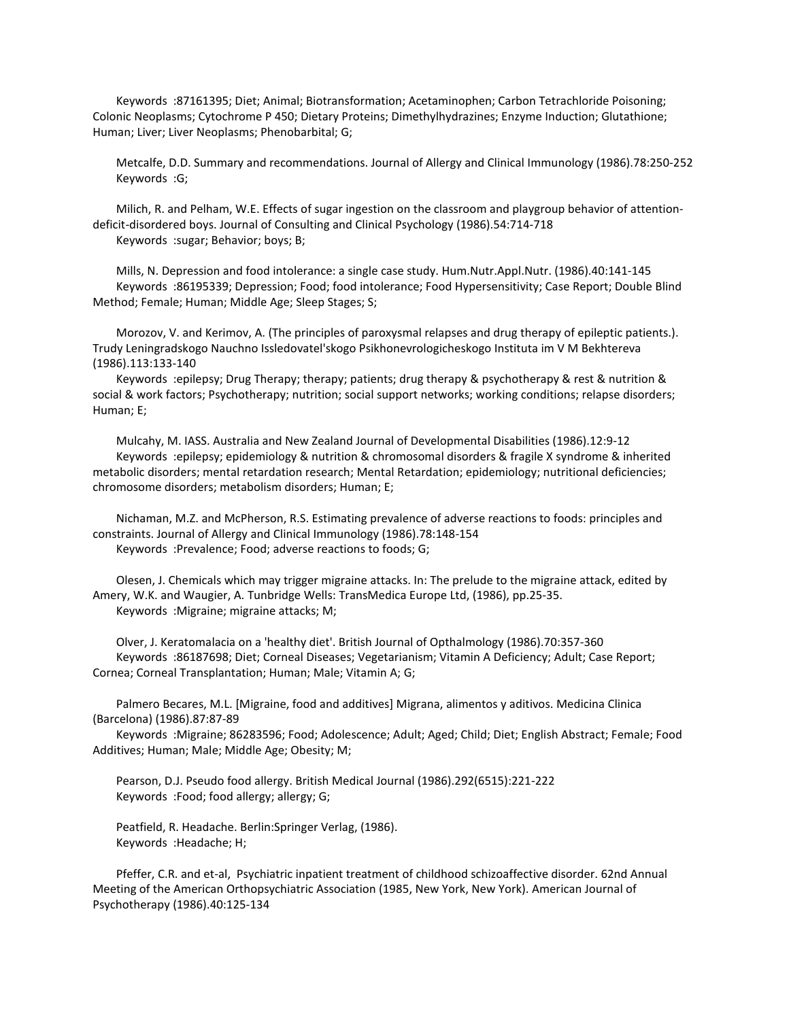Keywords :87161395; Diet; Animal; Biotransformation; Acetaminophen; Carbon Tetrachloride Poisoning; Colonic Neoplasms; Cytochrome P 450; Dietary Proteins; Dimethylhydrazines; Enzyme Induction; Glutathione; Human; Liver; Liver Neoplasms; Phenobarbital; G;

 Metcalfe, D.D. Summary and recommendations. Journal of Allergy and Clinical Immunology (1986).78:250-252 Keywords :G;

 Milich, R. and Pelham, W.E. Effects of sugar ingestion on the classroom and playgroup behavior of attentiondeficit-disordered boys. Journal of Consulting and Clinical Psychology (1986).54:714-718 Keywords :sugar; Behavior; boys; B;

 Mills, N. Depression and food intolerance: a single case study. Hum.Nutr.Appl.Nutr. (1986).40:141-145 Keywords :86195339; Depression; Food; food intolerance; Food Hypersensitivity; Case Report; Double Blind Method; Female; Human; Middle Age; Sleep Stages; S;

 Morozov, V. and Kerimov, A. (The principles of paroxysmal relapses and drug therapy of epileptic patients.). Trudy Leningradskogo Nauchno Issledovatel'skogo Psikhonevrologicheskogo Instituta im V M Bekhtereva (1986).113:133-140

 Keywords :epilepsy; Drug Therapy; therapy; patients; drug therapy & psychotherapy & rest & nutrition & social & work factors; Psychotherapy; nutrition; social support networks; working conditions; relapse disorders; Human; E;

 Mulcahy, M. IASS. Australia and New Zealand Journal of Developmental Disabilities (1986).12:9-12 Keywords :epilepsy; epidemiology & nutrition & chromosomal disorders & fragile X syndrome & inherited metabolic disorders; mental retardation research; Mental Retardation; epidemiology; nutritional deficiencies; chromosome disorders; metabolism disorders; Human; E;

 Nichaman, M.Z. and McPherson, R.S. Estimating prevalence of adverse reactions to foods: principles and constraints. Journal of Allergy and Clinical Immunology (1986).78:148-154 Keywords :Prevalence; Food; adverse reactions to foods; G;

 Olesen, J. Chemicals which may trigger migraine attacks. In: The prelude to the migraine attack, edited by Amery, W.K. and Waugier, A. Tunbridge Wells: TransMedica Europe Ltd, (1986), pp.25-35. Keywords :Migraine; migraine attacks; M;

 Olver, J. Keratomalacia on a 'healthy diet'. British Journal of Opthalmology (1986).70:357-360 Keywords :86187698; Diet; Corneal Diseases; Vegetarianism; Vitamin A Deficiency; Adult; Case Report; Cornea; Corneal Transplantation; Human; Male; Vitamin A; G;

 Palmero Becares, M.L. [Migraine, food and additives] Migrana, alimentos y aditivos. Medicina Clinica (Barcelona) (1986).87:87-89

 Keywords :Migraine; 86283596; Food; Adolescence; Adult; Aged; Child; Diet; English Abstract; Female; Food Additives; Human; Male; Middle Age; Obesity; M;

 Pearson, D.J. Pseudo food allergy. British Medical Journal (1986).292(6515):221-222 Keywords :Food; food allergy; allergy; G;

 Peatfield, R. Headache. Berlin:Springer Verlag, (1986). Keywords :Headache; H;

 Pfeffer, C.R. and et-al, Psychiatric inpatient treatment of childhood schizoaffective disorder. 62nd Annual Meeting of the American Orthopsychiatric Association (1985, New York, New York). American Journal of Psychotherapy (1986).40:125-134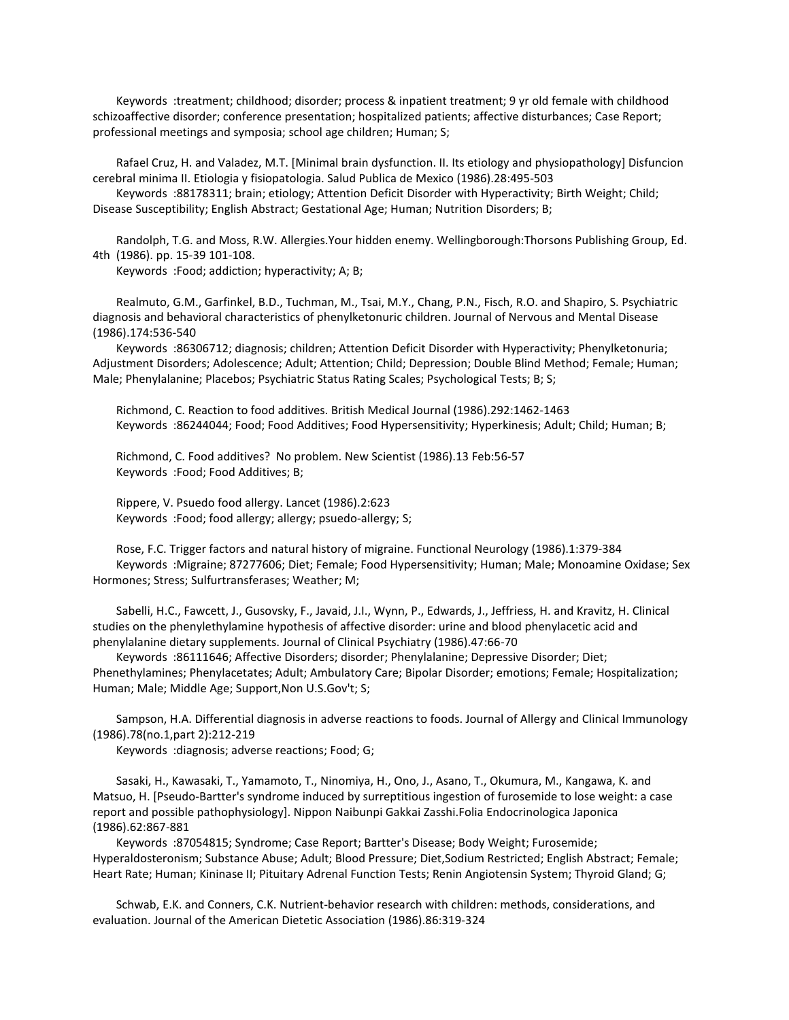Keywords :treatment; childhood; disorder; process & inpatient treatment; 9 yr old female with childhood schizoaffective disorder; conference presentation; hospitalized patients; affective disturbances; Case Report; professional meetings and symposia; school age children; Human; S;

 Rafael Cruz, H. and Valadez, M.T. [Minimal brain dysfunction. II. Its etiology and physiopathology] Disfuncion cerebral minima II. Etiologia y fisiopatologia. Salud Publica de Mexico (1986).28:495-503

 Keywords :88178311; brain; etiology; Attention Deficit Disorder with Hyperactivity; Birth Weight; Child; Disease Susceptibility; English Abstract; Gestational Age; Human; Nutrition Disorders; B;

 Randolph, T.G. and Moss, R.W. Allergies.Your hidden enemy. Wellingborough:Thorsons Publishing Group, Ed. 4th (1986). pp. 15-39 101-108.

Keywords :Food; addiction; hyperactivity; A; B;

 Realmuto, G.M., Garfinkel, B.D., Tuchman, M., Tsai, M.Y., Chang, P.N., Fisch, R.O. and Shapiro, S. Psychiatric diagnosis and behavioral characteristics of phenylketonuric children. Journal of Nervous and Mental Disease (1986).174:536-540

 Keywords :86306712; diagnosis; children; Attention Deficit Disorder with Hyperactivity; Phenylketonuria; Adjustment Disorders; Adolescence; Adult; Attention; Child; Depression; Double Blind Method; Female; Human; Male; Phenylalanine; Placebos; Psychiatric Status Rating Scales; Psychological Tests; B; S;

 Richmond, C. Reaction to food additives. British Medical Journal (1986).292:1462-1463 Keywords :86244044; Food; Food Additives; Food Hypersensitivity; Hyperkinesis; Adult; Child; Human; B;

 Richmond, C. Food additives? No problem. New Scientist (1986).13 Feb:56-57 Keywords :Food; Food Additives; B;

 Rippere, V. Psuedo food allergy. Lancet (1986).2:623 Keywords :Food; food allergy; allergy; psuedo-allergy; S;

 Rose, F.C. Trigger factors and natural history of migraine. Functional Neurology (1986).1:379-384 Keywords :Migraine; 87277606; Diet; Female; Food Hypersensitivity; Human; Male; Monoamine Oxidase; Sex Hormones; Stress; Sulfurtransferases; Weather; M;

 Sabelli, H.C., Fawcett, J., Gusovsky, F., Javaid, J.I., Wynn, P., Edwards, J., Jeffriess, H. and Kravitz, H. Clinical studies on the phenylethylamine hypothesis of affective disorder: urine and blood phenylacetic acid and phenylalanine dietary supplements. Journal of Clinical Psychiatry (1986).47:66-70

 Keywords :86111646; Affective Disorders; disorder; Phenylalanine; Depressive Disorder; Diet; Phenethylamines; Phenylacetates; Adult; Ambulatory Care; Bipolar Disorder; emotions; Female; Hospitalization; Human; Male; Middle Age; Support,Non U.S.Gov't; S;

 Sampson, H.A. Differential diagnosis in adverse reactions to foods. Journal of Allergy and Clinical Immunology (1986).78(no.1,part 2):212-219

Keywords :diagnosis; adverse reactions; Food; G;

 Sasaki, H., Kawasaki, T., Yamamoto, T., Ninomiya, H., Ono, J., Asano, T., Okumura, M., Kangawa, K. and Matsuo, H. [Pseudo-Bartter's syndrome induced by surreptitious ingestion of furosemide to lose weight: a case report and possible pathophysiology]. Nippon Naibunpi Gakkai Zasshi.Folia Endocrinologica Japonica (1986).62:867-881

 Keywords :87054815; Syndrome; Case Report; Bartter's Disease; Body Weight; Furosemide; Hyperaldosteronism; Substance Abuse; Adult; Blood Pressure; Diet,Sodium Restricted; English Abstract; Female; Heart Rate; Human; Kininase II; Pituitary Adrenal Function Tests; Renin Angiotensin System; Thyroid Gland; G;

 Schwab, E.K. and Conners, C.K. Nutrient-behavior research with children: methods, considerations, and evaluation. Journal of the American Dietetic Association (1986).86:319-324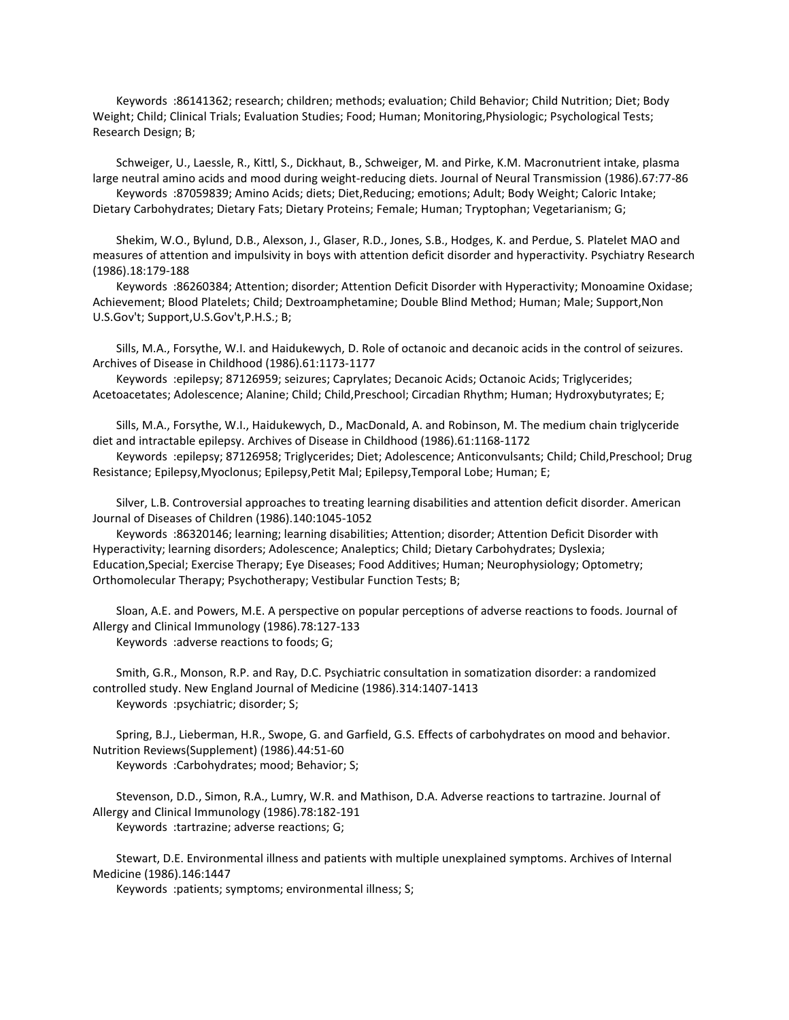Keywords :86141362; research; children; methods; evaluation; Child Behavior; Child Nutrition; Diet; Body Weight; Child; Clinical Trials; Evaluation Studies; Food; Human; Monitoring,Physiologic; Psychological Tests; Research Design; B;

 Schweiger, U., Laessle, R., Kittl, S., Dickhaut, B., Schweiger, M. and Pirke, K.M. Macronutrient intake, plasma large neutral amino acids and mood during weight-reducing diets. Journal of Neural Transmission (1986).67:77-86 Keywords :87059839; Amino Acids; diets; Diet,Reducing; emotions; Adult; Body Weight; Caloric Intake;

Dietary Carbohydrates; Dietary Fats; Dietary Proteins; Female; Human; Tryptophan; Vegetarianism; G;

 Shekim, W.O., Bylund, D.B., Alexson, J., Glaser, R.D., Jones, S.B., Hodges, K. and Perdue, S. Platelet MAO and measures of attention and impulsivity in boys with attention deficit disorder and hyperactivity. Psychiatry Research (1986).18:179-188

 Keywords :86260384; Attention; disorder; Attention Deficit Disorder with Hyperactivity; Monoamine Oxidase; Achievement; Blood Platelets; Child; Dextroamphetamine; Double Blind Method; Human; Male; Support,Non U.S.Gov't; Support,U.S.Gov't,P.H.S.; B;

 Sills, M.A., Forsythe, W.I. and Haidukewych, D. Role of octanoic and decanoic acids in the control of seizures. Archives of Disease in Childhood (1986).61:1173-1177

 Keywords :epilepsy; 87126959; seizures; Caprylates; Decanoic Acids; Octanoic Acids; Triglycerides; Acetoacetates; Adolescence; Alanine; Child; Child,Preschool; Circadian Rhythm; Human; Hydroxybutyrates; E;

 Sills, M.A., Forsythe, W.I., Haidukewych, D., MacDonald, A. and Robinson, M. The medium chain triglyceride diet and intractable epilepsy. Archives of Disease in Childhood (1986).61:1168-1172

 Keywords :epilepsy; 87126958; Triglycerides; Diet; Adolescence; Anticonvulsants; Child; Child,Preschool; Drug Resistance; Epilepsy,Myoclonus; Epilepsy,Petit Mal; Epilepsy,Temporal Lobe; Human; E;

 Silver, L.B. Controversial approaches to treating learning disabilities and attention deficit disorder. American Journal of Diseases of Children (1986).140:1045-1052

 Keywords :86320146; learning; learning disabilities; Attention; disorder; Attention Deficit Disorder with Hyperactivity; learning disorders; Adolescence; Analeptics; Child; Dietary Carbohydrates; Dyslexia; Education,Special; Exercise Therapy; Eye Diseases; Food Additives; Human; Neurophysiology; Optometry; Orthomolecular Therapy; Psychotherapy; Vestibular Function Tests; B;

 Sloan, A.E. and Powers, M.E. A perspective on popular perceptions of adverse reactions to foods. Journal of Allergy and Clinical Immunology (1986).78:127-133 Keywords :adverse reactions to foods; G;

 Smith, G.R., Monson, R.P. and Ray, D.C. Psychiatric consultation in somatization disorder: a randomized controlled study. New England Journal of Medicine (1986).314:1407-1413 Keywords :psychiatric; disorder; S;

 Spring, B.J., Lieberman, H.R., Swope, G. and Garfield, G.S. Effects of carbohydrates on mood and behavior. Nutrition Reviews(Supplement) (1986).44:51-60 Keywords :Carbohydrates; mood; Behavior; S;

 Stevenson, D.D., Simon, R.A., Lumry, W.R. and Mathison, D.A. Adverse reactions to tartrazine. Journal of Allergy and Clinical Immunology (1986).78:182-191 Keywords :tartrazine; adverse reactions; G;

 Stewart, D.E. Environmental illness and patients with multiple unexplained symptoms. Archives of Internal Medicine (1986).146:1447

Keywords :patients; symptoms; environmental illness; S;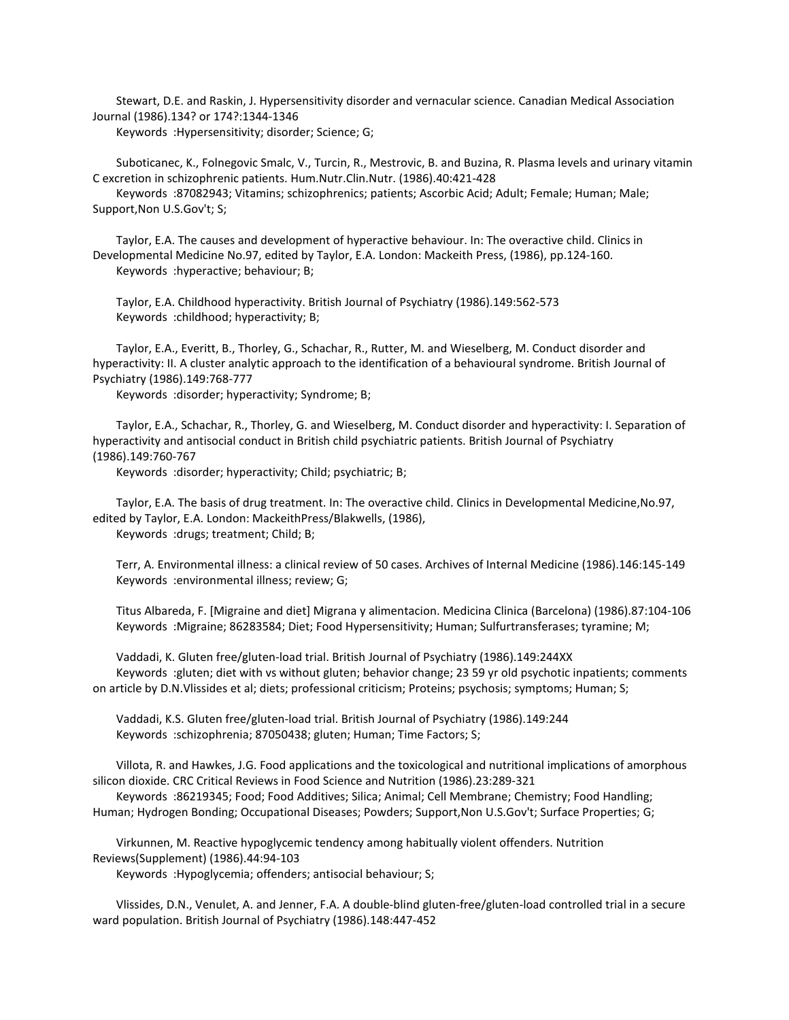Stewart, D.E. and Raskin, J. Hypersensitivity disorder and vernacular science. Canadian Medical Association Journal (1986).134? or 174?:1344-1346

Keywords :Hypersensitivity; disorder; Science; G;

 Suboticanec, K., Folnegovic Smalc, V., Turcin, R., Mestrovic, B. and Buzina, R. Plasma levels and urinary vitamin C excretion in schizophrenic patients. Hum.Nutr.Clin.Nutr. (1986).40:421-428

 Keywords :87082943; Vitamins; schizophrenics; patients; Ascorbic Acid; Adult; Female; Human; Male; Support,Non U.S.Gov't; S;

 Taylor, E.A. The causes and development of hyperactive behaviour. In: The overactive child. Clinics in Developmental Medicine No.97, edited by Taylor, E.A. London: Mackeith Press, (1986), pp.124-160. Keywords :hyperactive; behaviour; B;

 Taylor, E.A. Childhood hyperactivity. British Journal of Psychiatry (1986).149:562-573 Keywords :childhood; hyperactivity; B;

 Taylor, E.A., Everitt, B., Thorley, G., Schachar, R., Rutter, M. and Wieselberg, M. Conduct disorder and hyperactivity: II. A cluster analytic approach to the identification of a behavioural syndrome. British Journal of Psychiatry (1986).149:768-777

Keywords :disorder; hyperactivity; Syndrome; B;

 Taylor, E.A., Schachar, R., Thorley, G. and Wieselberg, M. Conduct disorder and hyperactivity: I. Separation of hyperactivity and antisocial conduct in British child psychiatric patients. British Journal of Psychiatry (1986).149:760-767

Keywords :disorder; hyperactivity; Child; psychiatric; B;

 Taylor, E.A. The basis of drug treatment. In: The overactive child. Clinics in Developmental Medicine,No.97, edited by Taylor, E.A. London: MackeithPress/Blakwells, (1986),

Keywords :drugs; treatment; Child; B;

 Terr, A. Environmental illness: a clinical review of 50 cases. Archives of Internal Medicine (1986).146:145-149 Keywords :environmental illness; review; G;

 Titus Albareda, F. [Migraine and diet] Migrana y alimentacion. Medicina Clinica (Barcelona) (1986).87:104-106 Keywords :Migraine; 86283584; Diet; Food Hypersensitivity; Human; Sulfurtransferases; tyramine; M;

 Vaddadi, K. Gluten free/gluten-load trial. British Journal of Psychiatry (1986).149:244XX Keywords :gluten; diet with vs without gluten; behavior change; 23 59 yr old psychotic inpatients; comments on article by D.N.Vlissides et al; diets; professional criticism; Proteins; psychosis; symptoms; Human; S;

 Vaddadi, K.S. Gluten free/gluten-load trial. British Journal of Psychiatry (1986).149:244 Keywords :schizophrenia; 87050438; gluten; Human; Time Factors; S;

 Villota, R. and Hawkes, J.G. Food applications and the toxicological and nutritional implications of amorphous silicon dioxide. CRC Critical Reviews in Food Science and Nutrition (1986).23:289-321

 Keywords :86219345; Food; Food Additives; Silica; Animal; Cell Membrane; Chemistry; Food Handling; Human; Hydrogen Bonding; Occupational Diseases; Powders; Support,Non U.S.Gov't; Surface Properties; G;

 Virkunnen, M. Reactive hypoglycemic tendency among habitually violent offenders. Nutrition Reviews(Supplement) (1986).44:94-103

Keywords :Hypoglycemia; offenders; antisocial behaviour; S;

 Vlissides, D.N., Venulet, A. and Jenner, F.A. A double-blind gluten-free/gluten-load controlled trial in a secure ward population. British Journal of Psychiatry (1986).148:447-452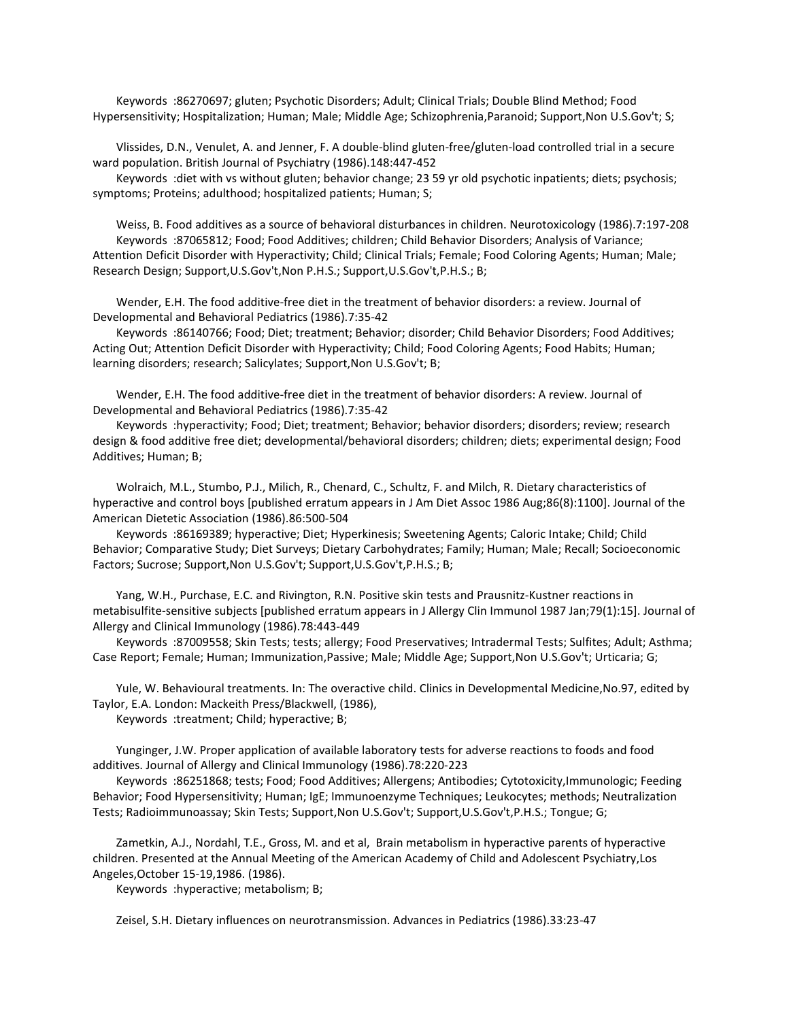Keywords :86270697; gluten; Psychotic Disorders; Adult; Clinical Trials; Double Blind Method; Food Hypersensitivity; Hospitalization; Human; Male; Middle Age; Schizophrenia,Paranoid; Support,Non U.S.Gov't; S;

 Vlissides, D.N., Venulet, A. and Jenner, F. A double-blind gluten-free/gluten-load controlled trial in a secure ward population. British Journal of Psychiatry (1986).148:447-452

 Keywords :diet with vs without gluten; behavior change; 23 59 yr old psychotic inpatients; diets; psychosis; symptoms; Proteins; adulthood; hospitalized patients; Human; S;

 Weiss, B. Food additives as a source of behavioral disturbances in children. Neurotoxicology (1986).7:197-208 Keywords :87065812; Food; Food Additives; children; Child Behavior Disorders; Analysis of Variance; Attention Deficit Disorder with Hyperactivity; Child; Clinical Trials; Female; Food Coloring Agents; Human; Male; Research Design; Support,U.S.Gov't,Non P.H.S.; Support,U.S.Gov't,P.H.S.; B;

 Wender, E.H. The food additive-free diet in the treatment of behavior disorders: a review. Journal of Developmental and Behavioral Pediatrics (1986).7:35-42

 Keywords :86140766; Food; Diet; treatment; Behavior; disorder; Child Behavior Disorders; Food Additives; Acting Out; Attention Deficit Disorder with Hyperactivity; Child; Food Coloring Agents; Food Habits; Human; learning disorders; research; Salicylates; Support,Non U.S.Gov't; B;

 Wender, E.H. The food additive-free diet in the treatment of behavior disorders: A review. Journal of Developmental and Behavioral Pediatrics (1986).7:35-42

 Keywords :hyperactivity; Food; Diet; treatment; Behavior; behavior disorders; disorders; review; research design & food additive free diet; developmental/behavioral disorders; children; diets; experimental design; Food Additives; Human; B;

 Wolraich, M.L., Stumbo, P.J., Milich, R., Chenard, C., Schultz, F. and Milch, R. Dietary characteristics of hyperactive and control boys [published erratum appears in J Am Diet Assoc 1986 Aug;86(8):1100]. Journal of the American Dietetic Association (1986).86:500-504

 Keywords :86169389; hyperactive; Diet; Hyperkinesis; Sweetening Agents; Caloric Intake; Child; Child Behavior; Comparative Study; Diet Surveys; Dietary Carbohydrates; Family; Human; Male; Recall; Socioeconomic Factors; Sucrose; Support,Non U.S.Gov't; Support,U.S.Gov't,P.H.S.; B;

 Yang, W.H., Purchase, E.C. and Rivington, R.N. Positive skin tests and Prausnitz-Kustner reactions in metabisulfite-sensitive subjects [published erratum appears in J Allergy Clin Immunol 1987 Jan;79(1):15]. Journal of Allergy and Clinical Immunology (1986).78:443-449

 Keywords :87009558; Skin Tests; tests; allergy; Food Preservatives; Intradermal Tests; Sulfites; Adult; Asthma; Case Report; Female; Human; Immunization,Passive; Male; Middle Age; Support,Non U.S.Gov't; Urticaria; G;

Yule, W. Behavioural treatments. In: The overactive child. Clinics in Developmental Medicine, No.97, edited by Taylor, E.A. London: Mackeith Press/Blackwell, (1986),

Keywords :treatment; Child; hyperactive; B;

 Yunginger, J.W. Proper application of available laboratory tests for adverse reactions to foods and food additives. Journal of Allergy and Clinical Immunology (1986).78:220-223

 Keywords :86251868; tests; Food; Food Additives; Allergens; Antibodies; Cytotoxicity,Immunologic; Feeding Behavior; Food Hypersensitivity; Human; IgE; Immunoenzyme Techniques; Leukocytes; methods; Neutralization Tests; Radioimmunoassay; Skin Tests; Support,Non U.S.Gov't; Support,U.S.Gov't,P.H.S.; Tongue; G;

 Zametkin, A.J., Nordahl, T.E., Gross, M. and et al, Brain metabolism in hyperactive parents of hyperactive children. Presented at the Annual Meeting of the American Academy of Child and Adolescent Psychiatry,Los Angeles,October 15-19,1986. (1986).

Keywords :hyperactive; metabolism; B;

Zeisel, S.H. Dietary influences on neurotransmission. Advances in Pediatrics (1986).33:23-47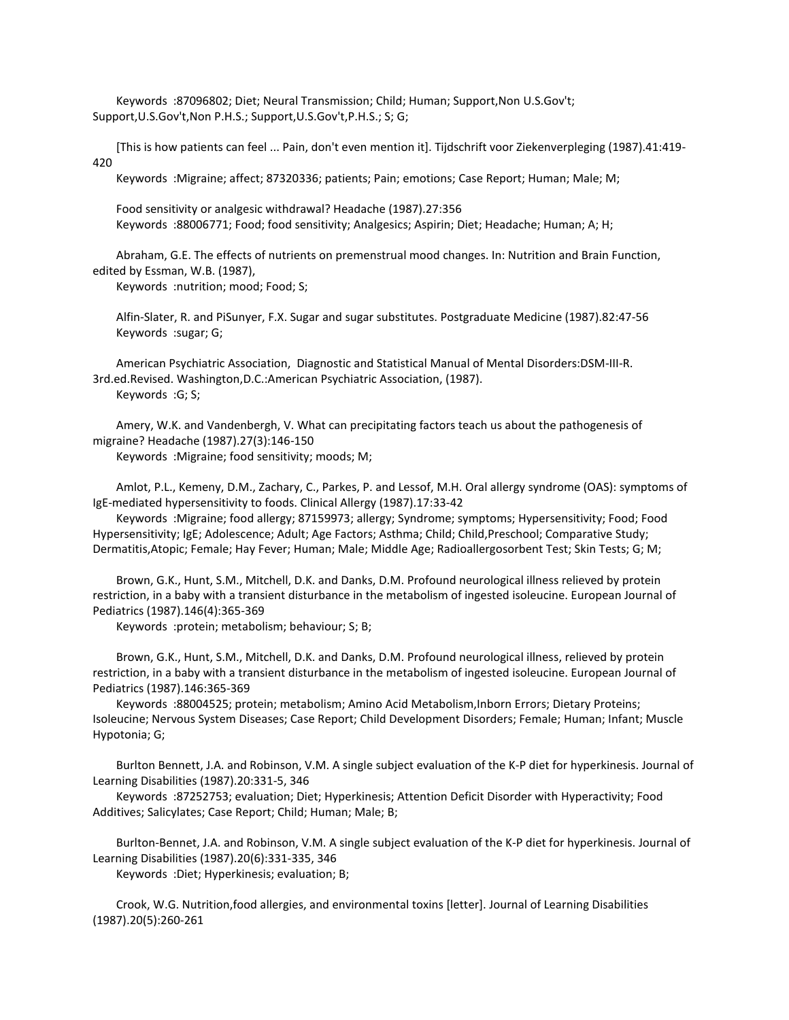Keywords :87096802; Diet; Neural Transmission; Child; Human; Support,Non U.S.Gov't; Support,U.S.Gov't,Non P.H.S.; Support,U.S.Gov't,P.H.S.; S; G;

 [This is how patients can feel ... Pain, don't even mention it]. Tijdschrift voor Ziekenverpleging (1987).41:419- 420

Keywords :Migraine; affect; 87320336; patients; Pain; emotions; Case Report; Human; Male; M;

 Food sensitivity or analgesic withdrawal? Headache (1987).27:356 Keywords :88006771; Food; food sensitivity; Analgesics; Aspirin; Diet; Headache; Human; A; H;

 Abraham, G.E. The effects of nutrients on premenstrual mood changes. In: Nutrition and Brain Function, edited by Essman, W.B. (1987),

Keywords :nutrition; mood; Food; S;

 Alfin-Slater, R. and PiSunyer, F.X. Sugar and sugar substitutes. Postgraduate Medicine (1987).82:47-56 Keywords :sugar; G;

 American Psychiatric Association, Diagnostic and Statistical Manual of Mental Disorders:DSM-III-R. 3rd.ed.Revised. Washington,D.C.:American Psychiatric Association, (1987). Keywords :G; S;

 Amery, W.K. and Vandenbergh, V. What can precipitating factors teach us about the pathogenesis of migraine? Headache (1987).27(3):146-150

Keywords :Migraine; food sensitivity; moods; M;

 Amlot, P.L., Kemeny, D.M., Zachary, C., Parkes, P. and Lessof, M.H. Oral allergy syndrome (OAS): symptoms of IgE-mediated hypersensitivity to foods. Clinical Allergy (1987).17:33-42

 Keywords :Migraine; food allergy; 87159973; allergy; Syndrome; symptoms; Hypersensitivity; Food; Food Hypersensitivity; IgE; Adolescence; Adult; Age Factors; Asthma; Child; Child,Preschool; Comparative Study; Dermatitis,Atopic; Female; Hay Fever; Human; Male; Middle Age; Radioallergosorbent Test; Skin Tests; G; M;

 Brown, G.K., Hunt, S.M., Mitchell, D.K. and Danks, D.M. Profound neurological illness relieved by protein restriction, in a baby with a transient disturbance in the metabolism of ingested isoleucine. European Journal of Pediatrics (1987).146(4):365-369

Keywords :protein; metabolism; behaviour; S; B;

 Brown, G.K., Hunt, S.M., Mitchell, D.K. and Danks, D.M. Profound neurological illness, relieved by protein restriction, in a baby with a transient disturbance in the metabolism of ingested isoleucine. European Journal of Pediatrics (1987).146:365-369

 Keywords :88004525; protein; metabolism; Amino Acid Metabolism,Inborn Errors; Dietary Proteins; Isoleucine; Nervous System Diseases; Case Report; Child Development Disorders; Female; Human; Infant; Muscle Hypotonia; G;

 Burlton Bennett, J.A. and Robinson, V.M. A single subject evaluation of the K-P diet for hyperkinesis. Journal of Learning Disabilities (1987).20:331-5, 346

 Keywords :87252753; evaluation; Diet; Hyperkinesis; Attention Deficit Disorder with Hyperactivity; Food Additives; Salicylates; Case Report; Child; Human; Male; B;

 Burlton-Bennet, J.A. and Robinson, V.M. A single subject evaluation of the K-P diet for hyperkinesis. Journal of Learning Disabilities (1987).20(6):331-335, 346

Keywords :Diet; Hyperkinesis; evaluation; B;

 Crook, W.G. Nutrition,food allergies, and environmental toxins [letter]. Journal of Learning Disabilities (1987).20(5):260-261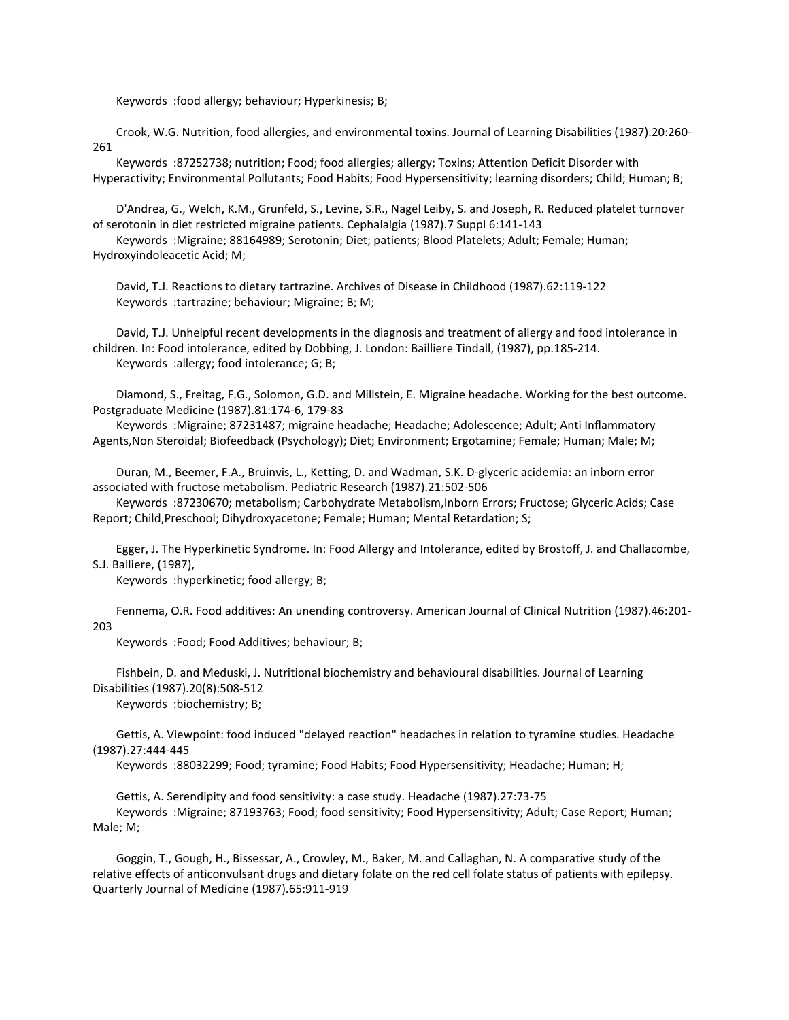Keywords :food allergy; behaviour; Hyperkinesis; B;

 Crook, W.G. Nutrition, food allergies, and environmental toxins. Journal of Learning Disabilities (1987).20:260- 261

 Keywords :87252738; nutrition; Food; food allergies; allergy; Toxins; Attention Deficit Disorder with Hyperactivity; Environmental Pollutants; Food Habits; Food Hypersensitivity; learning disorders; Child; Human; B;

 D'Andrea, G., Welch, K.M., Grunfeld, S., Levine, S.R., Nagel Leiby, S. and Joseph, R. Reduced platelet turnover of serotonin in diet restricted migraine patients. Cephalalgia (1987).7 Suppl 6:141-143

 Keywords :Migraine; 88164989; Serotonin; Diet; patients; Blood Platelets; Adult; Female; Human; Hydroxyindoleacetic Acid; M;

 David, T.J. Reactions to dietary tartrazine. Archives of Disease in Childhood (1987).62:119-122 Keywords :tartrazine; behaviour; Migraine; B; M;

 David, T.J. Unhelpful recent developments in the diagnosis and treatment of allergy and food intolerance in children. In: Food intolerance, edited by Dobbing, J. London: Bailliere Tindall, (1987), pp.185-214. Keywords :allergy; food intolerance; G; B;

 Diamond, S., Freitag, F.G., Solomon, G.D. and Millstein, E. Migraine headache. Working for the best outcome. Postgraduate Medicine (1987).81:174-6, 179-83

 Keywords :Migraine; 87231487; migraine headache; Headache; Adolescence; Adult; Anti Inflammatory Agents,Non Steroidal; Biofeedback (Psychology); Diet; Environment; Ergotamine; Female; Human; Male; M;

 Duran, M., Beemer, F.A., Bruinvis, L., Ketting, D. and Wadman, S.K. D-glyceric acidemia: an inborn error associated with fructose metabolism. Pediatric Research (1987).21:502-506

 Keywords :87230670; metabolism; Carbohydrate Metabolism,Inborn Errors; Fructose; Glyceric Acids; Case Report; Child,Preschool; Dihydroxyacetone; Female; Human; Mental Retardation; S;

 Egger, J. The Hyperkinetic Syndrome. In: Food Allergy and Intolerance, edited by Brostoff, J. and Challacombe, S.J. Balliere, (1987),

Keywords :hyperkinetic; food allergy; B;

 Fennema, O.R. Food additives: An unending controversy. American Journal of Clinical Nutrition (1987).46:201- 203

Keywords :Food; Food Additives; behaviour; B;

 Fishbein, D. and Meduski, J. Nutritional biochemistry and behavioural disabilities. Journal of Learning Disabilities (1987).20(8):508-512

Keywords :biochemistry; B;

 Gettis, A. Viewpoint: food induced "delayed reaction" headaches in relation to tyramine studies. Headache (1987).27:444-445

Keywords :88032299; Food; tyramine; Food Habits; Food Hypersensitivity; Headache; Human; H;

Gettis, A. Serendipity and food sensitivity: a case study. Headache (1987).27:73-75

 Keywords :Migraine; 87193763; Food; food sensitivity; Food Hypersensitivity; Adult; Case Report; Human; Male; M;

 Goggin, T., Gough, H., Bissessar, A., Crowley, M., Baker, M. and Callaghan, N. A comparative study of the relative effects of anticonvulsant drugs and dietary folate on the red cell folate status of patients with epilepsy. Quarterly Journal of Medicine (1987).65:911-919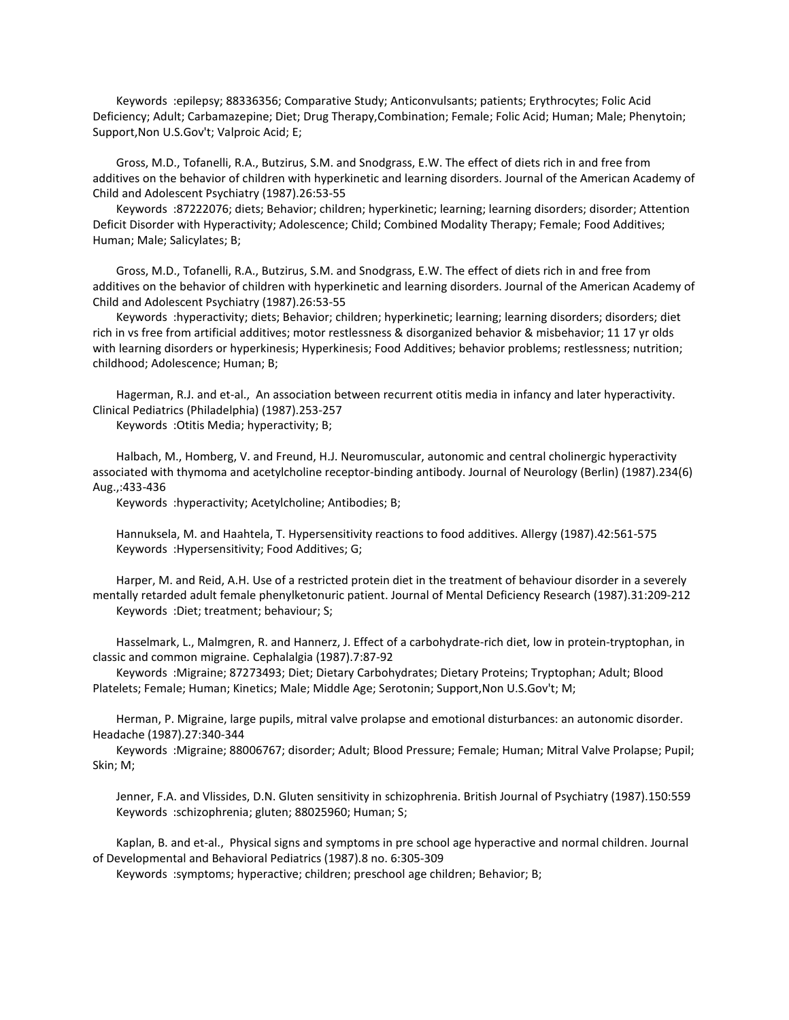Keywords :epilepsy; 88336356; Comparative Study; Anticonvulsants; patients; Erythrocytes; Folic Acid Deficiency; Adult; Carbamazepine; Diet; Drug Therapy,Combination; Female; Folic Acid; Human; Male; Phenytoin; Support,Non U.S.Gov't; Valproic Acid; E;

 Gross, M.D., Tofanelli, R.A., Butzirus, S.M. and Snodgrass, E.W. The effect of diets rich in and free from additives on the behavior of children with hyperkinetic and learning disorders. Journal of the American Academy of Child and Adolescent Psychiatry (1987).26:53-55

 Keywords :87222076; diets; Behavior; children; hyperkinetic; learning; learning disorders; disorder; Attention Deficit Disorder with Hyperactivity; Adolescence; Child; Combined Modality Therapy; Female; Food Additives; Human; Male; Salicylates; B;

 Gross, M.D., Tofanelli, R.A., Butzirus, S.M. and Snodgrass, E.W. The effect of diets rich in and free from additives on the behavior of children with hyperkinetic and learning disorders. Journal of the American Academy of Child and Adolescent Psychiatry (1987).26:53-55

 Keywords :hyperactivity; diets; Behavior; children; hyperkinetic; learning; learning disorders; disorders; diet rich in vs free from artificial additives; motor restlessness & disorganized behavior & misbehavior; 11 17 yr olds with learning disorders or hyperkinesis; Hyperkinesis; Food Additives; behavior problems; restlessness; nutrition; childhood; Adolescence; Human; B;

 Hagerman, R.J. and et-al., An association between recurrent otitis media in infancy and later hyperactivity. Clinical Pediatrics (Philadelphia) (1987).253-257

Keywords :Otitis Media; hyperactivity; B;

 Halbach, M., Homberg, V. and Freund, H.J. Neuromuscular, autonomic and central cholinergic hyperactivity associated with thymoma and acetylcholine receptor-binding antibody. Journal of Neurology (Berlin) (1987).234(6) Aug.,:433-436

Keywords :hyperactivity; Acetylcholine; Antibodies; B;

 Hannuksela, M. and Haahtela, T. Hypersensitivity reactions to food additives. Allergy (1987).42:561-575 Keywords :Hypersensitivity; Food Additives; G;

 Harper, M. and Reid, A.H. Use of a restricted protein diet in the treatment of behaviour disorder in a severely mentally retarded adult female phenylketonuric patient. Journal of Mental Deficiency Research (1987).31:209-212 Keywords :Diet; treatment; behaviour; S;

 Hasselmark, L., Malmgren, R. and Hannerz, J. Effect of a carbohydrate-rich diet, low in protein-tryptophan, in classic and common migraine. Cephalalgia (1987).7:87-92

 Keywords :Migraine; 87273493; Diet; Dietary Carbohydrates; Dietary Proteins; Tryptophan; Adult; Blood Platelets; Female; Human; Kinetics; Male; Middle Age; Serotonin; Support,Non U.S.Gov't; M;

 Herman, P. Migraine, large pupils, mitral valve prolapse and emotional disturbances: an autonomic disorder. Headache (1987).27:340-344

 Keywords :Migraine; 88006767; disorder; Adult; Blood Pressure; Female; Human; Mitral Valve Prolapse; Pupil; Skin; M;

 Jenner, F.A. and Vlissides, D.N. Gluten sensitivity in schizophrenia. British Journal of Psychiatry (1987).150:559 Keywords :schizophrenia; gluten; 88025960; Human; S;

 Kaplan, B. and et-al., Physical signs and symptoms in pre school age hyperactive and normal children. Journal of Developmental and Behavioral Pediatrics (1987).8 no. 6:305-309

Keywords :symptoms; hyperactive; children; preschool age children; Behavior; B;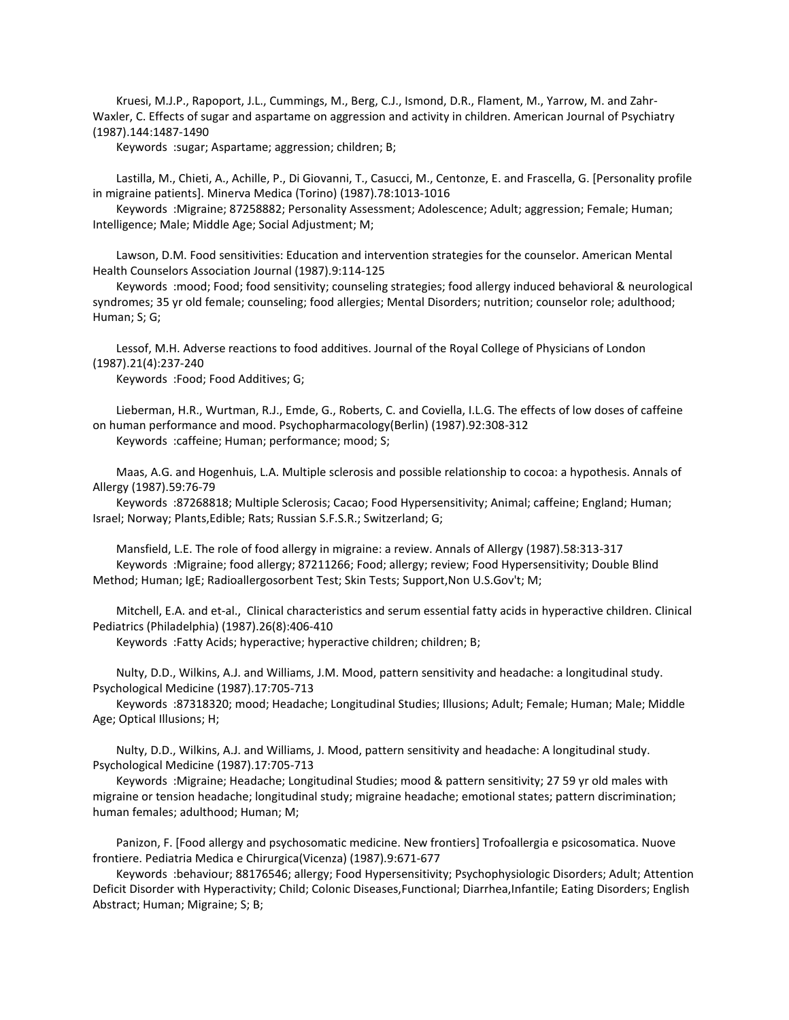Kruesi, M.J.P., Rapoport, J.L., Cummings, M., Berg, C.J., Ismond, D.R., Flament, M., Yarrow, M. and Zahr-Waxler, C. Effects of sugar and aspartame on aggression and activity in children. American Journal of Psychiatry (1987).144:1487-1490

Keywords :sugar; Aspartame; aggression; children; B;

 Lastilla, M., Chieti, A., Achille, P., Di Giovanni, T., Casucci, M., Centonze, E. and Frascella, G. [Personality profile in migraine patients]. Minerva Medica (Torino) (1987).78:1013-1016

 Keywords :Migraine; 87258882; Personality Assessment; Adolescence; Adult; aggression; Female; Human; Intelligence; Male; Middle Age; Social Adjustment; M;

 Lawson, D.M. Food sensitivities: Education and intervention strategies for the counselor. American Mental Health Counselors Association Journal (1987).9:114-125

 Keywords :mood; Food; food sensitivity; counseling strategies; food allergy induced behavioral & neurological syndromes; 35 yr old female; counseling; food allergies; Mental Disorders; nutrition; counselor role; adulthood; Human; S; G;

 Lessof, M.H. Adverse reactions to food additives. Journal of the Royal College of Physicians of London (1987).21(4):237-240

Keywords :Food; Food Additives; G;

 Lieberman, H.R., Wurtman, R.J., Emde, G., Roberts, C. and Coviella, I.L.G. The effects of low doses of caffeine on human performance and mood. Psychopharmacology(Berlin) (1987).92:308-312 Keywords :caffeine; Human; performance; mood; S;

 Maas, A.G. and Hogenhuis, L.A. Multiple sclerosis and possible relationship to cocoa: a hypothesis. Annals of Allergy (1987).59:76-79

 Keywords :87268818; Multiple Sclerosis; Cacao; Food Hypersensitivity; Animal; caffeine; England; Human; Israel; Norway; Plants,Edible; Rats; Russian S.F.S.R.; Switzerland; G;

 Mansfield, L.E. The role of food allergy in migraine: a review. Annals of Allergy (1987).58:313-317 Keywords :Migraine; food allergy; 87211266; Food; allergy; review; Food Hypersensitivity; Double Blind Method; Human; IgE; Radioallergosorbent Test; Skin Tests; Support,Non U.S.Gov't; M;

 Mitchell, E.A. and et-al., Clinical characteristics and serum essential fatty acids in hyperactive children. Clinical Pediatrics (Philadelphia) (1987).26(8):406-410

Keywords :Fatty Acids; hyperactive; hyperactive children; children; B;

 Nulty, D.D., Wilkins, A.J. and Williams, J.M. Mood, pattern sensitivity and headache: a longitudinal study. Psychological Medicine (1987).17:705-713

 Keywords :87318320; mood; Headache; Longitudinal Studies; Illusions; Adult; Female; Human; Male; Middle Age; Optical Illusions; H;

 Nulty, D.D., Wilkins, A.J. and Williams, J. Mood, pattern sensitivity and headache: A longitudinal study. Psychological Medicine (1987).17:705-713

 Keywords :Migraine; Headache; Longitudinal Studies; mood & pattern sensitivity; 27 59 yr old males with migraine or tension headache; longitudinal study; migraine headache; emotional states; pattern discrimination; human females; adulthood; Human; M;

 Panizon, F. [Food allergy and psychosomatic medicine. New frontiers] Trofoallergia e psicosomatica. Nuove frontiere. Pediatria Medica e Chirurgica(Vicenza) (1987).9:671-677

 Keywords :behaviour; 88176546; allergy; Food Hypersensitivity; Psychophysiologic Disorders; Adult; Attention Deficit Disorder with Hyperactivity; Child; Colonic Diseases,Functional; Diarrhea,Infantile; Eating Disorders; English Abstract; Human; Migraine; S; B;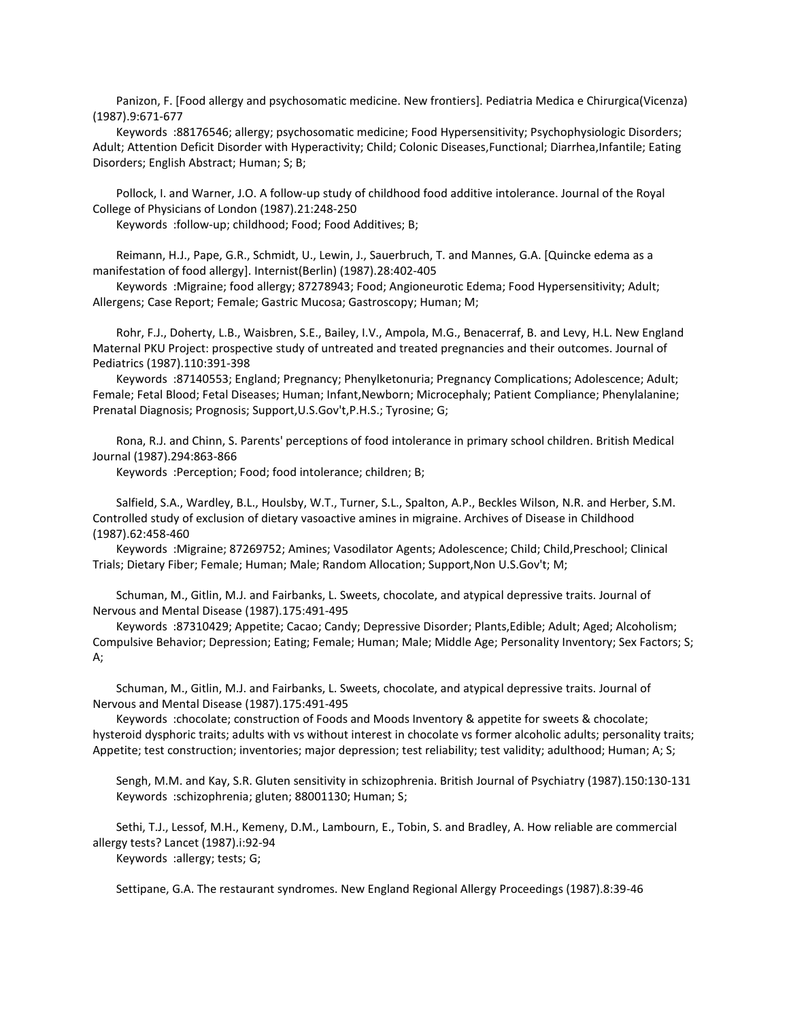Panizon, F. [Food allergy and psychosomatic medicine. New frontiers]. Pediatria Medica e Chirurgica(Vicenza) (1987).9:671-677

 Keywords :88176546; allergy; psychosomatic medicine; Food Hypersensitivity; Psychophysiologic Disorders; Adult; Attention Deficit Disorder with Hyperactivity; Child; Colonic Diseases,Functional; Diarrhea,Infantile; Eating Disorders; English Abstract; Human; S; B;

 Pollock, I. and Warner, J.O. A follow-up study of childhood food additive intolerance. Journal of the Royal College of Physicians of London (1987).21:248-250

Keywords :follow-up; childhood; Food; Food Additives; B;

 Reimann, H.J., Pape, G.R., Schmidt, U., Lewin, J., Sauerbruch, T. and Mannes, G.A. [Quincke edema as a manifestation of food allergy]. Internist(Berlin) (1987).28:402-405

 Keywords :Migraine; food allergy; 87278943; Food; Angioneurotic Edema; Food Hypersensitivity; Adult; Allergens; Case Report; Female; Gastric Mucosa; Gastroscopy; Human; M;

 Rohr, F.J., Doherty, L.B., Waisbren, S.E., Bailey, I.V., Ampola, M.G., Benacerraf, B. and Levy, H.L. New England Maternal PKU Project: prospective study of untreated and treated pregnancies and their outcomes. Journal of Pediatrics (1987).110:391-398

 Keywords :87140553; England; Pregnancy; Phenylketonuria; Pregnancy Complications; Adolescence; Adult; Female; Fetal Blood; Fetal Diseases; Human; Infant,Newborn; Microcephaly; Patient Compliance; Phenylalanine; Prenatal Diagnosis; Prognosis; Support,U.S.Gov't,P.H.S.; Tyrosine; G;

 Rona, R.J. and Chinn, S. Parents' perceptions of food intolerance in primary school children. British Medical Journal (1987).294:863-866

Keywords :Perception; Food; food intolerance; children; B;

 Salfield, S.A., Wardley, B.L., Houlsby, W.T., Turner, S.L., Spalton, A.P., Beckles Wilson, N.R. and Herber, S.M. Controlled study of exclusion of dietary vasoactive amines in migraine. Archives of Disease in Childhood (1987).62:458-460

 Keywords :Migraine; 87269752; Amines; Vasodilator Agents; Adolescence; Child; Child,Preschool; Clinical Trials; Dietary Fiber; Female; Human; Male; Random Allocation; Support,Non U.S.Gov't; M;

 Schuman, M., Gitlin, M.J. and Fairbanks, L. Sweets, chocolate, and atypical depressive traits. Journal of Nervous and Mental Disease (1987).175:491-495

 Keywords :87310429; Appetite; Cacao; Candy; Depressive Disorder; Plants,Edible; Adult; Aged; Alcoholism; Compulsive Behavior; Depression; Eating; Female; Human; Male; Middle Age; Personality Inventory; Sex Factors; S; A;

 Schuman, M., Gitlin, M.J. and Fairbanks, L. Sweets, chocolate, and atypical depressive traits. Journal of Nervous and Mental Disease (1987).175:491-495

 Keywords :chocolate; construction of Foods and Moods Inventory & appetite for sweets & chocolate; hysteroid dysphoric traits; adults with vs without interest in chocolate vs former alcoholic adults; personality traits; Appetite; test construction; inventories; major depression; test reliability; test validity; adulthood; Human; A; S;

 Sengh, M.M. and Kay, S.R. Gluten sensitivity in schizophrenia. British Journal of Psychiatry (1987).150:130-131 Keywords :schizophrenia; gluten; 88001130; Human; S;

 Sethi, T.J., Lessof, M.H., Kemeny, D.M., Lambourn, E., Tobin, S. and Bradley, A. How reliable are commercial allergy tests? Lancet (1987).i:92-94

Keywords :allergy; tests; G;

Settipane, G.A. The restaurant syndromes. New England Regional Allergy Proceedings (1987).8:39-46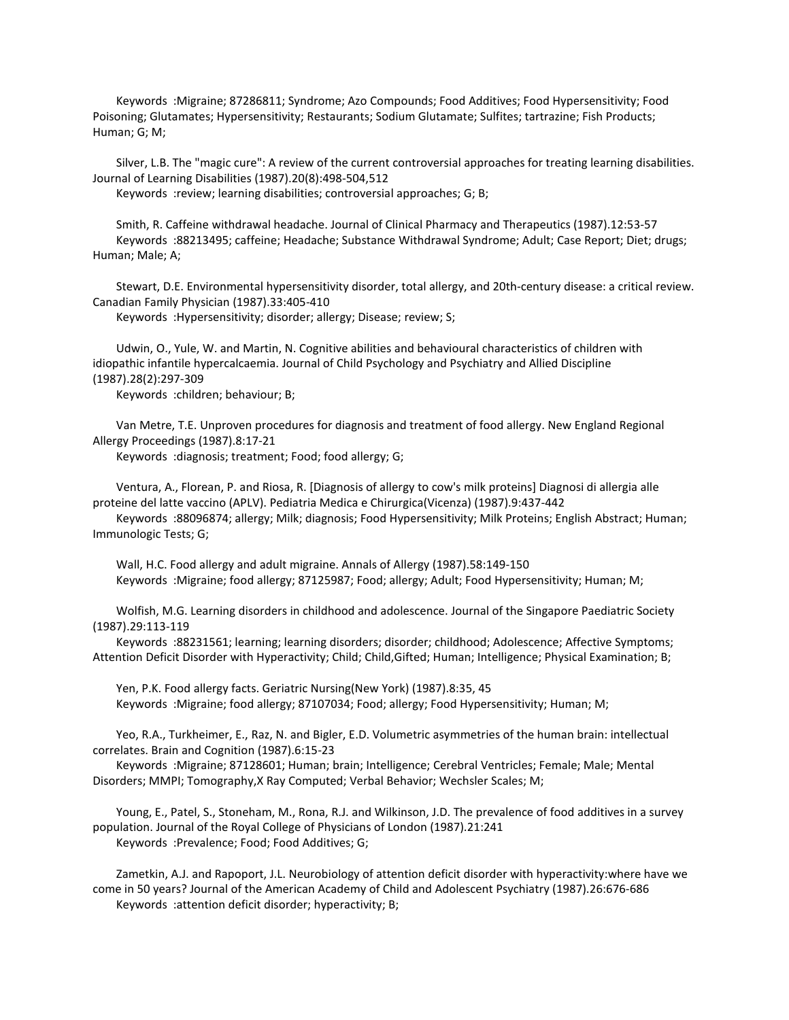Keywords :Migraine; 87286811; Syndrome; Azo Compounds; Food Additives; Food Hypersensitivity; Food Poisoning; Glutamates; Hypersensitivity; Restaurants; Sodium Glutamate; Sulfites; tartrazine; Fish Products; Human; G; M;

 Silver, L.B. The "magic cure": A review of the current controversial approaches for treating learning disabilities. Journal of Learning Disabilities (1987).20(8):498-504,512

Keywords :review; learning disabilities; controversial approaches; G; B;

 Smith, R. Caffeine withdrawal headache. Journal of Clinical Pharmacy and Therapeutics (1987).12:53-57 Keywords :88213495; caffeine; Headache; Substance Withdrawal Syndrome; Adult; Case Report; Diet; drugs; Human; Male; A;

 Stewart, D.E. Environmental hypersensitivity disorder, total allergy, and 20th-century disease: a critical review. Canadian Family Physician (1987).33:405-410

Keywords :Hypersensitivity; disorder; allergy; Disease; review; S;

 Udwin, O., Yule, W. and Martin, N. Cognitive abilities and behavioural characteristics of children with idiopathic infantile hypercalcaemia. Journal of Child Psychology and Psychiatry and Allied Discipline (1987).28(2):297-309

Keywords :children; behaviour; B;

 Van Metre, T.E. Unproven procedures for diagnosis and treatment of food allergy. New England Regional Allergy Proceedings (1987).8:17-21

Keywords :diagnosis; treatment; Food; food allergy; G;

 Ventura, A., Florean, P. and Riosa, R. [Diagnosis of allergy to cow's milk proteins] Diagnosi di allergia alle proteine del latte vaccino (APLV). Pediatria Medica e Chirurgica(Vicenza) (1987).9:437-442

 Keywords :88096874; allergy; Milk; diagnosis; Food Hypersensitivity; Milk Proteins; English Abstract; Human; Immunologic Tests; G;

 Wall, H.C. Food allergy and adult migraine. Annals of Allergy (1987).58:149-150 Keywords :Migraine; food allergy; 87125987; Food; allergy; Adult; Food Hypersensitivity; Human; M;

 Wolfish, M.G. Learning disorders in childhood and adolescence. Journal of the Singapore Paediatric Society (1987).29:113-119

 Keywords :88231561; learning; learning disorders; disorder; childhood; Adolescence; Affective Symptoms; Attention Deficit Disorder with Hyperactivity; Child; Child,Gifted; Human; Intelligence; Physical Examination; B;

 Yen, P.K. Food allergy facts. Geriatric Nursing(New York) (1987).8:35, 45 Keywords :Migraine; food allergy; 87107034; Food; allergy; Food Hypersensitivity; Human; M;

 Yeo, R.A., Turkheimer, E., Raz, N. and Bigler, E.D. Volumetric asymmetries of the human brain: intellectual correlates. Brain and Cognition (1987).6:15-23

 Keywords :Migraine; 87128601; Human; brain; Intelligence; Cerebral Ventricles; Female; Male; Mental Disorders; MMPI; Tomography,X Ray Computed; Verbal Behavior; Wechsler Scales; M;

 Young, E., Patel, S., Stoneham, M., Rona, R.J. and Wilkinson, J.D. The prevalence of food additives in a survey population. Journal of the Royal College of Physicians of London (1987).21:241 Keywords :Prevalence; Food; Food Additives; G;

 Zametkin, A.J. and Rapoport, J.L. Neurobiology of attention deficit disorder with hyperactivity:where have we come in 50 years? Journal of the American Academy of Child and Adolescent Psychiatry (1987).26:676-686 Keywords :attention deficit disorder; hyperactivity; B;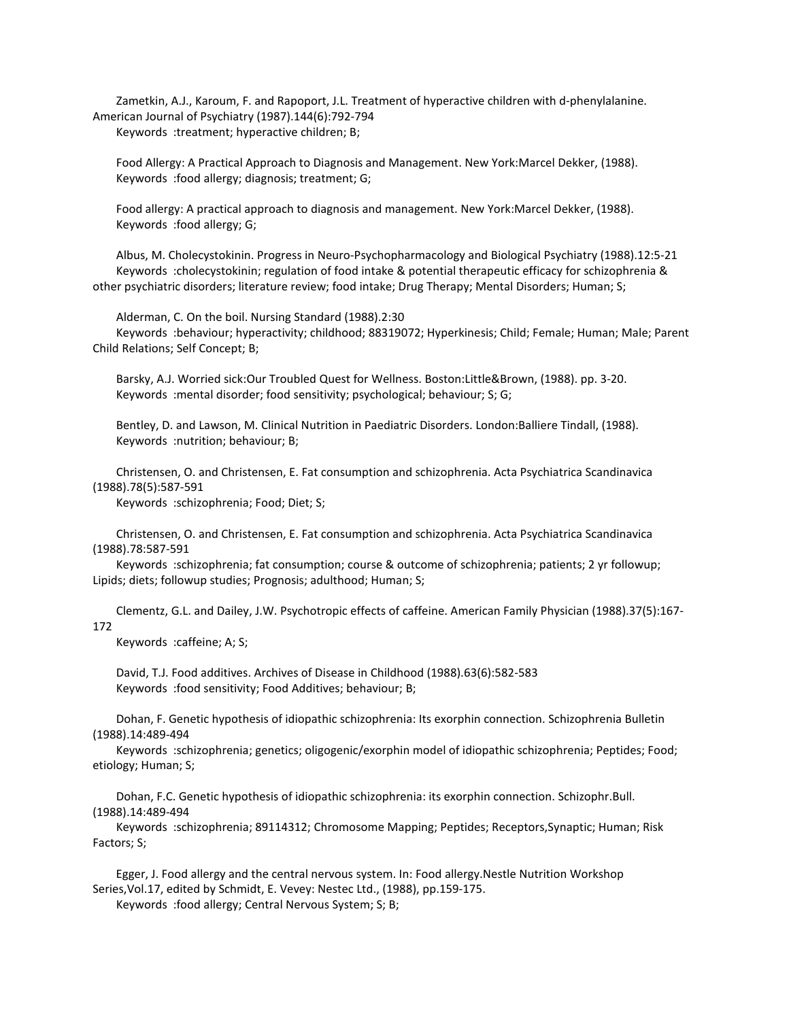Zametkin, A.J., Karoum, F. and Rapoport, J.L. Treatment of hyperactive children with d-phenylalanine. American Journal of Psychiatry (1987).144(6):792-794 Keywords :treatment; hyperactive children; B;

 Food Allergy: A Practical Approach to Diagnosis and Management. New York:Marcel Dekker, (1988). Keywords :food allergy; diagnosis; treatment; G;

 Food allergy: A practical approach to diagnosis and management. New York:Marcel Dekker, (1988). Keywords :food allergy; G;

 Albus, M. Cholecystokinin. Progress in Neuro-Psychopharmacology and Biological Psychiatry (1988).12:5-21 Keywords :cholecystokinin; regulation of food intake & potential therapeutic efficacy for schizophrenia & other psychiatric disorders; literature review; food intake; Drug Therapy; Mental Disorders; Human; S;

 Alderman, C. On the boil. Nursing Standard (1988).2:30 Keywords :behaviour; hyperactivity; childhood; 88319072; Hyperkinesis; Child; Female; Human; Male; Parent Child Relations; Self Concept; B;

 Barsky, A.J. Worried sick:Our Troubled Quest for Wellness. Boston:Little&Brown, (1988). pp. 3-20. Keywords :mental disorder; food sensitivity; psychological; behaviour; S; G;

 Bentley, D. and Lawson, M. Clinical Nutrition in Paediatric Disorders. London:Balliere Tindall, (1988). Keywords :nutrition; behaviour; B;

 Christensen, O. and Christensen, E. Fat consumption and schizophrenia. Acta Psychiatrica Scandinavica (1988).78(5):587-591

Keywords :schizophrenia; Food; Diet; S;

 Christensen, O. and Christensen, E. Fat consumption and schizophrenia. Acta Psychiatrica Scandinavica (1988).78:587-591

 Keywords :schizophrenia; fat consumption; course & outcome of schizophrenia; patients; 2 yr followup; Lipids; diets; followup studies; Prognosis; adulthood; Human; S;

 Clementz, G.L. and Dailey, J.W. Psychotropic effects of caffeine. American Family Physician (1988).37(5):167- 172

Keywords :caffeine; A; S;

 David, T.J. Food additives. Archives of Disease in Childhood (1988).63(6):582-583 Keywords :food sensitivity; Food Additives; behaviour; B;

 Dohan, F. Genetic hypothesis of idiopathic schizophrenia: Its exorphin connection. Schizophrenia Bulletin (1988).14:489-494

 Keywords :schizophrenia; genetics; oligogenic/exorphin model of idiopathic schizophrenia; Peptides; Food; etiology; Human; S;

 Dohan, F.C. Genetic hypothesis of idiopathic schizophrenia: its exorphin connection. Schizophr.Bull. (1988).14:489-494

 Keywords :schizophrenia; 89114312; Chromosome Mapping; Peptides; Receptors,Synaptic; Human; Risk Factors; S;

 Egger, J. Food allergy and the central nervous system. In: Food allergy.Nestle Nutrition Workshop Series,Vol.17, edited by Schmidt, E. Vevey: Nestec Ltd., (1988), pp.159-175. Keywords :food allergy; Central Nervous System; S; B;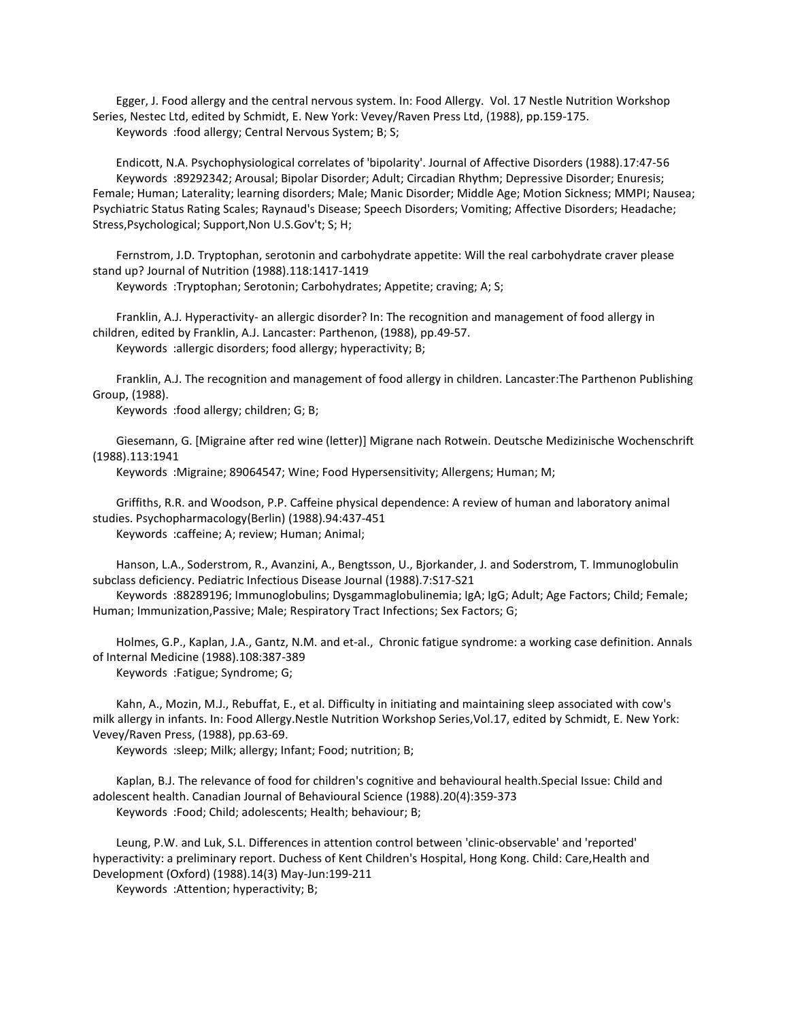Egger, J. Food allergy and the central nervous system. In: Food Allergy. Vol. 17 Nestle Nutrition Workshop Series, Nestec Ltd, edited by Schmidt, E. New York: Vevey/Raven Press Ltd, (1988), pp.159-175. Keywords :food allergy; Central Nervous System; B; S;

 Endicott, N.A. Psychophysiological correlates of 'bipolarity'. Journal of Affective Disorders (1988).17:47-56 Keywords :89292342; Arousal; Bipolar Disorder; Adult; Circadian Rhythm; Depressive Disorder; Enuresis; Female; Human; Laterality; learning disorders; Male; Manic Disorder; Middle Age; Motion Sickness; MMPI; Nausea; Psychiatric Status Rating Scales; Raynaud's Disease; Speech Disorders; Vomiting; Affective Disorders; Headache; Stress,Psychological; Support,Non U.S.Gov't; S; H;

 Fernstrom, J.D. Tryptophan, serotonin and carbohydrate appetite: Will the real carbohydrate craver please stand up? Journal of Nutrition (1988).118:1417-1419

Keywords :Tryptophan; Serotonin; Carbohydrates; Appetite; craving; A; S;

 Franklin, A.J. Hyperactivity- an allergic disorder? In: The recognition and management of food allergy in children, edited by Franklin, A.J. Lancaster: Parthenon, (1988), pp.49-57. Keywords :allergic disorders; food allergy; hyperactivity; B;

 Franklin, A.J. The recognition and management of food allergy in children. Lancaster:The Parthenon Publishing Group, (1988).

Keywords :food allergy; children; G; B;

 Giesemann, G. [Migraine after red wine (letter)] Migrane nach Rotwein. Deutsche Medizinische Wochenschrift (1988).113:1941

Keywords :Migraine; 89064547; Wine; Food Hypersensitivity; Allergens; Human; M;

 Griffiths, R.R. and Woodson, P.P. Caffeine physical dependence: A review of human and laboratory animal studies. Psychopharmacology(Berlin) (1988).94:437-451 Keywords :caffeine; A; review; Human; Animal;

 Hanson, L.A., Soderstrom, R., Avanzini, A., Bengtsson, U., Bjorkander, J. and Soderstrom, T. Immunoglobulin subclass deficiency. Pediatric Infectious Disease Journal (1988).7:S17-S21

 Keywords :88289196; Immunoglobulins; Dysgammaglobulinemia; IgA; IgG; Adult; Age Factors; Child; Female; Human; Immunization,Passive; Male; Respiratory Tract Infections; Sex Factors; G;

 Holmes, G.P., Kaplan, J.A., Gantz, N.M. and et-al., Chronic fatigue syndrome: a working case definition. Annals of Internal Medicine (1988).108:387-389 Keywords :Fatigue; Syndrome; G;

 Kahn, A., Mozin, M.J., Rebuffat, E., et al. Difficulty in initiating and maintaining sleep associated with cow's milk allergy in infants. In: Food Allergy.Nestle Nutrition Workshop Series,Vol.17, edited by Schmidt, E. New York: Vevey/Raven Press, (1988), pp.63-69.

Keywords :sleep; Milk; allergy; Infant; Food; nutrition; B;

 Kaplan, B.J. The relevance of food for children's cognitive and behavioural health.Special Issue: Child and adolescent health. Canadian Journal of Behavioural Science (1988).20(4):359-373 Keywords :Food; Child; adolescents; Health; behaviour; B;

 Leung, P.W. and Luk, S.L. Differences in attention control between 'clinic-observable' and 'reported' hyperactivity: a preliminary report. Duchess of Kent Children's Hospital, Hong Kong. Child: Care,Health and Development (Oxford) (1988).14(3) May-Jun:199-211

Keywords :Attention; hyperactivity; B;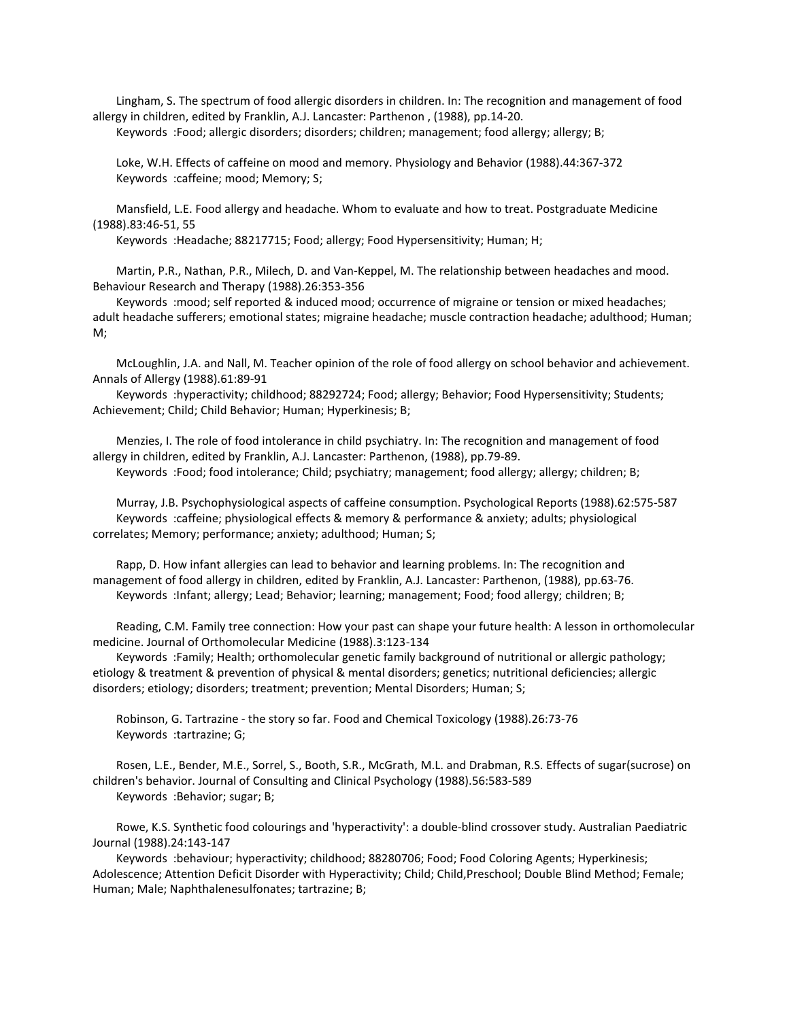Lingham, S. The spectrum of food allergic disorders in children. In: The recognition and management of food allergy in children, edited by Franklin, A.J. Lancaster: Parthenon , (1988), pp.14-20.

Keywords :Food; allergic disorders; disorders; children; management; food allergy; allergy; B;

 Loke, W.H. Effects of caffeine on mood and memory. Physiology and Behavior (1988).44:367-372 Keywords :caffeine; mood; Memory; S;

 Mansfield, L.E. Food allergy and headache. Whom to evaluate and how to treat. Postgraduate Medicine (1988).83:46-51, 55

Keywords :Headache; 88217715; Food; allergy; Food Hypersensitivity; Human; H;

 Martin, P.R., Nathan, P.R., Milech, D. and Van-Keppel, M. The relationship between headaches and mood. Behaviour Research and Therapy (1988).26:353-356

 Keywords :mood; self reported & induced mood; occurrence of migraine or tension or mixed headaches; adult headache sufferers; emotional states; migraine headache; muscle contraction headache; adulthood; Human; M;

 McLoughlin, J.A. and Nall, M. Teacher opinion of the role of food allergy on school behavior and achievement. Annals of Allergy (1988).61:89-91

 Keywords :hyperactivity; childhood; 88292724; Food; allergy; Behavior; Food Hypersensitivity; Students; Achievement; Child; Child Behavior; Human; Hyperkinesis; B;

 Menzies, I. The role of food intolerance in child psychiatry. In: The recognition and management of food allergy in children, edited by Franklin, A.J. Lancaster: Parthenon, (1988), pp.79-89.

Keywords :Food; food intolerance; Child; psychiatry; management; food allergy; allergy; children; B;

 Murray, J.B. Psychophysiological aspects of caffeine consumption. Psychological Reports (1988).62:575-587 Keywords :caffeine; physiological effects & memory & performance & anxiety; adults; physiological correlates; Memory; performance; anxiety; adulthood; Human; S;

 Rapp, D. How infant allergies can lead to behavior and learning problems. In: The recognition and management of food allergy in children, edited by Franklin, A.J. Lancaster: Parthenon, (1988), pp.63-76. Keywords :Infant; allergy; Lead; Behavior; learning; management; Food; food allergy; children; B;

 Reading, C.M. Family tree connection: How your past can shape your future health: A lesson in orthomolecular medicine. Journal of Orthomolecular Medicine (1988).3:123-134

 Keywords :Family; Health; orthomolecular genetic family background of nutritional or allergic pathology; etiology & treatment & prevention of physical & mental disorders; genetics; nutritional deficiencies; allergic disorders; etiology; disorders; treatment; prevention; Mental Disorders; Human; S;

 Robinson, G. Tartrazine - the story so far. Food and Chemical Toxicology (1988).26:73-76 Keywords :tartrazine; G;

 Rosen, L.E., Bender, M.E., Sorrel, S., Booth, S.R., McGrath, M.L. and Drabman, R.S. Effects of sugar(sucrose) on children's behavior. Journal of Consulting and Clinical Psychology (1988).56:583-589 Keywords :Behavior; sugar; B;

 Rowe, K.S. Synthetic food colourings and 'hyperactivity': a double-blind crossover study. Australian Paediatric Journal (1988).24:143-147

 Keywords :behaviour; hyperactivity; childhood; 88280706; Food; Food Coloring Agents; Hyperkinesis; Adolescence; Attention Deficit Disorder with Hyperactivity; Child; Child,Preschool; Double Blind Method; Female; Human; Male; Naphthalenesulfonates; tartrazine; B;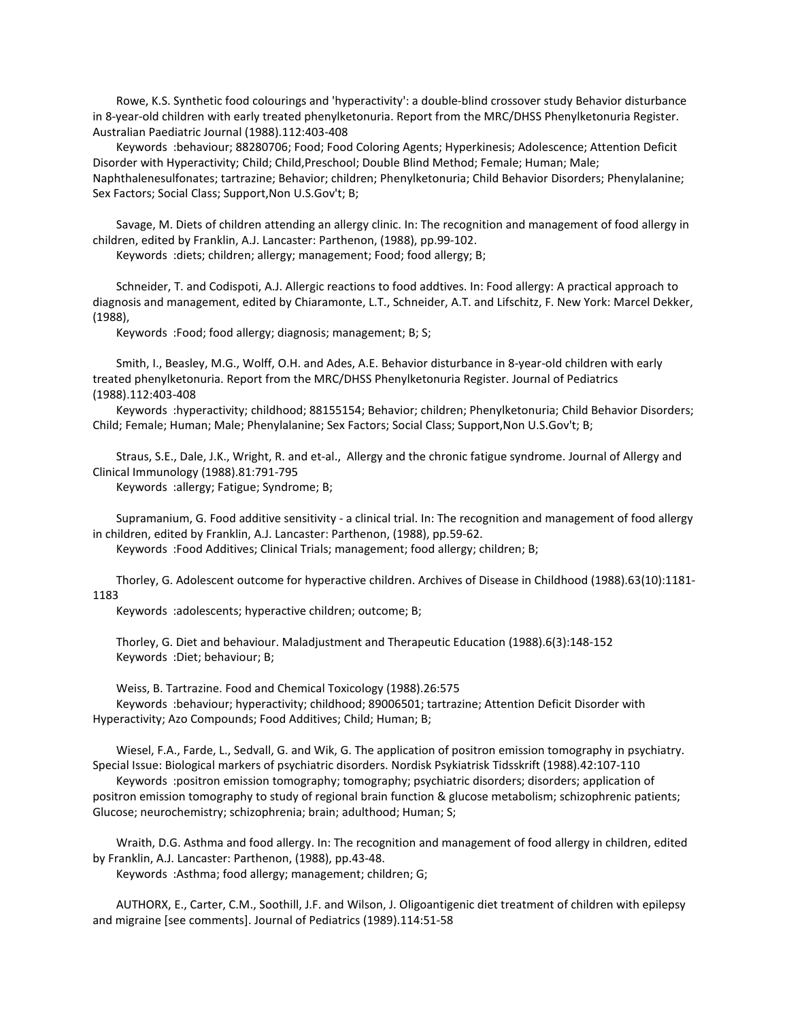Rowe, K.S. Synthetic food colourings and 'hyperactivity': a double-blind crossover study Behavior disturbance in 8-year-old children with early treated phenylketonuria. Report from the MRC/DHSS Phenylketonuria Register. Australian Paediatric Journal (1988).112:403-408

 Keywords :behaviour; 88280706; Food; Food Coloring Agents; Hyperkinesis; Adolescence; Attention Deficit Disorder with Hyperactivity; Child; Child,Preschool; Double Blind Method; Female; Human; Male; Naphthalenesulfonates; tartrazine; Behavior; children; Phenylketonuria; Child Behavior Disorders; Phenylalanine; Sex Factors; Social Class; Support,Non U.S.Gov't; B;

 Savage, M. Diets of children attending an allergy clinic. In: The recognition and management of food allergy in children, edited by Franklin, A.J. Lancaster: Parthenon, (1988), pp.99-102.

Keywords :diets; children; allergy; management; Food; food allergy; B;

 Schneider, T. and Codispoti, A.J. Allergic reactions to food addtives. In: Food allergy: A practical approach to diagnosis and management, edited by Chiaramonte, L.T., Schneider, A.T. and Lifschitz, F. New York: Marcel Dekker, (1988),

Keywords :Food; food allergy; diagnosis; management; B; S;

 Smith, I., Beasley, M.G., Wolff, O.H. and Ades, A.E. Behavior disturbance in 8-year-old children with early treated phenylketonuria. Report from the MRC/DHSS Phenylketonuria Register. Journal of Pediatrics (1988).112:403-408

 Keywords :hyperactivity; childhood; 88155154; Behavior; children; Phenylketonuria; Child Behavior Disorders; Child; Female; Human; Male; Phenylalanine; Sex Factors; Social Class; Support,Non U.S.Gov't; B;

 Straus, S.E., Dale, J.K., Wright, R. and et-al., Allergy and the chronic fatigue syndrome. Journal of Allergy and Clinical Immunology (1988).81:791-795

Keywords :allergy; Fatigue; Syndrome; B;

 Supramanium, G. Food additive sensitivity - a clinical trial. In: The recognition and management of food allergy in children, edited by Franklin, A.J. Lancaster: Parthenon, (1988), pp.59-62.

Keywords :Food Additives; Clinical Trials; management; food allergy; children; B;

 Thorley, G. Adolescent outcome for hyperactive children. Archives of Disease in Childhood (1988).63(10):1181- 1183

Keywords :adolescents; hyperactive children; outcome; B;

 Thorley, G. Diet and behaviour. Maladjustment and Therapeutic Education (1988).6(3):148-152 Keywords :Diet; behaviour; B;

 Weiss, B. Tartrazine. Food and Chemical Toxicology (1988).26:575 Keywords :behaviour; hyperactivity; childhood; 89006501; tartrazine; Attention Deficit Disorder with Hyperactivity; Azo Compounds; Food Additives; Child; Human; B;

 Wiesel, F.A., Farde, L., Sedvall, G. and Wik, G. The application of positron emission tomography in psychiatry. Special Issue: Biological markers of psychiatric disorders. Nordisk Psykiatrisk Tidsskrift (1988).42:107-110

 Keywords :positron emission tomography; tomography; psychiatric disorders; disorders; application of positron emission tomography to study of regional brain function & glucose metabolism; schizophrenic patients; Glucose; neurochemistry; schizophrenia; brain; adulthood; Human; S;

 Wraith, D.G. Asthma and food allergy. In: The recognition and management of food allergy in children, edited by Franklin, A.J. Lancaster: Parthenon, (1988), pp.43-48.

Keywords :Asthma; food allergy; management; children; G;

 AUTHORX, E., Carter, C.M., Soothill, J.F. and Wilson, J. Oligoantigenic diet treatment of children with epilepsy and migraine [see comments]. Journal of Pediatrics (1989).114:51-58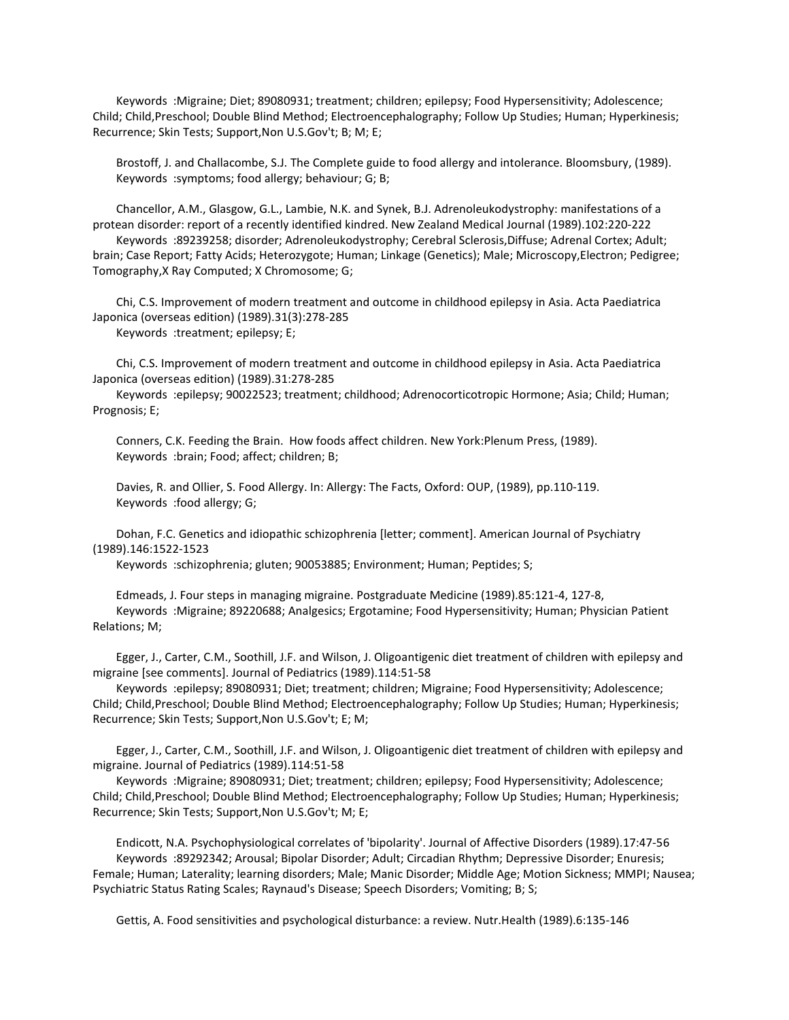Keywords :Migraine; Diet; 89080931; treatment; children; epilepsy; Food Hypersensitivity; Adolescence; Child; Child,Preschool; Double Blind Method; Electroencephalography; Follow Up Studies; Human; Hyperkinesis; Recurrence; Skin Tests; Support,Non U.S.Gov't; B; M; E;

 Brostoff, J. and Challacombe, S.J. The Complete guide to food allergy and intolerance. Bloomsbury, (1989). Keywords :symptoms; food allergy; behaviour; G; B;

 Chancellor, A.M., Glasgow, G.L., Lambie, N.K. and Synek, B.J. Adrenoleukodystrophy: manifestations of a protean disorder: report of a recently identified kindred. New Zealand Medical Journal (1989).102:220-222 Keywords :89239258; disorder; Adrenoleukodystrophy; Cerebral Sclerosis,Diffuse; Adrenal Cortex; Adult; brain; Case Report; Fatty Acids; Heterozygote; Human; Linkage (Genetics); Male; Microscopy,Electron; Pedigree; Tomography,X Ray Computed; X Chromosome; G;

 Chi, C.S. Improvement of modern treatment and outcome in childhood epilepsy in Asia. Acta Paediatrica Japonica (overseas edition) (1989).31(3):278-285 Keywords :treatment; epilepsy; E;

 Chi, C.S. Improvement of modern treatment and outcome in childhood epilepsy in Asia. Acta Paediatrica Japonica (overseas edition) (1989).31:278-285

 Keywords :epilepsy; 90022523; treatment; childhood; Adrenocorticotropic Hormone; Asia; Child; Human; Prognosis; E;

 Conners, C.K. Feeding the Brain. How foods affect children. New York:Plenum Press, (1989). Keywords :brain; Food; affect; children; B;

 Davies, R. and Ollier, S. Food Allergy. In: Allergy: The Facts, Oxford: OUP, (1989), pp.110-119. Keywords :food allergy; G;

 Dohan, F.C. Genetics and idiopathic schizophrenia [letter; comment]. American Journal of Psychiatry (1989).146:1522-1523

Keywords :schizophrenia; gluten; 90053885; Environment; Human; Peptides; S;

 Edmeads, J. Four steps in managing migraine. Postgraduate Medicine (1989).85:121-4, 127-8, Keywords :Migraine; 89220688; Analgesics; Ergotamine; Food Hypersensitivity; Human; Physician Patient Relations; M;

 Egger, J., Carter, C.M., Soothill, J.F. and Wilson, J. Oligoantigenic diet treatment of children with epilepsy and migraine [see comments]. Journal of Pediatrics (1989).114:51-58

 Keywords :epilepsy; 89080931; Diet; treatment; children; Migraine; Food Hypersensitivity; Adolescence; Child; Child,Preschool; Double Blind Method; Electroencephalography; Follow Up Studies; Human; Hyperkinesis; Recurrence; Skin Tests; Support,Non U.S.Gov't; E; M;

 Egger, J., Carter, C.M., Soothill, J.F. and Wilson, J. Oligoantigenic diet treatment of children with epilepsy and migraine. Journal of Pediatrics (1989).114:51-58

 Keywords :Migraine; 89080931; Diet; treatment; children; epilepsy; Food Hypersensitivity; Adolescence; Child; Child,Preschool; Double Blind Method; Electroencephalography; Follow Up Studies; Human; Hyperkinesis; Recurrence; Skin Tests; Support,Non U.S.Gov't; M; E;

 Endicott, N.A. Psychophysiological correlates of 'bipolarity'. Journal of Affective Disorders (1989).17:47-56 Keywords :89292342; Arousal; Bipolar Disorder; Adult; Circadian Rhythm; Depressive Disorder; Enuresis; Female; Human; Laterality; learning disorders; Male; Manic Disorder; Middle Age; Motion Sickness; MMPI; Nausea; Psychiatric Status Rating Scales; Raynaud's Disease; Speech Disorders; Vomiting; B; S;

Gettis, A. Food sensitivities and psychological disturbance: a review. Nutr.Health (1989).6:135-146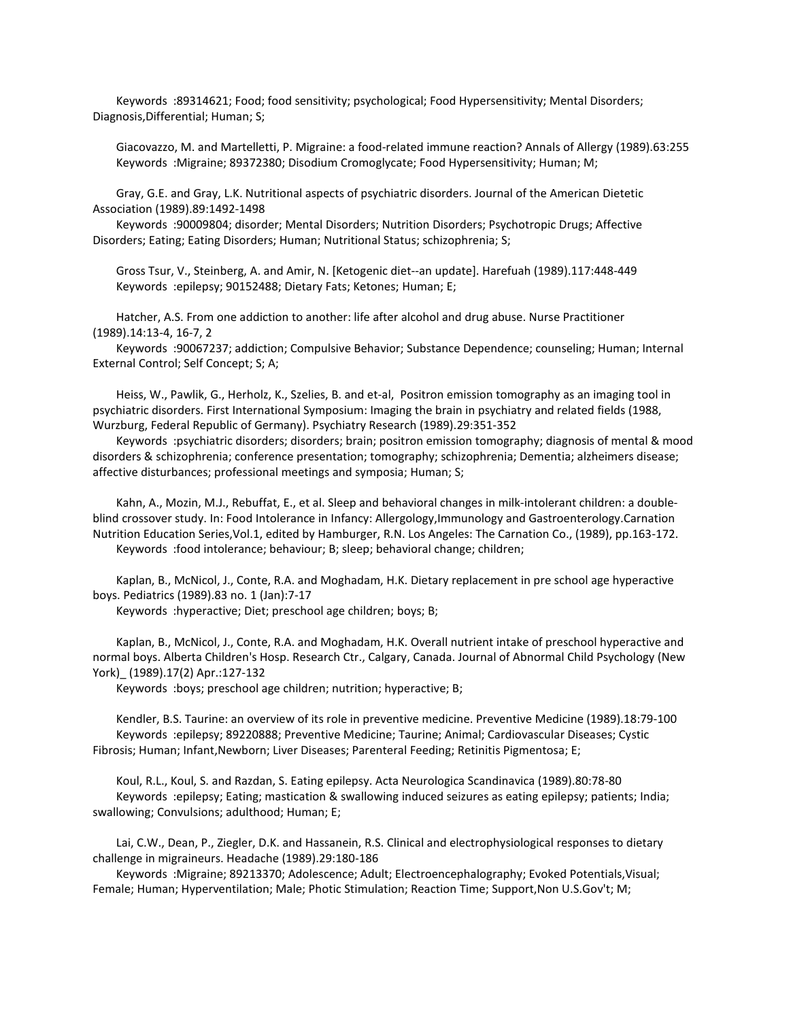Keywords :89314621; Food; food sensitivity; psychological; Food Hypersensitivity; Mental Disorders; Diagnosis,Differential; Human; S;

 Giacovazzo, M. and Martelletti, P. Migraine: a food-related immune reaction? Annals of Allergy (1989).63:255 Keywords :Migraine; 89372380; Disodium Cromoglycate; Food Hypersensitivity; Human; M;

 Gray, G.E. and Gray, L.K. Nutritional aspects of psychiatric disorders. Journal of the American Dietetic Association (1989).89:1492-1498

 Keywords :90009804; disorder; Mental Disorders; Nutrition Disorders; Psychotropic Drugs; Affective Disorders; Eating; Eating Disorders; Human; Nutritional Status; schizophrenia; S;

 Gross Tsur, V., Steinberg, A. and Amir, N. [Ketogenic diet--an update]. Harefuah (1989).117:448-449 Keywords :epilepsy; 90152488; Dietary Fats; Ketones; Human; E;

 Hatcher, A.S. From one addiction to another: life after alcohol and drug abuse. Nurse Practitioner (1989).14:13-4, 16-7, 2

 Keywords :90067237; addiction; Compulsive Behavior; Substance Dependence; counseling; Human; Internal External Control; Self Concept; S; A;

 Heiss, W., Pawlik, G., Herholz, K., Szelies, B. and et-al, Positron emission tomography as an imaging tool in psychiatric disorders. First International Symposium: Imaging the brain in psychiatry and related fields (1988, Wurzburg, Federal Republic of Germany). Psychiatry Research (1989).29:351-352

 Keywords :psychiatric disorders; disorders; brain; positron emission tomography; diagnosis of mental & mood disorders & schizophrenia; conference presentation; tomography; schizophrenia; Dementia; alzheimers disease; affective disturbances; professional meetings and symposia; Human; S;

 Kahn, A., Mozin, M.J., Rebuffat, E., et al. Sleep and behavioral changes in milk-intolerant children: a doubleblind crossover study. In: Food Intolerance in Infancy: Allergology,Immunology and Gastroenterology.Carnation Nutrition Education Series,Vol.1, edited by Hamburger, R.N. Los Angeles: The Carnation Co., (1989), pp.163-172. Keywords :food intolerance; behaviour; B; sleep; behavioral change; children;

 Kaplan, B., McNicol, J., Conte, R.A. and Moghadam, H.K. Dietary replacement in pre school age hyperactive boys. Pediatrics (1989).83 no. 1 (Jan):7-17

Keywords :hyperactive; Diet; preschool age children; boys; B;

 Kaplan, B., McNicol, J., Conte, R.A. and Moghadam, H.K. Overall nutrient intake of preschool hyperactive and normal boys. Alberta Children's Hosp. Research Ctr., Calgary, Canada. Journal of Abnormal Child Psychology (New York)\_ (1989).17(2) Apr.:127-132

Keywords :boys; preschool age children; nutrition; hyperactive; B;

 Kendler, B.S. Taurine: an overview of its role in preventive medicine. Preventive Medicine (1989).18:79-100 Keywords :epilepsy; 89220888; Preventive Medicine; Taurine; Animal; Cardiovascular Diseases; Cystic Fibrosis; Human; Infant,Newborn; Liver Diseases; Parenteral Feeding; Retinitis Pigmentosa; E;

 Koul, R.L., Koul, S. and Razdan, S. Eating epilepsy. Acta Neurologica Scandinavica (1989).80:78-80 Keywords :epilepsy; Eating; mastication & swallowing induced seizures as eating epilepsy; patients; India; swallowing; Convulsions; adulthood; Human; E;

 Lai, C.W., Dean, P., Ziegler, D.K. and Hassanein, R.S. Clinical and electrophysiological responses to dietary challenge in migraineurs. Headache (1989).29:180-186

 Keywords :Migraine; 89213370; Adolescence; Adult; Electroencephalography; Evoked Potentials,Visual; Female; Human; Hyperventilation; Male; Photic Stimulation; Reaction Time; Support,Non U.S.Gov't; M;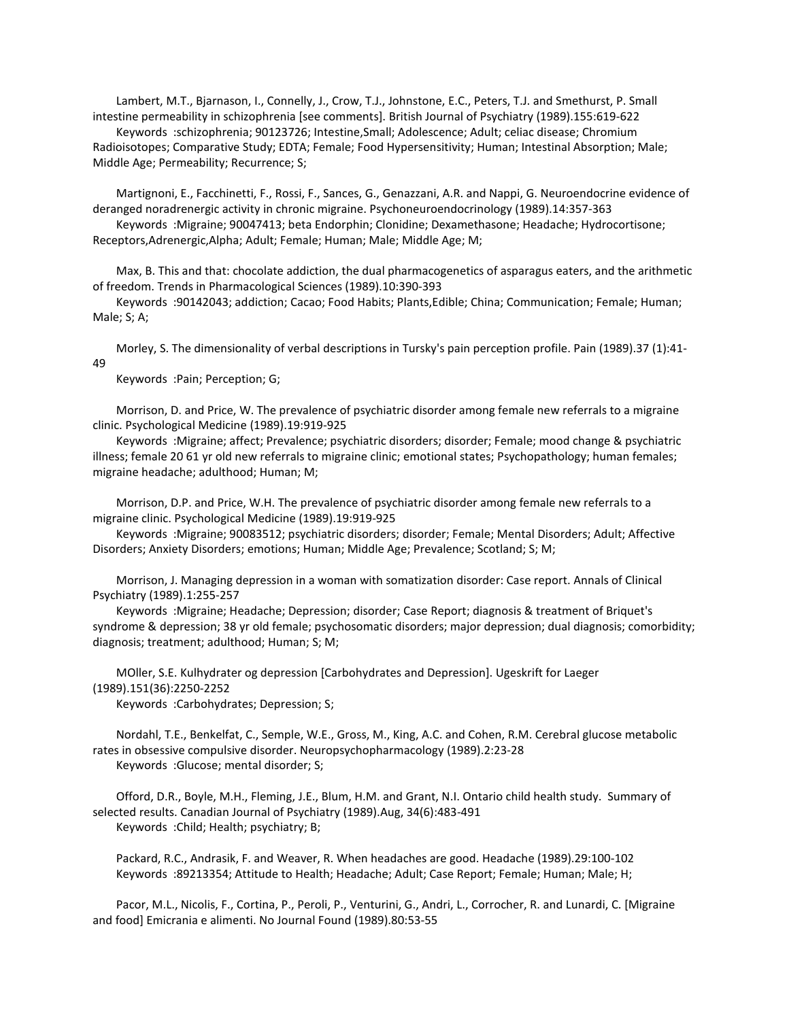Lambert, M.T., Bjarnason, I., Connelly, J., Crow, T.J., Johnstone, E.C., Peters, T.J. and Smethurst, P. Small intestine permeability in schizophrenia [see comments]. British Journal of Psychiatry (1989).155:619-622 Keywords :schizophrenia; 90123726; Intestine,Small; Adolescence; Adult; celiac disease; Chromium Radioisotopes; Comparative Study; EDTA; Female; Food Hypersensitivity; Human; Intestinal Absorption; Male;

Middle Age; Permeability; Recurrence; S;

 Martignoni, E., Facchinetti, F., Rossi, F., Sances, G., Genazzani, A.R. and Nappi, G. Neuroendocrine evidence of deranged noradrenergic activity in chronic migraine. Psychoneuroendocrinology (1989).14:357-363 Keywords :Migraine; 90047413; beta Endorphin; Clonidine; Dexamethasone; Headache; Hydrocortisone; Receptors, Adrenergic, Alpha; Adult; Female; Human; Male; Middle Age; M;

 Max, B. This and that: chocolate addiction, the dual pharmacogenetics of asparagus eaters, and the arithmetic of freedom. Trends in Pharmacological Sciences (1989).10:390-393

 Keywords :90142043; addiction; Cacao; Food Habits; Plants,Edible; China; Communication; Female; Human; Male; S; A;

 Morley, S. The dimensionality of verbal descriptions in Tursky's pain perception profile. Pain (1989).37 (1):41- 49

Keywords :Pain; Perception; G;

 Morrison, D. and Price, W. The prevalence of psychiatric disorder among female new referrals to a migraine clinic. Psychological Medicine (1989).19:919-925

 Keywords :Migraine; affect; Prevalence; psychiatric disorders; disorder; Female; mood change & psychiatric illness; female 20 61 yr old new referrals to migraine clinic; emotional states; Psychopathology; human females; migraine headache; adulthood; Human; M;

 Morrison, D.P. and Price, W.H. The prevalence of psychiatric disorder among female new referrals to a migraine clinic. Psychological Medicine (1989).19:919-925

 Keywords :Migraine; 90083512; psychiatric disorders; disorder; Female; Mental Disorders; Adult; Affective Disorders; Anxiety Disorders; emotions; Human; Middle Age; Prevalence; Scotland; S; M;

 Morrison, J. Managing depression in a woman with somatization disorder: Case report. Annals of Clinical Psychiatry (1989).1:255-257

 Keywords :Migraine; Headache; Depression; disorder; Case Report; diagnosis & treatment of Briquet's syndrome & depression; 38 yr old female; psychosomatic disorders; major depression; dual diagnosis; comorbidity; diagnosis; treatment; adulthood; Human; S; M;

 MOller, S.E. Kulhydrater og depression [Carbohydrates and Depression]. Ugeskrift for Laeger (1989).151(36):2250-2252

Keywords :Carbohydrates; Depression; S;

 Nordahl, T.E., Benkelfat, C., Semple, W.E., Gross, M., King, A.C. and Cohen, R.M. Cerebral glucose metabolic rates in obsessive compulsive disorder. Neuropsychopharmacology (1989).2:23-28 Keywords :Glucose; mental disorder; S;

 Offord, D.R., Boyle, M.H., Fleming, J.E., Blum, H.M. and Grant, N.I. Ontario child health study. Summary of selected results. Canadian Journal of Psychiatry (1989).Aug, 34(6):483-491 Keywords :Child; Health; psychiatry; B;

 Packard, R.C., Andrasik, F. and Weaver, R. When headaches are good. Headache (1989).29:100-102 Keywords :89213354; Attitude to Health; Headache; Adult; Case Report; Female; Human; Male; H;

 Pacor, M.L., Nicolis, F., Cortina, P., Peroli, P., Venturini, G., Andri, L., Corrocher, R. and Lunardi, C. [Migraine and food] Emicrania e alimenti. No Journal Found (1989).80:53-55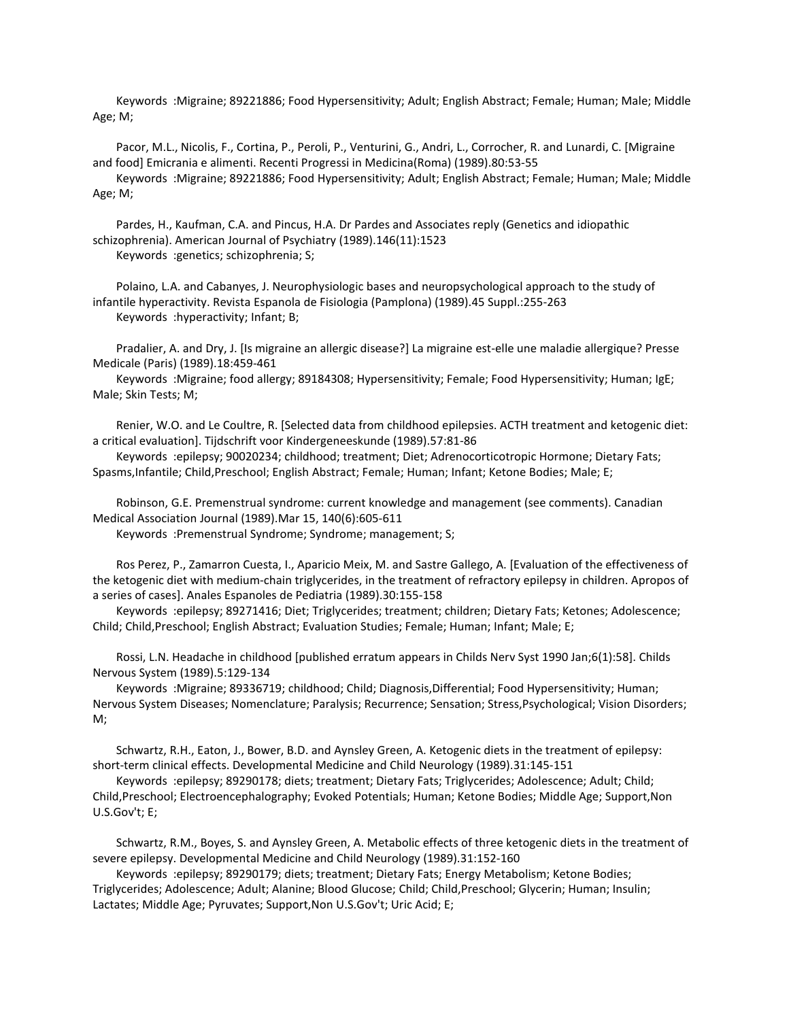Keywords :Migraine; 89221886; Food Hypersensitivity; Adult; English Abstract; Female; Human; Male; Middle Age; M;

 Pacor, M.L., Nicolis, F., Cortina, P., Peroli, P., Venturini, G., Andri, L., Corrocher, R. and Lunardi, C. [Migraine and food] Emicrania e alimenti. Recenti Progressi in Medicina(Roma) (1989).80:53-55

 Keywords :Migraine; 89221886; Food Hypersensitivity; Adult; English Abstract; Female; Human; Male; Middle Age; M;

 Pardes, H., Kaufman, C.A. and Pincus, H.A. Dr Pardes and Associates reply (Genetics and idiopathic schizophrenia). American Journal of Psychiatry (1989).146(11):1523 Keywords :genetics; schizophrenia; S;

 Polaino, L.A. and Cabanyes, J. Neurophysiologic bases and neuropsychological approach to the study of infantile hyperactivity. Revista Espanola de Fisiologia (Pamplona) (1989).45 Suppl.:255-263 Keywords :hyperactivity; Infant; B;

 Pradalier, A. and Dry, J. [Is migraine an allergic disease?] La migraine est-elle une maladie allergique? Presse Medicale (Paris) (1989).18:459-461

 Keywords :Migraine; food allergy; 89184308; Hypersensitivity; Female; Food Hypersensitivity; Human; IgE; Male; Skin Tests; M;

 Renier, W.O. and Le Coultre, R. [Selected data from childhood epilepsies. ACTH treatment and ketogenic diet: a critical evaluation]. Tijdschrift voor Kindergeneeskunde (1989).57:81-86

 Keywords :epilepsy; 90020234; childhood; treatment; Diet; Adrenocorticotropic Hormone; Dietary Fats; Spasms,Infantile; Child,Preschool; English Abstract; Female; Human; Infant; Ketone Bodies; Male; E;

 Robinson, G.E. Premenstrual syndrome: current knowledge and management (see comments). Canadian Medical Association Journal (1989).Mar 15, 140(6):605-611

Keywords :Premenstrual Syndrome; Syndrome; management; S;

 Ros Perez, P., Zamarron Cuesta, I., Aparicio Meix, M. and Sastre Gallego, A. [Evaluation of the effectiveness of the ketogenic diet with medium-chain triglycerides, in the treatment of refractory epilepsy in children. Apropos of a series of cases]. Anales Espanoles de Pediatria (1989).30:155-158

 Keywords :epilepsy; 89271416; Diet; Triglycerides; treatment; children; Dietary Fats; Ketones; Adolescence; Child; Child,Preschool; English Abstract; Evaluation Studies; Female; Human; Infant; Male; E;

 Rossi, L.N. Headache in childhood [published erratum appears in Childs Nerv Syst 1990 Jan;6(1):58]. Childs Nervous System (1989).5:129-134

 Keywords :Migraine; 89336719; childhood; Child; Diagnosis,Differential; Food Hypersensitivity; Human; Nervous System Diseases; Nomenclature; Paralysis; Recurrence; Sensation; Stress,Psychological; Vision Disorders; M;

 Schwartz, R.H., Eaton, J., Bower, B.D. and Aynsley Green, A. Ketogenic diets in the treatment of epilepsy: short-term clinical effects. Developmental Medicine and Child Neurology (1989).31:145-151

 Keywords :epilepsy; 89290178; diets; treatment; Dietary Fats; Triglycerides; Adolescence; Adult; Child; Child,Preschool; Electroencephalography; Evoked Potentials; Human; Ketone Bodies; Middle Age; Support,Non U.S.Gov't; E;

 Schwartz, R.M., Boyes, S. and Aynsley Green, A. Metabolic effects of three ketogenic diets in the treatment of severe epilepsy. Developmental Medicine and Child Neurology (1989).31:152-160

 Keywords :epilepsy; 89290179; diets; treatment; Dietary Fats; Energy Metabolism; Ketone Bodies; Triglycerides; Adolescence; Adult; Alanine; Blood Glucose; Child; Child,Preschool; Glycerin; Human; Insulin; Lactates; Middle Age; Pyruvates; Support,Non U.S.Gov't; Uric Acid; E;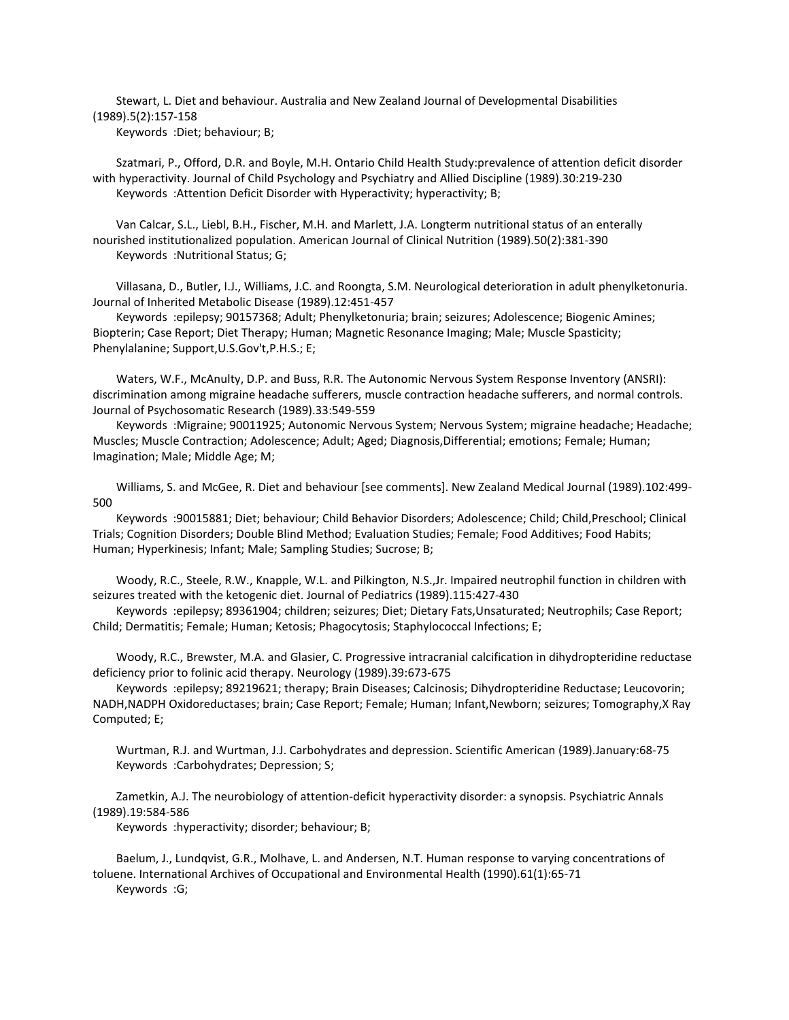Stewart, L. Diet and behaviour. Australia and New Zealand Journal of Developmental Disabilities (1989).5(2):157-158

Keywords :Diet; behaviour; B;

 Szatmari, P., Offord, D.R. and Boyle, M.H. Ontario Child Health Study:prevalence of attention deficit disorder with hyperactivity. Journal of Child Psychology and Psychiatry and Allied Discipline (1989).30:219-230 Keywords :Attention Deficit Disorder with Hyperactivity; hyperactivity; B;

 Van Calcar, S.L., Liebl, B.H., Fischer, M.H. and Marlett, J.A. Longterm nutritional status of an enterally nourished institutionalized population. American Journal of Clinical Nutrition (1989).50(2):381-390 Keywords :Nutritional Status; G;

 Villasana, D., Butler, I.J., Williams, J.C. and Roongta, S.M. Neurological deterioration in adult phenylketonuria. Journal of Inherited Metabolic Disease (1989).12:451-457

 Keywords :epilepsy; 90157368; Adult; Phenylketonuria; brain; seizures; Adolescence; Biogenic Amines; Biopterin; Case Report; Diet Therapy; Human; Magnetic Resonance Imaging; Male; Muscle Spasticity; Phenylalanine; Support,U.S.Gov't,P.H.S.; E;

 Waters, W.F., McAnulty, D.P. and Buss, R.R. The Autonomic Nervous System Response Inventory (ANSRI): discrimination among migraine headache sufferers, muscle contraction headache sufferers, and normal controls. Journal of Psychosomatic Research (1989).33:549-559

 Keywords :Migraine; 90011925; Autonomic Nervous System; Nervous System; migraine headache; Headache; Muscles; Muscle Contraction; Adolescence; Adult; Aged; Diagnosis,Differential; emotions; Female; Human; Imagination; Male; Middle Age; M;

 Williams, S. and McGee, R. Diet and behaviour [see comments]. New Zealand Medical Journal (1989).102:499- 500

 Keywords :90015881; Diet; behaviour; Child Behavior Disorders; Adolescence; Child; Child,Preschool; Clinical Trials; Cognition Disorders; Double Blind Method; Evaluation Studies; Female; Food Additives; Food Habits; Human; Hyperkinesis; Infant; Male; Sampling Studies; Sucrose; B;

 Woody, R.C., Steele, R.W., Knapple, W.L. and Pilkington, N.S.,Jr. Impaired neutrophil function in children with seizures treated with the ketogenic diet. Journal of Pediatrics (1989).115:427-430

 Keywords :epilepsy; 89361904; children; seizures; Diet; Dietary Fats,Unsaturated; Neutrophils; Case Report; Child; Dermatitis; Female; Human; Ketosis; Phagocytosis; Staphylococcal Infections; E;

 Woody, R.C., Brewster, M.A. and Glasier, C. Progressive intracranial calcification in dihydropteridine reductase deficiency prior to folinic acid therapy. Neurology (1989).39:673-675

 Keywords :epilepsy; 89219621; therapy; Brain Diseases; Calcinosis; Dihydropteridine Reductase; Leucovorin; NADH,NADPH Oxidoreductases; brain; Case Report; Female; Human; Infant,Newborn; seizures; Tomography,X Ray Computed; E;

 Wurtman, R.J. and Wurtman, J.J. Carbohydrates and depression. Scientific American (1989).January:68-75 Keywords :Carbohydrates; Depression; S;

 Zametkin, A.J. The neurobiology of attention-deficit hyperactivity disorder: a synopsis. Psychiatric Annals (1989).19:584-586

Keywords :hyperactivity; disorder; behaviour; B;

 Baelum, J., Lundqvist, G.R., Molhave, L. and Andersen, N.T. Human response to varying concentrations of toluene. International Archives of Occupational and Environmental Health (1990).61(1):65-71 Keywords :G;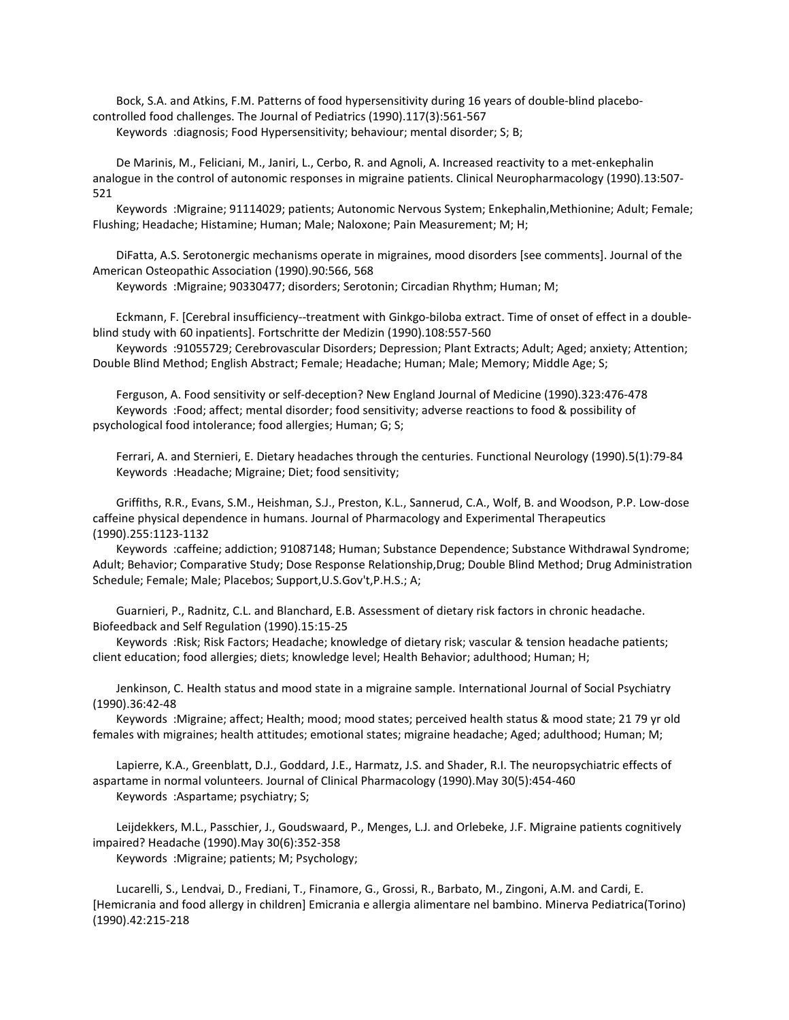Bock, S.A. and Atkins, F.M. Patterns of food hypersensitivity during 16 years of double-blind placebocontrolled food challenges. The Journal of Pediatrics (1990).117(3):561-567

Keywords :diagnosis; Food Hypersensitivity; behaviour; mental disorder; S; B;

 De Marinis, M., Feliciani, M., Janiri, L., Cerbo, R. and Agnoli, A. Increased reactivity to a met-enkephalin analogue in the control of autonomic responses in migraine patients. Clinical Neuropharmacology (1990).13:507- 521

 Keywords :Migraine; 91114029; patients; Autonomic Nervous System; Enkephalin,Methionine; Adult; Female; Flushing; Headache; Histamine; Human; Male; Naloxone; Pain Measurement; M; H;

 DiFatta, A.S. Serotonergic mechanisms operate in migraines, mood disorders [see comments]. Journal of the American Osteopathic Association (1990).90:566, 568

Keywords :Migraine; 90330477; disorders; Serotonin; Circadian Rhythm; Human; M;

 Eckmann, F. [Cerebral insufficiency--treatment with Ginkgo-biloba extract. Time of onset of effect in a doubleblind study with 60 inpatients]. Fortschritte der Medizin (1990).108:557-560

 Keywords :91055729; Cerebrovascular Disorders; Depression; Plant Extracts; Adult; Aged; anxiety; Attention; Double Blind Method; English Abstract; Female; Headache; Human; Male; Memory; Middle Age; S;

 Ferguson, A. Food sensitivity or self-deception? New England Journal of Medicine (1990).323:476-478 Keywords :Food; affect; mental disorder; food sensitivity; adverse reactions to food & possibility of psychological food intolerance; food allergies; Human; G; S;

 Ferrari, A. and Sternieri, E. Dietary headaches through the centuries. Functional Neurology (1990).5(1):79-84 Keywords :Headache; Migraine; Diet; food sensitivity;

 Griffiths, R.R., Evans, S.M., Heishman, S.J., Preston, K.L., Sannerud, C.A., Wolf, B. and Woodson, P.P. Low-dose caffeine physical dependence in humans. Journal of Pharmacology and Experimental Therapeutics (1990).255:1123-1132

 Keywords :caffeine; addiction; 91087148; Human; Substance Dependence; Substance Withdrawal Syndrome; Adult; Behavior; Comparative Study; Dose Response Relationship,Drug; Double Blind Method; Drug Administration Schedule; Female; Male; Placebos; Support,U.S.Gov't,P.H.S.; A;

 Guarnieri, P., Radnitz, C.L. and Blanchard, E.B. Assessment of dietary risk factors in chronic headache. Biofeedback and Self Regulation (1990).15:15-25

 Keywords :Risk; Risk Factors; Headache; knowledge of dietary risk; vascular & tension headache patients; client education; food allergies; diets; knowledge level; Health Behavior; adulthood; Human; H;

 Jenkinson, C. Health status and mood state in a migraine sample. International Journal of Social Psychiatry (1990).36:42-48

 Keywords :Migraine; affect; Health; mood; mood states; perceived health status & mood state; 21 79 yr old females with migraines; health attitudes; emotional states; migraine headache; Aged; adulthood; Human; M;

 Lapierre, K.A., Greenblatt, D.J., Goddard, J.E., Harmatz, J.S. and Shader, R.I. The neuropsychiatric effects of aspartame in normal volunteers. Journal of Clinical Pharmacology (1990).May 30(5):454-460 Keywords :Aspartame; psychiatry; S;

 Leijdekkers, M.L., Passchier, J., Goudswaard, P., Menges, L.J. and Orlebeke, J.F. Migraine patients cognitively impaired? Headache (1990).May 30(6):352-358 Keywords :Migraine; patients; M; Psychology;

 Lucarelli, S., Lendvai, D., Frediani, T., Finamore, G., Grossi, R., Barbato, M., Zingoni, A.M. and Cardi, E. [Hemicrania and food allergy in children] Emicrania e allergia alimentare nel bambino. Minerva Pediatrica(Torino) (1990).42:215-218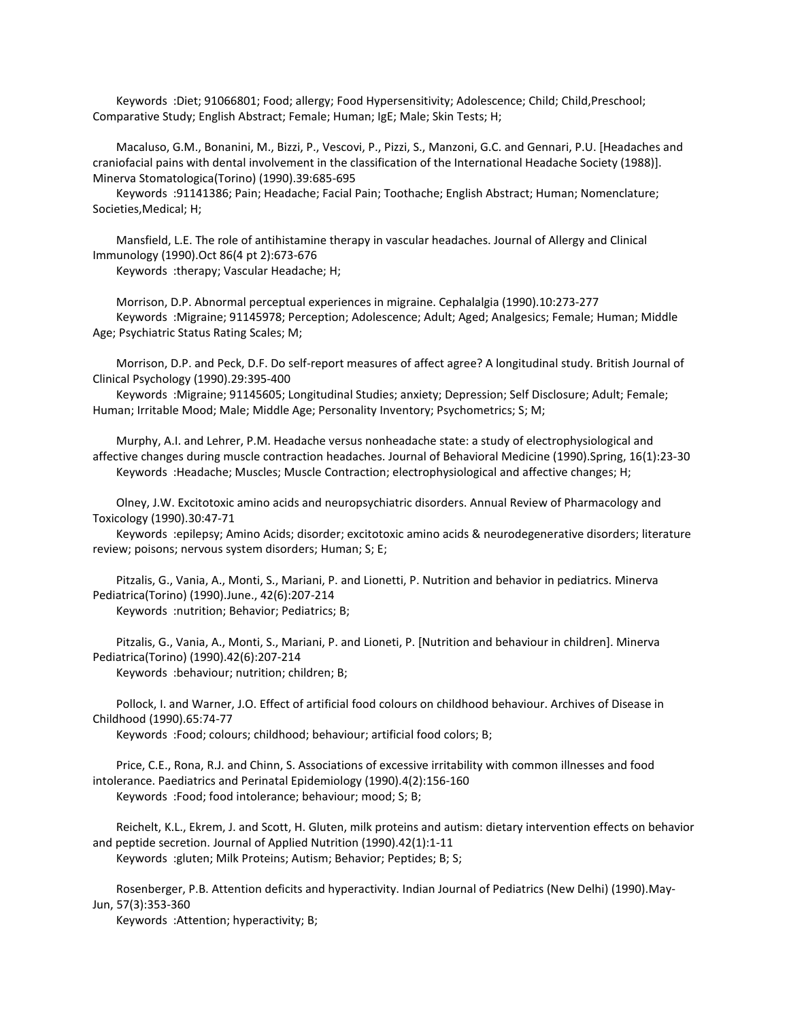Keywords :Diet; 91066801; Food; allergy; Food Hypersensitivity; Adolescence; Child; Child,Preschool; Comparative Study; English Abstract; Female; Human; IgE; Male; Skin Tests; H;

 Macaluso, G.M., Bonanini, M., Bizzi, P., Vescovi, P., Pizzi, S., Manzoni, G.C. and Gennari, P.U. [Headaches and craniofacial pains with dental involvement in the classification of the International Headache Society (1988)]. Minerva Stomatologica(Torino) (1990).39:685-695

 Keywords :91141386; Pain; Headache; Facial Pain; Toothache; English Abstract; Human; Nomenclature; Societies,Medical; H;

 Mansfield, L.E. The role of antihistamine therapy in vascular headaches. Journal of Allergy and Clinical Immunology (1990).Oct 86(4 pt 2):673-676

Keywords :therapy; Vascular Headache; H;

 Morrison, D.P. Abnormal perceptual experiences in migraine. Cephalalgia (1990).10:273-277 Keywords :Migraine; 91145978; Perception; Adolescence; Adult; Aged; Analgesics; Female; Human; Middle Age; Psychiatric Status Rating Scales; M;

 Morrison, D.P. and Peck, D.F. Do self-report measures of affect agree? A longitudinal study. British Journal of Clinical Psychology (1990).29:395-400

 Keywords :Migraine; 91145605; Longitudinal Studies; anxiety; Depression; Self Disclosure; Adult; Female; Human; Irritable Mood; Male; Middle Age; Personality Inventory; Psychometrics; S; M;

 Murphy, A.I. and Lehrer, P.M. Headache versus nonheadache state: a study of electrophysiological and affective changes during muscle contraction headaches. Journal of Behavioral Medicine (1990).Spring, 16(1):23-30 Keywords :Headache; Muscles; Muscle Contraction; electrophysiological and affective changes; H;

 Olney, J.W. Excitotoxic amino acids and neuropsychiatric disorders. Annual Review of Pharmacology and Toxicology (1990).30:47-71

 Keywords :epilepsy; Amino Acids; disorder; excitotoxic amino acids & neurodegenerative disorders; literature review; poisons; nervous system disorders; Human; S; E;

 Pitzalis, G., Vania, A., Monti, S., Mariani, P. and Lionetti, P. Nutrition and behavior in pediatrics. Minerva Pediatrica(Torino) (1990).June., 42(6):207-214

Keywords :nutrition; Behavior; Pediatrics; B;

 Pitzalis, G., Vania, A., Monti, S., Mariani, P. and Lioneti, P. [Nutrition and behaviour in children]. Minerva Pediatrica(Torino) (1990).42(6):207-214

Keywords :behaviour; nutrition; children; B;

 Pollock, I. and Warner, J.O. Effect of artificial food colours on childhood behaviour. Archives of Disease in Childhood (1990).65:74-77

Keywords :Food; colours; childhood; behaviour; artificial food colors; B;

 Price, C.E., Rona, R.J. and Chinn, S. Associations of excessive irritability with common illnesses and food intolerance. Paediatrics and Perinatal Epidemiology (1990).4(2):156-160 Keywords :Food; food intolerance; behaviour; mood; S; B;

 Reichelt, K.L., Ekrem, J. and Scott, H. Gluten, milk proteins and autism: dietary intervention effects on behavior and peptide secretion. Journal of Applied Nutrition (1990).42(1):1-11 Keywords :gluten; Milk Proteins; Autism; Behavior; Peptides; B; S;

 Rosenberger, P.B. Attention deficits and hyperactivity. Indian Journal of Pediatrics (New Delhi) (1990).May-Jun, 57(3):353-360

Keywords :Attention; hyperactivity; B;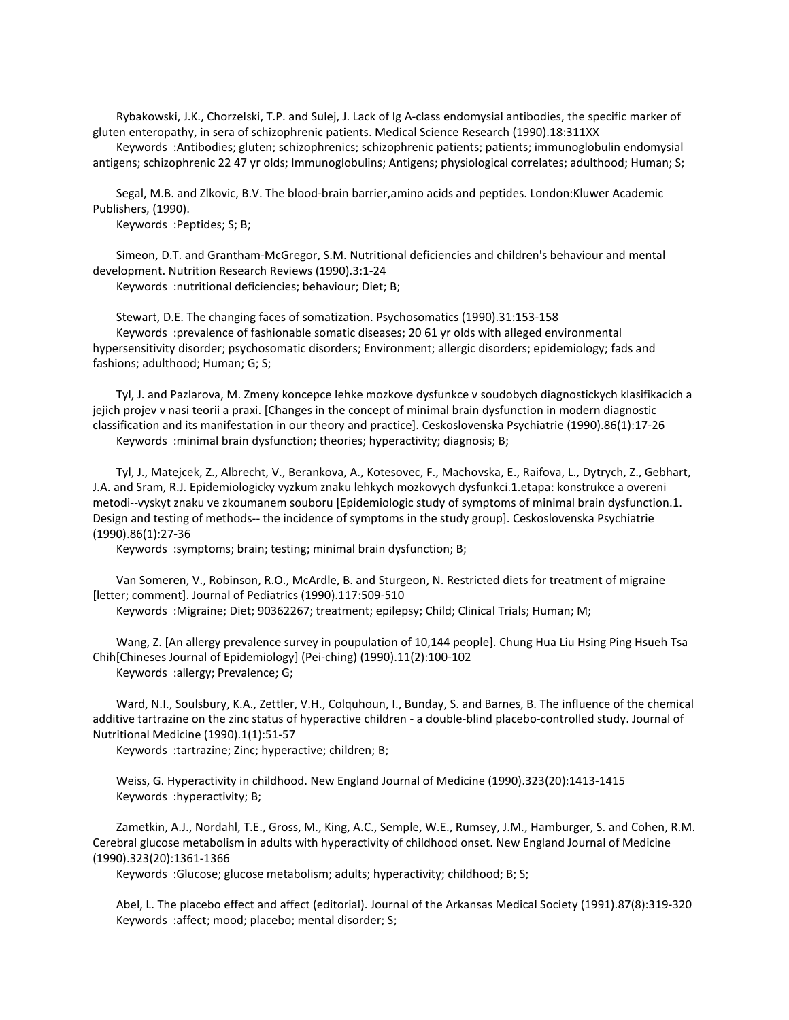Rybakowski, J.K., Chorzelski, T.P. and Sulej, J. Lack of Ig A-class endomysial antibodies, the specific marker of gluten enteropathy, in sera of schizophrenic patients. Medical Science Research (1990).18:311XX

 Keywords :Antibodies; gluten; schizophrenics; schizophrenic patients; patients; immunoglobulin endomysial antigens; schizophrenic 22 47 yr olds; Immunoglobulins; Antigens; physiological correlates; adulthood; Human; S;

 Segal, M.B. and Zlkovic, B.V. The blood-brain barrier,amino acids and peptides. London:Kluwer Academic Publishers, (1990).

Keywords :Peptides; S; B;

 Simeon, D.T. and Grantham-McGregor, S.M. Nutritional deficiencies and children's behaviour and mental development. Nutrition Research Reviews (1990).3:1-24 Keywords :nutritional deficiencies; behaviour; Diet; B;

 Stewart, D.E. The changing faces of somatization. Psychosomatics (1990).31:153-158 Keywords :prevalence of fashionable somatic diseases; 20 61 yr olds with alleged environmental hypersensitivity disorder; psychosomatic disorders; Environment; allergic disorders; epidemiology; fads and fashions; adulthood; Human; G; S;

 Tyl, J. and Pazlarova, M. Zmeny koncepce lehke mozkove dysfunkce v soudobych diagnostickych klasifikacich a jejich projev v nasi teorii a praxi. [Changes in the concept of minimal brain dysfunction in modern diagnostic classification and its manifestation in our theory and practice]. Ceskoslovenska Psychiatrie (1990).86(1):17-26 Keywords :minimal brain dysfunction; theories; hyperactivity; diagnosis; B;

 Tyl, J., Matejcek, Z., Albrecht, V., Berankova, A., Kotesovec, F., Machovska, E., Raifova, L., Dytrych, Z., Gebhart, J.A. and Sram, R.J. Epidemiologicky vyzkum znaku lehkych mozkovych dysfunkci.1.etapa: konstrukce a overeni metodi--vyskyt znaku ve zkoumanem souboru [Epidemiologic study of symptoms of minimal brain dysfunction.1. Design and testing of methods-- the incidence of symptoms in the study group]. Ceskoslovenska Psychiatrie (1990).86(1):27-36

Keywords :symptoms; brain; testing; minimal brain dysfunction; B;

 Van Someren, V., Robinson, R.O., McArdle, B. and Sturgeon, N. Restricted diets for treatment of migraine [letter; comment]. Journal of Pediatrics (1990).117:509-510

Keywords :Migraine; Diet; 90362267; treatment; epilepsy; Child; Clinical Trials; Human; M;

 Wang, Z. [An allergy prevalence survey in poupulation of 10,144 people]. Chung Hua Liu Hsing Ping Hsueh Tsa Chih[Chineses Journal of Epidemiology] (Pei-ching) (1990).11(2):100-102 Keywords :allergy; Prevalence; G;

 Ward, N.I., Soulsbury, K.A., Zettler, V.H., Colquhoun, I., Bunday, S. and Barnes, B. The influence of the chemical additive tartrazine on the zinc status of hyperactive children - a double-blind placebo-controlled study. Journal of Nutritional Medicine (1990).1(1):51-57

Keywords :tartrazine; Zinc; hyperactive; children; B;

 Weiss, G. Hyperactivity in childhood. New England Journal of Medicine (1990).323(20):1413-1415 Keywords :hyperactivity; B;

 Zametkin, A.J., Nordahl, T.E., Gross, M., King, A.C., Semple, W.E., Rumsey, J.M., Hamburger, S. and Cohen, R.M. Cerebral glucose metabolism in adults with hyperactivity of childhood onset. New England Journal of Medicine (1990).323(20):1361-1366

Keywords :Glucose; glucose metabolism; adults; hyperactivity; childhood; B; S;

 Abel, L. The placebo effect and affect (editorial). Journal of the Arkansas Medical Society (1991).87(8):319-320 Keywords :affect; mood; placebo; mental disorder; S;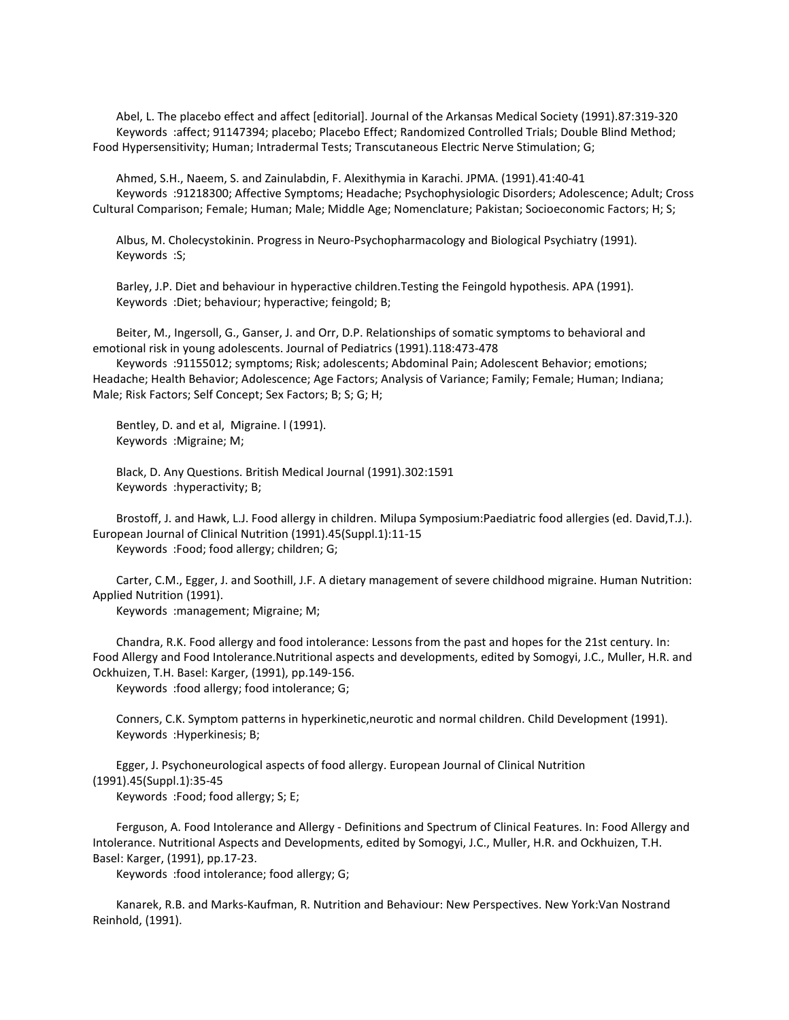Abel, L. The placebo effect and affect [editorial]. Journal of the Arkansas Medical Society (1991).87:319-320 Keywords :affect; 91147394; placebo; Placebo Effect; Randomized Controlled Trials; Double Blind Method; Food Hypersensitivity; Human; Intradermal Tests; Transcutaneous Electric Nerve Stimulation; G;

 Ahmed, S.H., Naeem, S. and Zainulabdin, F. Alexithymia in Karachi. JPMA. (1991).41:40-41 Keywords :91218300; Affective Symptoms; Headache; Psychophysiologic Disorders; Adolescence; Adult; Cross Cultural Comparison; Female; Human; Male; Middle Age; Nomenclature; Pakistan; Socioeconomic Factors; H; S;

 Albus, M. Cholecystokinin. Progress in Neuro-Psychopharmacology and Biological Psychiatry (1991). Keywords :S;

 Barley, J.P. Diet and behaviour in hyperactive children.Testing the Feingold hypothesis. APA (1991). Keywords :Diet; behaviour; hyperactive; feingold; B;

 Beiter, M., Ingersoll, G., Ganser, J. and Orr, D.P. Relationships of somatic symptoms to behavioral and emotional risk in young adolescents. Journal of Pediatrics (1991).118:473-478

 Keywords :91155012; symptoms; Risk; adolescents; Abdominal Pain; Adolescent Behavior; emotions; Headache; Health Behavior; Adolescence; Age Factors; Analysis of Variance; Family; Female; Human; Indiana; Male; Risk Factors; Self Concept; Sex Factors; B; S; G; H;

 Bentley, D. and et al, Migraine. l (1991). Keywords :Migraine; M;

 Black, D. Any Questions. British Medical Journal (1991).302:1591 Keywords :hyperactivity; B;

 Brostoff, J. and Hawk, L.J. Food allergy in children. Milupa Symposium:Paediatric food allergies (ed. David,T.J.). European Journal of Clinical Nutrition (1991).45(Suppl.1):11-15

Keywords :Food; food allergy; children; G;

 Carter, C.M., Egger, J. and Soothill, J.F. A dietary management of severe childhood migraine. Human Nutrition: Applied Nutrition (1991).

Keywords :management; Migraine; M;

 Chandra, R.K. Food allergy and food intolerance: Lessons from the past and hopes for the 21st century. In: Food Allergy and Food Intolerance.Nutritional aspects and developments, edited by Somogyi, J.C., Muller, H.R. and Ockhuizen, T.H. Basel: Karger, (1991), pp.149-156.

Keywords :food allergy; food intolerance; G;

 Conners, C.K. Symptom patterns in hyperkinetic,neurotic and normal children. Child Development (1991). Keywords :Hyperkinesis; B;

 Egger, J. Psychoneurological aspects of food allergy. European Journal of Clinical Nutrition (1991).45(Suppl.1):35-45

Keywords :Food; food allergy; S; E;

 Ferguson, A. Food Intolerance and Allergy - Definitions and Spectrum of Clinical Features. In: Food Allergy and Intolerance. Nutritional Aspects and Developments, edited by Somogyi, J.C., Muller, H.R. and Ockhuizen, T.H. Basel: Karger, (1991), pp.17-23.

Keywords :food intolerance; food allergy; G;

 Kanarek, R.B. and Marks-Kaufman, R. Nutrition and Behaviour: New Perspectives. New York:Van Nostrand Reinhold, (1991).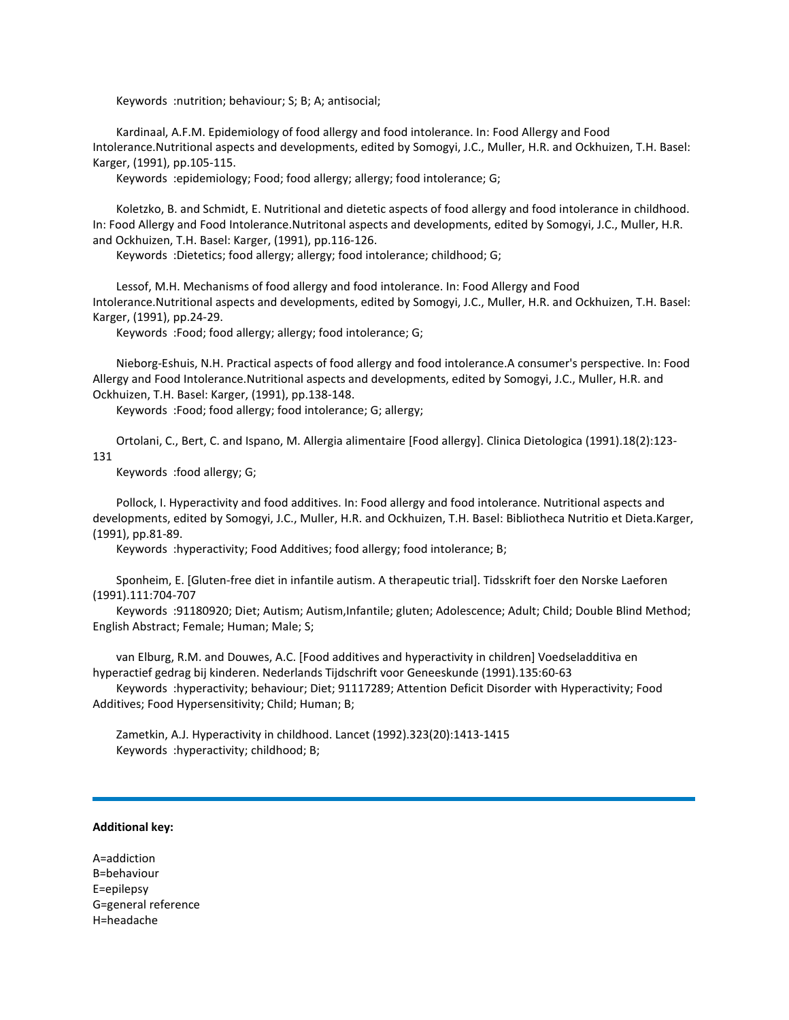Keywords :nutrition; behaviour; S; B; A; antisocial;

 Kardinaal, A.F.M. Epidemiology of food allergy and food intolerance. In: Food Allergy and Food Intolerance.Nutritional aspects and developments, edited by Somogyi, J.C., Muller, H.R. and Ockhuizen, T.H. Basel: Karger, (1991), pp.105-115.

Keywords :epidemiology; Food; food allergy; allergy; food intolerance; G;

 Koletzko, B. and Schmidt, E. Nutritional and dietetic aspects of food allergy and food intolerance in childhood. In: Food Allergy and Food Intolerance.Nutritonal aspects and developments, edited by Somogyi, J.C., Muller, H.R. and Ockhuizen, T.H. Basel: Karger, (1991), pp.116-126.

Keywords :Dietetics; food allergy; allergy; food intolerance; childhood; G;

 Lessof, M.H. Mechanisms of food allergy and food intolerance. In: Food Allergy and Food Intolerance.Nutritional aspects and developments, edited by Somogyi, J.C., Muller, H.R. and Ockhuizen, T.H. Basel: Karger, (1991), pp.24-29.

Keywords :Food; food allergy; allergy; food intolerance; G;

 Nieborg-Eshuis, N.H. Practical aspects of food allergy and food intolerance.A consumer's perspective. In: Food Allergy and Food Intolerance.Nutritional aspects and developments, edited by Somogyi, J.C., Muller, H.R. and Ockhuizen, T.H. Basel: Karger, (1991), pp.138-148.

Keywords :Food; food allergy; food intolerance; G; allergy;

 Ortolani, C., Bert, C. and Ispano, M. Allergia alimentaire [Food allergy]. Clinica Dietologica (1991).18(2):123- 131

Keywords :food allergy; G;

 Pollock, I. Hyperactivity and food additives. In: Food allergy and food intolerance. Nutritional aspects and developments, edited by Somogyi, J.C., Muller, H.R. and Ockhuizen, T.H. Basel: Bibliotheca Nutritio et Dieta.Karger, (1991), pp.81-89.

Keywords :hyperactivity; Food Additives; food allergy; food intolerance; B;

 Sponheim, E. [Gluten-free diet in infantile autism. A therapeutic trial]. Tidsskrift foer den Norske Laeforen (1991).111:704-707

 Keywords :91180920; Diet; Autism; Autism,Infantile; gluten; Adolescence; Adult; Child; Double Blind Method; English Abstract; Female; Human; Male; S;

 van Elburg, R.M. and Douwes, A.C. [Food additives and hyperactivity in children] Voedseladditiva en hyperactief gedrag bij kinderen. Nederlands Tijdschrift voor Geneeskunde (1991).135:60-63

 Keywords :hyperactivity; behaviour; Diet; 91117289; Attention Deficit Disorder with Hyperactivity; Food Additives; Food Hypersensitivity; Child; Human; B;

 Zametkin, A.J. Hyperactivity in childhood. Lancet (1992).323(20):1413-1415 Keywords :hyperactivity; childhood; B;

## **Additional key:**

A=addiction B=behaviour E=epilepsy G=general reference H=headache